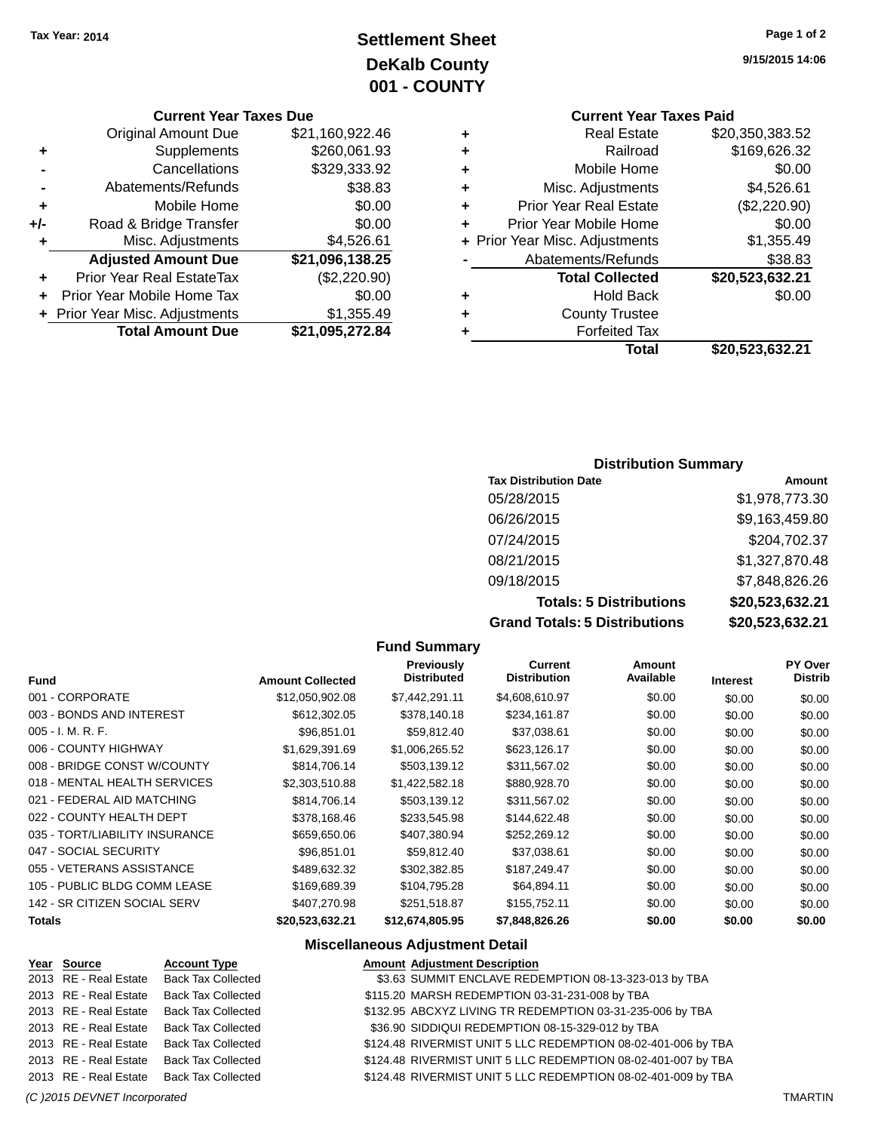## **Settlement Sheet Tax Year: 2014 Page 1 of 2 DeKalb County 001 - COUNTY**

**Current Year Taxes Due**

|     | <b>Total Amount Due</b>          | \$21,095,272.84 |
|-----|----------------------------------|-----------------|
|     | + Prior Year Misc. Adjustments   | \$1,355.49      |
|     | Prior Year Mobile Home Tax       | \$0.00          |
| ÷   | <b>Prior Year Real EstateTax</b> | (\$2,220.90)    |
|     | <b>Adjusted Amount Due</b>       | \$21,096,138.25 |
| ٠   | Misc. Adjustments                | \$4,526.61      |
| +/- | Road & Bridge Transfer           | \$0.00          |
| ٠   | Mobile Home                      | \$0.00          |
|     | Abatements/Refunds               | \$38.83         |
|     | Cancellations                    | \$329,333.92    |
| ٠   | Supplements                      | \$260,061.93    |
|     | <b>Original Amount Due</b>       | \$21,160,922.46 |
|     |                                  |                 |

**9/15/2015 14:06**

## **Current Year Taxes Paid**

| ٠ | <b>Real Estate</b>             | \$20,350,383.52 |
|---|--------------------------------|-----------------|
| ٠ | Railroad                       | \$169,626.32    |
| ٠ | Mobile Home                    | \$0.00          |
| ٠ | Misc. Adjustments              | \$4,526.61      |
| ٠ | <b>Prior Year Real Estate</b>  | (\$2,220.90)    |
| ٠ | Prior Year Mobile Home         | \$0.00          |
|   | + Prior Year Misc. Adjustments | \$1,355.49      |
|   | Abatements/Refunds             | \$38.83         |
|   | <b>Total Collected</b>         | \$20,523,632.21 |
| ٠ | <b>Hold Back</b>               | \$0.00          |
| ٠ | <b>County Trustee</b>          |                 |
| ٠ | <b>Forfeited Tax</b>           |                 |
|   | Total                          | \$20,523,632.21 |
|   |                                |                 |

### **Distribution Summary**

| <b>Tax Distribution Date</b>         | Amount          |
|--------------------------------------|-----------------|
| 05/28/2015                           | \$1,978,773.30  |
| 06/26/2015                           | \$9,163,459.80  |
| 07/24/2015                           | \$204,702.37    |
| 08/21/2015                           | \$1,327,870.48  |
| 09/18/2015                           | \$7,848,826.26  |
| <b>Totals: 5 Distributions</b>       | \$20,523,632.21 |
| <b>Grand Totals: 5 Distributions</b> | \$20,523,632.21 |

|                                |                         | <b>Fund Summary</b>              |                                |                     |                 |                           |
|--------------------------------|-------------------------|----------------------------------|--------------------------------|---------------------|-----------------|---------------------------|
| Fund                           | <b>Amount Collected</b> | Previously<br><b>Distributed</b> | Current<br><b>Distribution</b> | Amount<br>Available | <b>Interest</b> | <b>PY Over</b><br>Distrib |
| 001 - CORPORATE                | \$12,050,902.08         | \$7,442,291.11                   | \$4,608,610.97                 | \$0.00              | \$0.00          | \$0.00                    |
| 003 - BONDS AND INTEREST       | \$612,302.05            | \$378,140.18                     | \$234,161.87                   | \$0.00              | \$0.00          | \$0.00                    |
| $005 - I. M. R. F.$            | \$96,851.01             | \$59,812.40                      | \$37,038.61                    | \$0.00              | \$0.00          | \$0.00                    |
| 006 - COUNTY HIGHWAY           | \$1,629,391.69          | \$1,006,265.52                   | \$623,126.17                   | \$0.00              | \$0.00          | \$0.00                    |
| 008 - BRIDGE CONST W/COUNTY    | \$814,706.14            | \$503,139.12                     | \$311,567.02                   | \$0.00              | \$0.00          | \$0.00                    |
| 018 - MENTAL HEALTH SERVICES   | \$2,303,510.88          | \$1,422,582.18                   | \$880,928.70                   | \$0.00              | \$0.00          | \$0.00                    |
| 021 - FEDERAL AID MATCHING     | \$814,706.14            | \$503,139.12                     | \$311,567.02                   | \$0.00              | \$0.00          | \$0.00                    |
| 022 - COUNTY HEALTH DEPT       | \$378,168.46            | \$233,545.98                     | \$144,622.48                   | \$0.00              | \$0.00          | \$0.00                    |
| 035 - TORT/LIABILITY INSURANCE | \$659,650.06            | \$407,380.94                     | \$252,269.12                   | \$0.00              | \$0.00          | \$0.00                    |
| 047 - SOCIAL SECURITY          | \$96,851.01             | \$59,812.40                      | \$37,038.61                    | \$0.00              | \$0.00          | \$0.00                    |
| 055 - VETERANS ASSISTANCE      | \$489,632.32            | \$302,382.85                     | \$187,249.47                   | \$0.00              | \$0.00          | \$0.00                    |
| 105 - PUBLIC BLDG COMM LEASE   | \$169,689.39            | \$104,795.28                     | \$64,894.11                    | \$0.00              | \$0.00          | \$0.00                    |
| 142 - SR CITIZEN SOCIAL SERV   | \$407,270.98            | \$251,518.87                     | \$155,752.11                   | \$0.00              | \$0.00          | \$0.00                    |
| <b>Totals</b>                  | \$20,523,632.21         | \$12,674,805.95                  | \$7,848,826.26                 | \$0.00              | \$0.00          | \$0.00                    |

### **Miscellaneous Adjustment Detail**

| Year Source           | <b>Account Type</b>       | <b>Amount Adjustment Description</b>                          |
|-----------------------|---------------------------|---------------------------------------------------------------|
| 2013 RE - Real Estate | <b>Back Tax Collected</b> | \$3.63 SUMMIT ENCLAVE REDEMPTION 08-13-323-013 by TBA         |
| 2013 RE - Real Estate | <b>Back Tax Collected</b> | \$115.20 MARSH REDEMPTION 03-31-231-008 by TBA                |
| 2013 RE - Real Estate | <b>Back Tax Collected</b> | \$132.95 ABCXYZ LIVING TR REDEMPTION 03-31-235-006 by TBA     |
| 2013 RE - Real Estate | <b>Back Tax Collected</b> | \$36.90 SIDDIQUI REDEMPTION 08-15-329-012 by TBA              |
| 2013 RE - Real Estate | <b>Back Tax Collected</b> | \$124.48 RIVERMIST UNIT 5 LLC REDEMPTION 08-02-401-006 by TBA |
| 2013 RE - Real Estate | <b>Back Tax Collected</b> | \$124.48 RIVERMIST UNIT 5 LLC REDEMPTION 08-02-401-007 by TBA |
| 2013 RE - Real Estate | Back Tax Collected        | \$124.48 RIVERMIST UNIT 5 LLC REDEMPTION 08-02-401-009 by TBA |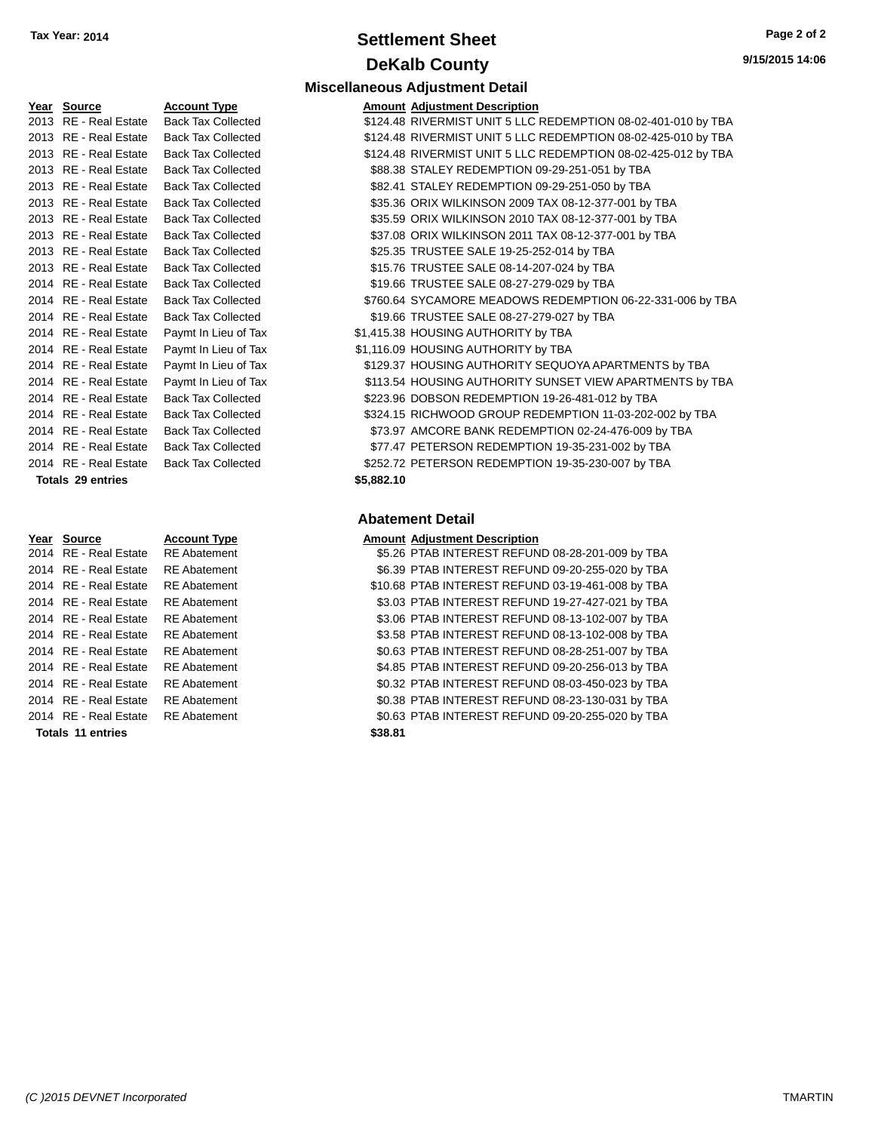### **Settlement Sheet Tax Year: 2014 Page 2 of 2 DeKalb County**

| <b>Miscellaneous Adjustment Detail</b> |  |
|----------------------------------------|--|
|                                        |  |

| Year | <b>Source</b>            | <b>Account Type</b>      |
|------|--------------------------|--------------------------|
| 2013 | <b>RE</b> - Real Estate  | <b>Back Tax Collecte</b> |
| 2013 | <b>RE</b> - Real Estate  | <b>Back Tax Collecte</b> |
| 2013 | <b>RE</b> - Real Estate  | <b>Back Tax Collecte</b> |
| 2013 | <b>RE</b> - Real Estate  | <b>Back Tax Collecte</b> |
| 2013 | <b>RE</b> - Real Estate  | <b>Back Tax Collecte</b> |
| 2013 | <b>RE</b> - Real Estate  | <b>Back Tax Collecte</b> |
| 2013 | <b>RE</b> - Real Estate  | <b>Back Tax Collecte</b> |
| 2013 | <b>RE</b> - Real Estate  | <b>Back Tax Collecte</b> |
| 2013 | RE - Real Estate         | <b>Back Tax Collecte</b> |
| 2013 | <b>RE</b> - Real Estate  | <b>Back Tax Collecte</b> |
| 2014 | <b>RE</b> - Real Estate  | <b>Back Tax Collecte</b> |
| 2014 | <b>RE</b> - Real Estate  | <b>Back Tax Collecte</b> |
| 2014 | <b>RE</b> - Real Estate  | <b>Back Tax Collecte</b> |
| 2014 | <b>RE</b> - Real Estate  | Paymt In Lieu of 7       |
| 2014 | <b>RE</b> - Real Estate  | Paymt In Lieu of 7       |
| 2014 | <b>RE</b> - Real Estate  | Paymt In Lieu of 1       |
| 2014 | <b>RE</b> - Real Estate  | Paymt In Lieu of 7       |
| 2014 | <b>RE</b> - Real Estate  | <b>Back Tax Collecte</b> |
| 2014 | <b>RE</b> - Real Estate  | <b>Back Tax Collecte</b> |
| 2014 | <b>RE</b> - Real Estate  | <b>Back Tax Collecte</b> |
| 2014 | <b>RE</b> - Real Estate  | <b>Back Tax Collecte</b> |
| 2014 | <b>RE</b> - Real Estate  | <b>Back Tax Collecte</b> |
|      | <b>Totals 29 entries</b> |                          |

| Year | Source |  |
|------|--------|--|

#### $\overline{2014}$  RE - Real Estate RE Abatement 2014 RE - Real Estate RE Abatement 2014 RE - Real Estate RE Abatement 2014 RE - Real Estate RE Abatement 2014 RE - Real Estate RE Abatement 2014 RE - Real Estate RE Abatement 2014 RE - Real Estate RE Abatement 2014 RE - Real Estate RE Abatement 2014 RE - Real Estate RE Abatement 2014 RE - Real Estate RE Abatement

2014 RE - Real Estate RE Abatement **Totals 11 entries** 

| Year Source              | <b>Account Type</b>       |            | <b>Amount Adjustment Description</b>                          |
|--------------------------|---------------------------|------------|---------------------------------------------------------------|
| 2013 RE - Real Estate    | <b>Back Tax Collected</b> |            | \$124.48 RIVERMIST UNIT 5 LLC REDEMPTION 08-02-401-010 by TBA |
| 2013 RE - Real Estate    | <b>Back Tax Collected</b> |            | \$124.48 RIVERMIST UNIT 5 LLC REDEMPTION 08-02-425-010 by TBA |
| 2013 RE - Real Estate    | <b>Back Tax Collected</b> |            | \$124.48 RIVERMIST UNIT 5 LLC REDEMPTION 08-02-425-012 by TBA |
| 2013 RE - Real Estate    | <b>Back Tax Collected</b> |            | \$88.38 STALEY REDEMPTION 09-29-251-051 by TBA                |
| 2013 RE - Real Estate    | <b>Back Tax Collected</b> |            | \$82.41 STALEY REDEMPTION 09-29-251-050 by TBA                |
| 2013 RE - Real Estate    | <b>Back Tax Collected</b> |            | \$35.36 ORIX WILKINSON 2009 TAX 08-12-377-001 by TBA          |
| 2013 RE - Real Estate    | <b>Back Tax Collected</b> |            | \$35.59 ORIX WILKINSON 2010 TAX 08-12-377-001 by TBA          |
| 2013 RE - Real Estate    | <b>Back Tax Collected</b> |            | \$37.08 ORIX WILKINSON 2011 TAX 08-12-377-001 by TBA          |
| 2013 RE - Real Estate    | <b>Back Tax Collected</b> |            | \$25.35 TRUSTEE SALE 19-25-252-014 by TBA                     |
| 2013 RE - Real Estate    | <b>Back Tax Collected</b> |            | \$15.76 TRUSTEE SALE 08-14-207-024 by TBA                     |
| 2014 RE - Real Estate    | <b>Back Tax Collected</b> |            | \$19.66 TRUSTEE SALE 08-27-279-029 by TBA                     |
| 2014 RE - Real Estate    | <b>Back Tax Collected</b> |            | \$760.64 SYCAMORE MEADOWS REDEMPTION 06-22-331-006 by TBA     |
| 2014 RE - Real Estate    | <b>Back Tax Collected</b> |            | \$19.66 TRUSTEE SALE 08-27-279-027 by TBA                     |
| 2014 RE - Real Estate    | Paymt In Lieu of Tax      |            | \$1,415.38 HOUSING AUTHORITY by TBA                           |
| 2014 RE - Real Estate    | Paymt In Lieu of Tax      |            | \$1,116.09 HOUSING AUTHORITY by TBA                           |
| 2014 RE - Real Estate    | Paymt In Lieu of Tax      |            | \$129.37 HOUSING AUTHORITY SEQUOYA APARTMENTS by TBA          |
| 2014 RE - Real Estate    | Paymt In Lieu of Tax      |            | \$113.54 HOUSING AUTHORITY SUNSET VIEW APARTMENTS by TBA      |
| 2014 RE - Real Estate    | <b>Back Tax Collected</b> |            | \$223.96 DOBSON REDEMPTION 19-26-481-012 by TBA               |
| 2014 RE - Real Estate    | <b>Back Tax Collected</b> |            | \$324.15 RICHWOOD GROUP REDEMPTION 11-03-202-002 by TBA       |
| 2014 RE - Real Estate    | <b>Back Tax Collected</b> |            | \$73.97 AMCORE BANK REDEMPTION 02-24-476-009 by TBA           |
| 2014 RE - Real Estate    | <b>Back Tax Collected</b> |            | \$77.47 PETERSON REDEMPTION 19-35-231-002 by TBA              |
| 2014 RE - Real Estate    | <b>Back Tax Collected</b> |            | \$252.72 PETERSON REDEMPTION 19-35-230-007 by TBA             |
| <b>Totals 29 entries</b> |                           | \$5,882.10 |                                                               |

#### **Abatement Detail**

#### **<u>Source</u> <b>Account Type Amount Adjustment Description**

|         | \$5.26 PTAB INTEREST REFUND 08-28-201-009 by TBA  |  |  |
|---------|---------------------------------------------------|--|--|
|         | \$6.39 PTAB INTEREST REFUND 09-20-255-020 by TBA  |  |  |
|         | \$10.68 PTAB INTEREST REFUND 03-19-461-008 by TBA |  |  |
|         | \$3.03 PTAB INTEREST REFUND 19-27-427-021 by TBA  |  |  |
|         | \$3.06 PTAB INTEREST REFUND 08-13-102-007 by TBA  |  |  |
|         | \$3.58 PTAB INTEREST REFUND 08-13-102-008 by TBA  |  |  |
|         | \$0.63 PTAB INTEREST REFUND 08-28-251-007 by TBA  |  |  |
|         | \$4.85 PTAB INTEREST REFUND 09-20-256-013 by TBA  |  |  |
|         | \$0.32 PTAB INTEREST REFUND 08-03-450-023 by TBA  |  |  |
|         | \$0.38 PTAB INTEREST REFUND 08-23-130-031 by TBA  |  |  |
|         | \$0.63 PTAB INTEREST REFUND 09-20-255-020 by TBA  |  |  |
| \$38.81 |                                                   |  |  |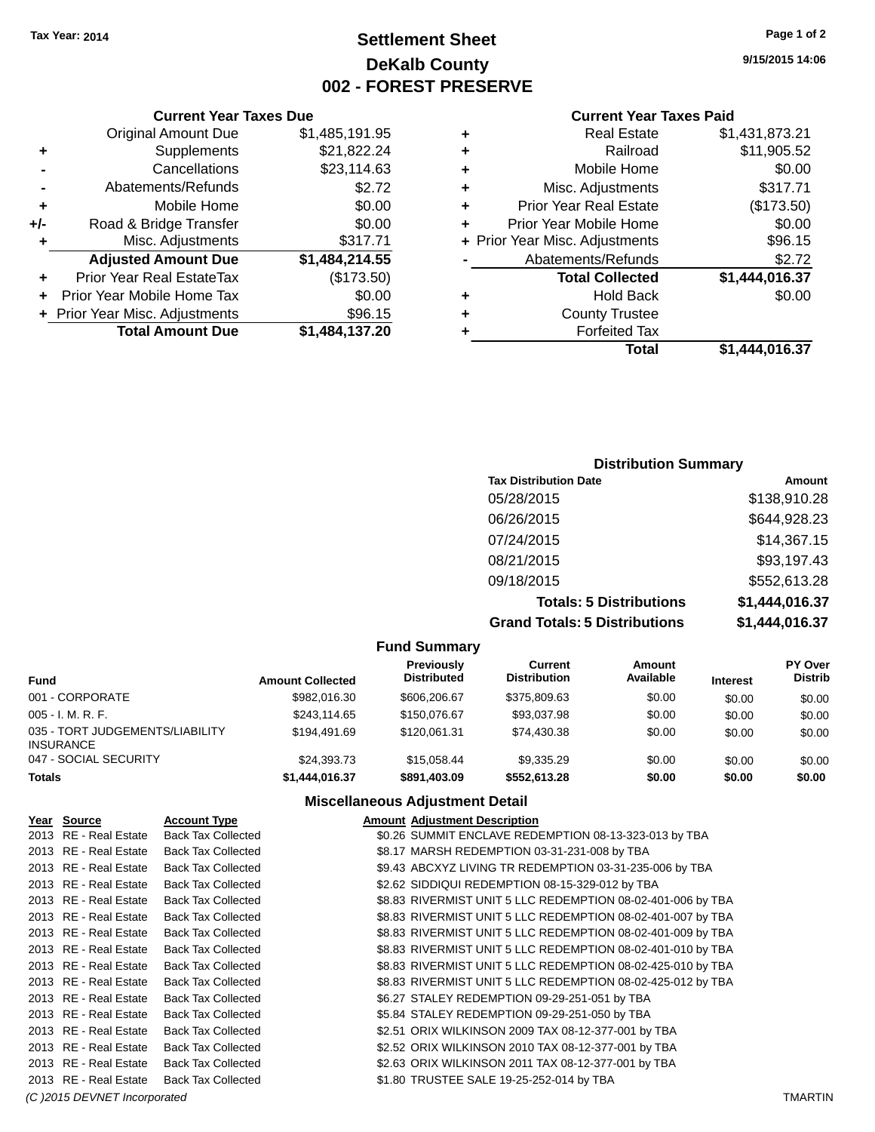### **Settlement Sheet Tax Year: 2014 Page 1 of 2 DeKalb County 002 - FOREST PRESERVE**

**9/15/2015 14:06**

#### **Current Year Taxes Paid**

|   | Total                          | \$1.444.016.37 |
|---|--------------------------------|----------------|
|   | <b>Forfeited Tax</b>           |                |
| ٠ | <b>County Trustee</b>          |                |
| ٠ | <b>Hold Back</b>               | \$0.00         |
|   | <b>Total Collected</b>         | \$1,444,016.37 |
|   | Abatements/Refunds             | \$2.72         |
|   | + Prior Year Misc. Adjustments | \$96.15        |
| ÷ | Prior Year Mobile Home         | \$0.00         |
| ٠ | <b>Prior Year Real Estate</b>  | (\$173.50)     |
| ٠ | Misc. Adjustments              | \$317.71       |
| ٠ | Mobile Home                    | \$0.00         |
| ٠ | Railroad                       | \$11,905.52    |
| ٠ | <b>Real Estate</b>             | \$1,431,873.21 |

|     | <b>Current Year Taxes Due</b>    |                |  |  |
|-----|----------------------------------|----------------|--|--|
|     | <b>Original Amount Due</b>       | \$1,485,191.95 |  |  |
| ٠   | Supplements                      | \$21,822.24    |  |  |
|     | Cancellations                    | \$23,114.63    |  |  |
|     | Abatements/Refunds               | \$2.72         |  |  |
| ٠   | Mobile Home                      | \$0.00         |  |  |
| +/- | Road & Bridge Transfer           | \$0.00         |  |  |
| ٠   | Misc. Adjustments                | \$317.71       |  |  |
|     | <b>Adjusted Amount Due</b>       | \$1,484,214.55 |  |  |
|     | <b>Prior Year Real EstateTax</b> | (\$173.50)     |  |  |
|     | Prior Year Mobile Home Tax       | \$0.00         |  |  |
|     | + Prior Year Misc. Adjustments   | \$96.15        |  |  |
|     | <b>Total Amount Due</b>          | \$1,484,137.20 |  |  |

| <b>Distribution Summary</b>    |                |  |
|--------------------------------|----------------|--|
| <b>Tax Distribution Date</b>   | Amount         |  |
| 05/28/2015                     | \$138,910.28   |  |
| 06/26/2015                     | \$644,928.23   |  |
| 07/24/2015                     | \$14,367.15    |  |
| 08/21/2015                     | \$93,197.43    |  |
| 09/18/2015                     | \$552,613.28   |  |
| <b>Totals: 5 Distributions</b> | \$1,444,016.37 |  |

**Grand Totals: 5 Distributions \$1,444,016.37**

|                                                     |                         | <b>Fund Summary</b>              |                                |                            |                 |                                  |
|-----------------------------------------------------|-------------------------|----------------------------------|--------------------------------|----------------------------|-----------------|----------------------------------|
| <b>Fund</b>                                         | <b>Amount Collected</b> | Previously<br><b>Distributed</b> | Current<br><b>Distribution</b> | <b>Amount</b><br>Available | <b>Interest</b> | <b>PY Over</b><br><b>Distrib</b> |
| 001 - CORPORATE                                     | \$982,016.30            | \$606,206.67                     | \$375.809.63                   | \$0.00                     | \$0.00          | \$0.00                           |
| $005 - I. M. R. F.$                                 | \$243.114.65            | \$150,076.67                     | \$93,037.98                    | \$0.00                     | \$0.00          | \$0.00                           |
| 035 - TORT JUDGEMENTS/LIABILITY<br><b>INSURANCE</b> | \$194.491.69            | \$120.061.31                     | \$74.430.38                    | \$0.00                     | \$0.00          | \$0.00                           |
| 047 - SOCIAL SECURITY                               | \$24,393.73             | \$15.058.44                      | \$9.335.29                     | \$0.00                     | \$0.00          | \$0.00                           |
| <b>Totals</b>                                       | \$1,444,016.37          | \$891,403.09                     | \$552,613.28                   | \$0.00                     | \$0.00          | \$0.00                           |

#### **Miscellaneous Adjustment Detail**

| Year Source           | <b>Account Type</b>       | <b>Amount Adjustment Description</b>                        |  |
|-----------------------|---------------------------|-------------------------------------------------------------|--|
| 2013 RE - Real Estate | <b>Back Tax Collected</b> | \$0.26 SUMMIT ENCLAVE REDEMPTION 08-13-323-013 by TBA       |  |
| 2013 RE - Real Estate | <b>Back Tax Collected</b> | \$8.17 MARSH REDEMPTION 03-31-231-008 by TBA                |  |
| 2013 RE - Real Estate | <b>Back Tax Collected</b> | \$9.43 ABCXYZ LIVING TR REDEMPTION 03-31-235-006 by TBA     |  |
| 2013 RE - Real Estate | <b>Back Tax Collected</b> | \$2.62 SIDDIQUI REDEMPTION 08-15-329-012 by TBA             |  |
| 2013 RE - Real Estate | <b>Back Tax Collected</b> | \$8.83 RIVERMIST UNIT 5 LLC REDEMPTION 08-02-401-006 by TBA |  |
| 2013 RE - Real Estate | <b>Back Tax Collected</b> | \$8.83 RIVERMIST UNIT 5 LLC REDEMPTION 08-02-401-007 by TBA |  |
| 2013 RE - Real Estate | <b>Back Tax Collected</b> | \$8.83 RIVERMIST UNIT 5 LLC REDEMPTION 08-02-401-009 by TBA |  |
| 2013 RE - Real Estate | <b>Back Tax Collected</b> | \$8.83 RIVERMIST UNIT 5 LLC REDEMPTION 08-02-401-010 by TBA |  |
| 2013 RE - Real Estate | <b>Back Tax Collected</b> | \$8.83 RIVERMIST UNIT 5 LLC REDEMPTION 08-02-425-010 by TBA |  |
| 2013 RE - Real Estate | <b>Back Tax Collected</b> | \$8.83 RIVERMIST UNIT 5 LLC REDEMPTION 08-02-425-012 by TBA |  |
| 2013 RE - Real Estate | <b>Back Tax Collected</b> | \$6.27 STALEY REDEMPTION 09-29-251-051 by TBA               |  |
| 2013 RE - Real Estate | <b>Back Tax Collected</b> | \$5.84 STALEY REDEMPTION 09-29-251-050 by TBA               |  |
| 2013 RE - Real Estate | <b>Back Tax Collected</b> | \$2.51 ORIX WILKINSON 2009 TAX 08-12-377-001 by TBA         |  |
| 2013 RE - Real Estate | <b>Back Tax Collected</b> | \$2.52 ORIX WILKINSON 2010 TAX 08-12-377-001 by TBA         |  |
| 2013 RE - Real Estate | <b>Back Tax Collected</b> | \$2.63 ORIX WILKINSON 2011 TAX 08-12-377-001 by TBA         |  |
| 2013 RE - Real Estate | <b>Back Tax Collected</b> | \$1.80 TRUSTEE SALE 19-25-252-014 by TBA                    |  |
|                       |                           |                                                             |  |

*(C )2015 DEVNET Incorporated* TMARTIN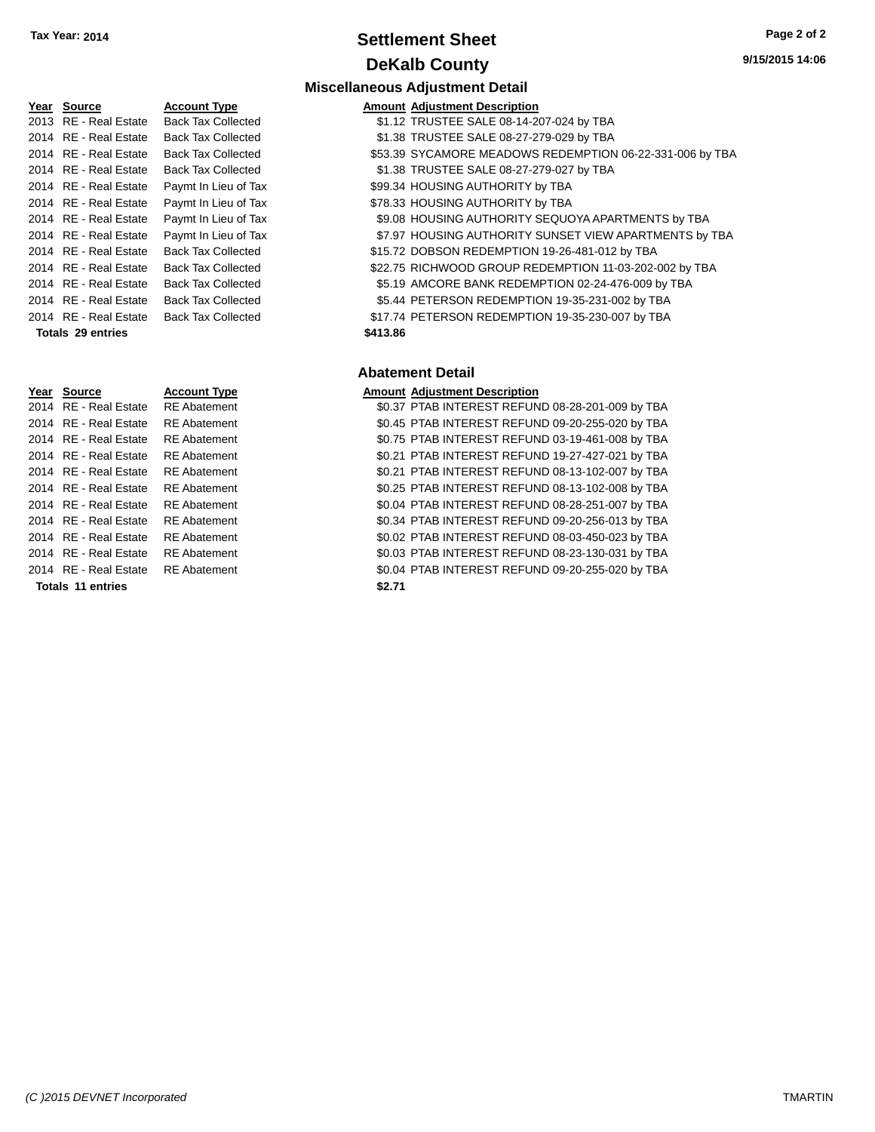### **Settlement Sheet Tax Year: 2014 Page 2 of 2 DeKalb County**

| Year | <b>Source</b>           | <b>Account Type</b>   |
|------|-------------------------|-----------------------|
| 2013 | <b>RE</b> - Real Estate | <b>Back Tax Colle</b> |
| 2014 | <b>RE</b> - Real Estate | <b>Back Tax Colle</b> |
| 2014 | <b>RE</b> - Real Estate | <b>Back Tax Colle</b> |
| 2014 | <b>RE</b> - Real Estate | <b>Back Tax Colle</b> |
| 2014 | <b>RE</b> - Real Estate | Paymt In Lieu o       |
| 2014 | <b>RE</b> - Real Estate | Paymt In Lieu         |
| 2014 | RE - Real Estate        | Paymt In Lieu         |
| 2014 | <b>RE</b> - Real Estate | Paymt In Lieu         |
| 2014 | <b>RE</b> - Real Estate | <b>Back Tax Colle</b> |
| 2014 | RE - Real Estate        | <b>Back Tax Colle</b> |
| 2014 | <b>RE</b> - Real Estate | <b>Back Tax Colle</b> |
| 2014 | <b>RE</b> - Real Estate | <b>Back Tax Colle</b> |
| 2014 | <b>RE</b> - Real Estate | <b>Back Tax Colle</b> |
|      | Totals 29 entries       |                       |

|                       |                           |          | <b>Miscellaneous Adjustment Detail</b>                   |
|-----------------------|---------------------------|----------|----------------------------------------------------------|
| Year Source           | <b>Account Type</b>       |          | <b>Amount Adiustment Description</b>                     |
| 2013 RE - Real Estate | <b>Back Tax Collected</b> |          | \$1.12 TRUSTEE SALE 08-14-207-024 by TBA                 |
| 2014 RE - Real Estate | <b>Back Tax Collected</b> |          | \$1.38 TRUSTEE SALE 08-27-279-029 by TBA                 |
| 2014 RE - Real Estate | <b>Back Tax Collected</b> |          | \$53.39 SYCAMORE MEADOWS REDEMPTION 06-22-331-006 by TBA |
| 2014 RE - Real Estate | <b>Back Tax Collected</b> |          | \$1.38 TRUSTEE SALE 08-27-279-027 by TBA                 |
| 2014 RE - Real Estate | Paymt In Lieu of Tax      |          | \$99.34 HOUSING AUTHORITY by TBA                         |
| 2014 RE - Real Estate | Paymt In Lieu of Tax      |          | \$78.33 HOUSING AUTHORITY by TBA                         |
| 2014 RE - Real Estate | Paymt In Lieu of Tax      |          | \$9.08 HOUSING AUTHORITY SEQUOYA APARTMENTS by TBA       |
| 2014 RE - Real Estate | Paymt In Lieu of Tax      |          | \$7.97 HOUSING AUTHORITY SUNSET VIEW APARTMENTS by TBA   |
| 2014 RE - Real Estate | <b>Back Tax Collected</b> |          | \$15.72 DOBSON REDEMPTION 19-26-481-012 by TBA           |
| 2014 RE - Real Estate | <b>Back Tax Collected</b> |          | \$22.75 RICHWOOD GROUP REDEMPTION 11-03-202-002 by TBA   |
| 2014 RE - Real Estate | <b>Back Tax Collected</b> |          | \$5.19 AMCORE BANK REDEMPTION 02-24-476-009 by TBA       |
| 2014 RE - Real Estate | <b>Back Tax Collected</b> |          | \$5.44 PETERSON REDEMPTION 19-35-231-002 by TBA          |
| 2014 RE - Real Estate | <b>Back Tax Collected</b> |          | \$17.74 PETERSON REDEMPTION 19-35-230-007 by TBA         |
| Totals 29 entries     |                           | \$413.86 |                                                          |
|                       |                           |          |                                                          |

#### **Abatement Detail**

#### **Year Source Account Type Amount Adjustment Description**

2014 RE - Real Estate RE Abatement \$0.37 PTAB INTEREST REFUND 08-28-201-009 by TBA 2014 RE - Real Estate RE Abatement \$0.45 PTAB INTEREST REFUND 09-20-255-020 by TBA 2014 RE - Real Estate RE Abatement \$0.75 PTAB INTEREST REFUND 03-19-461-008 by TBA 2014 RE - Real Estate RE Abatement \$0.21 PTAB INTEREST REFUND 19-27-427-021 by TBA 2014 RE - Real Estate RE Abatement \$0.21 PTAB INTEREST REFUND 08-13-102-007 by TBA 2014 RE - Real Estate RE Abatement \$0.25 PTAB INTEREST REFUND 08-13-102-008 by TBA 2014 RE - Real Estate RE Abatement \$0.04 PTAB INTEREST REFUND 08-28-251-007 by TBA 2014 RE - Real Estate RE Abatement \$0.34 PTAB INTEREST REFUND 09-20-256-013 by TBA 2014 RE - Real Estate RE Abatement \$0.02 PTAB INTEREST REFUND 08-03-450-023 by TBA 2014 RE - Real Estate RE Abatement \$0.03 PTAB INTEREST REFUND 08-23-130-031 by TBA 2014 RE - Real Estate RE Abatement \$0.04 PTAB INTEREST REFUND 09-20-255-020 by TBA **Totals 11 entries \$2.71**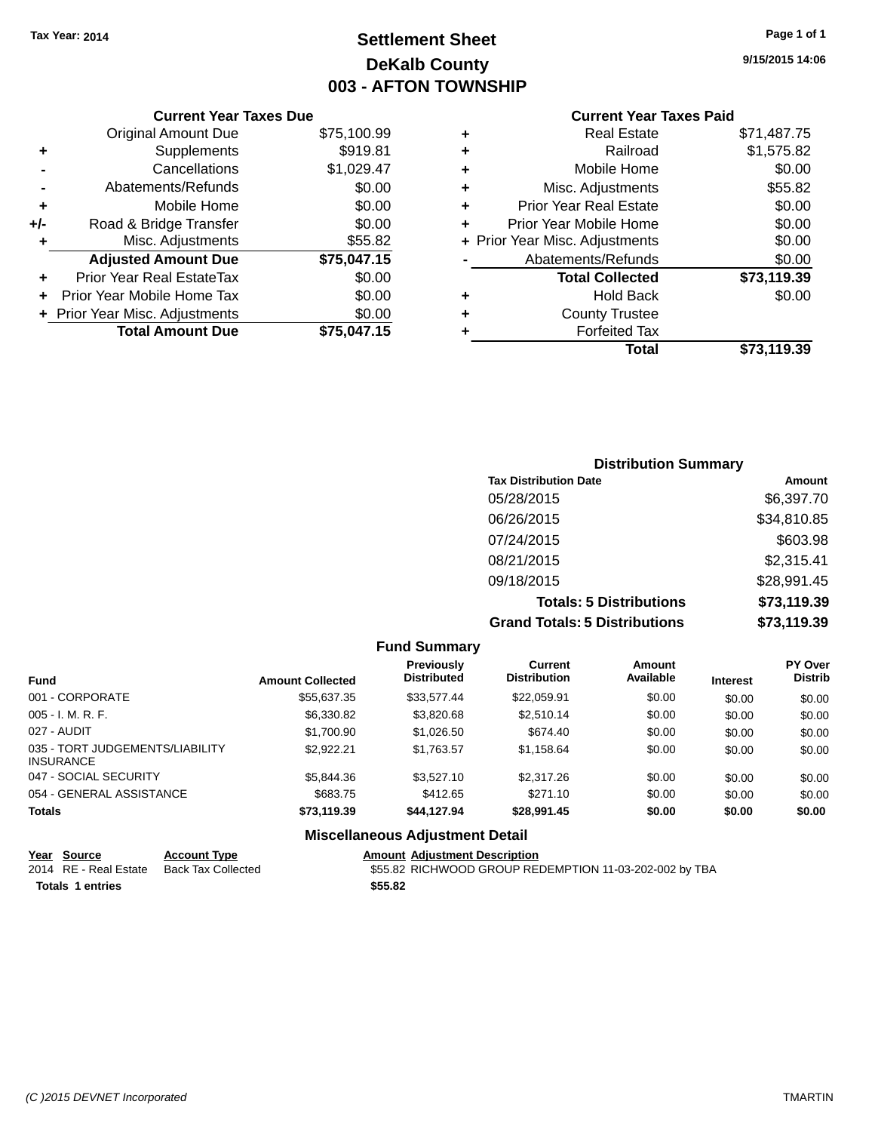### **Settlement Sheet Tax Year: 2014 Page 1 of 1 DeKalb County 003 - AFTON TOWNSHIP**

**9/15/2015 14:06**

|     | <b>Current Year Taxes Due</b>    |             |  |  |
|-----|----------------------------------|-------------|--|--|
|     | <b>Original Amount Due</b>       | \$75,100.99 |  |  |
| ٠   | Supplements                      | \$919.81    |  |  |
|     | Cancellations                    | \$1,029.47  |  |  |
|     | \$0.00<br>Abatements/Refunds     |             |  |  |
| ٠   | Mobile Home                      | \$0.00      |  |  |
| +/- | Road & Bridge Transfer           | \$0.00      |  |  |
| ٠   | Misc. Adjustments                | \$55.82     |  |  |
|     | <b>Adjusted Amount Due</b>       | \$75,047.15 |  |  |
| ٠   | <b>Prior Year Real EstateTax</b> | \$0.00      |  |  |
| ÷   | Prior Year Mobile Home Tax       | \$0.00      |  |  |
|     | + Prior Year Misc. Adjustments   | \$0.00      |  |  |
|     | <b>Total Amount Due</b>          | \$75,047.15 |  |  |

| ٠ | <b>Real Estate</b>             | \$71,487.75 |
|---|--------------------------------|-------------|
| ٠ | Railroad                       | \$1,575.82  |
| ٠ | Mobile Home                    | \$0.00      |
| ٠ | Misc. Adjustments              | \$55.82     |
| ٠ | <b>Prior Year Real Estate</b>  | \$0.00      |
| ٠ | Prior Year Mobile Home         | \$0.00      |
|   | + Prior Year Misc. Adjustments | \$0.00      |
|   | Abatements/Refunds             | \$0.00      |
|   | <b>Total Collected</b>         | \$73,119.39 |
| ٠ | <b>Hold Back</b>               | \$0.00      |
| ٠ | <b>County Trustee</b>          |             |
| ٠ | <b>Forfeited Tax</b>           |             |
|   | <b>Total</b>                   | \$73,119.39 |
|   |                                |             |

| <b>Distribution Summary</b>          |             |
|--------------------------------------|-------------|
| <b>Tax Distribution Date</b>         | Amount      |
| 05/28/2015                           | \$6,397.70  |
| 06/26/2015                           | \$34,810.85 |
| 07/24/2015                           | \$603.98    |
| 08/21/2015                           | \$2,315.41  |
| 09/18/2015                           | \$28,991.45 |
| <b>Totals: 5 Distributions</b>       | \$73,119.39 |
| <b>Grand Totals: 5 Distributions</b> | \$73,119.39 |

|                                                     |                         | <b>Fund Summary</b>                     |                                       |                     |                 |                           |
|-----------------------------------------------------|-------------------------|-----------------------------------------|---------------------------------------|---------------------|-----------------|---------------------------|
| <b>Fund</b>                                         | <b>Amount Collected</b> | <b>Previously</b><br><b>Distributed</b> | <b>Current</b><br><b>Distribution</b> | Amount<br>Available | <b>Interest</b> | PY Over<br><b>Distrib</b> |
| 001 - CORPORATE                                     | \$55,637.35             | \$33.577.44                             | \$22,059.91                           | \$0.00              | \$0.00          | \$0.00                    |
| $005 - I. M. R. F.$                                 | \$6,330.82              | \$3.820.68                              | \$2.510.14                            | \$0.00              | \$0.00          | \$0.00                    |
| 027 - AUDIT                                         | \$1,700.90              | \$1,026.50                              | \$674.40                              | \$0.00              | \$0.00          | \$0.00                    |
| 035 - TORT JUDGEMENTS/LIABILITY<br><b>INSURANCE</b> | \$2.922.21              | \$1.763.57                              | \$1,158.64                            | \$0.00              | \$0.00          | \$0.00                    |
| 047 - SOCIAL SECURITY                               | \$5,844.36              | \$3.527.10                              | \$2,317.26                            | \$0.00              | \$0.00          | \$0.00                    |
| 054 - GENERAL ASSISTANCE                            | \$683.75                | \$412.65                                | \$271.10                              | \$0.00              | \$0.00          | \$0.00                    |
| <b>Totals</b>                                       | \$73,119.39             | \$44.127.94                             | \$28,991.45                           | \$0.00              | \$0.00          | \$0.00                    |
|                                                     |                         | <b>Miscellaneous Adjustment Detail</b>  |                                       |                     |                 |                           |

| Year Source             | <b>Account Type</b>       | <b>Amount Adjustment Description</b>                   |
|-------------------------|---------------------------|--------------------------------------------------------|
| 2014 RE - Real Estate   | <b>Back Tax Collected</b> | \$55.82 RICHWOOD GROUP REDEMPTION 11-03-202-002 by TBA |
| <b>Totals 1 entries</b> |                           | \$55.82                                                |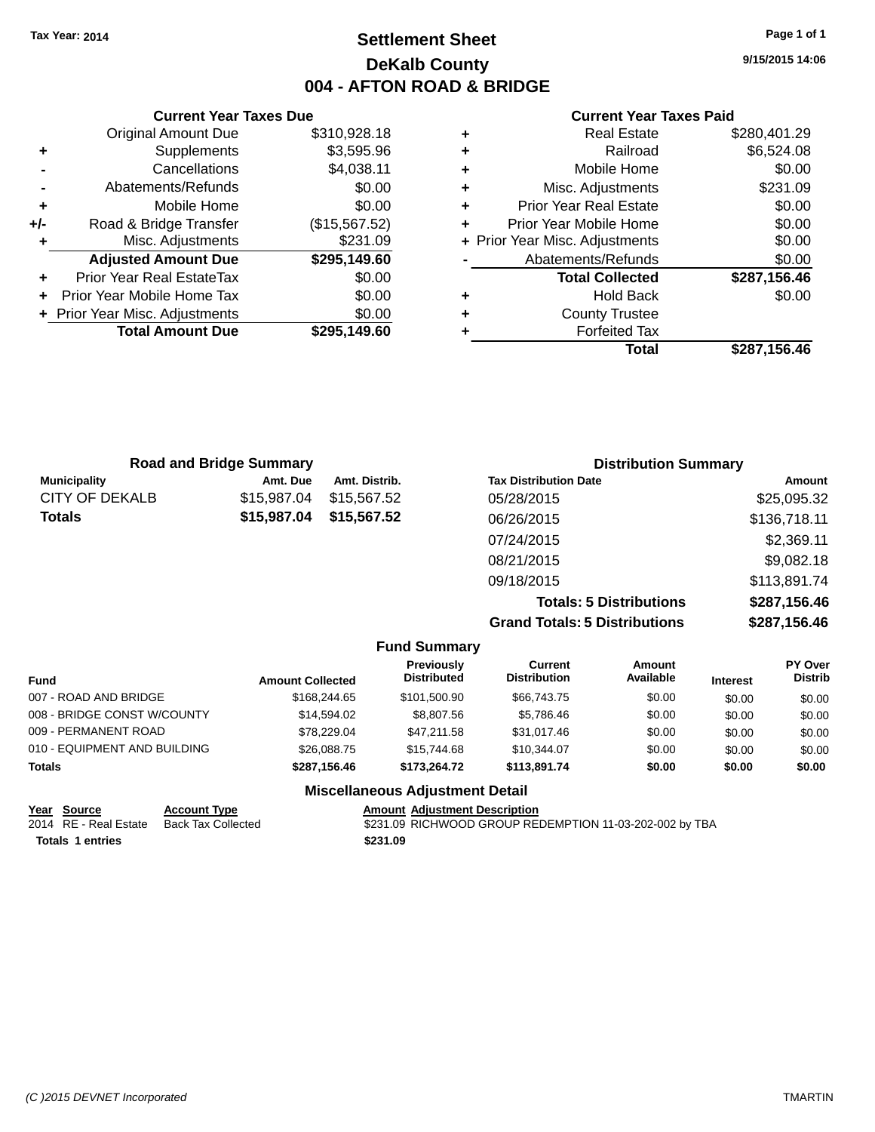### **Settlement Sheet Tax Year: 2014 Page 1 of 1 DeKalb County 004 - AFTON ROAD & BRIDGE**

**9/15/2015 14:06**

#### **Current Year Taxes Paid**

|     | <b>Original Amount Due</b>     | \$310,928.18  |
|-----|--------------------------------|---------------|
| ÷   | Supplements                    | \$3,595.96    |
|     | Cancellations                  | \$4,038.11    |
|     | Abatements/Refunds             | \$0.00        |
| ÷   | Mobile Home                    | \$0.00        |
| +/- | Road & Bridge Transfer         | (\$15,567.52) |
|     | Misc. Adjustments              | \$231.09      |
|     | <b>Adjusted Amount Due</b>     | \$295,149.60  |
| ÷   | Prior Year Real EstateTax      | \$0.00        |
| ÷   | Prior Year Mobile Home Tax     | \$0.00        |
|     | + Prior Year Misc. Adjustments | \$0.00        |
|     | <b>Total Amount Due</b>        | \$295,149.60  |
|     |                                |               |

**Current Year Taxes Due**

| ٠ | <b>Real Estate</b>             | \$280,401.29 |
|---|--------------------------------|--------------|
| ٠ | Railroad                       | \$6,524.08   |
| ٠ | Mobile Home                    | \$0.00       |
| ٠ | Misc. Adjustments              | \$231.09     |
| ٠ | <b>Prior Year Real Estate</b>  | \$0.00       |
| ٠ | Prior Year Mobile Home         | \$0.00       |
|   | + Prior Year Misc. Adjustments | \$0.00       |
|   | Abatements/Refunds             | \$0.00       |
|   | <b>Total Collected</b>         | \$287,156.46 |
| ٠ | Hold Back                      | \$0.00       |
| ٠ | <b>County Trustee</b>          |              |
| ٠ | <b>Forfeited Tax</b>           |              |
|   | Total                          | \$287,156.46 |
|   |                                |              |

| <b>Road and Bridge Summary</b> |             |               | <b>Distribution Summary</b>          |              |  |
|--------------------------------|-------------|---------------|--------------------------------------|--------------|--|
| <b>Municipality</b>            | Amt. Due    | Amt. Distrib. | <b>Tax Distribution Date</b>         | Amount       |  |
| CITY OF DEKALB                 | \$15,987.04 | \$15,567.52   | 05/28/2015                           | \$25,095.32  |  |
| Totals                         | \$15,987.04 | \$15,567.52   | 06/26/2015                           | \$136,718.11 |  |
|                                |             |               | 07/24/2015                           | \$2,369.11   |  |
|                                |             |               | 08/21/2015                           | \$9,082.18   |  |
|                                |             |               | 09/18/2015                           | \$113,891.74 |  |
|                                |             |               | <b>Totals: 5 Distributions</b>       | \$287,156.46 |  |
|                                |             |               | <b>Grand Totals: 5 Distributions</b> | \$287,156.46 |  |

**Fund Summary Fund Interest Amount Collected Distributed PY Over Distrib Amount Available Current Distribution Previously** 007 - ROAD AND BRIDGE  $$168,244.65$   $$101,500.90$   $$66,743.75$   $$0.00$   $$0.00$   $$0.00$ 008 - BRIDGE CONST W/COUNTY  $$14,594.02$   $$8,807.56$   $$5,786.46$   $$0.00$   $$0.00$   $$0.00$ 009 - PERMANENT ROAD \$78,229.04 \$47,211.58 \$31,017.46 \$0.00 \$0.00 \$0.00 \$0.00 010 - EQUIPMENT AND BUILDING \$26,088.75 \$15,744.68 \$10,344.07 \$0.00 \$0.00 \$0.00 \$0.00 **Totals \$287,156.46 \$173,264.72 \$113,891.74 \$0.00 \$0.00 \$0.00 Miscellaneous Adjustment Detail**

| Year Source             | <b>Account Type</b> | <b>Amount Adjustment Description</b>                    |
|-------------------------|---------------------|---------------------------------------------------------|
| 2014 RE - Real Estate   | Back Tax Collected  | \$231.09 RICHWOOD GROUP REDEMPTION 11-03-202-002 by TBA |
| <b>Totals 1 entries</b> |                     | \$231.09                                                |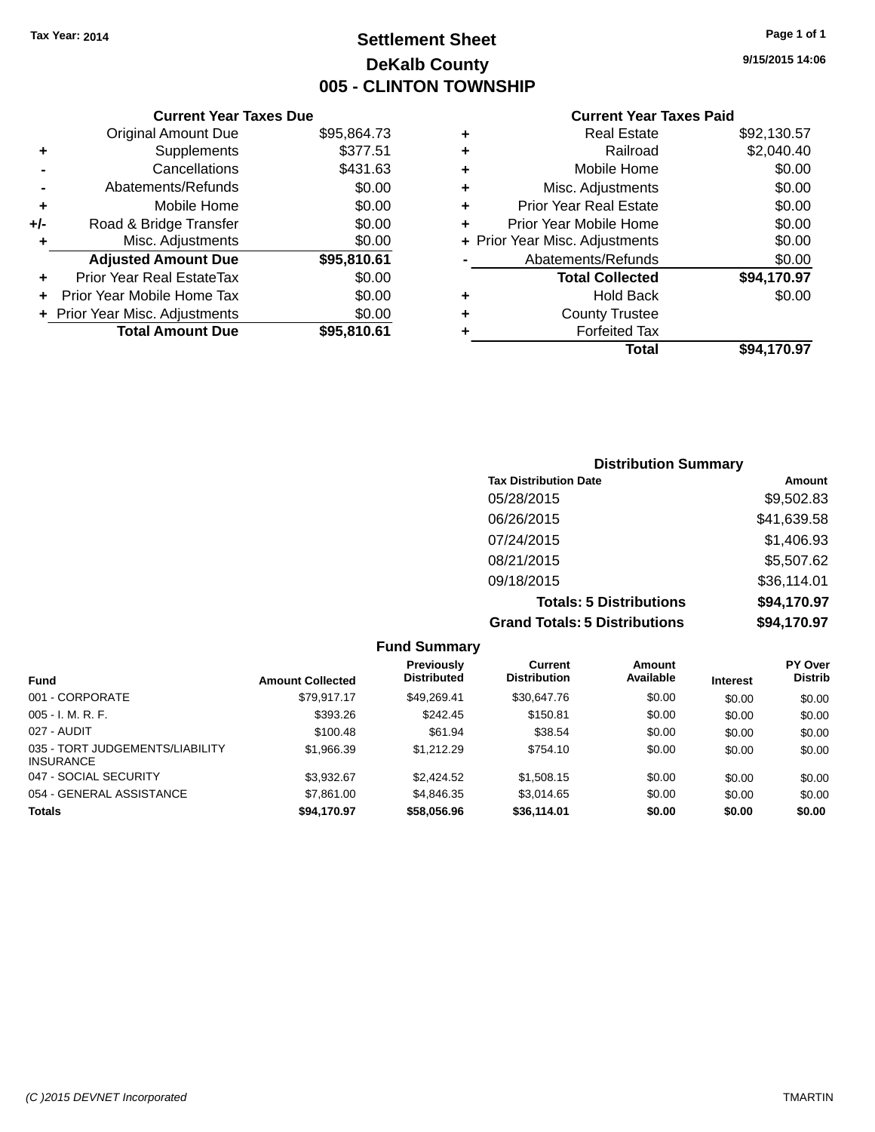### **Settlement Sheet Tax Year: 2014 Page 1 of 1 DeKalb County 005 - CLINTON TOWNSHIP**

**9/15/2015 14:06**

|     | <b>Current Year Taxes Due</b>             |             |  |  |  |
|-----|-------------------------------------------|-------------|--|--|--|
|     | <b>Original Amount Due</b><br>\$95,864.73 |             |  |  |  |
| ÷   | Supplements                               | \$377.51    |  |  |  |
|     | Cancellations                             | \$431.63    |  |  |  |
|     | Abatements/Refunds                        | \$0.00      |  |  |  |
| ٠   | Mobile Home                               | \$0.00      |  |  |  |
| +/- | Road & Bridge Transfer                    | \$0.00      |  |  |  |
| ٠   | Misc. Adjustments                         | \$0.00      |  |  |  |
|     | <b>Adjusted Amount Due</b>                | \$95,810.61 |  |  |  |
| ÷   | Prior Year Real EstateTax                 | \$0.00      |  |  |  |
| ÷   | Prior Year Mobile Home Tax                | \$0.00      |  |  |  |
|     | + Prior Year Misc. Adjustments            | \$0.00      |  |  |  |
|     | <b>Total Amount Due</b>                   | \$95,810.61 |  |  |  |
|     |                                           |             |  |  |  |

| \$2,040.40  |
|-------------|
|             |
| \$0.00      |
| \$0.00      |
| \$0.00      |
| \$0.00      |
| \$0.00      |
| \$0.00      |
| \$94,170.97 |
| \$0.00      |
|             |
|             |
| \$94,170.97 |
|             |

| <b>Distribution Summary</b>          |             |  |  |
|--------------------------------------|-------------|--|--|
| <b>Tax Distribution Date</b>         | Amount      |  |  |
| 05/28/2015                           | \$9,502.83  |  |  |
| 06/26/2015                           | \$41,639.58 |  |  |
| 07/24/2015                           | \$1,406.93  |  |  |
| 08/21/2015                           | \$5,507.62  |  |  |
| 09/18/2015                           | \$36,114.01 |  |  |
| <b>Totals: 5 Distributions</b>       | \$94,170.97 |  |  |
| <b>Grand Totals: 5 Distributions</b> | \$94,170.97 |  |  |

|                                                     |                         | <b>Fund Summary</b>              |                                       |                     |                 |                                  |
|-----------------------------------------------------|-------------------------|----------------------------------|---------------------------------------|---------------------|-----------------|----------------------------------|
| <b>Fund</b>                                         | <b>Amount Collected</b> | Previously<br><b>Distributed</b> | <b>Current</b><br><b>Distribution</b> | Amount<br>Available | <b>Interest</b> | <b>PY Over</b><br><b>Distrib</b> |
| 001 - CORPORATE                                     | \$79.917.17             | \$49.269.41                      | \$30,647.76                           | \$0.00              | \$0.00          | \$0.00                           |
| $005 - I. M. R. F.$                                 | \$393.26                | \$242.45                         | \$150.81                              | \$0.00              | \$0.00          | \$0.00                           |
| 027 - AUDIT                                         | \$100.48                | \$61.94                          | \$38.54                               | \$0.00              | \$0.00          | \$0.00                           |
| 035 - TORT JUDGEMENTS/LIABILITY<br><b>INSURANCE</b> | \$1,966.39              | \$1,212.29                       | \$754.10                              | \$0.00              | \$0.00          | \$0.00                           |
| 047 - SOCIAL SECURITY                               | \$3,932.67              | \$2,424.52                       | \$1,508.15                            | \$0.00              | \$0.00          | \$0.00                           |
| 054 - GENERAL ASSISTANCE                            | \$7,861,00              | \$4,846,35                       | \$3.014.65                            | \$0.00              | \$0.00          | \$0.00                           |
| <b>Totals</b>                                       | \$94,170.97             | \$58,056.96                      | \$36,114.01                           | \$0.00              | \$0.00          | \$0.00                           |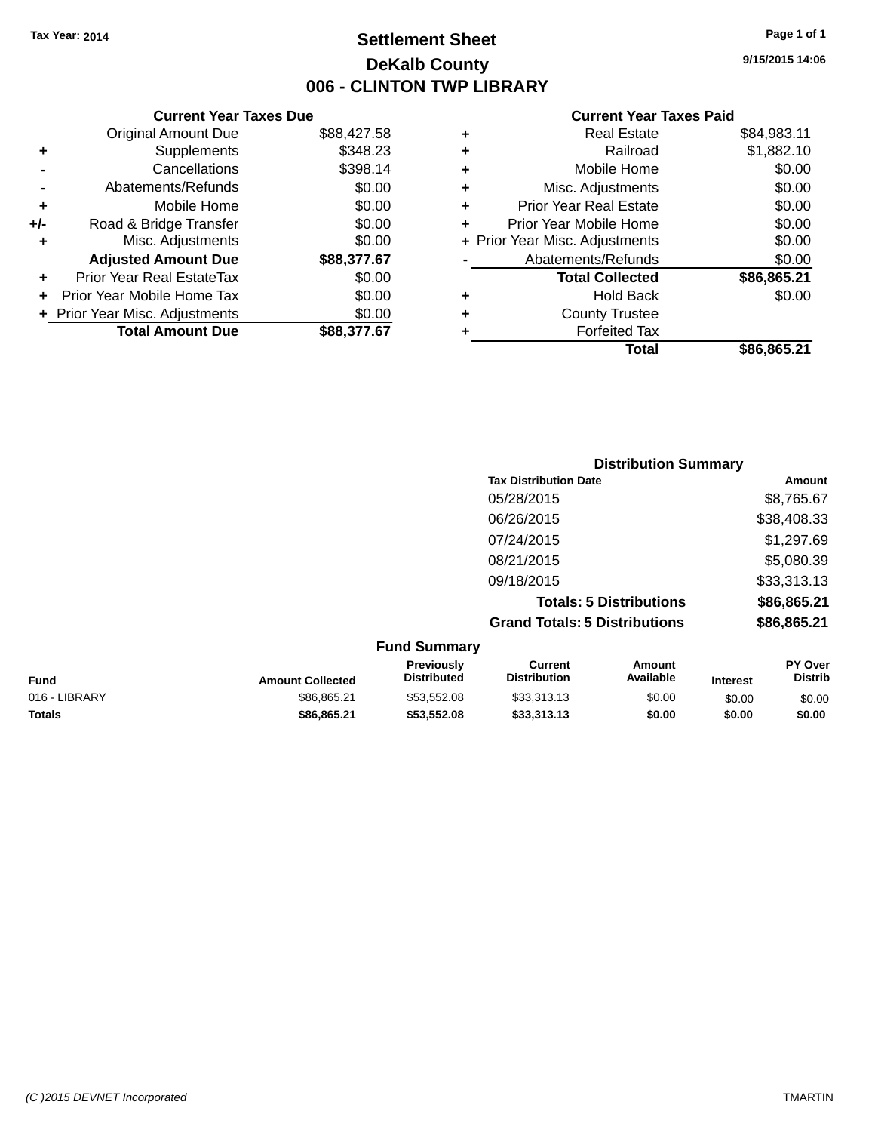### **Settlement Sheet Tax Year: 2014 Page 1 of 1 DeKalb County 006 - CLINTON TWP LIBRARY**

**9/15/2015 14:06**

| <b>Current Year Taxes Due</b>             |                                                                                                                                                                                       |  |  |
|-------------------------------------------|---------------------------------------------------------------------------------------------------------------------------------------------------------------------------------------|--|--|
| <b>Original Amount Due</b><br>\$88,427.58 |                                                                                                                                                                                       |  |  |
| Supplements                               | \$348.23                                                                                                                                                                              |  |  |
| Cancellations                             | \$398.14                                                                                                                                                                              |  |  |
|                                           | \$0.00                                                                                                                                                                                |  |  |
| Mobile Home                               | \$0.00                                                                                                                                                                                |  |  |
|                                           | \$0.00                                                                                                                                                                                |  |  |
|                                           | \$0.00                                                                                                                                                                                |  |  |
|                                           | \$88,377.67                                                                                                                                                                           |  |  |
|                                           | \$0.00                                                                                                                                                                                |  |  |
|                                           | \$0.00                                                                                                                                                                                |  |  |
| \$0.00<br>+ Prior Year Misc. Adjustments  |                                                                                                                                                                                       |  |  |
|                                           | \$88.377.67                                                                                                                                                                           |  |  |
|                                           | Abatements/Refunds<br>Road & Bridge Transfer<br>Misc. Adjustments<br><b>Adjusted Amount Due</b><br>Prior Year Real EstateTax<br>Prior Year Mobile Home Tax<br><b>Total Amount Due</b> |  |  |

| ٠ | <b>Real Estate</b>             | \$84,983.11 |
|---|--------------------------------|-------------|
| ٠ | Railroad                       | \$1,882.10  |
| ٠ | Mobile Home                    | \$0.00      |
| ٠ | Misc. Adjustments              | \$0.00      |
| ٠ | <b>Prior Year Real Estate</b>  | \$0.00      |
| ÷ | Prior Year Mobile Home         | \$0.00      |
|   | + Prior Year Misc. Adjustments | \$0.00      |
|   | Abatements/Refunds             | \$0.00      |
|   | <b>Total Collected</b>         | \$86,865.21 |
| ٠ | <b>Hold Back</b>               | \$0.00      |
| ÷ | <b>County Trustee</b>          |             |
| ٠ | <b>Forfeited Tax</b>           |             |
|   | Total                          | \$86,865.21 |
|   |                                |             |

| <b>Distribution Summary</b>          |             |
|--------------------------------------|-------------|
| <b>Tax Distribution Date</b>         | Amount      |
| 05/28/2015                           | \$8,765.67  |
| 06/26/2015                           | \$38,408.33 |
| 07/24/2015                           | \$1,297.69  |
| 08/21/2015                           | \$5,080.39  |
| 09/18/2015                           | \$33,313.13 |
| <b>Totals: 5 Distributions</b>       | \$86,865.21 |
| <b>Grand Totals: 5 Distributions</b> | \$86,865.21 |

| <b>Fund Summary</b> |                         |                                         |                                |                     |                 |                           |
|---------------------|-------------------------|-----------------------------------------|--------------------------------|---------------------|-----------------|---------------------------|
| <b>Fund</b>         | <b>Amount Collected</b> | <b>Previously</b><br><b>Distributed</b> | Current<br><b>Distribution</b> | Amount<br>Available | <b>Interest</b> | PY Over<br><b>Distrib</b> |
| 016 - LIBRARY       | \$86.865.21             | \$53.552.08                             | \$33,313.13                    | \$0.00              | \$0.00          | \$0.00                    |
| <b>Totals</b>       | \$86,865.21             | \$53,552.08                             | \$33,313,13                    | \$0.00              | \$0.00          | \$0.00                    |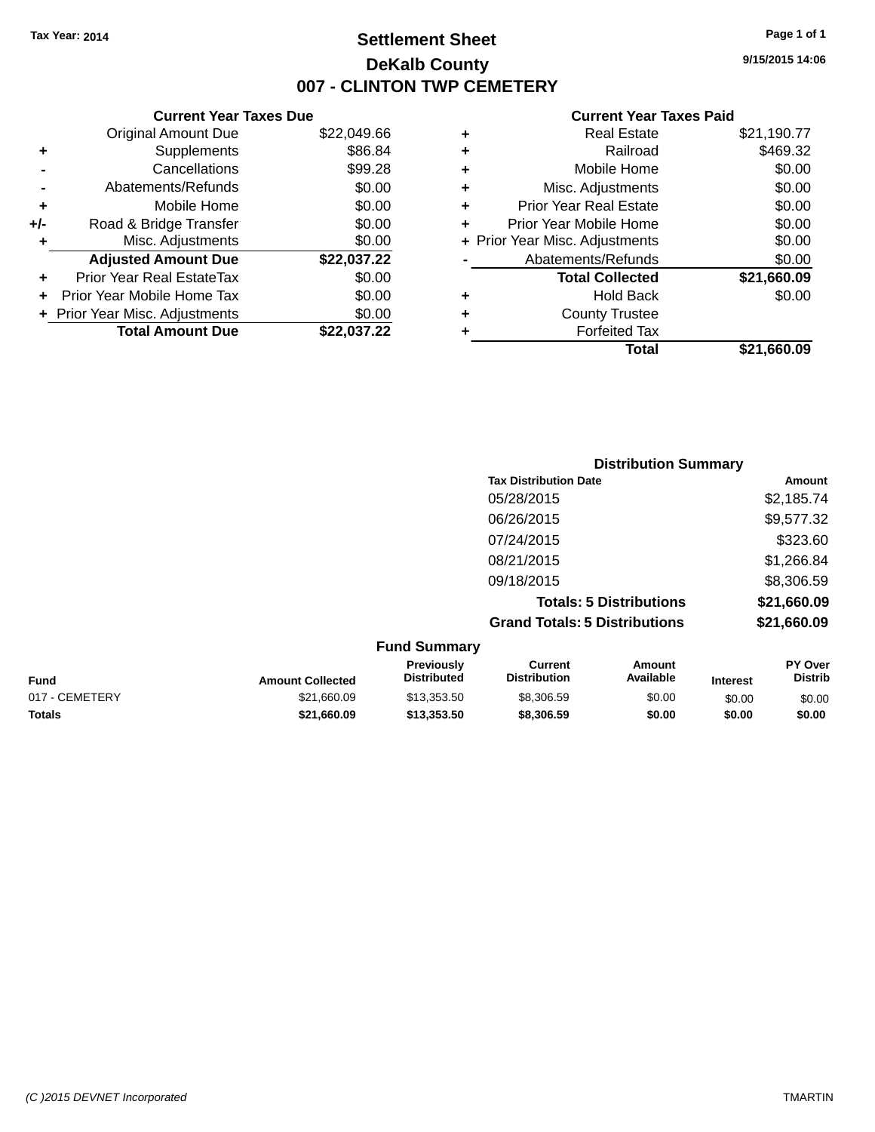### **Settlement Sheet Tax Year: 2014 Page 1 of 1 DeKalb County 007 - CLINTON TWP CEMETERY**

**9/15/2015 14:06**

|     | <b>Current Year Taxes Due</b>  |             |  |  |
|-----|--------------------------------|-------------|--|--|
|     | <b>Original Amount Due</b>     | \$22,049.66 |  |  |
| ٠   | \$86.84<br>Supplements         |             |  |  |
|     | Cancellations                  | \$99.28     |  |  |
|     | Abatements/Refunds             | \$0.00      |  |  |
| ٠   | Mobile Home                    | \$0.00      |  |  |
| +/- | Road & Bridge Transfer         | \$0.00      |  |  |
| ٠   | Misc. Adjustments              | \$0.00      |  |  |
|     | <b>Adjusted Amount Due</b>     | \$22,037.22 |  |  |
| ٠   | Prior Year Real EstateTax      | \$0.00      |  |  |
|     | Prior Year Mobile Home Tax     | \$0.00      |  |  |
|     | + Prior Year Misc. Adjustments | \$0.00      |  |  |
|     | <b>Total Amount Due</b>        | \$22.037.22 |  |  |
|     |                                |             |  |  |

| ٠ | <b>Real Estate</b>             | \$21,190.77 |
|---|--------------------------------|-------------|
| ٠ | Railroad                       | \$469.32    |
| ٠ | Mobile Home                    | \$0.00      |
| ٠ | Misc. Adjustments              | \$0.00      |
| ٠ | <b>Prior Year Real Estate</b>  | \$0.00      |
| ٠ | Prior Year Mobile Home         | \$0.00      |
|   | + Prior Year Misc. Adjustments | \$0.00      |
|   | Abatements/Refunds             | \$0.00      |
|   | <b>Total Collected</b>         | \$21,660.09 |
| ٠ | Hold Back                      | \$0.00      |
| ٠ | <b>County Trustee</b>          |             |
| ٠ | <b>Forfeited Tax</b>           |             |
|   | Total                          | \$21,660.09 |
|   |                                |             |

|                     | <b>Distribution Summary</b>          |             |
|---------------------|--------------------------------------|-------------|
|                     | <b>Tax Distribution Date</b>         | Amount      |
|                     | 05/28/2015                           | \$2,185.74  |
|                     | 06/26/2015                           | \$9,577.32  |
|                     | 07/24/2015                           | \$323.60    |
|                     | 08/21/2015                           | \$1,266.84  |
|                     | 09/18/2015                           | \$8,306.59  |
|                     | <b>Totals: 5 Distributions</b>       | \$21,660.09 |
|                     | <b>Grand Totals: 5 Distributions</b> | \$21,660.09 |
| <b>Fund Summary</b> |                                      |             |

| . unu vunnuu y          |                                         |                                |                     |                 |                                  |
|-------------------------|-----------------------------------------|--------------------------------|---------------------|-----------------|----------------------------------|
| <b>Amount Collected</b> | <b>Previously</b><br><b>Distributed</b> | Current<br><b>Distribution</b> | Amount<br>Available | <b>Interest</b> | <b>PY Over</b><br><b>Distrib</b> |
| \$21,660.09             | \$13.353.50                             | \$8,306.59                     | \$0.00              | \$0.00          | \$0.00                           |
| \$21.660.09             | \$13,353,50                             | \$8,306.59                     | \$0.00              | \$0.00          | \$0.00                           |
|                         |                                         |                                |                     |                 |                                  |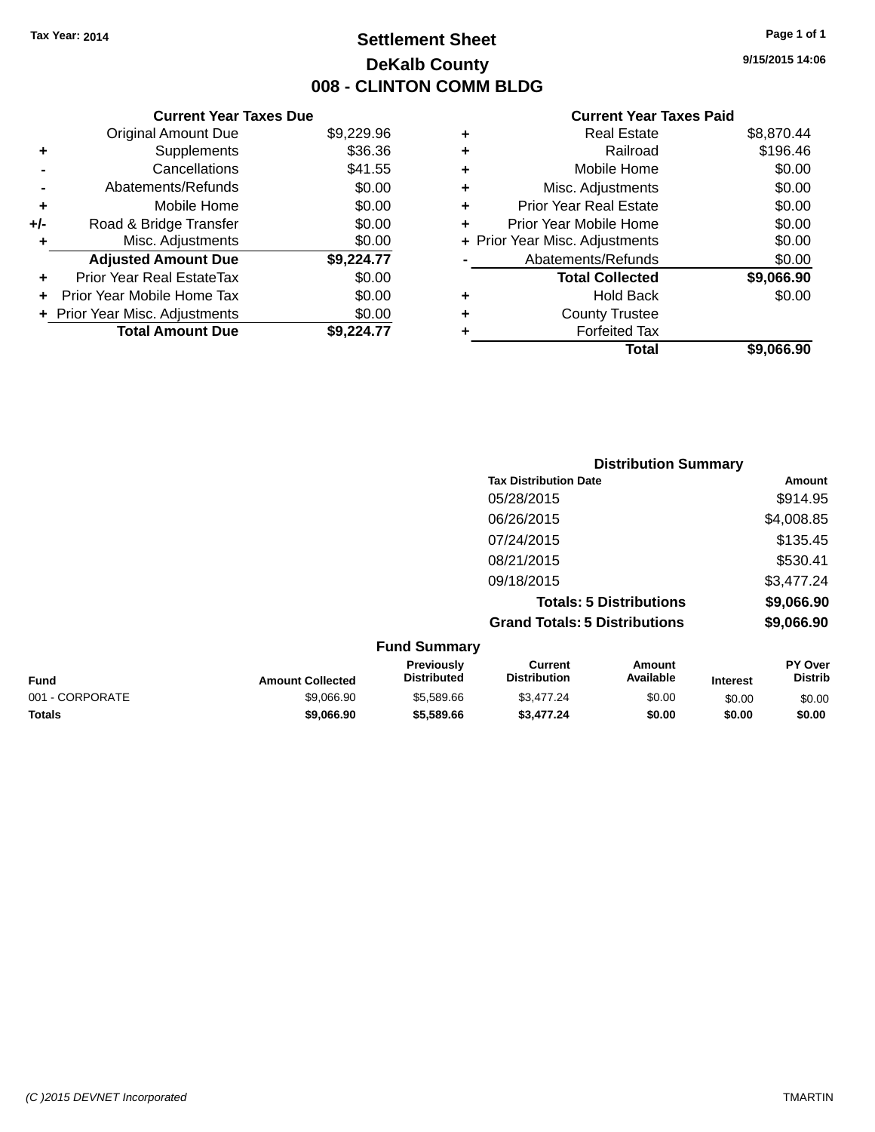### **Settlement Sheet Tax Year: 2014 Page 1 of 1 DeKalb County 008 - CLINTON COMM BLDG**

**9/15/2015 14:06**

|       | <b>Current Year Taxes Due</b>  |            |
|-------|--------------------------------|------------|
|       | <b>Original Amount Due</b>     | \$9,229.96 |
| ٠     | Supplements                    | \$36.36    |
|       | Cancellations                  | \$41.55    |
|       | Abatements/Refunds             | \$0.00     |
| ٠     | Mobile Home                    | \$0.00     |
| $+/-$ | Road & Bridge Transfer         | \$0.00     |
| ٠     | Misc. Adjustments              | \$0.00     |
|       | <b>Adjusted Amount Due</b>     | \$9,224.77 |
|       | Prior Year Real EstateTax      | \$0.00     |
|       | Prior Year Mobile Home Tax     | \$0.00     |
|       | + Prior Year Misc. Adjustments | \$0.00     |
|       | <b>Total Amount Due</b>        | \$9.224.77 |

|   | <b>Real Estate</b>             | \$8,870.44 |
|---|--------------------------------|------------|
| ٠ | Railroad                       | \$196.46   |
| ٠ | Mobile Home                    | \$0.00     |
| ٠ | Misc. Adjustments              | \$0.00     |
| ٠ | <b>Prior Year Real Estate</b>  | \$0.00     |
| ٠ | Prior Year Mobile Home         | \$0.00     |
|   | + Prior Year Misc. Adjustments | \$0.00     |
|   | Abatements/Refunds             | \$0.00     |
|   | <b>Total Collected</b>         | \$9,066.90 |
| ٠ | <b>Hold Back</b>               | \$0.00     |
| ٠ | <b>County Trustee</b>          |            |
| ٠ | <b>Forfeited Tax</b>           |            |
|   | Total                          | \$9,066.90 |
|   |                                |            |

|                     | <b>Distribution Summary</b>          |            |
|---------------------|--------------------------------------|------------|
|                     | <b>Tax Distribution Date</b>         | Amount     |
|                     | 05/28/2015                           | \$914.95   |
|                     | 06/26/2015                           | \$4,008.85 |
|                     | 07/24/2015                           | \$135.45   |
|                     | 08/21/2015                           | \$530.41   |
|                     | 09/18/2015                           | \$3,477.24 |
|                     | <b>Totals: 5 Distributions</b>       | \$9,066.90 |
|                     | <b>Grand Totals: 5 Distributions</b> | \$9,066.90 |
| <b>Fund Summarv</b> |                                      |            |

|                 | .                       |                                         |                                |                     |                 |                                  |
|-----------------|-------------------------|-----------------------------------------|--------------------------------|---------------------|-----------------|----------------------------------|
| <b>Fund</b>     | <b>Amount Collected</b> | <b>Previously</b><br><b>Distributed</b> | Current<br><b>Distribution</b> | Amount<br>Available | <b>Interest</b> | <b>PY Over</b><br><b>Distrib</b> |
| 001 - CORPORATE | \$9.066.90              | \$5,589.66                              | \$3,477.24                     | \$0.00              | \$0.00          | \$0.00                           |
| <b>Totals</b>   | \$9,066,90              | \$5,589.66                              | \$3,477.24                     | \$0.00              | \$0.00          | \$0.00                           |
|                 |                         |                                         |                                |                     |                 |                                  |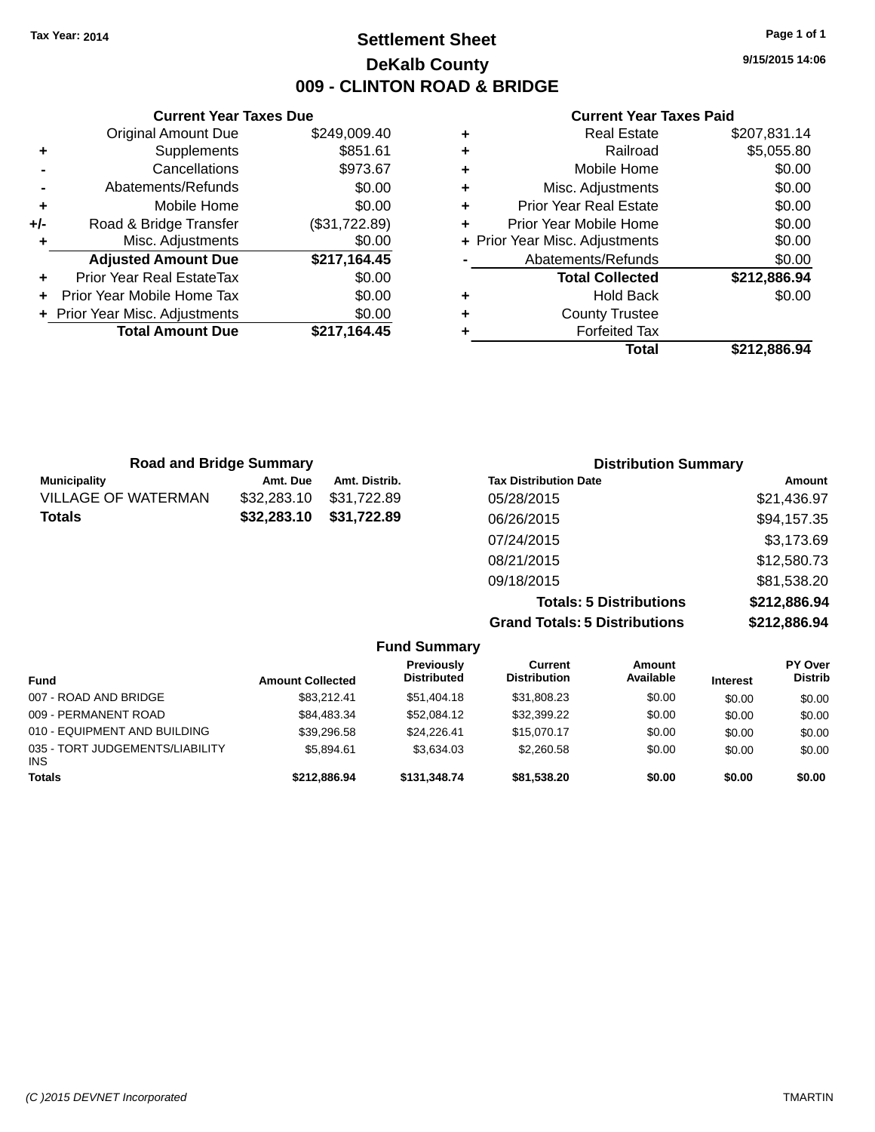### **Settlement Sheet Tax Year: 2014 Page 1 of 1 DeKalb County 009 - CLINTON ROAD & BRIDGE**

**9/15/2015 14:06**

#### **Current Year Taxes Paid**

|     | <b>Current Year Taxes Due</b>  |               |
|-----|--------------------------------|---------------|
|     | <b>Original Amount Due</b>     | \$249,009.40  |
| ٠   | Supplements                    | \$851.61      |
|     | Cancellations                  | \$973.67      |
|     | Abatements/Refunds             | \$0.00        |
| ٠   | Mobile Home                    | \$0.00        |
| +/- | Road & Bridge Transfer         | (\$31,722.89) |
| ٠   | Misc. Adjustments              | \$0.00        |
|     | <b>Adjusted Amount Due</b>     | \$217,164.45  |
| ٠   | Prior Year Real EstateTax      | \$0.00        |
|     | Prior Year Mobile Home Tax     | \$0.00        |
|     | + Prior Year Misc. Adjustments | \$0.00        |
|     | <b>Total Amount Due</b>        | \$217.164.45  |
|     |                                |               |

| ٠ | <b>Real Estate</b>             | \$207,831.14 |
|---|--------------------------------|--------------|
| ٠ | Railroad                       | \$5,055.80   |
| ٠ | Mobile Home                    | \$0.00       |
| ٠ | Misc. Adjustments              | \$0.00       |
| ٠ | <b>Prior Year Real Estate</b>  | \$0.00       |
| ٠ | Prior Year Mobile Home         | \$0.00       |
|   | + Prior Year Misc. Adjustments | \$0.00       |
|   | Abatements/Refunds             | \$0.00       |
|   | <b>Total Collected</b>         | \$212,886.94 |
| ٠ | <b>Hold Back</b>               | \$0.00       |
| ٠ | <b>County Trustee</b>          |              |
| ٠ | <b>Forfeited Tax</b>           |              |
|   | Total                          | \$212,886.94 |
|   |                                |              |

| <b>Road and Bridge Summary</b> |             |               | <b>Distribution Summary</b>    |              |  |
|--------------------------------|-------------|---------------|--------------------------------|--------------|--|
| <b>Municipality</b>            | Amt. Due    | Amt. Distrib. | <b>Tax Distribution Date</b>   | Amount       |  |
| VILLAGE OF WATERMAN            | \$32,283.10 | \$31,722.89   | 05/28/2015                     | \$21,436.97  |  |
| Totals                         | \$32,283.10 | \$31,722.89   | 06/26/2015                     | \$94,157.35  |  |
|                                |             |               | 07/24/2015                     | \$3,173.69   |  |
|                                |             |               | 08/21/2015                     | \$12,580.73  |  |
|                                |             |               | 09/18/2015                     | \$81,538.20  |  |
|                                |             |               | <b>Totals: 5 Distributions</b> | \$212,886.94 |  |

**Grand Totals: 5 Distributions \$212,886.94**

| <b>Fund Summary</b>                     |                         |                                  |                                |                            |                 |                                  |
|-----------------------------------------|-------------------------|----------------------------------|--------------------------------|----------------------------|-----------------|----------------------------------|
| <b>Fund</b>                             | <b>Amount Collected</b> | Previously<br><b>Distributed</b> | Current<br><b>Distribution</b> | <b>Amount</b><br>Available | <b>Interest</b> | <b>PY Over</b><br><b>Distrib</b> |
| 007 - ROAD AND BRIDGE                   | \$83.212.41             | \$51,404.18                      | \$31,808.23                    | \$0.00                     | \$0.00          | \$0.00                           |
| 009 - PERMANENT ROAD                    | \$84,483,34             | \$52,084.12                      | \$32,399.22                    | \$0.00                     | \$0.00          | \$0.00                           |
| 010 - EQUIPMENT AND BUILDING            | \$39,296.58             | \$24.226.41                      | \$15,070.17                    | \$0.00                     | \$0.00          | \$0.00                           |
| 035 - TORT JUDGEMENTS/LIABILITY<br>INS. | \$5.894.61              | \$3.634.03                       | \$2,260.58                     | \$0.00                     | \$0.00          | \$0.00                           |
| <b>Totals</b>                           | \$212,886,94            | \$131,348.74                     | \$81,538.20                    | \$0.00                     | \$0.00          | \$0.00                           |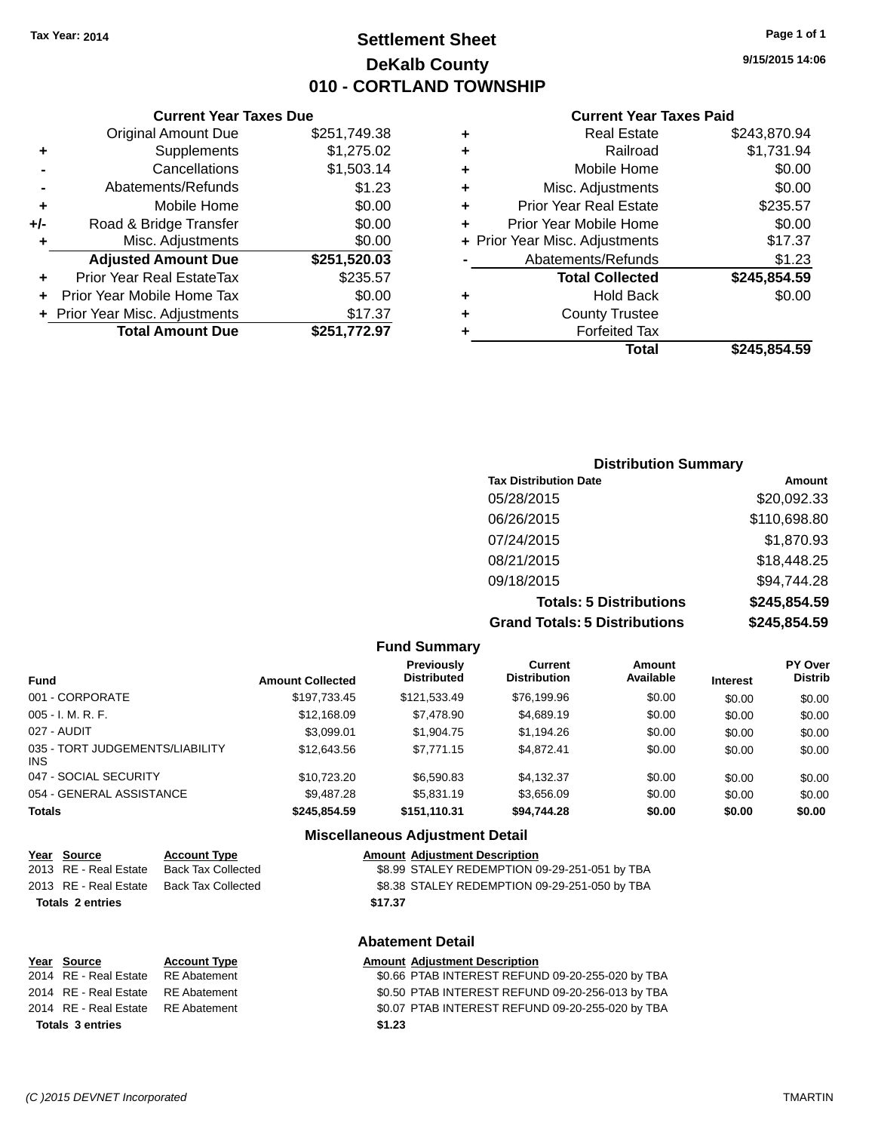**Original Amount Due** 

**Adjusted Amount Due** 

**Total Amount Due** 

**+** Supplements **-** Cancellations **-** Abatements/Refunds **+** Mobile Home **+/-** Road & Bridge Transfer **+** Misc. Adjustments

**+** Prior Year Real EstateTax **+** Prior Year Mobile Home Tax **+ Prior Year Misc. Adjustments** 

### **Settlement Sheet Tax Year: 2014 Page 1 of 1 DeKalb County 010 - CORTLAND TOWNSHIP**

**9/15/2015 14:06**

### **Current Year Taxes Paid**

| <b>Current Year Taxes Due</b> |              |   | <b>Current Year Ta</b>         |
|-------------------------------|--------------|---|--------------------------------|
| ่<br>เl Amount Due            | \$251,749.38 | ÷ | <b>Real Estate</b>             |
| Supplements                   | \$1,275.02   | ÷ | Railroad                       |
| Cancellations                 | \$1,503.14   | ÷ | Mobile Home                    |
| าents/Refunds                 | \$1.23       | ÷ | Misc. Adjustments              |
| Mobile Home                   | \$0.00       | ٠ | <b>Prior Year Real Estate</b>  |
| ridge Transfer                | \$0.00       | ÷ | Prior Year Mobile Home         |
| . Adjustments                 | \$0.00       |   | + Prior Year Misc. Adjustments |
| <b>Amount Due</b>             | \$251,520.03 |   | Abatements/Refunds             |
| eal EstateTax                 | \$235.57     |   | <b>Total Collected</b>         |
| bile Home Tax                 | \$0.00       | ٠ | <b>Hold Back</b>               |
| . Adjustments                 | \$17.37      | ÷ | <b>County Trustee</b>          |
| <b>Amount Due</b>             | \$251,772.97 | ٠ | Forfeited Tax                  |
|                               |              |   | Total                          |

|   | Total                          | \$245.854.59 |
|---|--------------------------------|--------------|
|   | <b>Forfeited Tax</b>           |              |
| ÷ | <b>County Trustee</b>          |              |
|   | <b>Hold Back</b>               | \$0.00       |
|   | <b>Total Collected</b>         | \$245,854.59 |
|   | Abatements/Refunds             | \$1.23       |
|   | + Prior Year Misc. Adjustments | \$17.37      |
|   | Prior Year Mobile Home         | \$0.00       |
| ٠ | <b>Prior Year Real Estate</b>  | \$235.57     |
| ٠ | Misc. Adjustments              | \$0.00       |
|   | Mobile Home                    | \$0.00       |
| ÷ | Railroad                       | \$1,731.94   |
| ٠ | <b>Real Estate</b>             | \$243,870.94 |

### **Distribution Summary Tax Distribution Date Amount** 05/28/2015 \$20,092.33 06/26/2015 \$110,698.80 07/24/2015 \$1,870.93 08/21/2015 \$18,448.25 09/18/2015 \$94,744.28 **Totals: 5 Distributions \$245,854.59 Grand Totals: 5 Distributions \$245,854.59**

|                                               |                         | <b>Fund Summary</b>                     |                                       |                            |                 |                           |
|-----------------------------------------------|-------------------------|-----------------------------------------|---------------------------------------|----------------------------|-----------------|---------------------------|
| <b>Fund</b>                                   | <b>Amount Collected</b> | <b>Previously</b><br><b>Distributed</b> | <b>Current</b><br><b>Distribution</b> | <b>Amount</b><br>Available | <b>Interest</b> | PY Over<br><b>Distrib</b> |
| 001 - CORPORATE                               | \$197,733.45            | \$121,533.49                            | \$76,199.96                           | \$0.00                     | \$0.00          | \$0.00                    |
| $005 - I. M. R. F.$                           | \$12,168,09             | \$7,478.90                              | \$4,689.19                            | \$0.00                     | \$0.00          | \$0.00                    |
| 027 - AUDIT                                   | \$3.099.01              | \$1,904.75                              | \$1,194.26                            | \$0.00                     | \$0.00          | \$0.00                    |
| 035 - TORT JUDGEMENTS/LIABILITY<br><b>INS</b> | \$12,643.56             | \$7.771.15                              | \$4,872.41                            | \$0.00                     | \$0.00          | \$0.00                    |
| 047 - SOCIAL SECURITY                         | \$10.723.20             | \$6,590.83                              | \$4,132.37                            | \$0.00                     | \$0.00          | \$0.00                    |
| 054 - GENERAL ASSISTANCE                      | \$9.487.28              | \$5,831.19                              | \$3.656.09                            | \$0.00                     | \$0.00          | \$0.00                    |
| <b>Totals</b>                                 | \$245.854.59            | \$151,110.31                            | \$94,744.28                           | \$0.00                     | \$0.00          | \$0.00                    |
|                                               |                         | <b>Miscellaneous Adjustment Detail</b>  |                                       |                            |                 |                           |

| Year Source             | <b>Account Type</b> | <b>Amount Adjustment Description</b>          |
|-------------------------|---------------------|-----------------------------------------------|
| 2013 RE - Real Estate   | Back Tax Collected  | \$8.99 STALEY REDEMPTION 09-29-251-051 by TBA |
| 2013 RE - Real Estate   | Back Tax Collected  | \$8.38 STALEY REDEMPTION 09-29-251-050 by TBA |
| <b>Totals 2 entries</b> |                     | \$17.37                                       |
|                         |                     |                                               |

| <b>Abatement Detail</b> |  |  |  |
|-------------------------|--|--|--|
|                         |  |  |  |

| Year Source                        | <b>Account Type</b> |        | <b>Amount Adjustment Description</b>             |
|------------------------------------|---------------------|--------|--------------------------------------------------|
| 2014 RE - Real Estate              | RE Abatement        |        | \$0.66 PTAB INTEREST REFUND 09-20-255-020 by TBA |
| 2014 RE - Real Estate RE Abatement |                     |        | \$0.50 PTAB INTEREST REFUND 09-20-256-013 by TBA |
| 2014 RE - Real Estate RE Abatement |                     |        | \$0.07 PTAB INTEREST REFUND 09-20-255-020 by TBA |
| <b>Totals 3 entries</b>            |                     | \$1.23 |                                                  |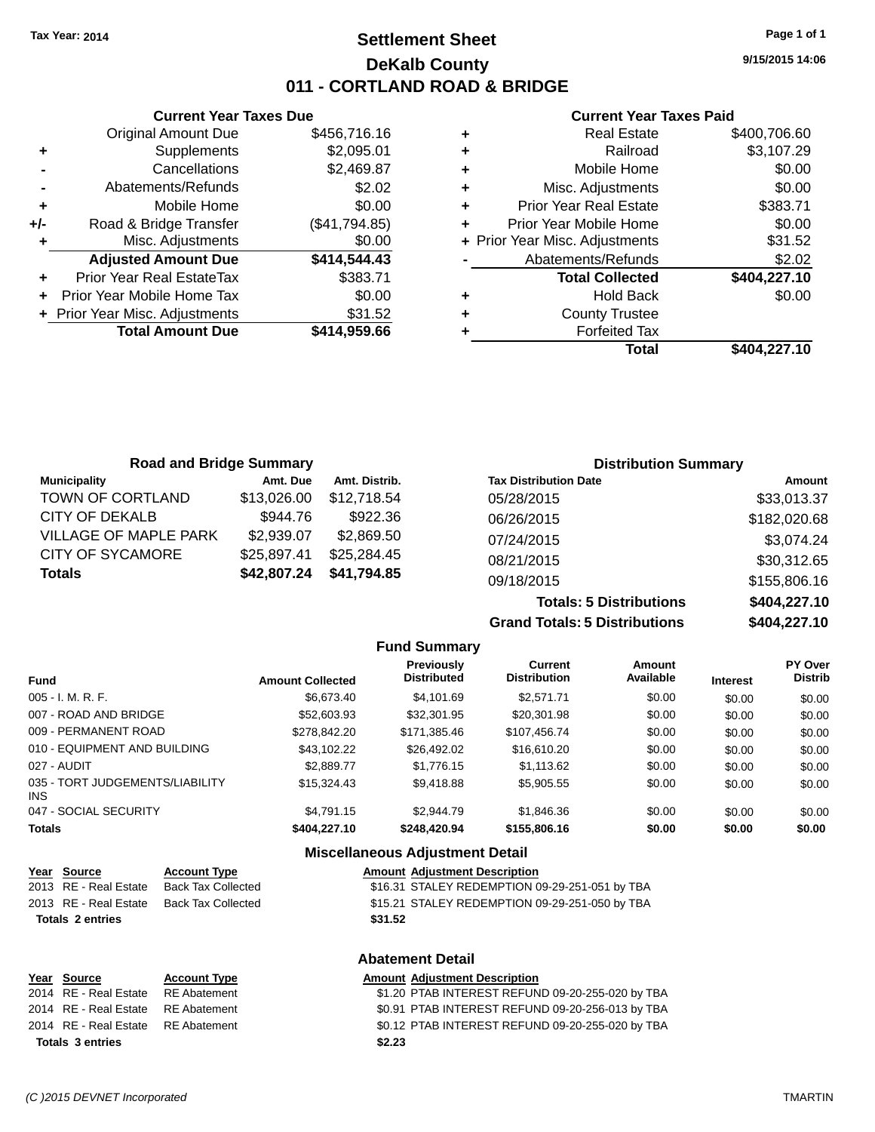### **Settlement Sheet Tax Year: 2014 Page 1 of 1 DeKalb County 011 - CORTLAND ROAD & BRIDGE**

**9/15/2015 14:06**

#### **Current Year Taxes Paid**

|     | <b>Current Year Taxes Due</b>  |               |  |  |  |  |  |
|-----|--------------------------------|---------------|--|--|--|--|--|
|     | <b>Original Amount Due</b>     | \$456,716.16  |  |  |  |  |  |
| ٠   | \$2,095.01<br>Supplements      |               |  |  |  |  |  |
|     | Cancellations                  | \$2,469.87    |  |  |  |  |  |
|     | Abatements/Refunds             | \$2.02        |  |  |  |  |  |
| ٠   | Mobile Home                    | \$0.00        |  |  |  |  |  |
| +/- | Road & Bridge Transfer         | (\$41,794.85) |  |  |  |  |  |
| ٠   | Misc. Adjustments              | \$0.00        |  |  |  |  |  |
|     | <b>Adjusted Amount Due</b>     | \$414,544.43  |  |  |  |  |  |
| ÷   | Prior Year Real EstateTax      | \$383.71      |  |  |  |  |  |
|     | Prior Year Mobile Home Tax     | \$0.00        |  |  |  |  |  |
|     | + Prior Year Misc. Adjustments | \$31.52       |  |  |  |  |  |
|     | <b>Total Amount Due</b>        | \$414,959.66  |  |  |  |  |  |
|     |                                |               |  |  |  |  |  |

| <b>Real Estate</b>             | \$400,706.60 |
|--------------------------------|--------------|
| Railroad                       | \$3,107.29   |
| Mobile Home                    | \$0.00       |
| Misc. Adjustments              | \$0.00       |
| <b>Prior Year Real Estate</b>  | \$383.71     |
| Prior Year Mobile Home         | \$0.00       |
| + Prior Year Misc. Adjustments | \$31.52      |
| Abatements/Refunds             | \$2.02       |
| <b>Total Collected</b>         | \$404,227.10 |
| <b>Hold Back</b>               | \$0.00       |
| <b>County Trustee</b>          |              |
| <b>Forfeited Tax</b>           |              |
| <b>Total</b>                   | \$404,227.10 |
|                                |              |

| <b>Road and Bridge Summary</b> |             |               | <b>Distribution Summary</b>     |              |  |
|--------------------------------|-------------|---------------|---------------------------------|--------------|--|
| <b>Municipality</b>            | Amt. Due    | Amt. Distrib. | <b>Tax Distribution Date</b>    | Amount       |  |
| TOWN OF CORTLAND               | \$13,026.00 | \$12.718.54   | 05/28/2015                      | \$33,013.37  |  |
| <b>CITY OF DEKALB</b>          | \$944.76    | \$922.36      | 06/26/2015                      | \$182,020.68 |  |
| <b>VILLAGE OF MAPLE PARK</b>   | \$2,939.07  | \$2,869.50    | 07/24/2015                      | \$3,074.24   |  |
| <b>CITY OF SYCAMORE</b>        | \$25,897.41 | \$25,284.45   | 08/21/2015                      | \$30,312.65  |  |
| <b>Totals</b>                  | \$42,807.24 | \$41,794.85   | 09/18/2015                      | \$155,806.16 |  |
|                                |             |               | _ _ _ _ _ _ _ _ _ _ _ _ _ _ _ _ |              |  |

**Totals: 5 Distributions \$404,227.10 Grand Totals: 5 Distributions \$404,227.10**

|                                         |                         | <b>Fund Summary</b>                     |                                       |                     |                 |                           |
|-----------------------------------------|-------------------------|-----------------------------------------|---------------------------------------|---------------------|-----------------|---------------------------|
| <b>Fund</b>                             | <b>Amount Collected</b> | <b>Previously</b><br><b>Distributed</b> | <b>Current</b><br><b>Distribution</b> | Amount<br>Available | <b>Interest</b> | PY Over<br><b>Distrib</b> |
| 005 - I. M. R. F.                       | \$6,673,40              | \$4.101.69                              | \$2.571.71                            | \$0.00              | \$0.00          | \$0.00                    |
| 007 - ROAD AND BRIDGE                   | \$52,603.93             | \$32,301.95                             | \$20,301.98                           | \$0.00              | \$0.00          | \$0.00                    |
| 009 - PERMANENT ROAD                    | \$278,842,20            | \$171.385.46                            | \$107.456.74                          | \$0.00              | \$0.00          | \$0.00                    |
| 010 - EQUIPMENT AND BUILDING            | \$43.102.22             | \$26.492.02                             | \$16,610.20                           | \$0.00              | \$0.00          | \$0.00                    |
| 027 - AUDIT                             | \$2,889.77              | \$1,776.15                              | \$1.113.62                            | \$0.00              | \$0.00          | \$0.00                    |
| 035 - TORT JUDGEMENTS/LIABILITY<br>INS. | \$15,324.43             | \$9,418.88                              | \$5,905.55                            | \$0.00              | \$0.00          | \$0.00                    |
| 047 - SOCIAL SECURITY                   | \$4.791.15              | \$2.944.79                              | \$1,846,36                            | \$0.00              | \$0.00          | \$0.00                    |
| <b>Totals</b>                           | \$404,227.10            | \$248,420.94                            | \$155,806.16                          | \$0.00              | \$0.00          | \$0.00                    |

#### **Miscellaneous Adjustment Detail**

**Abatement Detail**

| Year Source             | <b>Account Type</b> | <b>Amount Adjustment Description</b>           |
|-------------------------|---------------------|------------------------------------------------|
| 2013 RE - Real Estate   | Back Tax Collected  | \$16.31 STALEY REDEMPTION 09-29-251-051 by TBA |
| 2013 RE - Real Estate   | Back Tax Collected  | \$15.21 STALEY REDEMPTION 09-29-251-050 by TBA |
| <b>Totals 2 entries</b> |                     | \$31.52                                        |

| <u>Year Source</u>                 | <b>Account Type</b> | <b>Amount Adiustment Description</b>             |
|------------------------------------|---------------------|--------------------------------------------------|
| 2014 RE - Real Estate              | RE Abatement        | \$1.20 PTAB INTEREST REFUND 09-20-255-020 by TBA |
| 2014 RE - Real Estate RE Abatement |                     | \$0.91 PTAB INTEREST REFUND 09-20-256-013 by TBA |
| 2014 RE - Real Estate RE Abatement |                     | \$0.12 PTAB INTEREST REFUND 09-20-255-020 by TBA |
| <b>Totals 3 entries</b>            |                     | \$2.23                                           |

**Year Source** 

**Totals 2 entries**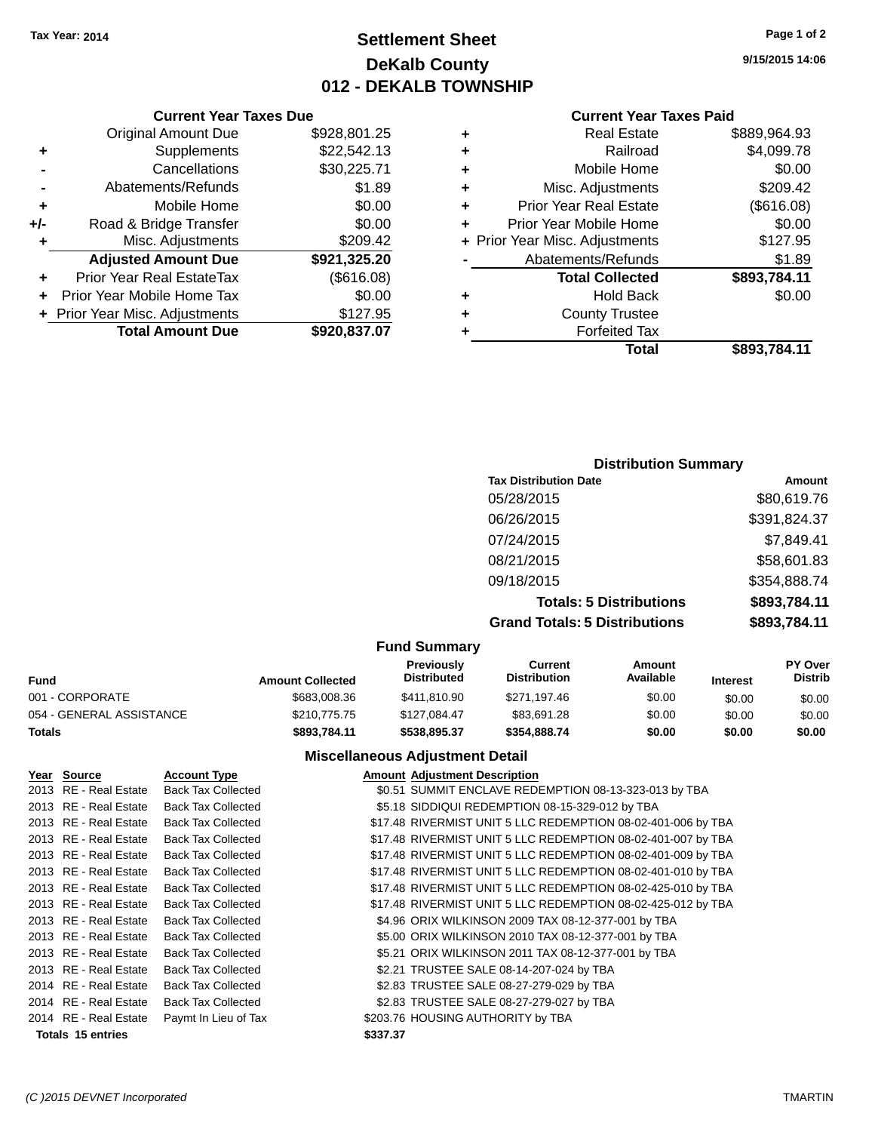### **Settlement Sheet Tax Year: 2014 Page 1 of 2 DeKalb County 012 - DEKALB TOWNSHIP**

**9/15/2015 14:06**

#### **Current Year Taxes Paid**

|                                | \$889,964.93                            |
|--------------------------------|-----------------------------------------|
| Railroad                       | \$4,099.78                              |
| Mobile Home                    | \$0.00                                  |
|                                | \$209.42                                |
| Prior Year Real Estate         | (\$616.08)                              |
| Prior Year Mobile Home         | \$0.00                                  |
| + Prior Year Misc. Adjustments | \$127.95                                |
| Abatements/Refunds             | \$1.89                                  |
| <b>Total Collected</b>         | \$893,784.11                            |
| <b>Hold Back</b>               | \$0.00                                  |
| <b>County Trustee</b>          |                                         |
| <b>Forfeited Tax</b>           |                                         |
| Total                          | \$893,784.11                            |
|                                | <b>Real Estate</b><br>Misc. Adjustments |

|     | <b>Current Year Taxes Due</b>    |              |
|-----|----------------------------------|--------------|
|     | <b>Original Amount Due</b>       | \$928,801.25 |
| ٠   | Supplements                      | \$22,542.13  |
|     | Cancellations                    | \$30,225.71  |
|     | Abatements/Refunds               | \$1.89       |
| ٠   | Mobile Home                      | \$0.00       |
| +/- | Road & Bridge Transfer           | \$0.00       |
| ٠   | Misc. Adjustments                | \$209.42     |
|     | <b>Adjusted Amount Due</b>       | \$921,325.20 |
| ٠   | <b>Prior Year Real EstateTax</b> | (\$616.08)   |
|     | Prior Year Mobile Home Tax       | \$0.00       |
|     | + Prior Year Misc. Adjustments   | \$127.95     |
|     | <b>Total Amount Due</b>          | \$920,837.07 |

### **Distribution Summary**

| <b>Tax Distribution Date</b>         | Amount       |
|--------------------------------------|--------------|
| 05/28/2015                           | \$80,619.76  |
| 06/26/2015                           | \$391,824.37 |
| 07/24/2015                           | \$7,849.41   |
| 08/21/2015                           | \$58,601.83  |
| 09/18/2015                           | \$354,888.74 |
| <b>Totals: 5 Distributions</b>       | \$893,784.11 |
| <b>Grand Totals: 5 Distributions</b> | \$893,784.11 |

#### **Fund Summary**

| Fund                     | <b>Amount Collected</b> | <b>Previously</b><br><b>Distributed</b> | Current<br><b>Distribution</b> | Amount<br>Available | <b>Interest</b> | <b>PY Over</b><br><b>Distrib</b> |
|--------------------------|-------------------------|-----------------------------------------|--------------------------------|---------------------|-----------------|----------------------------------|
| 001 - CORPORATE          | \$683,008.36            | \$411.810.90                            | \$271.197.46                   | \$0.00              | \$0.00          | \$0.00                           |
| 054 - GENERAL ASSISTANCE | \$210,775,75            | \$127.084.47                            | \$83.691.28                    | \$0.00              | \$0.00          | \$0.00                           |
| Totals                   | \$893.784.11            | \$538,895,37                            | \$354,888,74                   | \$0.00              | \$0.00          | \$0.00                           |

### **Miscellaneous Adjustment Detail**

| Year Source              | <b>Account Type</b>       | <b>Amount Adjustment Description</b>                         |
|--------------------------|---------------------------|--------------------------------------------------------------|
| 2013 RE - Real Estate    | <b>Back Tax Collected</b> | \$0.51 SUMMIT ENCLAVE REDEMPTION 08-13-323-013 by TBA        |
| 2013 RE - Real Estate    | <b>Back Tax Collected</b> | \$5.18 SIDDIQUI REDEMPTION 08-15-329-012 by TBA              |
| 2013 RE - Real Estate    | <b>Back Tax Collected</b> | \$17.48 RIVERMIST UNIT 5 LLC REDEMPTION 08-02-401-006 by TBA |
| 2013 RE - Real Estate    | <b>Back Tax Collected</b> | \$17.48 RIVERMIST UNIT 5 LLC REDEMPTION 08-02-401-007 by TBA |
| 2013 RE - Real Estate    | <b>Back Tax Collected</b> | \$17.48 RIVERMIST UNIT 5 LLC REDEMPTION 08-02-401-009 by TBA |
| 2013 RE - Real Estate    | <b>Back Tax Collected</b> | \$17.48 RIVERMIST UNIT 5 LLC REDEMPTION 08-02-401-010 by TBA |
| 2013 RE - Real Estate    | <b>Back Tax Collected</b> | \$17.48 RIVERMIST UNIT 5 LLC REDEMPTION 08-02-425-010 by TBA |
| 2013 RE - Real Estate    | <b>Back Tax Collected</b> | \$17.48 RIVERMIST UNIT 5 LLC REDEMPTION 08-02-425-012 by TBA |
| 2013 RE - Real Estate    | <b>Back Tax Collected</b> | \$4.96 ORIX WILKINSON 2009 TAX 08-12-377-001 by TBA          |
| 2013 RE - Real Estate    | <b>Back Tax Collected</b> | \$5.00 ORIX WILKINSON 2010 TAX 08-12-377-001 by TBA          |
| 2013 RE - Real Estate    | <b>Back Tax Collected</b> | \$5.21 ORIX WILKINSON 2011 TAX 08-12-377-001 by TBA          |
| 2013 RE - Real Estate    | <b>Back Tax Collected</b> | \$2.21 TRUSTEE SALE 08-14-207-024 by TBA                     |
| 2014 RE - Real Estate    | <b>Back Tax Collected</b> | \$2.83 TRUSTEE SALE 08-27-279-029 by TBA                     |
| 2014 RE - Real Estate    | <b>Back Tax Collected</b> | \$2.83 TRUSTEE SALE 08-27-279-027 by TBA                     |
| 2014 RE - Real Estate    | Paymt In Lieu of Tax      | \$203.76 HOUSING AUTHORITY by TBA                            |
| <b>Totals 15 entries</b> |                           | \$337.37                                                     |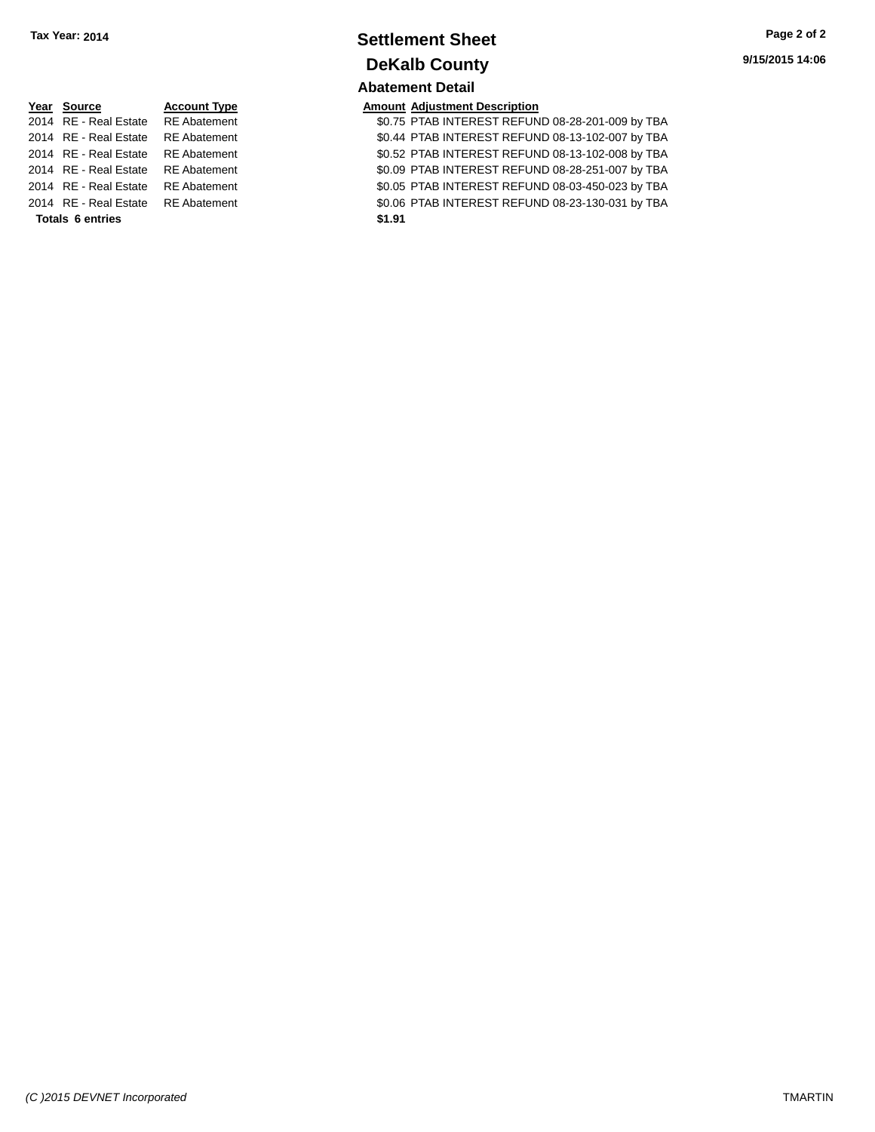### **Settlement Sheet Tax Year: 2014 Page 2 of 2 DeKalb County Abatement Detail**

|                         | Year Source                        | <b>Account Type</b> | <b>Amount Adjustment Description</b> |
|-------------------------|------------------------------------|---------------------|--------------------------------------|
|                         | 2014 RE - Real Estate RE Abatement |                     | \$0.75 PTAB INTEREST REFUN           |
|                         | 2014 RE - Real Estate              | RE Abatement        | \$0.44 PTAB INTEREST REFUN           |
|                         | 2014 RE - Real Estate RE Abatement |                     | \$0.52 PTAB INTEREST REFUN           |
|                         | 2014 RE - Real Estate RE Abatement |                     | \$0.09 PTAB INTEREST REFUN           |
|                         | 2014 RE - Real Estate RE Abatement |                     | \$0.05 PTAB INTEREST REFUN           |
|                         | 2014 RE - Real Estate RE Abatement |                     | \$0.06 PTAB INTEREST REFUN           |
| <b>Totals 6 entries</b> |                                    |                     | \$1.91                               |

\$0.75 PTAB INTEREST REFUND 08-28-201-009 by TBA 11 **2014 REAL ESTATE ABATEMENT REFUND 08-13-102-007 by TBA** 2015 REAL ESTATE REFUND 08-13-102-008 by TBA 1t 30.09 PTAB INTEREST REFUND 08-28-251-007 by TBA 1t 2014 80.05 PTAB INTEREST REFUND 08-03-450-023 by TBA 2016 RTAB INTEREST REFUND 08-23-130-031 by TBA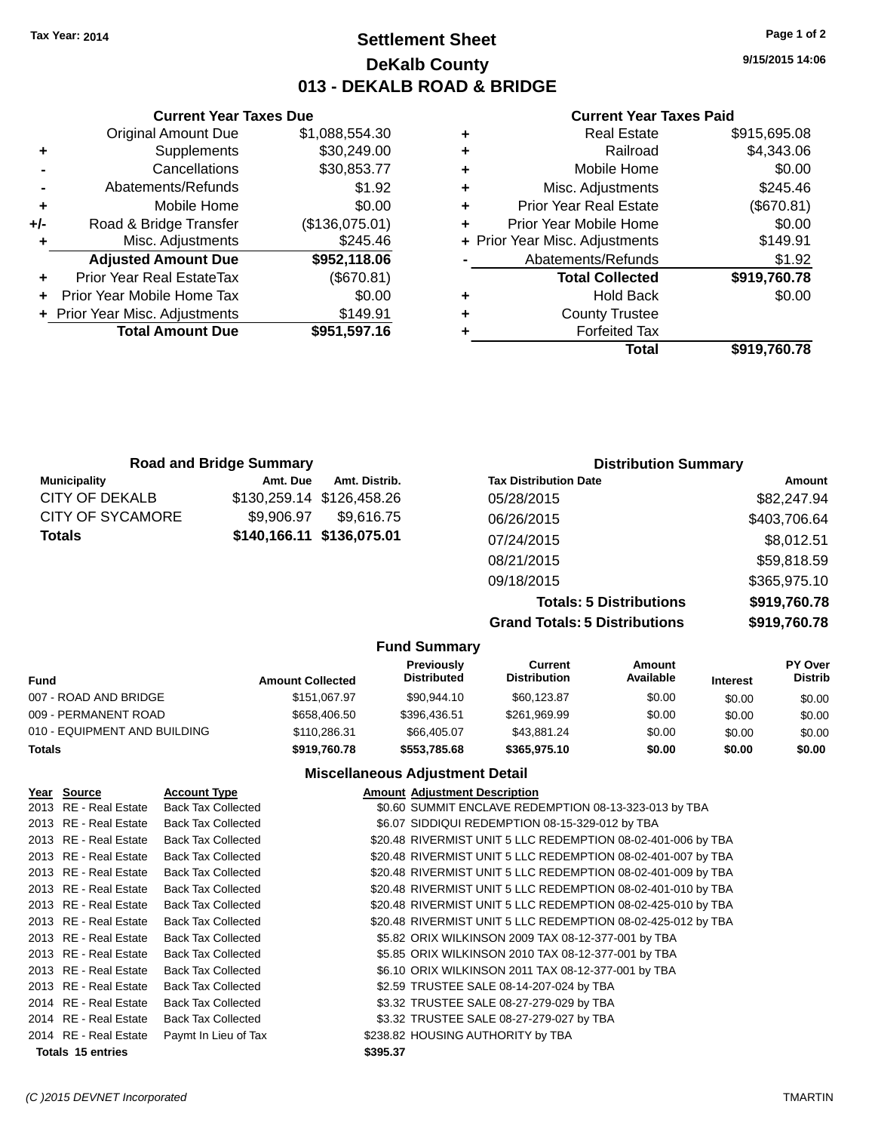### **Settlement Sheet Tax Year: 2014 Page 1 of 2 DeKalb County 013 - DEKALB ROAD & BRIDGE**

**9/15/2015 14:06**

#### **Current Year Taxes Paid**

|   | <b>Real Estate</b>             | \$915,695.08 |
|---|--------------------------------|--------------|
| ٠ | Railroad                       | \$4,343.06   |
| ٠ | Mobile Home                    | \$0.00       |
| ٠ | Misc. Adjustments              | \$245.46     |
| ٠ | <b>Prior Year Real Estate</b>  | (\$670.81)   |
| ٠ | Prior Year Mobile Home         | \$0.00       |
|   | + Prior Year Misc. Adjustments | \$149.91     |
|   | Abatements/Refunds             | \$1.92       |
|   | <b>Total Collected</b>         | \$919,760.78 |
| ٠ | <b>Hold Back</b>               | \$0.00       |
| ٠ | <b>County Trustee</b>          |              |
|   | <b>Forfeited Tax</b>           |              |
|   | Total                          | \$919.760.78 |

|     | <b>Current Year Taxes Due</b>    |                |
|-----|----------------------------------|----------------|
|     | <b>Original Amount Due</b>       | \$1,088,554.30 |
| ٠   | Supplements                      | \$30,249.00    |
|     | Cancellations                    | \$30,853.77    |
|     | Abatements/Refunds               | \$1.92         |
| ٠   | Mobile Home                      | \$0.00         |
| +/- | Road & Bridge Transfer           | (\$136,075.01) |
| ٠   | Misc. Adjustments                | \$245.46       |
|     | <b>Adjusted Amount Due</b>       | \$952,118.06   |
|     | <b>Prior Year Real EstateTax</b> | (\$670.81)     |
|     | Prior Year Mobile Home Tax       | \$0.00         |
|     | + Prior Year Misc. Adjustments   | \$149.91       |
|     | <b>Total Amount Due</b>          | \$951,597.16   |
|     |                                  |                |

|                     | <b>Road and Bridge Summary</b> |                           | <b>Distribution Summary</b>    |               |  |
|---------------------|--------------------------------|---------------------------|--------------------------------|---------------|--|
| <b>Municipality</b> | Amt. Due                       | Amt. Distrib.             | <b>Tax Distribution Date</b>   | <b>Amount</b> |  |
| CITY OF DEKALB      |                                | \$130,259.14 \$126,458.26 | 05/28/2015                     | \$82,247.94   |  |
| CITY OF SYCAMORE    | \$9.906.97                     | \$9.616.75                | 06/26/2015                     | \$403,706.64  |  |
| Totals              |                                | \$140,166.11 \$136,075.01 | 07/24/2015                     | \$8,012.51    |  |
|                     |                                |                           | 08/21/2015                     | \$59,818.59   |  |
|                     |                                |                           | 09/18/2015                     | \$365,975.10  |  |
|                     |                                |                           | <b>Totals: 5 Distributions</b> | \$919,760.78  |  |
|                     |                                |                           |                                |               |  |

**Grand Totals: 5 Distributions \$919,760.78**

|                              |                         | <b>Fund Summary</b>                     |                                       |                     |                 |                    |
|------------------------------|-------------------------|-----------------------------------------|---------------------------------------|---------------------|-----------------|--------------------|
| <b>Fund</b>                  | <b>Amount Collected</b> | <b>Previously</b><br><b>Distributed</b> | <b>Current</b><br><b>Distribution</b> | Amount<br>Available | <b>Interest</b> | PY Over<br>Distrib |
| 007 - ROAD AND BRIDGE        | \$151.067.97            | \$90.944.10                             | \$60.123.87                           | \$0.00              | \$0.00          | \$0.00             |
| 009 - PERMANENT ROAD         | \$658,406.50            | \$396.436.51                            | \$261,969.99                          | \$0.00              | \$0.00          | \$0.00             |
| 010 - EQUIPMENT AND BUILDING | \$110,286,31            | \$66,405,07                             | \$43.881.24                           | \$0.00              | \$0.00          | \$0.00             |
| <b>Totals</b>                | \$919,760.78            | \$553.785.68                            | \$365.975.10                          | \$0.00              | \$0.00          | \$0.00             |

**Miscellaneous Adjustment Detail**

| Year Source              | <b>Account Type</b>       |          | <b>Amount Adjustment Description</b>                         |
|--------------------------|---------------------------|----------|--------------------------------------------------------------|
| 2013 RE - Real Estate    | <b>Back Tax Collected</b> |          | \$0.60 SUMMIT ENCLAVE REDEMPTION 08-13-323-013 by TBA        |
| 2013 RE - Real Estate    | <b>Back Tax Collected</b> |          | \$6.07 SIDDIQUI REDEMPTION 08-15-329-012 by TBA              |
| 2013 RE - Real Estate    | <b>Back Tax Collected</b> |          | \$20.48 RIVERMIST UNIT 5 LLC REDEMPTION 08-02-401-006 by TBA |
| 2013 RE - Real Estate    | <b>Back Tax Collected</b> |          | \$20.48 RIVERMIST UNIT 5 LLC REDEMPTION 08-02-401-007 by TBA |
| 2013 RE - Real Estate    | <b>Back Tax Collected</b> |          | \$20.48 RIVERMIST UNIT 5 LLC REDEMPTION 08-02-401-009 by TBA |
| 2013 RE - Real Estate    | <b>Back Tax Collected</b> |          | \$20.48 RIVERMIST UNIT 5 LLC REDEMPTION 08-02-401-010 by TBA |
| 2013 RE - Real Estate    | <b>Back Tax Collected</b> |          | \$20.48 RIVERMIST UNIT 5 LLC REDEMPTION 08-02-425-010 by TBA |
| 2013 RE - Real Estate    | <b>Back Tax Collected</b> |          | \$20.48 RIVERMIST UNIT 5 LLC REDEMPTION 08-02-425-012 by TBA |
| 2013 RE - Real Estate    | <b>Back Tax Collected</b> |          | \$5.82 ORIX WILKINSON 2009 TAX 08-12-377-001 by TBA          |
| 2013 RE - Real Estate    | <b>Back Tax Collected</b> |          | \$5.85 ORIX WILKINSON 2010 TAX 08-12-377-001 by TBA          |
| 2013 RE - Real Estate    | <b>Back Tax Collected</b> |          | \$6.10 ORIX WILKINSON 2011 TAX 08-12-377-001 by TBA          |
| 2013 RE - Real Estate    | <b>Back Tax Collected</b> |          | \$2.59 TRUSTEE SALE 08-14-207-024 by TBA                     |
| 2014 RE - Real Estate    | <b>Back Tax Collected</b> |          | \$3.32 TRUSTEE SALE 08-27-279-029 by TBA                     |
| 2014 RE - Real Estate    | <b>Back Tax Collected</b> |          | \$3.32 TRUSTEE SALE 08-27-279-027 by TBA                     |
| 2014 RE - Real Estate    | Paymt In Lieu of Tax      |          | \$238.82 HOUSING AUTHORITY by TBA                            |
| <b>Totals 15 entries</b> |                           | \$395.37 |                                                              |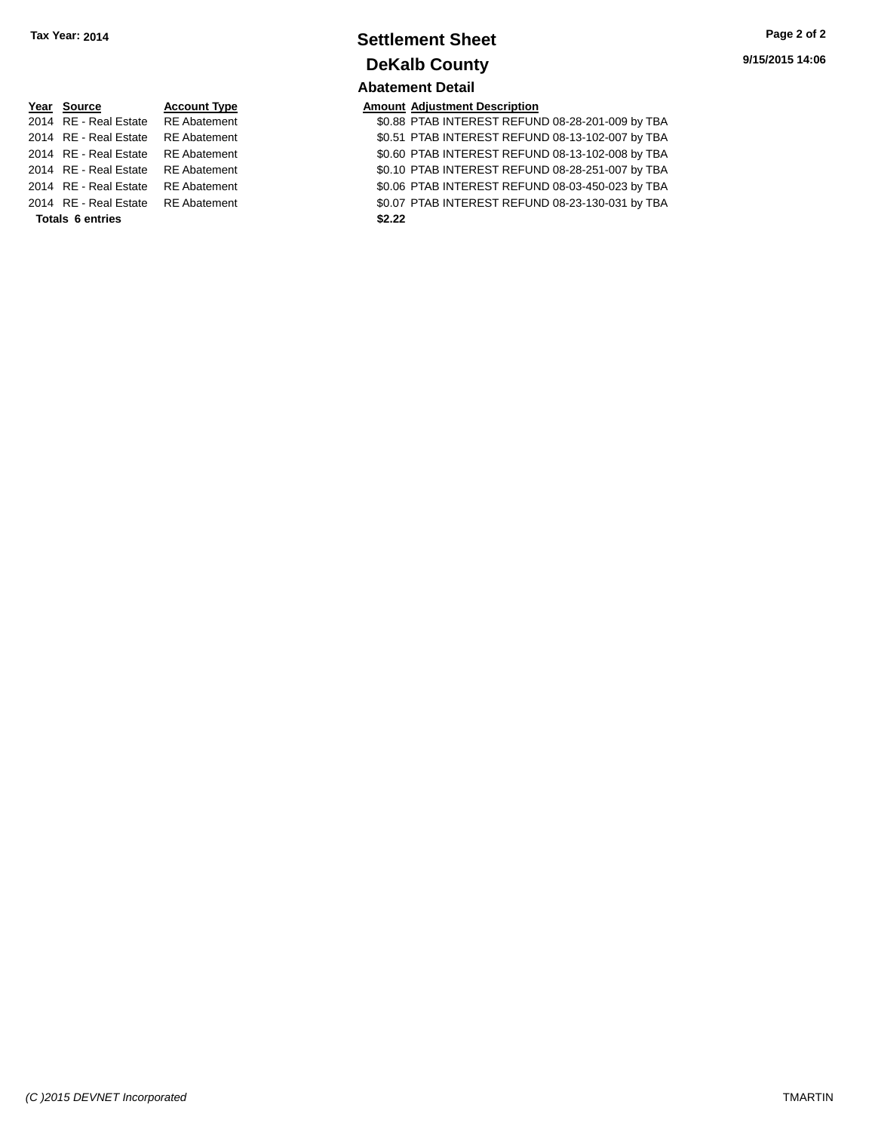### **Settlement Sheet Tax Year: 2014 Page 2 of 2 DeKalb County Abatement Detail**

| Year Source                        | <b>Account Type</b> |        | <b>Amount Adjustment Description</b> |
|------------------------------------|---------------------|--------|--------------------------------------|
| 2014 RE - Real Estate RE Abatement |                     |        | \$0.88 PTAB INTEREST REFUN           |
| 2014 RE - Real Estate RE Abatement |                     |        | \$0.51 PTAB INTEREST REFUN           |
| 2014 RE - Real Estate RE Abatement |                     |        | \$0.60 PTAB INTEREST REFUN           |
| 2014 RE - Real Estate RE Abatement |                     |        | \$0.10 PTAB INTEREST REFUN           |
| 2014 RE - Real Estate RE Abatement |                     |        | \$0.06 PTAB INTEREST REFUN           |
| 2014 RE - Real Estate RE Abatement |                     |        | \$0.07 PTAB INTEREST REFUN           |
| <b>Totals 6 entries</b>            |                     | \$2.22 |                                      |

\$0.88 PTAB INTEREST REFUND 08-28-201-009 by TBA 11 **2014 REAL ESTATE REAL ESTATE REFUND 08-13-102-007 by TBA** 20.60 PTAB INTEREST REFUND 08-13-102-008 by TBA 1t 30.10 PTAB INTEREST REFUND 08-28-251-007 by TBA 1t 2014 80.06 PTAB INTEREST REFUND 08-03-450-023 by TBA 2016 REAL ESTATE REFUND 08-23-130-031 by TBA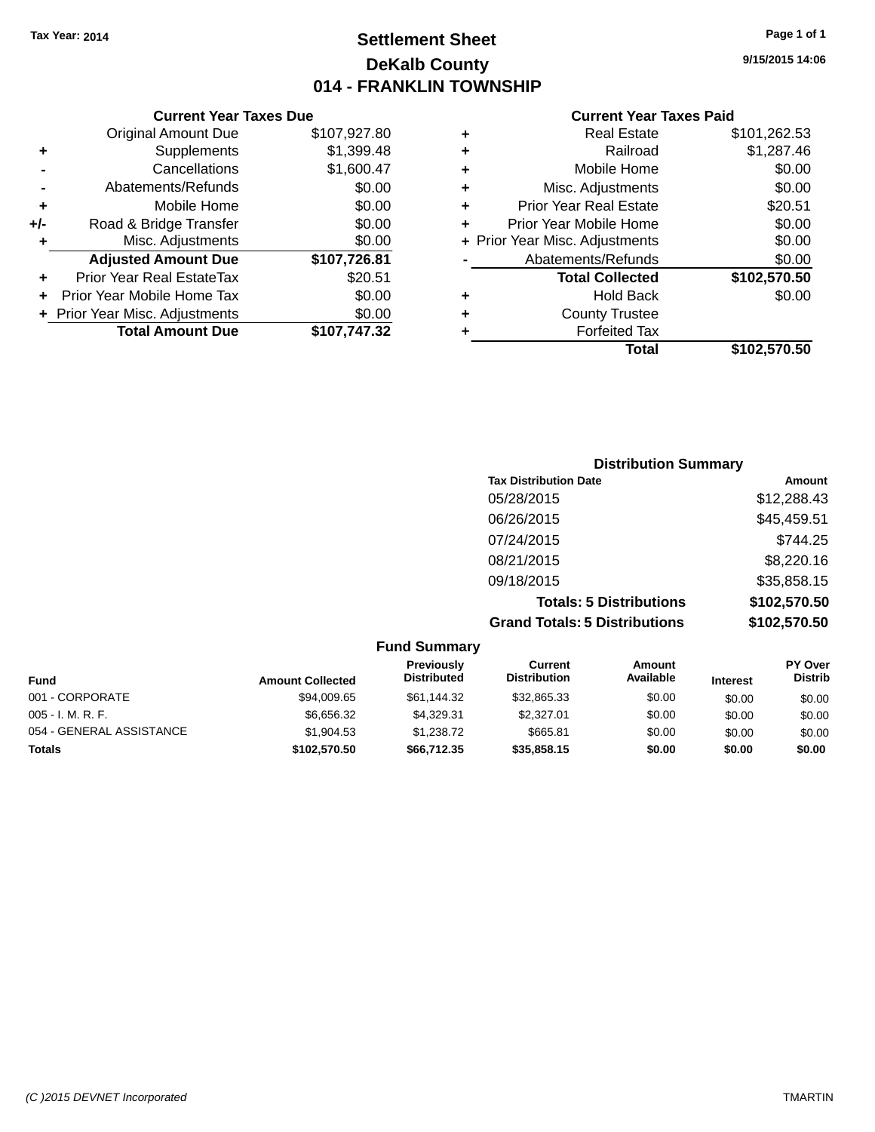### **Settlement Sheet Tax Year: 2014 Page 1 of 1 DeKalb County 014 - FRANKLIN TOWNSHIP**

**9/15/2015 14:06**

|     | <b>Current Year Taxes Due</b>    |              |
|-----|----------------------------------|--------------|
|     | <b>Original Amount Due</b>       | \$107,927.80 |
| ٠   | Supplements                      | \$1,399.48   |
|     | Cancellations                    | \$1,600.47   |
|     | Abatements/Refunds               | \$0.00       |
| ٠   | Mobile Home                      | \$0.00       |
| +/- | Road & Bridge Transfer           | \$0.00       |
| ٠   | Misc. Adjustments                | \$0.00       |
|     | <b>Adjusted Amount Due</b>       | \$107,726.81 |
|     | <b>Prior Year Real EstateTax</b> | \$20.51      |
|     | Prior Year Mobile Home Tax       | \$0.00       |
|     | + Prior Year Misc. Adjustments   | \$0.00       |
|     | <b>Total Amount Due</b>          | \$107,747.32 |
|     |                                  |              |

|   | <b>Real Estate</b>             | \$101,262.53 |
|---|--------------------------------|--------------|
| ٠ | Railroad                       | \$1,287.46   |
| ٠ | Mobile Home                    | \$0.00       |
| ٠ | Misc. Adjustments              | \$0.00       |
| ٠ | <b>Prior Year Real Estate</b>  | \$20.51      |
| ÷ | Prior Year Mobile Home         | \$0.00       |
|   | + Prior Year Misc. Adjustments | \$0.00       |
|   | Abatements/Refunds             | \$0.00       |
|   | <b>Total Collected</b>         | \$102,570.50 |
| ٠ | <b>Hold Back</b>               | \$0.00       |
| ٠ | <b>County Trustee</b>          |              |
| ٠ | <b>Forfeited Tax</b>           |              |
|   | Total                          | \$102,570.50 |
|   |                                |              |

| <b>Distribution Summary</b>          |              |
|--------------------------------------|--------------|
| <b>Tax Distribution Date</b>         | Amount       |
| 05/28/2015                           | \$12,288.43  |
| 06/26/2015                           | \$45,459.51  |
| 07/24/2015                           | \$744.25     |
| 08/21/2015                           | \$8,220.16   |
| 09/18/2015                           | \$35,858.15  |
| <b>Totals: 5 Distributions</b>       | \$102,570.50 |
| <b>Grand Totals: 5 Distributions</b> | \$102,570.50 |

|                          |                         | <b>Fund Summary</b>              |                                |                     |                 |                                  |
|--------------------------|-------------------------|----------------------------------|--------------------------------|---------------------|-----------------|----------------------------------|
| Fund                     | <b>Amount Collected</b> | Previously<br><b>Distributed</b> | Current<br><b>Distribution</b> | Amount<br>Available | <b>Interest</b> | <b>PY Over</b><br><b>Distrib</b> |
| 001 - CORPORATE          | \$94,009.65             | \$61,144.32                      | \$32,865.33                    | \$0.00              | \$0.00          | \$0.00                           |
| $005 - I. M. R. F.$      | \$6,656.32              | \$4.329.31                       | \$2,327.01                     | \$0.00              | \$0.00          | \$0.00                           |
| 054 - GENERAL ASSISTANCE | \$1.904.53              | \$1,238.72                       | \$665.81                       | \$0.00              | \$0.00          | \$0.00                           |
| <b>Totals</b>            | \$102,570.50            | \$66.712.35                      | \$35,858.15                    | \$0.00              | \$0.00          | \$0.00                           |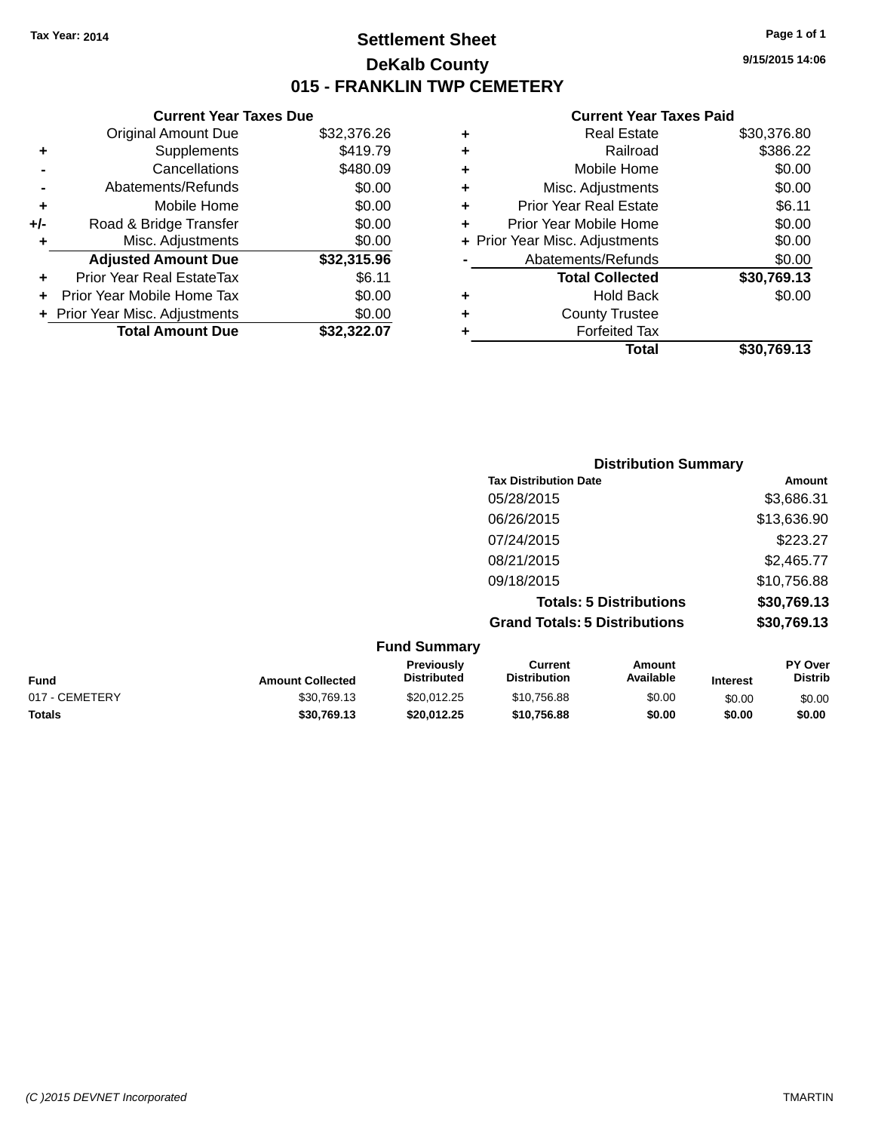### **Settlement Sheet Tax Year: 2014 Page 1 of 1 DeKalb County 015 - FRANKLIN TWP CEMETERY**

**9/15/2015 14:06**

| <b>Current Year Taxes Due</b> |             |
|-------------------------------|-------------|
| <b>Original Amount Due</b>    | \$32,376.26 |
| Supplements                   | \$419.79    |
| Cancellations                 | \$480.09    |
| Abatements/Refunds            | \$0.00      |
| Mobile Home                   | \$0.00      |
| Road & Bridge Transfer        | \$0.00      |
| Misc. Adjustments             | \$0.00      |
| <b>Adjusted Amount Due</b>    | \$32,315.96 |
| Prior Year Real EstateTax     | \$6.11      |
| Prior Year Mobile Home Tax    | \$0.00      |
|                               |             |
| Prior Year Misc. Adjustments  | \$0.00      |
|                               |             |

|   | <b>Real Estate</b>             | \$30,376.80 |
|---|--------------------------------|-------------|
| ٠ | Railroad                       | \$386.22    |
| ٠ | Mobile Home                    | \$0.00      |
| ٠ | Misc. Adjustments              | \$0.00      |
| ٠ | <b>Prior Year Real Estate</b>  | \$6.11      |
| ٠ | Prior Year Mobile Home         | \$0.00      |
|   | + Prior Year Misc. Adjustments | \$0.00      |
|   | Abatements/Refunds             | \$0.00      |
|   | <b>Total Collected</b>         | \$30,769.13 |
| ٠ | Hold Back                      | \$0.00      |
| ٠ | <b>County Trustee</b>          |             |
| ٠ | <b>Forfeited Tax</b>           |             |
|   | Total                          | \$30,769.13 |
|   |                                |             |

|         | <b>Distribution Summary</b>          |             |
|---------|--------------------------------------|-------------|
|         | <b>Tax Distribution Date</b>         | Amount      |
|         | 05/28/2015                           | \$3,686.31  |
|         | 06/26/2015                           | \$13,636.90 |
|         | 07/24/2015                           | \$223.27    |
|         | 08/21/2015                           | \$2,465.77  |
|         | 09/18/2015                           | \$10,756.88 |
|         | <b>Totals: 5 Distributions</b>       | \$30,769.13 |
|         | <b>Grand Totals: 5 Distributions</b> | \$30,769.13 |
| $E_{t}$ |                                      |             |

|                |                         | <b>Fund Summary</b>                     |                                |                     |                 |                           |
|----------------|-------------------------|-----------------------------------------|--------------------------------|---------------------|-----------------|---------------------------|
| <b>Fund</b>    | <b>Amount Collected</b> | <b>Previously</b><br><b>Distributed</b> | Current<br><b>Distribution</b> | Amount<br>Available | <b>Interest</b> | PY Over<br><b>Distrib</b> |
| 017 - CEMETERY | \$30,769.13             | \$20.012.25                             | \$10,756.88                    | \$0.00              | \$0.00          | \$0.00                    |
| <b>Totals</b>  | \$30,769.13             | \$20.012.25                             | \$10.756.88                    | \$0.00              | \$0.00          | \$0.00                    |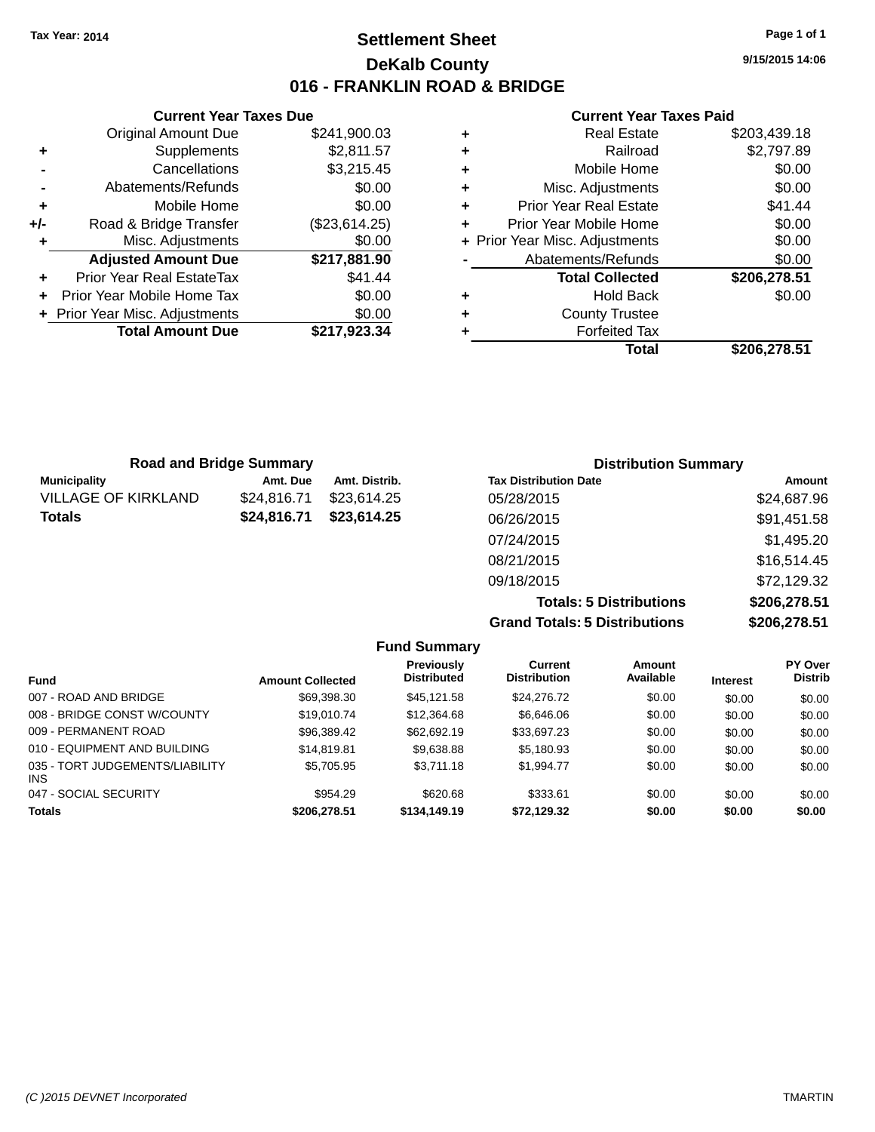### **Settlement Sheet Tax Year: 2014 Page 1 of 1 DeKalb County 016 - FRANKLIN ROAD & BRIDGE**

**9/15/2015 14:06**

#### **Current Year Taxes Paid**

|     | <b>Current Year Taxes Due</b>  |               |  |  |  |
|-----|--------------------------------|---------------|--|--|--|
|     | <b>Original Amount Due</b>     | \$241,900.03  |  |  |  |
| ٠   | Supplements                    | \$2,811.57    |  |  |  |
|     | Cancellations                  | \$3,215.45    |  |  |  |
|     | Abatements/Refunds             | \$0.00        |  |  |  |
| ٠   | Mobile Home                    | \$0.00        |  |  |  |
| +/- | Road & Bridge Transfer         | (\$23,614.25) |  |  |  |
| ٠   | Misc. Adjustments              | \$0.00        |  |  |  |
|     | <b>Adjusted Amount Due</b>     | \$217,881.90  |  |  |  |
| ٠   | Prior Year Real EstateTax      | \$41.44       |  |  |  |
| ÷   | Prior Year Mobile Home Tax     | \$0.00        |  |  |  |
|     | + Prior Year Misc. Adjustments | \$0.00        |  |  |  |
|     | <b>Total Amount Due</b>        | \$217.923.34  |  |  |  |
|     |                                |               |  |  |  |

| <b>Real Estate</b>             | \$203,439.18 |
|--------------------------------|--------------|
| Railroad                       | \$2,797.89   |
| Mobile Home                    | \$0.00       |
| Misc. Adjustments              | \$0.00       |
| <b>Prior Year Real Estate</b>  | \$41.44      |
| Prior Year Mobile Home         | \$0.00       |
| + Prior Year Misc. Adjustments | \$0.00       |
| Abatements/Refunds             | \$0.00       |
| <b>Total Collected</b>         | \$206,278.51 |
| <b>Hold Back</b>               | \$0.00       |
| <b>County Trustee</b>          |              |
| <b>Forfeited Tax</b>           |              |
|                                |              |
|                                |              |

| <b>Road and Bridge Summary</b> |             |               | <b>Distribution Summary</b>  |             |
|--------------------------------|-------------|---------------|------------------------------|-------------|
| <b>Municipality</b>            | Amt. Due    | Amt. Distrib. | <b>Tax Distribution Date</b> | Amount      |
| <b>VILLAGE OF KIRKLAND</b>     | \$24,816.71 | \$23.614.25   | 05/28/2015                   | \$24,687.96 |
| <b>Totals</b>                  | \$24,816.71 | \$23,614.25   | 06/26/2015                   | \$91,451.58 |
|                                |             |               | 07/24/2015                   | \$1,495.20  |
|                                |             |               | 08/21/2015                   | \$16,514.45 |
|                                |             |               | 09/18/2015                   | \$72,129.32 |
|                                |             |               |                              | $\cdots$    |

**Totals: 5 Distributions \$206,278.51 Grand Totals: 5 Distributions \$206,278.51**

| <b>Fund Summary</b>                     |                         |                                  |                                       |                     |                 |                                  |
|-----------------------------------------|-------------------------|----------------------------------|---------------------------------------|---------------------|-----------------|----------------------------------|
| <b>Fund</b>                             | <b>Amount Collected</b> | Previously<br><b>Distributed</b> | <b>Current</b><br><b>Distribution</b> | Amount<br>Available | <b>Interest</b> | <b>PY Over</b><br><b>Distrib</b> |
| 007 - ROAD AND BRIDGE                   | \$69,398.30             | \$45.121.58                      | \$24,276,72                           | \$0.00              | \$0.00          | \$0.00                           |
| 008 - BRIDGE CONST W/COUNTY             | \$19,010.74             | \$12,364.68                      | \$6,646,06                            | \$0.00              | \$0.00          | \$0.00                           |
| 009 - PERMANENT ROAD                    | \$96.389.42             | \$62,692.19                      | \$33,697.23                           | \$0.00              | \$0.00          | \$0.00                           |
| 010 - EQUIPMENT AND BUILDING            | \$14.819.81             | \$9,638,88                       | \$5,180.93                            | \$0.00              | \$0.00          | \$0.00                           |
| 035 - TORT JUDGEMENTS/LIABILITY<br>INS. | \$5,705.95              | \$3,711.18                       | \$1.994.77                            | \$0.00              | \$0.00          | \$0.00                           |
| 047 - SOCIAL SECURITY                   | \$954.29                | \$620.68                         | \$333.61                              | \$0.00              | \$0.00          | \$0.00                           |
| <b>Totals</b>                           | \$206,278.51            | \$134,149.19                     | \$72,129.32                           | \$0.00              | \$0.00          | \$0.00                           |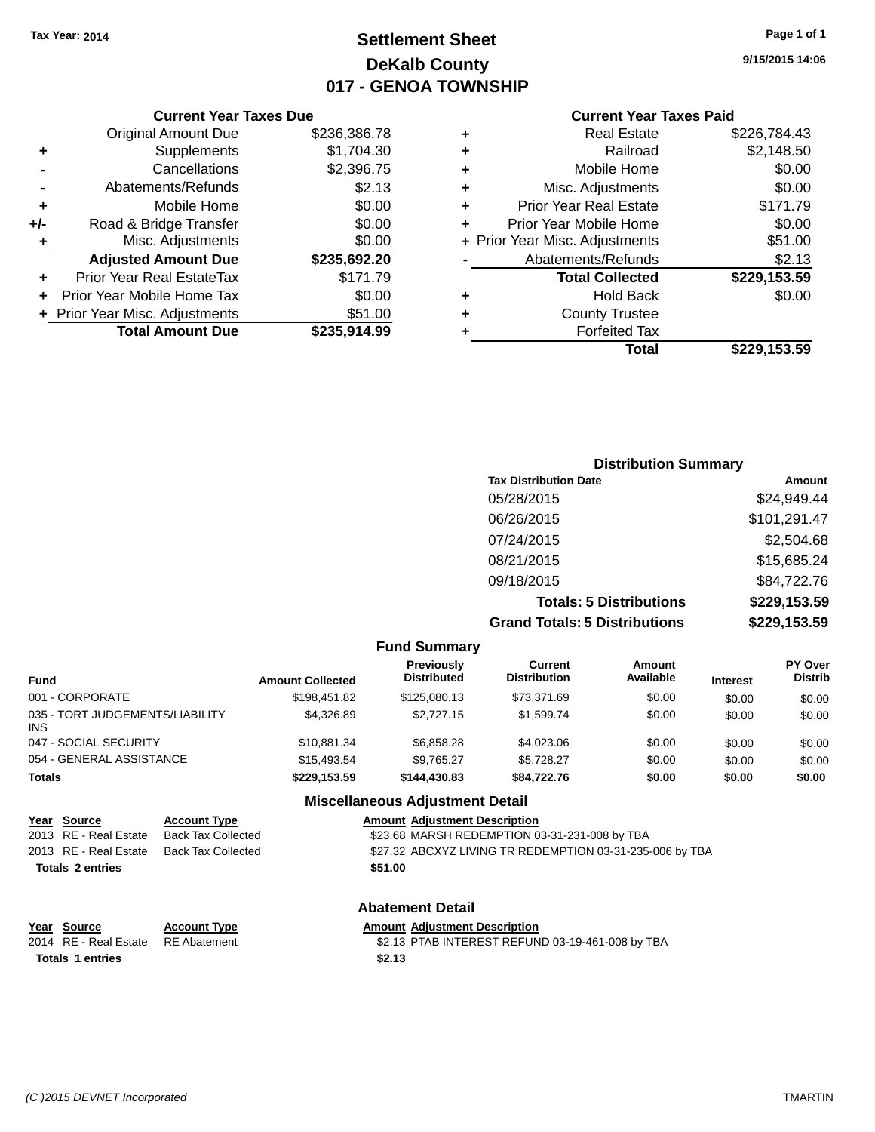## **Settlement Sheet Tax Year: 2014 Page 1 of 1 DeKalb County 017 - GENOA TOWNSHIP**

**9/15/2015 14:06**

#### **Current Year Taxes Paid**

|       | <b>Current Year Taxes Due</b>  |              |
|-------|--------------------------------|--------------|
|       | <b>Original Amount Due</b>     | \$236,386.78 |
| ٠     | Supplements                    | \$1,704.30   |
|       | Cancellations                  | \$2,396.75   |
|       | Abatements/Refunds             | \$2.13       |
| ÷     | Mobile Home                    | \$0.00       |
| $+/-$ | Road & Bridge Transfer         | \$0.00       |
|       | Misc. Adjustments              | \$0.00       |
|       | <b>Adjusted Amount Due</b>     | \$235,692.20 |
| ÷     | Prior Year Real EstateTax      | \$171.79     |
|       | Prior Year Mobile Home Tax     | \$0.00       |
|       | + Prior Year Misc. Adjustments | \$51.00      |
|       | <b>Total Amount Due</b>        | \$235.914.99 |
|       |                                |              |

| ٠ | <b>Real Estate</b>             | \$226,784.43 |
|---|--------------------------------|--------------|
| ٠ | Railroad                       | \$2,148.50   |
| ٠ | Mobile Home                    | \$0.00       |
| ٠ | Misc. Adjustments              | \$0.00       |
| ٠ | <b>Prior Year Real Estate</b>  | \$171.79     |
| ٠ | Prior Year Mobile Home         | \$0.00       |
|   | + Prior Year Misc. Adjustments | \$51.00      |
|   | Abatements/Refunds             | \$2.13       |
|   | <b>Total Collected</b>         | \$229,153.59 |
| ٠ | <b>Hold Back</b>               | \$0.00       |
| ÷ | <b>County Trustee</b>          |              |
| ٠ | <b>Forfeited Tax</b>           |              |
|   | Total                          | \$229,153.59 |
|   |                                |              |

|                                      | <b>Distribution Summary</b> |  |  |
|--------------------------------------|-----------------------------|--|--|
| <b>Tax Distribution Date</b>         | Amount                      |  |  |
| 05/28/2015                           | \$24,949.44                 |  |  |
| 06/26/2015                           | \$101,291.47                |  |  |
| 07/24/2015                           | \$2,504.68                  |  |  |
| 08/21/2015                           | \$15,685.24                 |  |  |
| 09/18/2015                           | \$84,722.76                 |  |  |
| <b>Totals: 5 Distributions</b>       | \$229,153.59                |  |  |
| <b>Grand Totals: 5 Distributions</b> | \$229,153.59                |  |  |

|                                         |                     |                         | <b>Fund Summary</b>                     |                                       |                     |                 |                                  |
|-----------------------------------------|---------------------|-------------------------|-----------------------------------------|---------------------------------------|---------------------|-----------------|----------------------------------|
| <b>Fund</b>                             |                     | <b>Amount Collected</b> | <b>Previously</b><br><b>Distributed</b> | <b>Current</b><br><b>Distribution</b> | Amount<br>Available | <b>Interest</b> | <b>PY Over</b><br><b>Distrib</b> |
| 001 - CORPORATE                         |                     | \$198,451.82            | \$125,080.13                            | \$73,371.69                           | \$0.00              | \$0.00          | \$0.00                           |
| 035 - TORT JUDGEMENTS/LIABILITY<br>INS. |                     | \$4,326.89              | \$2,727.15                              | \$1,599.74                            | \$0.00              | \$0.00          | \$0.00                           |
| 047 - SOCIAL SECURITY                   |                     | \$10,881.34             | \$6,858.28                              | \$4,023.06                            | \$0.00              | \$0.00          | \$0.00                           |
| 054 - GENERAL ASSISTANCE                |                     | \$15,493.54             | \$9,765.27                              | \$5,728.27                            | \$0.00              | \$0.00          | \$0.00                           |
| <b>Totals</b>                           |                     | \$229,153.59            | \$144,430.83                            | \$84,722.76                           | \$0.00              | \$0.00          | \$0.00                           |
|                                         |                     |                         | <b>Miscellaneous Adjustment Detail</b>  |                                       |                     |                 |                                  |
| Year<br>Source                          | <b>Account Type</b> |                         | <b>Amount Adjustment Description</b>    |                                       |                     |                 |                                  |

|                         | 2013 RE - Real Estate   | <b>Back Tax Collected</b> | \$23.68 MARSH REDEMPTION 03-31-231-008 by TBA            |  |  |
|-------------------------|-------------------------|---------------------------|----------------------------------------------------------|--|--|
|                         | 2013 RE - Real Estate   | <b>Back Tax Collected</b> | \$27.32 ABCXYZ LIVING TR REDEMPTION 03-31-235-006 by TBA |  |  |
| <b>Totals 2 entries</b> |                         |                           | \$51.00                                                  |  |  |
|                         |                         |                           |                                                          |  |  |
|                         | <b>Abatement Detail</b> |                           |                                                          |  |  |
|                         | Year Source             | <b>Account Type</b>       | <b>Amount Adjustment Description</b>                     |  |  |
|                         | 2014 RE - Real Estate   | <b>RE</b> Abatement       | \$2.13 PTAB INTEREST REFUND 03-19-461-008 by TBA         |  |  |

**Totals 1 entries \$2.13**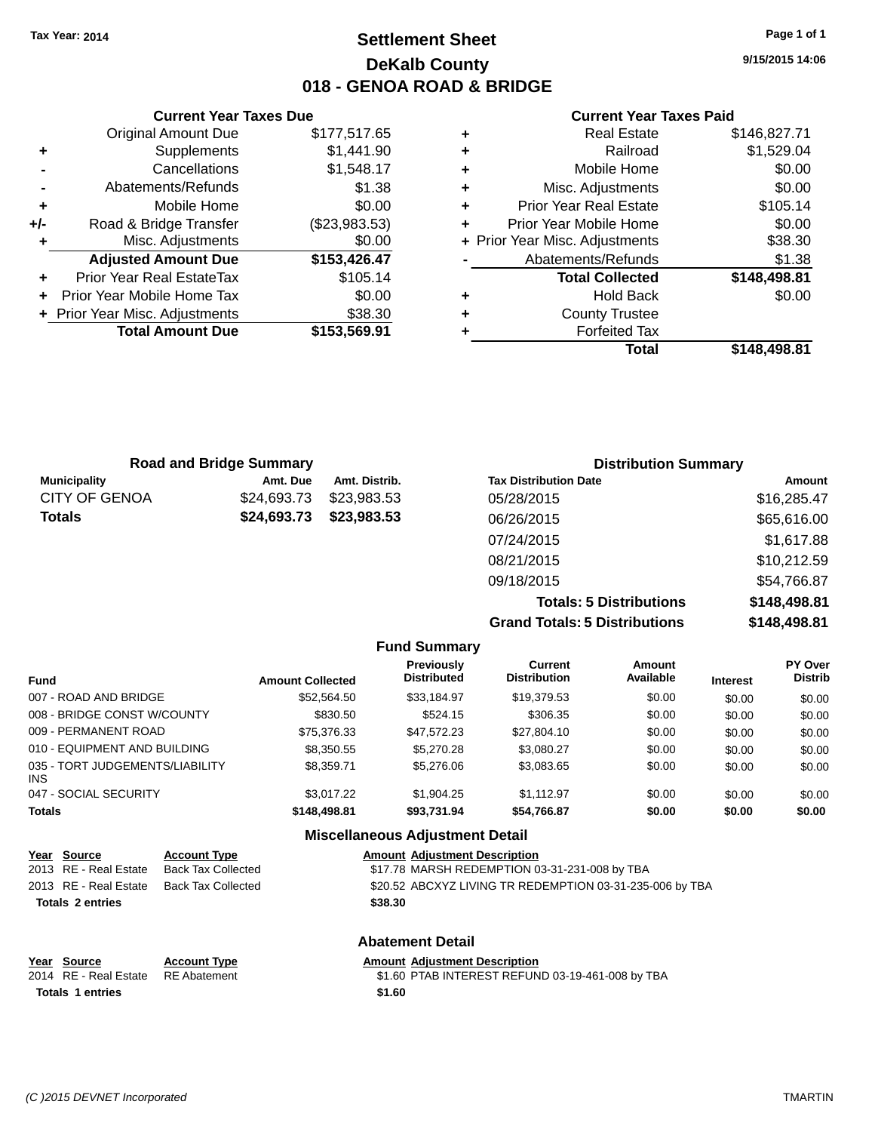### **Settlement Sheet Tax Year: 2014 Page 1 of 1 DeKalb County 018 - GENOA ROAD & BRIDGE**

**9/15/2015 14:06**

#### **Current Year Taxes Paid**

|     | <b>Current Year Taxes Due</b>  |               |
|-----|--------------------------------|---------------|
|     | <b>Original Amount Due</b>     | \$177,517.65  |
| ٠   | Supplements                    | \$1,441.90    |
|     | Cancellations                  | \$1,548.17    |
|     | Abatements/Refunds             | \$1.38        |
| ٠   | Mobile Home                    | \$0.00        |
| +/- | Road & Bridge Transfer         | (\$23,983.53) |
|     | Misc. Adjustments              | \$0.00        |
|     | <b>Adjusted Amount Due</b>     | \$153,426.47  |
|     | Prior Year Real EstateTax      | \$105.14      |
|     | Prior Year Mobile Home Tax     | \$0.00        |
|     | + Prior Year Misc. Adjustments | \$38.30       |
|     | <b>Total Amount Due</b>        | \$153,569.91  |
|     |                                |               |

|   | <b>Total</b>                   | \$148,498.81 |
|---|--------------------------------|--------------|
| ٠ | <b>Forfeited Tax</b>           |              |
| ٠ | <b>County Trustee</b>          |              |
| ٠ | <b>Hold Back</b>               | \$0.00       |
|   | <b>Total Collected</b>         | \$148,498.81 |
|   | Abatements/Refunds             | \$1.38       |
|   | + Prior Year Misc. Adjustments | \$38.30      |
| ٠ | Prior Year Mobile Home         | \$0.00       |
| ٠ | <b>Prior Year Real Estate</b>  | \$105.14     |
| ٠ | Misc. Adjustments              | \$0.00       |
| ٠ | Mobile Home                    | \$0.00       |
| ٠ | Railroad                       | \$1,529.04   |
|   | <b>Real Estate</b>             | \$146,827.71 |

| <b>Road and Bridge Summary</b> |             | <b>Distribution Summary</b> |                                |              |
|--------------------------------|-------------|-----------------------------|--------------------------------|--------------|
| <b>Municipality</b>            | Amt. Due    | Amt. Distrib.               | <b>Tax Distribution Date</b>   | Amount       |
| <b>CITY OF GENOA</b>           | \$24,693.73 | \$23,983.53                 | 05/28/2015                     | \$16,285.47  |
| <b>Totals</b>                  | \$24,693.73 | \$23,983.53                 | 06/26/2015                     | \$65,616.00  |
|                                |             |                             | 07/24/2015                     | \$1,617.88   |
|                                |             |                             | 08/21/2015                     | \$10,212.59  |
|                                |             |                             | 09/18/2015                     | \$54,766.87  |
|                                |             |                             | <b>Totals: 5 Distributions</b> | \$148,498.81 |

**Grand Totals: 5 Distributions \$148,498.81**

|                                         |                         |                                         |                                       | orana Tolais. J Distributions |                 | $V = V - V - V$                  |  |
|-----------------------------------------|-------------------------|-----------------------------------------|---------------------------------------|-------------------------------|-----------------|----------------------------------|--|
|                                         |                         | <b>Fund Summary</b>                     |                                       |                               |                 |                                  |  |
| <b>Fund</b>                             | <b>Amount Collected</b> | <b>Previously</b><br><b>Distributed</b> | <b>Current</b><br><b>Distribution</b> | <b>Amount</b><br>Available    | <b>Interest</b> | <b>PY Over</b><br><b>Distrib</b> |  |
| 007 - ROAD AND BRIDGE                   | \$52,564.50             | \$33,184.97                             | \$19,379.53                           | \$0.00                        | \$0.00          | \$0.00                           |  |
| 008 - BRIDGE CONST W/COUNTY             | \$830.50                | \$524.15                                | \$306.35                              | \$0.00                        | \$0.00          | \$0.00                           |  |
| 009 - PERMANENT ROAD                    | \$75.376.33             | \$47.572.23                             | \$27,804.10                           | \$0.00                        | \$0.00          | \$0.00                           |  |
| 010 - EQUIPMENT AND BUILDING            | \$8,350.55              | \$5,270.28                              | \$3,080.27                            | \$0.00                        | \$0.00          | \$0.00                           |  |
| 035 - TORT JUDGEMENTS/LIABILITY<br>INS. | \$8,359.71              | \$5,276.06                              | \$3,083.65                            | \$0.00                        | \$0.00          | \$0.00                           |  |
| 047 - SOCIAL SECURITY                   | \$3.017.22              | \$1.904.25                              | \$1.112.97                            | \$0.00                        | \$0.00          | \$0.00                           |  |
| <b>Totals</b>                           | \$148,498.81            | \$93.731.94                             | \$54.766.87                           | \$0.00                        | \$0.00          | \$0.00                           |  |
|                                         |                         | <b>Miscellaneous Adiustment Detail</b>  |                                       |                               |                 |                                  |  |

|                         | Year Source                                                                                                                           | <b>Account Type</b>       | <b>Amount Adjustment Description</b>                                 |  |
|-------------------------|---------------------------------------------------------------------------------------------------------------------------------------|---------------------------|----------------------------------------------------------------------|--|
|                         | 2013 RE - Real Estate                                                                                                                 | Back Tax Collected        | \$17.78 MARSH REDEMPTION 03-31-231-008 by TBA                        |  |
|                         | 2013 RE - Real Estate                                                                                                                 | <b>Back Tax Collected</b> | \$20.52 ABCXYZ LIVING TR REDEMPTION 03-31-235-006 by TBA             |  |
| <b>Totals 2 entries</b> |                                                                                                                                       |                           | \$38.30                                                              |  |
|                         |                                                                                                                                       |                           | <b>Abatement Detail</b>                                              |  |
|                         | Year Source                                                                                                                           | <b>Account Type</b>       | <b>Amount Adjustment Description</b>                                 |  |
|                         | $0.011 \cdot \mathsf{D} \mathsf{F}$ $\mathsf{D} \cdot \mathsf{F} \cdot \mathsf{F} \cdot \mathsf{F} \cdot \mathsf{F} \cdot \mathsf{F}$ | $D = A L + L + L + L$     | $A$ as $D T A D H T T D T Q T D T T H D Q Q A A Q A Q A Q A P T D A$ |  |

**Totals 1 entries \$1.60**

2014 RE - Real Estate RE Abatement \$1.60 PTAB INTEREST REFUND 03-19-461-008 by TBA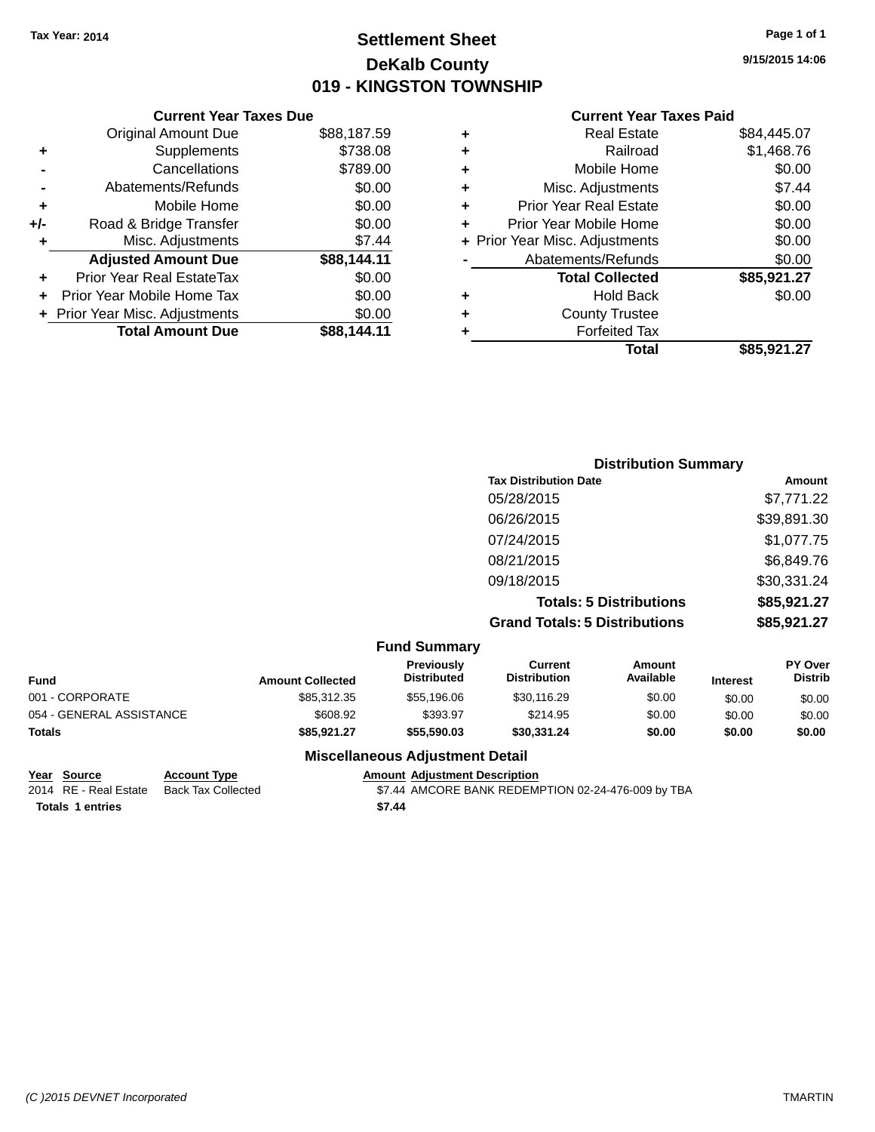### **Settlement Sheet Tax Year: 2014 Page 1 of 1 DeKalb County 019 - KINGSTON TOWNSHIP**

**9/15/2015 14:06**

#### **Current Year Taxes Paid**

|     | <b>Current Year Taxes Due</b>  |             |
|-----|--------------------------------|-------------|
|     | <b>Original Amount Due</b>     | \$88,187.59 |
| ÷   | Supplements                    | \$738.08    |
|     | Cancellations                  | \$789.00    |
|     | Abatements/Refunds             | \$0.00      |
| ٠   | Mobile Home                    | \$0.00      |
| +/- | Road & Bridge Transfer         | \$0.00      |
|     | Misc. Adjustments              | \$7.44      |
|     | <b>Adjusted Amount Due</b>     | \$88,144.11 |
| ÷   | Prior Year Real EstateTax      | \$0.00      |
|     | Prior Year Mobile Home Tax     | \$0.00      |
|     | + Prior Year Misc. Adjustments | \$0.00      |
|     | <b>Total Amount Due</b>        | \$88.144.11 |

|   | <b>Real Estate</b>             | \$84,445.07 |
|---|--------------------------------|-------------|
| ٠ | Railroad                       | \$1,468.76  |
| ٠ | Mobile Home                    | \$0.00      |
| ٠ | Misc. Adjustments              | \$7.44      |
| ٠ | <b>Prior Year Real Estate</b>  | \$0.00      |
| ٠ | Prior Year Mobile Home         | \$0.00      |
|   | + Prior Year Misc. Adjustments | \$0.00      |
|   | Abatements/Refunds             | \$0.00      |
|   | <b>Total Collected</b>         | \$85,921.27 |
| ٠ | <b>Hold Back</b>               | \$0.00      |
| ٠ | <b>County Trustee</b>          |             |
| ٠ | <b>Forfeited Tax</b>           |             |
|   | Total                          | \$85.921.27 |
|   |                                |             |

|                                      | <b>Distribution Summary</b> |
|--------------------------------------|-----------------------------|
| <b>Tax Distribution Date</b>         | Amount                      |
| 05/28/2015                           | \$7,771.22                  |
| 06/26/2015                           | \$39,891.30                 |
| 07/24/2015                           | \$1,077.75                  |
| 08/21/2015                           | \$6,849.76                  |
| 09/18/2015                           | \$30,331.24                 |
| <b>Totals: 5 Distributions</b>       | \$85,921.27                 |
| <b>Grand Totals: 5 Distributions</b> | \$85,921.27                 |
| $E_{11}$ and $E_{11}$ and $E_{21}$   |                             |

| <b>Fund Summary</b>      |                         |                                         |                                |                     |                 |                                  |
|--------------------------|-------------------------|-----------------------------------------|--------------------------------|---------------------|-----------------|----------------------------------|
| <b>Fund</b>              | <b>Amount Collected</b> | <b>Previously</b><br><b>Distributed</b> | Current<br><b>Distribution</b> | Amount<br>Available | <b>Interest</b> | <b>PY Over</b><br><b>Distrib</b> |
| 001 - CORPORATE          | \$85,312,35             | \$55,196,06                             | \$30,116.29                    | \$0.00              | \$0.00          | \$0.00                           |
| 054 - GENERAL ASSISTANCE | \$608.92                | \$393.97                                | \$214.95                       | \$0.00              | \$0.00          | \$0.00                           |
| <b>Totals</b>            | \$85,921.27             | \$55,590.03                             | \$30,331,24                    | \$0.00              | \$0.00          | \$0.00                           |

**Totals \$7.44 1 entries**

**Miscellaneous Adjustment Detail**

## **Year Source Account Type Amount Adjustment Description**

\$7.44 AMCORE BANK REDEMPTION 02-24-476-009 by TBA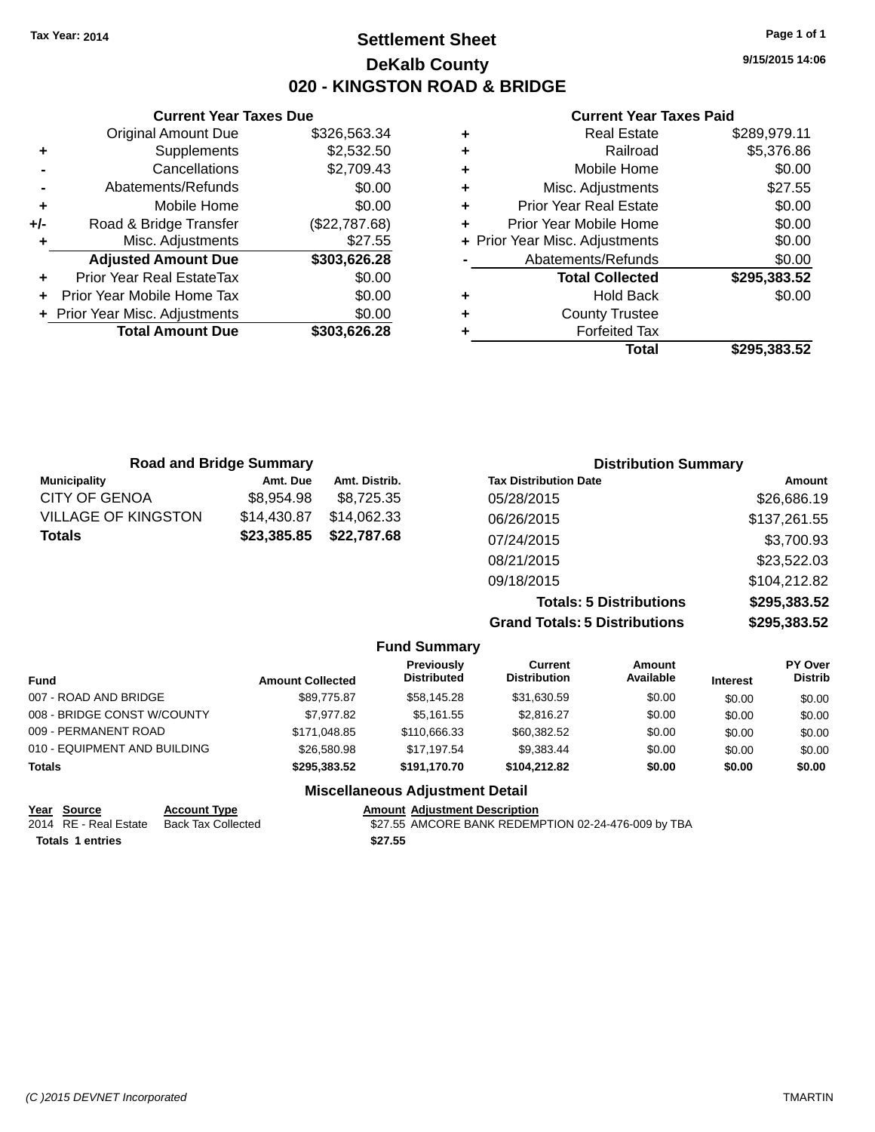### **Settlement Sheet Tax Year: 2014 Page 1 of 1 DeKalb County 020 - KINGSTON ROAD & BRIDGE**

**9/15/2015 14:06**

**Total \$295,383.52**

#### **Current Year Taxes Paid**

| \$326,563.34  | ٠ | <b>Real Estate</b>             | \$289,979.11 |
|---------------|---|--------------------------------|--------------|
| \$2,532.50    | ٠ | Railroad                       | \$5,376.86   |
| \$2,709.43    | ٠ | Mobile Home                    | \$0.00       |
| \$0.00        | ٠ | Misc. Adjustments              | \$27.55      |
| \$0.00        | ٠ | <b>Prior Year Real Estate</b>  | \$0.00       |
| (\$22,787.68) | ٠ | Prior Year Mobile Home         | \$0.00       |
| \$27.55       |   | + Prior Year Misc. Adjustments | \$0.00       |
| \$303,626.28  |   | Abatements/Refunds             | \$0.00       |
| \$0.00        |   | <b>Total Collected</b>         | \$295,383.52 |
| \$0.00        | ٠ | <b>Hold Back</b>               | \$0.00       |
| \$0.00        | ٠ | <b>County Trustee</b>          |              |
| \$303,626.28  |   | <b>Forfeited Tax</b>           |              |
|               |   | Total                          | \$295,383.52 |

| <b>Road and Bridge Summary</b> |             |               | <b>Distribution Summary</b>  |              |
|--------------------------------|-------------|---------------|------------------------------|--------------|
| <b>Municipality</b>            | Amt. Due    | Amt. Distrib. | <b>Tax Distribution Date</b> | Amount       |
| CITY OF GENOA                  | \$8,954.98  | \$8.725.35    | 05/28/2015                   | \$26,686.19  |
| VILLAGE OF KINGSTON            | \$14,430.87 | \$14,062.33   | 06/26/2015                   | \$137,261.55 |
| Totals                         | \$23,385.85 | \$22,787.68   | 07/24/2015                   | \$3,700.93   |
|                                |             |               | 08/21/2015                   | \$23,522.03  |
|                                |             |               | 09/18/2015                   | \$104,212.82 |
|                                |             |               |                              |              |

**Totals: 5 Distributions \$295,383.52 Grand Totals: 5 Distributions \$295,383.52**

|                              |                         | <b>Fund Summary</b>                     |                                |                     |                 |                           |
|------------------------------|-------------------------|-----------------------------------------|--------------------------------|---------------------|-----------------|---------------------------|
| <b>Fund</b>                  | <b>Amount Collected</b> | <b>Previously</b><br><b>Distributed</b> | Current<br><b>Distribution</b> | Amount<br>Available | <b>Interest</b> | PY Over<br><b>Distrib</b> |
| 007 - ROAD AND BRIDGE        | \$89,775.87             | \$58,145.28                             | \$31,630.59                    | \$0.00              | \$0.00          | \$0.00                    |
| 008 - BRIDGE CONST W/COUNTY  | \$7,977.82              | \$5,161.55                              | \$2,816.27                     | \$0.00              | \$0.00          | \$0.00                    |
| 009 - PERMANENT ROAD         | \$171,048.85            | \$110,666.33                            | \$60,382.52                    | \$0.00              | \$0.00          | \$0.00                    |
| 010 - EQUIPMENT AND BUILDING | \$26,580.98             | \$17,197.54                             | \$9,383.44                     | \$0.00              | \$0.00          | \$0.00                    |
| Totals                       | \$295,383.52            | \$191.170.70                            | \$104.212.82                   | \$0.00              | \$0.00          | \$0.00                    |
|                              |                         | <b>Miscellaneous Adjustment Detail</b>  |                                |                     |                 |                           |

| Year Source           | <b>Account Type</b> | <b>Amount Adiustment Description</b>                |
|-----------------------|---------------------|-----------------------------------------------------|
| 2014 RE - Real Estate | Back Tax Collected  | \$27.55 AMCORE BANK REDEMPTION 02-24-476-009 by TBA |
| Totals 1 entries      |                     | \$27.55                                             |

#### **Current Year Taxes Due Original Amount Due**

**+** Supplements **-** Cancellations **-** Abatements/Refunds **+** Mobile Home **+/-** Road & Bridge Transfer **+** Misc. Adjustments

**+** Prior Year Real EstateTax \$0.00 **+** Prior Year Mobile Home Tax **+** Prior Year Misc. Adjustments

**Adjusted Amount Due** 

**Total Amount Due**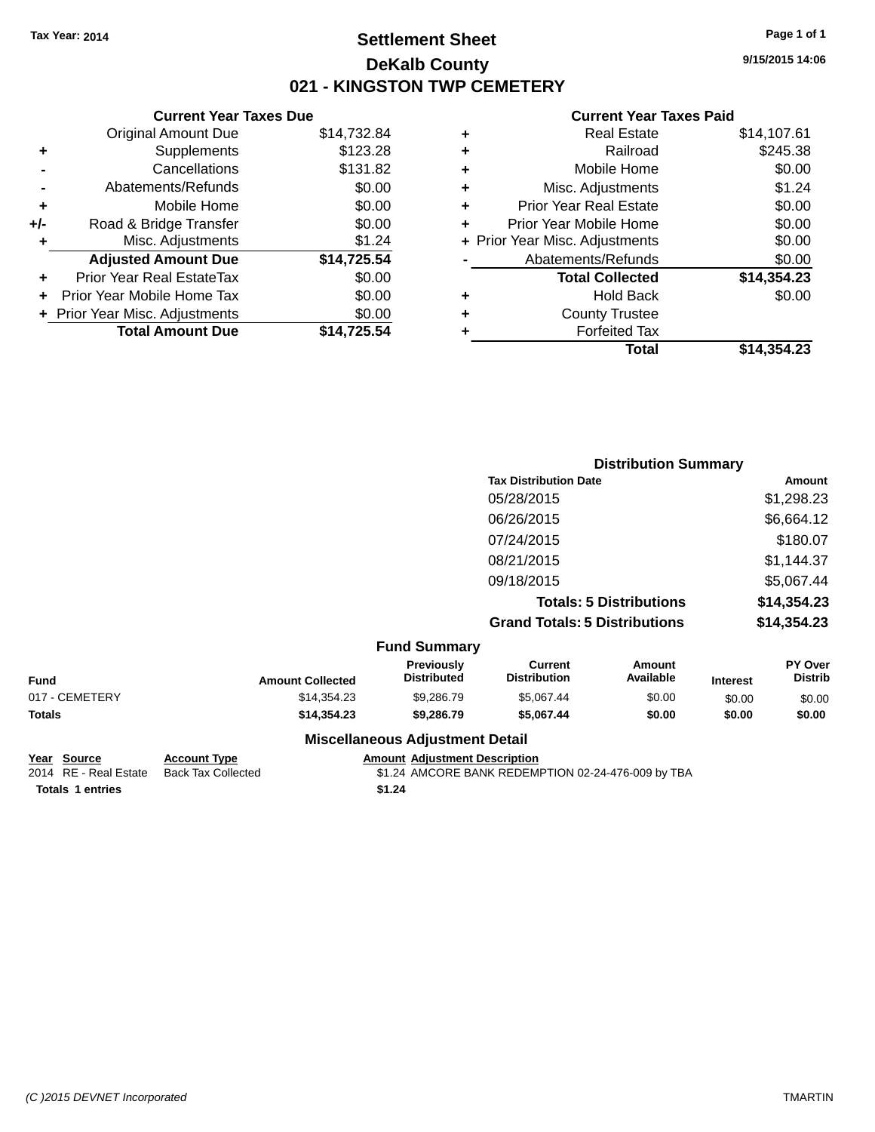### **Settlement Sheet Tax Year: 2014 Page 1 of 1 DeKalb County 021 - KINGSTON TWP CEMETERY**

**9/15/2015 14:06**

#### **Current Year Taxes Paid**

|     | <b>Current Year Taxes Due</b>  |             |
|-----|--------------------------------|-------------|
|     | <b>Original Amount Due</b>     | \$14,732.84 |
| ٠   | Supplements                    | \$123.28    |
|     | Cancellations                  | \$131.82    |
|     | Abatements/Refunds             | \$0.00      |
| ٠   | Mobile Home                    | \$0.00      |
| +/- | Road & Bridge Transfer         | \$0.00      |
|     | Misc. Adjustments              | \$1.24      |
|     | <b>Adjusted Amount Due</b>     | \$14,725.54 |
| ٠   | Prior Year Real EstateTax      | \$0.00      |
|     | Prior Year Mobile Home Tax     | \$0.00      |
|     | + Prior Year Misc. Adjustments | \$0.00      |
|     | <b>Total Amount Due</b>        | \$14,725.54 |
|     |                                |             |

|   | <b>Real Estate</b>             | \$14,107.61 |
|---|--------------------------------|-------------|
| ٠ | Railroad                       | \$245.38    |
| ٠ | Mobile Home                    | \$0.00      |
| ٠ | Misc. Adjustments              | \$1.24      |
| ٠ | Prior Year Real Estate         | \$0.00      |
| ٠ | Prior Year Mobile Home         | \$0.00      |
|   | + Prior Year Misc. Adjustments | \$0.00      |
|   | Abatements/Refunds             | \$0.00      |
|   | <b>Total Collected</b>         | \$14,354.23 |
| ٠ | <b>Hold Back</b>               | \$0.00      |
| ٠ | <b>County Trustee</b>          |             |
| ٠ | <b>Forfeited Tax</b>           |             |
|   | Total                          | \$14.354.23 |
|   |                                |             |

| <b>Distribution Summary</b>          |             |  |  |  |
|--------------------------------------|-------------|--|--|--|
| <b>Tax Distribution Date</b>         | Amount      |  |  |  |
| 05/28/2015                           | \$1,298.23  |  |  |  |
| 06/26/2015                           | \$6,664.12  |  |  |  |
| 07/24/2015                           | \$180.07    |  |  |  |
| 08/21/2015                           | \$1,144.37  |  |  |  |
| 09/18/2015                           | \$5,067.44  |  |  |  |
| <b>Totals: 5 Distributions</b>       | \$14,354.23 |  |  |  |
| <b>Grand Totals: 5 Distributions</b> | \$14,354.23 |  |  |  |

|                |                         | <b>Fund Summary</b>                     |                                |                     |                 |                                  |
|----------------|-------------------------|-----------------------------------------|--------------------------------|---------------------|-----------------|----------------------------------|
| <b>Fund</b>    | <b>Amount Collected</b> | <b>Previously</b><br><b>Distributed</b> | Current<br><b>Distribution</b> | Amount<br>Available | <b>Interest</b> | <b>PY Over</b><br><b>Distrib</b> |
| 017 - CEMETERY | \$14.354.23             | \$9,286.79                              | \$5.067.44                     | \$0.00              | \$0.00          | \$0.00                           |
| Totals         | \$14,354,23             | \$9,286,79                              | \$5,067.44                     | \$0.00              | \$0.00          | \$0.00                           |
|                |                         | <b>Miscellaneous Adjustment Detail</b>  |                                |                     |                 |                                  |

# **Totals \$1.24 1 entries**

**Year Source Account Type Amount Adjustment Description**<br>2014 RE - Real Estate Back Tax Collected \$1.24 AMCORE BANK REDEMI \$1.24 AMCORE BANK REDEMPTION 02-24-476-009 by TBA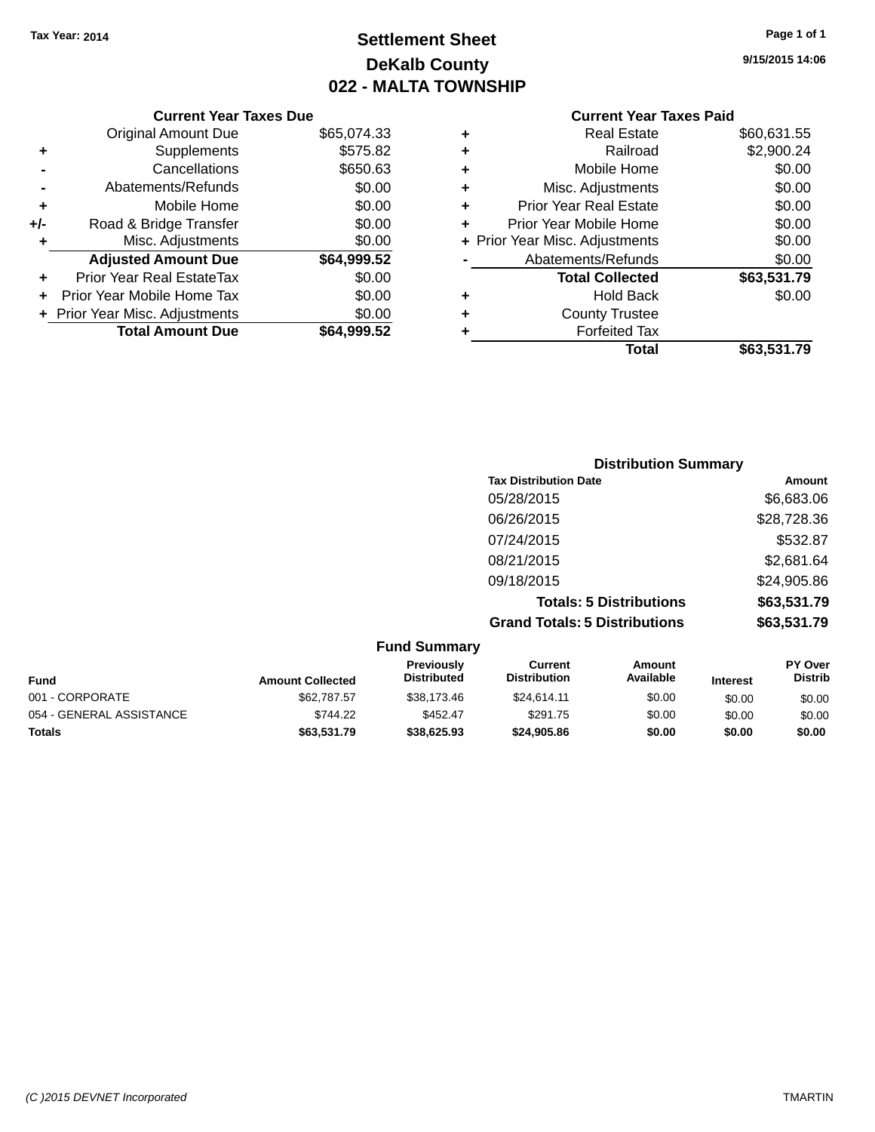## **Settlement Sheet Tax Year: 2014 Page 1 of 1 DeKalb County 022 - MALTA TOWNSHIP**

**9/15/2015 14:06**

### **Current Year Taxes Paid**

| <b>Distribution Summary</b>          |             |
|--------------------------------------|-------------|
| <b>Tax Distribution Date</b>         | Amount      |
| 05/28/2015                           | \$6,683.06  |
| 06/26/2015                           | \$28,728.36 |
| 07/24/2015                           | \$532.87    |
| 08/21/2015                           | \$2,681.64  |
| 09/18/2015                           | \$24,905.86 |
| <b>Totals: 5 Distributions</b>       | \$63,531.79 |
| <b>Grand Totals: 5 Distributions</b> | \$63,531.79 |

| <b>Fund Summary</b>      |                         |                                  |                                |                     |                 |                                  |  |
|--------------------------|-------------------------|----------------------------------|--------------------------------|---------------------|-----------------|----------------------------------|--|
| <b>Fund</b>              | <b>Amount Collected</b> | Previously<br><b>Distributed</b> | Current<br><b>Distribution</b> | Amount<br>Available | <b>Interest</b> | <b>PY Over</b><br><b>Distrib</b> |  |
| 001 - CORPORATE          | \$62,787.57             | \$38.173.46                      | \$24.614.11                    | \$0.00              | \$0.00          | \$0.00                           |  |
| 054 - GENERAL ASSISTANCE | \$744.22                | \$452.47                         | \$291.75                       | \$0.00              | \$0.00          | \$0.00                           |  |
| <b>Totals</b>            | \$63,531.79             | \$38,625.93                      | \$24,905.86                    | \$0.00              | \$0.00          | \$0.00                           |  |

## **Current Year Taxes Due**

|     | <b>Original Amount Due</b>       | \$65,074.33 |
|-----|----------------------------------|-------------|
| ٠   | Supplements                      | \$575.82    |
|     | Cancellations                    | \$650.63    |
|     | Abatements/Refunds               | \$0.00      |
| ٠   | Mobile Home                      | \$0.00      |
| +/- | Road & Bridge Transfer           | \$0.00      |
|     | Misc. Adjustments                | \$0.00      |
|     |                                  |             |
|     | <b>Adjusted Amount Due</b>       | \$64,999.52 |
| ٠   | <b>Prior Year Real EstateTax</b> | \$0.00      |
|     | Prior Year Mobile Home Tax       | \$0.00      |
|     | + Prior Year Misc. Adjustments   | \$0.00      |
|     | <b>Total Amount Due</b>          | \$64,999.52 |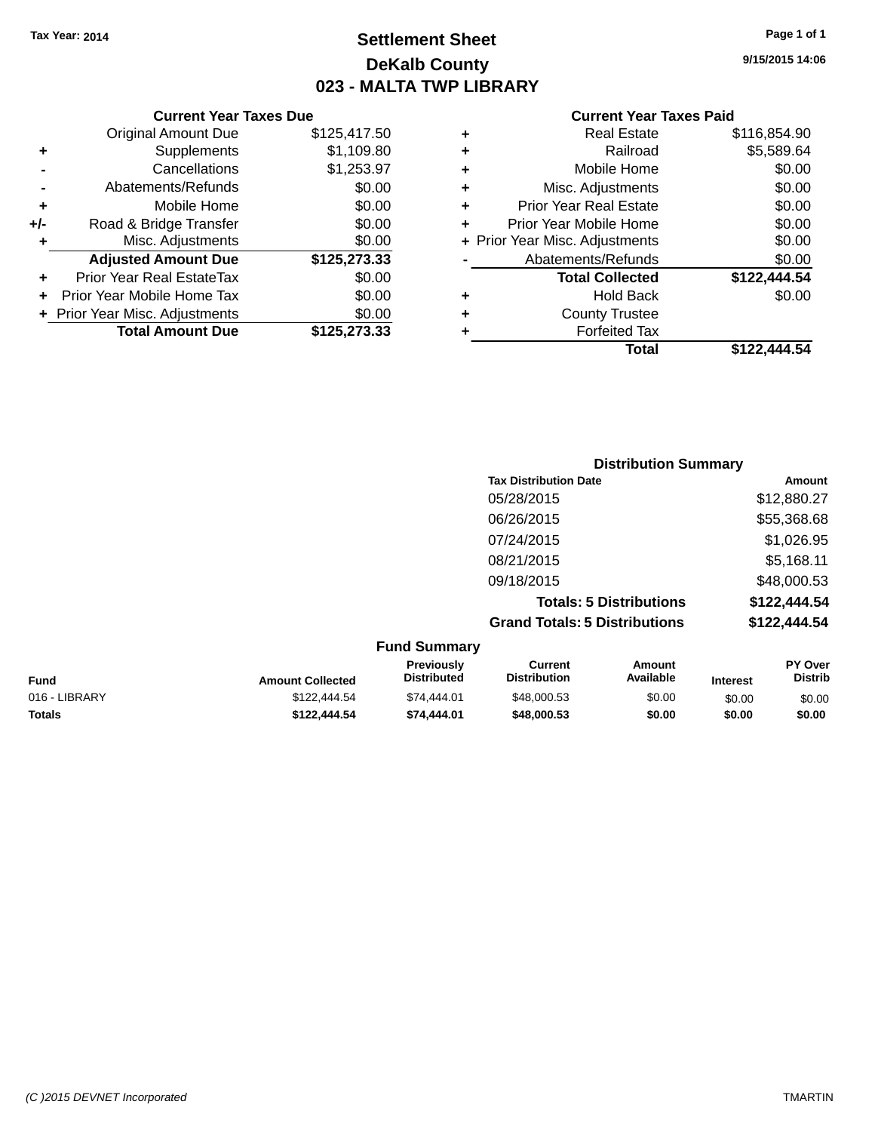### **Settlement Sheet Tax Year: 2014 Page 1 of 1 DeKalb County 023 - MALTA TWP LIBRARY**

**9/15/2015 14:06**

|     | <b>Current Year Taxes Due</b>  |              |  |  |  |
|-----|--------------------------------|--------------|--|--|--|
|     | <b>Original Amount Due</b>     | \$125,417.50 |  |  |  |
| ٠   | Supplements                    | \$1,109.80   |  |  |  |
|     | Cancellations                  | \$1,253.97   |  |  |  |
|     | Abatements/Refunds             | \$0.00       |  |  |  |
| ٠   | Mobile Home                    | \$0.00       |  |  |  |
| +/- | Road & Bridge Transfer         | \$0.00       |  |  |  |
| ٠   | Misc. Adjustments              | \$0.00       |  |  |  |
|     | <b>Adjusted Amount Due</b>     | \$125,273.33 |  |  |  |
| ÷   | Prior Year Real EstateTax      | \$0.00       |  |  |  |
| ÷   | Prior Year Mobile Home Tax     | \$0.00       |  |  |  |
|     | + Prior Year Misc. Adjustments | \$0.00       |  |  |  |
|     | <b>Total Amount Due</b>        | \$125,273.33 |  |  |  |
|     |                                |              |  |  |  |

|   | <b>Real Estate</b>             | \$116,854.90 |
|---|--------------------------------|--------------|
| ٠ | Railroad                       | \$5,589.64   |
| ٠ | Mobile Home                    | \$0.00       |
| ٠ | Misc. Adjustments              | \$0.00       |
| ٠ | <b>Prior Year Real Estate</b>  | \$0.00       |
| ÷ | Prior Year Mobile Home         | \$0.00       |
|   | + Prior Year Misc. Adjustments | \$0.00       |
|   | Abatements/Refunds             | \$0.00       |
|   | <b>Total Collected</b>         | \$122,444.54 |
| ٠ | <b>Hold Back</b>               | \$0.00       |
| ٠ | <b>County Trustee</b>          |              |
| ٠ | <b>Forfeited Tax</b>           |              |
|   | Total                          | \$122,444.54 |
|   |                                |              |

| <b>Distribution Summary</b>          |              |
|--------------------------------------|--------------|
| <b>Tax Distribution Date</b>         | Amount       |
| 05/28/2015                           | \$12,880.27  |
| 06/26/2015                           | \$55,368.68  |
| 07/24/2015                           | \$1,026.95   |
| 08/21/2015                           | \$5,168.11   |
| 09/18/2015                           | \$48,000.53  |
| <b>Totals: 5 Distributions</b>       | \$122,444.54 |
| <b>Grand Totals: 5 Distributions</b> | \$122,444.54 |

| <b>Fund Summary</b> |                         |                                         |                                |                     |                 |                           |
|---------------------|-------------------------|-----------------------------------------|--------------------------------|---------------------|-----------------|---------------------------|
| <b>Fund</b>         | <b>Amount Collected</b> | <b>Previously</b><br><b>Distributed</b> | Current<br><b>Distribution</b> | Amount<br>Available | <b>Interest</b> | PY Over<br><b>Distrib</b> |
| 016 - LIBRARY       | \$122,444.54            | \$74,444.01                             | \$48,000.53                    | \$0.00              | \$0.00          | \$0.00                    |
| <b>Totals</b>       | \$122,444.54            | \$74,444.01                             | \$48,000.53                    | \$0.00              | \$0.00          | \$0.00                    |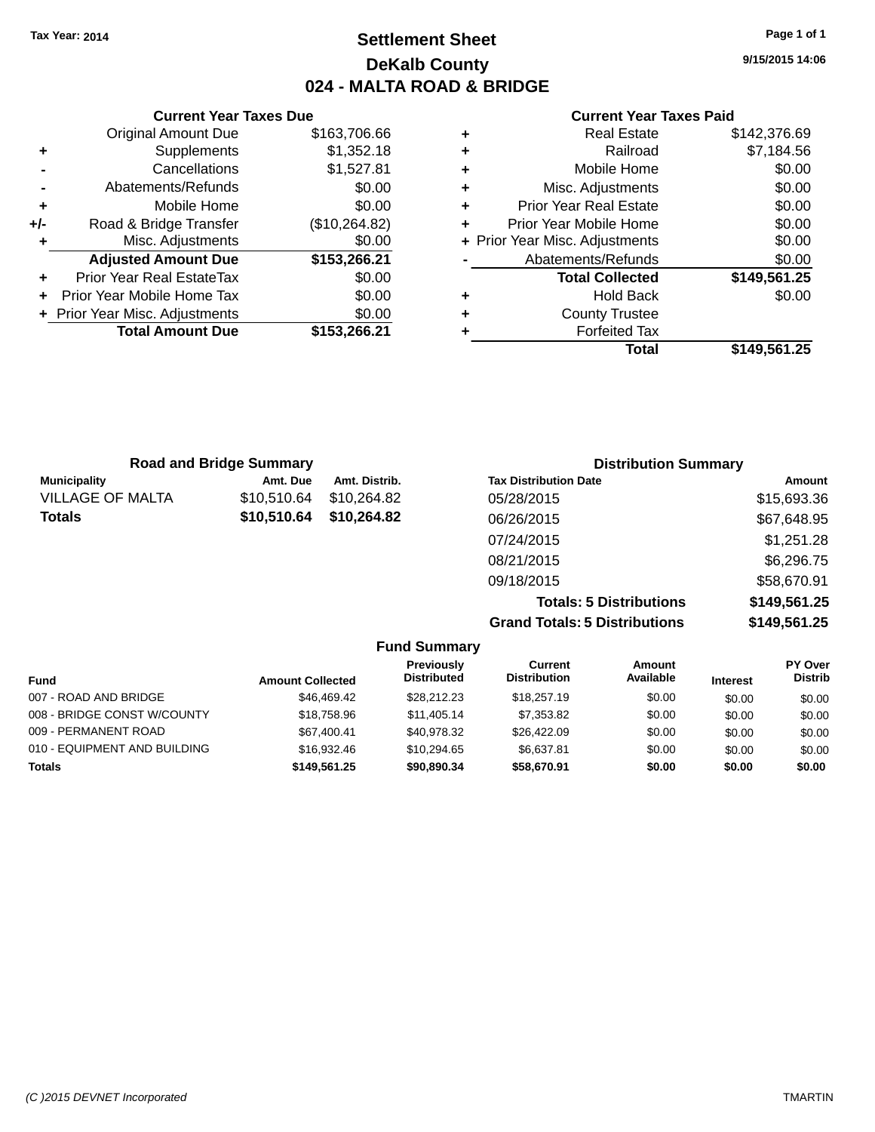### **Settlement Sheet Tax Year: 2014 Page 1 of 1 DeKalb County 024 - MALTA ROAD & BRIDGE**

**9/15/2015 14:06**

#### **Current Year Taxes Paid**

|     | <b>Current Year Taxes Due</b>  |               |  |
|-----|--------------------------------|---------------|--|
|     | <b>Original Amount Due</b>     | \$163,706.66  |  |
| ٠   | Supplements                    | \$1,352.18    |  |
|     | Cancellations                  | \$1,527.81    |  |
|     | Abatements/Refunds             | \$0.00        |  |
| ÷   | Mobile Home                    | \$0.00        |  |
| +/- | Road & Bridge Transfer         | (\$10,264.82) |  |
| ٠   | Misc. Adjustments              | \$0.00        |  |
|     | <b>Adjusted Amount Due</b>     | \$153,266.21  |  |
| ٠   | Prior Year Real EstateTax      | \$0.00        |  |
|     | Prior Year Mobile Home Tax     | \$0.00        |  |
|     | + Prior Year Misc. Adjustments | \$0.00        |  |
|     | <b>Total Amount Due</b>        | \$153,266.21  |  |
|     |                                |               |  |

|   | <b>Real Estate</b>             | \$142,376.69 |
|---|--------------------------------|--------------|
| ٠ | Railroad                       | \$7,184.56   |
| ٠ | Mobile Home                    | \$0.00       |
| ٠ | Misc. Adjustments              | \$0.00       |
| ٠ | <b>Prior Year Real Estate</b>  | \$0.00       |
| ٠ | Prior Year Mobile Home         | \$0.00       |
|   | + Prior Year Misc. Adjustments | \$0.00       |
|   | Abatements/Refunds             | \$0.00       |
|   | <b>Total Collected</b>         | \$149,561.25 |
| ٠ | Hold Back                      | \$0.00       |
| ٠ | <b>County Trustee</b>          |              |
|   | <b>Forfeited Tax</b>           |              |
| ٠ |                                |              |
|   |                                |              |

| <b>Road and Bridge Summary</b> |             |               | <b>Distribution Summary</b>    |              |  |
|--------------------------------|-------------|---------------|--------------------------------|--------------|--|
| <b>Municipality</b>            | Amt. Due    | Amt. Distrib. | <b>Tax Distribution Date</b>   | Amount       |  |
| <b>VILLAGE OF MALTA</b>        | \$10,510.64 | \$10.264.82   | 05/28/2015                     | \$15,693.36  |  |
| <b>Totals</b>                  | \$10,510.64 | \$10,264.82   | 06/26/2015                     | \$67,648.95  |  |
|                                |             |               | 07/24/2015                     | \$1,251.28   |  |
|                                |             |               | 08/21/2015                     | \$6,296.75   |  |
|                                |             |               | 09/18/2015                     | \$58,670.91  |  |
|                                |             |               | <b>Totals: 5 Distributions</b> | \$149,561.25 |  |

**Grand Totals: 5 Distributions \$149,561.25**

| <b>Fund Summary</b>          |                         |                                  |                                |                     |                 |                                  |
|------------------------------|-------------------------|----------------------------------|--------------------------------|---------------------|-----------------|----------------------------------|
| <b>Fund</b>                  | <b>Amount Collected</b> | Previously<br><b>Distributed</b> | Current<br><b>Distribution</b> | Amount<br>Available | <b>Interest</b> | <b>PY Over</b><br><b>Distrib</b> |
| 007 - ROAD AND BRIDGE        | \$46,469.42             | \$28.212.23                      | \$18,257.19                    | \$0.00              | \$0.00          | \$0.00                           |
| 008 - BRIDGE CONST W/COUNTY  | \$18,758.96             | \$11,405.14                      | \$7,353.82                     | \$0.00              | \$0.00          | \$0.00                           |
| 009 - PERMANENT ROAD         | \$67.400.41             | \$40.978.32                      | \$26,422,09                    | \$0.00              | \$0.00          | \$0.00                           |
| 010 - EQUIPMENT AND BUILDING | \$16,932.46             | \$10.294.65                      | \$6.637.81                     | \$0.00              | \$0.00          | \$0.00                           |
| <b>Totals</b>                | \$149,561.25            | \$90,890,34                      | \$58,670.91                    | \$0.00              | \$0.00          | \$0.00                           |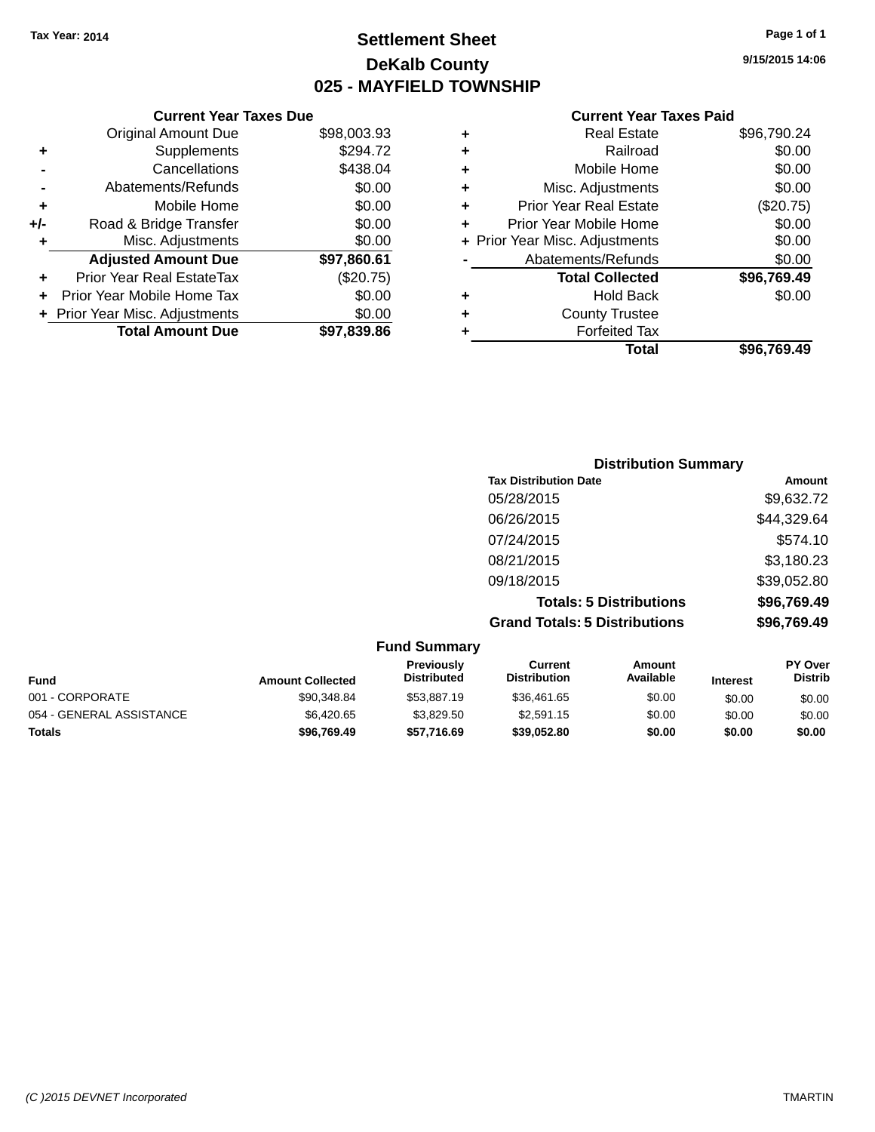**Original Amount Due** 

**Adjusted Amount Due** 

**Total Amount Due** 

**+** Supplements **-** Cancellations **-** Abatements/Refunds **+** Mobile Home **+/-** Road & Bridge Transfer **+** Misc. Adjustments

**+** Prior Year Real EstateTax **+** Prior Year Mobile Home Tax **+** Prior Year Misc. Adjustments

### **Settlement Sheet Tax Year: 2014 Page 1 of 1 DeKalb County 025 - MAYFIELD TOWNSHIP**

**9/15/2015 14:06**

| <b>Current Year Taxes Due</b> |             |   | <b>Current Year Tax</b>        |
|-------------------------------|-------------|---|--------------------------------|
| ่<br>เl Amount Due            | \$98,003.93 | ٠ | <b>Real Estate</b>             |
| Supplements                   | \$294.72    | ٠ | Railroad                       |
| Cancellations                 | \$438.04    | ٠ | Mobile Home                    |
| าents/Refunds                 | \$0.00      | ÷ | Misc. Adjustments              |
| Mobile Home                   | \$0.00      | ٠ | <b>Prior Year Real Estate</b>  |
| ridge Transfer                | \$0.00      | ٠ | Prior Year Mobile Home         |
| . Adjustments                 | \$0.00      |   | + Prior Year Misc. Adjustments |
| <b>Amount Due</b>             | \$97,860.61 |   | Abatements/Refunds             |
| leal EstateTax≀               | (\$20.75)   |   | <b>Total Collected</b>         |
| bile Home Tax                 | \$0.00      | ٠ | <b>Hold Back</b>               |
| . Adjustments                 | \$0.00      | ٠ | <b>County Trustee</b>          |
| <b>Amount Due</b>             | \$97,839.86 | ٠ | <b>Forfeited Tax</b>           |
|                               |             |   | Total                          |

| <b>Real Estate</b>             | \$96,790.24 |
|--------------------------------|-------------|
| Railroad                       | \$0.00      |
| Mobile Home                    | \$0.00      |
| Misc. Adjustments              | \$0.00      |
| <b>Prior Year Real Estate</b>  | (\$20.75)   |
| Prior Year Mobile Home         | \$0.00      |
| + Prior Year Misc. Adjustments | \$0.00      |
| Abatements/Refunds             | \$0.00      |
| <b>Total Collected</b>         | \$96,769.49 |
| <b>Hold Back</b>               | \$0.00      |
| <b>County Trustee</b>          |             |
| <b>Forfeited Tax</b>           |             |
| Total                          | \$96.769.49 |
|                                |             |

|                     |                                      | <b>Distribution Summary</b>    |             |
|---------------------|--------------------------------------|--------------------------------|-------------|
|                     | <b>Tax Distribution Date</b>         |                                | Amount      |
|                     | 05/28/2015                           |                                | \$9,632.72  |
|                     | 06/26/2015                           |                                | \$44,329.64 |
|                     | 07/24/2015                           |                                | \$574.10    |
|                     | 08/21/2015                           |                                | \$3,180.23  |
|                     | 09/18/2015                           |                                | \$39,052.80 |
|                     |                                      | <b>Totals: 5 Distributions</b> | \$96,769.49 |
|                     | <b>Grand Totals: 5 Distributions</b> |                                | \$96,769.49 |
| <b>Fund Summary</b> |                                      |                                |             |
| <b>Droviaught</b>   | $P$                                  | $A$ mesint                     | $DV$ $OV$   |

| <b>Fund</b>              | <b>Amount Collected</b> | <b>Previously</b><br><b>Distributed</b> | Current<br><b>Distribution</b> | Amount<br>Available | <b>Interest</b> | <b>PY Over</b><br><b>Distrib</b> |
|--------------------------|-------------------------|-----------------------------------------|--------------------------------|---------------------|-----------------|----------------------------------|
| 001 - CORPORATE          | \$90,348.84             | \$53,887.19                             | \$36,461.65                    | \$0.00              | \$0.00          | \$0.00                           |
| 054 - GENERAL ASSISTANCE | \$6.420.65              | \$3.829.50                              | \$2,591.15                     | \$0.00              | \$0.00          | \$0.00                           |
| Totals                   | \$96,769.49             | \$57.716.69                             | \$39.052.80                    | \$0.00              | \$0.00          | \$0.00                           |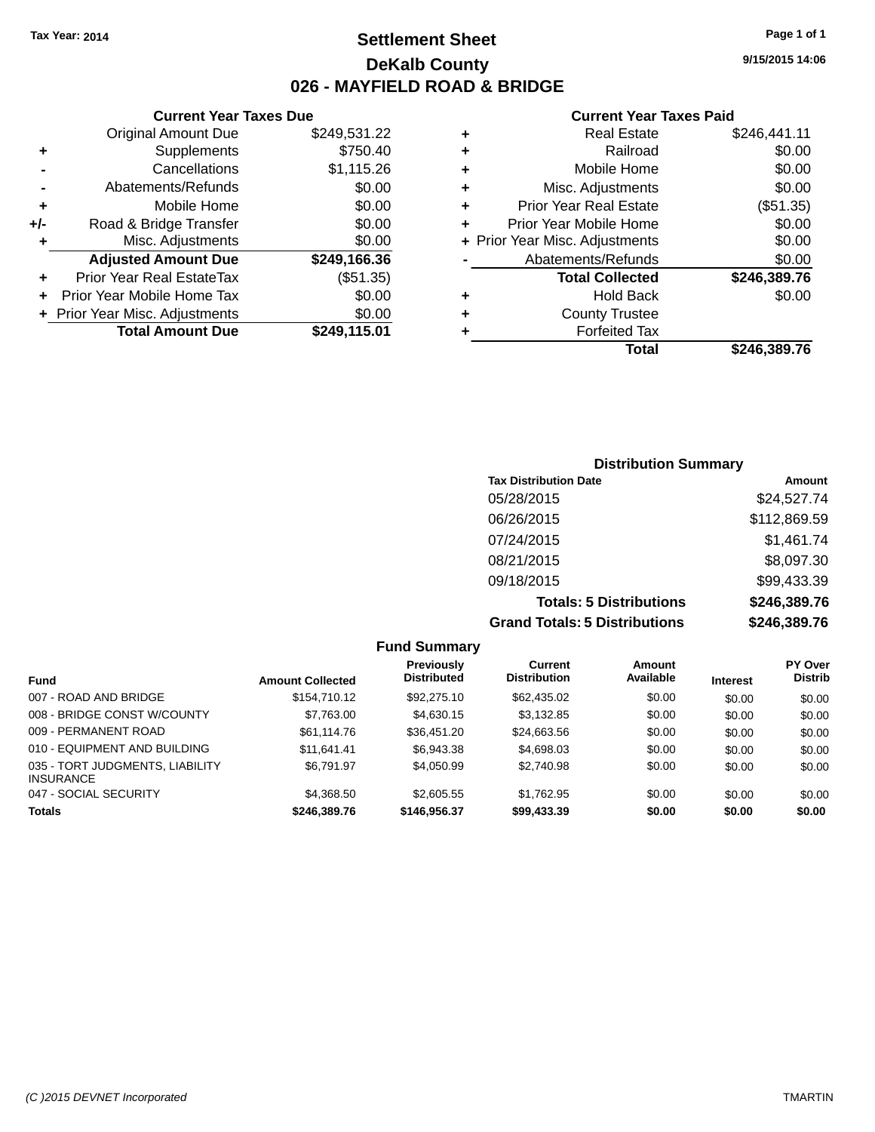**Current Year Taxes Due** Original Amount Due \$249,531.22

**Adjusted Amount Due \$249,166.36**

**Total Amount Due \$249,115.01**

**+** Supplements \$750.40 **-** Cancellations \$1,115.26 **-** Abatements/Refunds \$0.00 **+** Mobile Home \$0.00 **+/-** Road & Bridge Transfer \$0.00 **+** Misc. Adjustments \$0.00

**+** Prior Year Real EstateTax (\$51.35) **+** Prior Year Mobile Home Tax \$0.00 **+ Prior Year Misc. Adjustments**  $$0.00$ 

### **Settlement Sheet Tax Year: 2014 Page 1 of 1 DeKalb County 026 - MAYFIELD ROAD & BRIDGE**

**9/15/2015 14:06**

#### **Current Year Taxes Paid**

| ÷ | <b>Real Estate</b>             | \$246,441.11 |
|---|--------------------------------|--------------|
| ٠ | Railroad                       | \$0.00       |
| ٠ | Mobile Home                    | \$0.00       |
| ٠ | Misc. Adjustments              | \$0.00       |
| ٠ | <b>Prior Year Real Estate</b>  | (\$51.35)    |
| ٠ | Prior Year Mobile Home         | \$0.00       |
|   | + Prior Year Misc. Adjustments | \$0.00       |
|   | Abatements/Refunds             | \$0.00       |
|   | <b>Total Collected</b>         | \$246,389.76 |
| ٠ | <b>Hold Back</b>               | \$0.00       |
| ÷ | <b>County Trustee</b>          |              |
| ٠ | <b>Forfeited Tax</b>           |              |
|   | Total                          | \$246.389.76 |

### **Distribution Summary Tax Distribution Date Amount** 05/28/2015 \$24,527.74 06/26/2015 \$112,869.59 07/24/2015 \$1,461.74 08/21/2015 \$8,097.30 09/18/2015 \$99,433.39 **Totals: 5 Distributions \$246,389.76 Grand Totals: 5 Distributions \$246,389.76**

**Fund Summary Fund Interest Amount Collected Distributed PY Over Distrib Amount Available Current Distribution Previously** 007 - ROAD AND BRIDGE  $$154,710.12$   $$92,275.10$   $$62,435.02$   $$0.00$   $$0.00$   $$0.00$ 008 - BRIDGE CONST W/COUNTY  $$7,763.00$   $$4,630.15$   $$3,132.85$   $$0.00$   $$0.00$   $$0.00$ 009 - PERMANENT ROAD \$61,114.76 \$36,451.20 \$24,663.56 \$0.00 \$0.00 \$0.00 010 - EQUIPMENT AND BUILDING \$11,641.41 \$6,943.38 \$4,698.03 \$0.00 \$0.00 \$0.00 035 - TORT JUDGMENTS, LIABILITY **INSURANCE** \$6,791.97 \$4,050.99 \$2,740.98 \$0.00 \$0.00 \$0.00 047 - SOCIAL SECURITY 64,368.50 \$2,605.55 \$1,762.95 \$0.00 \$0.00 \$0.00 \$0.00 **Totals \$246,389.76 \$146,956.37 \$99,433.39 \$0.00 \$0.00 \$0.00**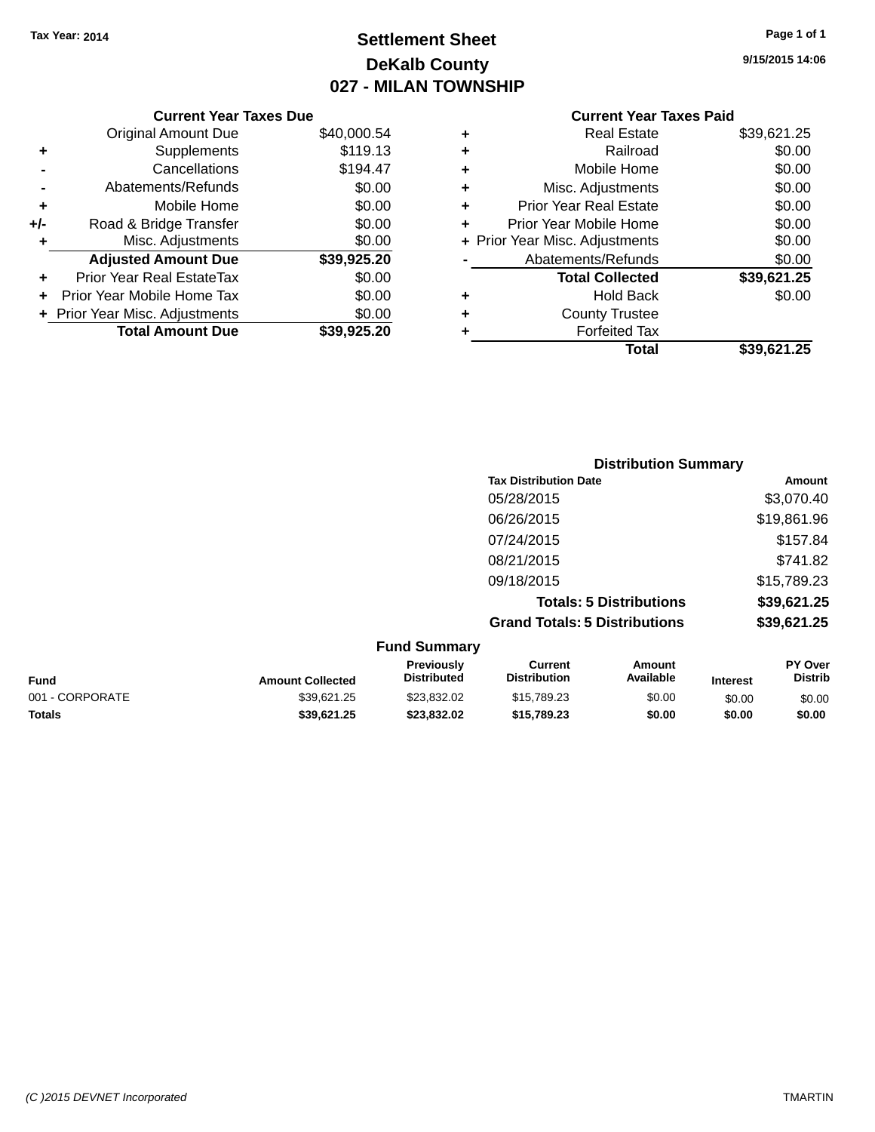## **Settlement Sheet Tax Year: 2014 Page 1 of 1 DeKalb County 027 - MILAN TOWNSHIP**

**9/15/2015 14:06**

|     | <b>Current Year Taxes Due</b>    |             |
|-----|----------------------------------|-------------|
|     | <b>Original Amount Due</b>       | \$40,000.54 |
| ٠   | Supplements                      | \$119.13    |
|     | Cancellations                    | \$194.47    |
|     | Abatements/Refunds               | \$0.00      |
| ٠   | Mobile Home                      | \$0.00      |
| +/- | Road & Bridge Transfer           | \$0.00      |
| ٠   | Misc. Adjustments                | \$0.00      |
|     | <b>Adjusted Amount Due</b>       | \$39,925.20 |
|     | <b>Prior Year Real EstateTax</b> | \$0.00      |
|     | Prior Year Mobile Home Tax       | \$0.00      |
|     | + Prior Year Misc. Adjustments   | \$0.00      |
|     | <b>Total Amount Due</b>          | \$39,925.20 |
|     |                                  |             |

|   | <b>Real Estate</b>             | \$39,621.25 |
|---|--------------------------------|-------------|
| ٠ | Railroad                       | \$0.00      |
| ٠ | Mobile Home                    | \$0.00      |
| ٠ | Misc. Adjustments              | \$0.00      |
| ٠ | <b>Prior Year Real Estate</b>  | \$0.00      |
| ٠ | Prior Year Mobile Home         | \$0.00      |
|   | + Prior Year Misc. Adjustments | \$0.00      |
|   | Abatements/Refunds             | \$0.00      |
|   | <b>Total Collected</b>         | \$39,621.25 |
| ٠ | <b>Hold Back</b>               | \$0.00      |
| ٠ | <b>County Trustee</b>          |             |
| ٠ | <b>Forfeited Tax</b>           |             |
|   | Total                          | \$39,621.25 |
|   |                                |             |

| <b>Distribution Summary</b>          |             |
|--------------------------------------|-------------|
| <b>Tax Distribution Date</b>         | Amount      |
| 05/28/2015                           | \$3,070.40  |
| 06/26/2015                           | \$19,861.96 |
| 07/24/2015                           | \$157.84    |
| 08/21/2015                           | \$741.82    |
| 09/18/2015                           | \$15,789.23 |
| <b>Totals: 5 Distributions</b>       | \$39,621.25 |
| <b>Grand Totals: 5 Distributions</b> | \$39,621.25 |
| $E$ und $R$ ummorv                   |             |

|                 |                         | <b>Fund Summary</b>              |                                |                     |                 |                                  |
|-----------------|-------------------------|----------------------------------|--------------------------------|---------------------|-----------------|----------------------------------|
| <b>Fund</b>     | <b>Amount Collected</b> | <b>Previously</b><br>Distributed | Current<br><b>Distribution</b> | Amount<br>Available | <b>Interest</b> | <b>PY Over</b><br><b>Distrib</b> |
| 001 - CORPORATE | \$39.621.25             | \$23.832.02                      | \$15,789.23                    | \$0.00              | \$0.00          | \$0.00                           |
| <b>Totals</b>   | \$39.621.25             | \$23.832.02                      | \$15,789,23                    | \$0.00              | \$0.00          | \$0.00                           |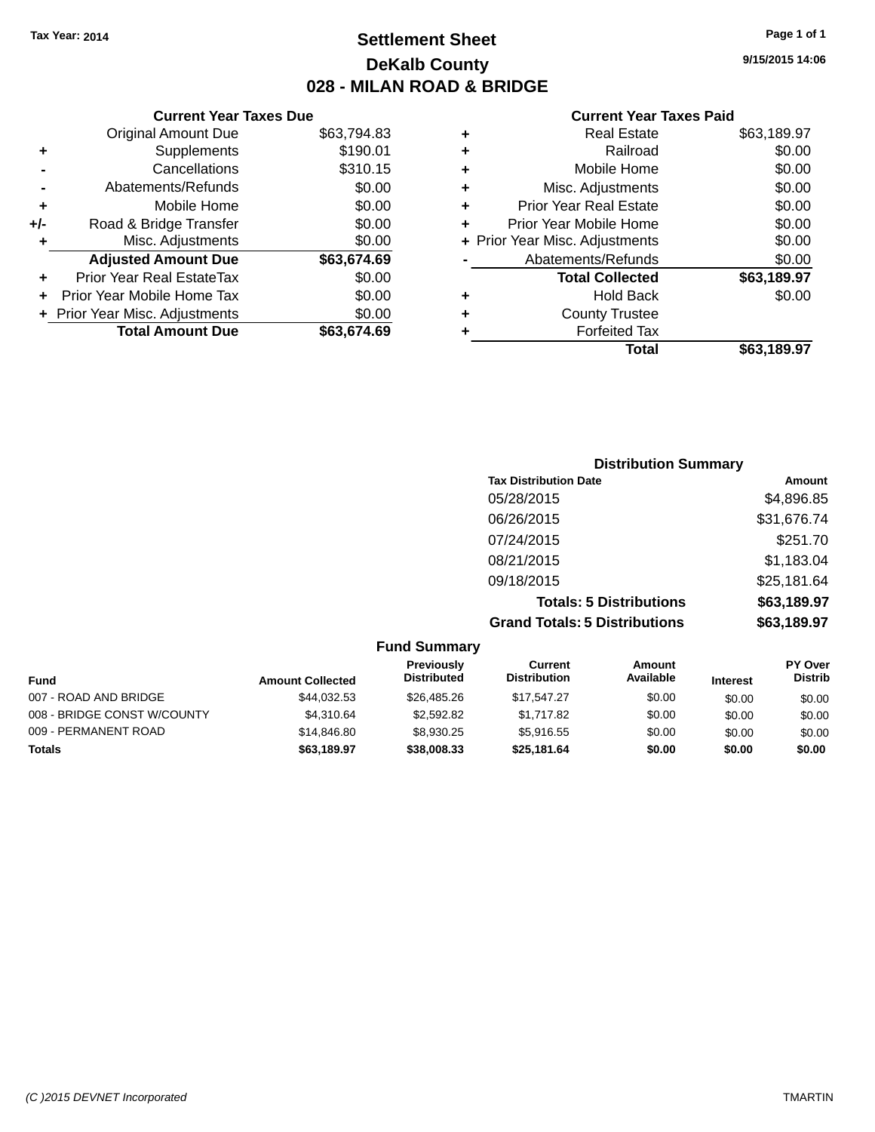### **Settlement Sheet Tax Year: 2014 Page 1 of 1 DeKalb County 028 - MILAN ROAD & BRIDGE**

**9/15/2015 14:06**

|       | <b>Current Year Taxes Due</b>  |             |
|-------|--------------------------------|-------------|
|       | <b>Original Amount Due</b>     | \$63,794.83 |
| ٠     | Supplements                    | \$190.01    |
|       | Cancellations                  | \$310.15    |
|       | Abatements/Refunds             | \$0.00      |
| ÷     | Mobile Home                    | \$0.00      |
| $+/-$ | Road & Bridge Transfer         | \$0.00      |
| ٠     | Misc. Adjustments              | \$0.00      |
|       | <b>Adjusted Amount Due</b>     | \$63,674.69 |
| ٠     | Prior Year Real EstateTax      | \$0.00      |
|       | Prior Year Mobile Home Tax     | \$0.00      |
|       | + Prior Year Misc. Adjustments | \$0.00      |
|       | <b>Total Amount Due</b>        | \$63.674.69 |
|       |                                |             |

|   | <b>Real Estate</b>             | \$63,189.97 |
|---|--------------------------------|-------------|
| ÷ | Railroad                       | \$0.00      |
| ÷ | Mobile Home                    | \$0.00      |
| ٠ | Misc. Adjustments              | \$0.00      |
| ٠ | <b>Prior Year Real Estate</b>  | \$0.00      |
| ÷ | Prior Year Mobile Home         | \$0.00      |
|   | + Prior Year Misc. Adjustments | \$0.00      |
|   | Abatements/Refunds             | \$0.00      |
|   | <b>Total Collected</b>         | \$63,189.97 |
| ٠ | <b>Hold Back</b>               | \$0.00      |
| ٠ | <b>County Trustee</b>          |             |
| ٠ | <b>Forfeited Tax</b>           |             |
|   | Total                          | \$63,189.97 |
|   |                                |             |

| <b>Distribution Summary</b>          |             |
|--------------------------------------|-------------|
| <b>Tax Distribution Date</b>         | Amount      |
| 05/28/2015                           | \$4,896.85  |
| 06/26/2015                           | \$31,676.74 |
| 07/24/2015                           | \$251.70    |
| 08/21/2015                           | \$1,183.04  |
| 09/18/2015                           | \$25,181.64 |
| <b>Totals: 5 Distributions</b>       | \$63,189.97 |
| <b>Grand Totals: 5 Distributions</b> | \$63,189.97 |

| <b>Fund Summary</b>         |                         |                                  |                                |                            |                 |                           |
|-----------------------------|-------------------------|----------------------------------|--------------------------------|----------------------------|-----------------|---------------------------|
| Fund                        | <b>Amount Collected</b> | Previously<br><b>Distributed</b> | Current<br><b>Distribution</b> | <b>Amount</b><br>Available | <b>Interest</b> | PY Over<br><b>Distrib</b> |
| 007 - ROAD AND BRIDGE       | \$44.032.53             | \$26,485.26                      | \$17,547.27                    | \$0.00                     | \$0.00          | \$0.00                    |
| 008 - BRIDGE CONST W/COUNTY | \$4.310.64              | \$2,592.82                       | \$1.717.82                     | \$0.00                     | \$0.00          | \$0.00                    |
| 009 - PERMANENT ROAD        | \$14,846.80             | \$8.930.25                       | \$5.916.55                     | \$0.00                     | \$0.00          | \$0.00                    |
| <b>Totals</b>               | \$63,189.97             | \$38,008,33                      | \$25,181.64                    | \$0.00                     | \$0.00          | \$0.00                    |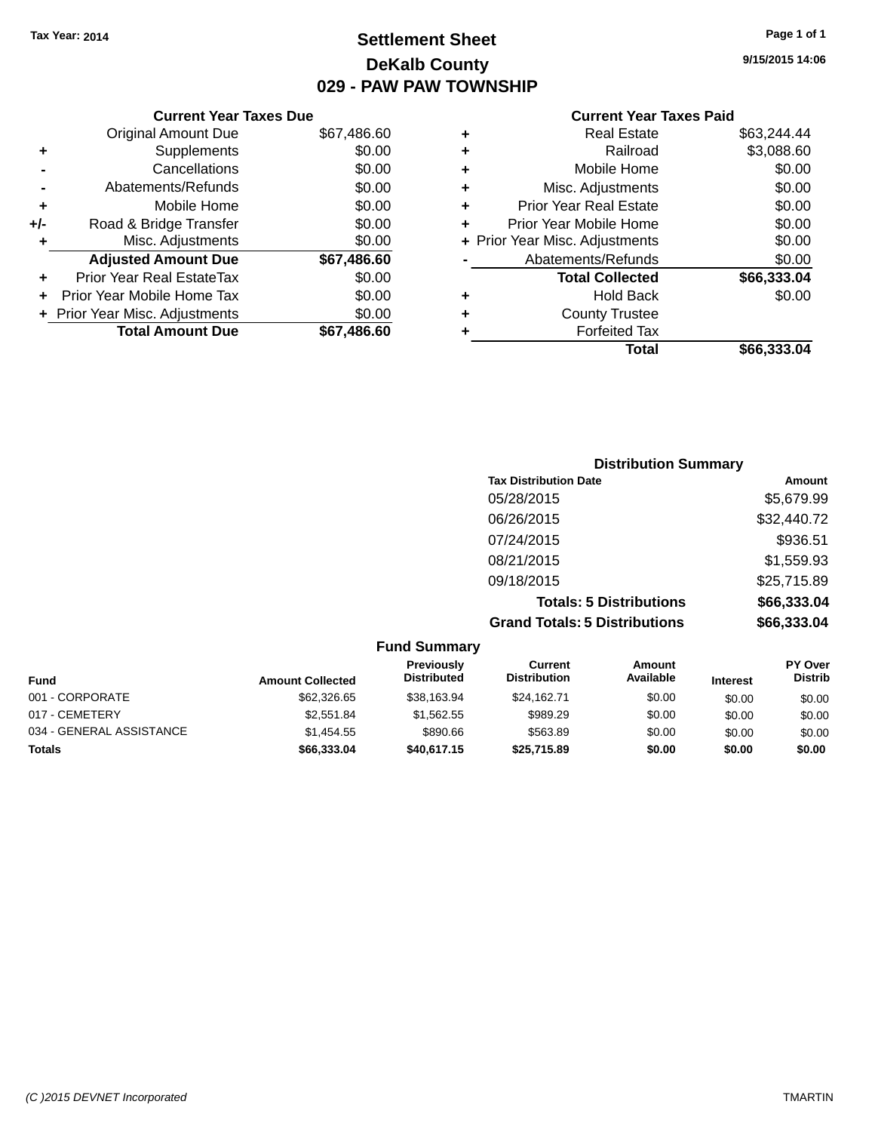### **Settlement Sheet Tax Year: 2014 Page 1 of 1 DeKalb County 029 - PAW PAW TOWNSHIP**

#### **Current Year Taxes Due** Original Amount Due \$67,486.60 **+** Supplements \$0.00 **-** Cancellations \$0.00 **-** Abatements/Refunds \$0.00 **+** Mobile Home \$0.00 **+/-** Road & Bridge Transfer \$0.00 **+** Misc. Adjustments \$0.00 **Adjusted Amount Due \$67,486.60 +** Prior Year Real EstateTax \$0.00 **+** Prior Year Mobile Home Tax \$0.00

**+ Prior Year Misc. Adjustments**  $$0.00$ 

**Total Amount Due \$67,486.60**

#### **Current Year Taxes Paid**

| ٠ | <b>Real Estate</b>             | \$63,244.44 |
|---|--------------------------------|-------------|
| ٠ | Railroad                       | \$3,088.60  |
| ٠ | Mobile Home                    | \$0.00      |
| ٠ | Misc. Adjustments              | \$0.00      |
| ٠ | <b>Prior Year Real Estate</b>  | \$0.00      |
| ÷ | Prior Year Mobile Home         | \$0.00      |
|   | + Prior Year Misc. Adjustments | \$0.00      |
|   | Abatements/Refunds             | \$0.00      |
|   | <b>Total Collected</b>         | \$66,333.04 |
| ٠ | Hold Back                      | \$0.00      |
| ٠ | <b>County Trustee</b>          |             |
| ٠ | <b>Forfeited Tax</b>           |             |
|   | Total                          | \$66,333.04 |
|   |                                |             |

| <b>Distribution Summary</b><br><b>Tax Distribution Date</b> | Amount      |
|-------------------------------------------------------------|-------------|
| 05/28/2015                                                  | \$5,679.99  |
| 06/26/2015                                                  | \$32,440.72 |
| 07/24/2015                                                  | \$936.51    |
| 08/21/2015                                                  | \$1,559.93  |
| 09/18/2015                                                  | \$25,715.89 |
| <b>Totals: 5 Distributions</b>                              | \$66,333.04 |
| <b>Grand Totals: 5 Distributions</b>                        | \$66,333.04 |

|                          |                         |                                         | 07/24/2015                            |                                |                 | \$936.51                         |
|--------------------------|-------------------------|-----------------------------------------|---------------------------------------|--------------------------------|-----------------|----------------------------------|
|                          |                         |                                         | 08/21/2015                            |                                |                 | \$1,559.93                       |
|                          |                         |                                         | 09/18/2015                            |                                |                 | \$25,715.89                      |
|                          |                         |                                         |                                       | <b>Totals: 5 Distributions</b> |                 | \$66,333.04                      |
|                          |                         |                                         | <b>Grand Totals: 5 Distributions</b>  |                                |                 | \$66,333.04                      |
|                          |                         | <b>Fund Summary</b>                     |                                       |                                |                 |                                  |
| Fund                     | <b>Amount Collected</b> | <b>Previously</b><br><b>Distributed</b> | <b>Current</b><br><b>Distribution</b> | Amount<br>Available            | <b>Interest</b> | <b>PY Over</b><br><b>Distrib</b> |
| 001 - CORPORATE          | \$62,326.65             | \$38.163.94                             | \$24.162.71                           | \$0.00                         | \$0.00          | \$0.00                           |
| 017 - CEMETERY           | \$2,551.84              | \$1,562.55                              | \$989.29                              | \$0.00                         | \$0.00          | \$0.00                           |
| 034 - GENERAL ASSISTANCE | \$1,454.55              | \$890.66                                | \$563.89                              | \$0.00                         | \$0.00          | \$0.00                           |

**Totals \$66,333.04 \$40,617.15 \$25,715.89 \$0.00 \$0.00 \$0.00**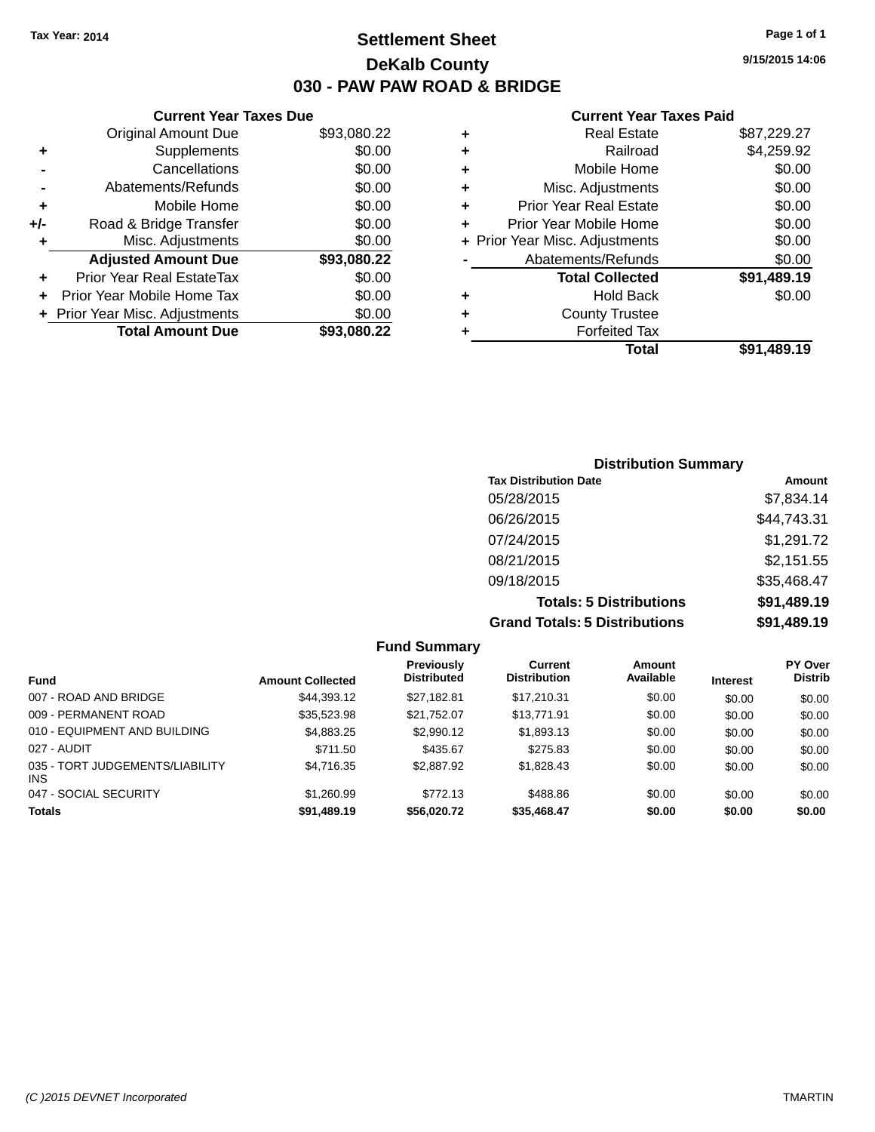### **Settlement Sheet Tax Year: 2014 Page 1 of 1 DeKalb County 030 - PAW PAW ROAD & BRIDGE**

**9/15/2015 14:06**

|     | <b>Current Year Taxes Due</b>  |             |
|-----|--------------------------------|-------------|
|     | <b>Original Amount Due</b>     | \$93,080.22 |
| ٠   | Supplements                    | \$0.00      |
|     | Cancellations                  | \$0.00      |
|     | Abatements/Refunds             | \$0.00      |
| ٠   | Mobile Home                    | \$0.00      |
| +/- | Road & Bridge Transfer         | \$0.00      |
| ٠   | Misc. Adjustments              | \$0.00      |
|     | <b>Adjusted Amount Due</b>     | \$93,080.22 |
| ٠   | Prior Year Real EstateTax      | \$0.00      |
| ÷   | Prior Year Mobile Home Tax     | \$0.00      |
|     | + Prior Year Misc. Adjustments | \$0.00      |
|     | <b>Total Amount Due</b>        | \$93,080,22 |
|     |                                |             |

| ٠ | <b>Real Estate</b>             | \$87,229.27 |
|---|--------------------------------|-------------|
| ٠ | Railroad                       | \$4,259.92  |
| ٠ | Mobile Home                    | \$0.00      |
| ٠ | Misc. Adjustments              | \$0.00      |
| ٠ | <b>Prior Year Real Estate</b>  | \$0.00      |
|   | Prior Year Mobile Home         | \$0.00      |
|   | + Prior Year Misc. Adjustments | \$0.00      |
|   | Abatements/Refunds             | \$0.00      |
|   | <b>Total Collected</b>         | \$91,489.19 |
| ٠ | Hold Back                      | \$0.00      |
|   | <b>County Trustee</b>          |             |
| ٠ | <b>Forfeited Tax</b>           |             |
|   | Total                          | \$91,489.19 |
|   |                                |             |

| <b>Distribution Summary</b>          |             |
|--------------------------------------|-------------|
| <b>Tax Distribution Date</b>         | Amount      |
| 05/28/2015                           | \$7,834.14  |
| 06/26/2015                           | \$44,743.31 |
| 07/24/2015                           | \$1,291.72  |
| 08/21/2015                           | \$2,151.55  |
| 09/18/2015                           | \$35,468.47 |
| <b>Totals: 5 Distributions</b>       | \$91,489.19 |
| <b>Grand Totals: 5 Distributions</b> | \$91,489.19 |

| <b>Fund Summary</b>                           |                         |                                         |                                       |                     |                 |                                  |
|-----------------------------------------------|-------------------------|-----------------------------------------|---------------------------------------|---------------------|-----------------|----------------------------------|
| <b>Fund</b>                                   | <b>Amount Collected</b> | <b>Previously</b><br><b>Distributed</b> | <b>Current</b><br><b>Distribution</b> | Amount<br>Available | <b>Interest</b> | <b>PY Over</b><br><b>Distrib</b> |
| 007 - ROAD AND BRIDGE                         | \$44.393.12             | \$27.182.81                             | \$17.210.31                           | \$0.00              | \$0.00          | \$0.00                           |
| 009 - PERMANENT ROAD                          | \$35.523.98             | \$21.752.07                             | \$13,771.91                           | \$0.00              | \$0.00          | \$0.00                           |
| 010 - EQUIPMENT AND BUILDING                  | \$4,883.25              | \$2,990.12                              | \$1,893.13                            | \$0.00              | \$0.00          | \$0.00                           |
| 027 - AUDIT                                   | \$711.50                | \$435.67                                | \$275.83                              | \$0.00              | \$0.00          | \$0.00                           |
| 035 - TORT JUDGEMENTS/LIABILITY<br><b>INS</b> | \$4,716.35              | \$2,887.92                              | \$1,828,43                            | \$0.00              | \$0.00          | \$0.00                           |
| 047 - SOCIAL SECURITY                         | \$1,260.99              | \$772.13                                | \$488.86                              | \$0.00              | \$0.00          | \$0.00                           |
| Totals                                        | \$91,489.19             | \$56,020,72                             | \$35,468,47                           | \$0.00              | \$0.00          | \$0.00                           |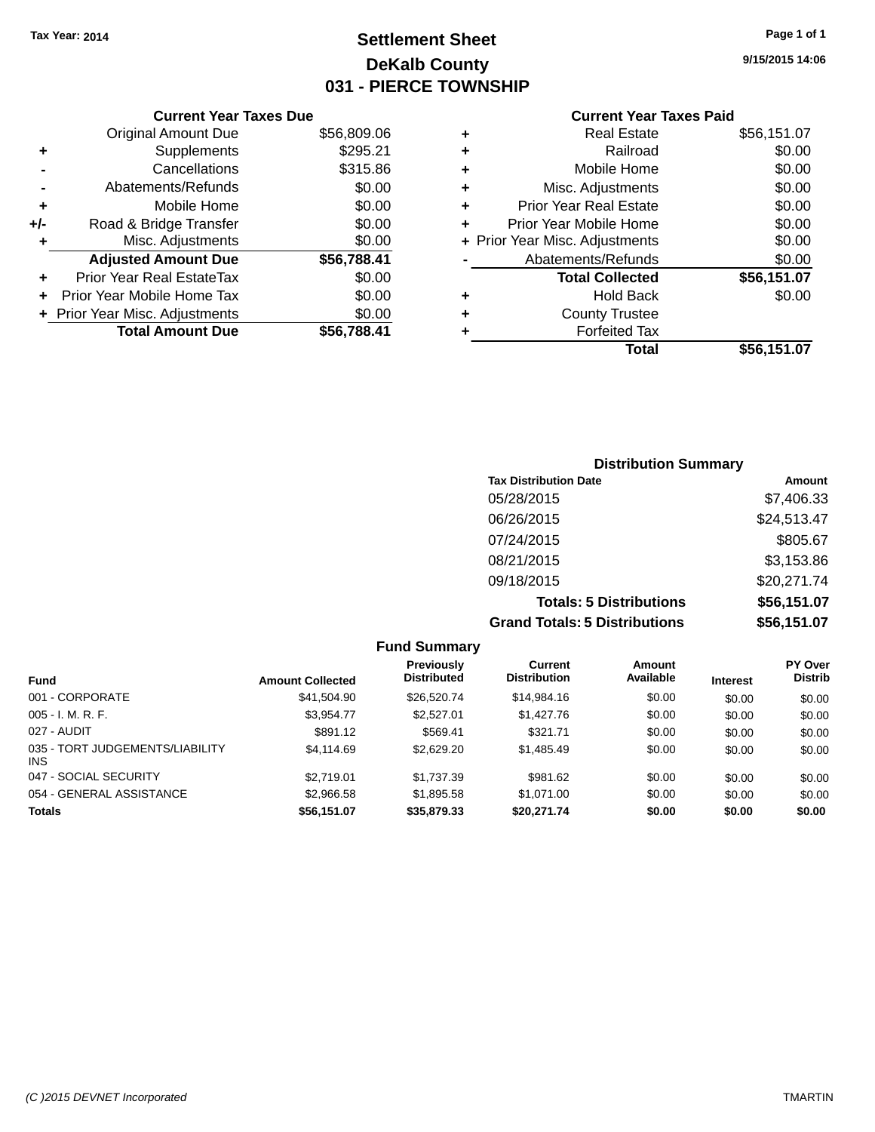## **Settlement Sheet Tax Year: 2014 Page 1 of 1 DeKalb County 031 - PIERCE TOWNSHIP**

**9/15/2015 14:06**

|     | <b>Current Year Taxes Due</b>  |             |
|-----|--------------------------------|-------------|
|     | <b>Original Amount Due</b>     | \$56,809.06 |
| ٠   | Supplements                    | \$295.21    |
|     | Cancellations                  | \$315.86    |
|     | Abatements/Refunds             | \$0.00      |
| ٠   | Mobile Home                    | \$0.00      |
| +/- | Road & Bridge Transfer         | \$0.00      |
| ٠   | Misc. Adjustments              | \$0.00      |
|     | <b>Adjusted Amount Due</b>     | \$56,788.41 |
|     | Prior Year Real EstateTax      | \$0.00      |
|     | Prior Year Mobile Home Tax     | \$0.00      |
|     | + Prior Year Misc. Adjustments | \$0.00      |
|     | <b>Total Amount Due</b>        | \$56,788.41 |
|     |                                |             |

#### **Current Year Taxes Paid**

|   | <b>Real Estate</b>             | \$56,151.07 |
|---|--------------------------------|-------------|
| ÷ | Railroad                       | \$0.00      |
| ÷ | Mobile Home                    | \$0.00      |
| ٠ | Misc. Adjustments              | \$0.00      |
| ٠ | <b>Prior Year Real Estate</b>  | \$0.00      |
| ٠ | Prior Year Mobile Home         | \$0.00      |
|   | + Prior Year Misc. Adjustments | \$0.00      |
|   | Abatements/Refunds             | \$0.00      |
|   | <b>Total Collected</b>         | \$56,151.07 |
| ٠ | <b>Hold Back</b>               | \$0.00      |
| ٠ | <b>County Trustee</b>          |             |
| ٠ | <b>Forfeited Tax</b>           |             |
|   | Total                          | \$56,151.07 |
|   |                                |             |

### **Distribution Summary Tax Distribution Date Amount** 05/28/2015 \$7,406.33 06/26/2015 \$24,513.47 07/24/2015 \$805.67 08/21/2015 \$3,153.86 09/18/2015 \$20,271.74 **Totals: 5 Distributions \$56,151.07 Grand Totals: 5 Distributions \$56,151.07**

| <b>Fund Summary</b>                     |                         |                                         |                                       |                     |                 |                                  |
|-----------------------------------------|-------------------------|-----------------------------------------|---------------------------------------|---------------------|-----------------|----------------------------------|
| <b>Fund</b>                             | <b>Amount Collected</b> | <b>Previously</b><br><b>Distributed</b> | <b>Current</b><br><b>Distribution</b> | Amount<br>Available | <b>Interest</b> | <b>PY Over</b><br><b>Distrib</b> |
| 001 - CORPORATE                         | \$41,504.90             | \$26,520.74                             | \$14,984.16                           | \$0.00              | \$0.00          | \$0.00                           |
| $005 - I. M. R. F.$                     | \$3.954.77              | \$2,527.01                              | \$1,427.76                            | \$0.00              | \$0.00          | \$0.00                           |
| 027 - AUDIT                             | \$891.12                | \$569.41                                | \$321.71                              | \$0.00              | \$0.00          | \$0.00                           |
| 035 - TORT JUDGEMENTS/LIABILITY<br>INS. | \$4,114.69              | \$2,629.20                              | \$1,485.49                            | \$0.00              | \$0.00          | \$0.00                           |
| 047 - SOCIAL SECURITY                   | \$2.719.01              | \$1,737.39                              | \$981.62                              | \$0.00              | \$0.00          | \$0.00                           |
| 054 - GENERAL ASSISTANCE                | \$2,966.58              | \$1,895.58                              | \$1.071.00                            | \$0.00              | \$0.00          | \$0.00                           |
| <b>Totals</b>                           | \$56,151.07             | \$35,879.33                             | \$20,271.74                           | \$0.00              | \$0.00          | \$0.00                           |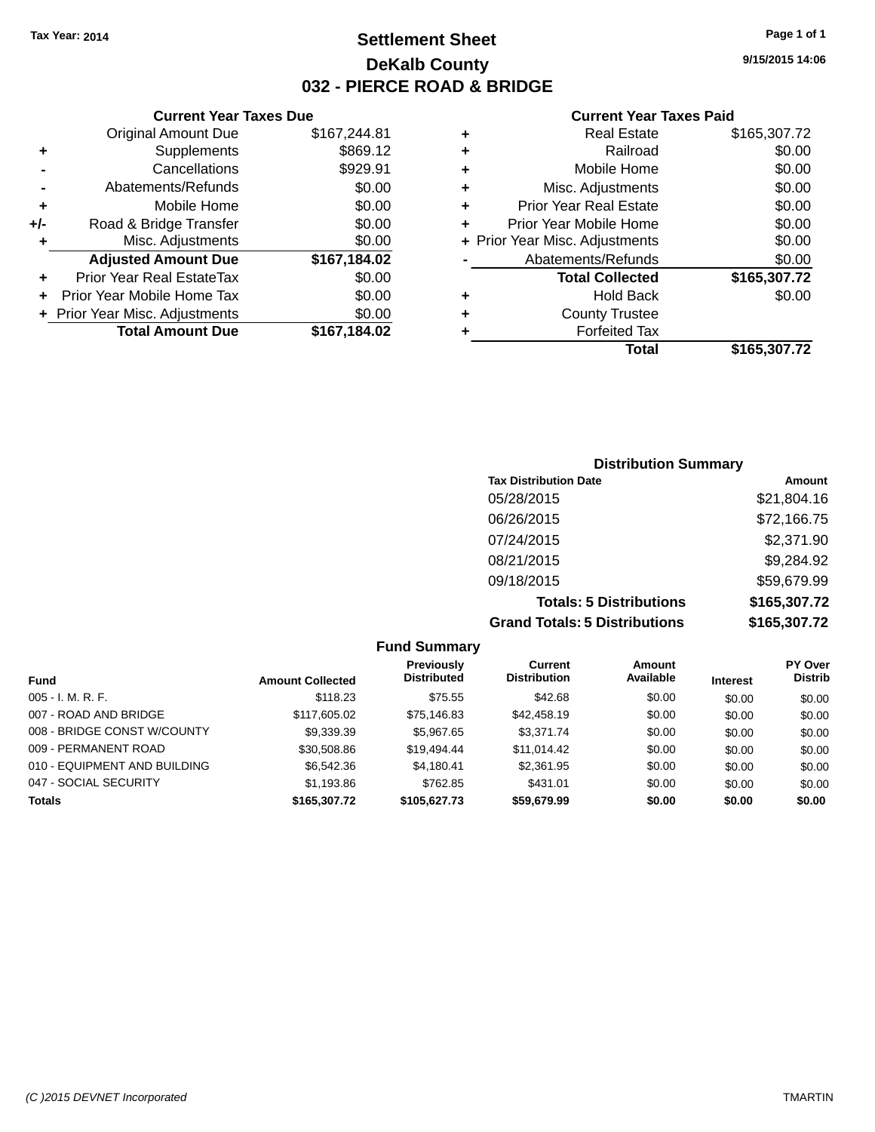### **Settlement Sheet Tax Year: 2014 Page 1 of 1 DeKalb County 032 - PIERCE ROAD & BRIDGE**

**Current Year Taxes Due**

|     | <b>Original Amount Due</b>     | \$167,244.81 |
|-----|--------------------------------|--------------|
| ٠   | Supplements                    | \$869.12     |
|     | Cancellations                  | \$929.91     |
|     | Abatements/Refunds             | \$0.00       |
| ٠   | Mobile Home                    | \$0.00       |
| +/- | Road & Bridge Transfer         | \$0.00       |
| ٠   | Misc. Adjustments              | \$0.00       |
|     |                                |              |
|     | <b>Adjusted Amount Due</b>     | \$167,184.02 |
| ÷   | Prior Year Real EstateTax      | \$0.00       |
|     | Prior Year Mobile Home Tax     | \$0.00       |
|     | + Prior Year Misc. Adjustments | \$0.00       |
|     | <b>Total Amount Due</b>        | \$167,184.02 |

|   | <b>Real Estate</b>             | \$165,307.72 |
|---|--------------------------------|--------------|
| ٠ | Railroad                       | \$0.00       |
| ٠ | Mobile Home                    | \$0.00       |
| ٠ | Misc. Adjustments              | \$0.00       |
| ٠ | Prior Year Real Estate         | \$0.00       |
| ٠ | Prior Year Mobile Home         | \$0.00       |
|   | + Prior Year Misc. Adjustments | \$0.00       |
|   | Abatements/Refunds             | \$0.00       |
|   | <b>Total Collected</b>         | \$165,307.72 |
| ٠ | Hold Back                      | \$0.00       |
| ٠ | <b>County Trustee</b>          |              |
| ٠ | <b>Forfeited Tax</b>           |              |
|   | Total                          | \$165,307.72 |
|   |                                |              |

| <b>Distribution Summary</b>          |              |  |  |  |  |
|--------------------------------------|--------------|--|--|--|--|
| <b>Tax Distribution Date</b>         | Amount       |  |  |  |  |
| 05/28/2015                           | \$21,804.16  |  |  |  |  |
| 06/26/2015                           | \$72,166.75  |  |  |  |  |
| 07/24/2015                           | \$2,371.90   |  |  |  |  |
| 08/21/2015                           | \$9,284.92   |  |  |  |  |
| 09/18/2015                           | \$59,679.99  |  |  |  |  |
| <b>Totals: 5 Distributions</b>       | \$165,307.72 |  |  |  |  |
| <b>Grand Totals: 5 Distributions</b> | \$165,307.72 |  |  |  |  |

| <b>Fund Summary</b>          |                         |                                         |                                       |                     |                 |                                  |
|------------------------------|-------------------------|-----------------------------------------|---------------------------------------|---------------------|-----------------|----------------------------------|
| <b>Fund</b>                  | <b>Amount Collected</b> | <b>Previously</b><br><b>Distributed</b> | <b>Current</b><br><b>Distribution</b> | Amount<br>Available | <b>Interest</b> | <b>PY Over</b><br><b>Distrib</b> |
| $005 - I. M. R. F.$          | \$118.23                | \$75.55                                 | \$42.68                               | \$0.00              | \$0.00          | \$0.00                           |
| 007 - ROAD AND BRIDGE        | \$117,605.02            | \$75,146.83                             | \$42,458.19                           | \$0.00              | \$0.00          | \$0.00                           |
| 008 - BRIDGE CONST W/COUNTY  | \$9,339.39              | \$5,967.65                              | \$3.371.74                            | \$0.00              | \$0.00          | \$0.00                           |
| 009 - PERMANENT ROAD         | \$30,508.86             | \$19,494.44                             | \$11,014.42                           | \$0.00              | \$0.00          | \$0.00                           |
| 010 - EQUIPMENT AND BUILDING | \$6,542.36              | \$4,180.41                              | \$2,361.95                            | \$0.00              | \$0.00          | \$0.00                           |
| 047 - SOCIAL SECURITY        | \$1,193.86              | \$762.85                                | \$431.01                              | \$0.00              | \$0.00          | \$0.00                           |
| <b>Totals</b>                | \$165,307.72            | \$105.627.73                            | \$59,679.99                           | \$0.00              | \$0.00          | \$0.00                           |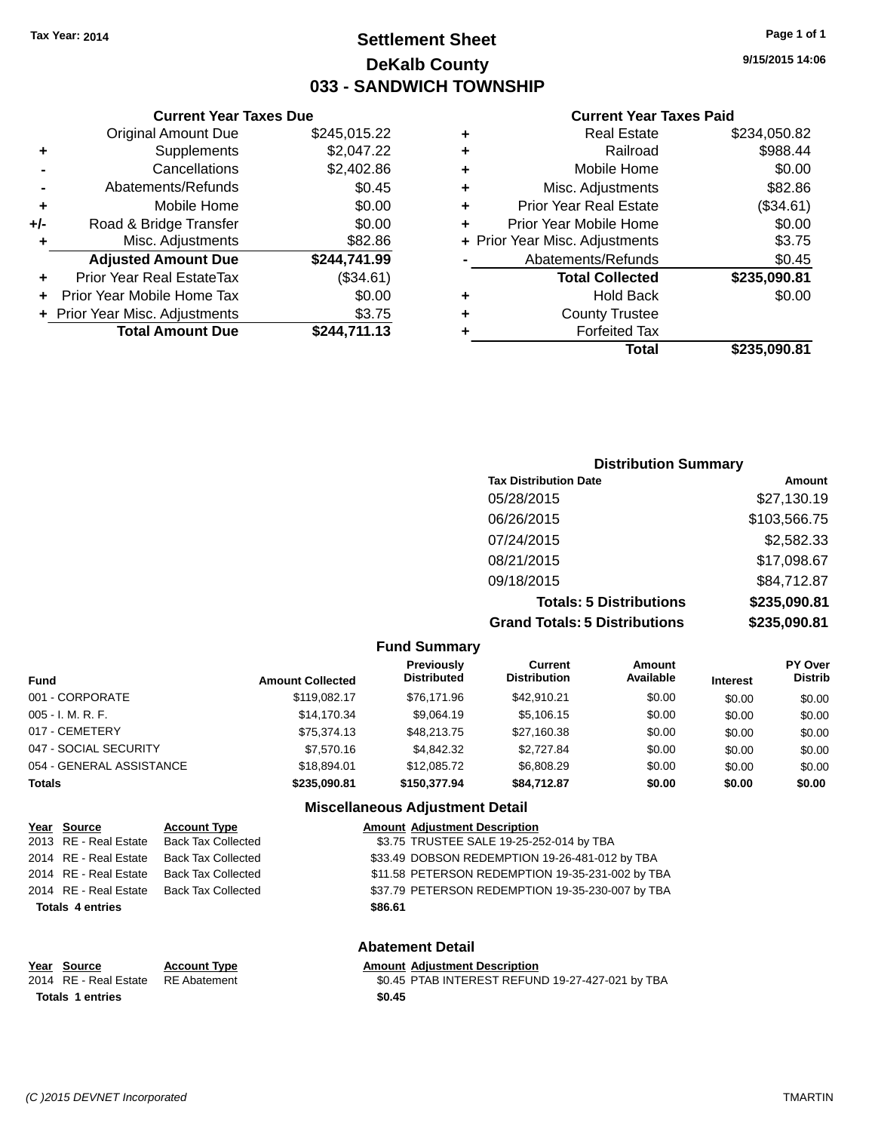### **Settlement Sheet Tax Year: 2014 Page 1 of 1 DeKalb County 033 - SANDWICH TOWNSHIP**

#### **Current Year Taxes Due**

| <b>Original Amount Due</b>  | \$245,015.22                   |  |  |
|-----------------------------|--------------------------------|--|--|
| Supplements                 | \$2,047.22                     |  |  |
| \$2,402.86<br>Cancellations |                                |  |  |
| Abatements/Refunds          | \$0.45                         |  |  |
| Mobile Home                 | \$0.00                         |  |  |
| Road & Bridge Transfer      | \$0.00                         |  |  |
| Misc. Adjustments           | \$82.86                        |  |  |
| <b>Adjusted Amount Due</b>  | \$244,741.99                   |  |  |
| Prior Year Real EstateTax   | (\$34.61)                      |  |  |
| Prior Year Mobile Home Tax  | \$0.00                         |  |  |
|                             | \$3.75                         |  |  |
| <b>Total Amount Due</b>     | \$244,711.13                   |  |  |
|                             | + Prior Year Misc. Adjustments |  |  |

#### **Current Year Taxes Paid**

| ٠ | <b>Real Estate</b>             | \$234,050.82 |
|---|--------------------------------|--------------|
| ٠ | Railroad                       | \$988.44     |
| ٠ | Mobile Home                    | \$0.00       |
| ٠ | Misc. Adjustments              | \$82.86      |
| ٠ | Prior Year Real Estate         | (\$34.61)    |
| ÷ | Prior Year Mobile Home         | \$0.00       |
|   | + Prior Year Misc. Adjustments | \$3.75       |
|   | Abatements/Refunds             | \$0.45       |
|   | <b>Total Collected</b>         | \$235,090.81 |
| ٠ | Hold Back                      | \$0.00       |
| ٠ | <b>County Trustee</b>          |              |
| ٠ | <b>Forfeited Tax</b>           |              |
|   | Total                          | \$235,090.81 |
|   |                                |              |

#### **Distribution Summary Tax Distribution Date Amount** 05/28/2015 \$27,130.19 06/26/2015 \$103,566.75 07/24/2015 \$2,582.33 08/21/2015 \$17,098.67 09/18/2015 \$84,712.87 **Totals: 5 Distributions \$235,090.81 Grand Totals: 5 Distributions \$235,090.81**

| <b>Fund Summary</b>      |                         |                                         |                                |                     |                 |                                  |
|--------------------------|-------------------------|-----------------------------------------|--------------------------------|---------------------|-----------------|----------------------------------|
| <b>Fund</b>              | <b>Amount Collected</b> | <b>Previously</b><br><b>Distributed</b> | Current<br><b>Distribution</b> | Amount<br>Available | <b>Interest</b> | <b>PY Over</b><br><b>Distrib</b> |
| 001 - CORPORATE          | \$119.082.17            | \$76.171.96                             | \$42.910.21                    | \$0.00              | \$0.00          | \$0.00                           |
| 005 - I. M. R. F.        | \$14.170.34             | \$9.064.19                              | \$5,106.15                     | \$0.00              | \$0.00          | \$0.00                           |
| 017 - CEMETERY           | \$75.374.13             | \$48,213,75                             | \$27,160.38                    | \$0.00              | \$0.00          | \$0.00                           |
| 047 - SOCIAL SECURITY    | \$7,570.16              | \$4,842.32                              | \$2,727.84                     | \$0.00              | \$0.00          | \$0.00                           |
| 054 - GENERAL ASSISTANCE | \$18,894.01             | \$12,085.72                             | \$6,808.29                     | \$0.00              | \$0.00          | \$0.00                           |
| <b>Totals</b>            | \$235,090.81            | \$150,377.94                            | \$84.712.87                    | \$0.00              | \$0.00          | \$0.00                           |
|                          |                         |                                         |                                |                     |                 |                                  |

**Fund Summary**

#### **Miscellaneous Adjustment Detail**

| Year Source             | <b>Account Type</b>       | <b>Amount Adjustment Description</b>             |
|-------------------------|---------------------------|--------------------------------------------------|
| 2013 RE - Real Estate   | Back Tax Collected        | \$3.75 TRUSTEE SALE 19-25-252-014 by TBA         |
| 2014 RE - Real Estate   | Back Tax Collected        | \$33.49 DOBSON REDEMPTION 19-26-481-012 by TBA   |
| 2014 RE - Real Estate   | <b>Back Tax Collected</b> | \$11.58 PETERSON REDEMPTION 19-35-231-002 by TBA |
| 2014 RE - Real Estate   | Back Tax Collected        | \$37.79 PETERSON REDEMPTION 19-35-230-007 by TBA |
| <b>Totals 4 entries</b> |                           | \$86.61                                          |

# **Totals 1 entries \$0.45**

#### **Abatement Detail**

#### **Year** Source **Account Type Account Adjustment Description**

2014 RE - Real Estate RE Abatement \$0.45 PTAB INTEREST REFUND 19-27-427-021 by TBA

**9/15/2015 14:06**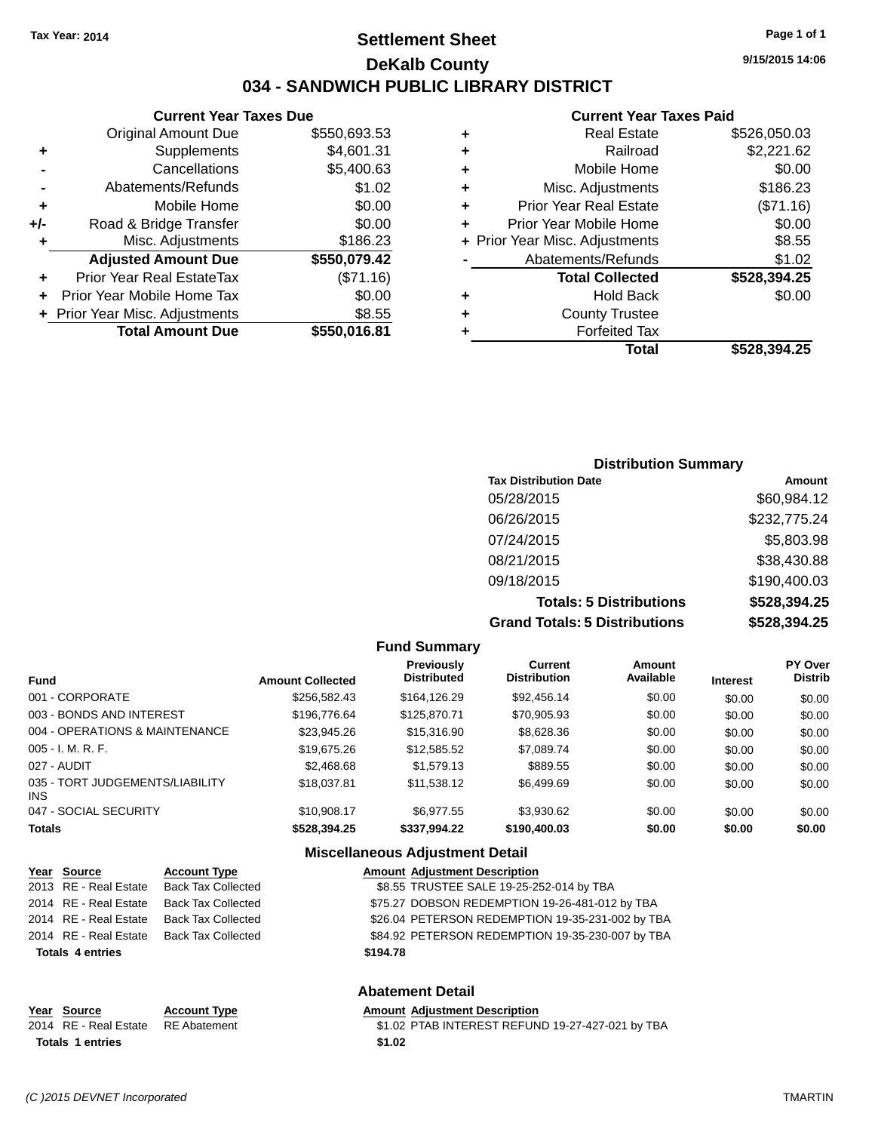### **Settlement Sheet Tax Year: 2014 Page 1 of 1 DeKalb County 034 - SANDWICH PUBLIC LIBRARY DISTRICT**

|     | <b>Total Amount Due</b>          | \$550,016.81 |
|-----|----------------------------------|--------------|
|     | + Prior Year Misc. Adjustments   | \$8.55       |
|     | Prior Year Mobile Home Tax       | \$0.00       |
|     | <b>Prior Year Real EstateTax</b> | (\$71.16)    |
|     | <b>Adjusted Amount Due</b>       | \$550,079.42 |
| ÷   | Misc. Adjustments                | \$186.23     |
| +/- | Road & Bridge Transfer           | \$0.00       |
| ٠   | Mobile Home                      | \$0.00       |
|     | Abatements/Refunds               | \$1.02       |
|     | Cancellations                    | \$5,400.63   |
| ٠   | Supplements                      | \$4,601.31   |
|     | <b>Original Amount Due</b>       | \$550,693.53 |

#### **Current Year Taxes Paid**

| ٠ | <b>Real Estate</b>             | \$526,050.03 |
|---|--------------------------------|--------------|
| ٠ | Railroad                       | \$2,221.62   |
| ٠ | Mobile Home                    | \$0.00       |
| ٠ | Misc. Adjustments              | \$186.23     |
| ٠ | <b>Prior Year Real Estate</b>  | (\$71.16)    |
| ÷ | Prior Year Mobile Home         | \$0.00       |
|   | + Prior Year Misc. Adjustments | \$8.55       |
|   | Abatements/Refunds             | \$1.02       |
|   | <b>Total Collected</b>         | \$528,394.25 |
| ٠ | Hold Back                      | \$0.00       |
| ٠ | <b>County Trustee</b>          |              |
| ٠ | <b>Forfeited Tax</b>           |              |
|   | <b>Total</b>                   | \$528,394.25 |
|   |                                |              |

#### **Distribution Summary Tax Distribution Date Amount** 05/28/2015 \$60,984.12 06/26/2015 \$232,775.24 07/24/2015 \$5,803.98 08/21/2015 \$38,430.88 09/18/2015 \$190,400.03 **Totals: 5 Distributions \$528,394.25 Grand Totals: 5 Distributions \$528,394.25**

**Fund Summary Fund Interest Amount Collected Distributed PY Over Distrib Amount Available Current Distribution Previously** 001 - CORPORATE \$256,582.43 \$164,126.29 \$92,456.14 \$0.00 \$0.00 \$0.00 003 - BONDS AND INTEREST  $$196,776.64$   $$125,870.71$   $$70,905.93$   $$0.00$   $$0.00$   $$0.00$ 004 - OPERATIONS & MAINTENANCE  $$23,945.26$   $$15,316.90$   $$8,628.36$   $$0.00$   $$0.00$   $$0.00$ 005 - I. M. R. F. \$19,675.26 \$12,585.52 \$7,089.74 \$0.00 \$0.00 \$0.00 027 - AUDIT \$2,468.68 \$1,579.13 \$889.55 \$0.00 \$0.00 \$0.00 035 - TORT JUDGEMENTS/LIABILITY INS \$18,037.81 \$11,538.12 \$6,499.69 \$0.00 \$0.00 \$0.00 \$0.00 047 - SOCIAL SECURITY \$10,908.17 \$6,977.55 \$3,930.62 \$0.00 \$0.00 \$0.00 **Totals \$528,394.25 \$337,994.22 \$190,400.03 \$0.00 \$0.00 \$0.00 Miscellaneous Adjustment Detail**

#### **Year Source Account Type Amount Adjustment Description** 2013 RE - Real Estate Back Tax Collected \$8.55 TRUSTEE SALE 19-25-252-014 by TBA 2014 RE - Real Estate Back Tax Collected \$75.27 DOBSON REDEMPTION 19-26-481-012 by TBA 2014 RE - Real Estate Back Tax Collected \$26.04 PETERSON REDEMPTION 19-35-231-002 by TBA 2014 RE - Real Estate Back Tax Collected \$84.92 PETERSON REDEMPTION 19-35-230-007 by TBA **Totals 4 entries \$194.78**

| Year Source             | <b>Account Type</b> | Amount |
|-------------------------|---------------------|--------|
| 2014 RE - Real Estate   | RE Abatement        | \$1.02 |
| <b>Totals 1 entries</b> |                     | \$1.02 |

**Abatement Detail Adjustment Description** 

PTAB INTEREST REFUND 19-27-427-021 by TBA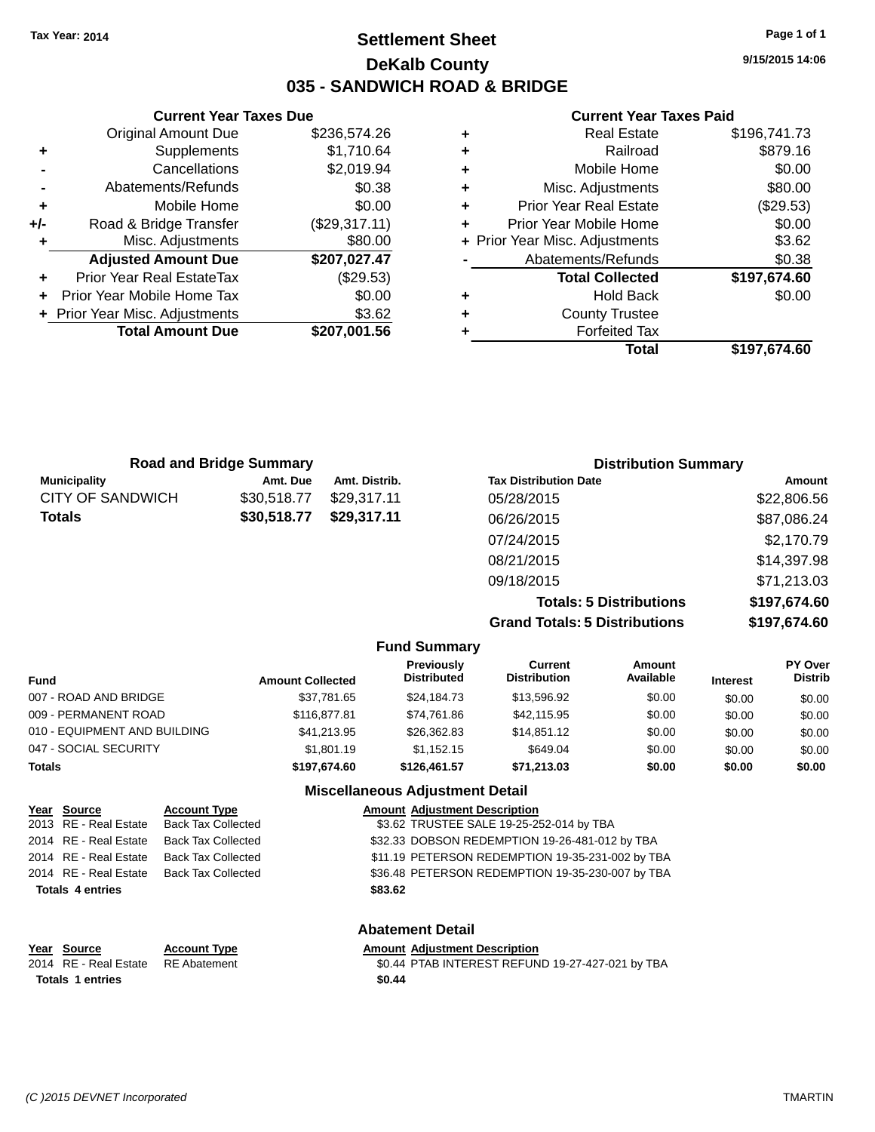### **Settlement Sheet Tax Year: 2014 Page 1 of 1 DeKalb County 035 - SANDWICH ROAD & BRIDGE**

**Current Year Taxes Due** Original Amount Due \$236,574.26 **+** Supplements \$1,710.64 **-** Cancellations \$2,019.94 **-** Abatements/Refunds \$0.38 **+** Mobile Home \$0.00 **+/-** Road & Bridge Transfer (\$29,317.11) **+** Misc. Adjustments \$80.00 **Adjusted Amount Due \$207,027.47 +** Prior Year Real EstateTax (\$29.53) **+** Prior Year Mobile Home Tax \$0.00 **+ Prior Year Misc. Adjustments \$3.62 Total Amount Due \$207,001.56**

#### **Current Year Taxes Paid**

|   | <b>Real Estate</b>             | \$196,741.73 |
|---|--------------------------------|--------------|
| ٠ | Railroad                       | \$879.16     |
| ٠ | Mobile Home                    | \$0.00       |
| ٠ | Misc. Adjustments              | \$80.00      |
| ٠ | <b>Prior Year Real Estate</b>  | (\$29.53)    |
|   | Prior Year Mobile Home         | \$0.00       |
|   | + Prior Year Misc. Adjustments | \$3.62       |
|   | Abatements/Refunds             | \$0.38       |
|   | <b>Total Collected</b>         | \$197,674.60 |
| ٠ | Hold Back                      | \$0.00       |
| ٠ | <b>County Trustee</b>          |              |
|   | <b>Forfeited Tax</b>           |              |
|   | Total                          | \$197,674.60 |
|   |                                |              |

|                         | <b>Road and Bridge Summary</b> |               | <b>Distribution Summary</b>  |             |
|-------------------------|--------------------------------|---------------|------------------------------|-------------|
| <b>Municipality</b>     | Amt. Due                       | Amt. Distrib. | <b>Tax Distribution Date</b> | Amount      |
| <b>CITY OF SANDWICH</b> | \$30,518.77                    | \$29.317.11   | 05/28/2015                   | \$22,806.56 |
| Totals                  | \$30,518.77                    | \$29,317.11   | 06/26/2015                   | \$87,086.24 |
|                         |                                |               | 07/24/2015                   | \$2,170.79  |
|                         |                                |               | 08/21/2015                   | \$14,397.98 |
|                         |                                |               | 09/18/2015                   | \$71,213.03 |
|                         |                                |               |                              |             |

**Totals: 5 Distributions \$197,674.60 Grand Totals: 5 Distributions \$197,674.60**

|                              |                         | <b>Fund Summary</b>                     |                                |                     |                 |                                  |
|------------------------------|-------------------------|-----------------------------------------|--------------------------------|---------------------|-----------------|----------------------------------|
| Fund                         | <b>Amount Collected</b> | <b>Previously</b><br><b>Distributed</b> | Current<br><b>Distribution</b> | Amount<br>Available | <b>Interest</b> | <b>PY Over</b><br><b>Distrib</b> |
| 007 - ROAD AND BRIDGE        | \$37,781.65             | \$24,184.73                             | \$13,596.92                    | \$0.00              | \$0.00          | \$0.00                           |
| 009 - PERMANENT ROAD         | \$116,877.81            | \$74,761.86                             | \$42,115.95                    | \$0.00              | \$0.00          | \$0.00                           |
| 010 - EQUIPMENT AND BUILDING | \$41,213.95             | \$26,362.83                             | \$14,851.12                    | \$0.00              | \$0.00          | \$0.00                           |
| 047 - SOCIAL SECURITY        | \$1,801.19              | \$1.152.15                              | \$649.04                       | \$0.00              | \$0.00          | \$0.00                           |
| <b>Totals</b>                | \$197.674.60            | \$126,461.57                            | \$71,213.03                    | \$0.00              | \$0.00          | \$0.00                           |
|                              |                         | Miscellaneous Adjustment Detail         |                                |                     |                 |                                  |

|      | Year Source             | <b>Account Type</b>       | <b>Amount Adjustment Description</b>             |
|------|-------------------------|---------------------------|--------------------------------------------------|
|      | 2013 RE - Real Estate   | <b>Back Tax Collected</b> | \$3.62 TRUSTEE SALE 19-25-252-014 by TBA         |
|      | 2014 RE - Real Estate   | <b>Back Tax Collected</b> | \$32.33 DOBSON REDEMPTION 19-26-481-012 by TBA   |
|      | 2014 RE - Real Estate   | <b>Back Tax Collected</b> | \$11.19 PETERSON REDEMPTION 19-35-231-002 by TBA |
|      | 2014 RE - Real Estate   | <b>Back Tax Collected</b> | \$36.48 PETERSON REDEMPTION 19-35-230-007 by TBA |
|      | <b>Totals 4 entries</b> |                           | \$83.62                                          |
|      |                         |                           | <b>Abatement Detail</b>                          |
| Year | Source                  | <b>Account Type</b>       | <b>Amount Adjustment Description</b>             |

# **Totals 1 entries \$0.44**

2014 RE - Real Estate RE Abatement \$0.44 PTAB INTEREST REFUND 19-27-427-021 by TBA

**9/15/2015 14:06**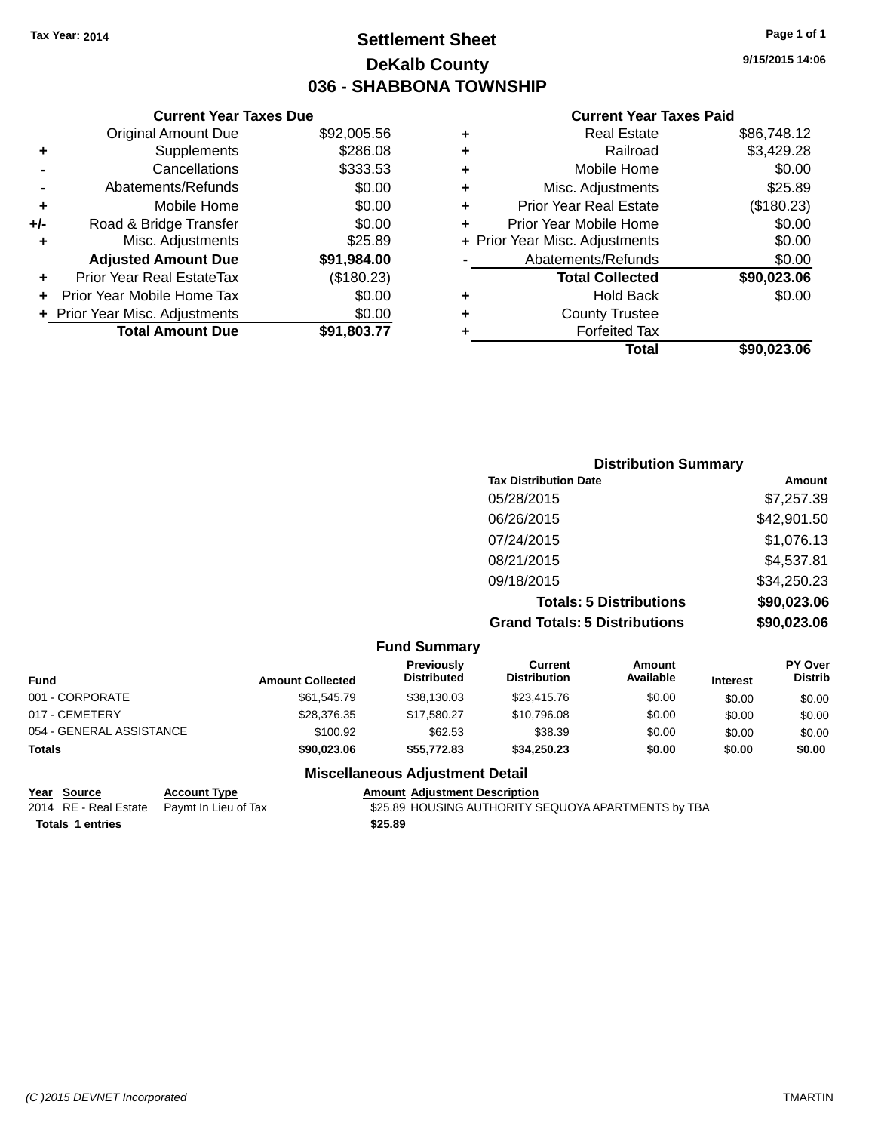### **Settlement Sheet Tax Year: 2014 Page 1 of 1 DeKalb County 036 - SHABBONA TOWNSHIP**

**9/15/2015 14:06**

#### **Current Year Taxes Paid**

|     | <b>Current Year Taxes Due</b>  |             |  |
|-----|--------------------------------|-------------|--|
|     | <b>Original Amount Due</b>     | \$92,005.56 |  |
| ٠   | Supplements                    | \$286.08    |  |
|     | Cancellations                  | \$333.53    |  |
|     | Abatements/Refunds             | \$0.00      |  |
| ٠   | Mobile Home                    | \$0.00      |  |
| +/- | Road & Bridge Transfer         | \$0.00      |  |
| ٠   | Misc. Adjustments              | \$25.89     |  |
|     | <b>Adjusted Amount Due</b>     | \$91,984.00 |  |
| ٠   | Prior Year Real EstateTax      | (\$180.23)  |  |
| ÷   | Prior Year Mobile Home Tax     | \$0.00      |  |
|     | + Prior Year Misc. Adjustments | \$0.00      |  |
|     | <b>Total Amount Due</b>        | \$91,803.77 |  |
|     |                                |             |  |

| ٠ | <b>Real Estate</b>             | \$86,748.12 |
|---|--------------------------------|-------------|
| ٠ | Railroad                       | \$3,429.28  |
| ٠ | Mobile Home                    | \$0.00      |
| ٠ | Misc. Adjustments              | \$25.89     |
| ٠ | <b>Prior Year Real Estate</b>  | (\$180.23)  |
| ٠ | Prior Year Mobile Home         | \$0.00      |
|   | + Prior Year Misc. Adjustments | \$0.00      |
|   | Abatements/Refunds             | \$0.00      |
|   | <b>Total Collected</b>         | \$90,023.06 |
| ٠ | <b>Hold Back</b>               | \$0.00      |
| ٠ | <b>County Trustee</b>          |             |
| ٠ | <b>Forfeited Tax</b>           |             |
|   | Total                          | \$90,023.06 |
|   |                                |             |

| <b>Distribution Summary</b>          |             |
|--------------------------------------|-------------|
| <b>Tax Distribution Date</b>         | Amount      |
| 05/28/2015                           | \$7,257.39  |
| 06/26/2015                           | \$42,901.50 |
| 07/24/2015                           | \$1,076.13  |
| 08/21/2015                           | \$4,537.81  |
| 09/18/2015                           | \$34,250.23 |
| <b>Totals: 5 Distributions</b>       | \$90,023.06 |
| <b>Grand Totals: 5 Distributions</b> | \$90,023.06 |

|                          |                         | <b>Fund Summary</b>              |                                |                     |                 |                                  |
|--------------------------|-------------------------|----------------------------------|--------------------------------|---------------------|-----------------|----------------------------------|
| <b>Fund</b>              | <b>Amount Collected</b> | Previously<br><b>Distributed</b> | Current<br><b>Distribution</b> | Amount<br>Available | <b>Interest</b> | <b>PY Over</b><br><b>Distrib</b> |
| 001 - CORPORATE          | \$61,545.79             | \$38,130.03                      | \$23,415.76                    | \$0.00              | \$0.00          | \$0.00                           |
| 017 - CEMETERY           | \$28,376.35             | \$17.580.27                      | \$10,796.08                    | \$0.00              | \$0.00          | \$0.00                           |
| 054 - GENERAL ASSISTANCE | \$100.92                | \$62.53                          | \$38.39                        | \$0.00              | \$0.00          | \$0.00                           |
| <b>Totals</b>            | \$90,023.06             | \$55.772.83                      | \$34,250.23                    | \$0.00              | \$0.00          | \$0.00                           |

#### **Miscellaneous Adjustment Detail**

**<u>Year Source</u> Account Type**<br> **Account Type Added Added Adden Paymt In Lieu of Tax Totals 1 entries \$25.89**

Amount Adjustment Description<br>\$25.89 HOUSING AUTHORITY SEQUOYA APARTMENTS by TBA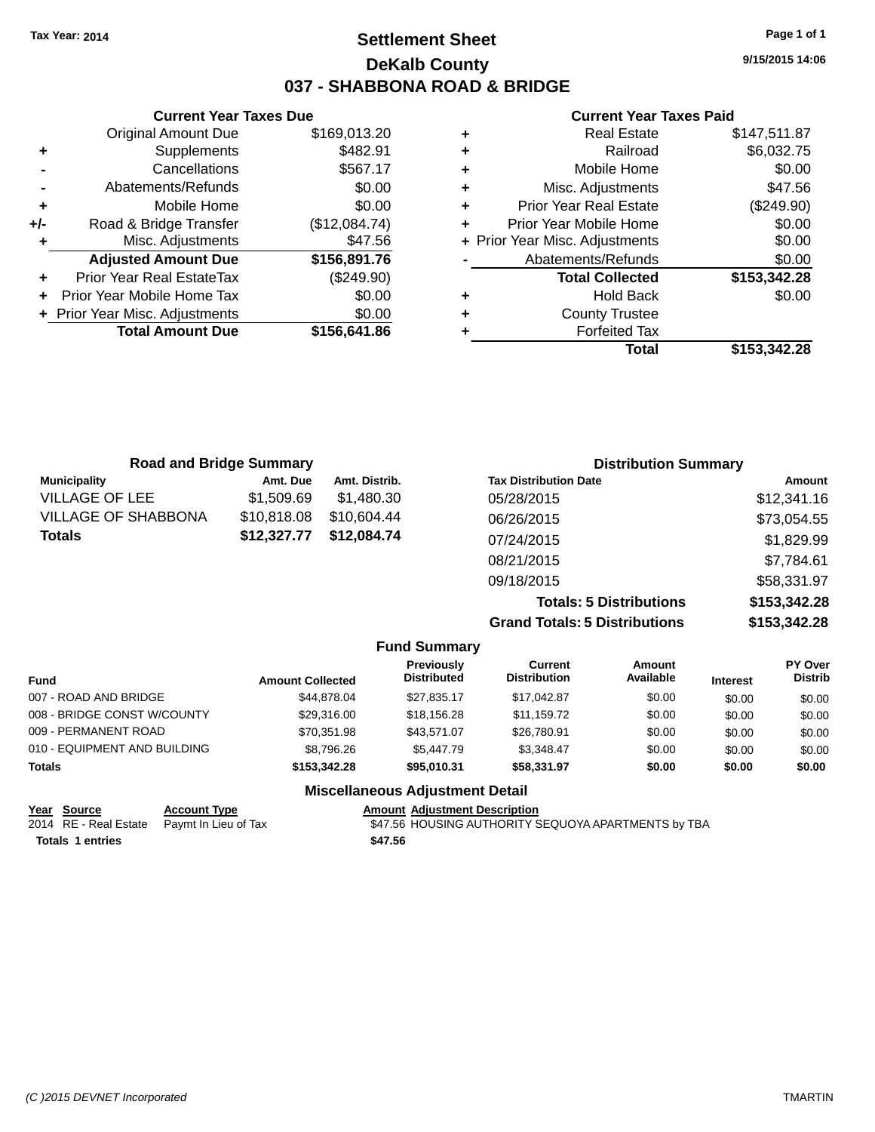### **Settlement Sheet Tax Year: 2014 Page 1 of 1 DeKalb County 037 - SHABBONA ROAD & BRIDGE**

**9/15/2015 14:06**

#### **Current Year Taxes Paid**

|     | <b>Current Year Taxes Due</b>    |               |  |  |  |
|-----|----------------------------------|---------------|--|--|--|
|     | <b>Original Amount Due</b>       | \$169,013.20  |  |  |  |
| ٠   | Supplements                      | \$482.91      |  |  |  |
|     | Cancellations                    | \$567.17      |  |  |  |
|     | Abatements/Refunds               | \$0.00        |  |  |  |
| ٠   | Mobile Home                      | \$0.00        |  |  |  |
| +/- | Road & Bridge Transfer           | (\$12,084.74) |  |  |  |
| ٠   | Misc. Adjustments                | \$47.56       |  |  |  |
|     | <b>Adjusted Amount Due</b>       | \$156,891.76  |  |  |  |
| ٠   | <b>Prior Year Real EstateTax</b> | (\$249.90)    |  |  |  |
|     | Prior Year Mobile Home Tax       | \$0.00        |  |  |  |
|     | + Prior Year Misc. Adjustments   | \$0.00        |  |  |  |
|     | <b>Total Amount Due</b>          | \$156,641.86  |  |  |  |
|     |                                  |               |  |  |  |

|   | <b>Real Estate</b>             | \$147,511.87 |
|---|--------------------------------|--------------|
| ٠ | Railroad                       | \$6,032.75   |
| ٠ | Mobile Home                    | \$0.00       |
| ٠ | Misc. Adjustments              | \$47.56      |
| ٠ | <b>Prior Year Real Estate</b>  | (\$249.90)   |
| ٠ | Prior Year Mobile Home         | \$0.00       |
|   | + Prior Year Misc. Adjustments | \$0.00       |
|   | Abatements/Refunds             | \$0.00       |
|   | <b>Total Collected</b>         | \$153,342.28 |
| ٠ | <b>Hold Back</b>               | \$0.00       |
| ٠ | <b>County Trustee</b>          |              |
| ٠ | <b>Forfeited Tax</b>           |              |
|   | Total                          | \$153,342.28 |
|   |                                |              |

| <b>Road and Bridge Summary</b> |             |               | <b>Distribution Summary</b>    |               |  |
|--------------------------------|-------------|---------------|--------------------------------|---------------|--|
| <b>Municipality</b>            | Amt. Due    | Amt. Distrib. | <b>Tax Distribution Date</b>   | <b>Amount</b> |  |
| <b>VILLAGE OF LEE</b>          | \$1,509.69  | \$1.480.30    | 05/28/2015                     | \$12,341.16   |  |
| VILLAGE OF SHABBONA            | \$10,818.08 | \$10,604.44   | 06/26/2015                     | \$73,054.55   |  |
| Totals                         | \$12,327.77 | \$12,084.74   | 07/24/2015                     | \$1,829.99    |  |
|                                |             |               | 08/21/2015                     | \$7,784.61    |  |
|                                |             |               | 09/18/2015                     | \$58,331.97   |  |
|                                |             |               | <b>Totals: 5 Distributions</b> | \$153,342.28  |  |

**Grand Totals: 5 Distributions \$153,342.28**

|                                   |                       |                         | <b>Fund Summary</b>                     |                                |                     |                 |                                  |
|-----------------------------------|-----------------------|-------------------------|-----------------------------------------|--------------------------------|---------------------|-----------------|----------------------------------|
| <b>Fund</b>                       |                       | <b>Amount Collected</b> | <b>Previously</b><br><b>Distributed</b> | Current<br><b>Distribution</b> | Amount<br>Available | <b>Interest</b> | <b>PY Over</b><br><b>Distrib</b> |
| 007 - ROAD AND BRIDGE             |                       | \$44.878.04             | \$27.835.17                             | \$17,042.87                    | \$0.00              | \$0.00          | \$0.00                           |
| 008 - BRIDGE CONST W/COUNTY       |                       | \$29,316,00             | \$18,156.28                             | \$11.159.72                    | \$0.00              | \$0.00          | \$0.00                           |
| 009 - PERMANENT ROAD              |                       | \$70,351.98             | \$43.571.07                             | \$26,780.91                    | \$0.00              | \$0.00          | \$0.00                           |
| 010 - EQUIPMENT AND BUILDING      |                       | \$8,796.26              | \$5,447.79                              | \$3,348.47                     | \$0.00              | \$0.00          | \$0.00                           |
| Totals                            |                       | \$153,342,28            | \$95,010.31                             | \$58,331.97                    | \$0.00              | \$0.00          | \$0.00                           |
|                                   |                       |                         | <b>Miscellaneous Adjustment Detail</b>  |                                |                     |                 |                                  |
| $V_{\text{max}}$ $C_{\text{max}}$ | $A$ aaa $\cdots$ Tusa |                         | Americal Adjustment Description         |                                |                     |                 |                                  |

| Year Source             | <b>Account Type</b>                        | Amount Adiustment Description                       |
|-------------------------|--------------------------------------------|-----------------------------------------------------|
|                         | 2014 RE - Real Estate Paymt In Lieu of Tax | \$47.56 HOUSING AUTHORITY SEQUOYA APARTMENTS by TBA |
| <b>Totals 1 entries</b> |                                            | \$47.56                                             |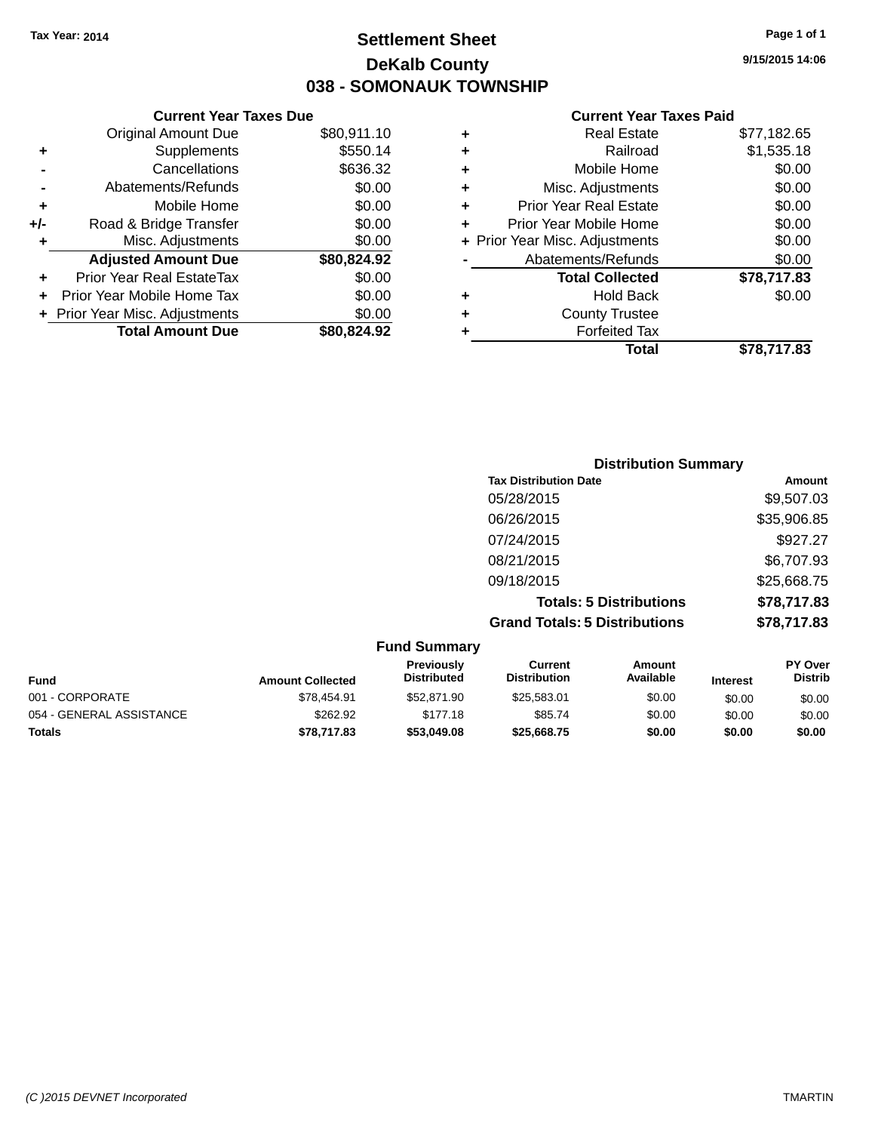### **Settlement Sheet Tax Year: 2014 Page 1 of 1 DeKalb County 038 - SOMONAUK TOWNSHIP**

**9/15/2015 14:06**

|     | <b>Current Year Taxes Due</b>  |             |
|-----|--------------------------------|-------------|
|     | <b>Original Amount Due</b>     | \$80,911.10 |
| ٠   | Supplements                    | \$550.14    |
|     | Cancellations                  | \$636.32    |
|     | Abatements/Refunds             | \$0.00      |
| ٠   | Mobile Home                    | \$0.00      |
| +/- | Road & Bridge Transfer         | \$0.00      |
| ÷   | Misc. Adjustments              | \$0.00      |
|     | <b>Adjusted Amount Due</b>     | \$80,824.92 |
| ٠   | Prior Year Real EstateTax      | \$0.00      |
|     | Prior Year Mobile Home Tax     | \$0.00      |
|     | + Prior Year Misc. Adjustments | \$0.00      |
|     | <b>Total Amount Due</b>        | \$80,824.92 |
|     |                                |             |

| ٠ | <b>Real Estate</b>             | \$77,182.65 |
|---|--------------------------------|-------------|
| ٠ | Railroad                       | \$1,535.18  |
| ٠ | Mobile Home                    | \$0.00      |
| ٠ | Misc. Adjustments              | \$0.00      |
| ٠ | <b>Prior Year Real Estate</b>  | \$0.00      |
| ÷ | Prior Year Mobile Home         | \$0.00      |
|   | + Prior Year Misc. Adjustments | \$0.00      |
|   | Abatements/Refunds             | \$0.00      |
|   | <b>Total Collected</b>         | \$78,717.83 |
| ٠ | Hold Back                      | \$0.00      |
| ٠ | <b>County Trustee</b>          |             |
| ٠ | <b>Forfeited Tax</b>           |             |
|   | Total                          | \$78.717.83 |
|   |                                |             |

| <b>Distribution Summary</b>          |             |
|--------------------------------------|-------------|
| <b>Tax Distribution Date</b>         | Amount      |
| 05/28/2015                           | \$9,507.03  |
| 06/26/2015                           | \$35,906.85 |
| 07/24/2015                           | \$927.27    |
| 08/21/2015                           | \$6,707.93  |
| 09/18/2015                           | \$25,668.75 |
| <b>Totals: 5 Distributions</b>       | \$78,717.83 |
| <b>Grand Totals: 5 Distributions</b> | \$78,717.83 |

|                          |                         | <b>Fund Summary</b>              |                                |                     |                 |                                  |
|--------------------------|-------------------------|----------------------------------|--------------------------------|---------------------|-----------------|----------------------------------|
| <b>Fund</b>              | <b>Amount Collected</b> | Previously<br><b>Distributed</b> | Current<br><b>Distribution</b> | Amount<br>Available | <b>Interest</b> | <b>PY Over</b><br><b>Distrib</b> |
| 001 - CORPORATE          | \$78,454.91             | \$52,871.90                      | \$25,583.01                    | \$0.00              | \$0.00          | \$0.00                           |
| 054 - GENERAL ASSISTANCE | \$262.92                | \$177.18                         | \$85.74                        | \$0.00              | \$0.00          | \$0.00                           |
| <b>Totals</b>            | \$78,717.83             | \$53,049.08                      | \$25,668.75                    | \$0.00              | \$0.00          | \$0.00                           |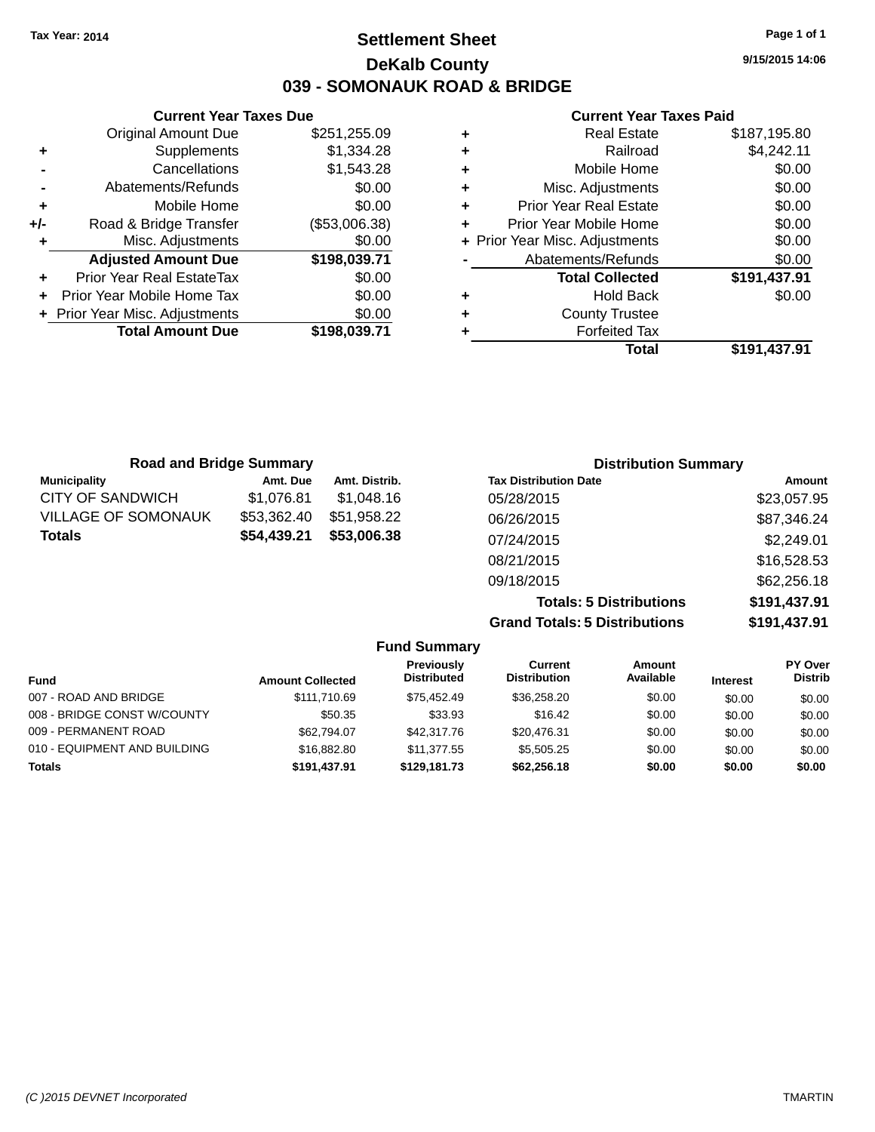### **Settlement Sheet Tax Year: 2014 Page 1 of 1 DeKalb County 039 - SOMONAUK ROAD & BRIDGE**

**9/15/2015 14:06**

|     | <b>Current Year Taxes Due</b> |               |
|-----|-------------------------------|---------------|
|     | <b>Original Amount Due</b>    | \$251,255.09  |
| ٠   | Supplements                   | \$1,334.28    |
|     | Cancellations                 | \$1,543.28    |
|     | Abatements/Refunds            | \$0.00        |
| ٠   | Mobile Home                   | \$0.00        |
| +/- | Road & Bridge Transfer        | (\$53,006.38) |
|     | Misc. Adjustments             | \$0.00        |
|     | <b>Adjusted Amount Due</b>    | \$198,039.71  |
| ٠   | Prior Year Real EstateTax     | \$0.00        |
|     | Prior Year Mobile Home Tax    | \$0.00        |
|     | Prior Year Misc. Adjustments  | \$0.00        |
|     | <b>Total Amount Due</b>       | \$198,039.71  |
|     |                               |               |

|   | Total                          | \$191,437.91 |
|---|--------------------------------|--------------|
| ٠ | <b>Forfeited Tax</b>           |              |
| ٠ | <b>County Trustee</b>          |              |
| ٠ | <b>Hold Back</b>               | \$0.00       |
|   | <b>Total Collected</b>         | \$191,437.91 |
|   | Abatements/Refunds             | \$0.00       |
|   | + Prior Year Misc. Adjustments | \$0.00       |
| ٠ | Prior Year Mobile Home         | \$0.00       |
| ٠ | <b>Prior Year Real Estate</b>  | \$0.00       |
| ٠ | Misc. Adjustments              | \$0.00       |
| ÷ | Mobile Home                    | \$0.00       |
| ÷ | Railroad                       | \$4,242.11   |
| ٠ | <b>Real Estate</b>             | \$187,195.80 |

| <b>Road and Bridge Summary</b> |             |               | <b>Distribution Summary</b>          |              |
|--------------------------------|-------------|---------------|--------------------------------------|--------------|
| <b>Municipality</b>            | Amt. Due    | Amt. Distrib. | <b>Tax Distribution Date</b>         | Amount       |
| <b>CITY OF SANDWICH</b>        | \$1,076.81  | \$1,048.16    | 05/28/2015                           | \$23,057.95  |
| <b>VILLAGE OF SOMONAUK</b>     | \$53,362.40 | \$51,958.22   | 06/26/2015                           | \$87,346.24  |
| <b>Totals</b>                  | \$54,439.21 | \$53,006.38   | 07/24/2015                           | \$2,249.01   |
|                                |             |               | 08/21/2015                           | \$16,528.53  |
|                                |             |               | 09/18/2015                           | \$62,256.18  |
|                                |             |               | <b>Totals: 5 Distributions</b>       | \$191,437.91 |
|                                |             |               | <b>Grand Totals: 5 Distributions</b> | \$191,437.91 |

|                              |                         | Grand Totals. 3 Distributions           |                                |                     |                 | <b>JIJI,437.JI</b>               |  |
|------------------------------|-------------------------|-----------------------------------------|--------------------------------|---------------------|-----------------|----------------------------------|--|
|                              |                         | <b>Fund Summary</b>                     |                                |                     |                 |                                  |  |
| <b>Fund</b>                  | <b>Amount Collected</b> | <b>Previously</b><br><b>Distributed</b> | Current<br><b>Distribution</b> | Amount<br>Available | <b>Interest</b> | <b>PY Over</b><br><b>Distrib</b> |  |
| 007 - ROAD AND BRIDGE        | \$111.710.69            | \$75.452.49                             | \$36,258,20                    | \$0.00              | \$0.00          | \$0.00                           |  |
| 008 - BRIDGE CONST W/COUNTY  | \$50.35                 | \$33.93                                 | \$16.42                        | \$0.00              | \$0.00          | \$0.00                           |  |
| 009 - PERMANENT ROAD         | \$62,794.07             | \$42,317,76                             | \$20,476.31                    | \$0.00              | \$0.00          | \$0.00                           |  |
| 010 - EQUIPMENT AND BUILDING | \$16,882.80             | \$11,377,55                             | \$5,505.25                     | \$0.00              | \$0.00          | \$0.00                           |  |
| <b>Totals</b>                | \$191.437.91            | \$129.181.73                            | \$62,256.18                    | \$0.00              | \$0.00          | \$0.00                           |  |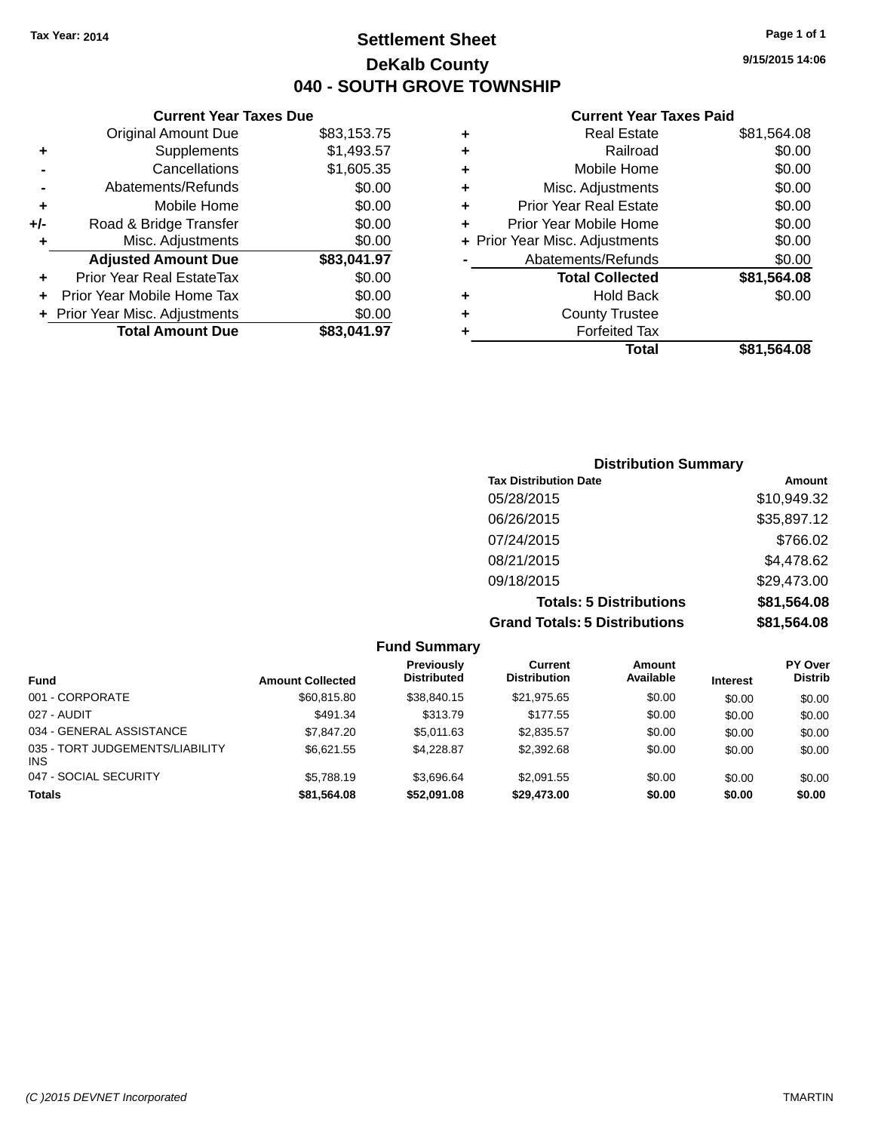### **Settlement Sheet Tax Year: 2014 Page 1 of 1 DeKalb County 040 - SOUTH GROVE TOWNSHIP**

**9/15/2015 14:06**

|     | <b>Current Year Taxes Due</b>  |             |             |       |
|-----|--------------------------------|-------------|-------------|-------|
|     | <b>Original Amount Due</b>     | \$83,153.75 | ٠           |       |
|     | Supplements                    | \$1,493.57  | ٠           |       |
|     | Cancellations                  | \$1,605.35  | ٠           |       |
|     | Abatements/Refunds             | \$0.00      | ٠           |       |
|     | Mobile Home                    | \$0.00      |             | Pri   |
| +/- | Road & Bridge Transfer         | \$0.00      |             | Prior |
|     | Misc. Adjustments              | \$0.00      | + Prior Yea |       |
|     | <b>Adjusted Amount Due</b>     | \$83,041.97 |             | A     |
|     | Prior Year Real EstateTax      | \$0.00      |             |       |
|     | Prior Year Mobile Home Tax     | \$0.00      | ٠           |       |
|     | + Prior Year Misc. Adjustments | \$0.00      |             |       |
|     | <b>Total Amount Due</b>        | \$83,041.97 |             |       |
|     |                                |             |             |       |

|   | <b>Real Estate</b>             | \$81,564.08 |
|---|--------------------------------|-------------|
| ٠ | Railroad                       | \$0.00      |
| ٠ | Mobile Home                    | \$0.00      |
| ٠ | Misc. Adjustments              | \$0.00      |
| ٠ | <b>Prior Year Real Estate</b>  | \$0.00      |
| ٠ | Prior Year Mobile Home         | \$0.00      |
|   | + Prior Year Misc. Adjustments | \$0.00      |
|   | Abatements/Refunds             | \$0.00      |
|   | <b>Total Collected</b>         | \$81,564.08 |
| ٠ | Hold Back                      | \$0.00      |
| ٠ | <b>County Trustee</b>          |             |
| ٠ | <b>Forfeited Tax</b>           |             |
|   | Total                          | \$81,564.08 |
|   |                                |             |

| <b>Distribution Summary</b>          |             |
|--------------------------------------|-------------|
| <b>Tax Distribution Date</b>         | Amount      |
| 05/28/2015                           | \$10,949.32 |
| 06/26/2015                           | \$35,897.12 |
| 07/24/2015                           | \$766.02    |
| 08/21/2015                           | \$4,478.62  |
| 09/18/2015                           | \$29,473.00 |
| <b>Totals: 5 Distributions</b>       | \$81,564.08 |
| <b>Grand Totals: 5 Distributions</b> | \$81,564.08 |

|                                               |                         | <b>Fund Summary</b>              |                                |                     |                 |                                  |
|-----------------------------------------------|-------------------------|----------------------------------|--------------------------------|---------------------|-----------------|----------------------------------|
| <b>Fund</b>                                   | <b>Amount Collected</b> | Previously<br><b>Distributed</b> | Current<br><b>Distribution</b> | Amount<br>Available | <b>Interest</b> | <b>PY Over</b><br><b>Distrib</b> |
| 001 - CORPORATE                               | \$60,815,80             | \$38.840.15                      | \$21,975.65                    | \$0.00              | \$0.00          | \$0.00                           |
| 027 - AUDIT                                   | \$491.34                | \$313.79                         | \$177.55                       | \$0.00              | \$0.00          | \$0.00                           |
| 034 - GENERAL ASSISTANCE                      | \$7,847.20              | \$5.011.63                       | \$2,835.57                     | \$0.00              | \$0.00          | \$0.00                           |
| 035 - TORT JUDGEMENTS/LIABILITY<br><b>INS</b> | \$6,621.55              | \$4.228.87                       | \$2,392.68                     | \$0.00              | \$0.00          | \$0.00                           |
| 047 - SOCIAL SECURITY                         | \$5.788.19              | \$3.696.64                       | \$2,091.55                     | \$0.00              | \$0.00          | \$0.00                           |
| <b>Totals</b>                                 | \$81,564.08             | \$52,091.08                      | \$29,473.00                    | \$0.00              | \$0.00          | \$0.00                           |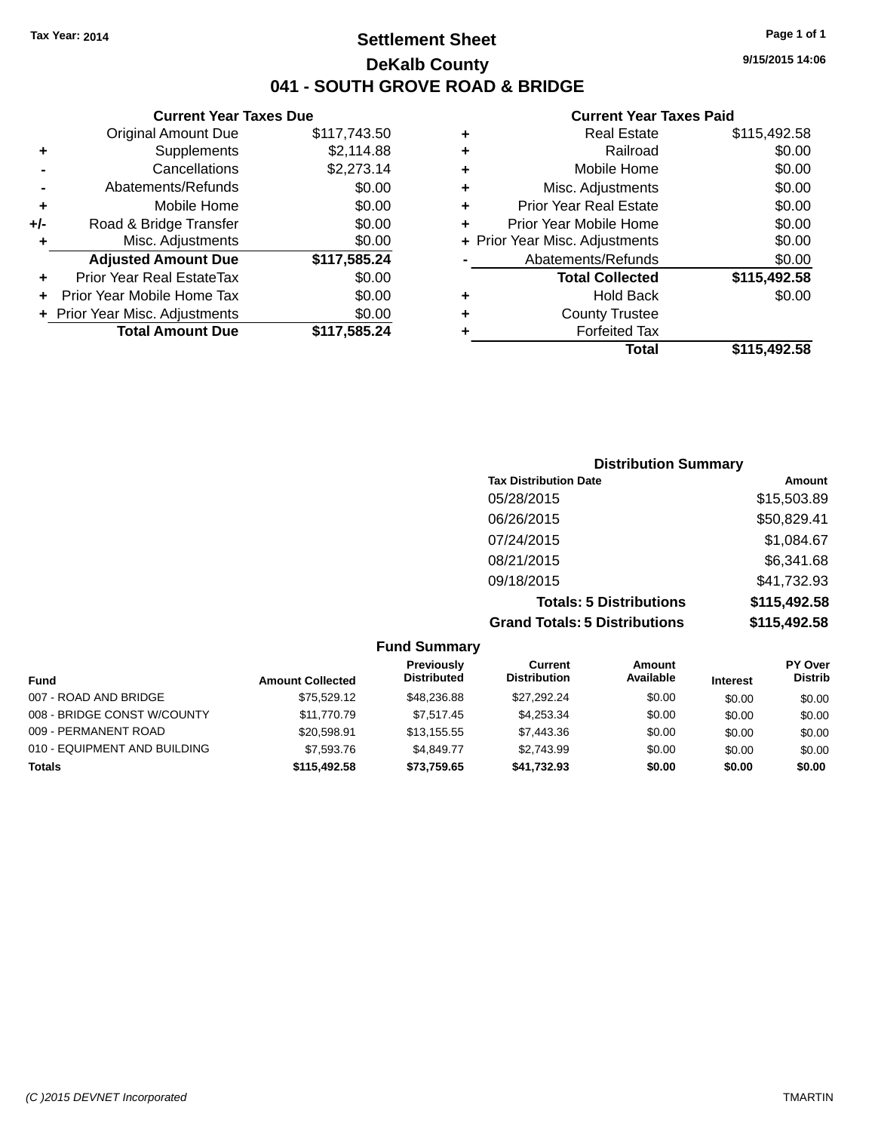### **Settlement Sheet Tax Year: 2014 Page 1 of 1 DeKalb County 041 - SOUTH GROVE ROAD & BRIDGE**

**Current Year Taxes Due**

|     | <b>Original Amount Due</b>     | \$117,743.50 |
|-----|--------------------------------|--------------|
| ٠   | Supplements                    | \$2,114.88   |
|     | Cancellations                  | \$2,273.14   |
|     | Abatements/Refunds             | \$0.00       |
| ٠   | Mobile Home                    | \$0.00       |
| +/- | Road & Bridge Transfer         | \$0.00       |
| ٠   | Misc. Adjustments              | \$0.00       |
|     | <b>Adjusted Amount Due</b>     | \$117,585.24 |
| ÷   | Prior Year Real EstateTax      | \$0.00       |
|     | Prior Year Mobile Home Tax     | \$0.00       |
|     | + Prior Year Misc. Adjustments | \$0.00       |
|     | <b>Total Amount Due</b>        | \$117,585.24 |

#### **Current Year Taxes Paid**

|   | <b>Real Estate</b>             | \$115,492.58 |
|---|--------------------------------|--------------|
| ٠ | Railroad                       | \$0.00       |
| ٠ | Mobile Home                    | \$0.00       |
| ٠ | Misc. Adjustments              | \$0.00       |
| ٠ | <b>Prior Year Real Estate</b>  | \$0.00       |
| ٠ | Prior Year Mobile Home         | \$0.00       |
|   | + Prior Year Misc. Adjustments | \$0.00       |
|   | Abatements/Refunds             | \$0.00       |
|   | <b>Total Collected</b>         | \$115,492.58 |
| ٠ | <b>Hold Back</b>               | \$0.00       |
| ٠ | <b>County Trustee</b>          |              |
| ٠ | <b>Forfeited Tax</b>           |              |
|   | <b>Total</b>                   | \$115,492.58 |
|   |                                |              |

| <b>Distribution Summary</b>          |              |
|--------------------------------------|--------------|
| <b>Tax Distribution Date</b>         | Amount       |
| 05/28/2015                           | \$15,503.89  |
| 06/26/2015                           | \$50,829.41  |
| 07/24/2015                           | \$1,084.67   |
| 08/21/2015                           | \$6,341.68   |
| 09/18/2015                           | \$41,732.93  |
| <b>Totals: 5 Distributions</b>       | \$115,492.58 |
| <b>Grand Totals: 5 Distributions</b> | \$115,492.58 |

#### **Fund Summary Fund Interest Amount Collected Distributed PY Over Distrib Amount Available Current Distribution Previously** 007 - ROAD AND BRIDGE 60.00 \$75,529.12 \$48,236.88 \$27,292.24 \$0.00 \$0.00 \$0.00 \$0.00 008 - BRIDGE CONST W/COUNTY  $$11,770.79$   $$7,517.45$   $$4,253.34$   $$0.00$   $$0.00$   $$0.00$ 009 - PERMANENT ROAD \$20,598.91 \$13,155.55 \$7,443.36 \$0.00 \$0.00 \$0.00 \$0.00 010 - EQUIPMENT AND BUILDING \$7,593.76 \$4,849.77 \$2,743.99 \$0.00 \$0.00 \$0.00 \$0.00 **Totals \$115,492.58 \$73,759.65 \$41,732.93 \$0.00 \$0.00 \$0.00**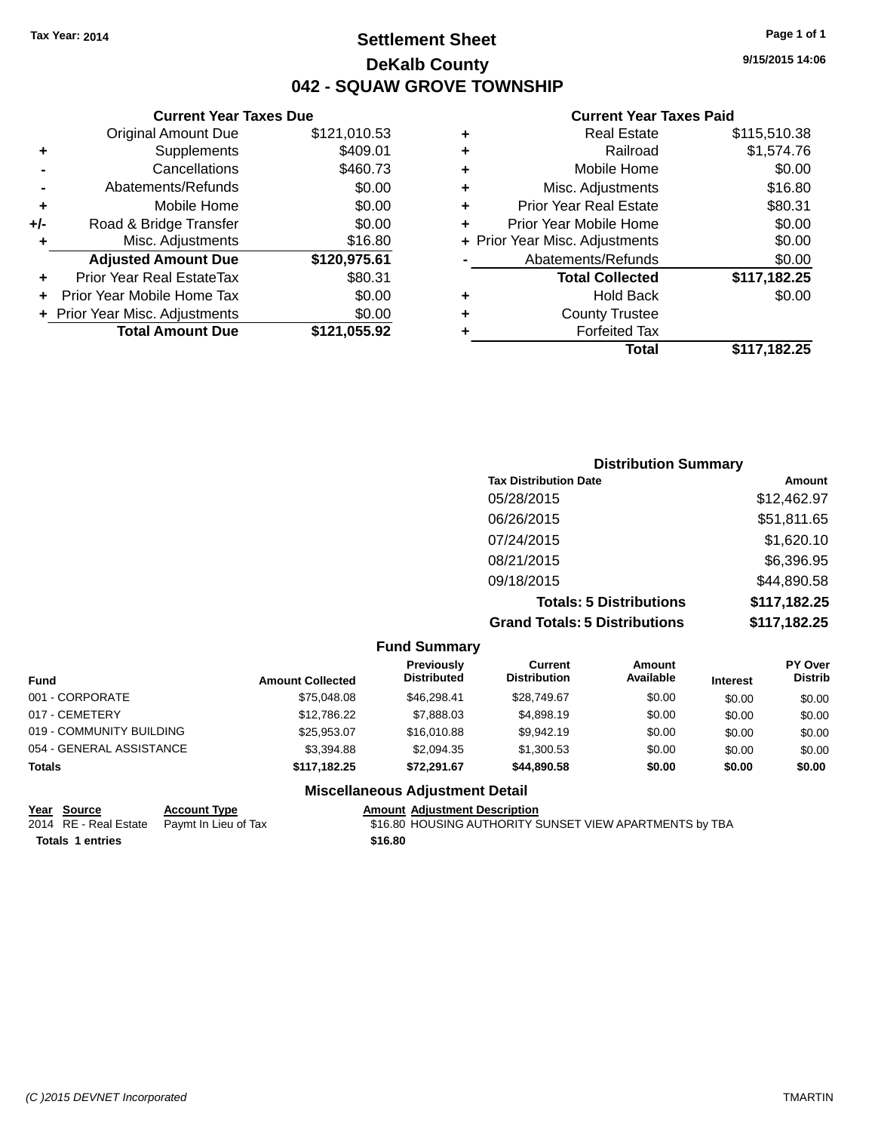### **Settlement Sheet Tax Year: 2014 Page 1 of 1 DeKalb County 042 - SQUAW GROVE TOWNSHIP**

**9/15/2015 14:06**

#### **Current Year Taxes Paid**

|   | Total                          | \$117.182.25 |
|---|--------------------------------|--------------|
|   | <b>Forfeited Tax</b>           |              |
| ٠ | <b>County Trustee</b>          |              |
| ٠ | <b>Hold Back</b>               | \$0.00       |
|   | <b>Total Collected</b>         | \$117,182.25 |
|   | Abatements/Refunds             | \$0.00       |
|   | + Prior Year Misc. Adjustments | \$0.00       |
| ٠ | Prior Year Mobile Home         | \$0.00       |
| ٠ | <b>Prior Year Real Estate</b>  | \$80.31      |
| ٠ | Misc. Adjustments              | \$16.80      |
| ٠ | Mobile Home                    | \$0.00       |
| ٠ | Railroad                       | \$1,574.76   |
| ٠ | <b>Real Estate</b>             | \$115,510.38 |
|   |                                |              |

| <b>Distribution Summary</b> |                                      |              |  |  |  |
|-----------------------------|--------------------------------------|--------------|--|--|--|
|                             | <b>Tax Distribution Date</b>         | Amount       |  |  |  |
|                             | 05/28/2015                           | \$12,462.97  |  |  |  |
|                             | 06/26/2015                           | \$51,811.65  |  |  |  |
|                             | 07/24/2015                           | \$1,620.10   |  |  |  |
|                             | 08/21/2015                           | \$6,396.95   |  |  |  |
|                             | 09/18/2015                           | \$44,890.58  |  |  |  |
|                             | <b>Totals: 5 Distributions</b>       | \$117,182.25 |  |  |  |
|                             | <b>Grand Totals: 5 Distributions</b> | \$117,182.25 |  |  |  |

|                          |                         | <b>Fund Summary</b>                     |                                       |                     |                 |                                  |
|--------------------------|-------------------------|-----------------------------------------|---------------------------------------|---------------------|-----------------|----------------------------------|
| Fund                     | <b>Amount Collected</b> | <b>Previously</b><br><b>Distributed</b> | <b>Current</b><br><b>Distribution</b> | Amount<br>Available | <b>Interest</b> | <b>PY Over</b><br><b>Distrib</b> |
| 001 - CORPORATE          | \$75,048,08             | \$46,298,41                             | \$28,749.67                           | \$0.00              | \$0.00          | \$0.00                           |
| 017 - CEMETERY           | \$12,786.22             | \$7,888.03                              | \$4,898.19                            | \$0.00              | \$0.00          | \$0.00                           |
| 019 - COMMUNITY BUILDING | \$25,953.07             | \$16,010.88                             | \$9,942.19                            | \$0.00              | \$0.00          | \$0.00                           |
| 054 - GENERAL ASSISTANCE | \$3,394.88              | \$2,094.35                              | \$1,300.53                            | \$0.00              | \$0.00          | \$0.00                           |
| <b>Totals</b>            | \$117.182.25            | \$72.291.67                             | \$44,890.58                           | \$0.00              | \$0.00          | \$0.00                           |
|                          |                         | <b>Miscellaneous Adjustment Detail</b>  |                                       |                     |                 |                                  |

| Year Source                                | <b>Account Type</b> | <b>Amount Adjustm</b> |
|--------------------------------------------|---------------------|-----------------------|
| 2014 RE - Real Estate Paymt In Lieu of Tax |                     | \$16.80 HOUSIN        |
| <b>Totals 1 entries</b>                    |                     | \$16.80               |

**Current Year Taxes Due** Original Amount Due \$121,010.53

**Adjusted Amount Due \$120,975.61**

**Total Amount Due \$121,055.92**

**+** Supplements \$409.01 **-** Cancellations \$460.73 **-** Abatements/Refunds \$0.00 **+** Mobile Home \$0.00 **+/-** Road & Bridge Transfer \$0.00 **+** Misc. Adjustments \$16.80

**+** Prior Year Real EstateTax \$80.31 **+** Prior Year Mobile Home Tax \$0.00 **+ Prior Year Misc. Adjustments**  $$0.00$ 

> **<u>Read Description</u>** IG AUTHORITY SUNSET VIEW APARTMENTS by TBA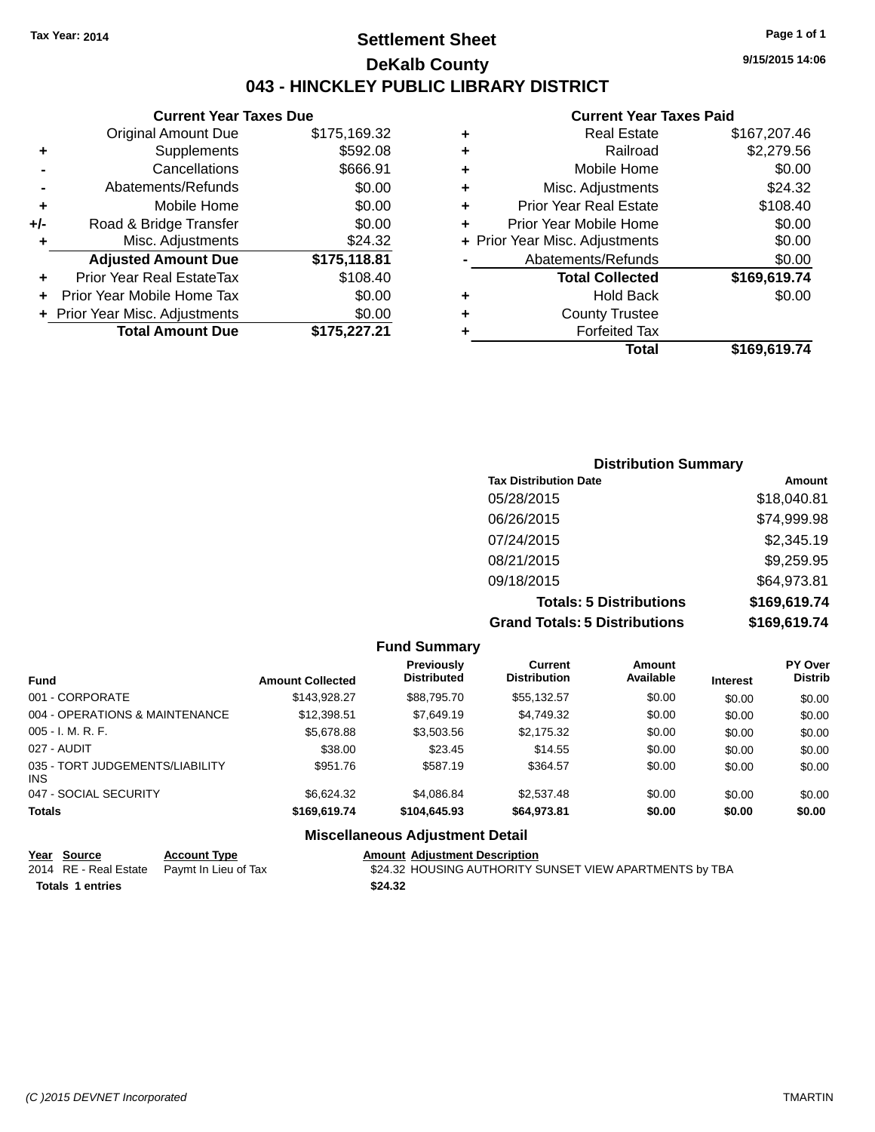### **Settlement Sheet Tax Year: 2014 Page 1 of 1 DeKalb County 043 - HINCKLEY PUBLIC LIBRARY DISTRICT**

|       | <b>Current Year Taxes Due</b>            |              |  |  |  |  |
|-------|------------------------------------------|--------------|--|--|--|--|
|       | <b>Original Amount Due</b>               | \$175,169.32 |  |  |  |  |
| ٠     | Supplements                              | \$592.08     |  |  |  |  |
|       | Cancellations                            | \$666.91     |  |  |  |  |
|       | Abatements/Refunds                       | \$0.00       |  |  |  |  |
| ٠     | Mobile Home                              | \$0.00       |  |  |  |  |
| $+/-$ | Road & Bridge Transfer                   | \$0.00       |  |  |  |  |
| ٠     | Misc. Adjustments<br>\$24.32             |              |  |  |  |  |
|       | <b>Adjusted Amount Due</b>               | \$175,118.81 |  |  |  |  |
| ÷     | Prior Year Real EstateTax                | \$108.40     |  |  |  |  |
|       | Prior Year Mobile Home Tax               | \$0.00       |  |  |  |  |
|       | \$0.00<br>+ Prior Year Misc. Adjustments |              |  |  |  |  |
|       | <b>Total Amount Due</b>                  | \$175,227.21 |  |  |  |  |
|       |                                          |              |  |  |  |  |

#### **Current Year Taxes Paid**

| ٠ | <b>Real Estate</b>             | \$167,207.46 |
|---|--------------------------------|--------------|
| ٠ | Railroad                       | \$2,279.56   |
| ٠ | Mobile Home                    | \$0.00       |
| ٠ | Misc. Adjustments              | \$24.32      |
| ٠ | <b>Prior Year Real Estate</b>  | \$108.40     |
| ٠ | Prior Year Mobile Home         | \$0.00       |
|   | + Prior Year Misc. Adjustments | \$0.00       |
|   | Abatements/Refunds             | \$0.00       |
|   | <b>Total Collected</b>         | \$169,619.74 |
| ٠ | Hold Back                      | \$0.00       |
| ٠ | <b>County Trustee</b>          |              |
| ٠ | <b>Forfeited Tax</b>           |              |
|   | Total                          | \$169,619.74 |
|   |                                |              |

### **Distribution Summary Tax Distribution Date Amount** 05/28/2015 \$18,040.81 06/26/2015 \$74,999.98 07/24/2015 \$2,345.19 08/21/2015 \$9,259.95 09/18/2015 \$64,973.81 **Totals: 5 Distributions \$169,619.74 Grand Totals: 5 Distributions \$169,619.74**

|                                         |                         | <b>Fund Summary</b>                    |                                |                            |                 |                                  |
|-----------------------------------------|-------------------------|----------------------------------------|--------------------------------|----------------------------|-----------------|----------------------------------|
| <b>Fund</b>                             | <b>Amount Collected</b> | Previously<br><b>Distributed</b>       | Current<br><b>Distribution</b> | <b>Amount</b><br>Available | <b>Interest</b> | <b>PY Over</b><br><b>Distrib</b> |
| 001 - CORPORATE                         | \$143,928.27            | \$88,795.70                            | \$55,132.57                    | \$0.00                     | \$0.00          | \$0.00                           |
| 004 - OPERATIONS & MAINTENANCE          | \$12,398.51             | \$7.649.19                             | \$4.749.32                     | \$0.00                     | \$0.00          | \$0.00                           |
| $005 - I. M. R. F.$                     | \$5,678.88              | \$3,503.56                             | \$2,175.32                     | \$0.00                     | \$0.00          | \$0.00                           |
| 027 - AUDIT                             | \$38.00                 | \$23.45                                | \$14.55                        | \$0.00                     | \$0.00          | \$0.00                           |
| 035 - TORT JUDGEMENTS/LIABILITY<br>INS. | \$951.76                | \$587.19                               | \$364.57                       | \$0.00                     | \$0.00          | \$0.00                           |
| 047 - SOCIAL SECURITY                   | \$6.624.32              | \$4.086.84                             | \$2,537.48                     | \$0.00                     | \$0.00          | \$0.00                           |
| <b>Totals</b>                           | \$169,619.74            | \$104,645,93                           | \$64.973.81                    | \$0.00                     | \$0.00          | \$0.00                           |
|                                         |                         | <b>Miscellaneous Adjustment Detail</b> |                                |                            |                 |                                  |

#### **Year Source Account Type Amount Adjustment Description**<br>2014 RE - Real Estate Paymt In Lieu of Tax \$24.32 HOUSING AUTHORITY S \$24.32 HOUSING AUTHORITY SUNSET VIEW APARTMENTS by TBA **Totals 1 entries \$24.32**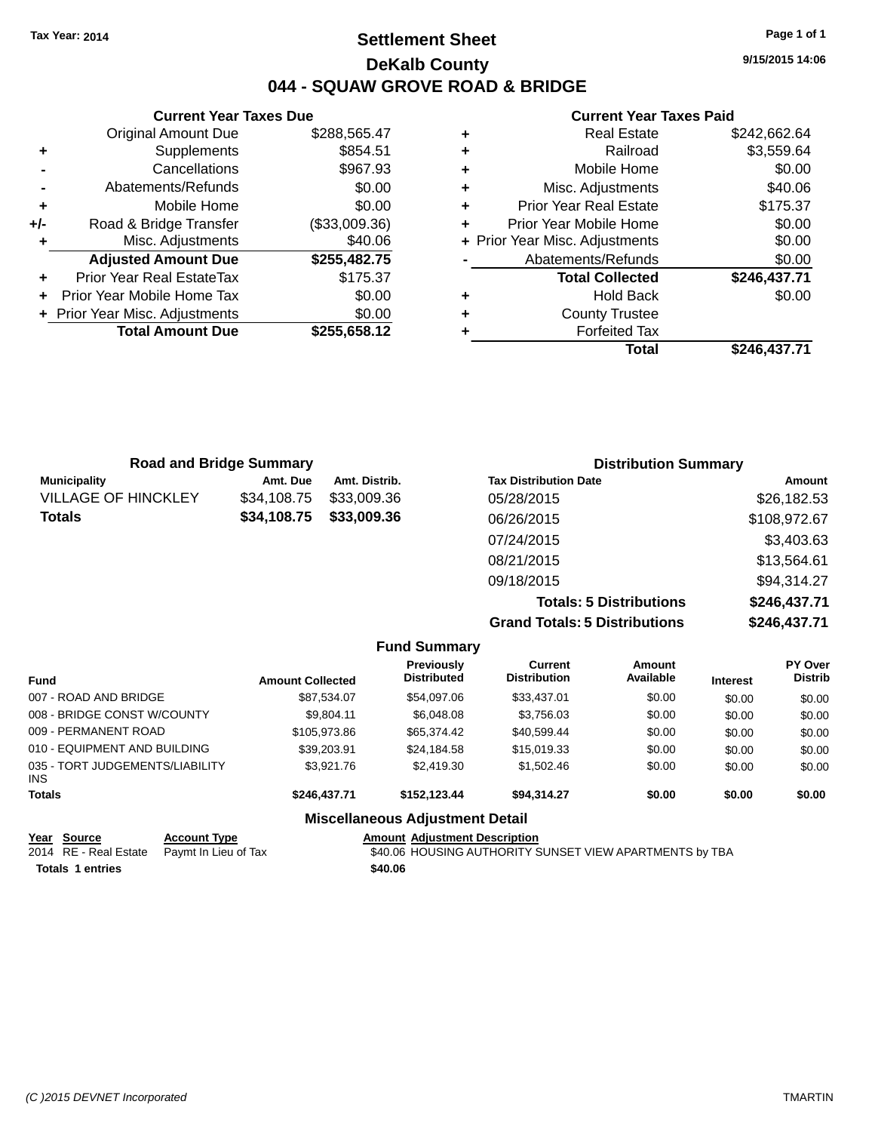### **Settlement Sheet Tax Year: 2014 Page 1 of 1 DeKalb County 044 - SQUAW GROVE ROAD & BRIDGE**

**9/15/2015 14:06**

#### **Current Year Taxes Paid**

|     | <b>Current Year Taxes Due</b>              |               |  |  |  |  |
|-----|--------------------------------------------|---------------|--|--|--|--|
|     | \$288,565.47<br><b>Original Amount Due</b> |               |  |  |  |  |
| ٠   | \$854.51<br>Supplements                    |               |  |  |  |  |
|     | Cancellations                              | \$967.93      |  |  |  |  |
|     | \$0.00<br>Abatements/Refunds               |               |  |  |  |  |
| ٠   | \$0.00<br>Mobile Home                      |               |  |  |  |  |
| +/- | Road & Bridge Transfer                     | (\$33,009.36) |  |  |  |  |
|     | \$40.06<br>Misc. Adjustments               |               |  |  |  |  |
|     | <b>Adjusted Amount Due</b>                 | \$255,482.75  |  |  |  |  |
| ٠   | Prior Year Real EstateTax                  | \$175.37      |  |  |  |  |
|     | Prior Year Mobile Home Tax                 | \$0.00        |  |  |  |  |
|     | \$0.00<br>+ Prior Year Misc. Adjustments   |               |  |  |  |  |
|     | <b>Total Amount Due</b>                    | \$255,658.12  |  |  |  |  |
|     |                                            |               |  |  |  |  |

| \$242,662.64 |
|--------------|
| \$3,559.64   |
| \$0.00       |
| \$40.06      |
| \$175.37     |
| \$0.00       |
| \$0.00       |
| \$0.00       |
| \$246,437.71 |
| \$0.00       |
|              |
|              |
| \$246,437.71 |
|              |

| <b>Road and Bridge Summary</b> |             |               | <b>Distribution Summary</b>    |              |  |
|--------------------------------|-------------|---------------|--------------------------------|--------------|--|
| <b>Municipality</b>            | Amt. Due    | Amt. Distrib. | <b>Tax Distribution Date</b>   | Amount       |  |
| <b>VILLAGE OF HINCKLEY</b>     | \$34,108.75 | \$33,009.36   | 05/28/2015                     | \$26,182.53  |  |
| <b>Totals</b>                  | \$34,108.75 | \$33,009.36   | 06/26/2015                     | \$108,972.67 |  |
|                                |             |               | 07/24/2015                     | \$3,403.63   |  |
|                                |             |               | 08/21/2015                     | \$13,564.61  |  |
|                                |             |               | 09/18/2015                     | \$94,314.27  |  |
|                                |             |               | <b>Totals: 5 Distributions</b> | \$246,437.71 |  |

**Grand Totals: 5 Distributions \$246,437.71**

|                                               |                         | <b>Fund Summary</b>                     |                                       |                     |                 |                                  |
|-----------------------------------------------|-------------------------|-----------------------------------------|---------------------------------------|---------------------|-----------------|----------------------------------|
| <b>Fund</b>                                   | <b>Amount Collected</b> | <b>Previously</b><br><b>Distributed</b> | <b>Current</b><br><b>Distribution</b> | Amount<br>Available | <b>Interest</b> | <b>PY Over</b><br><b>Distrib</b> |
| 007 - ROAD AND BRIDGE                         | \$87,534.07             | \$54,097.06                             | \$33,437.01                           | \$0.00              | \$0.00          | \$0.00                           |
| 008 - BRIDGE CONST W/COUNTY                   | \$9.804.11              | \$6,048.08                              | \$3,756.03                            | \$0.00              | \$0.00          | \$0.00                           |
| 009 - PERMANENT ROAD                          | \$105,973.86            | \$65,374,42                             | \$40,599.44                           | \$0.00              | \$0.00          | \$0.00                           |
| 010 - EQUIPMENT AND BUILDING                  | \$39,203.91             | \$24,184.58                             | \$15,019.33                           | \$0.00              | \$0.00          | \$0.00                           |
| 035 - TORT JUDGEMENTS/LIABILITY<br><b>INS</b> | \$3,921.76              | \$2,419.30                              | \$1,502.46                            | \$0.00              | \$0.00          | \$0.00                           |
| <b>Totals</b>                                 | \$246,437.71            | \$152,123,44                            | \$94.314.27                           | \$0.00              | \$0.00          | \$0.00                           |
|                                               |                         | <b>Miscellaneous Adjustment Detail</b>  |                                       |                     |                 |                                  |

|                         | Year Source | <b>Account Type</b>                        | <b>Amount Adiustment Description</b>                    |
|-------------------------|-------------|--------------------------------------------|---------------------------------------------------------|
|                         |             | 2014 RE - Real Estate Paymt In Lieu of Tax | \$40.06 HOUSING AUTHORITY SUNSET VIEW APARTMENTS by TBA |
| <b>Totals 1 entries</b> |             |                                            | \$40.06                                                 |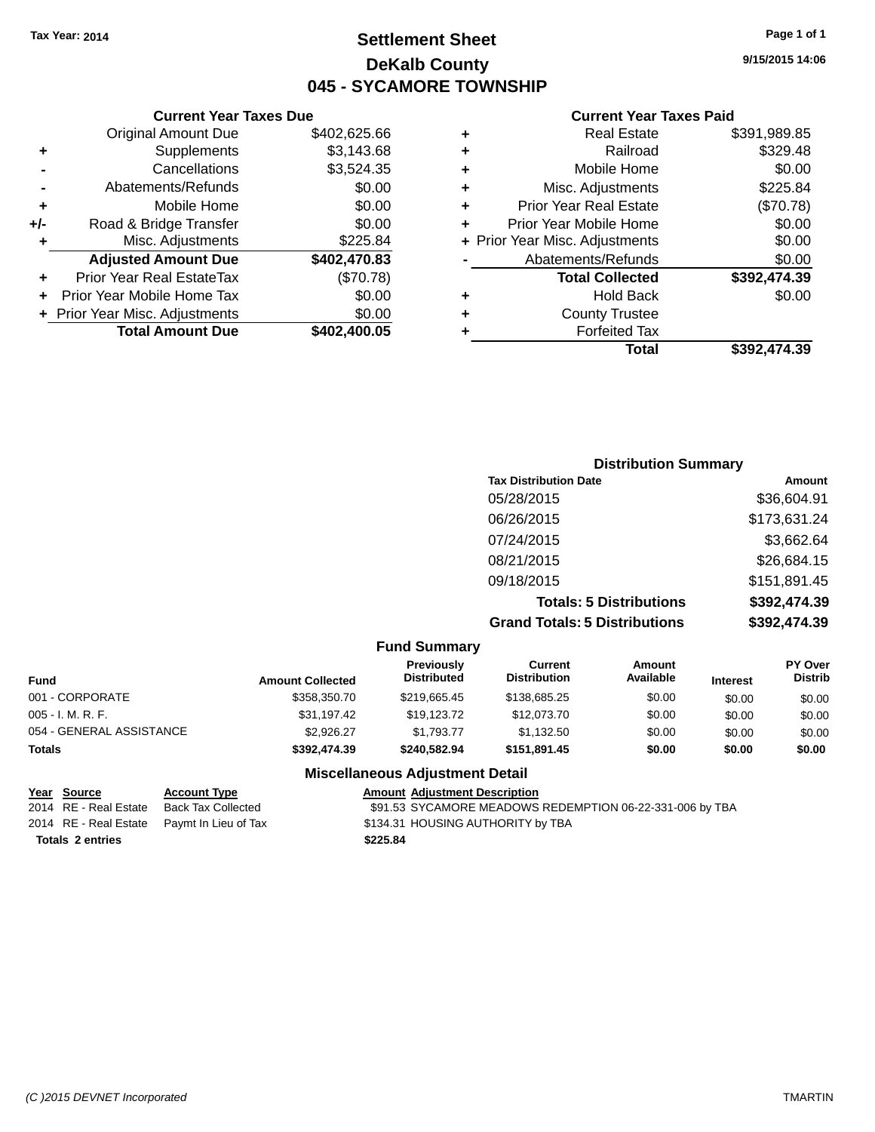### **Settlement Sheet Tax Year: 2014 Page 1 of 1 DeKalb County 045 - SYCAMORE TOWNSHIP**

**9/15/2015 14:06**

#### **Current Year Taxes Paid**

|   | Total                          | \$392,474.39 |
|---|--------------------------------|--------------|
|   | <b>Forfeited Tax</b>           |              |
| ٠ | <b>County Trustee</b>          |              |
| ٠ | <b>Hold Back</b>               | \$0.00       |
|   | <b>Total Collected</b>         | \$392,474.39 |
|   | Abatements/Refunds             | \$0.00       |
|   | + Prior Year Misc. Adjustments | \$0.00       |
| ÷ | Prior Year Mobile Home         | \$0.00       |
| ٠ | <b>Prior Year Real Estate</b>  | (\$70.78)    |
| ٠ | Misc. Adjustments              | \$225.84     |
| ٠ | Mobile Home                    | \$0.00       |
| ٠ | Railroad                       | \$329.48     |
| ٠ | <b>Real Estate</b>             | \$391,989.85 |
|   |                                |              |

#### **Current Year Taxes Due** Original Amount Due \$402,625.66 **+** Supplements \$3,143.68 **-** Cancellations \$3,524.35 **-** Abatements/Refunds \$0.00 **+** Mobile Home \$0.00 **+/-** Road & Bridge Transfer \$0.00 **+** Misc. Adjustments \$225.84 **Adjusted Amount Due \$402,470.83 +** Prior Year Real EstateTax (\$70.78) **+** Prior Year Mobile Home Tax \$0.00 **+ Prior Year Misc. Adjustments**  $$0.00$ **Total Amount Due \$402,400.05**

| <b>Distribution Summary</b>          |              |
|--------------------------------------|--------------|
| <b>Tax Distribution Date</b>         | Amount       |
| 05/28/2015                           | \$36,604.91  |
| 06/26/2015                           | \$173,631.24 |
| 07/24/2015                           | \$3,662.64   |
| 08/21/2015                           | \$26,684.15  |
| 09/18/2015                           | \$151,891.45 |
| <b>Totals: 5 Distributions</b>       | \$392,474.39 |
| <b>Grand Totals: 5 Distributions</b> | \$392,474.39 |

#### **Fund Summary Fund Interest Amount Collected Distributed PY Over Distrib Amount Available Current Distribution Previously** 001 - CORPORATE \$358,350.70 \$219,665.45 \$138,685.25 \$0.00 \$0.00 \$0.00 005 - I. M. R. F. \$31,197.42 \$19,123.72 \$12,073.70 \$0.00 \$0.00 \$0.00 054 - GENERAL ASSISTANCE  $$2,926.27$   $$1,793.77$   $$1,132.50$   $$0.00$   $$0.00$   $$0.00$ **Totals \$392,474.39 \$240,582.94 \$151,891.45 \$0.00 \$0.00 \$0.00**

#### **Miscellaneous Adjustment Detail**

| <u>Year Source</u>      | <b>Account Type</b>                        |          | <b>Amount Adjustment Description</b>                     |
|-------------------------|--------------------------------------------|----------|----------------------------------------------------------|
| 2014 RE - Real Estate   | Back Tax Collected                         |          | \$91.53 SYCAMORE MEADOWS REDEMPTION 06-22-331-006 by TBA |
|                         | 2014 RE - Real Estate Paymt In Lieu of Tax |          | \$134.31 HOUSING AUTHORITY by TBA                        |
| <b>Totals 2 entries</b> |                                            | \$225.84 |                                                          |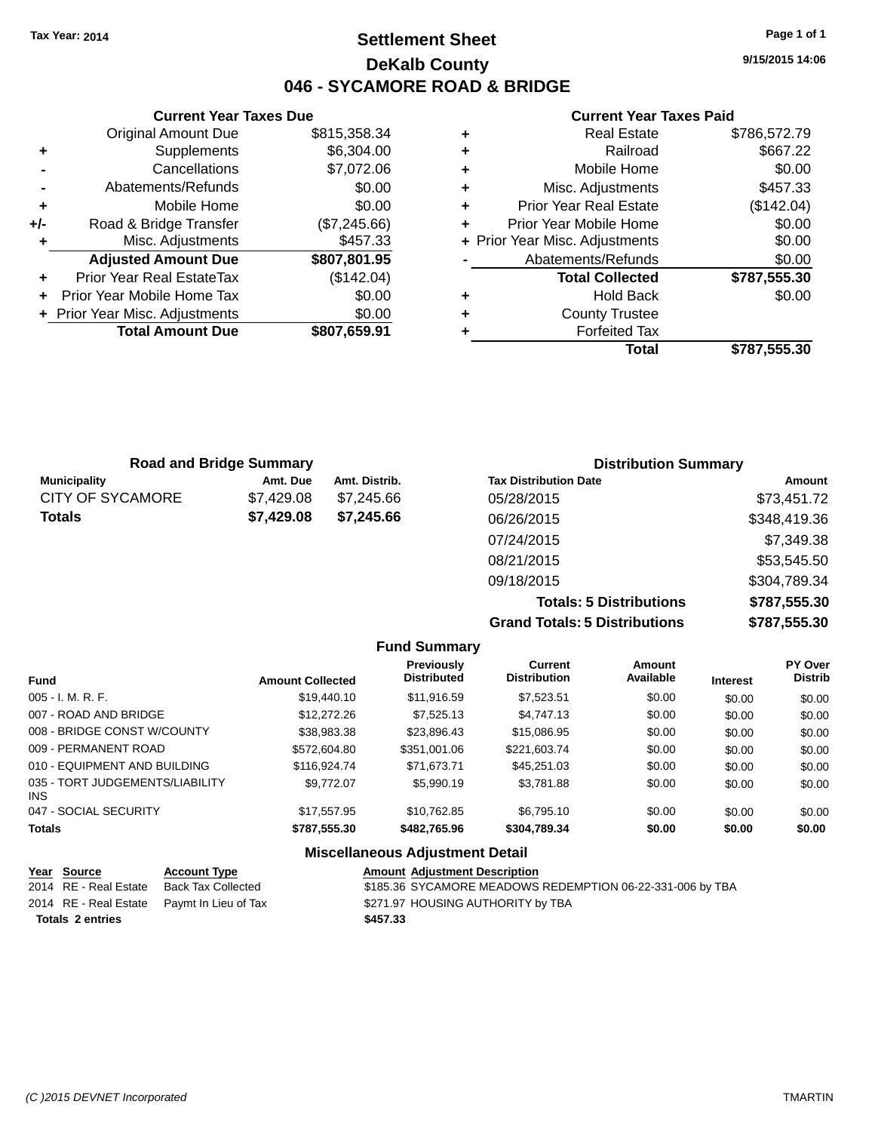### **Settlement Sheet Tax Year: 2014 Page 1 of 1 DeKalb County 046 - SYCAMORE ROAD & BRIDGE**

**9/15/2015 14:06**

#### **Current Year Taxes Paid**

|     | <b>Current Year Taxes Due</b>  |              |            |     |
|-----|--------------------------------|--------------|------------|-----|
|     | <b>Original Amount Due</b>     | \$815,358.34 | ٠          |     |
| ÷   | Supplements                    | \$6,304.00   | ٠          |     |
|     | Cancellations                  | \$7,072.06   | ٠          |     |
|     | Abatements/Refunds             | \$0.00       | ٠          |     |
|     | Mobile Home                    | \$0.00       | ÷          |     |
| +/- | Road & Bridge Transfer         | (\$7,245.66) |            | Pri |
|     | Misc. Adjustments              | \$457.33     | + Prior Ye |     |
|     | <b>Adjusted Amount Due</b>     | \$807,801.95 |            |     |
|     | Prior Year Real EstateTax      | (\$142.04)   |            |     |
|     | Prior Year Mobile Home Tax     | \$0.00       | ٠          |     |
|     | + Prior Year Misc. Adjustments | \$0.00       |            |     |
|     | <b>Total Amount Due</b>        | \$807,659.91 |            |     |
|     |                                |              |            |     |

|   | <b>Real Estate</b>             | \$786,572.79 |
|---|--------------------------------|--------------|
| ٠ | Railroad                       | \$667.22     |
| ٠ | Mobile Home                    | \$0.00       |
| ٠ | Misc. Adjustments              | \$457.33     |
| ٠ | <b>Prior Year Real Estate</b>  | (\$142.04)   |
| ÷ | Prior Year Mobile Home         | \$0.00       |
|   | + Prior Year Misc. Adjustments | \$0.00       |
|   | Abatements/Refunds             | \$0.00       |
|   | <b>Total Collected</b>         | \$787,555.30 |
| ٠ | <b>Hold Back</b>               | \$0.00       |
| ٠ | <b>County Trustee</b>          |              |
|   | <b>Forfeited Tax</b>           |              |
|   | Total                          | \$787,555.30 |
|   |                                |              |

| <b>Road and Bridge Summary</b> |            |               | <b>Distribution Summary</b>  |              |  |
|--------------------------------|------------|---------------|------------------------------|--------------|--|
| <b>Municipality</b>            | Amt. Due   | Amt. Distrib. | <b>Tax Distribution Date</b> | Amount       |  |
| <b>CITY OF SYCAMORE</b>        | \$7.429.08 | \$7.245.66    | 05/28/2015                   | \$73,451.72  |  |
| <b>Totals</b>                  | \$7,429.08 | \$7.245.66    | 06/26/2015                   | \$348,419.36 |  |
|                                |            |               | 07/24/2015                   | \$7,349.38   |  |
|                                |            |               | 08/21/2015                   | \$53,545.50  |  |

**Totals: 5 Distributions \$787,555.30 Grand Totals: 5 Distributions \$787,555.30**

09/18/2015 \$304,789.34

|                                         |                         | <b>Fund Summary</b>              |                                       |                            |                 |                                  |
|-----------------------------------------|-------------------------|----------------------------------|---------------------------------------|----------------------------|-----------------|----------------------------------|
| <b>Fund</b>                             | <b>Amount Collected</b> | Previously<br><b>Distributed</b> | <b>Current</b><br><b>Distribution</b> | <b>Amount</b><br>Available | <b>Interest</b> | <b>PY Over</b><br><b>Distrib</b> |
| $005 - I. M. R. F.$                     | \$19,440.10             | \$11,916.59                      | \$7,523.51                            | \$0.00                     | \$0.00          | \$0.00                           |
| 007 - ROAD AND BRIDGE                   | \$12,272,26             | \$7,525.13                       | \$4,747.13                            | \$0.00                     | \$0.00          | \$0.00                           |
| 008 - BRIDGE CONST W/COUNTY             | \$38,983.38             | \$23,896.43                      | \$15,086.95                           | \$0.00                     | \$0.00          | \$0.00                           |
| 009 - PERMANENT ROAD                    | \$572,604.80            | \$351,001.06                     | \$221.603.74                          | \$0.00                     | \$0.00          | \$0.00                           |
| 010 - EQUIPMENT AND BUILDING            | \$116,924.74            | \$71.673.71                      | \$45,251,03                           | \$0.00                     | \$0.00          | \$0.00                           |
| 035 - TORT JUDGEMENTS/LIABILITY<br>INS. | \$9.772.07              | \$5,990.19                       | \$3.781.88                            | \$0.00                     | \$0.00          | \$0.00                           |
| 047 - SOCIAL SECURITY                   | \$17.557.95             | \$10.762.85                      | \$6.795.10                            | \$0.00                     | \$0.00          | \$0.00                           |
| <b>Totals</b>                           | \$787,555.30            | \$482,765,96                     | \$304,789.34                          | \$0.00                     | \$0.00          | \$0.00                           |
|                                         |                         |                                  |                                       |                            |                 |                                  |

#### **Miscellaneous Adjustment Detail**

| Year Source             | <b>Account Type</b>                        | <b>Amount Adjustment Description</b>                      |
|-------------------------|--------------------------------------------|-----------------------------------------------------------|
| 2014 RE - Real Estate   | Back Tax Collected                         | \$185.36 SYCAMORE MEADOWS REDEMPTION 06-22-331-006 by TBA |
|                         | 2014 RE - Real Estate Paymt In Lieu of Tax | \$271.97 HOUSING AUTHORITY by TBA                         |
| <b>Totals 2 entries</b> |                                            | \$457.33                                                  |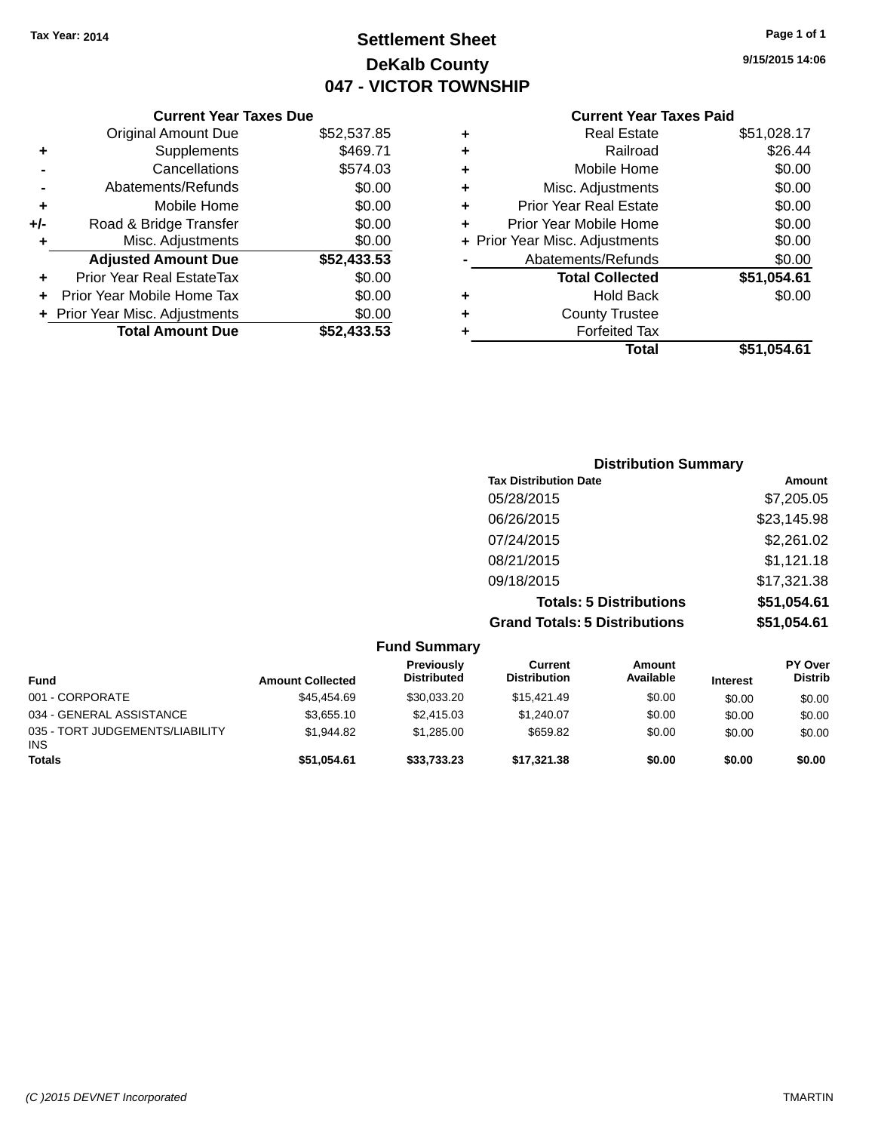### **Settlement Sheet Tax Year: 2014 Page 1 of 1 DeKalb County 047 - VICTOR TOWNSHIP**

**9/15/2015 14:06**

|     | <b>Current Year Taxes Due</b>  |             |
|-----|--------------------------------|-------------|
|     | <b>Original Amount Due</b>     | \$52,537.85 |
| ٠   | Supplements                    | \$469.71    |
|     | Cancellations                  | \$574.03    |
|     | Abatements/Refunds             | \$0.00      |
| ٠   | Mobile Home                    | \$0.00      |
| +/- | Road & Bridge Transfer         | \$0.00      |
|     | Misc. Adjustments              | \$0.00      |
|     | <b>Adjusted Amount Due</b>     | \$52,433.53 |
| ٠   | Prior Year Real EstateTax      | \$0.00      |
|     | Prior Year Mobile Home Tax     | \$0.00      |
|     | + Prior Year Misc. Adjustments | \$0.00      |
|     | <b>Total Amount Due</b>        | \$52,433.53 |
|     |                                |             |

| ٠ | <b>Real Estate</b>             | \$51,028.17 |
|---|--------------------------------|-------------|
| ٠ | Railroad                       | \$26.44     |
| ٠ | Mobile Home                    | \$0.00      |
| ٠ | Misc. Adjustments              | \$0.00      |
| ٠ | <b>Prior Year Real Estate</b>  | \$0.00      |
| ٠ | Prior Year Mobile Home         | \$0.00      |
|   | + Prior Year Misc. Adjustments | \$0.00      |
|   | Abatements/Refunds             | \$0.00      |
|   | <b>Total Collected</b>         | \$51,054.61 |
| ٠ | Hold Back                      | \$0.00      |
| ٠ | <b>County Trustee</b>          |             |
| ٠ | <b>Forfeited Tax</b>           |             |
|   | <b>Total</b>                   | \$51,054.61 |
|   |                                |             |

| <b>Distribution Summary</b>          |             |
|--------------------------------------|-------------|
| <b>Tax Distribution Date</b>         | Amount      |
| 05/28/2015                           | \$7,205.05  |
| 06/26/2015                           | \$23,145.98 |
| 07/24/2015                           | \$2,261.02  |
| 08/21/2015                           | \$1,121.18  |
| 09/18/2015                           | \$17,321.38 |
| <b>Totals: 5 Distributions</b>       | \$51,054.61 |
| <b>Grand Totals: 5 Distributions</b> | \$51,054.61 |

|                                               |                         | <b>Fund Summary</b>                     |                                |                     |                 |                                  |
|-----------------------------------------------|-------------------------|-----------------------------------------|--------------------------------|---------------------|-----------------|----------------------------------|
| <b>Fund</b>                                   | <b>Amount Collected</b> | <b>Previously</b><br><b>Distributed</b> | Current<br><b>Distribution</b> | Amount<br>Available | <b>Interest</b> | <b>PY Over</b><br><b>Distrib</b> |
| 001 - CORPORATE                               | \$45.454.69             | \$30.033.20                             | \$15,421.49                    | \$0.00              | \$0.00          | \$0.00                           |
| 034 - GENERAL ASSISTANCE                      | \$3,655.10              | \$2,415.03                              | \$1.240.07                     | \$0.00              | \$0.00          | \$0.00                           |
| 035 - TORT JUDGEMENTS/LIABILITY<br><b>INS</b> | \$1.944.82              | \$1.285.00                              | \$659.82                       | \$0.00              | \$0.00          | \$0.00                           |
| <b>Totals</b>                                 | \$51.054.61             | \$33.733.23                             | \$17,321,38                    | \$0.00              | \$0.00          | \$0.00                           |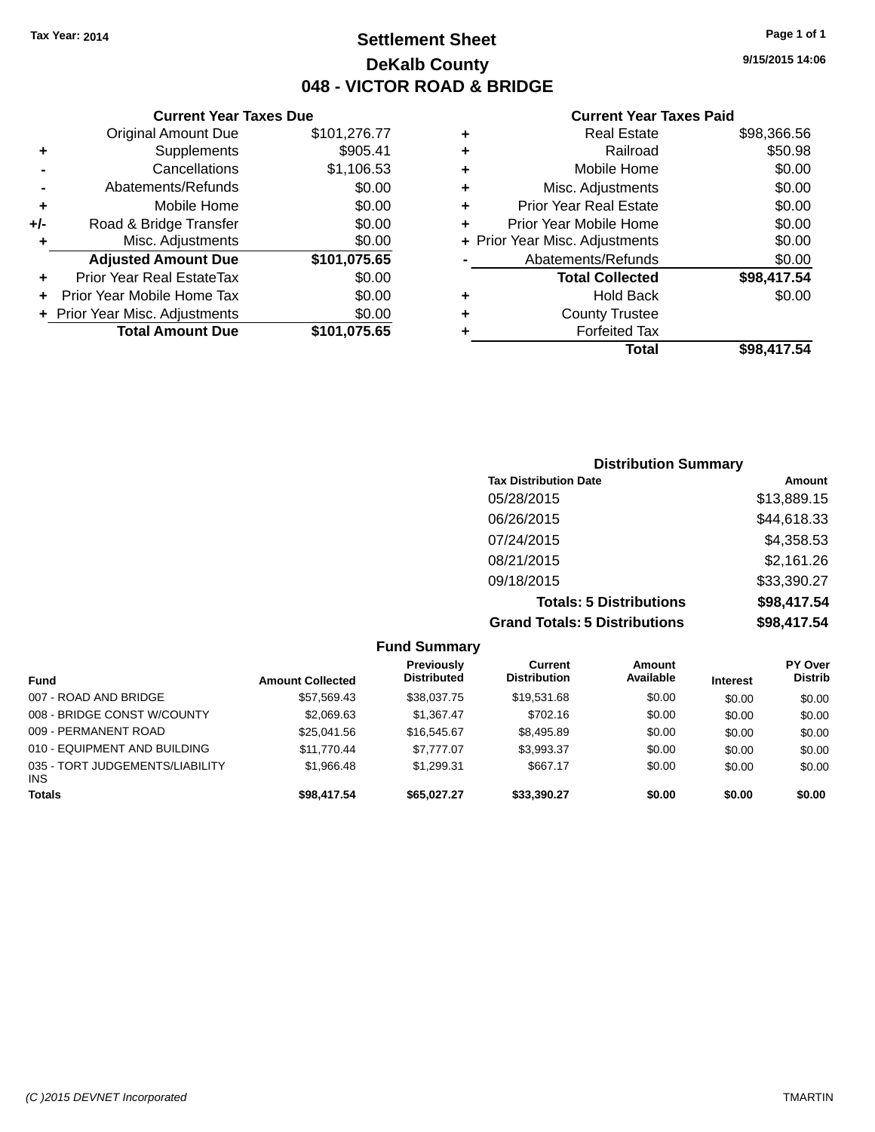**Current Year Taxes Due** Original Amount Due \$101,276.77

**Adjusted Amount Due \$101,075.65**

**Total Amount Due \$101,075.65**

**+** Supplements \$905.41 **-** Cancellations \$1,106.53 **-** Abatements/Refunds \$0.00 **+** Mobile Home \$0.00 **+/-** Road & Bridge Transfer \$0.00 **+** Misc. Adjustments \$0.00

**+** Prior Year Real EstateTax \$0.00 **+** Prior Year Mobile Home Tax \$0.00 **+ Prior Year Misc. Adjustments**  $$0.00$ 

### **Settlement Sheet Tax Year: 2014 Page 1 of 1 DeKalb County 048 - VICTOR ROAD & BRIDGE**

**9/15/2015 14:06**

#### **Current Year Taxes Paid**

|   | Real Estate                    | \$98,366.56 |
|---|--------------------------------|-------------|
| ٠ | Railroad                       | \$50.98     |
| ٠ | Mobile Home                    | \$0.00      |
| ٠ | Misc. Adjustments              | \$0.00      |
| ٠ | <b>Prior Year Real Estate</b>  | \$0.00      |
| ٠ | Prior Year Mobile Home         | \$0.00      |
|   | + Prior Year Misc. Adjustments | \$0.00      |
|   | Abatements/Refunds             | \$0.00      |
|   | <b>Total Collected</b>         | \$98,417.54 |
| ٠ | <b>Hold Back</b>               | \$0.00      |
| ٠ | <b>County Trustee</b>          |             |
|   | <b>Forfeited Tax</b>           |             |
|   | Total                          | \$98.417.54 |
|   |                                |             |

#### **Distribution Summary Tax Distribution Date Amount** 05/28/2015 \$13,889.15 06/26/2015 \$44,618.33 07/24/2015 \$4,358.53 08/21/2015 \$2,161.26 09/18/2015 \$33,390.27 **Totals: 5 Distributions \$98,417.54 Grand Totals: 5 Distributions \$98,417.54**

**Fund Summary Fund Interest Amount Collected Distributed PY Over Distrib Amount Available Current Distribution Previously** 007 - ROAD AND BRIDGE 60.00 \$17,569.43 \$38,037.75 \$19,531.68 \$0.00 \$0.00 \$0.00 \$0.00 008 - BRIDGE CONST W/COUNTY  $$2,069.63$   $$1,367.47$   $$702.16$   $$0.00$   $$0.00$   $$0.00$ 009 - PERMANENT ROAD \$25,041.56 \$16,545.67 \$8,495.89 \$0.00 \$0.00 \$0.00 010 - EQUIPMENT AND BUILDING \$11,770.44 \$7,777.07 \$3,993.37 \$0.00 \$0.00 \$0.00 035 - TORT JUDGEMENTS/LIABILITY INS \$1,966.48 \$1,299.31 \$667.17 \$0.00 \$0.00 \$0.00 **Totals \$98,417.54 \$65,027.27 \$33,390.27 \$0.00 \$0.00 \$0.00**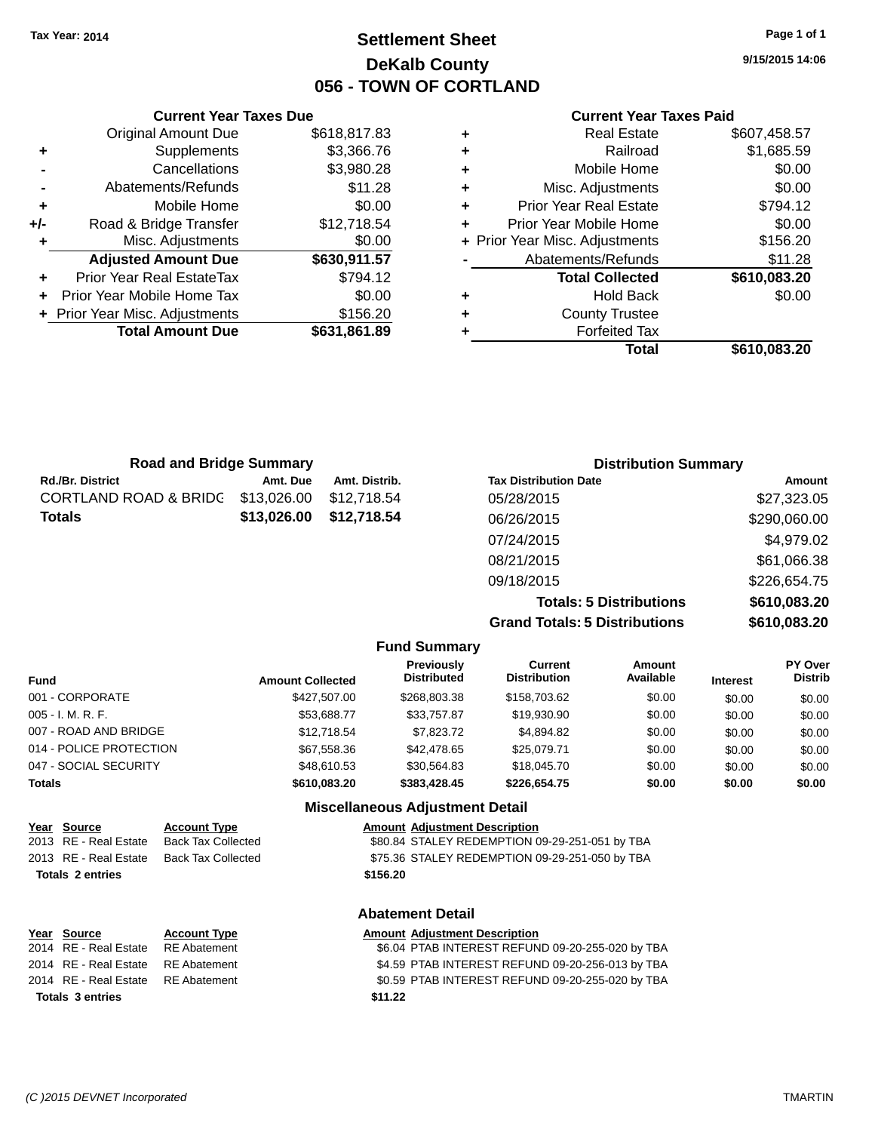### **Settlement Sheet Tax Year: 2014 Page 1 of 1 DeKalb County 056 - TOWN OF CORTLAND**

**9/15/2015 14:06**

#### **Current Year Taxes Paid**

|   | <b>Real Estate</b>             | \$607,458.57 |
|---|--------------------------------|--------------|
| ٠ | Railroad                       | \$1,685.59   |
| ٠ | Mobile Home                    | \$0.00       |
| ٠ | Misc. Adjustments              | \$0.00       |
| ٠ | <b>Prior Year Real Estate</b>  | \$794.12     |
| ÷ | Prior Year Mobile Home         | \$0.00       |
|   | + Prior Year Misc. Adjustments | \$156.20     |
|   | Abatements/Refunds             | \$11.28      |
|   | <b>Total Collected</b>         | \$610,083.20 |
| ٠ | <b>Hold Back</b>               | \$0.00       |
| ٠ | <b>County Trustee</b>          |              |
|   | <b>Forfeited Tax</b>           |              |
|   | Total                          | \$610.083.20 |
|   |                                |              |

| <b>Current Year Taxes Due</b> |                                  |              |  |  |  |  |
|-------------------------------|----------------------------------|--------------|--|--|--|--|
|                               | Original Amount Due              | \$618,817.83 |  |  |  |  |
| ٠                             | Supplements                      | \$3,366.76   |  |  |  |  |
|                               | Cancellations                    | \$3,980.28   |  |  |  |  |
|                               | Abatements/Refunds               | \$11.28      |  |  |  |  |
| ٠                             | Mobile Home                      | \$0.00       |  |  |  |  |
| +/-                           | Road & Bridge Transfer           | \$12,718.54  |  |  |  |  |
| ٠                             | Misc. Adjustments                | \$0.00       |  |  |  |  |
|                               | <b>Adjusted Amount Due</b>       | \$630,911.57 |  |  |  |  |
| ٠                             | <b>Prior Year Real EstateTax</b> | \$794.12     |  |  |  |  |
|                               | Prior Year Mobile Home Tax       | \$0.00       |  |  |  |  |
|                               | Prior Year Misc. Adjustments     | \$156.20     |  |  |  |  |
|                               | <b>Total Amount Due</b>          | \$631,861.89 |  |  |  |  |
|                               |                                  |              |  |  |  |  |

| <b>Road and Bridge Summary</b>   |             |               | <b>Distribution Summary</b>    |              |  |
|----------------------------------|-------------|---------------|--------------------------------|--------------|--|
| <b>Rd./Br. District</b>          | Amt. Due    | Amt. Distrib. | <b>Tax Distribution Date</b>   | Amount       |  |
| <b>CORTLAND ROAD &amp; BRIDG</b> | \$13,026.00 | \$12,718.54   | 05/28/2015                     | \$27,323.05  |  |
| <b>Totals</b>                    | \$13,026.00 | \$12,718.54   | 06/26/2015                     | \$290,060.00 |  |
|                                  |             |               | 07/24/2015                     | \$4,979.02   |  |
|                                  |             |               | 08/21/2015                     | \$61,066.38  |  |
|                                  |             |               | 09/18/2015                     | \$226,654.75 |  |
|                                  |             |               | <b>Totals: 5 Distributions</b> | \$610,083.20 |  |

**Grand Totals: 5 Distributions** 

| JU. COU,UI OG |
|---------------|
| \$610,083.20  |
|               |

|                         |                         | <b>Fund Summary</b>              |                                |                     |                 |                                  |
|-------------------------|-------------------------|----------------------------------|--------------------------------|---------------------|-----------------|----------------------------------|
| <b>Fund</b>             | <b>Amount Collected</b> | Previously<br><b>Distributed</b> | Current<br><b>Distribution</b> | Amount<br>Available | <b>Interest</b> | <b>PY Over</b><br><b>Distrib</b> |
| 001 - CORPORATE         | \$427,507.00            | \$268,803,38                     | \$158,703.62                   | \$0.00              | \$0.00          | \$0.00                           |
| 005 - I. M. R. F.       | \$53,688.77             | \$33,757.87                      | \$19,930.90                    | \$0.00              | \$0.00          | \$0.00                           |
| 007 - ROAD AND BRIDGE   | \$12,718.54             | \$7,823,72                       | \$4,894.82                     | \$0.00              | \$0.00          | \$0.00                           |
| 014 - POLICE PROTECTION | \$67,558.36             | \$42,478.65                      | \$25,079.71                    | \$0.00              | \$0.00          | \$0.00                           |
| 047 - SOCIAL SECURITY   | \$48,610.53             | \$30.564.83                      | \$18,045.70                    | \$0.00              | \$0.00          | \$0.00                           |
| <b>Totals</b>           | \$610,083.20            | \$383,428.45                     | \$226,654.75                   | \$0.00              | \$0.00          | \$0.00                           |

#### **Miscellaneous Adjustment Detail**

# **Year Source Account Type Amount Adjustment Description**<br>2013 RE - Real Estate Back Tax Collected \$80.84 STALEY REDEMPTION 0

\$80.84 STALEY REDEMPTION 09-29-251-051 by TBA 2013 RE - Real Estate Back Tax Collected \$75.36 STALEY REDEMPTION 09-29-251-050 by TBA

### **Totals 2 entries \$156.20**

### **Abatement Detail**

| Year Source                        | <b>Account Type</b> | <b>Amount Adjustment Description</b>             |
|------------------------------------|---------------------|--------------------------------------------------|
| 2014 RE - Real Estate RE Abatement |                     | \$6.04 PTAB INTEREST REFUND 09-20-255-020 by TBA |
| 2014 RE - Real Estate RE Abatement |                     | \$4.59 PTAB INTEREST REFUND 09-20-256-013 by TBA |
| 2014 RE - Real Estate RE Abatement |                     | \$0.59 PTAB INTEREST REFUND 09-20-255-020 by TBA |
| <b>Totals 3 entries</b>            |                     | \$11.22                                          |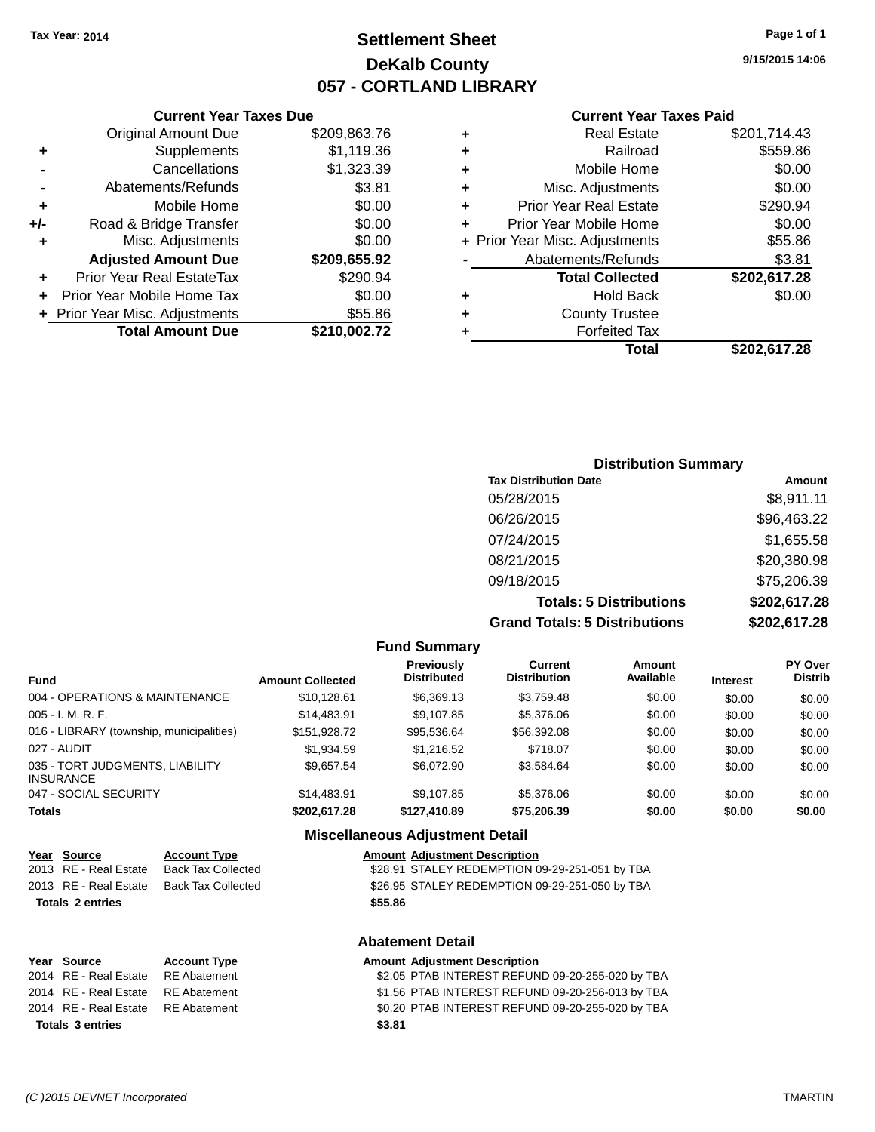### **Settlement Sheet Tax Year: 2014 Page 1 of 1 DeKalb County 057 - CORTLAND LIBRARY**

**9/15/2015 14:06**

|   | Total                          | \$202,617.28 |
|---|--------------------------------|--------------|
| ٠ | <b>Forfeited Tax</b>           |              |
| ٠ | <b>County Trustee</b>          |              |
| ٠ | <b>Hold Back</b>               | \$0.00       |
|   | <b>Total Collected</b>         | \$202,617.28 |
|   | Abatements/Refunds             | \$3.81       |
|   | + Prior Year Misc. Adjustments | \$55.86      |
| ٠ | Prior Year Mobile Home         | \$0.00       |
| ٠ | <b>Prior Year Real Estate</b>  | \$290.94     |
| ٠ | Misc. Adjustments              | \$0.00       |
| ٠ | Mobile Home                    | \$0.00       |
| ٠ | Railroad                       | \$559.86     |
| ٠ | <b>Real Estate</b>             | \$201,714.43 |
|   |                                |              |

|     | <b>Current Year Taxes Due</b>  |              |
|-----|--------------------------------|--------------|
|     | <b>Original Amount Due</b>     | \$209,863.76 |
| ٠   | Supplements                    | \$1,119.36   |
|     | Cancellations                  | \$1,323.39   |
|     | Abatements/Refunds             | \$3.81       |
| ٠   | Mobile Home                    | \$0.00       |
| +/- | Road & Bridge Transfer         | \$0.00       |
| ٠   | Misc. Adjustments              | \$0.00       |
|     | <b>Adjusted Amount Due</b>     | \$209,655.92 |
| ٠   | Prior Year Real EstateTax      | \$290.94     |
|     | Prior Year Mobile Home Tax     | \$0.00       |
|     | + Prior Year Misc. Adjustments | \$55.86      |
|     | <b>Total Amount Due</b>        | \$210,002.72 |
|     |                                |              |

| <b>Distribution Summary</b>          |              |  |  |  |  |
|--------------------------------------|--------------|--|--|--|--|
| <b>Tax Distribution Date</b>         | Amount       |  |  |  |  |
| 05/28/2015                           | \$8,911.11   |  |  |  |  |
| 06/26/2015                           | \$96,463.22  |  |  |  |  |
| 07/24/2015                           | \$1,655.58   |  |  |  |  |
| 08/21/2015                           | \$20,380.98  |  |  |  |  |
| 09/18/2015                           | \$75,206.39  |  |  |  |  |
| <b>Totals: 5 Distributions</b>       | \$202,617.28 |  |  |  |  |
| <b>Grand Totals: 5 Distributions</b> | \$202,617.28 |  |  |  |  |

| <b>Fund Summary</b>                                 |                         |                                         |                                       |                     |                 |                                  |
|-----------------------------------------------------|-------------------------|-----------------------------------------|---------------------------------------|---------------------|-----------------|----------------------------------|
| <b>Fund</b>                                         | <b>Amount Collected</b> | <b>Previously</b><br><b>Distributed</b> | <b>Current</b><br><b>Distribution</b> | Amount<br>Available | <b>Interest</b> | <b>PY Over</b><br><b>Distrib</b> |
| 004 - OPERATIONS & MAINTENANCE                      | \$10.128.61             | \$6.369.13                              | \$3.759.48                            | \$0.00              | \$0.00          | \$0.00                           |
| $005 - I. M. R. F.$                                 | \$14,483.91             | \$9.107.85                              | \$5,376,06                            | \$0.00              | \$0.00          | \$0.00                           |
| 016 - LIBRARY (township, municipalities)            | \$151.928.72            | \$95,536.64                             | \$56,392.08                           | \$0.00              | \$0.00          | \$0.00                           |
| 027 - AUDIT                                         | \$1.934.59              | \$1,216.52                              | \$718.07                              | \$0.00              | \$0.00          | \$0.00                           |
| 035 - TORT JUDGMENTS, LIABILITY<br><b>INSURANCE</b> | \$9.657.54              | \$6,072.90                              | \$3.584.64                            | \$0.00              | \$0.00          | \$0.00                           |
| 047 - SOCIAL SECURITY                               | \$14,483.91             | \$9.107.85                              | \$5,376,06                            | \$0.00              | \$0.00          | \$0.00                           |
| <b>Totals</b>                                       | \$202.617.28            | \$127,410.89                            | \$75,206.39                           | \$0.00              | \$0.00          | \$0.00                           |
|                                                     |                         | <b>Miscellaneous Adjustment Detail</b>  |                                       |                     |                 |                                  |

| <u>Year Source</u> |                         | <b>Account Type</b>       | <b>Amount Adjustment Description</b>           |  |  |
|--------------------|-------------------------|---------------------------|------------------------------------------------|--|--|
|                    | 2013 RE - Real Estate   | <b>Back Tax Collected</b> | \$28.91 STALEY REDEMPTION 09-29-251-051 by TBA |  |  |
|                    | 2013 RE - Real Estate   | <b>Back Tax Collected</b> | \$26.95 STALEY REDEMPTION 09-29-251-050 by TBA |  |  |
|                    | <b>Totals 2 entries</b> |                           | \$55.86                                        |  |  |
|                    |                         |                           | <b>Abatement Detail</b>                        |  |  |

|                         | <u>Year Source</u>                 | <b>Account Type</b> | <b>Amount Adjustment Description</b>             |
|-------------------------|------------------------------------|---------------------|--------------------------------------------------|
|                         | 2014 RE - Real Estate              | RE Abatement        | \$2.05 PTAB INTEREST REFUND 09-20-255-020 by TBA |
|                         | 2014 RE - Real Estate RE Abatement |                     | \$1.56 PTAB INTEREST REFUND 09-20-256-013 by TBA |
|                         | 2014 RE - Real Estate RE Abatement |                     | \$0.20 PTAB INTEREST REFUND 09-20-255-020 by TBA |
| <b>Totals 3 entries</b> |                                    |                     | \$3.81                                           |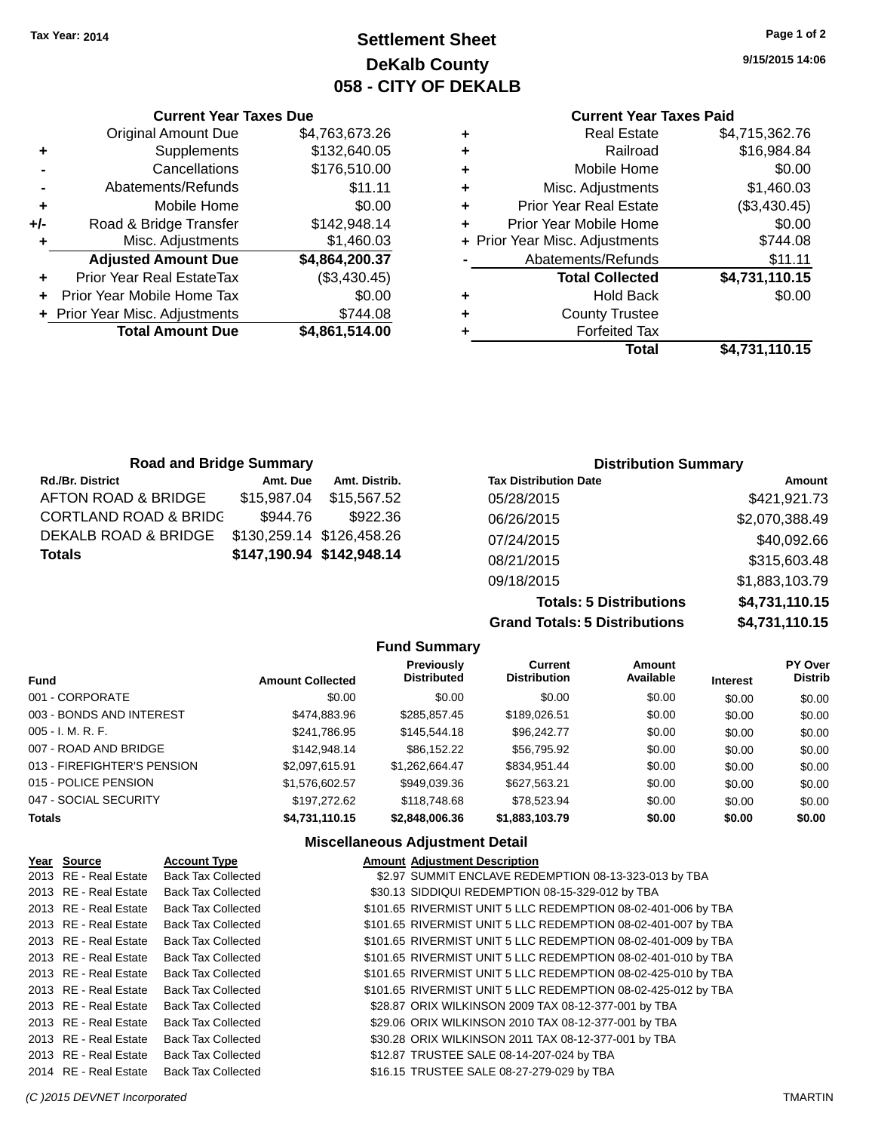### **Settlement Sheet Tax Year: 2014 Page 1 of 2 DeKalb County 058 - CITY OF DEKALB**

**9/15/2015 14:06**

| <b>Current Year Taxes Paid</b> |
|--------------------------------|
|--------------------------------|

| ٠ | <b>Real Estate</b>             | \$4,715,362.76 |
|---|--------------------------------|----------------|
| ٠ | Railroad                       | \$16,984.84    |
| ٠ | Mobile Home                    | \$0.00         |
| ٠ | Misc. Adjustments              | \$1,460.03     |
| ٠ | <b>Prior Year Real Estate</b>  | (\$3,430.45)   |
| ÷ | Prior Year Mobile Home         | \$0.00         |
|   | + Prior Year Misc. Adjustments | \$744.08       |
|   | Abatements/Refunds             | \$11.11        |
|   | <b>Total Collected</b>         | \$4,731,110.15 |
| ٠ | <b>Hold Back</b>               | \$0.00         |
| ٠ | <b>County Trustee</b>          |                |
|   | <b>Forfeited Tax</b>           |                |
|   | Total                          | \$4,731,110.15 |

|     | <b>Current Year Taxes Due</b>  |                |
|-----|--------------------------------|----------------|
|     | <b>Original Amount Due</b>     | \$4,763,673.26 |
| ٠   | Supplements                    | \$132,640.05   |
|     | Cancellations                  | \$176,510.00   |
|     | Abatements/Refunds             | \$11.11        |
| ÷   | Mobile Home                    | \$0.00         |
| +/- | Road & Bridge Transfer         | \$142,948.14   |
| ٠   | Misc. Adjustments              | \$1,460.03     |
|     | <b>Adjusted Amount Due</b>     | \$4,864,200.37 |
| ٠   | Prior Year Real EstateTax      | (\$3,430.45)   |
|     | Prior Year Mobile Home Tax     | \$0.00         |
|     | + Prior Year Misc. Adjustments | \$744.08       |
|     | <b>Total Amount Due</b>        | \$4,861,514.00 |
|     |                                |                |

| <b>Road and Bridge Summary</b> |             |                           | <b>Distribution Summary</b>  |                |  |
|--------------------------------|-------------|---------------------------|------------------------------|----------------|--|
| <b>Rd./Br. District</b>        | Amt. Due    | Amt. Distrib.             | <b>Tax Distribution Date</b> | Amount         |  |
| AFTON ROAD & BRIDGE            | \$15,987.04 | \$15,567.52               | 05/28/2015                   | \$421,921.73   |  |
| CORTLAND ROAD & BRIDC          | \$944.76    | \$922.36                  | 06/26/2015                   | \$2,070,388.49 |  |
| DEKALB ROAD & BRIDGE           |             | \$130,259.14 \$126,458.26 | 07/24/2015                   | \$40,092.66    |  |
| Totals                         |             | \$147,190.94 \$142,948.14 | 08/21/2015                   | \$315,603.48   |  |
|                                |             |                           | 09/18/2015                   | \$1,883,103.79 |  |

**Totals: 5 Distributions \$4,731,110.15 Grand Totals: 5 Distributions \$4,731,110.15**

|                             |                         | <b>Fund Summary</b>              |                                |                     |                 |                                  |
|-----------------------------|-------------------------|----------------------------------|--------------------------------|---------------------|-----------------|----------------------------------|
| <b>Fund</b>                 | <b>Amount Collected</b> | Previously<br><b>Distributed</b> | Current<br><b>Distribution</b> | Amount<br>Available | <b>Interest</b> | <b>PY Over</b><br><b>Distrib</b> |
| 001 - CORPORATE             | \$0.00                  | \$0.00                           | \$0.00                         | \$0.00              | \$0.00          | \$0.00                           |
| 003 - BONDS AND INTEREST    | \$474,883,96            | \$285.857.45                     | \$189,026.51                   | \$0.00              | \$0.00          | \$0.00                           |
| 005 - I. M. R. F.           | \$241,786.95            | \$145,544.18                     | \$96,242.77                    | \$0.00              | \$0.00          | \$0.00                           |
| 007 - ROAD AND BRIDGE       | \$142,948.14            | \$86.152.22                      | \$56,795.92                    | \$0.00              | \$0.00          | \$0.00                           |
| 013 - FIREFIGHTER'S PENSION | \$2,097,615.91          | \$1,262,664.47                   | \$834,951.44                   | \$0.00              | \$0.00          | \$0.00                           |
| 015 - POLICE PENSION        | \$1,576,602.57          | \$949.039.36                     | \$627,563.21                   | \$0.00              | \$0.00          | \$0.00                           |
| 047 - SOCIAL SECURITY       | \$197.272.62            | \$118,748.68                     | \$78.523.94                    | \$0.00              | \$0.00          | \$0.00                           |
| <b>Totals</b>               | \$4,731,110.15          | \$2,848,006.36                   | \$1,883,103.79                 | \$0.00              | \$0.00          | \$0.00                           |

#### **Miscellaneous Adjustment Detail**

| Year Source           | <b>Account Type</b>       | <b>Amount Adjustment Description</b>                          |
|-----------------------|---------------------------|---------------------------------------------------------------|
| 2013 RE - Real Estate | <b>Back Tax Collected</b> | \$2.97 SUMMIT ENCLAVE REDEMPTION 08-13-323-013 by TBA         |
| 2013 RE - Real Estate | <b>Back Tax Collected</b> | \$30.13 SIDDIQUI REDEMPTION 08-15-329-012 by TBA              |
| 2013 RE - Real Estate | <b>Back Tax Collected</b> | \$101.65 RIVERMIST UNIT 5 LLC REDEMPTION 08-02-401-006 by TBA |
| 2013 RE - Real Estate | <b>Back Tax Collected</b> | \$101.65 RIVERMIST UNIT 5 LLC REDEMPTION 08-02-401-007 by TBA |
| 2013 RE - Real Estate | <b>Back Tax Collected</b> | \$101.65 RIVERMIST UNIT 5 LLC REDEMPTION 08-02-401-009 by TBA |
| 2013 RE - Real Estate | <b>Back Tax Collected</b> | \$101.65 RIVERMIST UNIT 5 LLC REDEMPTION 08-02-401-010 by TBA |
| 2013 RE - Real Estate | <b>Back Tax Collected</b> | \$101.65 RIVERMIST UNIT 5 LLC REDEMPTION 08-02-425-010 by TBA |
| 2013 RE - Real Estate | Back Tax Collected        | \$101.65 RIVERMIST UNIT 5 LLC REDEMPTION 08-02-425-012 by TBA |
| 2013 RE - Real Estate | <b>Back Tax Collected</b> | \$28.87 ORIX WILKINSON 2009 TAX 08-12-377-001 by TBA          |
| 2013 RE - Real Estate | <b>Back Tax Collected</b> | \$29.06 ORIX WILKINSON 2010 TAX 08-12-377-001 by TBA          |
| 2013 RE - Real Estate | <b>Back Tax Collected</b> | \$30.28 ORIX WILKINSON 2011 TAX 08-12-377-001 by TBA          |
| 2013 RE - Real Estate | <b>Back Tax Collected</b> | \$12.87 TRUSTEE SALE 08-14-207-024 by TBA                     |
| 2014 RE - Real Estate | <b>Back Tax Collected</b> | \$16.15 TRUSTEE SALE 08-27-279-029 by TBA                     |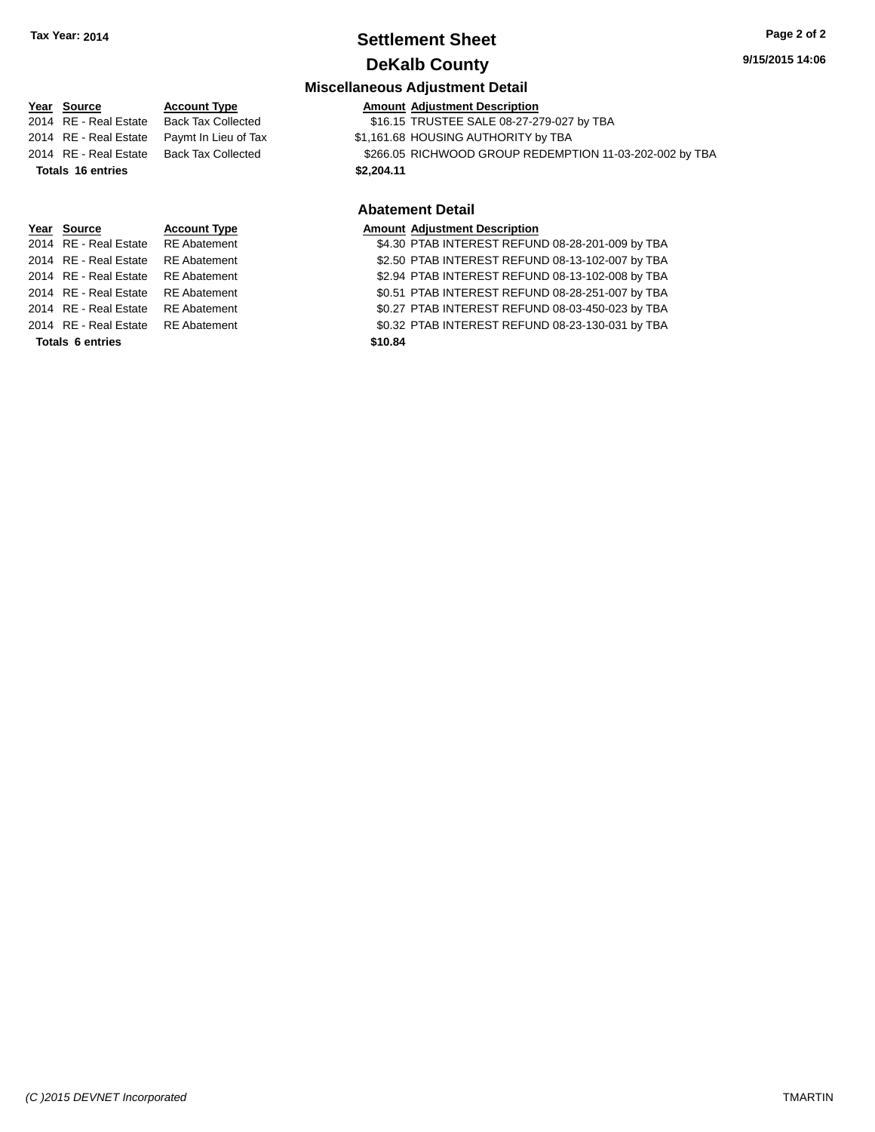### **Settlement Sheet Tax Year: 2014 Page 2 of 2 DeKalb County**

#### **9/15/2015 14:06**

#### **Miscellaneous Adjustment Detail**

|                          | Year Source           | <b>Account Type</b>       | <b>Amount Adjustment Description</b>                    |
|--------------------------|-----------------------|---------------------------|---------------------------------------------------------|
|                          | 2014 RE - Real Estate | <b>Back Tax Collected</b> | \$16.15 TRUSTEE SALE 08-27-279-027 by TBA               |
|                          | 2014 RE - Real Estate | Paymt In Lieu of Tax      | \$1,161.68 HOUSING AUTHORITY by TBA                     |
|                          | 2014 RE - Real Estate | <b>Back Tax Collected</b> | \$266.05 RICHWOOD GROUP REDEMPTION 11-03-202-002 by TBA |
| <b>Totals 16 entries</b> |                       |                           | \$2,204.11                                              |
|                          |                       |                           |                                                         |
|                          |                       |                           | <b>Abatement Detail</b>                                 |
|                          | Year Source           | <b>Account Type</b>       | <b>Amount Adjustment Description</b>                    |
|                          | 2014 RE - Real Estate | <b>RE</b> Abatement       | \$4.30 PTAB INTEREST REFUND 08-28-201-009 by TBA        |
|                          | 2014 RE - Real Estate | <b>RE</b> Abatement       | \$2.50 PTAB INTEREST REFUND 08-13-102-007 by TBA        |
|                          | 2014 RE - Real Estate | <b>RE</b> Abatement       | \$2.94 PTAB INTEREST REFUND 08-13-102-008 by TBA        |
|                          |                       |                           |                                                         |

**Totals 6 entries \$10.84**

2014 RE - Real Estate RE Abatement \$0.51 PTAB INTEREST REFUND 08-28-251-007 by TBA 2014 RE - Real Estate RE Abatement \$0.27 PTAB INTEREST REFUND 08-03-450-023 by TBA 2014 RE - Real Estate RE Abatement \$0.32 PTAB INTEREST REFUND 08-23-130-031 by TBA

*(C )2015 DEVNET Incorporated* TMARTIN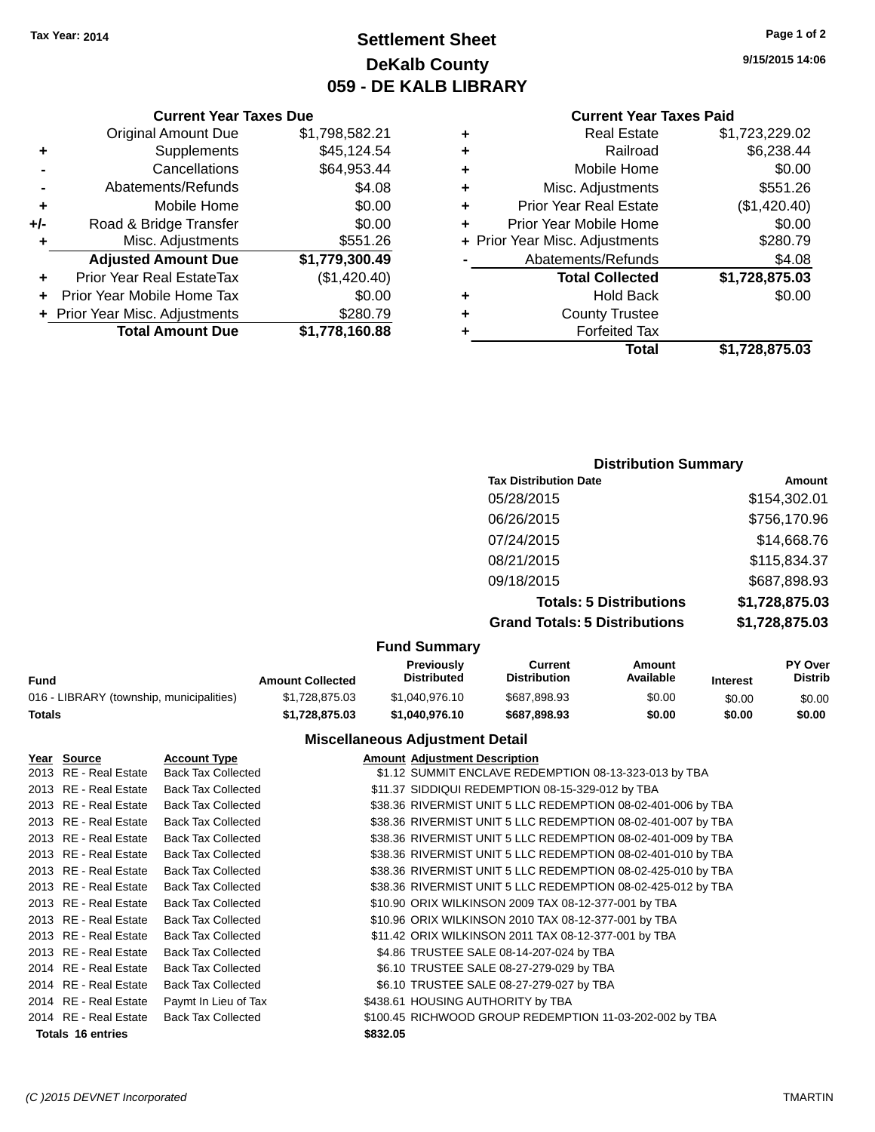**Current Year Taxes Due** Original Amount Due \$1,798,582.21

**Adjusted Amount Due \$1,779,300.49**

**+** Supplements \$45,124.54 **-** Cancellations \$64,953.44 **-** Abatements/Refunds \$4.08 **+** Mobile Home \$0.00 **+/-** Road & Bridge Transfer \$0.00 **+** Misc. Adjustments \$551.26

### **Settlement Sheet Tax Year: 2014 Page 1 of 2 DeKalb County 059 - DE KALB LIBRARY**

**9/15/2015 14:06**

#### **Current Year Taxes Paid**

|   | Total                          | \$1,728,875.03 |
|---|--------------------------------|----------------|
| ٠ | <b>Forfeited Tax</b>           |                |
| ٠ | <b>County Trustee</b>          |                |
| ٠ | <b>Hold Back</b>               | \$0.00         |
|   | <b>Total Collected</b>         | \$1,728,875.03 |
|   | Abatements/Refunds             | \$4.08         |
|   | + Prior Year Misc. Adjustments | \$280.79       |
| ٠ | Prior Year Mobile Home         | \$0.00         |
| ٠ | <b>Prior Year Real Estate</b>  | (\$1,420.40)   |
| ٠ | Misc. Adjustments              | \$551.26       |
| ٠ | Mobile Home                    | \$0.00         |
| ٠ | Railroad                       | \$6,238.44     |
| ٠ | <b>Real Estate</b>             | \$1,723,229.02 |
|   |                                |                |

## **+** Prior Year Real EstateTax (\$1,420.40) **+** Prior Year Mobile Home Tax \$0.00 **+** Prior Year Misc. Adjustments \$280.79 **Total Amount Due \$1,778,160.88**

### **Distribution Summary Tax Distribution Date Amount** 05/28/2015 \$154,302.01 06/26/2015 \$756,170.96 07/24/2015 \$14,668.76 08/21/2015 \$115,834.37 09/18/2015 \$687,898.93 **Totals: 5 Distributions \$1,728,875.03 Grand Totals: 5 Distributions \$1,728,875.03**

#### **Fund Summary**

|                                          |                         | -----------------                       |                                |                     |                 |                                  |
|------------------------------------------|-------------------------|-----------------------------------------|--------------------------------|---------------------|-----------------|----------------------------------|
| Fund                                     | <b>Amount Collected</b> | <b>Previously</b><br><b>Distributed</b> | Current<br><b>Distribution</b> | Amount<br>Available | <b>Interest</b> | <b>PY Over</b><br><b>Distrib</b> |
| 016 - LIBRARY (township, municipalities) | \$1.728.875.03          | \$1.040.976.10                          | \$687.898.93                   | \$0.00              | \$0.00          | \$0.00                           |
| Totals                                   | \$1.728.875.03          | \$1.040.976.10                          | \$687.898.93                   | \$0.00              | \$0.00          | \$0.00                           |

#### **Miscellaneous Adjustment Detail**

| Year Source              | <b>Account Type</b>       |          | <b>Amount Adjustment Description</b>                         |
|--------------------------|---------------------------|----------|--------------------------------------------------------------|
| 2013 RE - Real Estate    | <b>Back Tax Collected</b> |          | \$1.12 SUMMIT ENCLAVE REDEMPTION 08-13-323-013 by TBA        |
| 2013 RE - Real Estate    | <b>Back Tax Collected</b> |          | \$11.37 SIDDIQUI REDEMPTION 08-15-329-012 by TBA             |
| 2013 RE - Real Estate    | <b>Back Tax Collected</b> |          | \$38.36 RIVERMIST UNIT 5 LLC REDEMPTION 08-02-401-006 by TBA |
| 2013 RE - Real Estate    | <b>Back Tax Collected</b> |          | \$38.36 RIVERMIST UNIT 5 LLC REDEMPTION 08-02-401-007 by TBA |
| 2013 RE - Real Estate    | <b>Back Tax Collected</b> |          | \$38.36 RIVERMIST UNIT 5 LLC REDEMPTION 08-02-401-009 by TBA |
| 2013 RE - Real Estate    | <b>Back Tax Collected</b> |          | \$38.36 RIVERMIST UNIT 5 LLC REDEMPTION 08-02-401-010 by TBA |
| 2013 RE - Real Estate    | <b>Back Tax Collected</b> |          | \$38.36 RIVERMIST UNIT 5 LLC REDEMPTION 08-02-425-010 by TBA |
| 2013 RE - Real Estate    | <b>Back Tax Collected</b> |          | \$38.36 RIVERMIST UNIT 5 LLC REDEMPTION 08-02-425-012 by TBA |
| 2013 RE - Real Estate    | <b>Back Tax Collected</b> |          | \$10.90 ORIX WILKINSON 2009 TAX 08-12-377-001 by TBA         |
| 2013 RE - Real Estate    | <b>Back Tax Collected</b> |          | \$10.96 ORIX WILKINSON 2010 TAX 08-12-377-001 by TBA         |
| 2013 RE - Real Estate    | <b>Back Tax Collected</b> |          | \$11.42 ORIX WILKINSON 2011 TAX 08-12-377-001 by TBA         |
| 2013 RE - Real Estate    | <b>Back Tax Collected</b> |          | \$4.86 TRUSTEE SALE 08-14-207-024 by TBA                     |
| 2014 RE - Real Estate    | <b>Back Tax Collected</b> |          | \$6.10 TRUSTEE SALE 08-27-279-029 by TBA                     |
| 2014 RE - Real Estate    | <b>Back Tax Collected</b> |          | \$6.10 TRUSTEE SALE 08-27-279-027 by TBA                     |
| 2014 RE - Real Estate    | Paymt In Lieu of Tax      |          | \$438.61 HOUSING AUTHORITY by TBA                            |
| 2014 RE - Real Estate    | <b>Back Tax Collected</b> |          | \$100.45 RICHWOOD GROUP REDEMPTION 11-03-202-002 by TBA      |
| <b>Totals 16 entries</b> |                           | \$832.05 |                                                              |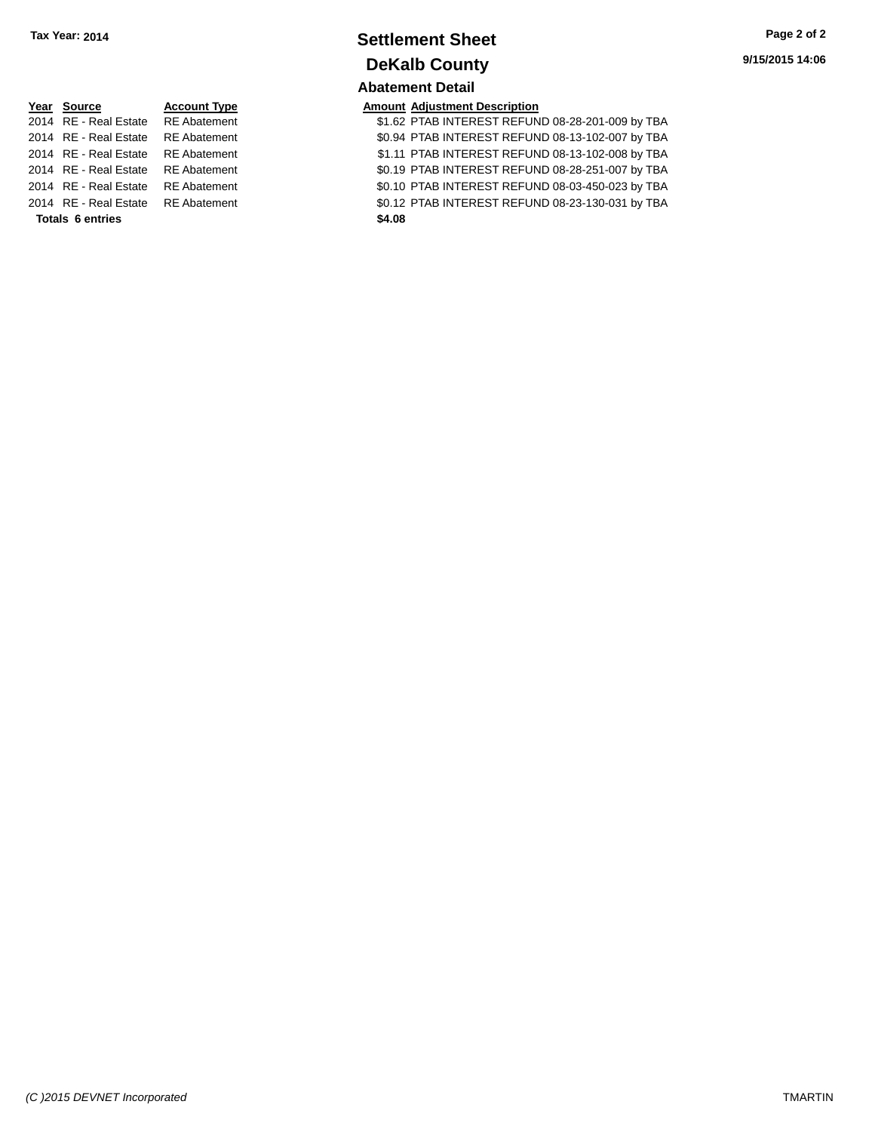### **Settlement Sheet Tax Year: 2014 Page 2 of 2 DeKalb County Abatement Detail**

| Year Source             | <b>Account Type</b> | <b>Amount</b> |
|-------------------------|---------------------|---------------|
| 2014 RE - Real Estate   | <b>RE</b> Abatement | \$1.62        |
| 2014 RE - Real Estate   | <b>RE</b> Abatement | \$0.94        |
| 2014 RE - Real Estate   | <b>RE</b> Abatement | \$1.11        |
| 2014 RE - Real Estate   | <b>RE</b> Abatement | \$0.19        |
| 2014 RE - Real Estate   | <b>RE</b> Abatement | \$0.10        |
| 2014 RE - Real Estate   | <b>RE</b> Abatement | \$0.12        |
| <b>Totals 6 entries</b> |                     | \$4.08        |

**<u>Pear Source Adjustment Description</u><br>
THE SOURCE SERVING A STAB INTEREST REFUN</u>** 

\$1.62 PTAB INTEREST REFUND 08-28-201-009 by TBA 11 **2014 REAL ESTATE ABATEMENT REFUND 08-13-102-007 by TBA** 11 PTAB INTEREST REFUND 08-13-102-008 by TBA 20.19 PTAB INTEREST REFUND 08-28-251-007 by TBA 1t 2010 RTAB INTEREST REFUND 08-03-450-023 by TBA 20.12 PTAB INTEREST REFUND 08-23-130-031 by TBA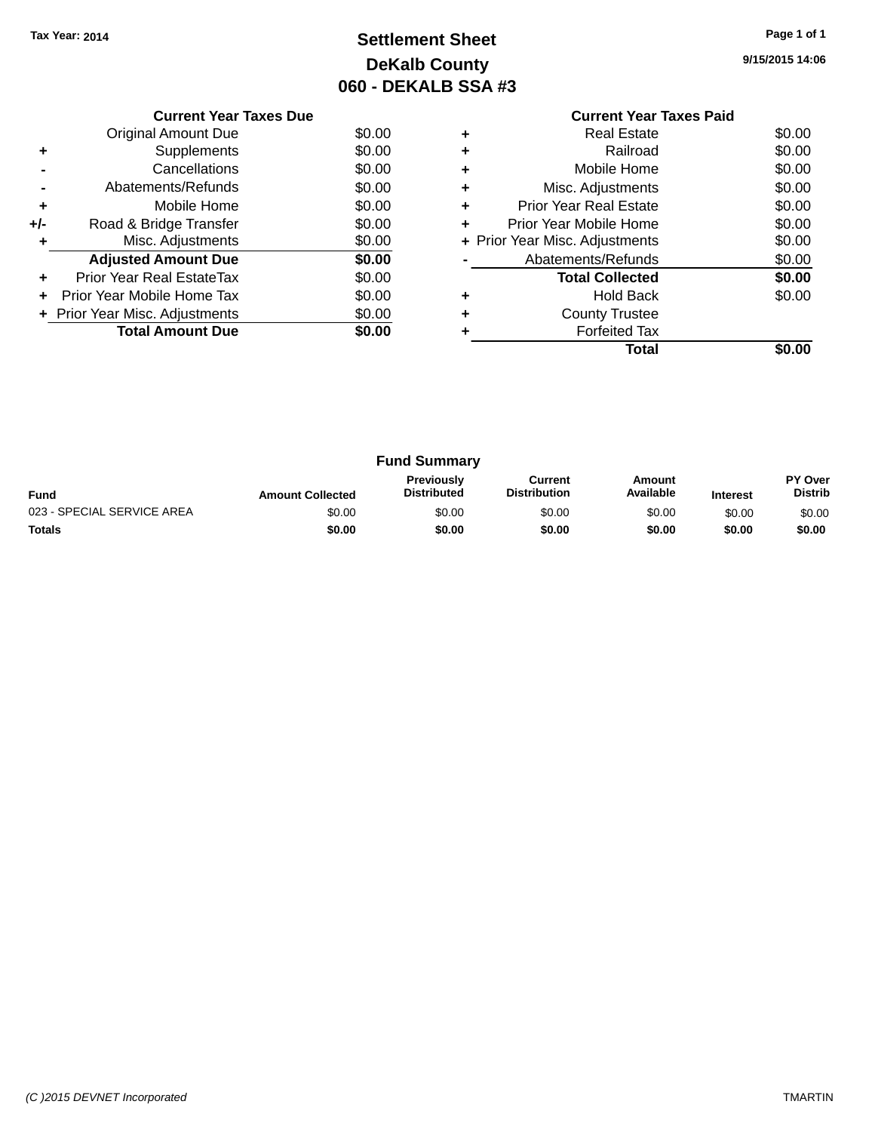### **Settlement Sheet Tax Year: 2014 Page 1 of 1 DeKalb County 060 - DEKALB SSA #3**

**9/15/2015 14:06**

|     | <b>Current Year Taxes Due</b>    |        |  |  |  |  |
|-----|----------------------------------|--------|--|--|--|--|
|     | <b>Original Amount Due</b>       | \$0.00 |  |  |  |  |
|     | Supplements                      | \$0.00 |  |  |  |  |
|     | Cancellations                    | \$0.00 |  |  |  |  |
|     | Abatements/Refunds               | \$0.00 |  |  |  |  |
| ٠   | \$0.00<br>Mobile Home            |        |  |  |  |  |
| +/- | \$0.00<br>Road & Bridge Transfer |        |  |  |  |  |
|     | \$0.00<br>Misc. Adjustments      |        |  |  |  |  |
|     | <b>Adjusted Amount Due</b>       | \$0.00 |  |  |  |  |
| ÷   | Prior Year Real EstateTax        | \$0.00 |  |  |  |  |
|     | Prior Year Mobile Home Tax       | \$0.00 |  |  |  |  |
|     | + Prior Year Misc. Adjustments   | \$0.00 |  |  |  |  |
|     | <b>Total Amount Due</b>          | \$0.00 |  |  |  |  |
|     |                                  |        |  |  |  |  |

|   | Total                          |        |
|---|--------------------------------|--------|
|   | <b>Forfeited Tax</b>           |        |
| ٠ | <b>County Trustee</b>          |        |
|   | Hold Back                      | \$0.00 |
|   | <b>Total Collected</b>         | \$0.00 |
|   | Abatements/Refunds             | \$0.00 |
|   | + Prior Year Misc. Adjustments | \$0.00 |
|   | Prior Year Mobile Home         | \$0.00 |
| ٠ | <b>Prior Year Real Estate</b>  | \$0.00 |
|   | Misc. Adjustments              | \$0.00 |
|   | Mobile Home                    | \$0.00 |
| ٠ | Railroad                       | \$0.00 |
| ٠ | <b>Real Estate</b>             | \$0.00 |

|                            |                         | <b>Fund Summary</b>                     |                                |                     |                 |                                  |
|----------------------------|-------------------------|-----------------------------------------|--------------------------------|---------------------|-----------------|----------------------------------|
| <b>Fund</b>                | <b>Amount Collected</b> | <b>Previously</b><br><b>Distributed</b> | Current<br><b>Distribution</b> | Amount<br>Available | <b>Interest</b> | <b>PY Over</b><br><b>Distrib</b> |
| 023 - SPECIAL SERVICE AREA | \$0.00                  | \$0.00                                  | \$0.00                         | \$0.00              | \$0.00          | \$0.00                           |
| <b>Totals</b>              | \$0.00                  | \$0.00                                  | \$0.00                         | \$0.00              | \$0.00          | \$0.00                           |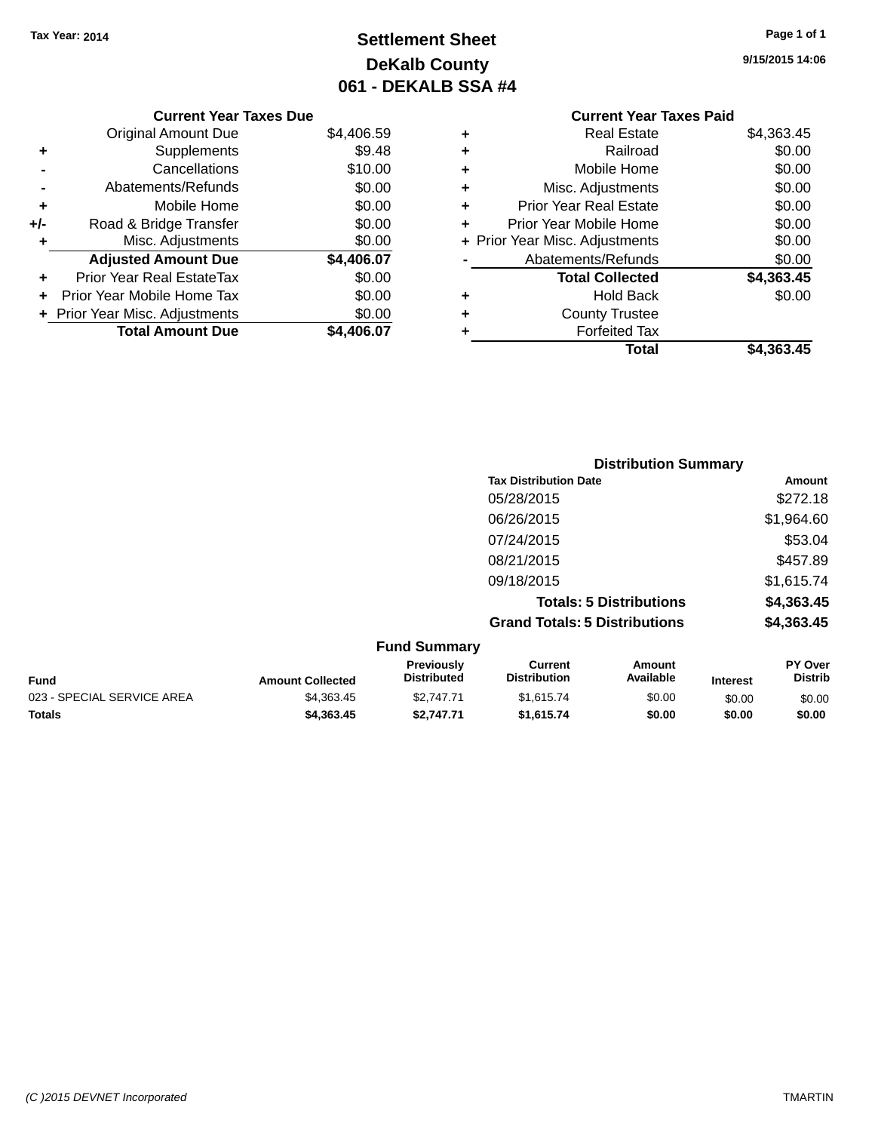### **Settlement Sheet Tax Year: 2014 Page 1 of 1 DeKalb County 061 - DEKALB SSA #4**

**9/15/2015 14:06**

|            |   | <b>Current Year Taxes Paid</b> |            |
|------------|---|--------------------------------|------------|
| \$4,406.59 | ٠ | <b>Real Estate</b>             | \$4,363.45 |
| \$9.48     | ٠ | Railroad                       | \$0.00     |
| \$10.00    | ÷ | Mobile Home                    | \$0.00     |
| \$0.00     | ٠ | Misc. Adjustments              | \$0.00     |
| \$0.00     | ٠ | <b>Prior Year Real Estate</b>  | \$0.00     |
| \$0.00     | ٠ | Prior Year Mobile Home         | \$0.00     |
| \$0.00     |   | + Prior Year Misc. Adjustments | \$0.00     |
| \$4,406.07 |   | Abatements/Refunds             | \$0.00     |
| \$0.00     |   | <b>Total Collected</b>         | \$4,363.45 |
| \$0.00     | ٠ | <b>Hold Back</b>               | \$0.00     |
| \$0.00     | ٠ | <b>County Trustee</b>          |            |
| \$4,406.07 | ٠ | <b>Forfeited Tax</b>           |            |
|            |   | Total                          | \$4,363.45 |

### **Current Year Taxes Due** Original Amount Due

|     | <b>Total Amount Due</b>        | \$4,406.07 |
|-----|--------------------------------|------------|
|     | + Prior Year Misc. Adjustments | \$0.00     |
| ÷   | Prior Year Mobile Home Tax     | \$0.00     |
|     | Prior Year Real EstateTax      | \$0.00     |
|     | <b>Adjusted Amount Due</b>     | \$4,406.07 |
| ٠   | Misc. Adjustments              | \$0.00     |
| +/- | Road & Bridge Transfer         | \$0.00     |
| ٠   | Mobile Home                    | \$0.00     |
|     | Abatements/Refunds             | \$0.00     |
|     | Cancellations                  | \$10.00    |
| ٠   | Supplements                    | \$9.48     |
|     | <b>Unginal Annount Duc</b>     | ⊽⊽∴⊤∪      |

| <b>Distribution Summary</b>          |            |
|--------------------------------------|------------|
| <b>Tax Distribution Date</b>         | Amount     |
| 05/28/2015                           | \$272.18   |
| 06/26/2015                           | \$1,964.60 |
| 07/24/2015                           | \$53.04    |
| 08/21/2015                           | \$457.89   |
| 09/18/2015                           | \$1,615.74 |
| <b>Totals: 5 Distributions</b>       | \$4,363.45 |
| <b>Grand Totals: 5 Distributions</b> | \$4,363.45 |

|                            |                         | <b>Fund Summary</b>                     |                                |                     |                 |                                  |
|----------------------------|-------------------------|-----------------------------------------|--------------------------------|---------------------|-----------------|----------------------------------|
| <b>Fund</b>                | <b>Amount Collected</b> | <b>Previously</b><br><b>Distributed</b> | Current<br><b>Distribution</b> | Amount<br>Available | <b>Interest</b> | <b>PY Over</b><br><b>Distrib</b> |
| 023 - SPECIAL SERVICE AREA | \$4,363,45              | \$2.747.71                              | \$1.615.74                     | \$0.00              | \$0.00          | \$0.00                           |
| <b>Totals</b>              | \$4,363,45              | \$2.747.71                              | \$1.615.74                     | \$0.00              | \$0.00          | \$0.00                           |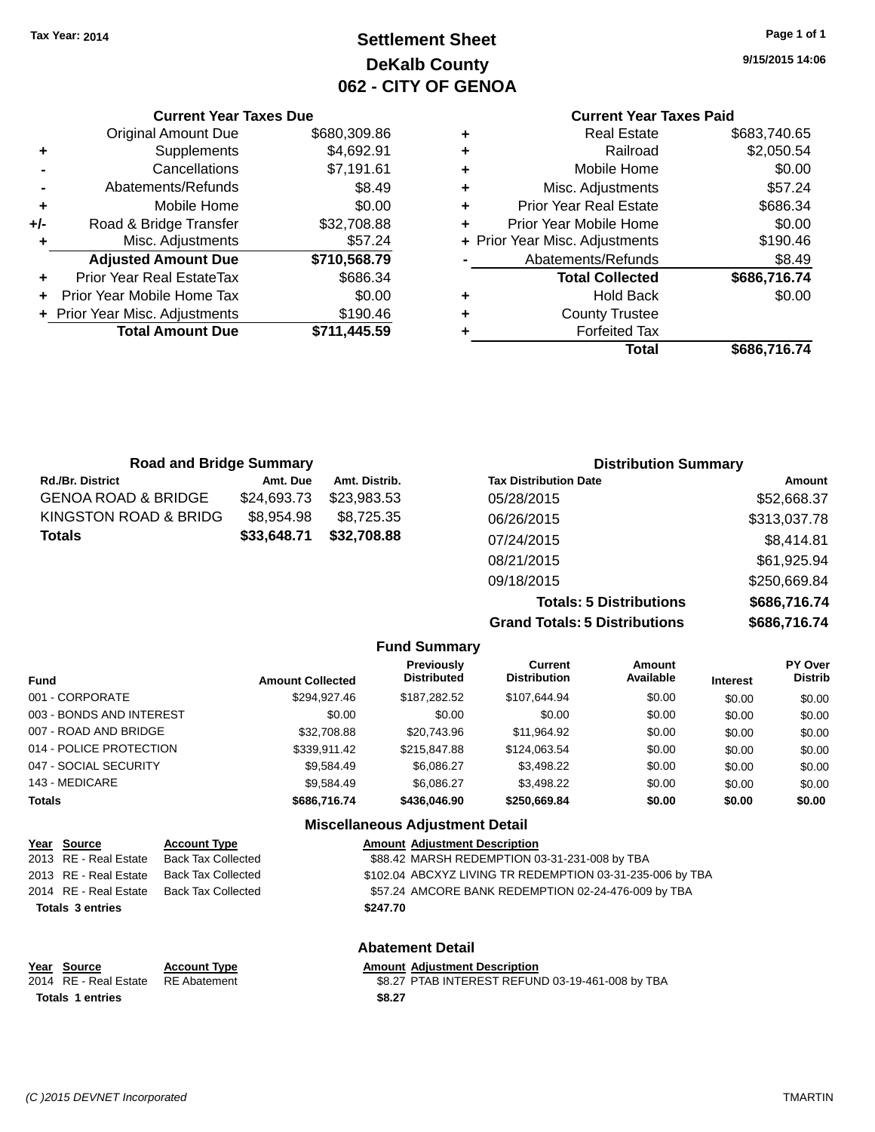**Original Amount Due** 

**Adjusted Amount Due** 

**Total Amount Due** 

**+** Supplements **-** Cancellations **-** Abatements/Refunds  $+$  Mobile Home **+/-** Road & Bridge Transfer **+** Misc. Adjustments

**+** Prior Year Real EstateTax **+** Prior Year Mobile Home Tax **+ Prior Year Misc. Adjustments** 

### **Settlement Sheet Tax Year: 2014 Page 1 of 1 DeKalb County 062 - CITY OF GENOA**

**9/15/2015 14:06**

**Total \$686,716.74**

#### **Current Year Taxes Paid**

| <b>Current Year Taxes Due</b> |              |   | <b>Current Year Taxes Paid</b> |              |  |
|-------------------------------|--------------|---|--------------------------------|--------------|--|
| ่<br>เl Amount Due            | \$680,309.86 | ٠ | <b>Real Estate</b>             | \$683,740.65 |  |
| Supplements                   | \$4,692.91   | ٠ | Railroad                       | \$2,050.54   |  |
| Cancellations                 | \$7,191.61   | ٠ | Mobile Home                    | \$0.00       |  |
| าents/Refunds                 | \$8.49       | ٠ | Misc. Adjustments              | \$57.24      |  |
| Mobile Home                   | \$0.00       | ÷ | <b>Prior Year Real Estate</b>  | \$686.34     |  |
| ridge Transfer                | \$32,708.88  | ٠ | Prior Year Mobile Home         | \$0.00       |  |
| :. Adjustments                | \$57.24      |   | + Prior Year Misc. Adjustments | \$190.46     |  |
| <b>Amount Due</b>             | \$710,568.79 |   | Abatements/Refunds             | \$8.49       |  |
| leal EstateTax≀               | \$686.34     |   | <b>Total Collected</b>         | \$686,716.74 |  |
| bile Home Tax                 | \$0.00       | ٠ | <b>Hold Back</b>               | \$0.00       |  |
| . Adjustments                 | \$190.46     | ÷ | <b>County Trustee</b>          |              |  |
| <b>Amount Due</b>             | \$711,445.59 |   | <b>Forfeited Tax</b>           |              |  |
|                               |              |   | Total                          | \$686,716,74 |  |

| <b>Road and Bridge Summary</b> |             |               | <b>Distribution Summary</b>  |              |
|--------------------------------|-------------|---------------|------------------------------|--------------|
| <b>Rd./Br. District</b>        | Amt. Due    | Amt. Distrib. | <b>Tax Distribution Date</b> | Amount       |
| <b>GENOA ROAD &amp; BRIDGE</b> | \$24.693.73 | \$23.983.53   | 05/28/2015                   | \$52,668.37  |
| KINGSTON ROAD & BRIDG          | \$8.954.98  | \$8.725.35    | 06/26/2015                   | \$313,037.78 |
| <b>Totals</b>                  | \$33,648.71 | \$32,708.88   | 07/24/2015                   | \$8,414.81   |
|                                |             |               | 08/21/2015                   | \$61,925.94  |

**Grand Totals: 5 Distributions \$686,716.74**

09/18/2015 \$250,669.84

**Totals: 5 Distributions \$686,716.74**

|                          |                         | <b>Fund Summary</b>                     |                                |                     |                 |                    |
|--------------------------|-------------------------|-----------------------------------------|--------------------------------|---------------------|-----------------|--------------------|
| <b>Fund</b>              | <b>Amount Collected</b> | <b>Previously</b><br><b>Distributed</b> | Current<br><b>Distribution</b> | Amount<br>Available | <b>Interest</b> | PY Over<br>Distrib |
| 001 - CORPORATE          | \$294.927.46            | \$187.282.52                            | \$107,644.94                   | \$0.00              | \$0.00          | \$0.00             |
| 003 - BONDS AND INTEREST | \$0.00                  | \$0.00                                  | \$0.00                         | \$0.00              | \$0.00          | \$0.00             |
| 007 - ROAD AND BRIDGE    | \$32,708.88             | \$20,743.96                             | \$11,964.92                    | \$0.00              | \$0.00          | \$0.00             |
| 014 - POLICE PROTECTION  | \$339,911.42            | \$215,847.88                            | \$124,063.54                   | \$0.00              | \$0.00          | \$0.00             |
| 047 - SOCIAL SECURITY    | \$9.584.49              | \$6.086.27                              | \$3,498.22                     | \$0.00              | \$0.00          | \$0.00             |
| 143 - MEDICARE           | \$9,584.49              | \$6.086.27                              | \$3,498.22                     | \$0.00              | \$0.00          | \$0.00             |
| Totals                   | \$686,716.74            | \$436,046.90                            | \$250,669.84                   | \$0.00              | \$0.00          | \$0.00             |
|                          |                         | Miccollonssus Adjustment Detail         |                                |                     |                 |                    |

|                         |                           | MISCENANEOUS AQJUSTMENT DETAIL                            |
|-------------------------|---------------------------|-----------------------------------------------------------|
| Year Source             | <b>Account Type</b>       | <b>Amount Adjustment Description</b>                      |
| 2013 RE - Real Estate   | <b>Back Tax Collected</b> | \$88.42 MARSH REDEMPTION 03-31-231-008 by TBA             |
| 2013 RE - Real Estate   | <b>Back Tax Collected</b> | \$102.04 ABCXYZ LIVING TR REDEMPTION 03-31-235-006 by TBA |
| 2014 RE - Real Estate   | <b>Back Tax Collected</b> | \$57.24 AMCORE BANK REDEMPTION 02-24-476-009 by TBA       |
| <b>Totals 3 entries</b> |                           | \$247.70                                                  |
|                         |                           | <b>Abatement Detail</b>                                   |
| Year Source             | <b>Account Type</b>       | <b>Amount Adjustment Description</b>                      |
| 2014 RE - Real Estate   | <b>RE</b> Abatement       | \$8.27 PTAB INTEREST REFUND 03-19-461-008 by TBA          |
| <b>Totals 1 entries</b> |                           | \$8.27                                                    |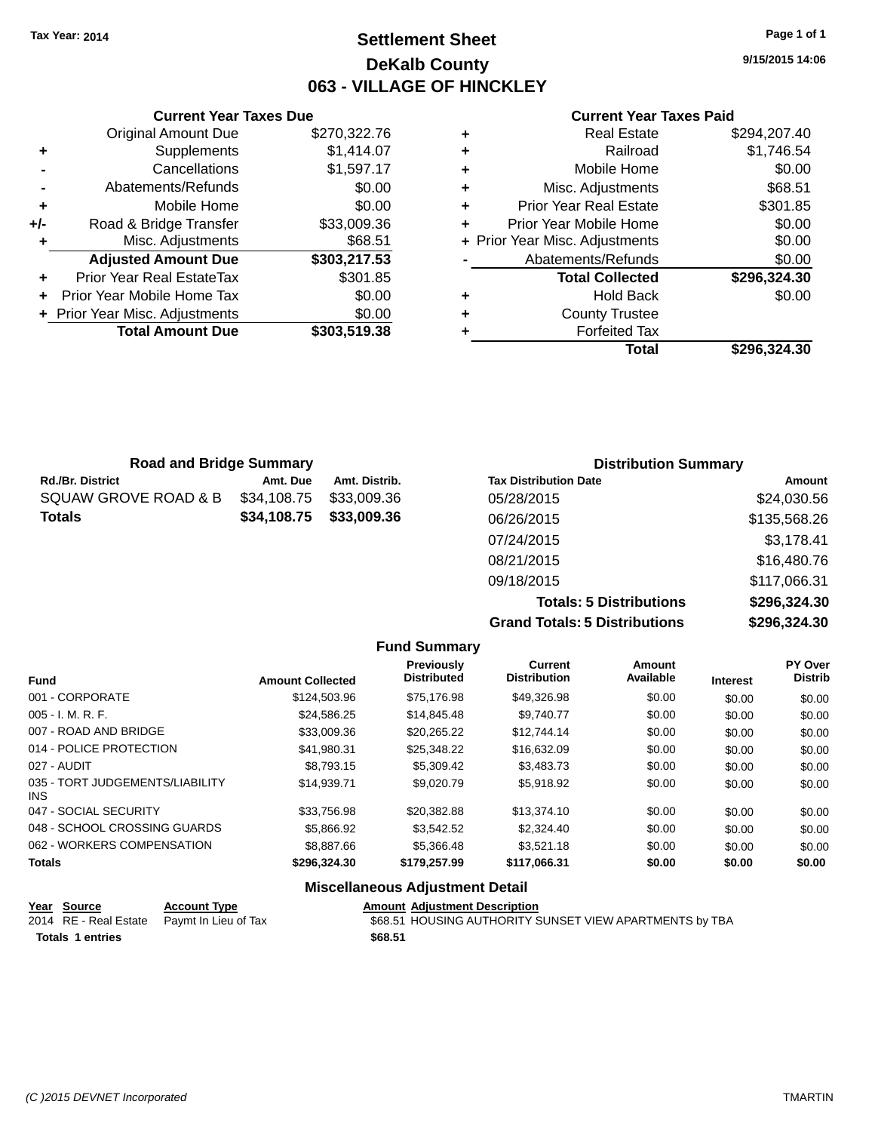### **Settlement Sheet Tax Year: 2014 Page 1 of 1 DeKalb County 063 - VILLAGE OF HINCKLEY**

**9/15/2015 14:06**

#### **Current Year Taxes Paid**

|   | Total                          | \$296.324.30 |
|---|--------------------------------|--------------|
| ٠ | <b>Forfeited Tax</b>           |              |
| ٠ | <b>County Trustee</b>          |              |
| ٠ | <b>Hold Back</b>               | \$0.00       |
|   | <b>Total Collected</b>         | \$296,324.30 |
|   | Abatements/Refunds             | \$0.00       |
|   | + Prior Year Misc. Adjustments | \$0.00       |
| ٠ | Prior Year Mobile Home         | \$0.00       |
| ٠ | <b>Prior Year Real Estate</b>  | \$301.85     |
| ٠ | Misc. Adjustments              | \$68.51      |
| ٠ | Mobile Home                    | \$0.00       |
| ٠ | Railroad                       | \$1,746.54   |
| ٠ | Real Estate                    | \$294,207.40 |
|   |                                |              |

|     | <b>Current Year Taxes Due</b>  |              |  |  |  |
|-----|--------------------------------|--------------|--|--|--|
|     | <b>Original Amount Due</b>     | \$270,322.76 |  |  |  |
| ٠   | Supplements                    | \$1,414.07   |  |  |  |
|     | Cancellations                  | \$1,597.17   |  |  |  |
|     | Abatements/Refunds             | \$0.00       |  |  |  |
| ٠   | Mobile Home                    | \$0.00       |  |  |  |
| +/- | Road & Bridge Transfer         | \$33,009.36  |  |  |  |
| ٠   | Misc. Adjustments              | \$68.51      |  |  |  |
|     | <b>Adjusted Amount Due</b>     | \$303,217.53 |  |  |  |
|     | Prior Year Real EstateTax      | \$301.85     |  |  |  |
|     | Prior Year Mobile Home Tax     | \$0.00       |  |  |  |
|     | + Prior Year Misc. Adjustments | \$0.00       |  |  |  |
|     | <b>Total Amount Due</b>        | \$303,519.38 |  |  |  |
|     |                                |              |  |  |  |

| <b>Road and Bridge Summary</b> |             |               | <b>Distribution Summary</b>    |              |  |
|--------------------------------|-------------|---------------|--------------------------------|--------------|--|
| <b>Rd./Br. District</b>        | Amt. Due    | Amt. Distrib. | <b>Tax Distribution Date</b>   | Amount       |  |
| SQUAW GROVE ROAD & B           | \$34,108.75 | \$33,009.36   | 05/28/2015                     | \$24,030.56  |  |
| <b>Totals</b>                  | \$34,108.75 | \$33,009.36   | 06/26/2015                     | \$135,568.26 |  |
|                                |             |               | 07/24/2015                     | \$3,178.41   |  |
|                                |             |               | 08/21/2015                     | \$16,480.76  |  |
|                                |             |               | 09/18/2015                     | \$117,066.31 |  |
|                                |             |               | <b>Totals: 5 Distributions</b> | \$296,324.30 |  |

**Grand Totals: 5 Distributions \$296,324.30**

|                                         |                         | <b>Fund Summary</b>              |                                       |                     |                 |                           |
|-----------------------------------------|-------------------------|----------------------------------|---------------------------------------|---------------------|-----------------|---------------------------|
| <b>Fund</b>                             | <b>Amount Collected</b> | Previously<br><b>Distributed</b> | <b>Current</b><br><b>Distribution</b> | Amount<br>Available | <b>Interest</b> | PY Over<br><b>Distrib</b> |
| 001 - CORPORATE                         | \$124,503.96            | \$75.176.98                      | \$49,326.98                           | \$0.00              | \$0.00          | \$0.00                    |
| $005 - I. M. R. F.$                     | \$24,586.25             | \$14,845.48                      | \$9,740.77                            | \$0.00              | \$0.00          | \$0.00                    |
| 007 - ROAD AND BRIDGE                   | \$33,009.36             | \$20.265.22                      | \$12,744.14                           | \$0.00              | \$0.00          | \$0.00                    |
| 014 - POLICE PROTECTION                 | \$41.980.31             | \$25.348.22                      | \$16,632.09                           | \$0.00              | \$0.00          | \$0.00                    |
| 027 - AUDIT                             | \$8,793.15              | \$5,309.42                       | \$3,483,73                            | \$0.00              | \$0.00          | \$0.00                    |
| 035 - TORT JUDGEMENTS/LIABILITY<br>INS. | \$14.939.71             | \$9,020.79                       | \$5,918.92                            | \$0.00              | \$0.00          | \$0.00                    |
| 047 - SOCIAL SECURITY                   | \$33,756.98             | \$20,382.88                      | \$13,374.10                           | \$0.00              | \$0.00          | \$0.00                    |
| 048 - SCHOOL CROSSING GUARDS            | \$5,866.92              | \$3.542.52                       | \$2,324.40                            | \$0.00              | \$0.00          | \$0.00                    |
| 062 - WORKERS COMPENSATION              | \$8,887.66              | \$5,366,48                       | \$3.521.18                            | \$0.00              | \$0.00          | \$0.00                    |
| <b>Totals</b>                           | \$296,324.30            | \$179,257.99                     | \$117,066.31                          | \$0.00              | \$0.00          | \$0.00                    |

#### **Miscellaneous Adjustment Detail**

| <u>Year Source</u>      | <b>Account Type</b>                        | <b>Amount Adiustment Description</b>                    |
|-------------------------|--------------------------------------------|---------------------------------------------------------|
|                         | 2014 RE - Real Estate Paymt In Lieu of Tax | \$68.51 HOUSING AUTHORITY SUNSET VIEW APARTMENTS by TBA |
| <b>Totals 1 entries</b> |                                            | \$68.51                                                 |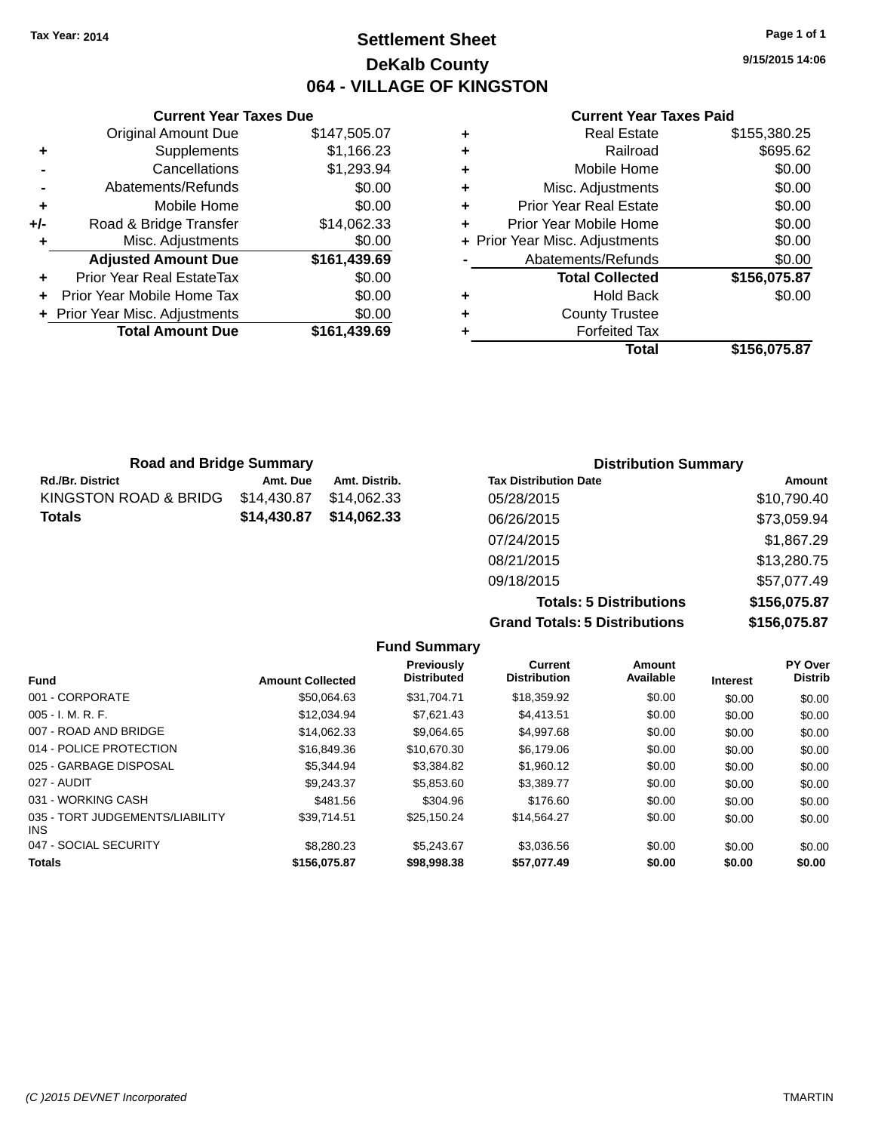### **Settlement Sheet Tax Year: 2014 Page 1 of 1 DeKalb County 064 - VILLAGE OF KINGSTON**

**9/15/2015 14:06**

#### **Current Year Taxes Paid**

|     | <b>Current Year Taxes Due</b>  |              |
|-----|--------------------------------|--------------|
|     | <b>Original Amount Due</b>     | \$147,505.07 |
| ٠   | Supplements                    | \$1,166.23   |
|     | Cancellations                  | \$1,293.94   |
|     | Abatements/Refunds             | \$0.00       |
| ٠   | Mobile Home                    | \$0.00       |
| +/- | Road & Bridge Transfer         | \$14,062.33  |
|     | Misc. Adjustments              | \$0.00       |
|     | <b>Adjusted Amount Due</b>     | \$161,439.69 |
| ٠   | Prior Year Real EstateTax      | \$0.00       |
|     | Prior Year Mobile Home Tax     | \$0.00       |
|     | + Prior Year Misc. Adjustments | \$0.00       |
|     | <b>Total Amount Due</b>        | \$161,439.69 |
|     |                                |              |

|   | Total                          | \$156,075.87 |
|---|--------------------------------|--------------|
| ٠ | <b>Forfeited Tax</b>           |              |
| ٠ | <b>County Trustee</b>          |              |
| ٠ | <b>Hold Back</b>               | \$0.00       |
|   | <b>Total Collected</b>         | \$156,075.87 |
|   | Abatements/Refunds             | \$0.00       |
|   | + Prior Year Misc. Adjustments | \$0.00       |
| ٠ | Prior Year Mobile Home         | \$0.00       |
| ٠ | <b>Prior Year Real Estate</b>  | \$0.00       |
| ٠ | Misc. Adjustments              | \$0.00       |
| ٠ | Mobile Home                    | \$0.00       |
| ٠ | Railroad                       | \$695.62     |
|   | <b>Real Estate</b>             | \$155,380.25 |

| <b>Road and Bridge Summary</b> |             |               | <b>Distribution Summary</b>  |             |
|--------------------------------|-------------|---------------|------------------------------|-------------|
| Rd./Br. District               | Amt. Due    | Amt. Distrib. | <b>Tax Distribution Date</b> | Amount      |
| KINGSTON ROAD & BRIDG          | \$14,430.87 | \$14.062.33   | 05/28/2015                   | \$10,790.40 |
| Totals                         | \$14,430.87 | \$14.062.33   | 06/26/2015                   | \$73,059.94 |
|                                |             |               | 07/24/2015                   | \$1,867.29  |
|                                |             |               | 08/21/2015                   | \$13,280.75 |
|                                |             |               | 09/18/2015                   | \$57,077.49 |

**Totals: 5 Distributions \$156,075.87 Grand Totals: 5 Distributions \$156,075.87**

|                                         |                         | <b>Fund Summary</b>              |                                       |                     |                 |                           |
|-----------------------------------------|-------------------------|----------------------------------|---------------------------------------|---------------------|-----------------|---------------------------|
| <b>Fund</b>                             | <b>Amount Collected</b> | Previously<br><b>Distributed</b> | <b>Current</b><br><b>Distribution</b> | Amount<br>Available | <b>Interest</b> | PY Over<br><b>Distrib</b> |
| 001 - CORPORATE                         | \$50.064.63             | \$31.704.71                      | \$18,359.92                           | \$0.00              | \$0.00          | \$0.00                    |
| $005 - I. M. R. F.$                     | \$12.034.94             | \$7.621.43                       | \$4.413.51                            | \$0.00              | \$0.00          | \$0.00                    |
| 007 - ROAD AND BRIDGE                   | \$14.062.33             | \$9.064.65                       | \$4,997.68                            | \$0.00              | \$0.00          | \$0.00                    |
| 014 - POLICE PROTECTION                 | \$16,849.36             | \$10,670.30                      | \$6,179.06                            | \$0.00              | \$0.00          | \$0.00                    |
| 025 - GARBAGE DISPOSAL                  | \$5.344.94              | \$3.384.82                       | \$1,960.12                            | \$0.00              | \$0.00          | \$0.00                    |
| 027 - AUDIT                             | \$9,243.37              | \$5,853.60                       | \$3,389.77                            | \$0.00              | \$0.00          | \$0.00                    |
| 031 - WORKING CASH                      | \$481.56                | \$304.96                         | \$176.60                              | \$0.00              | \$0.00          | \$0.00                    |
| 035 - TORT JUDGEMENTS/LIABILITY<br>INS. | \$39.714.51             | \$25,150.24                      | \$14,564.27                           | \$0.00              | \$0.00          | \$0.00                    |
| 047 - SOCIAL SECURITY                   | \$8,280,23              | \$5.243.67                       | \$3.036.56                            | \$0.00              | \$0.00          | \$0.00                    |
| <b>Totals</b>                           | \$156,075.87            | \$98,998,38                      | \$57.077.49                           | \$0.00              | \$0.00          | \$0.00                    |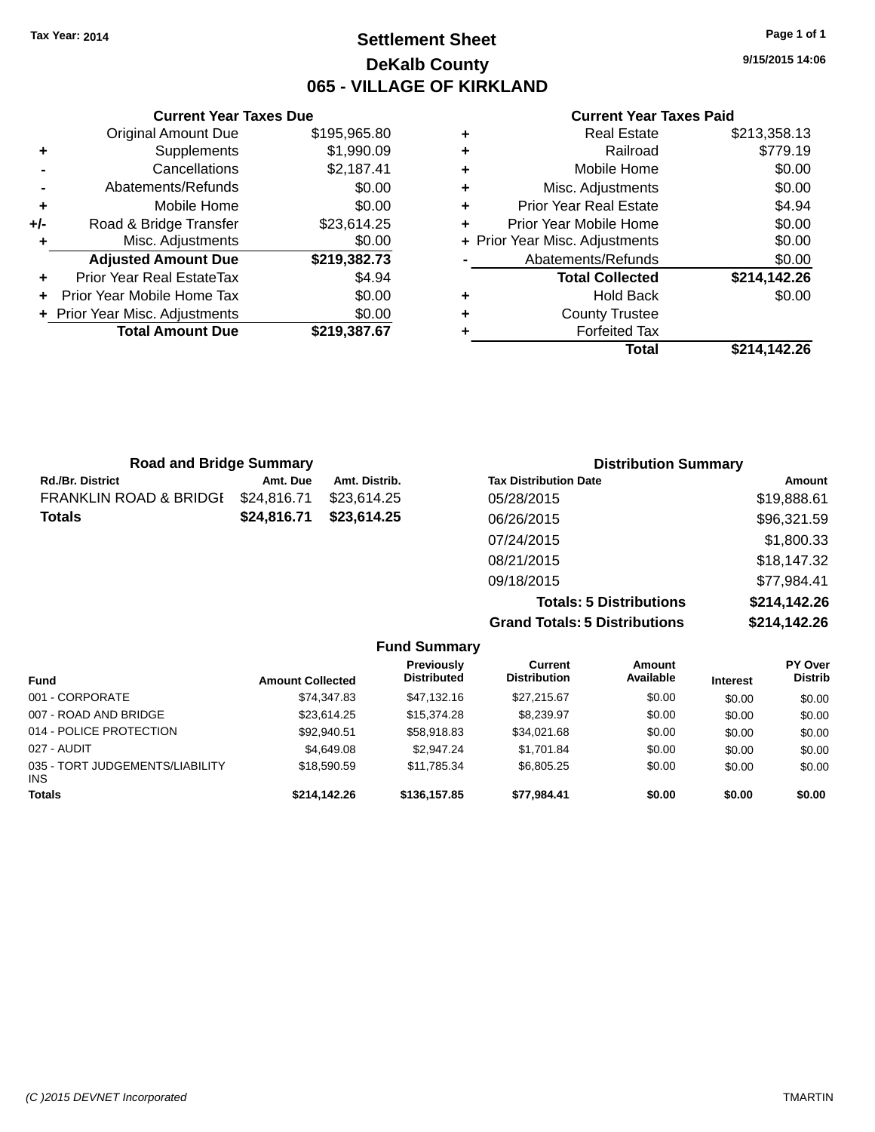### **Settlement Sheet Tax Year: 2014 Page 1 of 1 DeKalb County 065 - VILLAGE OF KIRKLAND**

**9/15/2015 14:06**

#### **Current Year Taxes Paid**

|     | <b>Current Year Taxes Due</b>  |              |
|-----|--------------------------------|--------------|
|     | <b>Original Amount Due</b>     | \$195,965.80 |
| ٠   | Supplements                    | \$1,990.09   |
|     | Cancellations                  | \$2,187.41   |
|     | Abatements/Refunds             | \$0.00       |
| ٠   | Mobile Home                    | \$0.00       |
| +/- | Road & Bridge Transfer         | \$23,614.25  |
|     | Misc. Adjustments              | \$0.00       |
|     | <b>Adjusted Amount Due</b>     | \$219,382.73 |
| ٠   | Prior Year Real EstateTax      | \$4.94       |
|     | Prior Year Mobile Home Tax     | \$0.00       |
|     | + Prior Year Misc. Adjustments | \$0.00       |
|     | <b>Total Amount Due</b>        | \$219,387.67 |
|     |                                |              |

|   | Total                          | \$214,142.26 |
|---|--------------------------------|--------------|
| ٠ | <b>Forfeited Tax</b>           |              |
| ٠ | <b>County Trustee</b>          |              |
| ٠ | <b>Hold Back</b>               | \$0.00       |
|   | <b>Total Collected</b>         | \$214,142.26 |
|   | Abatements/Refunds             | \$0.00       |
|   | + Prior Year Misc. Adjustments | \$0.00       |
| ÷ | Prior Year Mobile Home         | \$0.00       |
| ٠ | <b>Prior Year Real Estate</b>  | \$4.94       |
| ٠ | Misc. Adjustments              | \$0.00       |
| ٠ | Mobile Home                    | \$0.00       |
| ٠ | Railroad                       | \$779.19     |
| ٠ | <b>Real Estate</b>             | \$213,358.13 |

| <b>Road and Bridge Summary</b> |             |               | <b>Distribution Summary</b>  |             |
|--------------------------------|-------------|---------------|------------------------------|-------------|
| Rd./Br. District               | Amt. Due    | Amt. Distrib. | <b>Tax Distribution Date</b> | Amount      |
| FRANKLIN ROAD & BRIDGI         | \$24,816.71 | \$23.614.25   | 05/28/2015                   | \$19,888.61 |
| Totals                         | \$24,816.71 | \$23,614.25   | 06/26/2015                   | \$96,321.59 |
|                                |             |               | 07/24/2015                   | \$1,800.33  |
|                                |             |               | 08/21/2015                   | \$18,147.32 |
|                                |             |               | 09/18/2015                   | \$77,984.41 |
|                                |             |               | Tatalan F. Blatolloutlane    |             |

**Totals: 5 Distributions \$214,142.26 Grand Totals: 5 Distributions \$214,142.26**

|                                               |                         | <b>Fund Summary</b>              |                                |                     |                 |                           |
|-----------------------------------------------|-------------------------|----------------------------------|--------------------------------|---------------------|-----------------|---------------------------|
| <b>Fund</b>                                   | <b>Amount Collected</b> | Previously<br><b>Distributed</b> | Current<br><b>Distribution</b> | Amount<br>Available | <b>Interest</b> | PY Over<br><b>Distrib</b> |
| 001 - CORPORATE                               | \$74,347.83             | \$47.132.16                      | \$27.215.67                    | \$0.00              | \$0.00          | \$0.00                    |
| 007 - ROAD AND BRIDGE                         | \$23,614.25             | \$15,374.28                      | \$8,239.97                     | \$0.00              | \$0.00          | \$0.00                    |
| 014 - POLICE PROTECTION                       | \$92,940.51             | \$58,918.83                      | \$34.021.68                    | \$0.00              | \$0.00          | \$0.00                    |
| 027 - AUDIT                                   | \$4,649.08              | \$2,947.24                       | \$1,701.84                     | \$0.00              | \$0.00          | \$0.00                    |
| 035 - TORT JUDGEMENTS/LIABILITY<br><b>INS</b> | \$18,590.59             | \$11.785.34                      | \$6,805.25                     | \$0.00              | \$0.00          | \$0.00                    |
| <b>Totals</b>                                 | \$214.142.26            | \$136,157.85                     | \$77,984.41                    | \$0.00              | \$0.00          | \$0.00                    |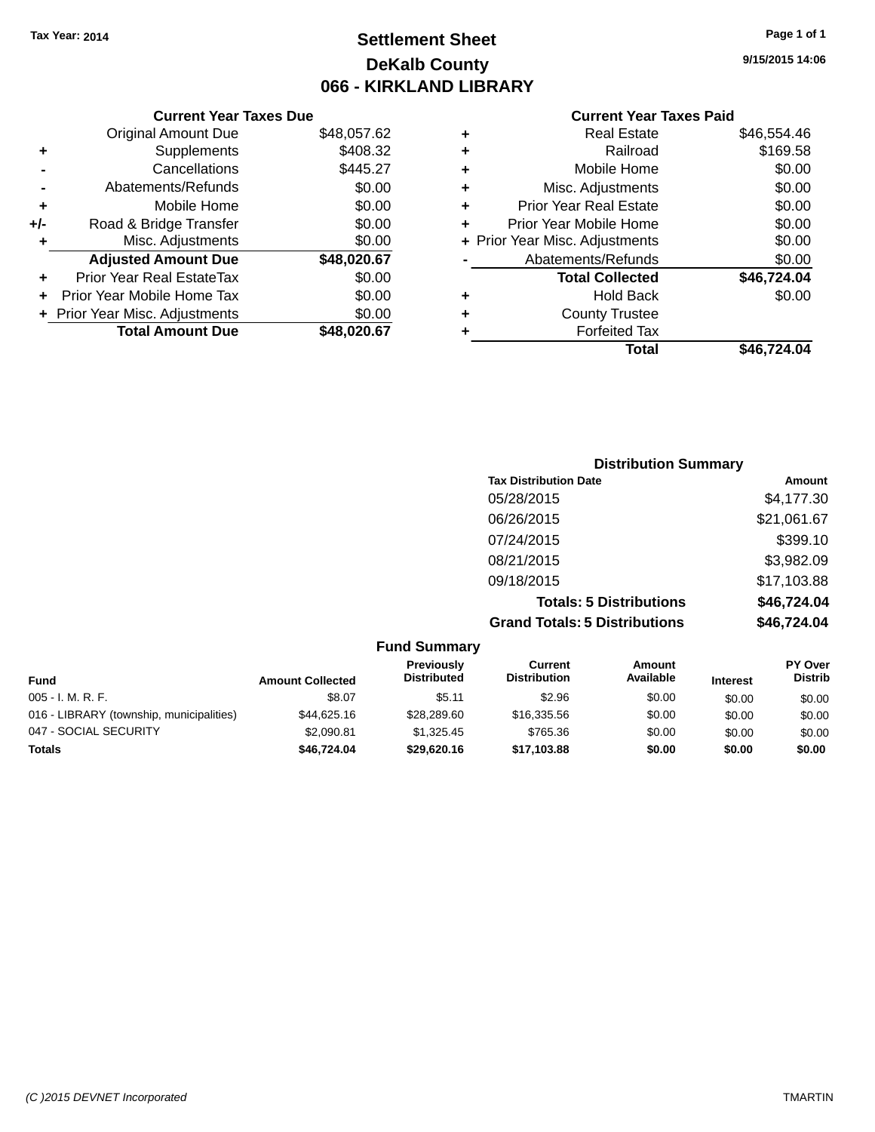### **Settlement Sheet Tax Year: 2014 Page 1 of 1 DeKalb County 066 - KIRKLAND LIBRARY**

#### **Current Year Taxes Due**

|       | <b>Original Amount Due</b>       | \$48,057.62 |
|-------|----------------------------------|-------------|
|       | Supplements                      | \$408.32    |
|       | Cancellations                    | \$445.27    |
|       | Abatements/Refunds               | \$0.00      |
| ٠     | Mobile Home                      | \$0.00      |
| $+/-$ | Road & Bridge Transfer           | \$0.00      |
| ٠     | Misc. Adjustments                | \$0.00      |
|       | <b>Adjusted Amount Due</b>       | \$48,020.67 |
|       | <b>Prior Year Real EstateTax</b> | \$0.00      |
|       | Prior Year Mobile Home Tax       | \$0.00      |
|       | + Prior Year Misc. Adjustments   | \$0.00      |
|       | <b>Total Amount Due</b>          | \$48,020.67 |

#### **Current Year Taxes Paid**

| ٠ | <b>Real Estate</b>             | \$46,554.46 |
|---|--------------------------------|-------------|
| ٠ | Railroad                       | \$169.58    |
| ٠ | Mobile Home                    | \$0.00      |
| ٠ | Misc. Adjustments              | \$0.00      |
| ٠ | <b>Prior Year Real Estate</b>  | \$0.00      |
| ٠ | Prior Year Mobile Home         | \$0.00      |
|   | + Prior Year Misc. Adjustments | \$0.00      |
|   | Abatements/Refunds             | \$0.00      |
|   | <b>Total Collected</b>         | \$46,724.04 |
| ٠ | <b>Hold Back</b>               | \$0.00      |
| ٠ | <b>County Trustee</b>          |             |
| ٠ | <b>Forfeited Tax</b>           |             |
|   | Total                          | \$46,724.04 |
|   |                                |             |

#### **Distribution Summary Tax Distribution Date Amount** 05/28/2015 \$4,177.30 06/26/2015 \$21,061.67 07/24/2015 \$399.10 08/21/2015 \$3,982.09 09/18/2015 \$17,103.88 **Totals: 5 Distributions \$46,724.04 Grand Totals: 5 Distributions \$46,724.04**

|                                          |                         | <b>Fund Summary</b>              |                                |                     |                 |                                  |
|------------------------------------------|-------------------------|----------------------------------|--------------------------------|---------------------|-----------------|----------------------------------|
| <b>Fund</b>                              | <b>Amount Collected</b> | Previously<br><b>Distributed</b> | Current<br><b>Distribution</b> | Amount<br>Available | <b>Interest</b> | <b>PY Over</b><br><b>Distrib</b> |
| $005 - I. M. R. F.$                      | \$8.07                  | \$5.11                           | \$2.96                         | \$0.00              | \$0.00          | \$0.00                           |
| 016 - LIBRARY (township, municipalities) | \$44,625.16             | \$28,289.60                      | \$16,335.56                    | \$0.00              | \$0.00          | \$0.00                           |
| 047 - SOCIAL SECURITY                    | \$2,090.81              | \$1,325.45                       | \$765.36                       | \$0.00              | \$0.00          | \$0.00                           |
| <b>Totals</b>                            | \$46,724.04             | \$29,620.16                      | \$17,103.88                    | \$0.00              | \$0.00          | \$0.00                           |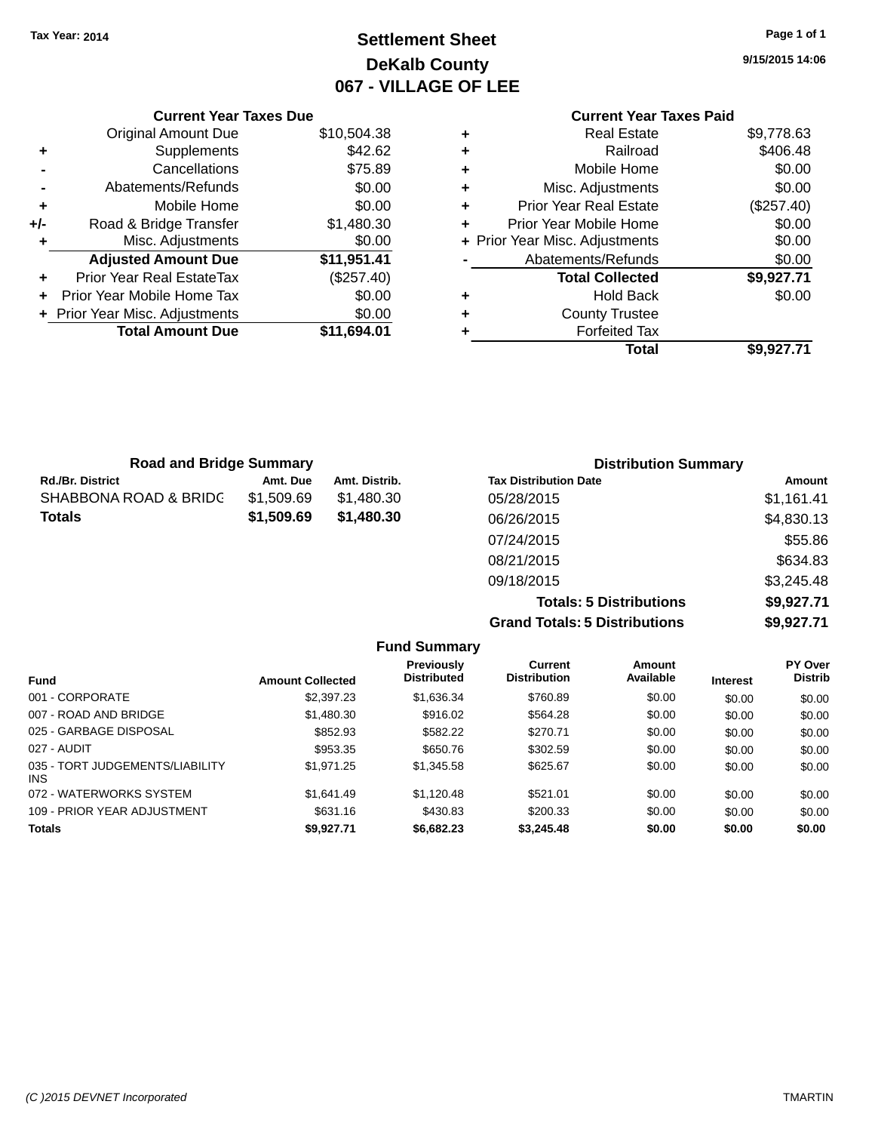### **Settlement Sheet Tax Year: 2014 Page 1 of 1 DeKalb County 067 - VILLAGE OF LEE**

**9/15/2015 14:06**

### **Current Year Taxes Paid**

|     | <b>Current Year Taxes Due</b>  |             |
|-----|--------------------------------|-------------|
|     | <b>Original Amount Due</b>     | \$10,504.38 |
| ٠   | Supplements                    | \$42.62     |
|     | Cancellations                  | \$75.89     |
|     | Abatements/Refunds             | \$0.00      |
| ÷   | Mobile Home                    | \$0.00      |
| +/- | Road & Bridge Transfer         | \$1,480.30  |
|     | Misc. Adjustments              | \$0.00      |
|     | <b>Adjusted Amount Due</b>     | \$11,951.41 |
|     | Prior Year Real EstateTax      | (\$257.40)  |
|     | Prior Year Mobile Home Tax     | \$0.00      |
|     | + Prior Year Misc. Adjustments | \$0.00      |
|     | <b>Total Amount Due</b>        | \$11,694.01 |
|     |                                |             |

|   | Total                          | \$9,927.71 |
|---|--------------------------------|------------|
| ٠ | <b>Forfeited Tax</b>           |            |
| ٠ | <b>County Trustee</b>          |            |
| ٠ | <b>Hold Back</b>               | \$0.00     |
|   | <b>Total Collected</b>         | \$9,927.71 |
|   | Abatements/Refunds             | \$0.00     |
|   | + Prior Year Misc. Adjustments | \$0.00     |
| ٠ | Prior Year Mobile Home         | \$0.00     |
| ÷ | <b>Prior Year Real Estate</b>  | (\$257.40) |
| ٠ | Misc. Adjustments              | \$0.00     |
| ٠ | Mobile Home                    | \$0.00     |
| ٠ | Railroad                       | \$406.48   |
| ٠ | <b>Real Estate</b>             | \$9,778.63 |
|   |                                |            |

| <b>Road and Bridge Summary</b> |            |               | <b>Distribution Summary</b>  |            |
|--------------------------------|------------|---------------|------------------------------|------------|
| <b>Rd./Br. District</b>        | Amt. Due   | Amt. Distrib. | <b>Tax Distribution Date</b> | Amount     |
| SHABBONA ROAD & BRIDC          | \$1,509.69 | \$1.480.30    | 05/28/2015                   | \$1,161.41 |
| <b>Totals</b>                  | \$1,509.69 | \$1,480.30    | 06/26/2015                   | \$4,830.13 |
|                                |            |               | 07/24/2015                   | \$55.86    |
|                                |            |               | 08/21/2015                   | \$634.83   |
|                                |            |               | 09/18/2015                   | \$3,245.48 |

**Totals: 5 Distributions \$9,927.71 Grand Totals: 5 Distributions \$9,927.71**

|                                               |                         | <b>Fund Summary</b>                     |                                |                     |                 |                           |
|-----------------------------------------------|-------------------------|-----------------------------------------|--------------------------------|---------------------|-----------------|---------------------------|
| <b>Fund</b>                                   | <b>Amount Collected</b> | <b>Previously</b><br><b>Distributed</b> | Current<br><b>Distribution</b> | Amount<br>Available | <b>Interest</b> | PY Over<br><b>Distrib</b> |
| 001 - CORPORATE                               | \$2,397.23              | \$1.636.34                              | \$760.89                       | \$0.00              | \$0.00          | \$0.00                    |
| 007 - ROAD AND BRIDGE                         | \$1,480.30              | \$916.02                                | \$564.28                       | \$0.00              | \$0.00          | \$0.00                    |
| 025 - GARBAGE DISPOSAL                        | \$852.93                | \$582.22                                | \$270.71                       | \$0.00              | \$0.00          | \$0.00                    |
| 027 - AUDIT                                   | \$953.35                | \$650.76                                | \$302.59                       | \$0.00              | \$0.00          | \$0.00                    |
| 035 - TORT JUDGEMENTS/LIABILITY<br><b>INS</b> | \$1,971.25              | \$1,345.58                              | \$625.67                       | \$0.00              | \$0.00          | \$0.00                    |
| 072 - WATERWORKS SYSTEM                       | \$1.641.49              | \$1.120.48                              | \$521.01                       | \$0.00              | \$0.00          | \$0.00                    |
| 109 - PRIOR YEAR ADJUSTMENT                   | \$631.16                | \$430.83                                | \$200.33                       | \$0.00              | \$0.00          | \$0.00                    |
| <b>Totals</b>                                 | \$9.927.71              | \$6,682.23                              | \$3,245.48                     | \$0.00              | \$0.00          | \$0.00                    |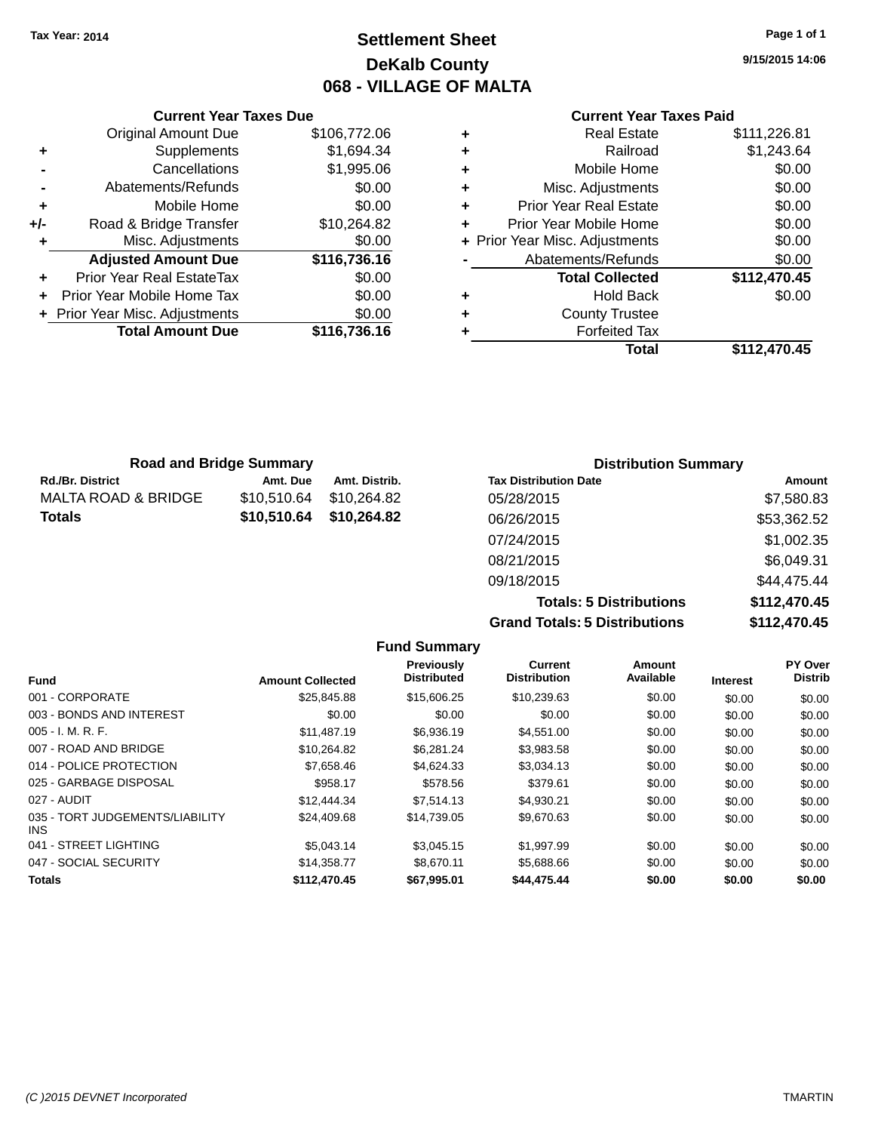### **Settlement Sheet Tax Year: 2014 Page 1 of 1 DeKalb County 068 - VILLAGE OF MALTA**

**9/15/2015 14:06**

#### **Current Year Taxes Paid**

|     | <b>Current Year Taxes Due</b>  |              |
|-----|--------------------------------|--------------|
|     | <b>Original Amount Due</b>     | \$106,772.06 |
| ٠   | Supplements                    | \$1,694.34   |
|     | Cancellations                  | \$1,995.06   |
|     | Abatements/Refunds             | \$0.00       |
| ٠   | Mobile Home                    | \$0.00       |
| +/- | Road & Bridge Transfer         | \$10,264.82  |
|     | Misc. Adjustments              | \$0.00       |
|     | <b>Adjusted Amount Due</b>     | \$116,736.16 |
| ٠   | Prior Year Real EstateTax      | \$0.00       |
|     | Prior Year Mobile Home Tax     | \$0.00       |
|     | + Prior Year Misc. Adjustments | \$0.00       |
|     | <b>Total Amount Due</b>        | \$116,736.16 |
|     |                                |              |

| ٠ | <b>Real Estate</b>             | \$111,226.81 |
|---|--------------------------------|--------------|
| ٠ | Railroad                       | \$1,243.64   |
| ٠ | Mobile Home                    | \$0.00       |
| ٠ | Misc. Adjustments              | \$0.00       |
| ٠ | <b>Prior Year Real Estate</b>  | \$0.00       |
| ٠ | Prior Year Mobile Home         | \$0.00       |
|   | + Prior Year Misc. Adjustments | \$0.00       |
|   | Abatements/Refunds             | \$0.00       |
|   | <b>Total Collected</b>         | \$112,470.45 |
| ٠ | <b>Hold Back</b>               | \$0.00       |
| ٠ | <b>County Trustee</b>          |              |
| ٠ | <b>Forfeited Tax</b>           |              |
|   | <b>Total</b>                   | \$112,470.45 |
|   |                                |              |

| <b>Road and Bridge Summary</b> |             |               | <b>Distribution Summary</b>  |             |
|--------------------------------|-------------|---------------|------------------------------|-------------|
| Rd./Br. District               | Amt. Due    | Amt. Distrib. | <b>Tax Distribution Date</b> | Amount      |
| MALTA ROAD & BRIDGE            | \$10.510.64 | \$10.264.82   | 05/28/2015                   | \$7,580.83  |
| Totals                         | \$10,510.64 | \$10,264.82   | 06/26/2015                   | \$53,362.52 |
|                                |             |               | 07/24/2015                   | \$1,002.35  |
|                                |             |               | 08/21/2015                   | \$6,049.31  |
|                                |             |               | 09/18/2015                   | \$44,475.44 |

**Totals: 5 Distributions \$112,470.45 Grand Totals: 5 Distributions \$112,470.45**

|                                         |                         | <b>Fund Summary</b>                     |                                |                     |                 |                           |
|-----------------------------------------|-------------------------|-----------------------------------------|--------------------------------|---------------------|-----------------|---------------------------|
| <b>Fund</b>                             | <b>Amount Collected</b> | <b>Previously</b><br><b>Distributed</b> | Current<br><b>Distribution</b> | Amount<br>Available | <b>Interest</b> | PY Over<br><b>Distrib</b> |
| 001 - CORPORATE                         | \$25,845.88             | \$15,606.25                             | \$10,239.63                    | \$0.00              | \$0.00          | \$0.00                    |
| 003 - BONDS AND INTEREST                | \$0.00                  | \$0.00                                  | \$0.00                         | \$0.00              | \$0.00          | \$0.00                    |
| 005 - I. M. R. F.                       | \$11,487.19             | \$6,936.19                              | \$4,551.00                     | \$0.00              | \$0.00          | \$0.00                    |
| 007 - ROAD AND BRIDGE                   | \$10,264.82             | \$6,281.24                              | \$3,983.58                     | \$0.00              | \$0.00          | \$0.00                    |
| 014 - POLICE PROTECTION                 | \$7,658.46              | \$4,624.33                              | \$3,034.13                     | \$0.00              | \$0.00          | \$0.00                    |
| 025 - GARBAGE DISPOSAL                  | \$958.17                | \$578.56                                | \$379.61                       | \$0.00              | \$0.00          | \$0.00                    |
| 027 - AUDIT                             | \$12,444.34             | \$7,514.13                              | \$4,930.21                     | \$0.00              | \$0.00          | \$0.00                    |
| 035 - TORT JUDGEMENTS/LIABILITY<br>INS. | \$24,409.68             | \$14.739.05                             | \$9,670.63                     | \$0.00              | \$0.00          | \$0.00                    |
| 041 - STREET LIGHTING                   | \$5,043.14              | \$3,045.15                              | \$1,997.99                     | \$0.00              | \$0.00          | \$0.00                    |
| 047 - SOCIAL SECURITY                   | \$14,358.77             | \$8.670.11                              | \$5,688.66                     | \$0.00              | \$0.00          | \$0.00                    |
| <b>Totals</b>                           | \$112.470.45            | \$67.995.01                             | \$44,475.44                    | \$0.00              | \$0.00          | \$0.00                    |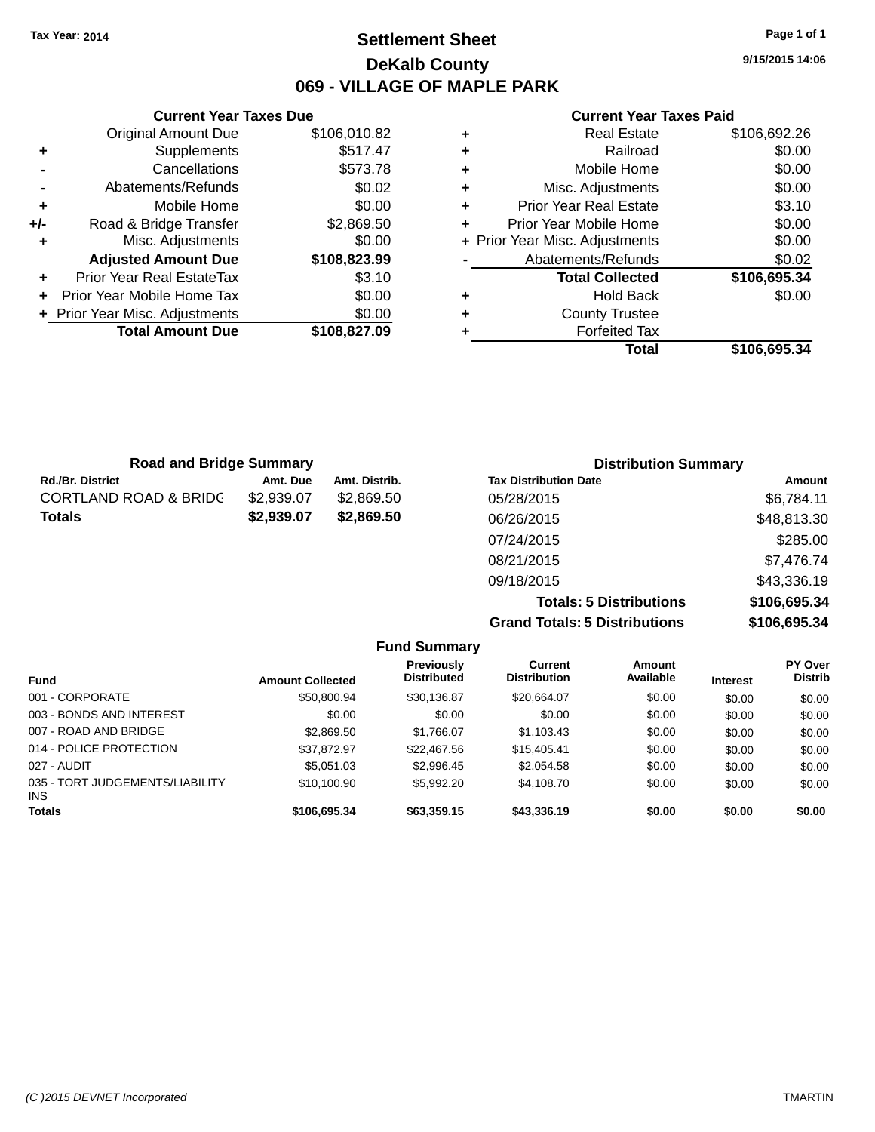### **Settlement Sheet Tax Year: 2014 Page 1 of 1 DeKalb County 069 - VILLAGE OF MAPLE PARK**

**9/15/2015 14:06**

|     | <b>Current Year Taxes Due</b>    |              |
|-----|----------------------------------|--------------|
|     | <b>Original Amount Due</b>       | \$106,010.82 |
| ٠   | Supplements                      | \$517.47     |
|     | Cancellations                    | \$573.78     |
|     | Abatements/Refunds               | \$0.02       |
| ٠   | Mobile Home                      | \$0.00       |
| +/- | Road & Bridge Transfer           | \$2,869.50   |
| ٠   | Misc. Adjustments                | \$0.00       |
|     | <b>Adjusted Amount Due</b>       | \$108,823.99 |
|     | <b>Prior Year Real EstateTax</b> | \$3.10       |
|     | Prior Year Mobile Home Tax       | \$0.00       |
|     | + Prior Year Misc. Adjustments   | \$0.00       |
|     | <b>Total Amount Due</b>          | \$108,827.09 |
|     |                                  |              |

|   | <b>Real Estate</b>             | \$106,692.26 |
|---|--------------------------------|--------------|
| ٠ | Railroad                       | \$0.00       |
| ÷ | Mobile Home                    | \$0.00       |
| ÷ | Misc. Adjustments              | \$0.00       |
| ٠ | <b>Prior Year Real Estate</b>  | \$3.10       |
| ٠ | Prior Year Mobile Home         | \$0.00       |
|   | + Prior Year Misc. Adjustments | \$0.00       |
|   | Abatements/Refunds             | \$0.02       |
|   | <b>Total Collected</b>         | \$106,695.34 |
| ٠ | <b>Hold Back</b>               | \$0.00       |
| ٠ | <b>County Trustee</b>          |              |
|   | <b>Forfeited Tax</b>           |              |
|   | Total                          | \$106,695.34 |

| <b>Road and Bridge Summary</b>   |            |               | <b>Distribution Summary</b>    |              |
|----------------------------------|------------|---------------|--------------------------------|--------------|
| <b>Rd./Br. District</b>          | Amt. Due   | Amt. Distrib. | <b>Tax Distribution Date</b>   | Amount       |
| <b>CORTLAND ROAD &amp; BRIDC</b> | \$2,939.07 | \$2,869.50    | 05/28/2015                     | \$6,784.11   |
| <b>Totals</b>                    | \$2,939.07 | \$2,869.50    | 06/26/2015                     | \$48,813.30  |
|                                  |            |               | 07/24/2015                     | \$285.00     |
|                                  |            |               | 08/21/2015                     | \$7,476.74   |
|                                  |            |               | 09/18/2015                     | \$43,336.19  |
|                                  |            |               | <b>Totals: 5 Distributions</b> | \$106,695.34 |

| <b>Grand Totals: 5 Distributions</b> | \$106,695.34  |                |
|--------------------------------------|---------------|----------------|
| $C$ urront                           | <b>Amount</b> | <b>PY Over</b> |

|                                               |                         | <b>Fund Summary</b>                     |                                |                            |                 |                                  |
|-----------------------------------------------|-------------------------|-----------------------------------------|--------------------------------|----------------------------|-----------------|----------------------------------|
| <b>Fund</b>                                   | <b>Amount Collected</b> | <b>Previously</b><br><b>Distributed</b> | Current<br><b>Distribution</b> | <b>Amount</b><br>Available | <b>Interest</b> | <b>PY Over</b><br><b>Distrib</b> |
| 001 - CORPORATE                               | \$50,800.94             | \$30,136.87                             | \$20.664.07                    | \$0.00                     | \$0.00          | \$0.00                           |
| 003 - BONDS AND INTEREST                      | \$0.00                  | \$0.00                                  | \$0.00                         | \$0.00                     | \$0.00          | \$0.00                           |
| 007 - ROAD AND BRIDGE                         | \$2,869.50              | \$1.766.07                              | \$1,103.43                     | \$0.00                     | \$0.00          | \$0.00                           |
| 014 - POLICE PROTECTION                       | \$37.872.97             | \$22,467.56                             | \$15,405.41                    | \$0.00                     | \$0.00          | \$0.00                           |
| 027 - AUDIT                                   | \$5.051.03              | \$2,996.45                              | \$2,054.58                     | \$0.00                     | \$0.00          | \$0.00                           |
| 035 - TORT JUDGEMENTS/LIABILITY<br><b>INS</b> | \$10.100.90             | \$5.992.20                              | \$4.108.70                     | \$0.00                     | \$0.00          | \$0.00                           |
| <b>Totals</b>                                 | \$106,695.34            | \$63,359.15                             | \$43,336.19                    | \$0.00                     | \$0.00          | \$0.00                           |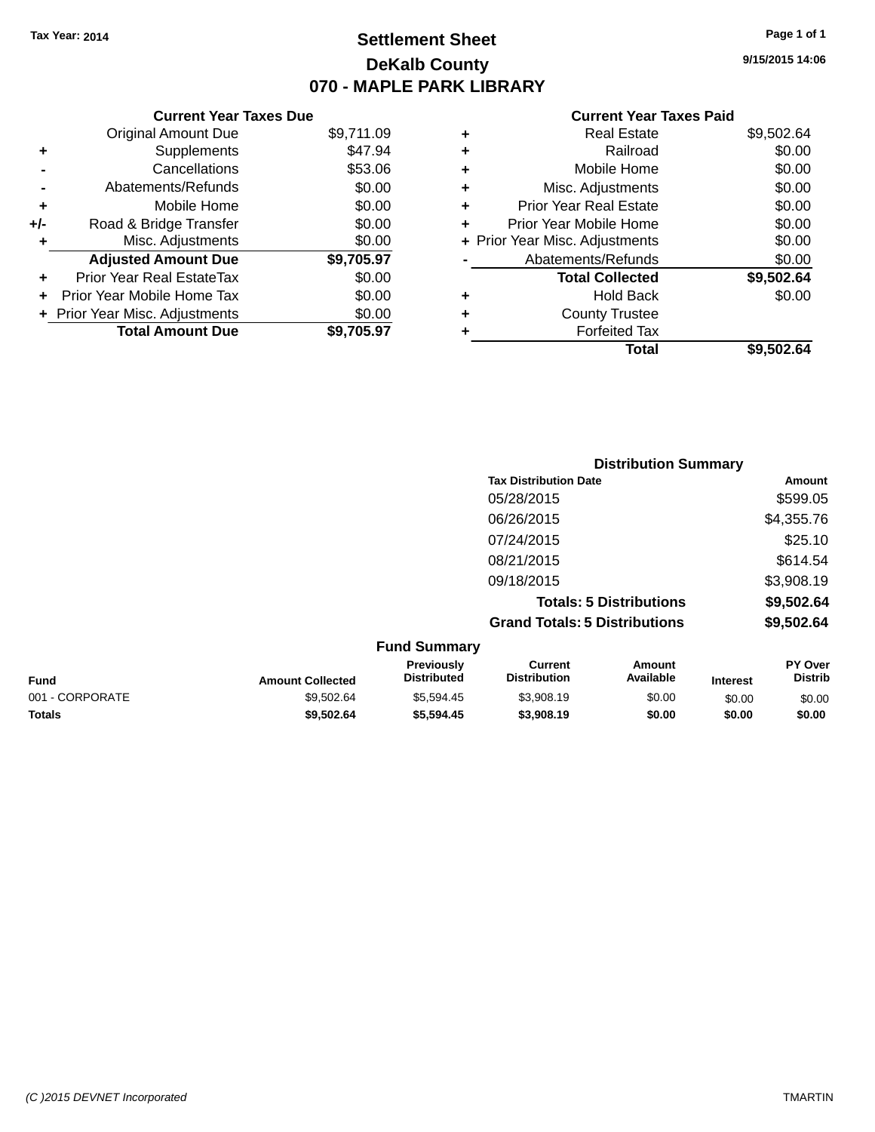### **Settlement Sheet Tax Year: 2014 Page 1 of 1 DeKalb County 070 - MAPLE PARK LIBRARY**

**9/15/2015 14:06**

|     | <b>Current Year Taxes Due</b>  |            |
|-----|--------------------------------|------------|
|     | <b>Original Amount Due</b>     | \$9,711.09 |
| ٠   | Supplements                    | \$47.94    |
|     | Cancellations                  | \$53.06    |
|     | Abatements/Refunds             | \$0.00     |
| ٠   | Mobile Home                    | \$0.00     |
| +/- | Road & Bridge Transfer         | \$0.00     |
| ٠   | Misc. Adjustments              | \$0.00     |
|     | <b>Adjusted Amount Due</b>     | \$9,705.97 |
|     | Prior Year Real EstateTax      | \$0.00     |
| ÷   | Prior Year Mobile Home Tax     | \$0.00     |
|     | + Prior Year Misc. Adjustments | \$0.00     |
|     | <b>Total Amount Due</b>        | \$9.705.97 |

| ٠ | <b>Real Estate</b>             | \$9,502.64 |
|---|--------------------------------|------------|
| ٠ | Railroad                       | \$0.00     |
| ٠ | Mobile Home                    | \$0.00     |
| ٠ | Misc. Adjustments              | \$0.00     |
| ٠ | <b>Prior Year Real Estate</b>  | \$0.00     |
| ٠ | Prior Year Mobile Home         | \$0.00     |
|   | + Prior Year Misc. Adjustments | \$0.00     |
|   | Abatements/Refunds             | \$0.00     |
|   | <b>Total Collected</b>         | \$9,502.64 |
| ٠ | Hold Back                      | \$0.00     |
| ٠ | <b>County Trustee</b>          |            |
| ٠ | <b>Forfeited Tax</b>           |            |
|   | Total                          | \$9,502.64 |
|   |                                |            |

|                     | <b>Distribution Summary</b>          |            |
|---------------------|--------------------------------------|------------|
|                     | <b>Tax Distribution Date</b>         | Amount     |
|                     | 05/28/2015                           | \$599.05   |
|                     | 06/26/2015                           | \$4,355.76 |
|                     | 07/24/2015                           | \$25.10    |
|                     | 08/21/2015                           | \$614.54   |
|                     | 09/18/2015                           | \$3,908.19 |
|                     | <b>Totals: 5 Distributions</b>       | \$9,502.64 |
|                     | <b>Grand Totals: 5 Distributions</b> | \$9,502.64 |
| <b>Fund Summary</b> |                                      |            |

| <b>Amount Collected</b> | <b>Previously</b><br><b>Distributed</b> | Current<br><b>Distribution</b> | Amount<br>Available | <b>Interest</b> | PY Over<br><b>Distrib</b> |
|-------------------------|-----------------------------------------|--------------------------------|---------------------|-----------------|---------------------------|
| \$9,502.64              | \$5,594.45                              | \$3,908.19                     | \$0.00              | \$0.00          | \$0.00                    |
| \$9,502.64              | \$5,594.45                              | \$3,908.19                     | \$0.00              | \$0.00          | \$0.00                    |
|                         |                                         | <b>FUILD SUILLINGLY</b>        |                     |                 |                           |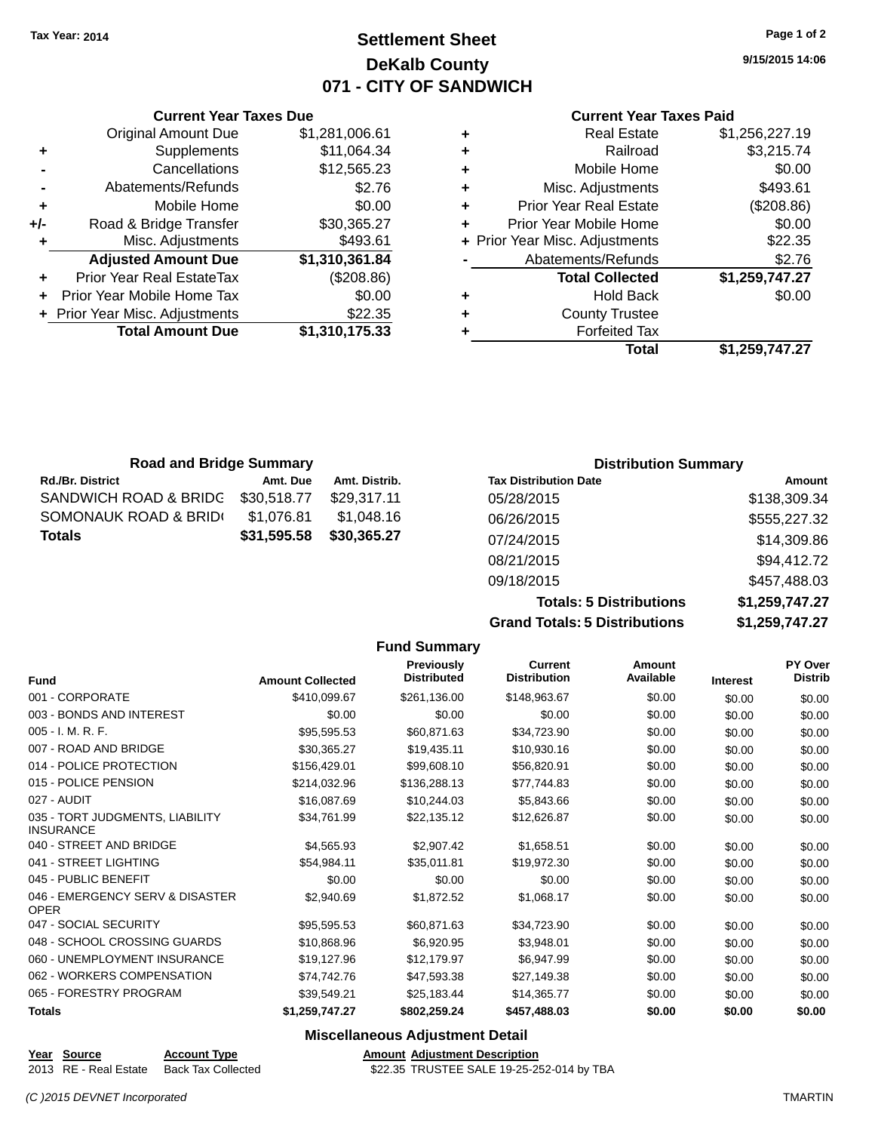**+** Supplements

### **Settlement Sheet Tax Year: 2014 Page 1 of 2 DeKalb County 071 - CITY OF SANDWICH**

**9/15/2015 14:06**

#### **Current Year Taxes Paid**

|   | Total                          | \$1.259.747.27 |
|---|--------------------------------|----------------|
|   | <b>Forfeited Tax</b>           |                |
| ÷ | <b>County Trustee</b>          |                |
| ÷ | <b>Hold Back</b>               | \$0.00         |
|   | <b>Total Collected</b>         | \$1,259,747.27 |
|   | Abatements/Refunds             | \$2.76         |
|   | + Prior Year Misc. Adjustments | \$22.35        |
|   | Prior Year Mobile Home         | \$0.00         |
| ٠ | <b>Prior Year Real Estate</b>  | (\$208.86)     |
| ٠ | Misc. Adjustments              | \$493.61       |
| ٠ | Mobile Home                    | \$0.00         |
|   | Railroad                       | \$3,215.74     |
| ÷ | <b>Real Estate</b>             | \$1,256,227.19 |
|   |                                |                |

|                | <b>Total Amount Due</b>          | \$1,310,175.33 |
|----------------|----------------------------------|----------------|
|                | + Prior Year Misc. Adjustments   | \$22.35        |
|                | Prior Year Mobile Home Tax       | \$0.00         |
| ÷              | <b>Prior Year Real EstateTax</b> | (\$208.86)     |
|                | <b>Adjusted Amount Due</b>       | \$1,310,361.84 |
| ÷              | Misc. Adjustments                | \$493.61       |
| +/-            | Road & Bridge Transfer           | \$30,365.27    |
| ٠              | Mobile Home                      | \$0.00         |
| $\blacksquare$ | Abatements/Refunds               | \$2.76         |
|                | Cancellations                    | \$12,565.23    |

**Current Year Taxes Due**

Original Amount Due \$1,281,006.61<br>Supplements \$11,064.34

| <b>Road and Bridge Summary</b> |             |               |                              | <b>Distribution Summary</b> |
|--------------------------------|-------------|---------------|------------------------------|-----------------------------|
| <b>Rd./Br. District</b>        | Amt. Due    | Amt. Distrib. | <b>Tax Distribution Date</b> | Amount                      |
| SANDWICH ROAD & BRIDG          | \$30,518.77 | \$29.317.11   | 05/28/2015                   | \$138,309.34                |
| SOMONAUK ROAD & BRID(          | \$1.076.81  | \$1,048.16    | 06/26/2015                   | \$555,227.32                |
| Totals                         | \$31,595.58 | \$30,365.27   | 07/24/2015                   | \$14,309.86                 |
|                                |             |               | 08/21/2015                   | \$94,412.72                 |

**Grand Totals: 5 Distributions** 

**Totals: 5 Distributions** 

09/18/2015 \$457,488.03

| \$1,259,747.27 |
|----------------|
| \$1,259,747.27 |
|                |

|                                                     |                         | <b>Fund Summary</b>                     |                                |                     |                 |                           |
|-----------------------------------------------------|-------------------------|-----------------------------------------|--------------------------------|---------------------|-----------------|---------------------------|
| <b>Fund</b>                                         | <b>Amount Collected</b> | <b>Previously</b><br><b>Distributed</b> | Current<br><b>Distribution</b> | Amount<br>Available | <b>Interest</b> | PY Over<br><b>Distrib</b> |
| 001 - CORPORATE                                     | \$410,099.67            | \$261,136.00                            | \$148,963.67                   | \$0.00              | \$0.00          | \$0.00                    |
| 003 - BONDS AND INTEREST                            | \$0.00                  | \$0.00                                  | \$0.00                         | \$0.00              | \$0.00          | \$0.00                    |
| 005 - I. M. R. F.                                   | \$95,595.53             | \$60,871.63                             | \$34,723.90                    | \$0.00              | \$0.00          | \$0.00                    |
| 007 - ROAD AND BRIDGE                               | \$30,365.27             | \$19,435.11                             | \$10,930.16                    | \$0.00              | \$0.00          | \$0.00                    |
| 014 - POLICE PROTECTION                             | \$156,429.01            | \$99,608.10                             | \$56,820.91                    | \$0.00              | \$0.00          | \$0.00                    |
| 015 - POLICE PENSION                                | \$214,032.96            | \$136,288.13                            | \$77,744.83                    | \$0.00              | \$0.00          | \$0.00                    |
| 027 - AUDIT                                         | \$16,087.69             | \$10,244.03                             | \$5,843.66                     | \$0.00              | \$0.00          | \$0.00                    |
| 035 - TORT JUDGMENTS, LIABILITY<br><b>INSURANCE</b> | \$34,761.99             | \$22,135.12                             | \$12,626.87                    | \$0.00              | \$0.00          | \$0.00                    |
| 040 - STREET AND BRIDGE                             | \$4,565.93              | \$2,907.42                              | \$1,658.51                     | \$0.00              | \$0.00          | \$0.00                    |
| 041 - STREET LIGHTING                               | \$54,984.11             | \$35,011.81                             | \$19,972.30                    | \$0.00              | \$0.00          | \$0.00                    |
| 045 - PUBLIC BENEFIT                                | \$0.00                  | \$0.00                                  | \$0.00                         | \$0.00              | \$0.00          | \$0.00                    |
| 046 - EMERGENCY SERV & DISASTER<br><b>OPER</b>      | \$2.940.69              | \$1,872.52                              | \$1,068.17                     | \$0.00              | \$0.00          | \$0.00                    |
| 047 - SOCIAL SECURITY                               | \$95,595.53             | \$60,871,63                             | \$34,723.90                    | \$0.00              | \$0.00          | \$0.00                    |
| 048 - SCHOOL CROSSING GUARDS                        | \$10.868.96             | \$6,920.95                              | \$3,948.01                     | \$0.00              | \$0.00          | \$0.00                    |
| 060 - UNEMPLOYMENT INSURANCE                        | \$19,127.96             | \$12,179.97                             | \$6,947.99                     | \$0.00              | \$0.00          | \$0.00                    |
| 062 - WORKERS COMPENSATION                          | \$74,742.76             | \$47,593.38                             | \$27,149.38                    | \$0.00              | \$0.00          | \$0.00                    |
| 065 - FORESTRY PROGRAM                              | \$39,549.21             | \$25,183.44                             | \$14,365,77                    | \$0.00              | \$0.00          | \$0.00                    |
| <b>Totals</b>                                       | \$1,259,747.27          | \$802,259.24                            | \$457,488.03                   | \$0.00              | \$0.00          | \$0.00                    |
|                                                     |                         | Miscellaneous Adjustment Detail         |                                |                     |                 |                           |

**Miscellaneous Adjustment Detail**

#### \$22.35 TRUSTEE SALE 19-25-252-014 by TBA

**Year Source Account Type Amount Adjustment Description**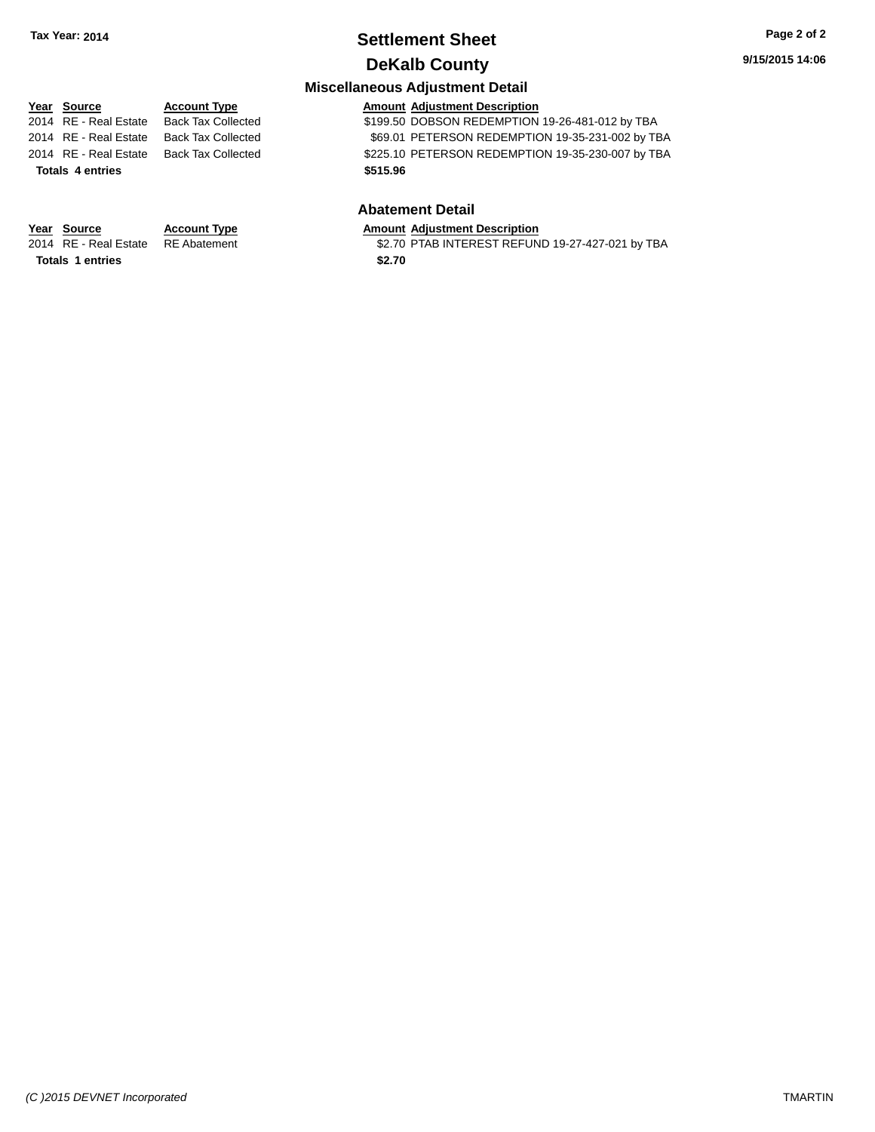# **Settlement Sheet Tax Year: 2014 Page 2 of 2**

### **DeKalb County**

#### **Miscellaneous Adjustment Detail**

**Year** Source **Account Type Account Type Amount Adjustment Description** 2014 RE - Real Estate Back Tax Collected \$199.50 DOBSON REDEMPTION 19-26-481-012 by TBA 2014 RE - Real Estate Back Tax Collected \$69.01 PETERSON REDEMPTION 19-35-231-002 by TBA 2014 RE - Real Estate Back Tax Collected \$225.10 PETERSON REDEMPTION 19-35-230-007 by TBA **Totals 4 entries \$515.96**

#### **Abatement Detail**

## **Year Source Account Type Amount Adjustment Description**<br>2014 RE - Real Estate RE Abatement \$2.70 PTAB INTEREST REFUN

\$2.70 PTAB INTEREST REFUND 19-27-427-021 by TBA

**Totals 1 entries \$2.70**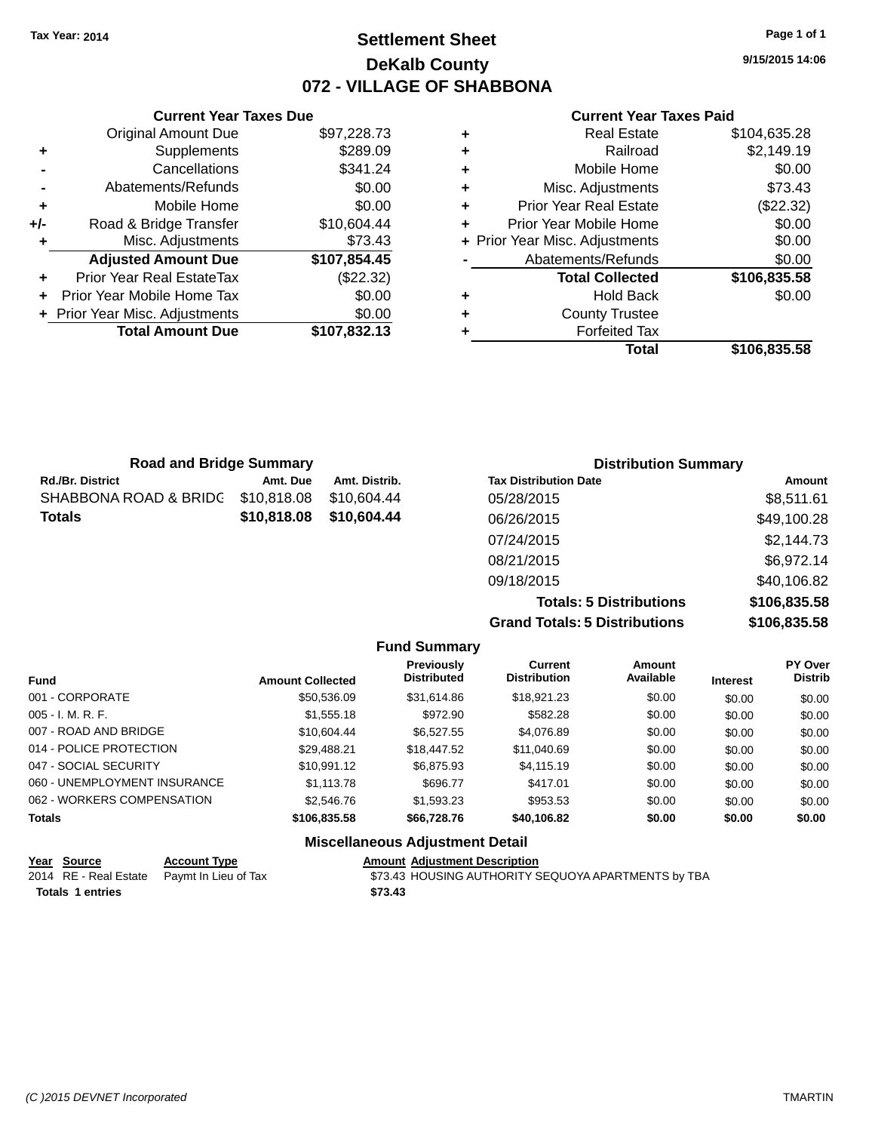### **Settlement Sheet Tax Year: 2014 Page 1 of 1 DeKalb County 072 - VILLAGE OF SHABBONA**

**9/15/2015 14:06**

#### **Current Year Taxes Paid**

|     | <b>Current Year Taxes Due</b>    |              |  |
|-----|----------------------------------|--------------|--|
|     | <b>Original Amount Due</b>       | \$97,228.73  |  |
| ٠   | Supplements                      | \$289.09     |  |
|     | Cancellations                    | \$341.24     |  |
|     | Abatements/Refunds               | \$0.00       |  |
| ٠   | Mobile Home                      | \$0.00       |  |
| +/- | Road & Bridge Transfer           | \$10,604.44  |  |
| ٠   | Misc. Adjustments                | \$73.43      |  |
|     | <b>Adjusted Amount Due</b>       | \$107,854.45 |  |
| ٠   | <b>Prior Year Real EstateTax</b> | (\$22.32)    |  |
|     | Prior Year Mobile Home Tax       | \$0.00       |  |
|     | + Prior Year Misc. Adjustments   | \$0.00       |  |
|     | <b>Total Amount Due</b>          | \$107,832.13 |  |
|     |                                  |              |  |

| ٠ | <b>Real Estate</b>             | \$104,635.28 |
|---|--------------------------------|--------------|
| ٠ | Railroad                       | \$2,149.19   |
| ٠ | Mobile Home                    | \$0.00       |
| ٠ | Misc. Adjustments              | \$73.43      |
| ٠ | Prior Year Real Estate         | (\$22.32)    |
| ٠ | Prior Year Mobile Home         | \$0.00       |
|   | + Prior Year Misc. Adjustments | \$0.00       |
|   | Abatements/Refunds             | \$0.00       |
|   | <b>Total Collected</b>         | \$106,835.58 |
| ٠ | <b>Hold Back</b>               | \$0.00       |
| ٠ | <b>County Trustee</b>          |              |
| ٠ | <b>Forfeited Tax</b>           |              |
|   | Total                          | \$106,835.58 |
|   |                                |              |

| <b>Road and Bridge Summary</b> |             |               | <b>Distribution Summary</b>    |              |  |
|--------------------------------|-------------|---------------|--------------------------------|--------------|--|
| <b>Rd./Br. District</b>        | Amt. Due    | Amt. Distrib. | <b>Tax Distribution Date</b>   | Amount       |  |
| SHABBONA ROAD & BRIDG          | \$10,818.08 | \$10.604.44   | 05/28/2015                     | \$8,511.61   |  |
| <b>Totals</b>                  | \$10,818.08 | \$10,604.44   | 06/26/2015                     | \$49,100.28  |  |
|                                |             |               | 07/24/2015                     | \$2,144.73   |  |
|                                |             |               | 08/21/2015                     | \$6,972.14   |  |
|                                |             |               | 09/18/2015                     | \$40,106.82  |  |
|                                |             |               | <b>Totals: 5 Distributions</b> | \$106,835.58 |  |

**Grand Totals: 5 Distributions** 

| טווטו | OC.CCO,UU G    |
|-------|----------------|
| ons   | \$106,835.58   |
| unt   | <b>DV Over</b> |

|                              |                         | <b>Fund Summary</b>              |                                       |                     |                 |                           |
|------------------------------|-------------------------|----------------------------------|---------------------------------------|---------------------|-----------------|---------------------------|
| <b>Fund</b>                  | <b>Amount Collected</b> | Previously<br><b>Distributed</b> | <b>Current</b><br><b>Distribution</b> | Amount<br>Available | <b>Interest</b> | PY Over<br><b>Distrib</b> |
| 001 - CORPORATE              | \$50,536.09             | \$31.614.86                      | \$18,921.23                           | \$0.00              | \$0.00          | \$0.00                    |
| $005 - I. M. R. F.$          | \$1,555.18              | \$972.90                         | \$582.28                              | \$0.00              | \$0.00          | \$0.00                    |
| 007 - ROAD AND BRIDGE        | \$10.604.44             | \$6,527.55                       | \$4,076.89                            | \$0.00              | \$0.00          | \$0.00                    |
| 014 - POLICE PROTECTION      | \$29.488.21             | \$18,447.52                      | \$11.040.69                           | \$0.00              | \$0.00          | \$0.00                    |
| 047 - SOCIAL SECURITY        | \$10.991.12             | \$6,875,93                       | \$4,115,19                            | \$0.00              | \$0.00          | \$0.00                    |
| 060 - UNEMPLOYMENT INSURANCE | \$1.113.78              | \$696.77                         | \$417.01                              | \$0.00              | \$0.00          | \$0.00                    |
| 062 - WORKERS COMPENSATION   | \$2,546.76              | \$1,593,23                       | \$953.53                              | \$0.00              | \$0.00          | \$0.00                    |
| <b>Totals</b>                | \$106,835,58            | \$66,728,76                      | \$40,106.82                           | \$0.00              | \$0.00          | \$0.00                    |
|                              |                         | Miccollanoous Adjustment Detail  |                                       |                     |                 |                           |

#### **Miscellaneous Adjustment Detail Year Source Account Type Amount Adjustment Description**

| $10a$ 000100            | <b>ACCOUNT TYPE</b>                        | Allivant Aujustinent Description                    |
|-------------------------|--------------------------------------------|-----------------------------------------------------|
|                         | 2014 RE - Real Estate Paymt In Lieu of Tax | \$73.43 HOUSING AUTHORITY SEQUOYA APARTMENTS by TBA |
| <b>Totals 1 entries</b> |                                            | \$73.43                                             |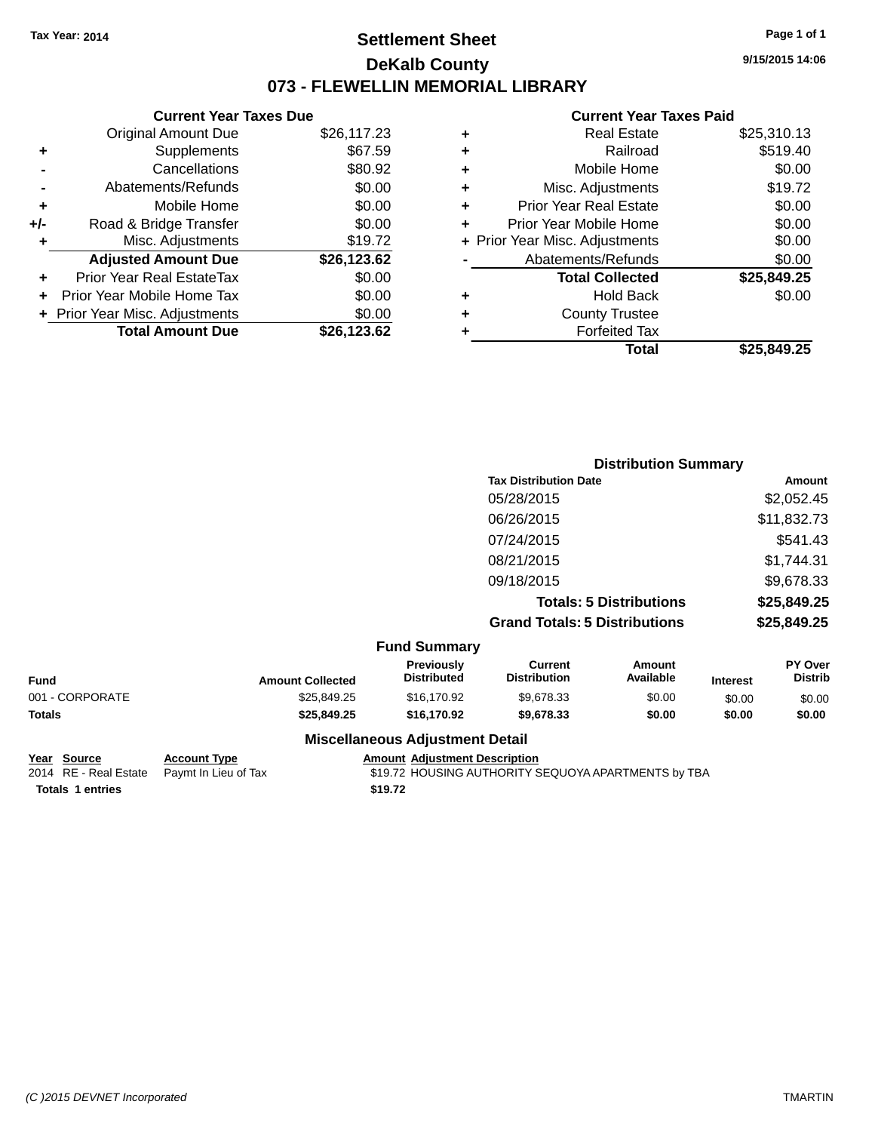# **Settlement Sheet Tax Year: 2014 Page 1 of 1 DeKalb County 073 - FLEWELLIN MEMORIAL LIBRARY**

**9/15/2015 14:06**

#### **Current Year Taxes Paid**

|     | <b>Current Year Taxes Due</b>  |             |       |
|-----|--------------------------------|-------------|-------|
|     | <b>Original Amount Due</b>     | \$26,117.23 | ٠     |
|     | <b>Supplements</b>             | \$67.59     | ٠     |
|     | Cancellations                  | \$80.92     | ٠     |
|     | Abatements/Refunds             | \$0.00      | ٠     |
|     | Mobile Home                    | \$0.00      | ٠     |
| +/- | Road & Bridge Transfer         | \$0.00      | ٠     |
|     | Misc. Adjustments              | \$19.72     | + Pri |
|     | <b>Adjusted Amount Due</b>     | \$26,123.62 |       |
|     | Prior Year Real EstateTax      | \$0.00      |       |
|     | Prior Year Mobile Home Tax     | \$0.00      | ٠     |
|     | + Prior Year Misc. Adjustments | \$0.00      | ٠     |
|     | <b>Total Amount Due</b>        | \$26,123.62 |       |

| ٠ | <b>Real Estate</b>             | \$25,310.13 |
|---|--------------------------------|-------------|
| ٠ | Railroad                       | \$519.40    |
| ٠ | Mobile Home                    | \$0.00      |
| ٠ | Misc. Adjustments              | \$19.72     |
| ٠ | <b>Prior Year Real Estate</b>  | \$0.00      |
| ÷ | Prior Year Mobile Home         | \$0.00      |
|   | + Prior Year Misc. Adjustments | \$0.00      |
|   | Abatements/Refunds             | \$0.00      |
|   | <b>Total Collected</b>         | \$25,849.25 |
| ٠ | <b>Hold Back</b>               | \$0.00      |
| ٠ | <b>County Trustee</b>          |             |
| ٠ | <b>Forfeited Tax</b>           |             |
|   | Total                          | \$25,849.25 |
|   |                                |             |

|           |                         |                                  |                                       | <b>Distribution Summary</b>    |                 |                           |
|-----------|-------------------------|----------------------------------|---------------------------------------|--------------------------------|-----------------|---------------------------|
|           |                         |                                  | <b>Tax Distribution Date</b>          |                                |                 | <b>Amount</b>             |
|           |                         |                                  | 05/28/2015                            |                                |                 | \$2,052.45                |
|           |                         |                                  | 06/26/2015                            |                                |                 | \$11,832.73               |
|           |                         |                                  | 07/24/2015                            |                                |                 | \$541.43                  |
|           |                         |                                  | 08/21/2015                            |                                |                 | \$1,744.31                |
|           |                         |                                  | 09/18/2015                            |                                |                 | \$9,678.33                |
|           |                         |                                  |                                       | <b>Totals: 5 Distributions</b> |                 | \$25,849.25               |
|           |                         |                                  | <b>Grand Totals: 5 Distributions</b>  |                                |                 | \$25,849.25               |
|           |                         | <b>Fund Summary</b>              |                                       |                                |                 |                           |
|           | <b>Amount Collected</b> | Previously<br><b>Distributed</b> | <b>Current</b><br><b>Distribution</b> | Amount<br>Available            | <b>Interest</b> | PY Over<br><b>Distrib</b> |
| --------- |                         |                                  |                                       |                                |                 |                           |

| Fund            | <b>Amount Collected</b> | <b>FIBRIOUSIV</b><br><b>Distributed</b> | uurent<br><b>Distribution</b> | AIIIOUIIL<br>Available | <b>Interest</b> | r i vel<br><b>Distrib</b> |
|-----------------|-------------------------|-----------------------------------------|-------------------------------|------------------------|-----------------|---------------------------|
| 001 - CORPORATE | \$25.849.25             | \$16,170.92                             | \$9.678.33                    | \$0.00                 | \$0.00          | \$0.00                    |
| Totals          | \$25.849.25             | \$16,170.92                             | \$9,678,33                    | \$0.00                 | \$0.00          | \$0.00                    |
|                 |                         |                                         |                               |                        |                 |                           |

# **Totals 1 entries \$19.72**

**<u>Year Source</u> <b>Account Type Amount Adjustment Description**<br>2014 RE - Real Estate Paymt In Lieu of Tax \$19.72 HOUSING AUTHORITY S

# **Miscellaneous Adjustment Detail**

**319.72 HOUSING AUTHORITY SEQUOYA APARTMENTS by TBA**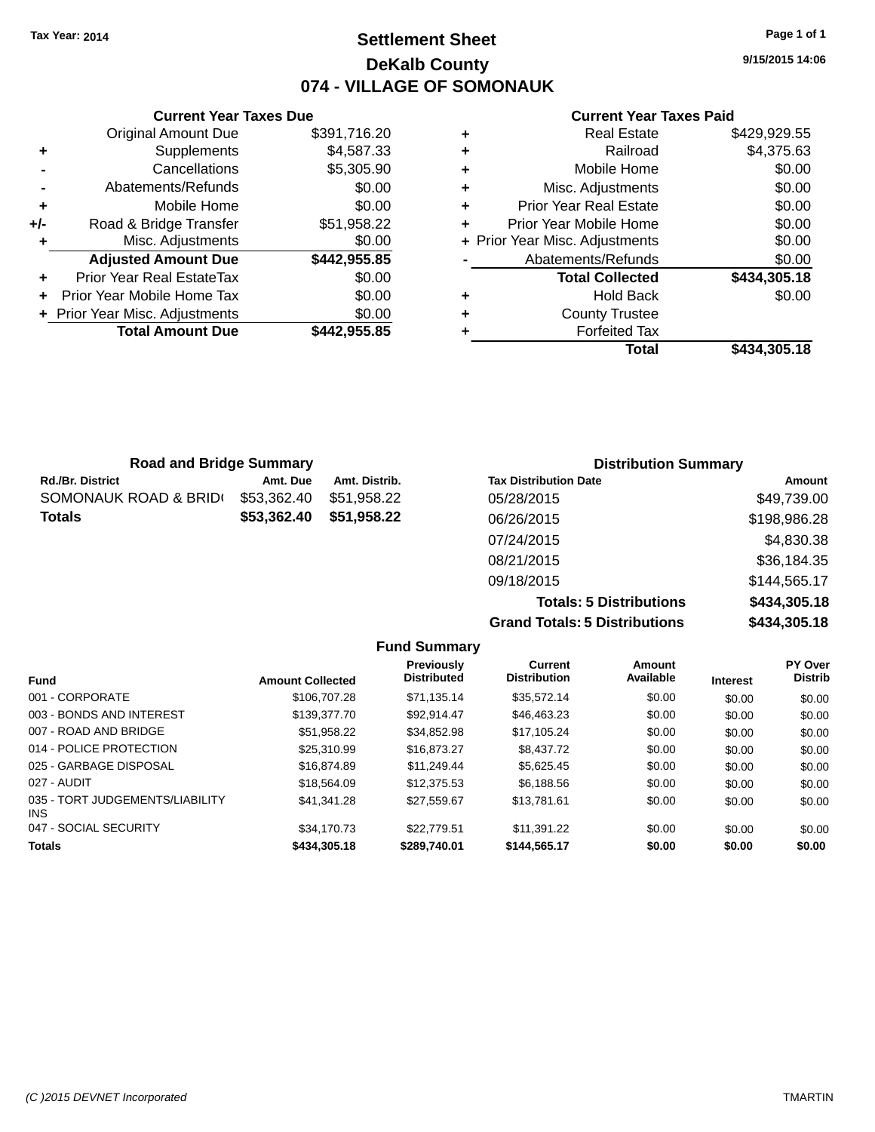# **Settlement Sheet Tax Year: 2014 Page 1 of 1 DeKalb County 074 - VILLAGE OF SOMONAUK**

**9/15/2015 14:06**

#### **Current Year Taxes Paid**

|   | Total                          | \$434,305.18 |
|---|--------------------------------|--------------|
|   | <b>Forfeited Tax</b>           |              |
| ٠ | <b>County Trustee</b>          |              |
| ٠ | <b>Hold Back</b>               | \$0.00       |
|   | <b>Total Collected</b>         | \$434,305.18 |
|   | Abatements/Refunds             | \$0.00       |
|   | + Prior Year Misc. Adjustments | \$0.00       |
| ٠ | Prior Year Mobile Home         | \$0.00       |
| ٠ | <b>Prior Year Real Estate</b>  | \$0.00       |
| ٠ | Misc. Adjustments              | \$0.00       |
| ٠ | Mobile Home                    | \$0.00       |
| ٠ | Railroad                       | \$4,375.63   |
|   | <b>Real Estate</b>             | \$429,929.55 |

|     | <b>Current Year Taxes Due</b>              |              |  |  |  |  |
|-----|--------------------------------------------|--------------|--|--|--|--|
|     | \$391,716.20<br><b>Original Amount Due</b> |              |  |  |  |  |
| ٠   | Supplements                                | \$4,587.33   |  |  |  |  |
|     | Cancellations                              | \$5,305.90   |  |  |  |  |
|     | \$0.00<br>Abatements/Refunds               |              |  |  |  |  |
| ٠   | Mobile Home                                | \$0.00       |  |  |  |  |
| +/- | Road & Bridge Transfer                     | \$51,958.22  |  |  |  |  |
| ٠   | Misc. Adjustments                          | \$0.00       |  |  |  |  |
|     | <b>Adjusted Amount Due</b>                 | \$442,955.85 |  |  |  |  |
| ÷   | Prior Year Real EstateTax                  | \$0.00       |  |  |  |  |
|     | Prior Year Mobile Home Tax                 | \$0.00       |  |  |  |  |
|     | \$0.00<br>+ Prior Year Misc. Adjustments   |              |  |  |  |  |
|     | <b>Total Amount Due</b>                    | \$442,955.85 |  |  |  |  |
|     |                                            |              |  |  |  |  |

| <b>Road and Bridge Summary</b> |             |               | <b>Distribution Summary</b>  |              |
|--------------------------------|-------------|---------------|------------------------------|--------------|
| Rd./Br. District               | Amt. Due    | Amt. Distrib. | <b>Tax Distribution Date</b> | Amount       |
| SOMONAUK ROAD & BRID(          | \$53,362.40 | \$51.958.22   | 05/28/2015                   | \$49,739.00  |
| Totals                         | \$53,362.40 | \$51,958.22   | 06/26/2015                   | \$198,986.28 |
|                                |             |               | 07/24/2015                   | \$4,830.38   |
|                                |             |               | 08/21/2015                   | \$36,184.35  |
|                                |             |               | 09/18/2015                   | \$144,565.17 |

**Totals: 5 Distributions \$434,305.18 Grand Totals: 5 Distributions \$434,305.18**

| <b>Fund Summary</b>                     |                         |                                  |                                       |                     |                 |                           |
|-----------------------------------------|-------------------------|----------------------------------|---------------------------------------|---------------------|-----------------|---------------------------|
| <b>Fund</b>                             | <b>Amount Collected</b> | Previously<br><b>Distributed</b> | <b>Current</b><br><b>Distribution</b> | Amount<br>Available | <b>Interest</b> | PY Over<br><b>Distrib</b> |
| 001 - CORPORATE                         | \$106,707.28            | \$71.135.14                      | \$35,572.14                           | \$0.00              | \$0.00          | \$0.00                    |
| 003 - BONDS AND INTEREST                | \$139,377.70            | \$92.914.47                      | \$46.463.23                           | \$0.00              | \$0.00          | \$0.00                    |
| 007 - ROAD AND BRIDGE                   | \$51,958.22             | \$34,852.98                      | \$17,105.24                           | \$0.00              | \$0.00          | \$0.00                    |
| 014 - POLICE PROTECTION                 | \$25,310.99             | \$16,873,27                      | \$8,437.72                            | \$0.00              | \$0.00          | \$0.00                    |
| 025 - GARBAGE DISPOSAL                  | \$16,874.89             | \$11.249.44                      | \$5.625.45                            | \$0.00              | \$0.00          | \$0.00                    |
| 027 - AUDIT                             | \$18,564.09             | \$12,375.53                      | \$6,188.56                            | \$0.00              | \$0.00          | \$0.00                    |
| 035 - TORT JUDGEMENTS/LIABILITY<br>INS. | \$41.341.28             | \$27.559.67                      | \$13,781.61                           | \$0.00              | \$0.00          | \$0.00                    |
| 047 - SOCIAL SECURITY                   | \$34,170.73             | \$22,779.51                      | \$11.391.22                           | \$0.00              | \$0.00          | \$0.00                    |
| <b>Totals</b>                           | \$434,305.18            | \$289,740.01                     | \$144,565.17                          | \$0.00              | \$0.00          | \$0.00                    |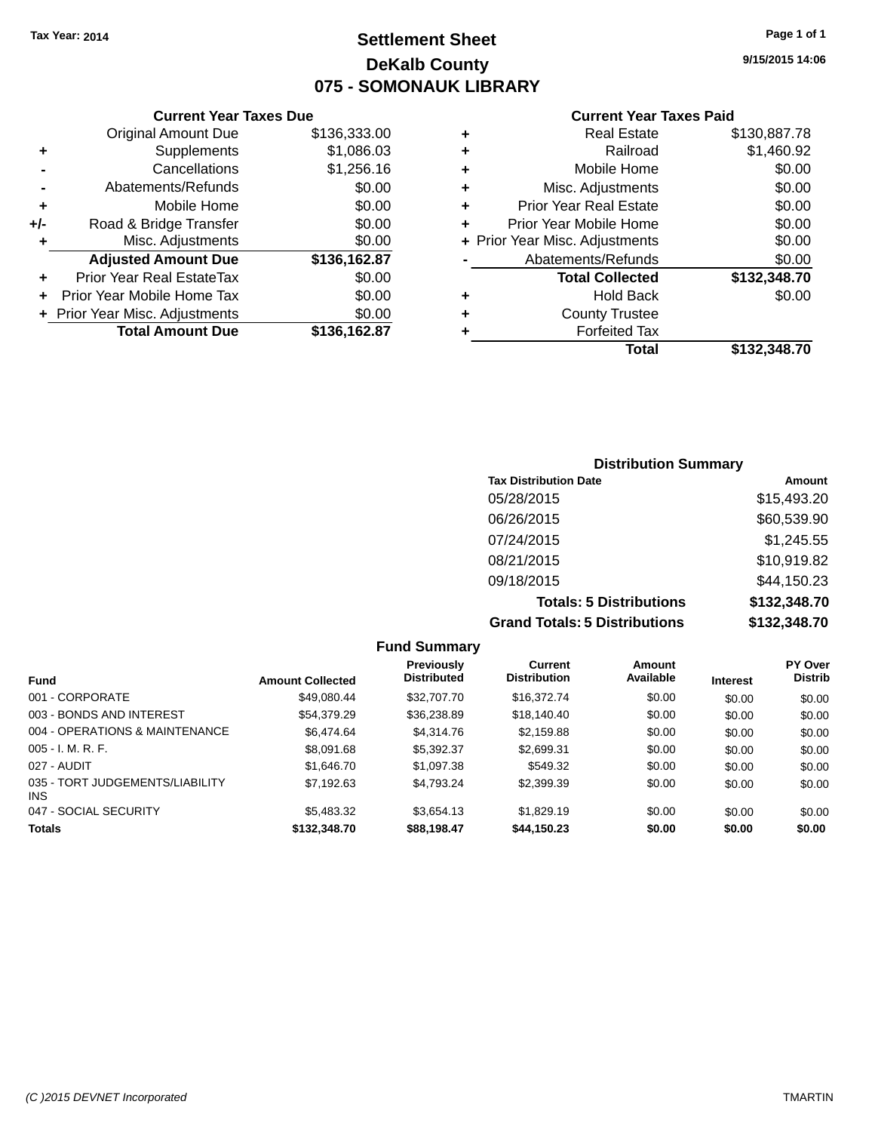# **Settlement Sheet Tax Year: 2014 Page 1 of 1 DeKalb County 075 - SOMONAUK LIBRARY**

**9/15/2015 14:06**

#### **Current Year Taxes Paid**

|     | <b>Current Year Taxes Due</b>  |              |     |
|-----|--------------------------------|--------------|-----|
|     | <b>Original Amount Due</b>     | \$136,333.00 |     |
|     | Supplements                    | \$1,086.03   |     |
|     | Cancellations                  | \$1,256.16   | ٠   |
|     | Abatements/Refunds             | \$0.00       |     |
|     | Mobile Home                    | \$0.00       |     |
| +/- | Road & Bridge Transfer         | \$0.00       |     |
|     | Misc. Adjustments              | \$0.00       | + F |
|     | <b>Adjusted Amount Due</b>     | \$136,162.87 |     |
| ٠   | Prior Year Real EstateTax      | \$0.00       |     |
|     | Prior Year Mobile Home Tax     | \$0.00       |     |
|     | + Prior Year Misc. Adjustments | \$0.00       |     |
|     | <b>Total Amount Due</b>        | \$136,162.87 |     |
|     |                                |              |     |

| ٠ | <b>Real Estate</b>             | \$130,887.78 |
|---|--------------------------------|--------------|
| ٠ | Railroad                       | \$1,460.92   |
| ٠ | Mobile Home                    | \$0.00       |
| ٠ | Misc. Adjustments              | \$0.00       |
| ٠ | <b>Prior Year Real Estate</b>  | \$0.00       |
| ٠ | Prior Year Mobile Home         | \$0.00       |
|   | + Prior Year Misc. Adjustments | \$0.00       |
|   | Abatements/Refunds             | \$0.00       |
|   | <b>Total Collected</b>         | \$132,348.70 |
| ٠ | Hold Back                      | \$0.00       |
| ٠ | <b>County Trustee</b>          |              |
| ٠ | <b>Forfeited Tax</b>           |              |
|   | Total                          | \$132,348.70 |
|   |                                |              |

## **Distribution Summary Tax Distribution Date Amount** 05/28/2015 \$15,493.20 06/26/2015 \$60,539.90 07/24/2015 \$1,245.55 08/21/2015 \$10,919.82 09/18/2015 \$44,150.23 **Totals: 5 Distributions \$132,348.70 Grand Totals: 5 Distributions \$132,348.70**

|                                         |                         | <b>Fund Summary</b>              |                                       |                     |                 |                           |
|-----------------------------------------|-------------------------|----------------------------------|---------------------------------------|---------------------|-----------------|---------------------------|
| <b>Fund</b>                             | <b>Amount Collected</b> | Previously<br><b>Distributed</b> | <b>Current</b><br><b>Distribution</b> | Amount<br>Available | <b>Interest</b> | PY Over<br><b>Distrib</b> |
| 001 - CORPORATE                         | \$49.080.44             | \$32,707.70                      | \$16,372.74                           | \$0.00              | \$0.00          | \$0.00                    |
| 003 - BONDS AND INTEREST                | \$54,379.29             | \$36,238.89                      | \$18,140.40                           | \$0.00              | \$0.00          | \$0.00                    |
| 004 - OPERATIONS & MAINTENANCE          | \$6.474.64              | \$4,314.76                       | \$2.159.88                            | \$0.00              | \$0.00          | \$0.00                    |
| $005 - I. M. R. F.$                     | \$8,091.68              | \$5.392.37                       | \$2.699.31                            | \$0.00              | \$0.00          | \$0.00                    |
| 027 - AUDIT                             | \$1,646.70              | \$1.097.38                       | \$549.32                              | \$0.00              | \$0.00          | \$0.00                    |
| 035 - TORT JUDGEMENTS/LIABILITY<br>INS. | \$7,192.63              | \$4.793.24                       | \$2,399.39                            | \$0.00              | \$0.00          | \$0.00                    |
| 047 - SOCIAL SECURITY                   | \$5,483,32              | \$3.654.13                       | \$1.829.19                            | \$0.00              | \$0.00          | \$0.00                    |
| <b>Totals</b>                           | \$132,348.70            | \$88,198.47                      | \$44,150.23                           | \$0.00              | \$0.00          | \$0.00                    |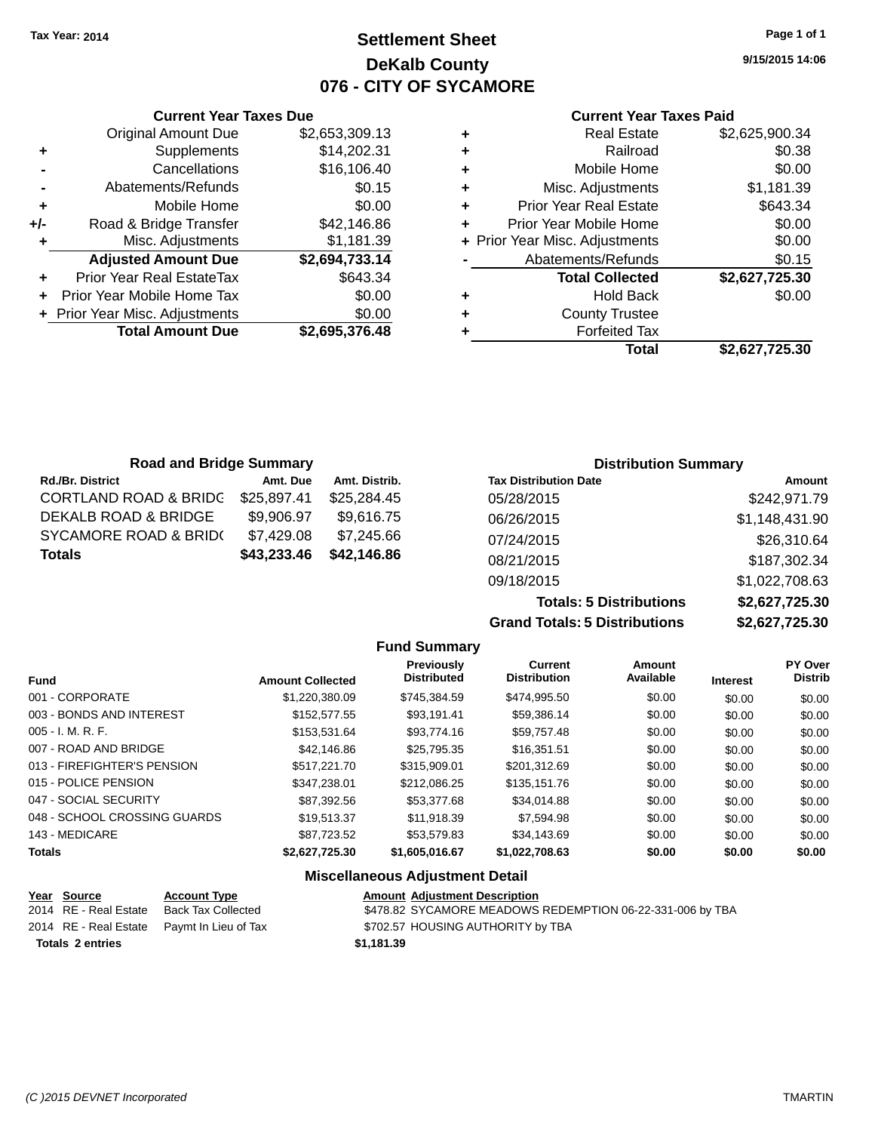# **Settlement Sheet Tax Year: 2014 Page 1 of 1 DeKalb County 076 - CITY OF SYCAMORE**

**9/15/2015 14:06**

#### **Current Year Taxes Paid**

|     | <b>Current Year Taxes Due</b>  |                |  |  |
|-----|--------------------------------|----------------|--|--|
|     | <b>Original Amount Due</b>     | \$2,653,309.13 |  |  |
| ٠   | Supplements                    | \$14,202.31    |  |  |
|     | Cancellations                  | \$16,106.40    |  |  |
|     | \$0.15<br>Abatements/Refunds   |                |  |  |
| ٠   | Mobile Home                    | \$0.00         |  |  |
| +/- | Road & Bridge Transfer         | \$42,146.86    |  |  |
|     | Misc. Adjustments              | \$1,181.39     |  |  |
|     | <b>Adjusted Amount Due</b>     | \$2,694,733.14 |  |  |
|     | Prior Year Real EstateTax      | \$643.34       |  |  |
|     | Prior Year Mobile Home Tax     | \$0.00         |  |  |
|     | + Prior Year Misc. Adjustments | \$0.00         |  |  |
|     | <b>Total Amount Due</b>        | \$2,695,376.48 |  |  |
|     |                                |                |  |  |

| ٠ | <b>Real Estate</b>             | \$2,625,900.34 |
|---|--------------------------------|----------------|
| ٠ | Railroad                       | \$0.38         |
| ٠ | Mobile Home                    | \$0.00         |
| ٠ | Misc. Adjustments              | \$1,181.39     |
| ٠ | <b>Prior Year Real Estate</b>  | \$643.34       |
| ÷ | Prior Year Mobile Home         | \$0.00         |
|   | + Prior Year Misc. Adjustments | \$0.00         |
|   | Abatements/Refunds             | \$0.15         |
|   | <b>Total Collected</b>         | \$2,627,725.30 |
| ٠ | <b>Hold Back</b>               | \$0.00         |
|   | <b>County Trustee</b>          |                |
| ٠ | <b>Forfeited Tax</b>           |                |
|   | Total                          | \$2,627,725.30 |
|   |                                |                |

| <b>Road and Bridge Summary</b>   |             |               | <b>Distribution Summary</b>  |                |  |
|----------------------------------|-------------|---------------|------------------------------|----------------|--|
| <b>Rd./Br. District</b>          | Amt. Due    | Amt. Distrib. | <b>Tax Distribution Date</b> | Amount         |  |
| <b>CORTLAND ROAD &amp; BRIDC</b> | \$25,897.41 | \$25,284.45   | 05/28/2015                   | \$242,971.79   |  |
| DEKALB ROAD & BRIDGE             | \$9,906.97  | \$9.616.75    | 06/26/2015                   | \$1,148,431.90 |  |
| <b>SYCAMORE ROAD &amp; BRID(</b> | \$7,429.08  | \$7,245.66    | 07/24/2015                   | \$26,310.64    |  |
| <b>Totals</b>                    | \$43,233.46 | \$42.146.86   | 08/21/2015                   | \$187,302.34   |  |
|                                  |             |               | 09/18/2015                   | \$1,022,708.63 |  |

**Totals: 5 Distributions \$2,627,725.30 Grand Totals: 5 Distributions \$2,627,725.30**

|                              |                         | <b>Fund Summary</b>              |                                       |                     |                 |                                  |
|------------------------------|-------------------------|----------------------------------|---------------------------------------|---------------------|-----------------|----------------------------------|
| Fund                         | <b>Amount Collected</b> | Previously<br><b>Distributed</b> | <b>Current</b><br><b>Distribution</b> | Amount<br>Available | <b>Interest</b> | <b>PY Over</b><br><b>Distrib</b> |
| 001 - CORPORATE              | \$1,220,380.09          | \$745,384.59                     | \$474,995.50                          | \$0.00              | \$0.00          | \$0.00                           |
| 003 - BONDS AND INTEREST     | \$152,577.55            | \$93,191.41                      | \$59,386.14                           | \$0.00              | \$0.00          | \$0.00                           |
| 005 - I. M. R. F.            | \$153.531.64            | \$93,774.16                      | \$59,757.48                           | \$0.00              | \$0.00          | \$0.00                           |
| 007 - ROAD AND BRIDGE.       | \$42,146.86             | \$25,795.35                      | \$16,351.51                           | \$0.00              | \$0.00          | \$0.00                           |
| 013 - FIREFIGHTER'S PENSION  | \$517,221,70            | \$315,909.01                     | \$201,312.69                          | \$0.00              | \$0.00          | \$0.00                           |
| 015 - POLICE PENSION         | \$347.238.01            | \$212,086.25                     | \$135,151.76                          | \$0.00              | \$0.00          | \$0.00                           |
| 047 - SOCIAL SECURITY        | \$87.392.56             | \$53,377.68                      | \$34.014.88                           | \$0.00              | \$0.00          | \$0.00                           |
| 048 - SCHOOL CROSSING GUARDS | \$19.513.37             | \$11.918.39                      | \$7,594.98                            | \$0.00              | \$0.00          | \$0.00                           |
| 143 - MEDICARE               | \$87,723.52             | \$53,579.83                      | \$34,143.69                           | \$0.00              | \$0.00          | \$0.00                           |
| <b>Totals</b>                | \$2,627,725.30          | \$1,605,016.67                   | \$1,022,708.63                        | \$0.00              | \$0.00          | \$0.00                           |
|                              |                         | Miccollanoous Adjustment Detail  |                                       |                     |                 |                                  |

#### **Miscellaneous Adjustment Detail**

| <u>Year Source</u>      | <b>Account Type</b>                        | <b>Amount Adjustment Description</b>                      |
|-------------------------|--------------------------------------------|-----------------------------------------------------------|
| 2014 RE - Real Estate   | Back Tax Collected                         | \$478.82 SYCAMORE MEADOWS REDEMPTION 06-22-331-006 by TBA |
|                         | 2014 RE - Real Estate Paymt In Lieu of Tax | \$702.57 HOUSING AUTHORITY by TBA                         |
| <b>Totals 2 entries</b> |                                            | \$1.181.39                                                |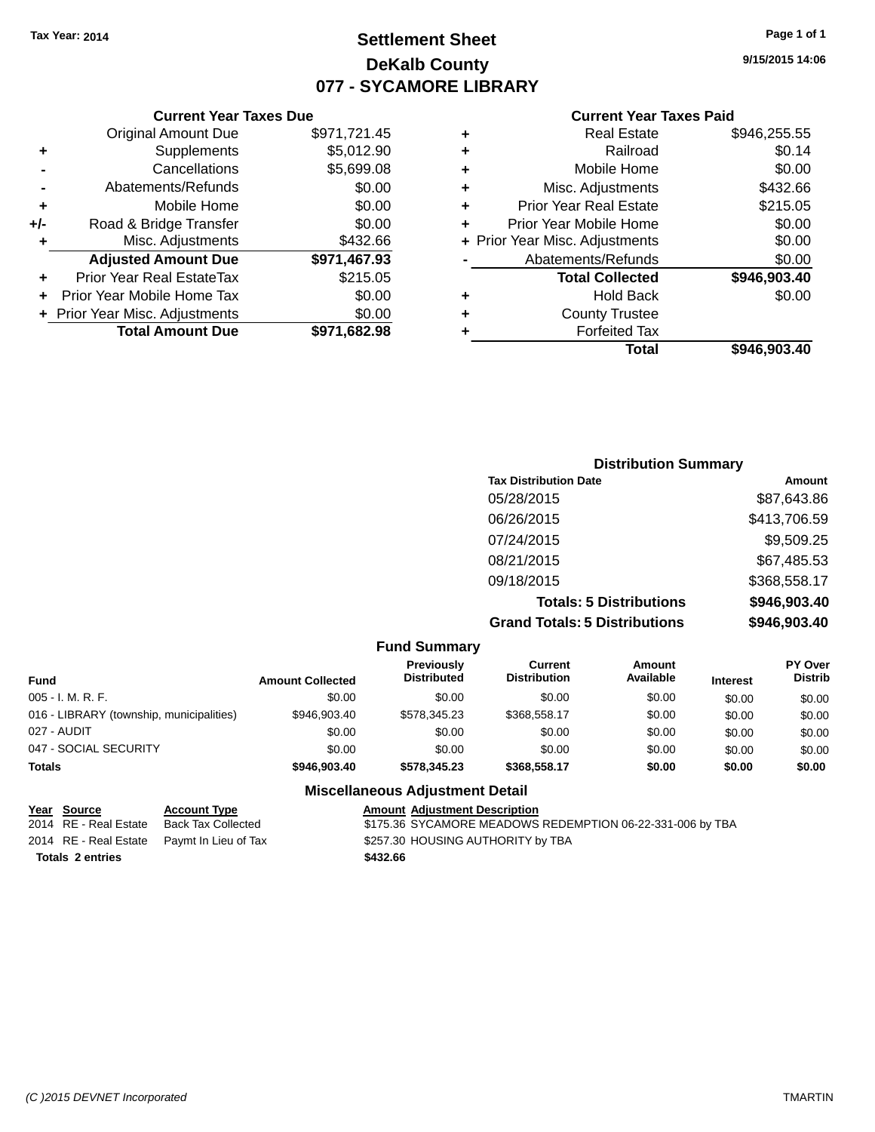# **Settlement Sheet Tax Year: 2014 Page 1 of 1 DeKalb County 077 - SYCAMORE LIBRARY**

**9/15/2015 14:06**

| <b>Current Year Taxes Paid</b> |  |  |  |
|--------------------------------|--|--|--|
|--------------------------------|--|--|--|

|     | <b>Current Year Taxes Due</b>  |              |   |              |
|-----|--------------------------------|--------------|---|--------------|
|     | <b>Original Amount Due</b>     | \$971,721.45 | ٠ |              |
|     | Supplements                    | \$5,012.90   | ٠ |              |
|     | Cancellations                  | \$5,699.08   | ٠ |              |
|     | Abatements/Refunds             | \$0.00       | ٠ |              |
|     | Mobile Home                    | \$0.00       |   | Pric         |
| +/- | Road & Bridge Transfer         | \$0.00       |   | Prior        |
| ٠   | Misc. Adjustments              | \$432.66     |   | + Prior Year |
|     | <b>Adjusted Amount Due</b>     | \$971,467.93 |   | Ab           |
|     | Prior Year Real EstateTax      | \$215.05     |   |              |
|     | Prior Year Mobile Home Tax     | \$0.00       |   |              |
|     | + Prior Year Misc. Adjustments | \$0.00       |   |              |
|     | <b>Total Amount Due</b>        | \$971,682.98 |   |              |
|     |                                |              |   |              |

|   | <b>Real Estate</b>             | \$946,255.55 |
|---|--------------------------------|--------------|
| ٠ | Railroad                       | \$0.14       |
| ٠ | Mobile Home                    | \$0.00       |
| ٠ | Misc. Adjustments              | \$432.66     |
| ٠ | <b>Prior Year Real Estate</b>  | \$215.05     |
| ÷ | Prior Year Mobile Home         | \$0.00       |
|   | + Prior Year Misc. Adjustments | \$0.00       |
|   | Abatements/Refunds             | \$0.00       |
|   | <b>Total Collected</b>         | \$946,903.40 |
| ٠ | <b>Hold Back</b>               | \$0.00       |
| ٠ | <b>County Trustee</b>          |              |
|   | <b>Forfeited Tax</b>           |              |
|   | Total                          | \$946,903.40 |
|   |                                |              |

| <b>Distribution Summary</b>          |              |
|--------------------------------------|--------------|
| <b>Tax Distribution Date</b>         | Amount       |
| 05/28/2015                           | \$87,643.86  |
| 06/26/2015                           | \$413,706.59 |
| 07/24/2015                           | \$9,509.25   |
| 08/21/2015                           | \$67,485.53  |
| 09/18/2015                           | \$368,558.17 |
| <b>Totals: 5 Distributions</b>       | \$946,903.40 |
| <b>Grand Totals: 5 Distributions</b> | \$946,903.40 |

|                                          |                         | <b>Fund Summary</b>                     |                                |                     |                 |                                  |
|------------------------------------------|-------------------------|-----------------------------------------|--------------------------------|---------------------|-----------------|----------------------------------|
| <b>Fund</b>                              | <b>Amount Collected</b> | <b>Previously</b><br><b>Distributed</b> | Current<br><b>Distribution</b> | Amount<br>Available | <b>Interest</b> | <b>PY Over</b><br><b>Distrib</b> |
| $005 - I. M. R. F.$                      | \$0.00                  | \$0.00                                  | \$0.00                         | \$0.00              | \$0.00          | \$0.00                           |
| 016 - LIBRARY (township, municipalities) | \$946,903.40            | \$578,345.23                            | \$368,558.17                   | \$0.00              | \$0.00          | \$0.00                           |
| 027 - AUDIT                              | \$0.00                  | \$0.00                                  | \$0.00                         | \$0.00              | \$0.00          | \$0.00                           |
| 047 - SOCIAL SECURITY                    | \$0.00                  | \$0.00                                  | \$0.00                         | \$0.00              | \$0.00          | \$0.00                           |
| <b>Totals</b>                            | \$946,903,40            | \$578,345.23                            | \$368,558.17                   | \$0.00              | \$0.00          | \$0.00                           |
|                                          |                         | <b>Miscellaneous Adjustment Detail</b>  |                                |                     |                 |                                  |

#### **Year Source Account Type Amount Adjustment Description**<br>2014 RE - Real Estate Back Tax Collected \$175.36 SYCAMORE MEADOWS  $\overline{3175.36}$  SYCAMORE MEADOWS REDEMPTION 06-22-331-006 by TBA 2014 RE - Real Estate Paymt In Lieu of Tax \$257.30 HOUSING AUTHORITY by TBA **Totals 2 entries \$432.66**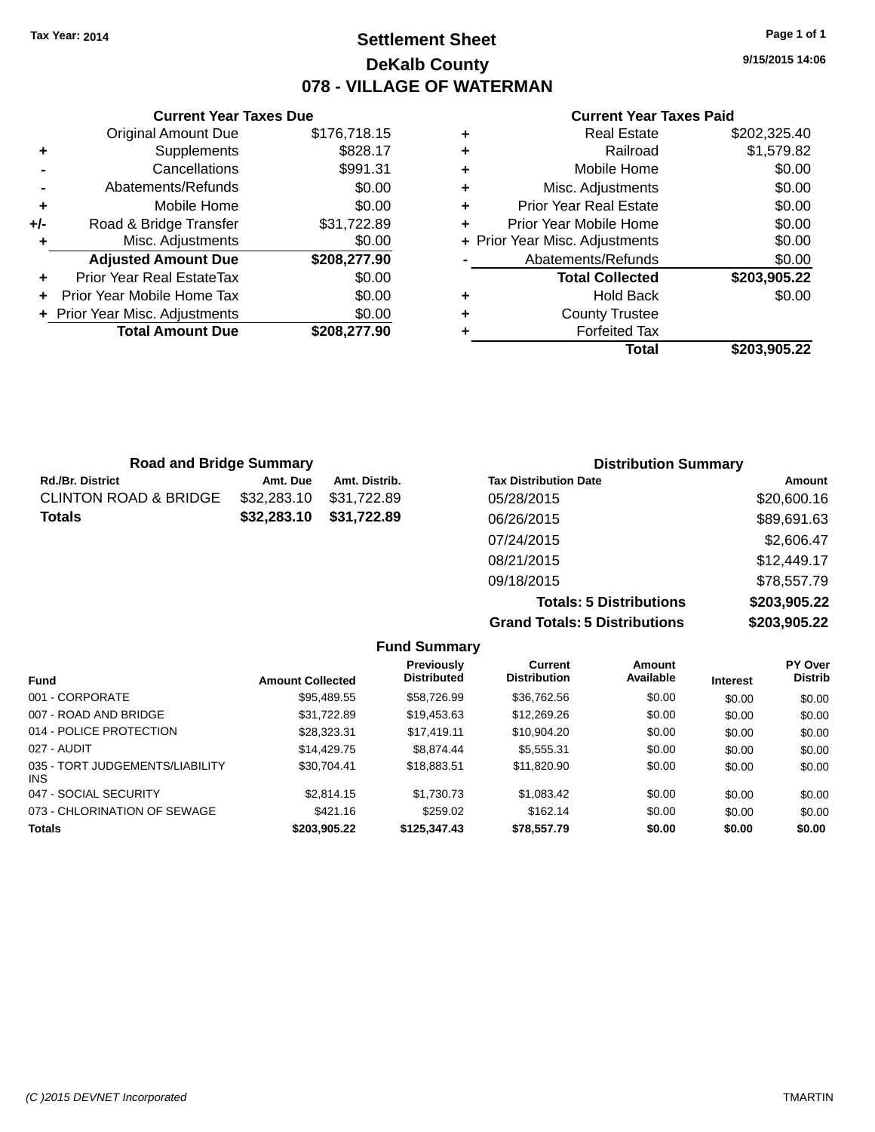# **Settlement Sheet Tax Year: 2014 Page 1 of 1 DeKalb County 078 - VILLAGE OF WATERMAN**

**9/15/2015 14:06**

#### **Current Year Taxes Paid**

|     | <b>Current Year Taxes Due</b>  |              |  |  |  |  |
|-----|--------------------------------|--------------|--|--|--|--|
|     | <b>Original Amount Due</b>     | \$176,718.15 |  |  |  |  |
| ٠   | Supplements                    | \$828.17     |  |  |  |  |
|     | Cancellations                  | \$991.31     |  |  |  |  |
|     | Abatements/Refunds             | \$0.00       |  |  |  |  |
| ٠   | Mobile Home                    | \$0.00       |  |  |  |  |
| +/- | Road & Bridge Transfer         | \$31,722.89  |  |  |  |  |
| ٠   | Misc. Adjustments              | \$0.00       |  |  |  |  |
|     | <b>Adjusted Amount Due</b>     | \$208,277.90 |  |  |  |  |
| ٠   | Prior Year Real EstateTax      | \$0.00       |  |  |  |  |
|     | Prior Year Mobile Home Tax     | \$0.00       |  |  |  |  |
|     | + Prior Year Misc. Adjustments | \$0.00       |  |  |  |  |
|     | <b>Total Amount Due</b>        | \$208.277.90 |  |  |  |  |
|     |                                |              |  |  |  |  |

| ٠ | <b>Real Estate</b>             | \$202,325.40 |
|---|--------------------------------|--------------|
| ٠ | Railroad                       | \$1,579.82   |
| ٠ | Mobile Home                    | \$0.00       |
| ٠ | Misc. Adjustments              | \$0.00       |
| ٠ | <b>Prior Year Real Estate</b>  | \$0.00       |
| ٠ | Prior Year Mobile Home         | \$0.00       |
|   | + Prior Year Misc. Adjustments | \$0.00       |
|   | Abatements/Refunds             | \$0.00       |
|   | <b>Total Collected</b>         | \$203,905.22 |
| ٠ | <b>Hold Back</b>               | \$0.00       |
| ٠ | <b>County Trustee</b>          |              |
|   | <b>Forfeited Tax</b>           |              |
|   | Total                          | \$203.905.22 |
|   |                                |              |

| <b>Road and Bridge Summary</b> |             |               | <b>Distribution Summary</b>  |             |  |
|--------------------------------|-------------|---------------|------------------------------|-------------|--|
| Rd./Br. District               | Amt. Due    | Amt. Distrib. | <b>Tax Distribution Date</b> | Amount      |  |
| CLINTON ROAD & BRIDGE          | \$32,283.10 | \$31,722.89   | 05/28/2015                   | \$20,600.16 |  |
| Totals                         | \$32,283.10 | \$31,722.89   | 06/26/2015                   | \$89,691.63 |  |
|                                |             |               | 07/24/2015                   | \$2,606.47  |  |
|                                |             |               | 08/21/2015                   | \$12,449.17 |  |
|                                |             |               | 09/18/2015                   | \$78,557.79 |  |

**Totals: 5 Distributions \$203,905.22 Grand Totals: 5 Distributions \$203,905.22**

|                                         |                         | <b>Fund Summary</b>                     |                                       |                     |                 |                           |
|-----------------------------------------|-------------------------|-----------------------------------------|---------------------------------------|---------------------|-----------------|---------------------------|
| <b>Fund</b>                             | <b>Amount Collected</b> | <b>Previously</b><br><b>Distributed</b> | <b>Current</b><br><b>Distribution</b> | Amount<br>Available | <b>Interest</b> | PY Over<br><b>Distrib</b> |
| 001 - CORPORATE                         | \$95.489.55             | \$58,726.99                             | \$36.762.56                           | \$0.00              | \$0.00          | \$0.00                    |
| 007 - ROAD AND BRIDGE                   | \$31.722.89             | \$19,453.63                             | \$12,269.26                           | \$0.00              | \$0.00          | \$0.00                    |
| 014 - POLICE PROTECTION                 | \$28,323,31             | \$17.419.11                             | \$10.904.20                           | \$0.00              | \$0.00          | \$0.00                    |
| 027 - AUDIT                             | \$14,429.75             | \$8.874.44                              | \$5.555.31                            | \$0.00              | \$0.00          | \$0.00                    |
| 035 - TORT JUDGEMENTS/LIABILITY<br>INS. | \$30.704.41             | \$18.883.51                             | \$11.820.90                           | \$0.00              | \$0.00          | \$0.00                    |
| 047 - SOCIAL SECURITY                   | \$2,814.15              | \$1.730.73                              | \$1,083.42                            | \$0.00              | \$0.00          | \$0.00                    |
| 073 - CHLORINATION OF SEWAGE            | \$421.16                | \$259.02                                | \$162.14                              | \$0.00              | \$0.00          | \$0.00                    |
| <b>Totals</b>                           | \$203.905.22            | \$125,347.43                            | \$78,557.79                           | \$0.00              | \$0.00          | \$0.00                    |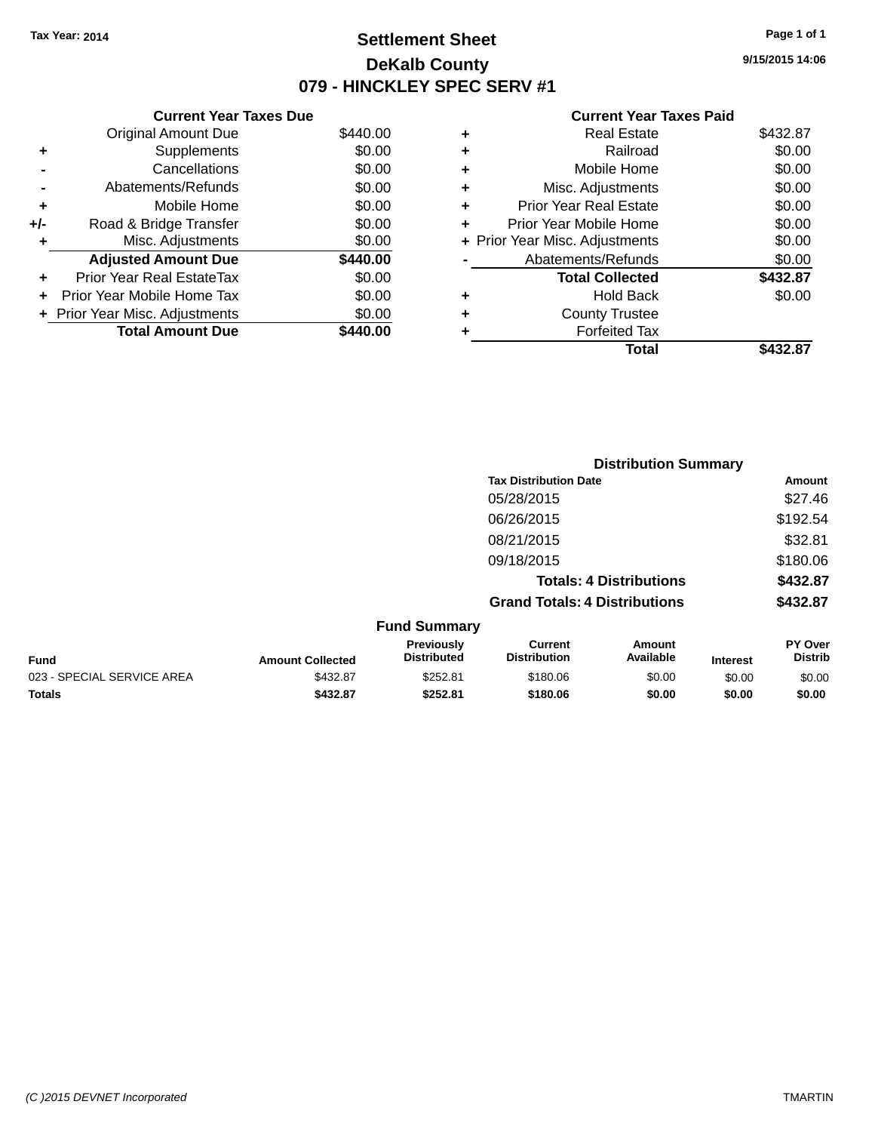# **Settlement Sheet Tax Year: 2014 Page 1 of 1 DeKalb County 079 - HINCKLEY SPEC SERV #1**

**9/15/2015 14:06**

|     | <b>Current Year Taxes Due</b>    |          |
|-----|----------------------------------|----------|
|     | <b>Original Amount Due</b>       | \$440.00 |
| ٠   | Supplements                      | \$0.00   |
|     | Cancellations                    | \$0.00   |
|     | Abatements/Refunds               | \$0.00   |
| ٠   | Mobile Home                      | \$0.00   |
| +/- | Road & Bridge Transfer           | \$0.00   |
| ٠   | Misc. Adjustments                | \$0.00   |
|     | <b>Adjusted Amount Due</b>       | \$440.00 |
| ٠   | <b>Prior Year Real EstateTax</b> | \$0.00   |
| ÷   | Prior Year Mobile Home Tax       | \$0.00   |
|     | + Prior Year Misc. Adjustments   | \$0.00   |
|     | <b>Total Amount Due</b>          | 440.00   |

|   | Total                          | \$432.87 |
|---|--------------------------------|----------|
| ٠ | <b>Forfeited Tax</b>           |          |
| ٠ | <b>County Trustee</b>          |          |
| ٠ | Hold Back                      | \$0.00   |
|   | <b>Total Collected</b>         | \$432.87 |
|   | Abatements/Refunds             | \$0.00   |
|   | + Prior Year Misc. Adjustments | \$0.00   |
| ٠ | Prior Year Mobile Home         | \$0.00   |
| ÷ | Prior Year Real Estate         | \$0.00   |
| ٠ | Misc. Adjustments              | \$0.00   |
| ٠ | Mobile Home                    | \$0.00   |
| ٠ | Railroad                       | \$0.00   |
| ٠ | <b>Real Estate</b>             | \$432.87 |
|   |                                |          |

|                            |                         | <b>Distribution Summary</b>      |                                      |                                |                 |                           |
|----------------------------|-------------------------|----------------------------------|--------------------------------------|--------------------------------|-----------------|---------------------------|
|                            |                         |                                  | <b>Tax Distribution Date</b>         |                                |                 | Amount                    |
|                            |                         |                                  | 05/28/2015                           |                                |                 | \$27.46                   |
|                            |                         |                                  | 06/26/2015                           |                                |                 | \$192.54                  |
|                            |                         |                                  | 08/21/2015                           |                                |                 | \$32.81                   |
|                            |                         |                                  | 09/18/2015                           |                                |                 | \$180.06                  |
|                            |                         |                                  |                                      | <b>Totals: 4 Distributions</b> |                 | \$432.87                  |
|                            |                         |                                  | <b>Grand Totals: 4 Distributions</b> |                                |                 | \$432.87                  |
|                            |                         | <b>Fund Summary</b>              |                                      |                                |                 |                           |
| <b>Fund</b>                | <b>Amount Collected</b> | Previously<br><b>Distributed</b> | Current<br><b>Distribution</b>       | <b>Amount</b><br>Available     | <b>Interest</b> | PY Over<br><b>Distrib</b> |
| 023 - SPECIAL SERVICE AREA | \$432.87                | \$252.81                         | \$180.06                             | \$0.00                         | \$0.00          | \$0.00                    |
| <b>Totals</b>              | \$432.87                | \$252.81                         | \$180.06                             | \$0.00                         | \$0.00          | \$0.00                    |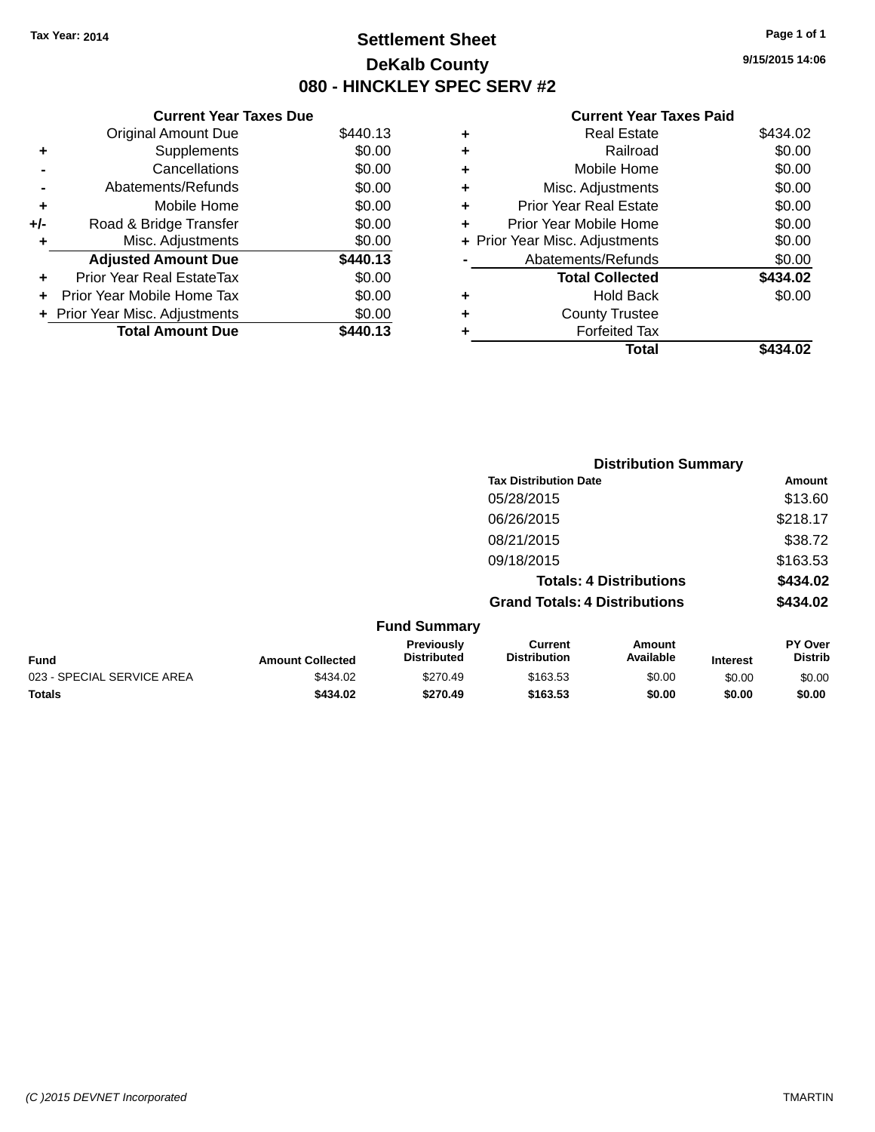# **Settlement Sheet Tax Year: 2014 Page 1 of 1 DeKalb County 080 - HINCKLEY SPEC SERV #2**

**9/15/2015 14:06**

|     | <b>Current Year Taxes Due</b>    |          |           |   |
|-----|----------------------------------|----------|-----------|---|
|     | <b>Original Amount Due</b>       | \$440.13 | ٠         |   |
|     | <b>Supplements</b>               | \$0.00   | ٠         |   |
|     | Cancellations                    | \$0.00   | ٠         |   |
|     | Abatements/Refunds               | \$0.00   | ٠         |   |
|     | Mobile Home                      | \$0.00   | ٠         |   |
| +/- | Road & Bridge Transfer           | \$0.00   |           | P |
|     | Misc. Adjustments                | \$0.00   | + Prior Y |   |
|     | <b>Adjusted Amount Due</b>       | \$440.13 |           |   |
| ÷   | <b>Prior Year Real EstateTax</b> | \$0.00   |           |   |
|     | Prior Year Mobile Home Tax       | \$0.00   | ٠         |   |
|     | + Prior Year Misc. Adjustments   | \$0.00   | ٠         |   |
|     | <b>Total Amount Due</b>          | \$440.13 |           |   |

| ٠ | <b>Real Estate</b>             | \$434.02 |
|---|--------------------------------|----------|
| ٠ | Railroad                       | \$0.00   |
| ٠ | Mobile Home                    | \$0.00   |
| ٠ | Misc. Adjustments              | \$0.00   |
| ٠ | <b>Prior Year Real Estate</b>  | \$0.00   |
| ÷ | Prior Year Mobile Home         | \$0.00   |
|   | + Prior Year Misc. Adjustments | \$0.00   |
|   | Abatements/Refunds             | \$0.00   |
|   | <b>Total Collected</b>         | \$434.02 |
| ٠ | Hold Back                      | \$0.00   |
| ٠ | <b>County Trustee</b>          |          |
| ٠ | <b>Forfeited Tax</b>           |          |
|   | Total                          | \$434.02 |
|   |                                |          |

|                            |                         | <b>Distribution Summary</b>      |                                      |                                |                 |                           |
|----------------------------|-------------------------|----------------------------------|--------------------------------------|--------------------------------|-----------------|---------------------------|
|                            |                         |                                  | <b>Tax Distribution Date</b>         |                                |                 | <b>Amount</b>             |
|                            |                         |                                  | 05/28/2015                           |                                |                 | \$13.60                   |
|                            |                         |                                  | 06/26/2015                           |                                |                 | \$218.17                  |
|                            |                         |                                  | 08/21/2015                           |                                |                 | \$38.72                   |
|                            |                         |                                  | 09/18/2015                           |                                |                 | \$163.53                  |
|                            |                         |                                  |                                      | <b>Totals: 4 Distributions</b> |                 | \$434.02                  |
|                            |                         |                                  | <b>Grand Totals: 4 Distributions</b> |                                |                 | \$434.02                  |
|                            |                         | <b>Fund Summary</b>              |                                      |                                |                 |                           |
| <b>Fund</b>                | <b>Amount Collected</b> | Previously<br><b>Distributed</b> | Current<br><b>Distribution</b>       | Amount<br>Available            | <b>Interest</b> | PY Over<br><b>Distrib</b> |
| 023 - SPECIAL SERVICE AREA | \$434.02                | \$270.49                         | \$163.53                             | \$0.00                         | \$0.00          | \$0.00                    |
| <b>Totals</b>              | \$434.02                | \$270.49                         | \$163.53                             | \$0.00                         | \$0.00          | \$0.00                    |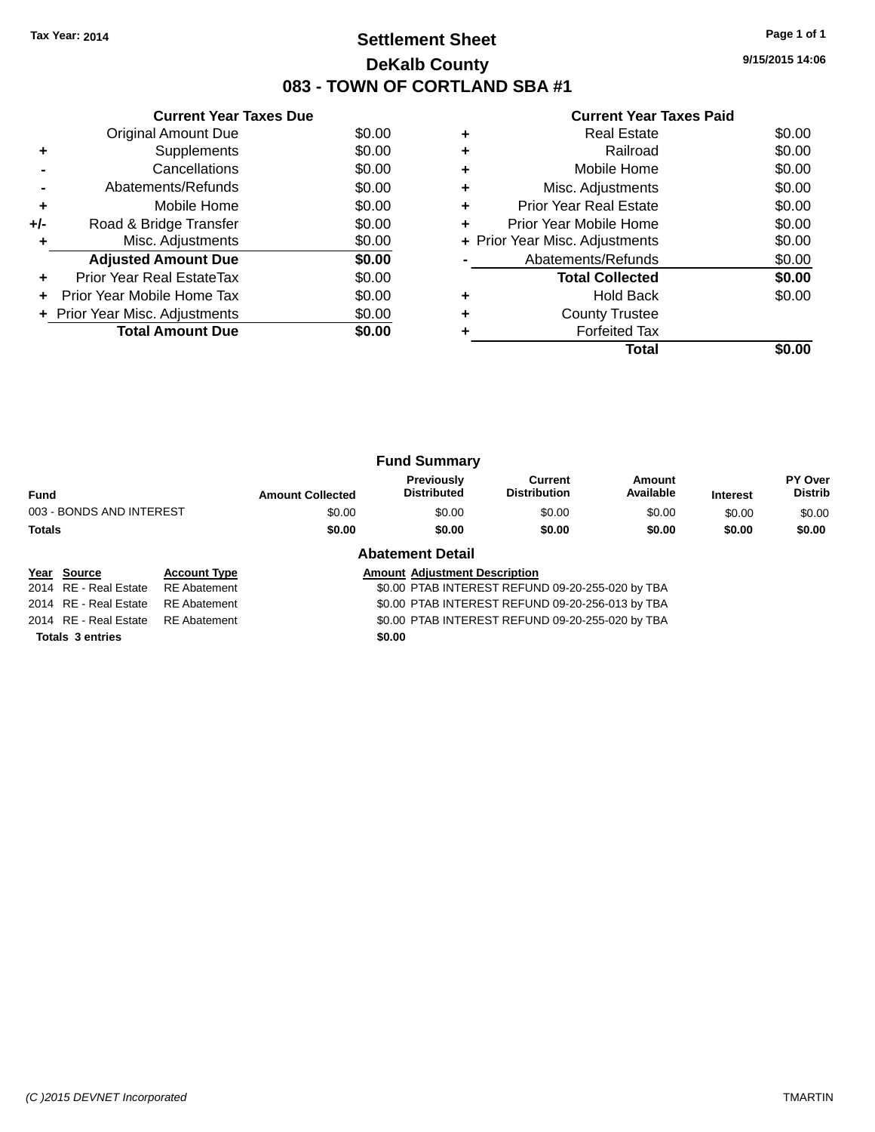# **Settlement Sheet Tax Year: 2014 Page 1 of 1 DeKalb County 083 - TOWN OF CORTLAND SBA #1**

**9/15/2015 14:06**

|     | <b>Current Year Taxes Due</b>  |        |
|-----|--------------------------------|--------|
|     | <b>Original Amount Due</b>     | \$0.00 |
|     | Supplements                    | \$0.00 |
|     | Cancellations                  | \$0.00 |
|     | Abatements/Refunds             | \$0.00 |
| ٠   | Mobile Home                    | \$0.00 |
| +/- | Road & Bridge Transfer         | \$0.00 |
|     | Misc. Adjustments              | \$0.00 |
|     | <b>Adjusted Amount Due</b>     | \$0.00 |
| ÷   | Prior Year Real EstateTax      | \$0.00 |
|     | Prior Year Mobile Home Tax     | \$0.00 |
|     | + Prior Year Misc. Adjustments | \$0.00 |
|     | <b>Total Amount Due</b>        | \$0.00 |
|     |                                |        |

#### **Current Year Taxes Paid**

|   | <b>Real Estate</b>             | \$0.00 |
|---|--------------------------------|--------|
|   | Railroad                       | \$0.00 |
| ٠ | Mobile Home                    | \$0.00 |
| ٠ | Misc. Adjustments              | \$0.00 |
| ٠ | <b>Prior Year Real Estate</b>  | \$0.00 |
| ٠ | Prior Year Mobile Home         | \$0.00 |
|   | + Prior Year Misc. Adjustments | \$0.00 |
|   | Abatements/Refunds             | \$0.00 |
|   | <b>Total Collected</b>         | \$0.00 |
|   | <b>Hold Back</b>               | \$0.00 |
|   | <b>County Trustee</b>          |        |
|   | <b>Forfeited Tax</b>           |        |
|   | Total                          |        |

|                          |                         | <b>Fund Summary</b>              |                                |                     |                 |                           |
|--------------------------|-------------------------|----------------------------------|--------------------------------|---------------------|-----------------|---------------------------|
| <b>Fund</b>              | <b>Amount Collected</b> | Previously<br><b>Distributed</b> | Current<br><b>Distribution</b> | Amount<br>Available | <b>Interest</b> | PY Over<br><b>Distrib</b> |
| 003 - BONDS AND INTEREST | \$0.00                  | \$0.00                           | \$0.00                         | \$0.00              | \$0.00          | \$0.00                    |
| Totals                   | \$0.00                  | \$0.00                           | \$0.00                         | \$0.00              | \$0.00          | \$0.00                    |
|                          | .                       | ---                              |                                |                     |                 |                           |

# **Year** Source **Account Type Account Adjustment Description**

# **Abatement Detail**

2014 RE - Real Estate RE Abatement \$0.00 PTAB INTEREST REFUND 09-20-255-020 by TBA 2014 RE - Real Estate RE Abatement \$0.00 PTAB INTEREST REFUND 09-20-256-013 by TBA 2014 RE - Real Estate RE Abatement \$0.00 PTAB INTEREST REFUND 09-20-255-020 by TBA

**Totals 3 entries \$0.00**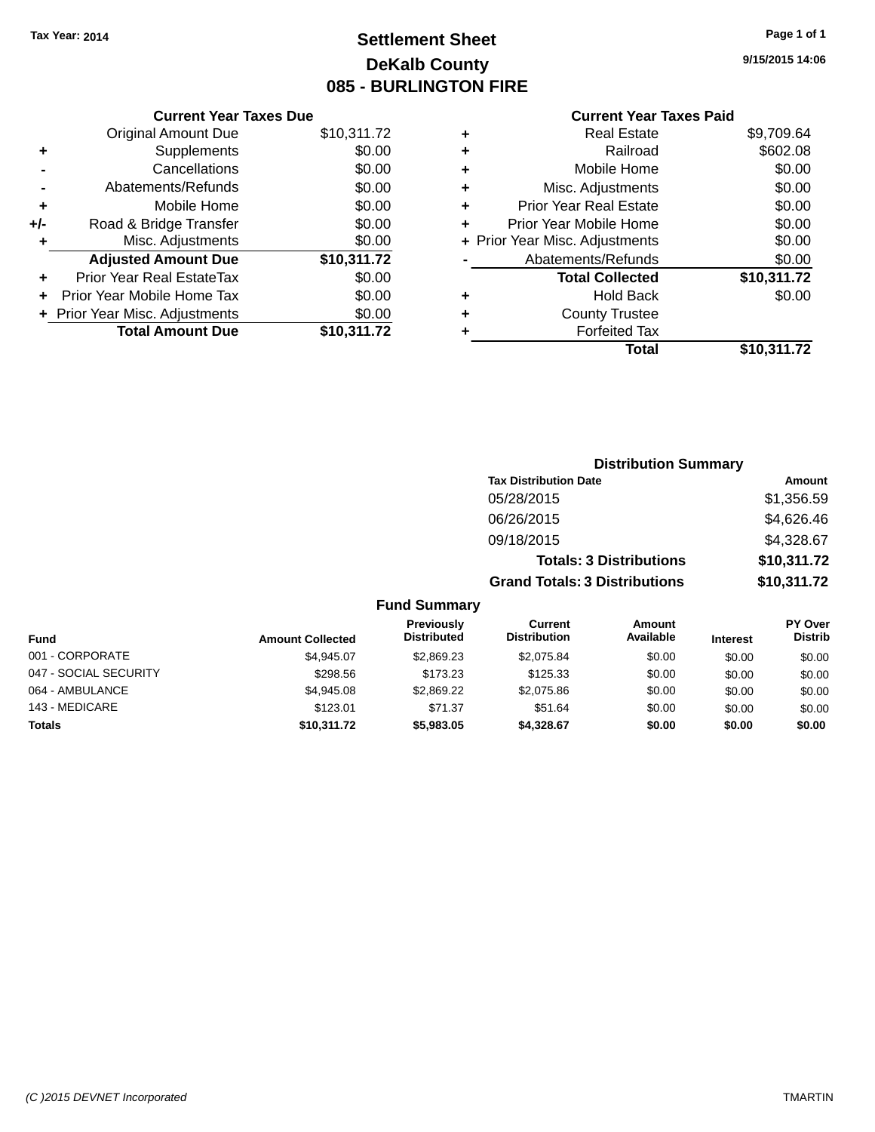# **Settlement Sheet Tax Year: 2014 Page 1 of 1 DeKalb County 085 - BURLINGTON FIRE**

| <b>Current Year Taxes Due</b>  |             |
|--------------------------------|-------------|
| <b>Original Amount Due</b>     | \$10,311.72 |
| Supplements                    | \$0.00      |
| Cancellations                  | \$0.00      |
| Abatements/Refunds             | \$0.00      |
| Mobile Home                    | \$0.00      |
| Road & Bridge Transfer         | \$0.00      |
| Misc. Adjustments              | \$0.00      |
| <b>Adjusted Amount Due</b>     | \$10,311.72 |
| Prior Year Real EstateTax      | \$0.00      |
| Prior Year Mobile Home Tax     | \$0.00      |
| + Prior Year Misc. Adjustments | \$0.00      |
| <b>Total Amount Due</b>        | \$10,311.72 |
|                                |             |

| ٠ | <b>Real Estate</b>             | \$9,709.64  |
|---|--------------------------------|-------------|
| ٠ | Railroad                       | \$602.08    |
| ٠ | Mobile Home                    | \$0.00      |
| ٠ | Misc. Adjustments              | \$0.00      |
| ٠ | <b>Prior Year Real Estate</b>  | \$0.00      |
| ٠ | Prior Year Mobile Home         | \$0.00      |
|   | + Prior Year Misc. Adjustments | \$0.00      |
|   | Abatements/Refunds             | \$0.00      |
|   | <b>Total Collected</b>         | \$10,311.72 |
| ٠ | <b>Hold Back</b>               | \$0.00      |
| ٠ | <b>County Trustee</b>          |             |
|   | <b>Forfeited Tax</b>           |             |
|   | Total                          | \$10,311.72 |
|   |                                |             |

|                         |                                  |                                       | <b>Distribution Summary</b>    |                 |                                  |
|-------------------------|----------------------------------|---------------------------------------|--------------------------------|-----------------|----------------------------------|
|                         |                                  | <b>Tax Distribution Date</b>          |                                |                 | Amount                           |
|                         |                                  | 05/28/2015                            |                                |                 | \$1,356.59                       |
|                         |                                  | 06/26/2015                            |                                |                 | \$4,626.46                       |
|                         |                                  | 09/18/2015                            |                                |                 | \$4,328.67                       |
|                         |                                  |                                       | <b>Totals: 3 Distributions</b> |                 | \$10,311.72                      |
|                         |                                  | <b>Grand Totals: 3 Distributions</b>  |                                |                 | \$10,311.72                      |
|                         | <b>Fund Summary</b>              |                                       |                                |                 |                                  |
| <b>Amount Collected</b> | Previously<br><b>Distributed</b> | <b>Current</b><br><b>Distribution</b> | Amount<br>Available            | <b>Interest</b> | <b>PY Over</b><br><b>Distrib</b> |

| <b>Fund</b>           | <b>Amount Collected</b> | .<br><b>Distributed</b> | ------<br><b>Distribution</b> | <u>AUDUCTIO</u><br>Available | <b>Interest</b> | .<br><b>Distrib</b> |
|-----------------------|-------------------------|-------------------------|-------------------------------|------------------------------|-----------------|---------------------|
| 001 - CORPORATE       | \$4.945.07              | \$2,869.23              | \$2.075.84                    | \$0.00                       | \$0.00          | \$0.00              |
| 047 - SOCIAL SECURITY | \$298.56                | \$173.23                | \$125.33                      | \$0.00                       | \$0.00          | \$0.00              |
| 064 - AMBULANCE       | \$4,945.08              | \$2,869.22              | \$2,075.86                    | \$0.00                       | \$0.00          | \$0.00              |
| 143 - MEDICARE        | \$123.01                | \$71.37                 | \$51.64                       | \$0.00                       | \$0.00          | \$0.00              |
| <b>Totals</b>         | \$10,311.72             | \$5,983,05              | \$4,328.67                    | \$0.00                       | \$0.00          | \$0.00              |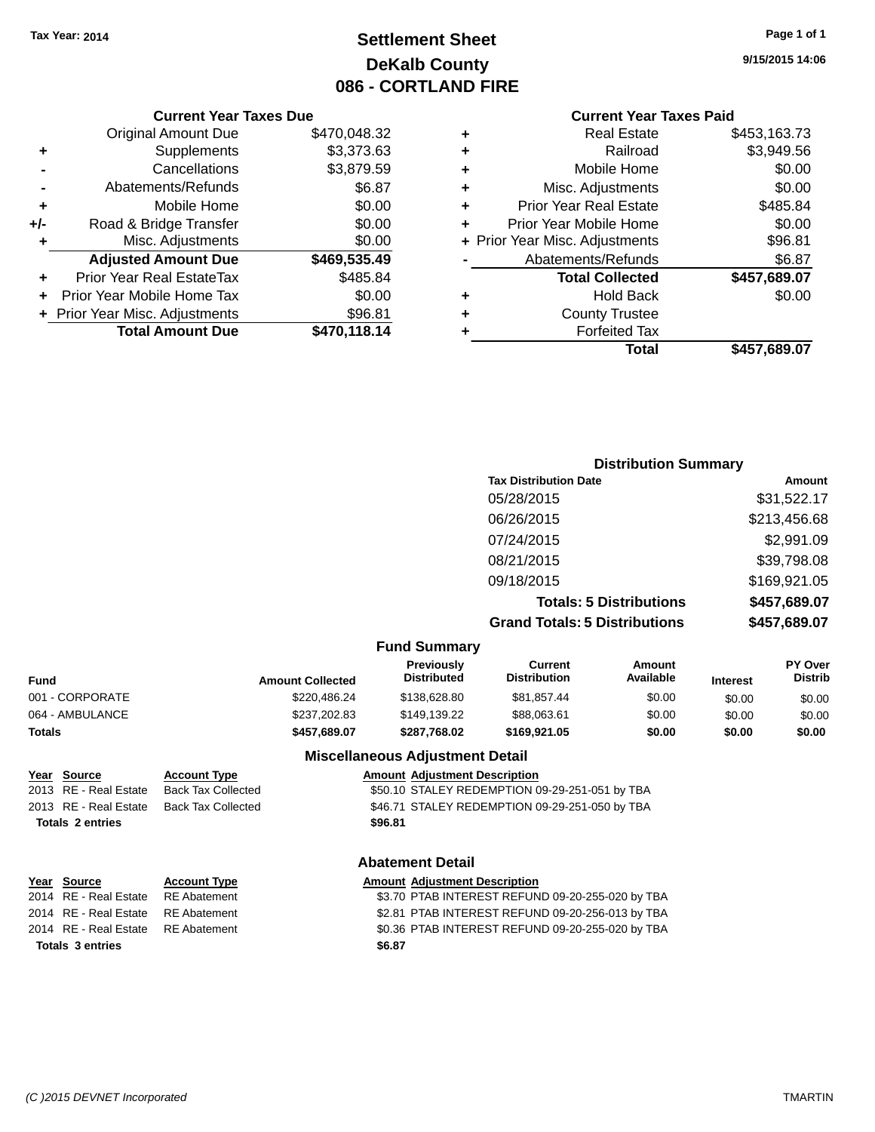# **Settlement Sheet Tax Year: 2014 Page 1 of 1 DeKalb County 086 - CORTLAND FIRE**

#### **9/15/2015 14:06**

#### **Current Year Taxes Paid**

|     | <b>Current Year Taxes Due</b>  |              |
|-----|--------------------------------|--------------|
|     | <b>Original Amount Due</b>     | \$470,048.32 |
| ٠   | Supplements                    | \$3,373.63   |
|     | Cancellations                  | \$3,879.59   |
|     | Abatements/Refunds             | \$6.87       |
| ٠   | Mobile Home                    | \$0.00       |
| +/- | Road & Bridge Transfer         | \$0.00       |
| ٠   | Misc. Adjustments              | \$0.00       |
|     | <b>Adjusted Amount Due</b>     | \$469,535.49 |
| ٠   | Prior Year Real EstateTax      | \$485.84     |
|     | Prior Year Mobile Home Tax     | \$0.00       |
|     | + Prior Year Misc. Adjustments | \$96.81      |
|     | <b>Total Amount Due</b>        | \$470,118.14 |
|     |                                |              |

|   | <b>Real Estate</b>             | \$453,163.73 |
|---|--------------------------------|--------------|
| ٠ | Railroad                       | \$3,949.56   |
| ٠ | Mobile Home                    | \$0.00       |
| ٠ | Misc. Adjustments              | \$0.00       |
| ٠ | <b>Prior Year Real Estate</b>  | \$485.84     |
| ÷ | Prior Year Mobile Home         | \$0.00       |
|   | + Prior Year Misc. Adjustments | \$96.81      |
|   | Abatements/Refunds             | \$6.87       |
|   | <b>Total Collected</b>         | \$457,689.07 |
| ٠ | Hold Back                      | \$0.00       |
| ٠ | <b>County Trustee</b>          |              |
|   | <b>Forfeited Tax</b>           |              |
|   | Total                          | \$457,689.07 |
|   |                                |              |

## **Distribution Summary Tax Distribution Date Amount** 05/28/2015 \$31,522.17 06/26/2015 \$213,456.68 07/24/2015 \$2,991.09 08/21/2015 \$39,798.08 09/18/2015 \$169,921.05 **Totals: 5 Distributions \$457,689.07 Grand Totals: 5 Distributions \$457,689.07**

|                 |                         | <b>Fund Summary</b>                     |                                       |                     |                 |                                  |
|-----------------|-------------------------|-----------------------------------------|---------------------------------------|---------------------|-----------------|----------------------------------|
| Fund            | <b>Amount Collected</b> | <b>Previously</b><br><b>Distributed</b> | <b>Current</b><br><b>Distribution</b> | Amount<br>Available | <b>Interest</b> | <b>PY Over</b><br><b>Distrib</b> |
| 001 - CORPORATE | \$220.486.24            | \$138,628,80                            | \$81.857.44                           | \$0.00              | \$0.00          | \$0.00                           |
| 064 - AMBULANCE | \$237,202.83            | \$149.139.22                            | \$88,063.61                           | \$0.00              | \$0.00          | \$0.00                           |
| <b>Totals</b>   | \$457,689.07            | \$287.768.02                            | \$169.921.05                          | \$0.00              | \$0.00          | \$0.00                           |
|                 |                         | <b>Missellanessen Automobile Detail</b> |                                       |                     |                 |                                  |

# **Totals 2 entries \$96.81**

#### **Miscellaneous Adjustment Detail**

**Year Source Account Type Amount Adjustment Description** \$50.10 STALEY REDEMPTION 09-29-251-051 by TBA 2013 RE - Real Estate Back Tax Collected \$46.71 STALEY REDEMPTION 09-29-251-050 by TBA

#### **Abatement Detail**

#### **Year Source Account Type Amount Adjustment Description**<br>2014 RE - Real Estate RE Abatement \$3.70 PTAB INTEREST REFUN \$3.70 PTAB INTEREST REFUND 09-20-255-020 by TBA 2014 RE - Real Estate RE Abatement \$2.81 PTAB INTEREST REFUND 09-20-256-013 by TBA 2014 RE - Real Estate RE Abatement \$0.36 PTAB INTEREST REFUND 09-20-255-020 by TBA **Totals 3 entries \$6.87**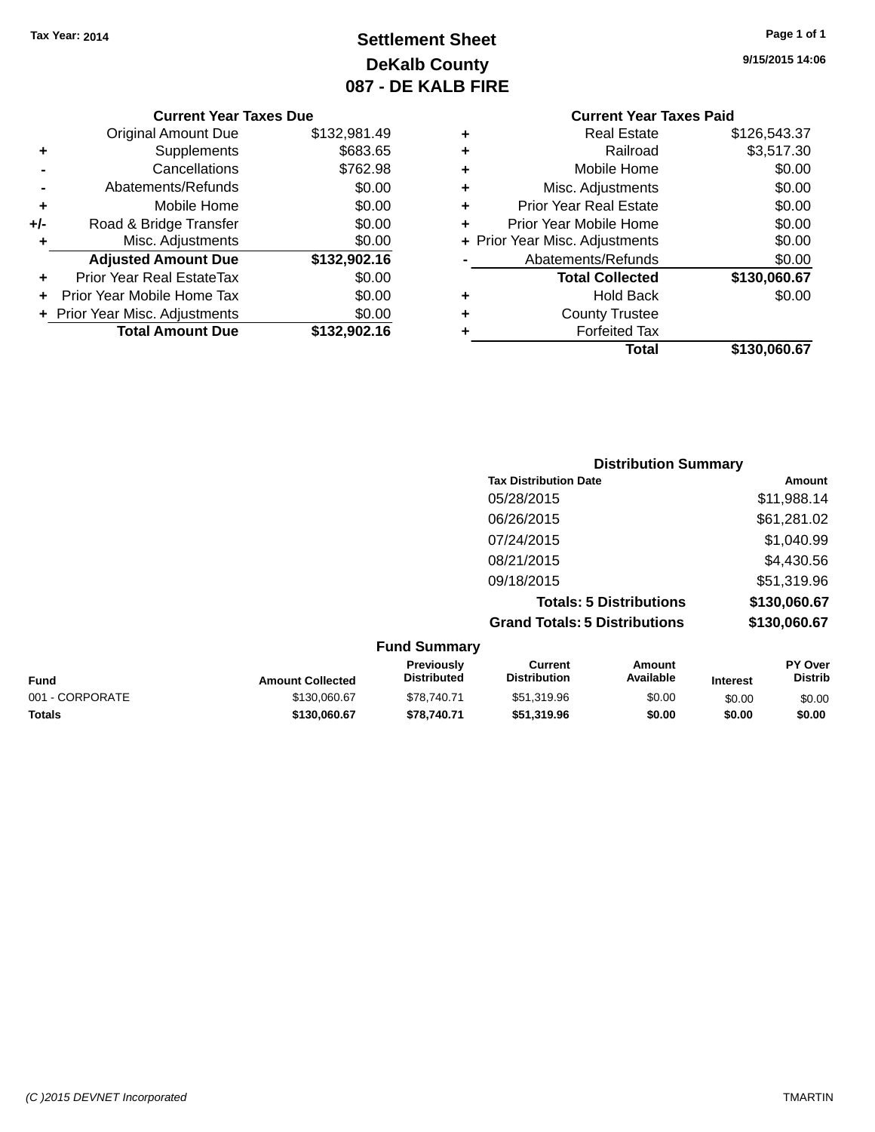# **Settlement Sheet Tax Year: 2014 Page 1 of 1 DeKalb County 087 - DE KALB FIRE**

**9/15/2015 14:06**

|     | Prior Year Real EstateTax  | \$0.00       |
|-----|----------------------------|--------------|
|     |                            |              |
|     | <b>Adjusted Amount Due</b> | \$132,902.16 |
| ٠   | Misc. Adjustments          | \$0.00       |
| +/- | Road & Bridge Transfer     | \$0.00       |
| ٠   | Mobile Home                | \$0.00       |
|     | Abatements/Refunds         | \$0.00       |
|     | Cancellations              | \$762.98     |
| ٠   | Supplements                | \$683.65     |
|     | <b>Original Amount Due</b> | \$132,981.49 |

#### **Current Year Taxes Paid +** Real Estate \$126,543.37

|   | Total                          | \$130,060.67 |
|---|--------------------------------|--------------|
|   | <b>Forfeited Tax</b>           |              |
| ٠ | <b>County Trustee</b>          |              |
|   | <b>Hold Back</b>               | \$0.00       |
|   | <b>Total Collected</b>         | \$130,060.67 |
|   | Abatements/Refunds             | \$0.00       |
|   | + Prior Year Misc. Adjustments | \$0.00       |
|   | Prior Year Mobile Home         | \$0.00       |
| ٠ | <b>Prior Year Real Estate</b>  | \$0.00       |
| ٠ | Misc. Adjustments              | \$0.00       |
| ٠ | Mobile Home                    | \$0.00       |
| ÷ | Railroad                       | \$3,517.30   |
|   | ngal Lolal <del>c</del>        | 0120,040.01  |

| <b>Distribution Summary</b>          |              |
|--------------------------------------|--------------|
| <b>Tax Distribution Date</b>         | Amount       |
| 05/28/2015                           | \$11,988.14  |
| 06/26/2015                           | \$61,281.02  |
| 07/24/2015                           | \$1,040.99   |
| 08/21/2015                           | \$4,430.56   |
| 09/18/2015                           | \$51,319.96  |
| <b>Totals: 5 Distributions</b>       | \$130,060.67 |
| <b>Grand Totals: 5 Distributions</b> | \$130,060.67 |

|                 |                         | <b>Fund Summary</b>                     |                                |                     |                 |                                  |
|-----------------|-------------------------|-----------------------------------------|--------------------------------|---------------------|-----------------|----------------------------------|
| <b>Fund</b>     | <b>Amount Collected</b> | <b>Previously</b><br><b>Distributed</b> | Current<br><b>Distribution</b> | Amount<br>Available | <b>Interest</b> | <b>PY Over</b><br><b>Distrib</b> |
| 001 - CORPORATE | \$130,060.67            | \$78,740.71                             | \$51,319.96                    | \$0.00              | \$0.00          | \$0.00                           |
| <b>Totals</b>   | \$130,060.67            | \$78.740.71                             | \$51,319.96                    | \$0.00              | \$0.00          | \$0.00                           |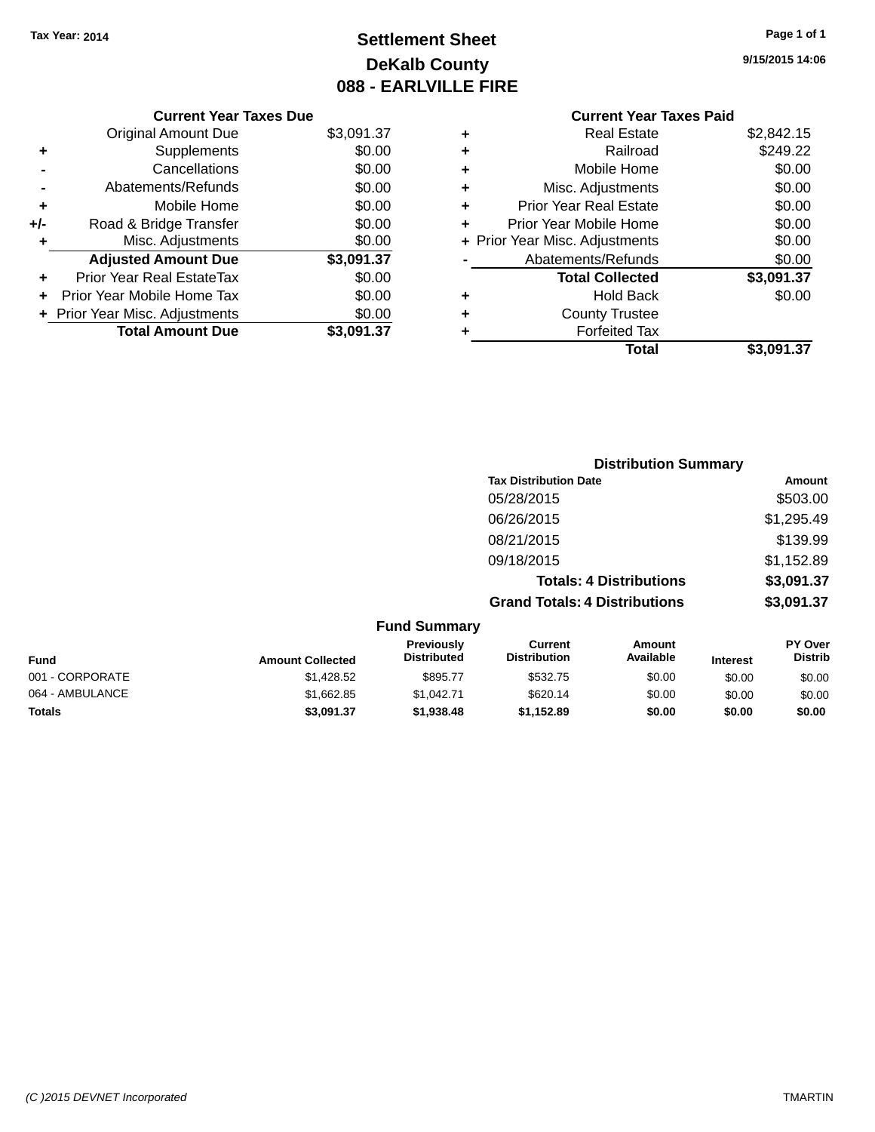# **Settlement Sheet Tax Year: 2014 Page 1 of 1 DeKalb County 088 - EARLVILLE FIRE**

**9/15/2015 14:06**

| <b>Current Year Taxes Due</b>  |            |
|--------------------------------|------------|
| <b>Original Amount Due</b>     | \$3,091.37 |
| Supplements                    | \$0.00     |
| Cancellations                  | \$0.00     |
| Abatements/Refunds             | \$0.00     |
| Mobile Home                    | \$0.00     |
| Road & Bridge Transfer         | \$0.00     |
| Misc. Adjustments              | \$0.00     |
| <b>Adjusted Amount Due</b>     | \$3,091.37 |
| Prior Year Real EstateTax      | \$0.00     |
| Prior Year Mobile Home Tax     | \$0.00     |
| + Prior Year Misc. Adjustments | \$0.00     |
|                                |            |
|                                |            |

| \$249.22   |
|------------|
|            |
| \$0.00     |
| \$0.00     |
| \$0.00     |
| \$0.00     |
| \$0.00     |
| \$0.00     |
| \$3,091.37 |
| \$0.00     |
|            |
|            |
| \$3,091.37 |
|            |

|                     |                                      | <b>Distribution Summary</b>    |                |
|---------------------|--------------------------------------|--------------------------------|----------------|
|                     | <b>Tax Distribution Date</b>         |                                | Amount         |
|                     | 05/28/2015                           |                                | \$503.00       |
|                     | 06/26/2015                           |                                | \$1,295.49     |
|                     | 08/21/2015                           |                                | \$139.99       |
|                     | 09/18/2015                           |                                | \$1,152.89     |
|                     |                                      | <b>Totals: 4 Distributions</b> | \$3,091.37     |
|                     | <b>Grand Totals: 4 Distributions</b> |                                | \$3,091.37     |
| <b>Fund Summary</b> |                                      |                                |                |
| Previously          | Current                              | Amount                         | <b>PY Over</b> |

| <b>Fund</b>     | <b>Amount Collected</b> | <b>Previously</b><br><b>Distributed</b> | Current<br><b>Distribution</b> | Amount<br>Available | <b>Interest</b> | <b>PY Over</b><br><b>Distrib</b> |
|-----------------|-------------------------|-----------------------------------------|--------------------------------|---------------------|-----------------|----------------------------------|
| 001 - CORPORATE | \$1,428.52              | \$895.77                                | \$532.75                       | \$0.00              | \$0.00          | \$0.00                           |
| 064 - AMBULANCE | \$1.662.85              | \$1.042.71                              | \$620.14                       | \$0.00              | \$0.00          | \$0.00                           |
| <b>Totals</b>   | \$3,091.37              | \$1.938.48                              | \$1.152.89                     | \$0.00              | \$0.00          | \$0.00                           |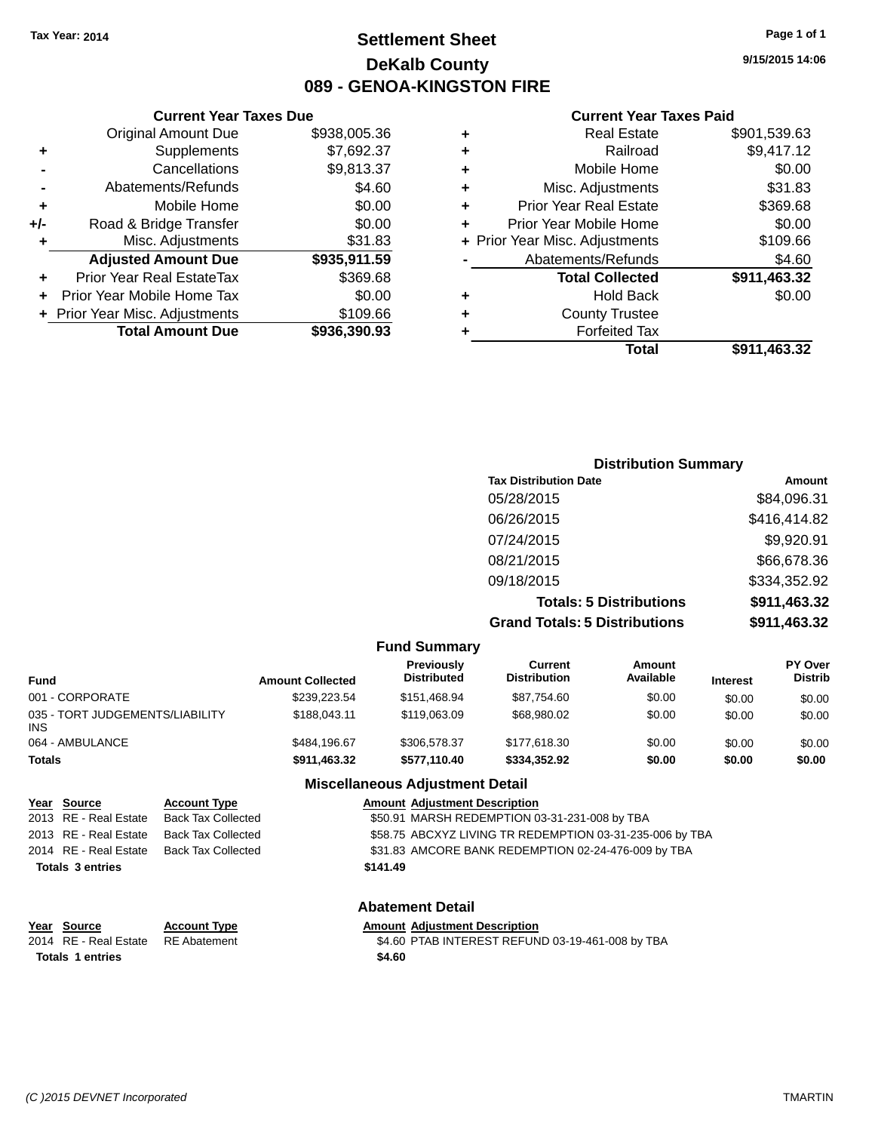# **Settlement Sheet Tax Year: 2014 Page 1 of 1 DeKalb County 089 - GENOA-KINGSTON FIRE**

**9/15/2015 14:06**

#### **Current Year Taxes Paid**

|   | <b>Forfeited Tax</b><br>Total  | \$911.463.32 |
|---|--------------------------------|--------------|
| ٠ | <b>County Trustee</b>          |              |
| ٠ | <b>Hold Back</b>               | \$0.00       |
|   | <b>Total Collected</b>         | \$911,463.32 |
|   | Abatements/Refunds             | \$4.60       |
|   | + Prior Year Misc. Adjustments | \$109.66     |
| ÷ | Prior Year Mobile Home         | \$0.00       |
| ٠ | <b>Prior Year Real Estate</b>  | \$369.68     |
| ÷ | Misc. Adjustments              | \$31.83      |
| ٠ | Mobile Home                    | \$0.00       |
| ٠ | Railroad                       | \$9,417.12   |
| ٠ | <b>Real Estate</b>             | \$901,539.63 |
|   |                                |              |

|     | <b>Current Year Taxes Due</b>    |              |
|-----|----------------------------------|--------------|
|     | <b>Original Amount Due</b>       | \$938,005.36 |
| ٠   | Supplements                      | \$7,692.37   |
|     | Cancellations                    | \$9,813.37   |
|     | Abatements/Refunds               | \$4.60       |
| ٠   | Mobile Home                      | \$0.00       |
| +/- | Road & Bridge Transfer           | \$0.00       |
| ٠   | Misc. Adjustments                | \$31.83      |
|     | <b>Adjusted Amount Due</b>       | \$935,911.59 |
|     | <b>Prior Year Real EstateTax</b> | \$369.68     |
|     | Prior Year Mobile Home Tax       | \$0.00       |
|     | + Prior Year Misc. Adjustments   | \$109.66     |
|     | <b>Total Amount Due</b>          | \$936,390.93 |

| <b>Distribution Summary</b>          |              |
|--------------------------------------|--------------|
| <b>Tax Distribution Date</b>         | Amount       |
| 05/28/2015                           | \$84,096.31  |
| 06/26/2015                           | \$416,414.82 |
| 07/24/2015                           | \$9,920.91   |
| 08/21/2015                           | \$66,678.36  |
| 09/18/2015                           | \$334,352.92 |
| <b>Totals: 5 Distributions</b>       | \$911,463.32 |
| <b>Grand Totals: 5 Distributions</b> | \$911,463.32 |

|                                                                                        |                                                                                                            |                                                                                                                                                                                                          | <b>Fund Summary</b>                     |                                |                            |                 |                           |
|----------------------------------------------------------------------------------------|------------------------------------------------------------------------------------------------------------|----------------------------------------------------------------------------------------------------------------------------------------------------------------------------------------------------------|-----------------------------------------|--------------------------------|----------------------------|-----------------|---------------------------|
| <b>Fund</b>                                                                            |                                                                                                            | <b>Amount Collected</b>                                                                                                                                                                                  | <b>Previously</b><br><b>Distributed</b> | Current<br><b>Distribution</b> | <b>Amount</b><br>Available | <b>Interest</b> | PY Over<br><b>Distrib</b> |
| 001 - CORPORATE                                                                        |                                                                                                            | \$239,223.54                                                                                                                                                                                             | \$151,468.94                            | \$87,754.60                    | \$0.00                     | \$0.00          | \$0.00                    |
| 035 - TORT JUDGEMENTS/LIABILITY<br>INS.                                                |                                                                                                            | \$188,043.11                                                                                                                                                                                             | \$119,063.09                            | \$68,980.02                    | \$0.00                     | \$0.00          | \$0.00                    |
| 064 - AMBULANCE                                                                        |                                                                                                            | \$484,196.67                                                                                                                                                                                             | \$306,578.37                            | \$177,618.30                   | \$0.00                     | \$0.00          | \$0.00                    |
| <b>Totals</b>                                                                          |                                                                                                            | \$911,463.32                                                                                                                                                                                             | \$577,110.40                            | \$334,352.92                   | \$0.00                     | \$0.00          | \$0.00                    |
|                                                                                        |                                                                                                            |                                                                                                                                                                                                          | <b>Miscellaneous Adjustment Detail</b>  |                                |                            |                 |                           |
| Year Source<br>2013 RE - Real Estate<br>2013 RE - Real Estate<br>2014 RE - Real Estate | <b>Account Type</b><br><b>Back Tax Collected</b><br><b>Back Tax Collected</b><br><b>Back Tax Collected</b> | <b>Amount Adiustment Description</b><br>\$50.91 MARSH REDEMPTION 03-31-231-008 by TBA<br>\$58.75 ABCXYZ LIVING TR REDEMPTION 03-31-235-006 by TBA<br>\$31.83 AMCORE BANK REDEMPTION 02-24-476-009 by TBA |                                         |                                |                            |                 |                           |
| <b>Totals 3 entries</b>                                                                |                                                                                                            |                                                                                                                                                                                                          | \$141.49                                |                                |                            |                 |                           |
|                                                                                        |                                                                                                            |                                                                                                                                                                                                          | <b>Abatement Detail</b>                 |                                |                            |                 |                           |

| Year Source                        | <b>Account Type</b> |        | <b>Amount Adiustment Description</b> |
|------------------------------------|---------------------|--------|--------------------------------------|
| 2014 RE - Real Estate RE Abatement |                     |        | \$4.60 PTAB INTEREST REFUN           |
| <b>Totals 1 entries</b>            |                     | \$4.60 |                                      |

# 2014 RE - Real Estate RE Abatement \$4.60 PTAB INTEREST REFUND 03-19-461-008 by TBA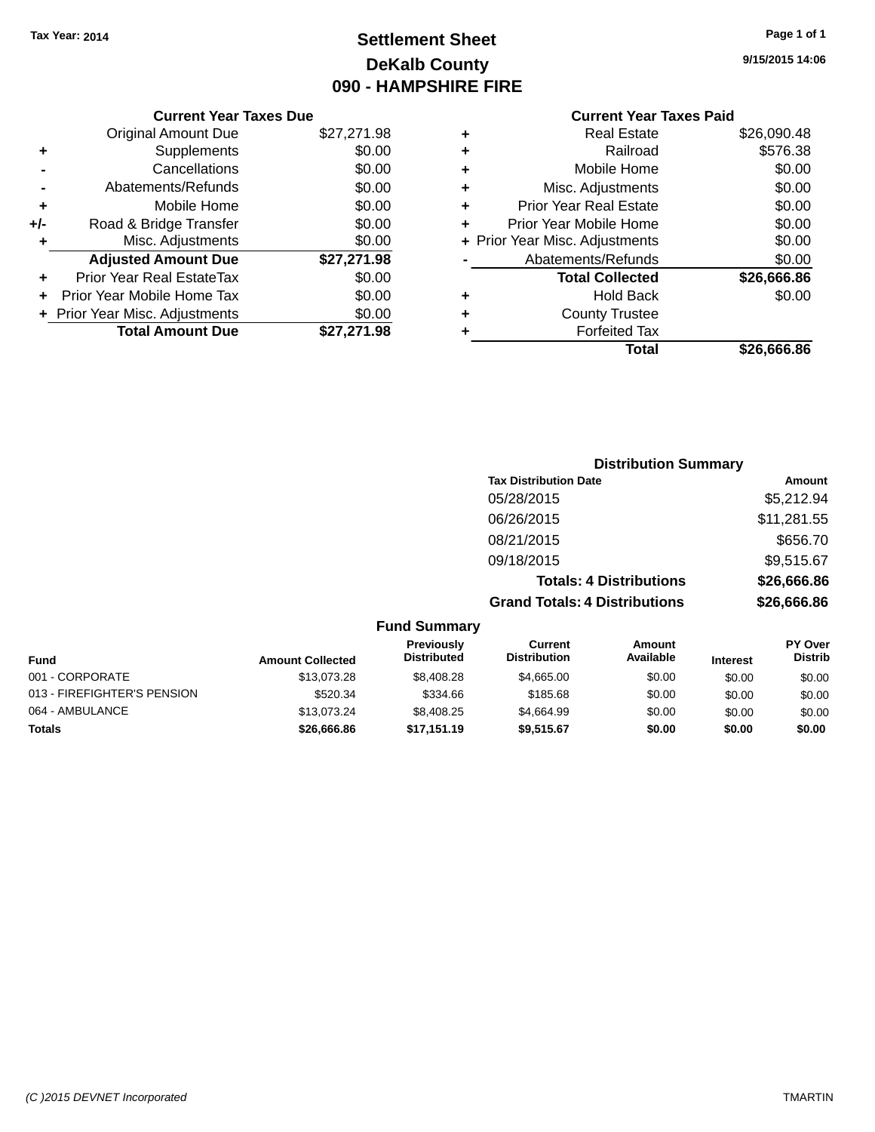# **Settlement Sheet Tax Year: 2014 Page 1 of 1 DeKalb County 090 - HAMPSHIRE FIRE**

**9/15/2015 14:06**

|     | <b>Current Year Taxes Due</b>  |             |
|-----|--------------------------------|-------------|
|     | <b>Original Amount Due</b>     | \$27,271.98 |
| ٠   | Supplements                    | \$0.00      |
|     | Cancellations                  | \$0.00      |
|     | Abatements/Refunds             | \$0.00      |
| ٠   | Mobile Home                    | \$0.00      |
| +/- | Road & Bridge Transfer         | \$0.00      |
| ٠   | Misc. Adjustments              | \$0.00      |
|     | <b>Adjusted Amount Due</b>     | \$27,271.98 |
| ٠   | Prior Year Real EstateTax      | \$0.00      |
| ÷   | Prior Year Mobile Home Tax     | \$0.00      |
|     | + Prior Year Misc. Adjustments | \$0.00      |
|     | <b>Total Amount Due</b>        | \$27,271.98 |
|     |                                |             |

| ٠ | <b>Real Estate</b>             | \$26,090.48 |
|---|--------------------------------|-------------|
| ٠ | Railroad                       | \$576.38    |
| ٠ | Mobile Home                    | \$0.00      |
| ٠ | Misc. Adjustments              | \$0.00      |
| ٠ | <b>Prior Year Real Estate</b>  | \$0.00      |
| ÷ | Prior Year Mobile Home         | \$0.00      |
|   | + Prior Year Misc. Adjustments | \$0.00      |
|   | Abatements/Refunds             | \$0.00      |
|   | <b>Total Collected</b>         | \$26,666.86 |
| ÷ | Hold Back                      | \$0.00      |
|   | <b>County Trustee</b>          |             |
| ٠ | <b>Forfeited Tax</b>           |             |
|   | Total                          | \$26,666.86 |
|   |                                |             |

|                     | <b>Distribution Summary</b>          |             |
|---------------------|--------------------------------------|-------------|
|                     | <b>Tax Distribution Date</b>         | Amount      |
|                     | 05/28/2015                           | \$5,212.94  |
|                     | 06/26/2015                           | \$11,281.55 |
|                     | 08/21/2015                           | \$656.70    |
|                     | 09/18/2015                           | \$9,515.67  |
|                     | <b>Totals: 4 Distributions</b>       | \$26,666.86 |
|                     | <b>Grand Totals: 4 Distributions</b> | \$26,666.86 |
| <b>Fund Summary</b> |                                      |             |

| unu vunnnar y           |                                  |                                |                     |                 |                                  |
|-------------------------|----------------------------------|--------------------------------|---------------------|-----------------|----------------------------------|
| <b>Amount Collected</b> | Previously<br><b>Distributed</b> | Current<br><b>Distribution</b> | Amount<br>Available | <b>Interest</b> | <b>PY Over</b><br><b>Distrib</b> |
| \$13,073.28             | \$8,408.28                       | \$4,665,00                     | \$0.00              | \$0.00          | \$0.00                           |
| \$520.34                | \$334.66                         | \$185.68                       | \$0.00              | \$0.00          | \$0.00                           |
| \$13.073.24             | \$8,408.25                       | \$4,664.99                     | \$0.00              | \$0.00          | \$0.00                           |
| \$26,666.86             | \$17,151.19                      | \$9.515.67                     | \$0.00              | \$0.00          | \$0.00                           |
|                         |                                  |                                |                     |                 |                                  |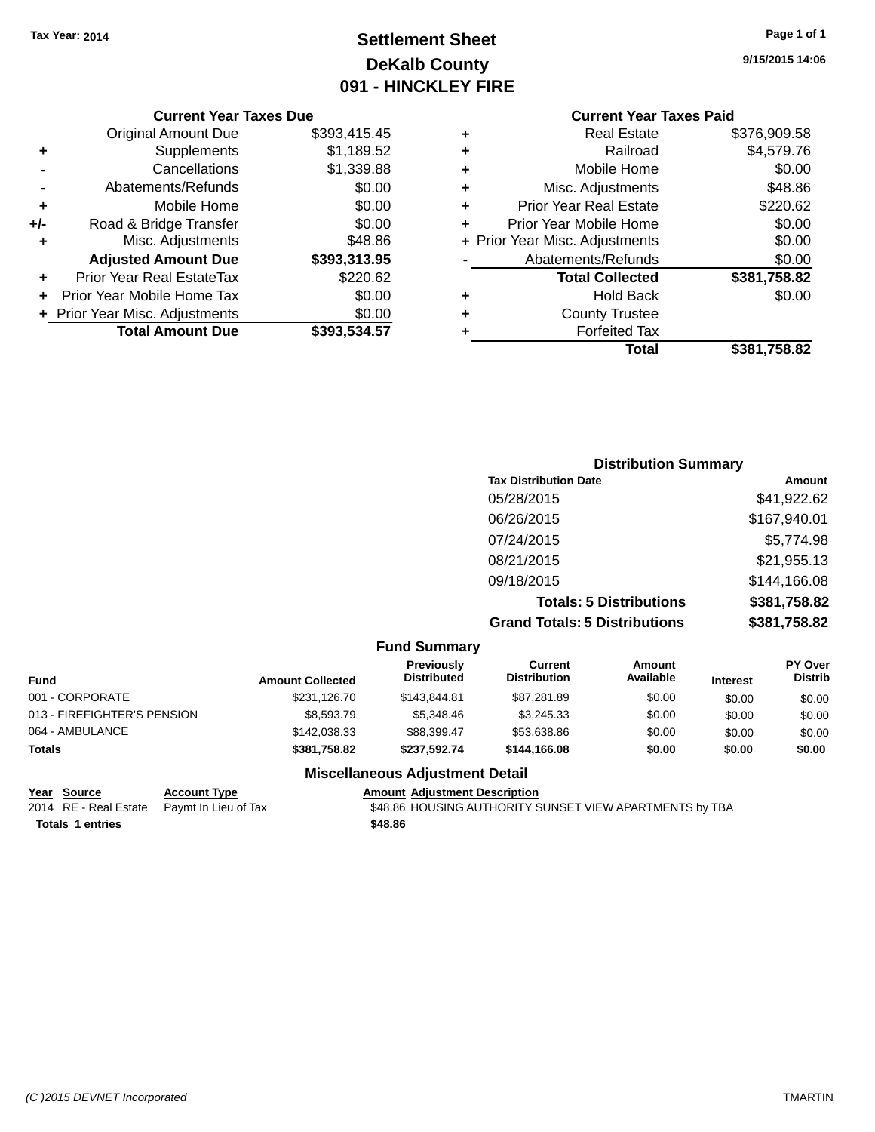# **Settlement Sheet Tax Year: 2014 Page 1 of 1 DeKalb County 091 - HINCKLEY FIRE**

**9/15/2015 14:06**

# **Current Year Taxes Paid**

|     | <b>Current Year Taxes Due</b>  |              |
|-----|--------------------------------|--------------|
|     | <b>Original Amount Due</b>     | \$393,415.45 |
| ٠   | Supplements                    | \$1,189.52   |
|     | Cancellations                  | \$1,339.88   |
|     | Abatements/Refunds             | \$0.00       |
| ٠   | Mobile Home                    | \$0.00       |
| +/- | Road & Bridge Transfer         | \$0.00       |
| ٠   | Misc. Adjustments              | \$48.86      |
|     | <b>Adjusted Amount Due</b>     | \$393,313.95 |
|     | Prior Year Real EstateTax      | \$220.62     |
| ÷   | Prior Year Mobile Home Tax     | \$0.00       |
|     | + Prior Year Misc. Adjustments | \$0.00       |
|     | <b>Total Amount Due</b>        | \$393,534.57 |
|     |                                |              |

|   | <b>Real Estate</b>             | \$376,909.58 |
|---|--------------------------------|--------------|
| ٠ | Railroad                       | \$4,579.76   |
| ٠ | Mobile Home                    | \$0.00       |
| ٠ | Misc. Adjustments              | \$48.86      |
| ٠ | <b>Prior Year Real Estate</b>  | \$220.62     |
| ÷ | Prior Year Mobile Home         | \$0.00       |
|   | + Prior Year Misc. Adjustments | \$0.00       |
|   | Abatements/Refunds             | \$0.00       |
|   | <b>Total Collected</b>         | \$381,758.82 |
| ٠ | <b>Hold Back</b>               | \$0.00       |
| ٠ | <b>County Trustee</b>          |              |
| ٠ | <b>Forfeited Tax</b>           |              |
|   | Total                          | \$381,758.82 |
|   |                                |              |

| <b>Distribution Summary</b>          |              |
|--------------------------------------|--------------|
| <b>Tax Distribution Date</b>         | Amount       |
| 05/28/2015                           | \$41,922.62  |
| 06/26/2015                           | \$167,940.01 |
| 07/24/2015                           | \$5,774.98   |
| 08/21/2015                           | \$21,955.13  |
| 09/18/2015                           | \$144,166.08 |
| <b>Totals: 5 Distributions</b>       | \$381,758.82 |
| <b>Grand Totals: 5 Distributions</b> | \$381,758.82 |

|                             |                         | <b>Fund Summary</b>              |                                |                     |                 |                                  |
|-----------------------------|-------------------------|----------------------------------|--------------------------------|---------------------|-----------------|----------------------------------|
| Fund                        | <b>Amount Collected</b> | Previously<br><b>Distributed</b> | Current<br><b>Distribution</b> | Amount<br>Available | <b>Interest</b> | <b>PY Over</b><br><b>Distrib</b> |
| 001 - CORPORATE             | \$231.126.70            | \$143,844.81                     | \$87.281.89                    | \$0.00              | \$0.00          | \$0.00                           |
| 013 - FIREFIGHTER'S PENSION | \$8,593.79              | \$5,348,46                       | \$3.245.33                     | \$0.00              | \$0.00          | \$0.00                           |
| 064 - AMBULANCE             | \$142,038,33            | \$88,399.47                      | \$53.638.86                    | \$0.00              | \$0.00          | \$0.00                           |
| <b>Totals</b>               | \$381.758.82            | \$237.592.74                     | \$144,166,08                   | \$0.00              | \$0.00          | \$0.00                           |

#### **Miscellaneous Adjustment Detail**

**Totals 1 entries \$48.86**

**Year Source Account Type Account Type Amount Adjustment Description**<br>2014 RE - Real Estate Paymt In Lieu of Tax \$48.86 HOUSING AUTHORITY S \$48.86 HOUSING AUTHORITY SUNSET VIEW APARTMENTS by TBA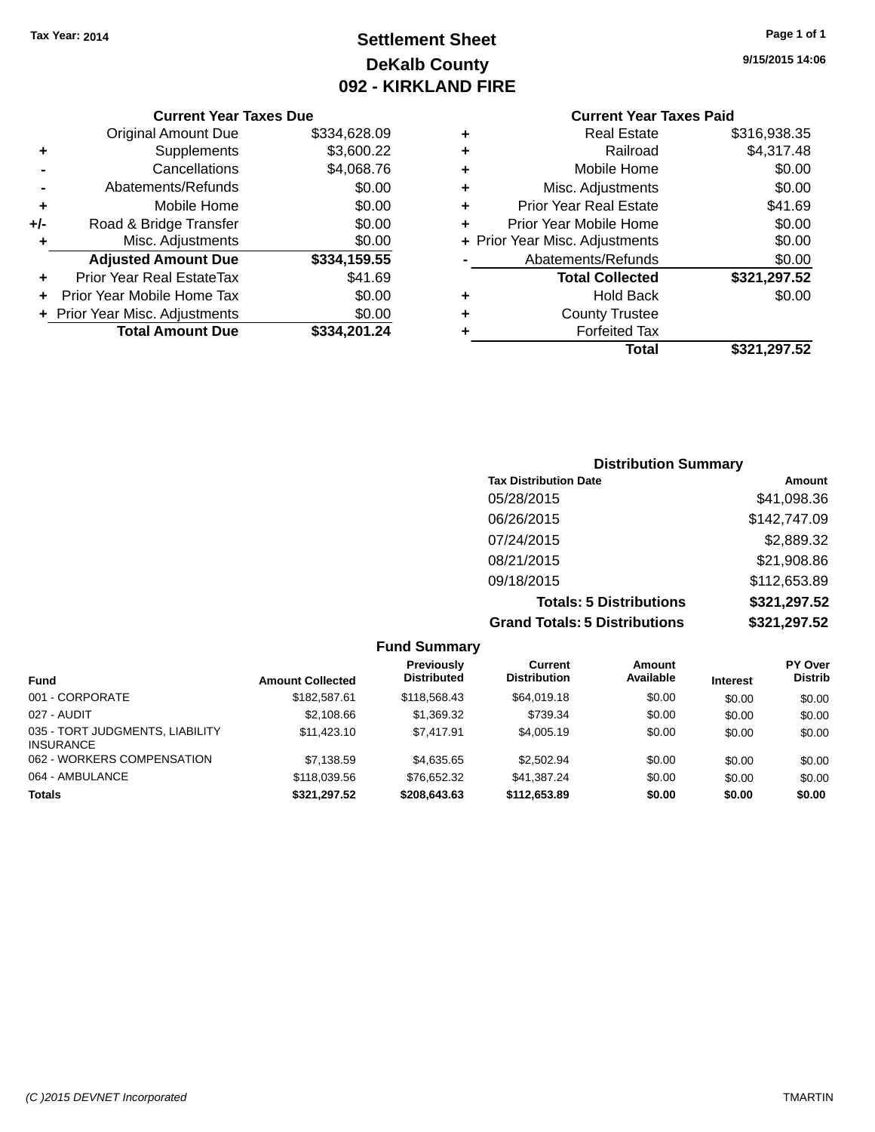# **Settlement Sheet Tax Year: 2014 Page 1 of 1 DeKalb County 092 - KIRKLAND FIRE**

**9/15/2015 14:06**

#### **Current Year Taxes Due**

|     | <b>Original Amount Due</b>       | \$334,628.09 |
|-----|----------------------------------|--------------|
| ٠   | Supplements                      | \$3,600.22   |
|     | Cancellations                    | \$4,068.76   |
|     | Abatements/Refunds               | \$0.00       |
| ٠   | Mobile Home                      | \$0.00       |
| +/- | Road & Bridge Transfer           | \$0.00       |
| ٠   | Misc. Adjustments                | \$0.00       |
|     | <b>Adjusted Amount Due</b>       | \$334,159.55 |
|     | <b>Prior Year Real EstateTax</b> | \$41.69      |
|     | Prior Year Mobile Home Tax       | \$0.00       |
|     | + Prior Year Misc. Adjustments   | \$0.00       |
|     | <b>Total Amount Due</b>          | \$334.201.24 |

# **Current Year Taxes Paid**

| ٠ | <b>Real Estate</b>             | \$316,938.35 |
|---|--------------------------------|--------------|
| ٠ | Railroad                       | \$4,317.48   |
| ٠ | Mobile Home                    | \$0.00       |
| ٠ | Misc. Adjustments              | \$0.00       |
| ٠ | <b>Prior Year Real Estate</b>  | \$41.69      |
| ٠ | Prior Year Mobile Home         | \$0.00       |
|   | + Prior Year Misc. Adjustments | \$0.00       |
|   | Abatements/Refunds             | \$0.00       |
|   | <b>Total Collected</b>         | \$321,297.52 |
| ٠ | <b>Hold Back</b>               | \$0.00       |
| ٠ | <b>County Trustee</b>          |              |
| ٠ | <b>Forfeited Tax</b>           |              |
|   | Total                          | \$321,297.52 |
|   |                                |              |

## **Distribution Summary Tax Distribution Date Amount** 05/28/2015 \$41,098.36 06/26/2015 \$142,747.09 07/24/2015 \$2,889.32 08/21/2015 \$21,908.86 09/18/2015 \$112,653.89 **Totals: 5 Distributions \$321,297.52 Grand Totals: 5 Distributions \$321,297.52**

|                                                     |                         | <b>Fund Summary</b>                     |                                |                     |                 |                                  |
|-----------------------------------------------------|-------------------------|-----------------------------------------|--------------------------------|---------------------|-----------------|----------------------------------|
| <b>Fund</b>                                         | <b>Amount Collected</b> | <b>Previously</b><br><b>Distributed</b> | Current<br><b>Distribution</b> | Amount<br>Available | <b>Interest</b> | <b>PY Over</b><br><b>Distrib</b> |
| 001 - CORPORATE                                     | \$182,587.61            | \$118,568.43                            | \$64,019.18                    | \$0.00              | \$0.00          | \$0.00                           |
| 027 - AUDIT                                         | \$2,108.66              | \$1,369.32                              | \$739.34                       | \$0.00              | \$0.00          | \$0.00                           |
| 035 - TORT JUDGMENTS, LIABILITY<br><b>INSURANCE</b> | \$11.423.10             | \$7.417.91                              | \$4,005.19                     | \$0.00              | \$0.00          | \$0.00                           |
| 062 - WORKERS COMPENSATION                          | \$7,138.59              | \$4,635.65                              | \$2,502.94                     | \$0.00              | \$0.00          | \$0.00                           |
| 064 - AMBULANCE                                     | \$118,039.56            | \$76.652.32                             | \$41.387.24                    | \$0.00              | \$0.00          | \$0.00                           |
| <b>Totals</b>                                       | \$321,297.52            | \$208,643.63                            | \$112,653.89                   | \$0.00              | \$0.00          | \$0.00                           |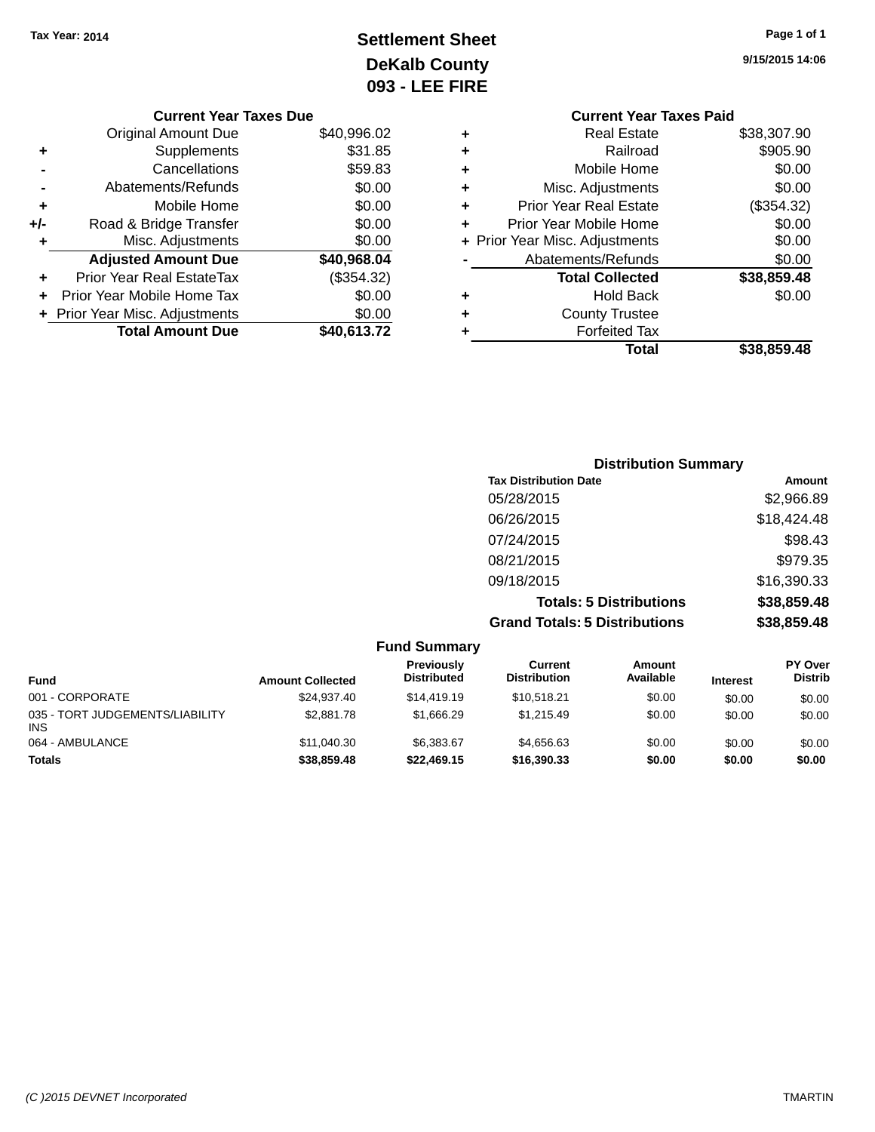# **Settlement Sheet Tax Year: 2014 Page 1 of 1 DeKalb County 093 - LEE FIRE**

|     | <b>Current Year Taxes Due</b>  |             |
|-----|--------------------------------|-------------|
|     | <b>Original Amount Due</b>     | \$40,996.02 |
| ٠   | Supplements                    | \$31.85     |
|     | Cancellations                  | \$59.83     |
|     | Abatements/Refunds             | \$0.00      |
| ٠   | Mobile Home                    | \$0.00      |
| +/- | Road & Bridge Transfer         | \$0.00      |
| ٠   | Misc. Adjustments              | \$0.00      |
|     | <b>Adjusted Amount Due</b>     | \$40,968.04 |
| ٠   | Prior Year Real EstateTax      | (\$354.32)  |
| ٠   | Prior Year Mobile Home Tax     | \$0.00      |
|     | + Prior Year Misc. Adjustments | \$0.00      |
|     | <b>Total Amount Due</b>        | \$40,613.72 |

**9/15/2015 14:06**

|   | <b>Current Year Taxes Paid</b> |             |
|---|--------------------------------|-------------|
| ٠ | <b>Real Estate</b>             | \$38,307.90 |
| ٠ | Railroad                       | \$905.90    |
| ٠ | Mobile Home                    | \$0.00      |
| ٠ | Misc. Adjustments              | \$0.00      |
| ٠ | <b>Prior Year Real Estate</b>  | (\$354.32)  |
| ÷ | Prior Year Mobile Home         | \$0.00      |
|   | + Prior Year Misc. Adjustments | \$0.00      |
|   | Abatements/Refunds             | \$0.00      |
|   | <b>Total Collected</b>         | \$38,859.48 |
| ٠ | <b>Hold Back</b>               | \$0.00      |
|   | <b>County Trustee</b>          |             |
| ٠ | <b>Forfeited Tax</b>           |             |
|   | Total                          | \$38,859.48 |
|   |                                |             |

| <b>Distribution Summary</b>          |             |
|--------------------------------------|-------------|
| <b>Tax Distribution Date</b>         | Amount      |
| 05/28/2015                           | \$2,966.89  |
| 06/26/2015                           | \$18,424.48 |
| 07/24/2015                           | \$98.43     |
| 08/21/2015                           | \$979.35    |
| 09/18/2015                           | \$16,390.33 |
| <b>Totals: 5 Distributions</b>       | \$38,859.48 |
| <b>Grand Totals: 5 Distributions</b> | \$38,859.48 |

|                                               |                         | <b>Fund Summary</b>              |                                |                            |                 |                                  |
|-----------------------------------------------|-------------------------|----------------------------------|--------------------------------|----------------------------|-----------------|----------------------------------|
| <b>Fund</b>                                   | <b>Amount Collected</b> | Previously<br><b>Distributed</b> | Current<br><b>Distribution</b> | <b>Amount</b><br>Available | <b>Interest</b> | <b>PY Over</b><br><b>Distrib</b> |
| 001 - CORPORATE                               | \$24.937.40             | \$14,419.19                      | \$10.518.21                    | \$0.00                     | \$0.00          | \$0.00                           |
| 035 - TORT JUDGEMENTS/LIABILITY<br><b>INS</b> | \$2,881.78              | \$1.666.29                       | \$1,215.49                     | \$0.00                     | \$0.00          | \$0.00                           |
| 064 - AMBULANCE                               | \$11.040.30             | \$6.383.67                       | \$4.656.63                     | \$0.00                     | \$0.00          | \$0.00                           |
| <b>Totals</b>                                 | \$38,859.48             | \$22,469.15                      | \$16,390.33                    | \$0.00                     | \$0.00          | \$0.00                           |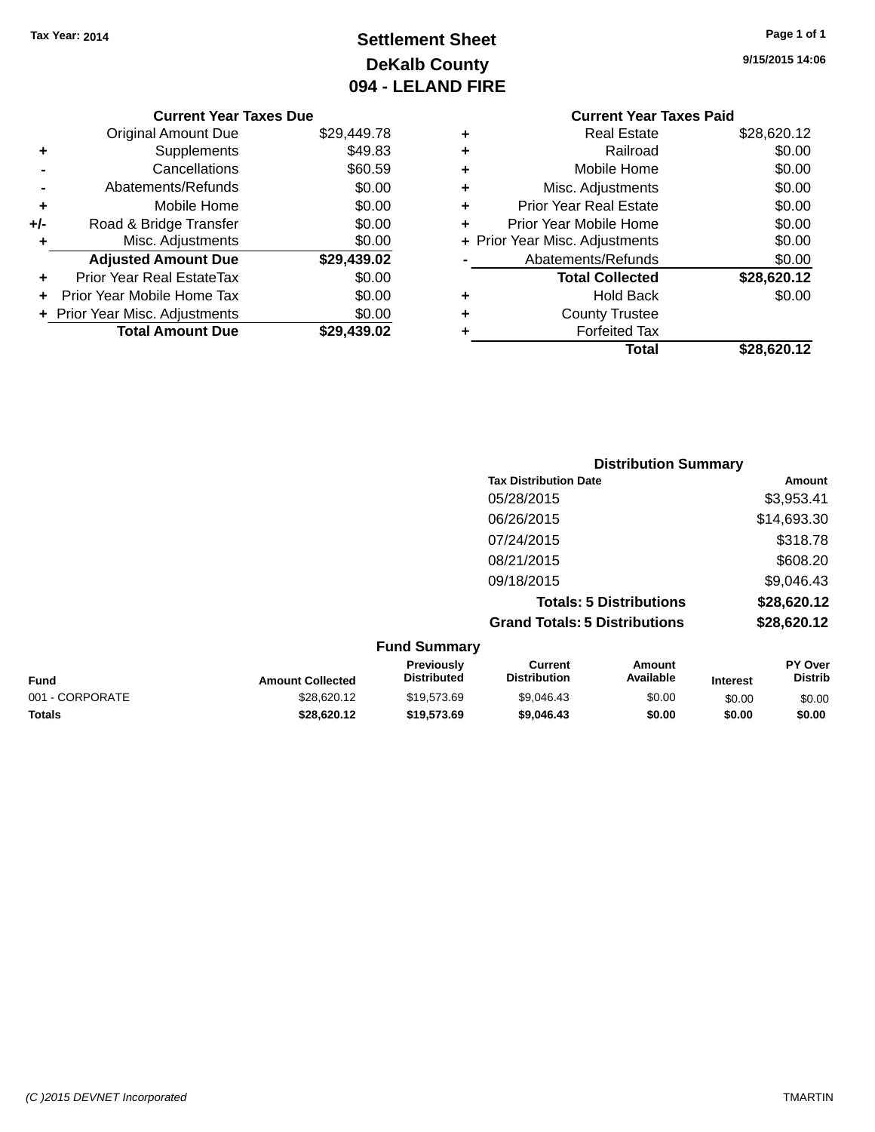# **Settlement Sheet Tax Year: 2014 Page 1 of 1 DeKalb County 094 - LELAND FIRE**

**9/15/2015 14:06**

# **Current Year Taxes Paid**

|     | <b>Original Amount Due</b>     | \$29,449.78 |
|-----|--------------------------------|-------------|
| ٠   | Supplements                    | \$49.83     |
|     | Cancellations                  | \$60.59     |
|     | Abatements/Refunds             | \$0.00      |
| ٠   | Mobile Home                    | \$0.00      |
| +/- | Road & Bridge Transfer         | \$0.00      |
| ٠   | Misc. Adjustments              | \$0.00      |
|     | <b>Adjusted Amount Due</b>     | \$29,439.02 |
| ٠   | Prior Year Real EstateTax      | \$0.00      |
|     |                                |             |
|     | Prior Year Mobile Home Tax     | \$0.00      |
|     | + Prior Year Misc. Adjustments | \$0.00      |
|     | <b>Total Amount Due</b>        | \$29,439.02 |

**Current Year Taxes Due**

| ٠ | <b>Real Estate</b>             | \$28,620.12 |
|---|--------------------------------|-------------|
| ٠ | Railroad                       | \$0.00      |
| ٠ | Mobile Home                    | \$0.00      |
| ٠ | Misc. Adjustments              | \$0.00      |
| ٠ | <b>Prior Year Real Estate</b>  | \$0.00      |
| ٠ | Prior Year Mobile Home         | \$0.00      |
|   | + Prior Year Misc. Adjustments | \$0.00      |
|   | Abatements/Refunds             | \$0.00      |
|   | <b>Total Collected</b>         | \$28,620.12 |
|   |                                |             |
| ٠ | <b>Hold Back</b>               | \$0.00      |
| ٠ | <b>County Trustee</b>          |             |
| ٠ | <b>Forfeited Tax</b>           |             |
|   | Total                          | \$28,620.12 |

| <b>Distribution Summary</b>          |             |
|--------------------------------------|-------------|
| <b>Tax Distribution Date</b>         | Amount      |
| 05/28/2015                           | \$3,953.41  |
| 06/26/2015                           | \$14,693.30 |
| 07/24/2015                           | \$318.78    |
| 08/21/2015                           | \$608.20    |
| 09/18/2015                           | \$9,046.43  |
| <b>Totals: 5 Distributions</b>       | \$28,620.12 |
| <b>Grand Totals: 5 Distributions</b> | \$28,620.12 |

| <b>Fund Summary</b> |                         |                                         |                                |                     |                 |                                  |
|---------------------|-------------------------|-----------------------------------------|--------------------------------|---------------------|-----------------|----------------------------------|
| <b>Fund</b>         | <b>Amount Collected</b> | <b>Previously</b><br><b>Distributed</b> | Current<br><b>Distribution</b> | Amount<br>Available | <b>Interest</b> | <b>PY Over</b><br><b>Distrib</b> |
| 001 - CORPORATE     | \$28,620.12             | \$19,573.69                             | \$9,046.43                     | \$0.00              | \$0.00          | \$0.00                           |
| <b>Totals</b>       | \$28,620.12             | \$19,573.69                             | \$9,046,43                     | \$0.00              | \$0.00          | \$0.00                           |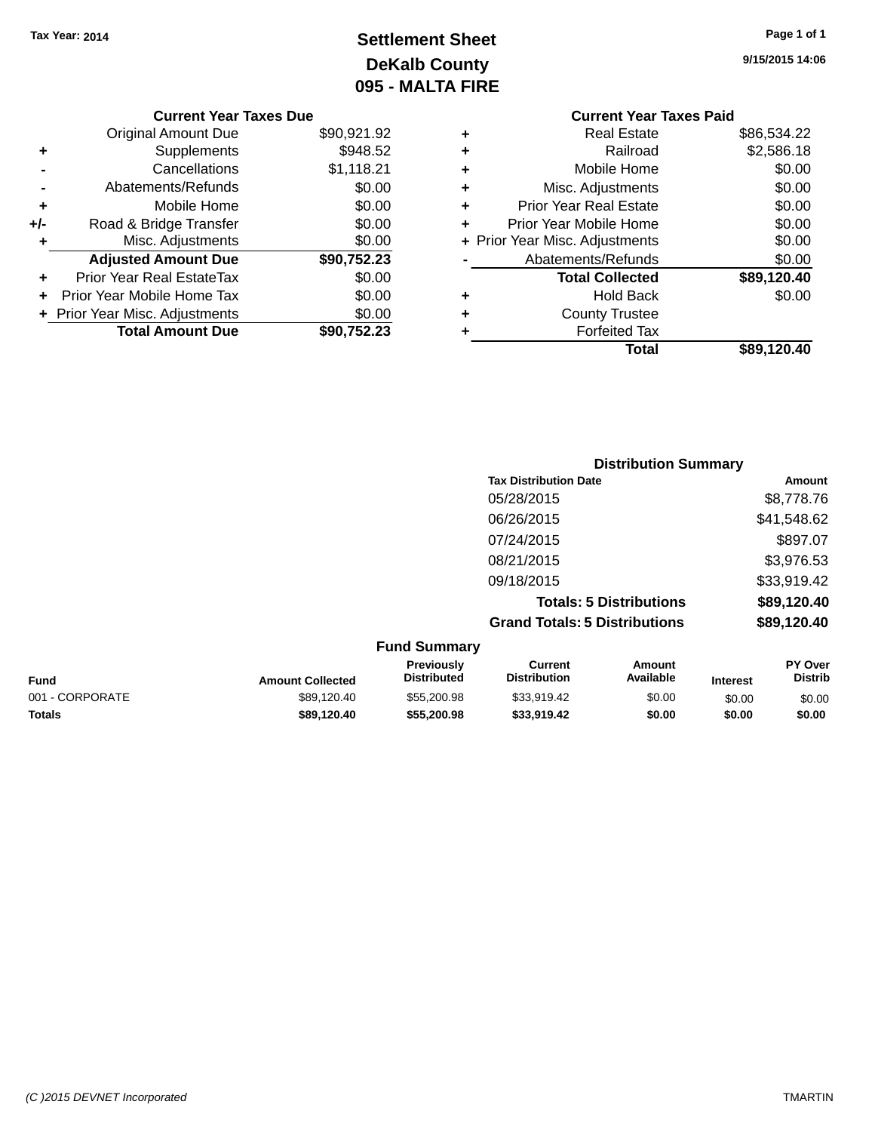# **Settlement Sheet Tax Year: 2014 Page 1 of 1 DeKalb County 095 - MALTA FIRE**

|     | <b>Current Year Taxes Due</b>    |             |
|-----|----------------------------------|-------------|
|     | <b>Original Amount Due</b>       | \$90,921.92 |
| ٠   | Supplements                      | \$948.52    |
|     | Cancellations                    | \$1,118.21  |
|     | Abatements/Refunds               | \$0.00      |
| ٠   | Mobile Home                      | \$0.00      |
| +/- | Road & Bridge Transfer           | \$0.00      |
| ٠   | Misc. Adjustments                | \$0.00      |
|     | <b>Adjusted Amount Due</b>       | \$90,752.23 |
| ٠   | <b>Prior Year Real EstateTax</b> | \$0.00      |
|     | Prior Year Mobile Home Tax       | \$0.00      |
|     | + Prior Year Misc. Adjustments   | \$0.00      |
|     | <b>Total Amount Due</b>          | \$90,752.23 |

**9/15/2015 14:06**

|   | <b>Current Year Taxes Paid</b> |             |
|---|--------------------------------|-------------|
| ٠ | <b>Real Estate</b>             | \$86,534.22 |
| ٠ | Railroad                       | \$2,586.18  |
| ٠ | Mobile Home                    | \$0.00      |
| ٠ | Misc. Adjustments              | \$0.00      |
| ٠ | <b>Prior Year Real Estate</b>  | \$0.00      |
|   | Prior Year Mobile Home         | \$0.00      |
|   | + Prior Year Misc. Adjustments | \$0.00      |
|   | Abatements/Refunds             | \$0.00      |
|   | <b>Total Collected</b>         | \$89,120.40 |
| ٠ | <b>Hold Back</b>               | \$0.00      |
| ٠ | <b>County Trustee</b>          |             |
|   | <b>Forfeited Tax</b>           |             |
|   | Total                          | \$89,120.40 |
|   |                                |             |

|                     | <b>Distribution Summary</b>          |             |
|---------------------|--------------------------------------|-------------|
|                     | <b>Tax Distribution Date</b>         | Amount      |
|                     | 05/28/2015                           | \$8,778.76  |
|                     | 06/26/2015                           | \$41,548.62 |
|                     | 07/24/2015                           | \$897.07    |
|                     | 08/21/2015                           | \$3,976.53  |
|                     | 09/18/2015                           | \$33,919.42 |
|                     | <b>Totals: 5 Distributions</b>       | \$89,120.40 |
|                     | <b>Grand Totals: 5 Distributions</b> | \$89,120.40 |
| <b>Fund Summarv</b> |                                      |             |

|                 |                         | י שווש טעווווועו ז                      |                                |                     |                 |                                  |
|-----------------|-------------------------|-----------------------------------------|--------------------------------|---------------------|-----------------|----------------------------------|
| <b>Fund</b>     | <b>Amount Collected</b> | <b>Previously</b><br><b>Distributed</b> | Current<br><b>Distribution</b> | Amount<br>Available | <b>Interest</b> | <b>PY Over</b><br><b>Distrib</b> |
| 001 - CORPORATE | \$89.120.40             | \$55,200.98                             | \$33.919.42                    | \$0.00              | \$0.00          | \$0.00                           |
| <b>Totals</b>   | \$89.120.40             | \$55,200.98                             | \$33,919.42                    | \$0.00              | \$0.00          | \$0.00                           |
|                 |                         |                                         |                                |                     |                 |                                  |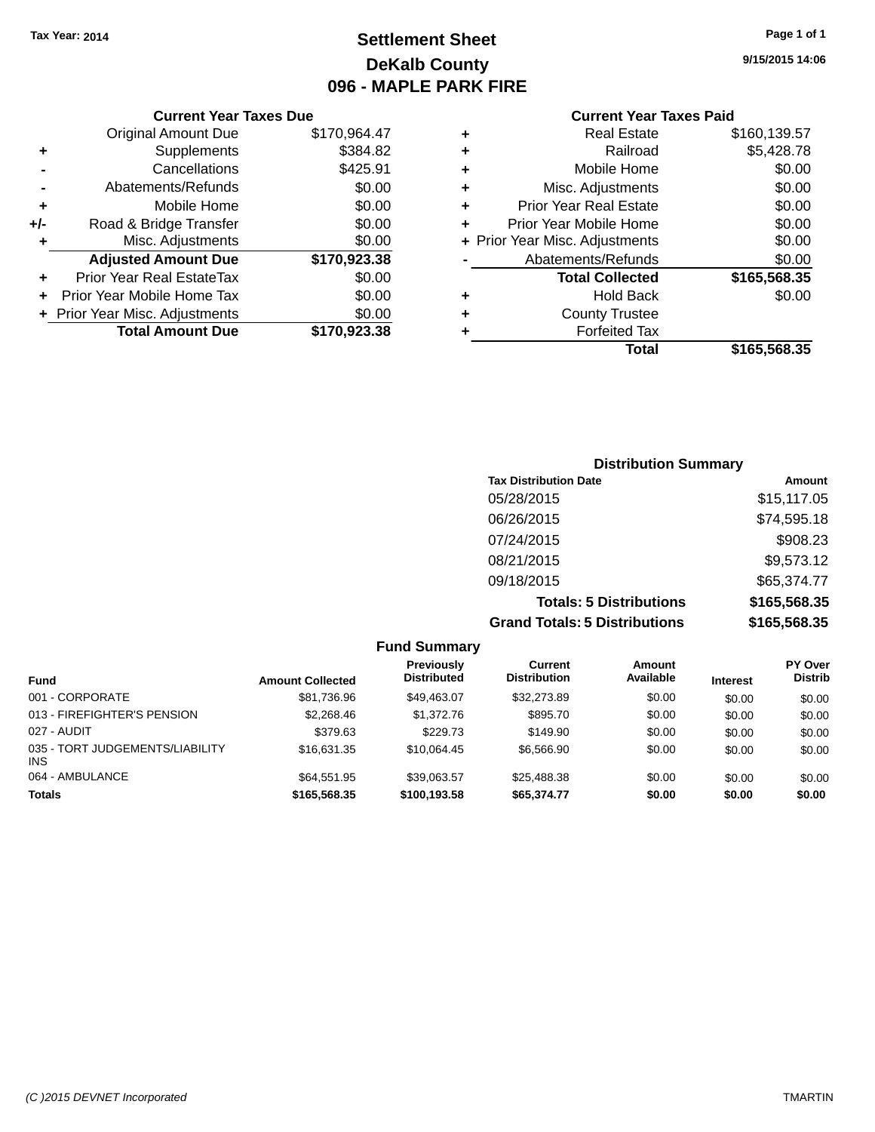# **Settlement Sheet Tax Year: 2014 Page 1 of 1 DeKalb County 096 - MAPLE PARK FIRE**

**9/15/2015 14:06**

| <b>Original Amount Due</b> | \$170,964.47                                                 |                               |
|----------------------------|--------------------------------------------------------------|-------------------------------|
| <b>Supplements</b>         | \$384.82                                                     |                               |
| Cancellations              | \$425.91                                                     |                               |
| Abatements/Refunds         | \$0.00                                                       |                               |
| Mobile Home                | \$0.00                                                       |                               |
| Road & Bridge Transfer     | \$0.00                                                       |                               |
| Misc. Adjustments          | \$0.00                                                       |                               |
| <b>Adjusted Amount Due</b> | \$170,923.38                                                 |                               |
| Prior Year Real EstateTax  | \$0.00                                                       |                               |
|                            | \$0.00                                                       |                               |
|                            | \$0.00                                                       |                               |
| <b>Total Amount Due</b>    | \$170,923.38                                                 |                               |
|                            | Prior Year Mobile Home Tax<br>+ Prior Year Misc. Adjustments | <b>Current Year Taxes Due</b> |

|   | <b>Real Estate</b>             | \$160,139.57 |
|---|--------------------------------|--------------|
| ٠ | Railroad                       | \$5,428.78   |
| ٠ | Mobile Home                    | \$0.00       |
| ٠ | Misc. Adjustments              | \$0.00       |
| ٠ | Prior Year Real Estate         | \$0.00       |
| ٠ | Prior Year Mobile Home         | \$0.00       |
|   | + Prior Year Misc. Adjustments | \$0.00       |
|   | Abatements/Refunds             | \$0.00       |
|   | <b>Total Collected</b>         | \$165,568.35 |
| ٠ | <b>Hold Back</b>               | \$0.00       |
| ٠ | <b>County Trustee</b>          |              |
|   | <b>Forfeited Tax</b>           |              |
|   | Total                          | \$165,568.35 |
|   |                                |              |

| <b>Distribution Summary</b>          |              |  |  |  |
|--------------------------------------|--------------|--|--|--|
| <b>Tax Distribution Date</b>         | Amount       |  |  |  |
| 05/28/2015                           | \$15,117.05  |  |  |  |
| 06/26/2015                           | \$74,595.18  |  |  |  |
| 07/24/2015                           | \$908.23     |  |  |  |
| 08/21/2015                           | \$9,573.12   |  |  |  |
| 09/18/2015                           | \$65,374.77  |  |  |  |
| <b>Totals: 5 Distributions</b>       | \$165,568.35 |  |  |  |
| <b>Grand Totals: 5 Distributions</b> | \$165,568.35 |  |  |  |

|                                         |                         | <b>Fund Summary</b>                     |                                       |                     |                 |                                  |
|-----------------------------------------|-------------------------|-----------------------------------------|---------------------------------------|---------------------|-----------------|----------------------------------|
| <b>Fund</b>                             | <b>Amount Collected</b> | <b>Previously</b><br><b>Distributed</b> | <b>Current</b><br><b>Distribution</b> | Amount<br>Available | <b>Interest</b> | <b>PY Over</b><br><b>Distrib</b> |
| 001 - CORPORATE                         | \$81,736.96             | \$49.463.07                             | \$32,273.89                           | \$0.00              | \$0.00          | \$0.00                           |
| 013 - FIREFIGHTER'S PENSION             | \$2,268.46              | \$1,372.76                              | \$895.70                              | \$0.00              | \$0.00          | \$0.00                           |
| 027 - AUDIT                             | \$379.63                | \$229.73                                | \$149.90                              | \$0.00              | \$0.00          | \$0.00                           |
| 035 - TORT JUDGEMENTS/LIABILITY<br>INS. | \$16.631.35             | \$10.064.45                             | \$6,566.90                            | \$0.00              | \$0.00          | \$0.00                           |
| 064 - AMBULANCE                         | \$64.551.95             | \$39.063.57                             | \$25,488,38                           | \$0.00              | \$0.00          | \$0.00                           |
| <b>Totals</b>                           | \$165,568.35            | \$100,193.58                            | \$65,374.77                           | \$0.00              | \$0.00          | \$0.00                           |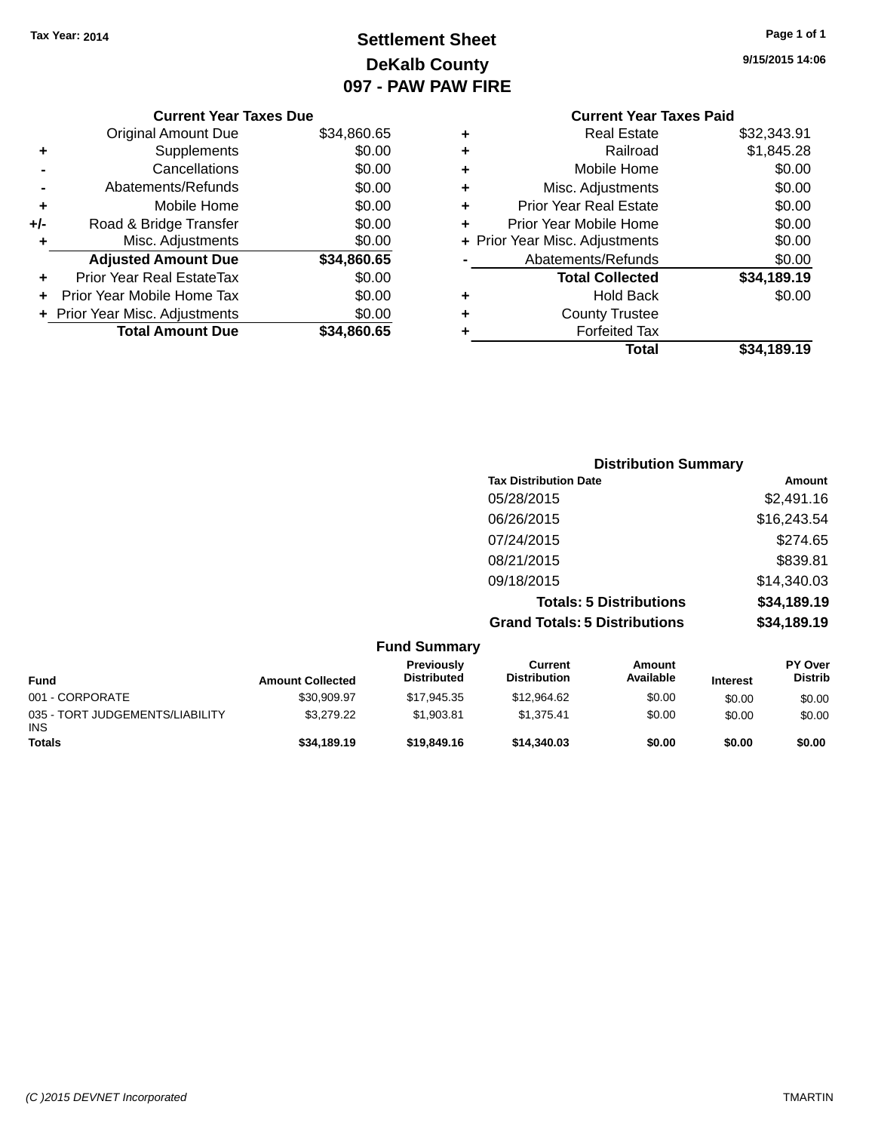# **Settlement Sheet Tax Year: 2014 Page 1 of 1 DeKalb County 097 - PAW PAW FIRE**

**9/15/2015 14:06**

|   | <b>Current Year Taxes Paid</b> |             |
|---|--------------------------------|-------------|
| ٠ | <b>Real Estate</b>             | \$32,343.91 |
|   | Railroad                       | \$1,845.28  |
| ٠ | Mobile Home                    | \$0.00      |
| ٠ | Misc. Adjustments              | \$0.00      |
|   | <b>Prior Year Real Estate</b>  | \$0.00      |
|   | Prior Year Mobile Home         | \$0.00      |
|   | + Prior Year Misc. Adjustments | \$0.00      |
|   | Abatements/Refunds             | \$0.00      |
|   | <b>Total Collected</b>         | \$34,189.19 |
| ٠ | <b>Hold Back</b>               | \$0.00      |
| ٠ | <b>County Trustee</b>          |             |
|   | <b>Forfeited Tax</b>           |             |
|   | Total                          | \$34,189.19 |

|     | <b>Current Year Taxes Due</b>  |             |
|-----|--------------------------------|-------------|
|     | <b>Original Amount Due</b>     | \$34,860.65 |
|     |                                |             |
| ٠   | Supplements                    | \$0.00      |
|     | Cancellations                  | \$0.00      |
|     | Abatements/Refunds             | \$0.00      |
| ٠   | Mobile Home                    | \$0.00      |
| +/- | Road & Bridge Transfer         | \$0.00      |
| ٠   | Misc. Adjustments              | \$0.00      |
|     | <b>Adjusted Amount Due</b>     | \$34,860.65 |
|     | Prior Year Real EstateTax      | \$0.00      |
|     | Prior Year Mobile Home Tax     | \$0.00      |
|     | + Prior Year Misc. Adjustments | \$0.00      |
|     | <b>Total Amount Due</b>        | \$34,860.65 |
|     |                                |             |

| <b>Distribution Summary</b>          |             |  |  |  |
|--------------------------------------|-------------|--|--|--|
| <b>Tax Distribution Date</b>         | Amount      |  |  |  |
| 05/28/2015                           | \$2,491.16  |  |  |  |
| 06/26/2015                           | \$16,243.54 |  |  |  |
| 07/24/2015                           | \$274.65    |  |  |  |
| 08/21/2015                           | \$839.81    |  |  |  |
| 09/18/2015                           | \$14,340.03 |  |  |  |
| <b>Totals: 5 Distributions</b>       | \$34,189.19 |  |  |  |
| <b>Grand Totals: 5 Distributions</b> | \$34,189.19 |  |  |  |

|                                               |                         | <b>Fund Summary</b>              |                                |                     |                 |                                  |
|-----------------------------------------------|-------------------------|----------------------------------|--------------------------------|---------------------|-----------------|----------------------------------|
| <b>Fund</b>                                   | <b>Amount Collected</b> | Previously<br><b>Distributed</b> | Current<br><b>Distribution</b> | Amount<br>Available | <b>Interest</b> | <b>PY Over</b><br><b>Distrib</b> |
| 001 - CORPORATE                               | \$30,909.97             | \$17.945.35                      | \$12,964.62                    | \$0.00              | \$0.00          | \$0.00                           |
| 035 - TORT JUDGEMENTS/LIABILITY<br><b>INS</b> | \$3.279.22              | \$1,903.81                       | \$1.375.41                     | \$0.00              | \$0.00          | \$0.00                           |
| <b>Totals</b>                                 | \$34,189.19             | \$19,849.16                      | \$14,340,03                    | \$0.00              | \$0.00          | \$0.00                           |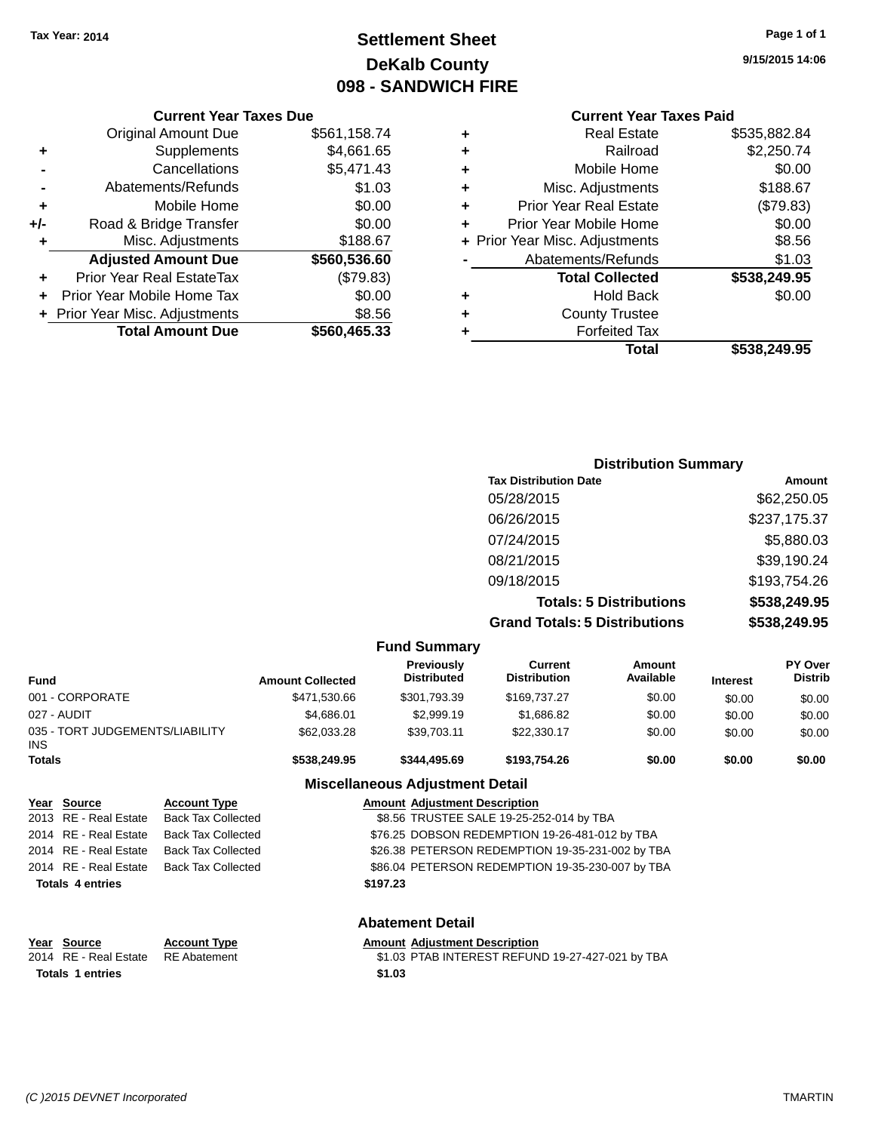# **Settlement Sheet Tax Year: 2014 Page 1 of 1 DeKalb County 098 - SANDWICH FIRE**

**9/15/2015 14:06**

# **Current Year Taxes Paid**

|   | Guilthi Italiants I alu        |              |
|---|--------------------------------|--------------|
| ٠ | <b>Real Estate</b>             | \$535,882.84 |
| ٠ | Railroad                       | \$2,250.74   |
| ÷ | Mobile Home                    | \$0.00       |
| ٠ | Misc. Adjustments              | \$188.67     |
| ٠ | <b>Prior Year Real Estate</b>  | (\$79.83)    |
| ÷ | Prior Year Mobile Home         | \$0.00       |
|   | + Prior Year Misc. Adjustments | \$8.56       |
|   | Abatements/Refunds             | \$1.03       |
|   | <b>Total Collected</b>         | \$538,249.95 |
| ٠ | <b>Hold Back</b>               | \$0.00       |
|   | <b>County Trustee</b>          |              |
|   | <b>Forfeited Tax</b>           |              |
|   | Total                          | \$538,249.95 |
|   |                                |              |

#### **Current Year Taxes Due** Original Amount Due \$561,158.74 **+** Supplements \$4,661.65 **-** Cancellations \$5,471.43 **-** Abatements/Refunds \$1.03 **+** Mobile Home \$0.00 **+/-** Road & Bridge Transfer \$0.00 **+** Misc. Adjustments \$188.67 **Adjusted Amount Due \$560,536.60 +** Prior Year Real EstateTax (\$79.83) **+** Prior Year Mobile Home Tax \$0.00 **+** Prior Year Misc. Adjustments \$8.56 **Total Amount Due \$560,465.33**

| <b>Distribution Summary</b>          |              |
|--------------------------------------|--------------|
| <b>Tax Distribution Date</b>         | Amount       |
| 05/28/2015                           | \$62,250.05  |
| 06/26/2015                           | \$237,175.37 |
| 07/24/2015                           | \$5,880.03   |
| 08/21/2015                           | \$39,190.24  |
| 09/18/2015                           | \$193,754.26 |
| <b>Totals: 5 Distributions</b>       | \$538,249.95 |
| <b>Grand Totals: 5 Distributions</b> | \$538,249.95 |

|                                         |                         |                           |                         | <b>Fund Summary</b>                     |                                                  |                     |                 |                           |
|-----------------------------------------|-------------------------|---------------------------|-------------------------|-----------------------------------------|--------------------------------------------------|---------------------|-----------------|---------------------------|
| <b>Fund</b>                             |                         |                           | <b>Amount Collected</b> | <b>Previously</b><br><b>Distributed</b> | Current<br><b>Distribution</b>                   | Amount<br>Available | <b>Interest</b> | PY Over<br><b>Distrib</b> |
|                                         | 001 - CORPORATE         |                           | \$471,530.66            | \$301,793.39                            | \$169,737.27                                     | \$0.00              | \$0.00          | \$0.00                    |
|                                         | 027 - AUDIT             |                           | \$4,686.01              | \$2,999.19                              | \$1,686.82                                       | \$0.00              | \$0.00          | \$0.00                    |
| 035 - TORT JUDGEMENTS/LIABILITY<br>INS. |                         |                           | \$62,033.28             | \$39,703.11                             | \$22,330.17                                      | \$0.00              | \$0.00          | \$0.00                    |
| <b>Totals</b>                           |                         |                           | \$538,249.95            | \$344,495.69                            | \$193,754,26                                     | \$0.00              | \$0.00          | \$0.00                    |
|                                         |                         |                           |                         | <b>Miscellaneous Adjustment Detail</b>  |                                                  |                     |                 |                           |
|                                         | Year Source             | <b>Account Type</b>       |                         | <b>Amount Adjustment Description</b>    |                                                  |                     |                 |                           |
|                                         | 2013 RE - Real Estate   | <b>Back Tax Collected</b> |                         |                                         | \$8.56 TRUSTEE SALE 19-25-252-014 by TBA         |                     |                 |                           |
|                                         | 2014 RE - Real Estate   | <b>Back Tax Collected</b> |                         |                                         | \$76.25 DOBSON REDEMPTION 19-26-481-012 by TBA   |                     |                 |                           |
|                                         | 2014 RE - Real Estate   | <b>Back Tax Collected</b> |                         |                                         | \$26.38 PETERSON REDEMPTION 19-35-231-002 by TBA |                     |                 |                           |
|                                         | 2014 RE - Real Estate   | <b>Back Tax Collected</b> |                         |                                         | \$86.04 PETERSON REDEMPTION 19-35-230-007 by TBA |                     |                 |                           |
|                                         | <b>Totals 4 entries</b> |                           |                         | \$197.23                                |                                                  |                     |                 |                           |

**Abatement Detail**

| Year Source             | <b>Account Type</b> | <b>Amount Adjustment Description</b>             |
|-------------------------|---------------------|--------------------------------------------------|
| 2014 RE - Real Estate   | RE Abatement        | \$1.03 PTAB INTEREST REFUND 19-27-427-021 by TBA |
| <b>Totals 1 entries</b> |                     | \$1.03                                           |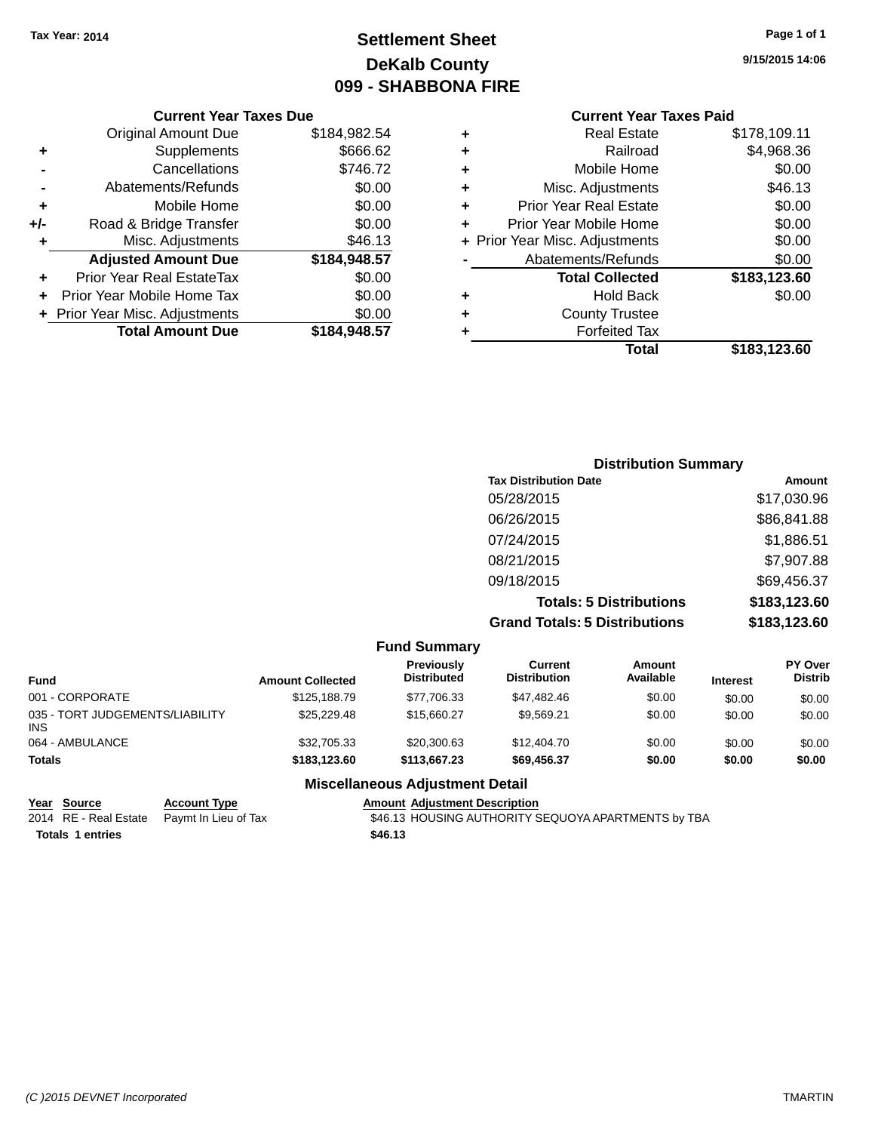# **Settlement Sheet Tax Year: 2014 Page 1 of 1 DeKalb County 099 - SHABBONA FIRE**

**9/15/2015 14:06**

#### **Current Year Taxes Paid**

|       | <b>Current Year Taxes Due</b>  |              |  |  |  |
|-------|--------------------------------|--------------|--|--|--|
|       | \$184,982.54                   |              |  |  |  |
| ٠     | Supplements                    | \$666.62     |  |  |  |
|       | Cancellations                  | \$746.72     |  |  |  |
|       | Abatements/Refunds             | \$0.00       |  |  |  |
| ٠     | Mobile Home                    | \$0.00       |  |  |  |
| $+/-$ | Road & Bridge Transfer         | \$0.00       |  |  |  |
| ÷     | Misc. Adjustments              | \$46.13      |  |  |  |
|       | <b>Adjusted Amount Due</b>     | \$184,948.57 |  |  |  |
| ٠     | Prior Year Real EstateTax      | \$0.00       |  |  |  |
|       | Prior Year Mobile Home Tax     | \$0.00       |  |  |  |
|       | + Prior Year Misc. Adjustments | \$0.00       |  |  |  |
|       | <b>Total Amount Due</b>        | \$184,948.57 |  |  |  |
|       |                                |              |  |  |  |

| ٠ | <b>Real Estate</b>             | \$178,109.11 |
|---|--------------------------------|--------------|
| ٠ | Railroad                       | \$4,968.36   |
| ٠ | Mobile Home                    | \$0.00       |
| ٠ | Misc. Adjustments              | \$46.13      |
| ٠ | <b>Prior Year Real Estate</b>  | \$0.00       |
| ٠ | Prior Year Mobile Home         | \$0.00       |
|   | + Prior Year Misc. Adjustments | \$0.00       |
|   | Abatements/Refunds             | \$0.00       |
|   | <b>Total Collected</b>         | \$183,123.60 |
| ٠ | <b>Hold Back</b>               | \$0.00       |
| ÷ | <b>County Trustee</b>          |              |
| ٠ | <b>Forfeited Tax</b>           |              |
|   | Total                          | \$183,123.60 |
|   |                                |              |

| <b>Distribution Summary</b>          |              |
|--------------------------------------|--------------|
| <b>Tax Distribution Date</b>         | Amount       |
| 05/28/2015                           | \$17,030.96  |
| 06/26/2015                           | \$86,841.88  |
| 07/24/2015                           | \$1,886.51   |
| 08/21/2015                           | \$7,907.88   |
| 09/18/2015                           | \$69,456.37  |
| <b>Totals: 5 Distributions</b>       | \$183,123.60 |
| <b>Grand Totals: 5 Distributions</b> | \$183,123.60 |

|                                               |                         | <b>Fund Summary</b>                |                                |                            |                 |                                  |
|-----------------------------------------------|-------------------------|------------------------------------|--------------------------------|----------------------------|-----------------|----------------------------------|
| <b>Fund</b>                                   | <b>Amount Collected</b> | Previously<br><b>Distributed</b>   | Current<br><b>Distribution</b> | <b>Amount</b><br>Available | <b>Interest</b> | <b>PY Over</b><br><b>Distrib</b> |
| 001 - CORPORATE                               | \$125,188.79            | \$77.706.33                        | \$47.482.46                    | \$0.00                     | \$0.00          | \$0.00                           |
| 035 - TORT JUDGEMENTS/LIABILITY<br><b>INS</b> | \$25,229,48             | \$15,660.27                        | \$9.569.21                     | \$0.00                     | \$0.00          | \$0.00                           |
| 064 - AMBULANCE                               | \$32,705.33             | \$20,300.63                        | \$12,404.70                    | \$0.00                     | \$0.00          | \$0.00                           |
| <b>Totals</b>                                 | \$183,123,60            | \$113,667,23                       | \$69,456.37                    | \$0.00                     | \$0.00          | \$0.00                           |
|                                               |                         | Missellanessen, Adioatosant Datail |                                |                            |                 |                                  |

#### **Miscellaneous Adjustment Detail**

**Year Source Account Type Account Type Amount Adjustment Description**<br>2014 RE - Real Estate Paymt In Lieu of Tax \$46.13 HOUSING AUTHORITY S

**Totals 1 entries \$46.13**

\$46.13 HOUSING AUTHORITY SEQUOYA APARTMENTS by TBA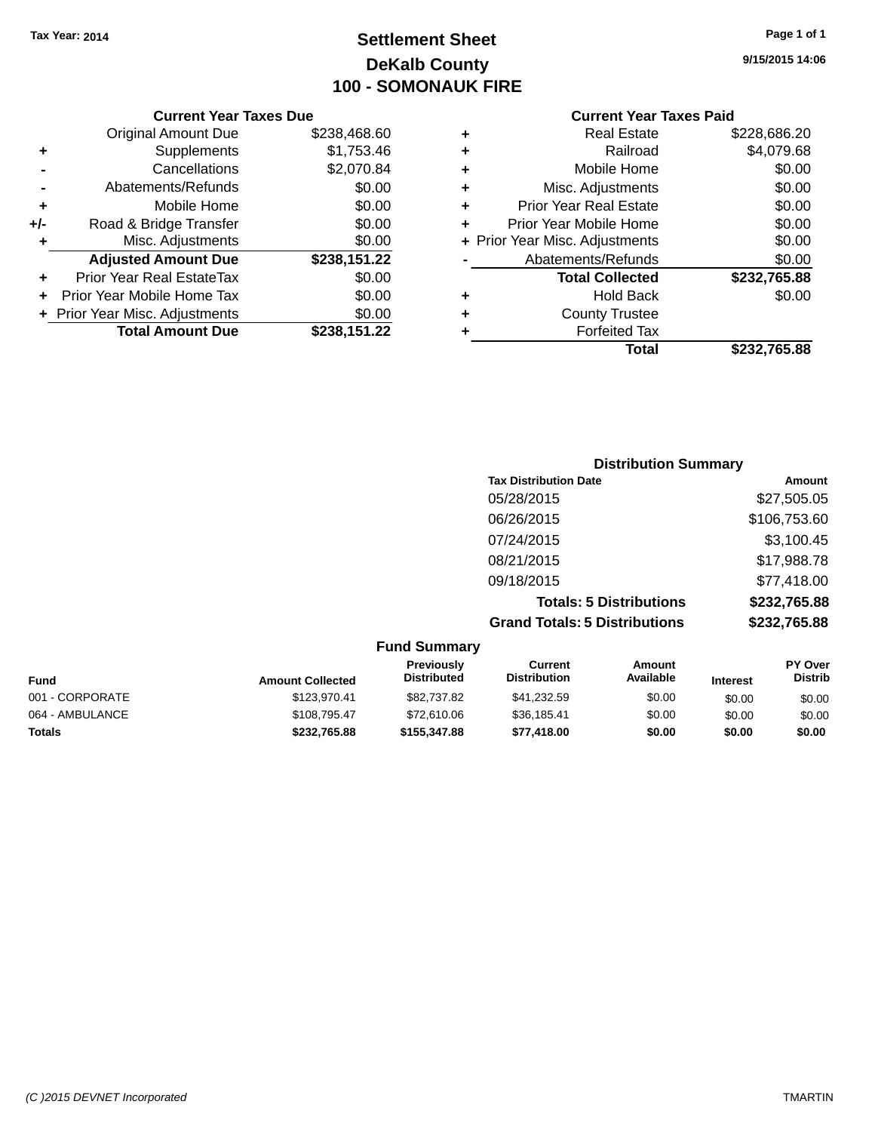# **Settlement Sheet Tax Year: 2014 Page 1 of 1 DeKalb County 100 - SOMONAUK FIRE**

**9/15/2015 14:06**

|     | <b>Current Year Taxes Due</b>    |              |  |  |  |
|-----|----------------------------------|--------------|--|--|--|
|     | <b>Original Amount Due</b>       | \$238,468.60 |  |  |  |
| ٠   | Supplements                      | \$1,753.46   |  |  |  |
|     | Cancellations                    | \$2,070.84   |  |  |  |
|     | Abatements/Refunds               | \$0.00       |  |  |  |
| ٠   | Mobile Home                      | \$0.00       |  |  |  |
| +/- | Road & Bridge Transfer           | \$0.00       |  |  |  |
| ٠   | Misc. Adjustments                | \$0.00       |  |  |  |
|     | <b>Adjusted Amount Due</b>       | \$238,151.22 |  |  |  |
| ٠   | <b>Prior Year Real EstateTax</b> | \$0.00       |  |  |  |
|     | Prior Year Mobile Home Tax       | \$0.00       |  |  |  |
|     | + Prior Year Misc. Adjustments   | \$0.00       |  |  |  |
|     | <b>Total Amount Due</b>          | \$238,151.22 |  |  |  |

|   | <b>Real Estate</b>             | \$228,686.20 |
|---|--------------------------------|--------------|
| ٠ | Railroad                       | \$4,079.68   |
| ٠ | Mobile Home                    | \$0.00       |
| ٠ | Misc. Adjustments              | \$0.00       |
| ٠ | <b>Prior Year Real Estate</b>  | \$0.00       |
| ÷ | Prior Year Mobile Home         | \$0.00       |
|   | + Prior Year Misc. Adjustments | \$0.00       |
|   | Abatements/Refunds             | \$0.00       |
|   | <b>Total Collected</b>         | \$232,765.88 |
| ٠ | <b>Hold Back</b>               | \$0.00       |
| ٠ | <b>County Trustee</b>          |              |
| ٠ | <b>Forfeited Tax</b>           |              |
|   | Total                          | \$232,765.88 |
|   |                                |              |

| <b>Distribution Summary</b>          |              |
|--------------------------------------|--------------|
| <b>Tax Distribution Date</b>         | Amount       |
| 05/28/2015                           | \$27,505.05  |
| 06/26/2015                           | \$106,753.60 |
| 07/24/2015                           | \$3,100.45   |
| 08/21/2015                           | \$17,988.78  |
| 09/18/2015                           | \$77,418.00  |
| <b>Totals: 5 Distributions</b>       | \$232,765.88 |
| <b>Grand Totals: 5 Distributions</b> | \$232,765.88 |

|                 |                         | <b>Fund Summary</b>              |                                |                     |                 |                           |
|-----------------|-------------------------|----------------------------------|--------------------------------|---------------------|-----------------|---------------------------|
| Fund            | <b>Amount Collected</b> | Previously<br><b>Distributed</b> | Current<br><b>Distribution</b> | Amount<br>Available | <b>Interest</b> | PY Over<br><b>Distrib</b> |
| 001 - CORPORATE | \$123,970.41            | \$82,737.82                      | \$41,232.59                    | \$0.00              | \$0.00          | \$0.00                    |
| 064 - AMBULANCE | \$108,795.47            | \$72,610.06                      | \$36,185.41                    | \$0.00              | \$0.00          | \$0.00                    |
| <b>Totals</b>   | \$232,765.88            | \$155,347,88                     | \$77,418.00                    | \$0.00              | \$0.00          | \$0.00                    |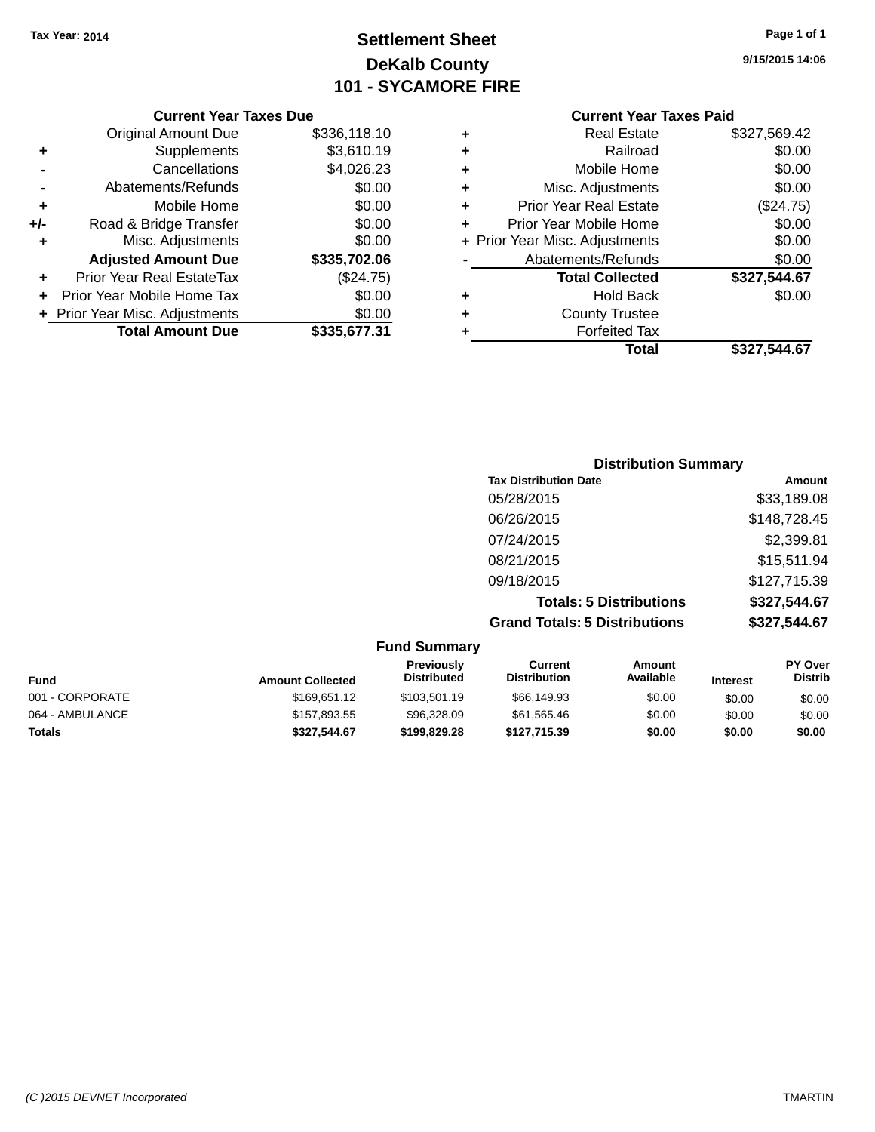# **Settlement Sheet Tax Year: 2014 Page 1 of 1 DeKalb County 101 - SYCAMORE FIRE**

**9/15/2015 14:06**

|                 |   | Total                          | \$327,544.67 |
|-----------------|---|--------------------------------|--------------|
| 31              |   | <b>Forfeited Tax</b>           |              |
| 00              | ٠ | <b>County Trustee</b>          |              |
| 00              | ٠ | <b>Hold Back</b>               | \$0.00       |
| '5)             |   | <b>Total Collected</b>         | \$327,544.67 |
| $\overline{06}$ |   | Abatements/Refunds             | \$0.00       |
| 00              |   | + Prior Year Misc. Adjustments | \$0.00       |
| 00              |   | Prior Year Mobile Home         | \$0.00       |
| 00              | ÷ | <b>Prior Year Real Estate</b>  | (\$24.75)    |
| 00              | ٠ | Misc. Adjustments              | \$0.00       |
| 23              | ٠ | Mobile Home                    | \$0.00       |
| 19              | ٠ | Railroad                       | \$0.00       |
| 10              | ٠ | <b>Real Estate</b>             | \$327,569.42 |
|                 |   |                                |              |

|     | <b>Current Year Taxes Due</b>  |              |
|-----|--------------------------------|--------------|
|     | <b>Original Amount Due</b>     | \$336,118.10 |
| ٠   | Supplements                    | \$3,610.19   |
|     | Cancellations                  | \$4,026.23   |
|     | Abatements/Refunds             | \$0.00       |
| ٠   | Mobile Home                    | \$0.00       |
| +/- | Road & Bridge Transfer         | \$0.00       |
| ٠   | Misc. Adjustments              | \$0.00       |
|     | <b>Adjusted Amount Due</b>     | \$335,702.06 |
|     | Prior Year Real EstateTax      | (\$24.75)    |
|     | Prior Year Mobile Home Tax     | \$0.00       |
|     | + Prior Year Misc. Adjustments | \$0.00       |
|     | <b>Total Amount Due</b>        | \$335,677.31 |

| <b>Distribution Summary</b>          |              |
|--------------------------------------|--------------|
| <b>Tax Distribution Date</b>         | Amount       |
| 05/28/2015                           | \$33,189.08  |
| 06/26/2015                           | \$148,728.45 |
| 07/24/2015                           | \$2,399.81   |
| 08/21/2015                           | \$15,511.94  |
| 09/18/2015                           | \$127,715.39 |
| <b>Totals: 5 Distributions</b>       | \$327,544.67 |
| <b>Grand Totals: 5 Distributions</b> | \$327,544.67 |

|                 |                         | <b>Fund Summary</b>              |                                |                     |                 |                                  |
|-----------------|-------------------------|----------------------------------|--------------------------------|---------------------|-----------------|----------------------------------|
| <b>Fund</b>     | <b>Amount Collected</b> | Previously<br><b>Distributed</b> | Current<br><b>Distribution</b> | Amount<br>Available | <b>Interest</b> | <b>PY Over</b><br><b>Distrib</b> |
| 001 - CORPORATE | \$169,651.12            | \$103,501.19                     | \$66,149.93                    | \$0.00              | \$0.00          | \$0.00                           |
| 064 - AMBULANCE | \$157,893.55            | \$96,328.09                      | \$61,565.46                    | \$0.00              | \$0.00          | \$0.00                           |
| Totals          | \$327,544.67            | \$199.829.28                     | \$127,715.39                   | \$0.00              | \$0.00          | \$0.00                           |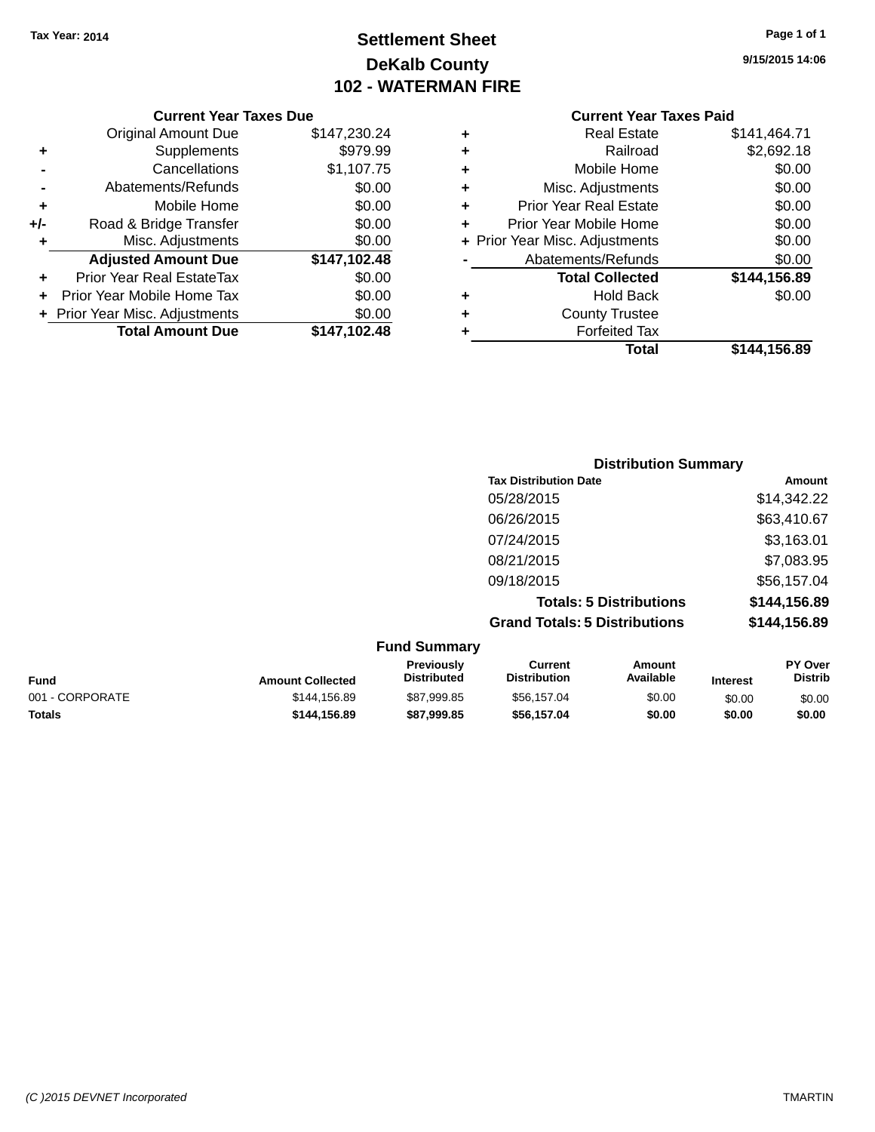# **Settlement Sheet Tax Year: 2014 Page 1 of 1 DeKalb County 102 - WATERMAN FIRE**

**9/15/2015 14:06**

#### **Current Year Taxes Due**

|     | <b>Original Amount Due</b>     | \$147,230.24 |
|-----|--------------------------------|--------------|
| ٠   | Supplements                    | \$979.99     |
|     | Cancellations                  | \$1,107.75   |
|     | Abatements/Refunds             | \$0.00       |
| ÷   | Mobile Home                    | \$0.00       |
| +/- | Road & Bridge Transfer         | \$0.00       |
| ٠   | Misc. Adjustments              | \$0.00       |
|     | <b>Adjusted Amount Due</b>     | \$147,102.48 |
| ÷   | Prior Year Real EstateTax      | \$0.00       |
|     | Prior Year Mobile Home Tax     | \$0.00       |
|     | + Prior Year Misc. Adjustments | \$0.00       |
|     | <b>Total Amount Due</b>        | \$147,102.48 |

#### **Current Year Taxes Paid**

|   | Total                          | \$144,156.89 |
|---|--------------------------------|--------------|
| ٠ | <b>Forfeited Tax</b>           |              |
| ٠ | <b>County Trustee</b>          |              |
| ٠ | <b>Hold Back</b>               | \$0.00       |
|   | <b>Total Collected</b>         | \$144,156.89 |
|   | Abatements/Refunds             | \$0.00       |
|   | + Prior Year Misc. Adjustments | \$0.00       |
| ٠ | Prior Year Mobile Home         | \$0.00       |
| ٠ | <b>Prior Year Real Estate</b>  | \$0.00       |
| ٠ | Misc. Adjustments              | \$0.00       |
| ÷ | Mobile Home                    | \$0.00       |
| ÷ | Railroad                       | \$2,692.18   |
|   | <b>Real Estate</b>             | \$141,464.71 |

## **Distribution Summary Tax Distribution Date Amount** 05/28/2015 \$14,342.22 06/26/2015 \$63,410.67 07/24/2015 \$3,163.01 08/21/2015 \$7,083.95 09/18/2015 \$56,157.04 **Totals: 5 Distributions \$144,156.89 Grand Totals: 5 Distributions \$144,156.89**

|                 |                         | <b>Fund Summary</b>                     |                                |                     |                 |                                  |
|-----------------|-------------------------|-----------------------------------------|--------------------------------|---------------------|-----------------|----------------------------------|
| Fund            | <b>Amount Collected</b> | <b>Previously</b><br><b>Distributed</b> | Current<br><b>Distribution</b> | Amount<br>Available | <b>Interest</b> | <b>PY Over</b><br><b>Distrib</b> |
| 001 - CORPORATE | \$144.156.89            | \$87,999.85                             | \$56,157,04                    | \$0.00              | \$0.00          | \$0.00                           |
| <b>Totals</b>   | \$144.156.89            | \$87,999.85                             | \$56.157.04                    | \$0.00              | \$0.00          | \$0.00                           |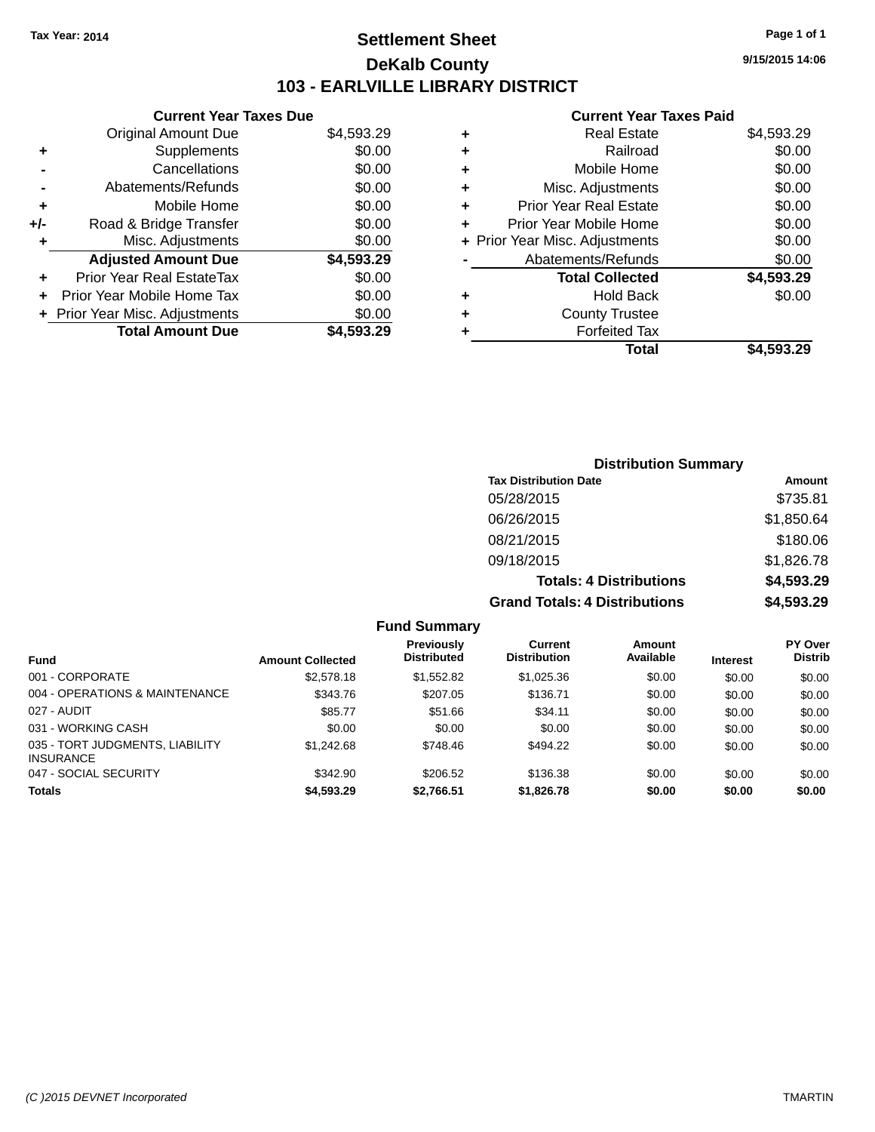# **Settlement Sheet Tax Year: 2014 Page 1 of 1 DeKalb County 103 - EARLVILLE LIBRARY DISTRICT**

**9/15/2015 14:06**

| <b>Current Year Taxes Due</b>    |            |
|----------------------------------|------------|
| <b>Original Amount Due</b>       | \$4,593.29 |
| Supplements                      | \$0.00     |
| Cancellations                    | \$0.00     |
| Abatements/Refunds               | \$0.00     |
| Mobile Home                      | \$0.00     |
| Road & Bridge Transfer           | \$0.00     |
| Misc. Adjustments                | \$0.00     |
| <b>Adjusted Amount Due</b>       | \$4,593.29 |
| <b>Prior Year Real EstateTax</b> | \$0.00     |
| Prior Year Mobile Home Tax       | \$0.00     |
| + Prior Year Misc. Adjustments   | \$0.00     |
| <b>Total Amount Due</b>          | \$4.593.29 |
|                                  |            |

| ٠ | <b>Real Estate</b>             | \$4,593.29 |
|---|--------------------------------|------------|
| ٠ | Railroad                       | \$0.00     |
| ٠ | Mobile Home                    | \$0.00     |
| ٠ | Misc. Adjustments              | \$0.00     |
| ٠ | <b>Prior Year Real Estate</b>  | \$0.00     |
|   | Prior Year Mobile Home         | \$0.00     |
|   | + Prior Year Misc. Adjustments | \$0.00     |
|   | Abatements/Refunds             | \$0.00     |
|   | <b>Total Collected</b>         | \$4,593.29 |
| ٠ | Hold Back                      | \$0.00     |
| ٠ | <b>County Trustee</b>          |            |
| ٠ | <b>Forfeited Tax</b>           |            |
|   | Total                          | \$4,593.29 |
|   |                                |            |

| <b>Distribution Summary</b>          |            |
|--------------------------------------|------------|
| <b>Tax Distribution Date</b>         | Amount     |
| 05/28/2015                           | \$735.81   |
| 06/26/2015                           | \$1,850.64 |
| 08/21/2015                           | \$180.06   |
| 09/18/2015                           | \$1,826.78 |
| <b>Totals: 4 Distributions</b>       | \$4,593.29 |
| <b>Grand Totals: 4 Distributions</b> | \$4,593.29 |

|                                                     |                         | <b>Fund Summary</b>                     |                                |                     |                 |                           |
|-----------------------------------------------------|-------------------------|-----------------------------------------|--------------------------------|---------------------|-----------------|---------------------------|
| <b>Fund</b>                                         | <b>Amount Collected</b> | <b>Previously</b><br><b>Distributed</b> | Current<br><b>Distribution</b> | Amount<br>Available | <b>Interest</b> | PY Over<br><b>Distrib</b> |
| 001 - CORPORATE                                     | \$2,578.18              | \$1.552.82                              | \$1,025,36                     | \$0.00              | \$0.00          | \$0.00                    |
| 004 - OPERATIONS & MAINTENANCE                      | \$343.76                | \$207.05                                | \$136.71                       | \$0.00              | \$0.00          | \$0.00                    |
| 027 - AUDIT                                         | \$85.77                 | \$51.66                                 | \$34.11                        | \$0.00              | \$0.00          | \$0.00                    |
| 031 - WORKING CASH                                  | \$0.00                  | \$0.00                                  | \$0.00                         | \$0.00              | \$0.00          | \$0.00                    |
| 035 - TORT JUDGMENTS, LIABILITY<br><b>INSURANCE</b> | \$1,242.68              | \$748.46                                | \$494.22                       | \$0.00              | \$0.00          | \$0.00                    |
| 047 - SOCIAL SECURITY                               | \$342.90                | \$206.52                                | \$136.38                       | \$0.00              | \$0.00          | \$0.00                    |
| <b>Totals</b>                                       | \$4,593.29              | \$2,766.51                              | \$1,826.78                     | \$0.00              | \$0.00          | \$0.00                    |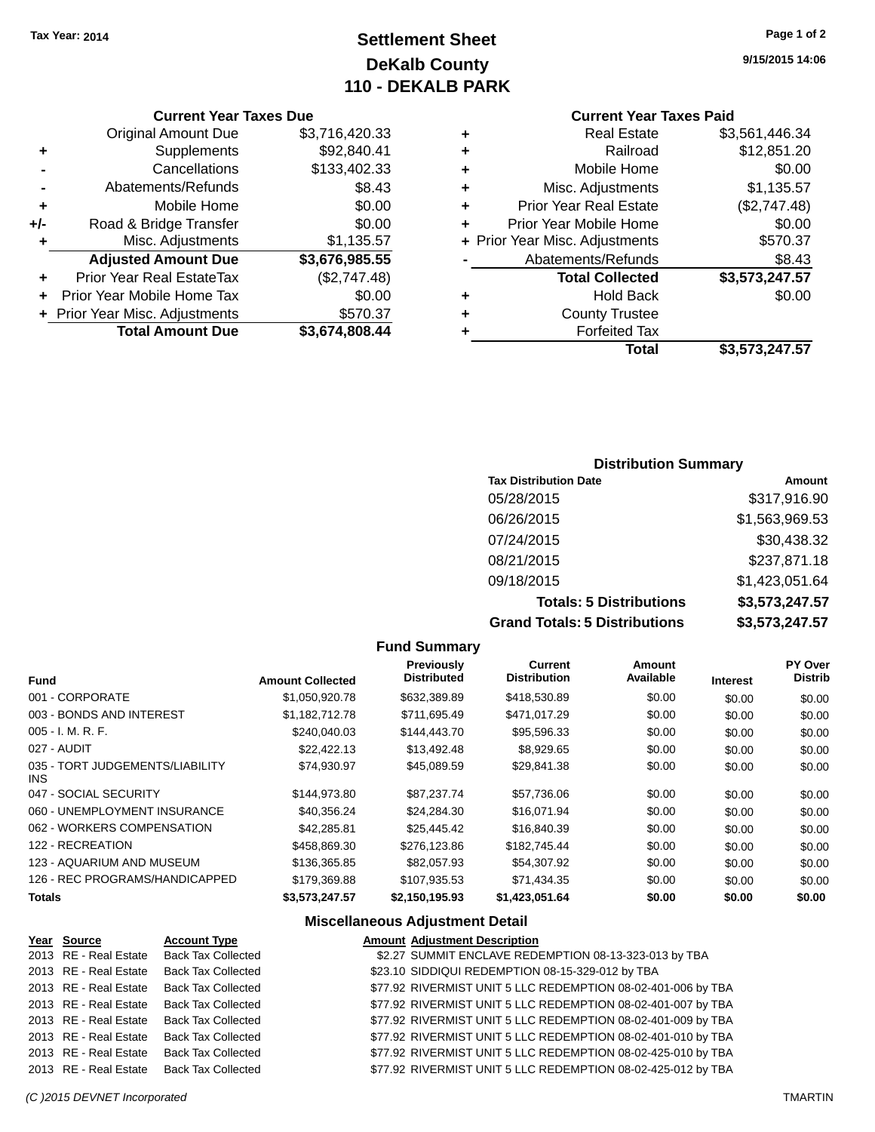# **Settlement Sheet Tax Year: 2014 Page 1 of 2 DeKalb County 110 - DEKALB PARK**

**9/15/2015 14:06**

|     | <b>Original Amount Due</b>     | \$3,716,420.33 |
|-----|--------------------------------|----------------|
| ٠   | Supplements                    | \$92,840.41    |
|     | Cancellations                  | \$133,402.33   |
|     | Abatements/Refunds             | \$8.43         |
| ٠   | Mobile Home                    | \$0.00         |
| +/- | Road & Bridge Transfer         | \$0.00         |
| ٠   | Misc. Adjustments              | \$1,135.57     |
|     | <b>Adjusted Amount Due</b>     | \$3,676,985.55 |
| ÷   | Prior Year Real EstateTax      | (\$2,747.48)   |
|     | Prior Year Mobile Home Tax     | \$0.00         |
|     | + Prior Year Misc. Adjustments | \$570.37       |
|     | <b>Total Amount Due</b>        | \$3,674,808.44 |

# **Current Year Taxes Paid**

| ٠ | <b>Real Estate</b>             | \$3,561,446.34 |
|---|--------------------------------|----------------|
| ٠ | Railroad                       | \$12,851.20    |
| ٠ | Mobile Home                    | \$0.00         |
| ٠ | Misc. Adjustments              | \$1,135.57     |
| ٠ | <b>Prior Year Real Estate</b>  | (\$2,747.48)   |
| ÷ | Prior Year Mobile Home         | \$0.00         |
|   | + Prior Year Misc. Adjustments | \$570.37       |
|   | Abatements/Refunds             | \$8.43         |
|   | <b>Total Collected</b>         | \$3,573,247.57 |
| ٠ | <b>Hold Back</b>               | \$0.00         |
| ٠ | <b>County Trustee</b>          |                |
| ٠ | <b>Forfeited Tax</b>           |                |
|   | Total                          | \$3,573,247.57 |
|   |                                |                |

#### **Distribution Summary**

| <b>Tax Distribution Date</b>         | <b>Amount</b>  |
|--------------------------------------|----------------|
| 05/28/2015                           | \$317,916.90   |
| 06/26/2015                           | \$1,563,969.53 |
| 07/24/2015                           | \$30,438.32    |
| 08/21/2015                           | \$237,871.18   |
| 09/18/2015                           | \$1,423,051.64 |
| <b>Totals: 5 Distributions</b>       | \$3,573,247.57 |
| <b>Grand Totals: 5 Distributions</b> | \$3,573,247.57 |

#### **Fund Summary Fund Interest Amount Collected Distributed PY Over Distrib Amount Available Current Distribution Previously** 001 - CORPORATE 6 \$1,050,920.78 \$632,389.89 \$418,530.89 \$0.00 \$0.00 \$0.00 \$0.00 003 - BONDS AND INTEREST  $$1,182,712.78$   $$711,695.49$   $$471,017.29$   $$0.00$   $$0.00$   $$0.00$ 005 - I. M. R. F. \$240,040.03 \$144,443.70 \$95,596.33 \$0.00 \$0.00 \$0.00 027 - AUDIT \$22,422.13 \$13,492.48 \$8,929.65 \$0.00 \$0.00 \$0.00 035 - TORT JUDGEMENTS/LIABILITY INS \$74,930.97 \$45,089.59 \$29,841.38 \$0.00 \$0.00 \$0.00 047 - SOCIAL SECURITY \$144,973.80 \$87,237.74 \$57,736.06 \$0.00 \$0.00 \$0.00 060 - UNEMPLOYMENT INSURANCE \$40,356.24 \$24,284.30 \$16,071.94 \$0.00 \$0.00 \$0.00 062 - WORKERS COMPENSATION \$42,285.81 \$25,445.42 \$16,840.39 \$0.00 \$0.00 \$0.00 \$0.00 122 - RECREATION \$458,869.30 \$276,123.86 \$182,745.44 \$0.00 \$0.00 \$0.00 123 - AQUARIUM AND MUSEUM \$136,365.85 \$82,057.93 \$54,307.92 \$0.00 \$0.00 \$0.00 \$0.00 126 - REC PROGRAMS/HANDICAPPED \$179,369.88 \$107,935.53 \$71,434.35 \$0.00 \$0.00 \$0.00 **Totals \$3,573,247.57 \$2,150,195.93 \$1,423,051.64 \$0.00 \$0.00 \$0.00**

#### **Miscellaneous Adjustment Detail**

#### **Year Source Account Type Amount Adjustment Description** 2013 RE - Real Estate Back Tax Collected \$2.27 SUMMIT ENCLAVE REDEMPTION 08-13-323-013 by TBA 2013 RE - Real Estate Back Tax Collected \$23.10 SIDDIQUI REDEMPTION 08-15-329-012 by TBA 2013 RE - Real Estate Back Tax Collected \$77.92 RIVERMIST UNIT 5 LLC REDEMPTION 08-02-401-006 by TBA 2013 RE - Real Estate Back Tax Collected \$77.92 RIVERMIST UNIT 5 LLC REDEMPTION 08-02-401-007 by TBA 2013 RE - Real Estate Back Tax Collected \$77.92 RIVERMIST UNIT 5 LLC REDEMPTION 08-02-401-009 by TBA 2013 RE - Real Estate Back Tax Collected \$77.92 RIVERMIST UNIT 5 LLC REDEMPTION 08-02-401-010 by TBA 2013 RE - Real Estate Back Tax Collected \$77.92 RIVERMIST UNIT 5 LLC REDEMPTION 08-02-425-010 by TBA 2013 RE - Real Estate Back Tax Collected \$77.92 RIVERMIST UNIT 5 LLC REDEMPTION 08-02-425-012 by TBA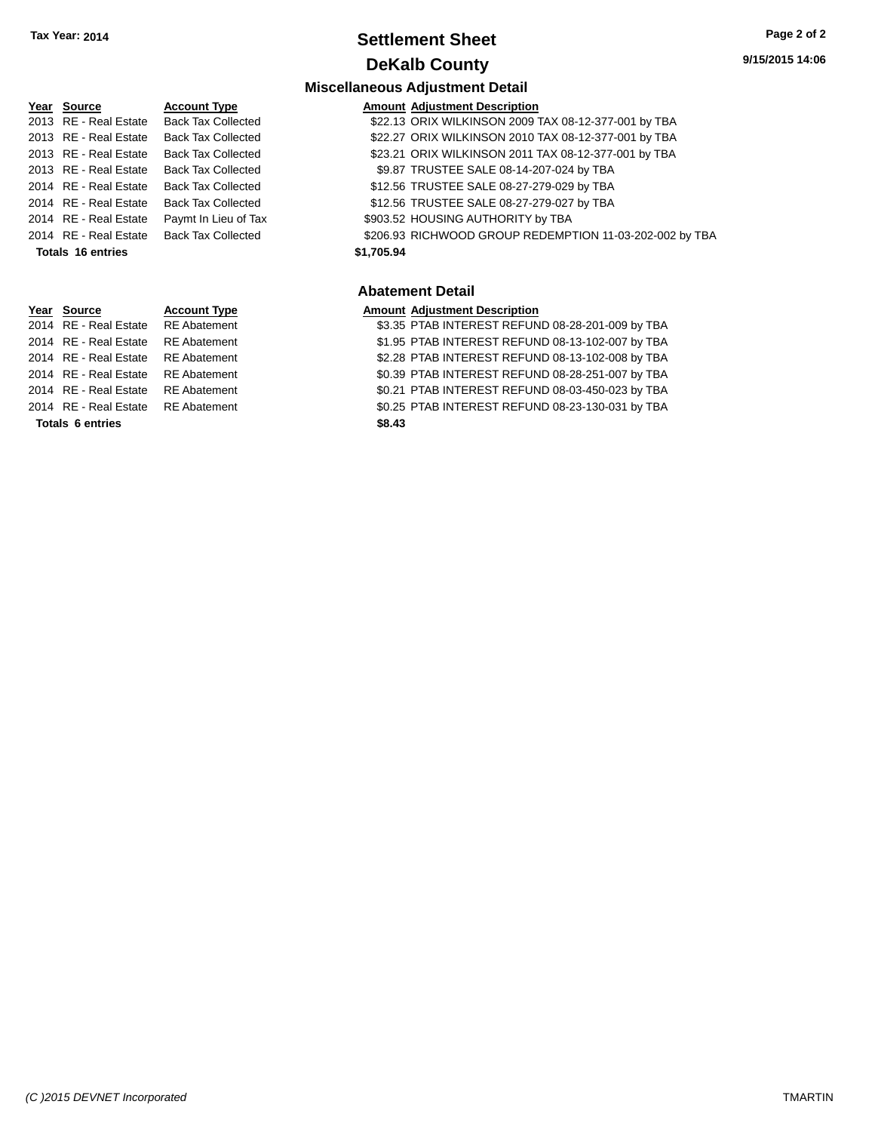## **Settlement Sheet Tax Year: 2014 Page 2 of 2 DeKalb County**

**Miscellaneous Adjustment Detail**

# **Year Source Account Type Amount Adjustment Description** 2013 RE - Real Estate Back Tax Collected \$22.13 ORIX WILKINSON 2009 TAX 08-12-377-001 by TBA 2013 RE - Real Estate Back Tax Collected \$22.27 ORIX WILKINSON 2010 TAX 08-12-377-001 by TBA 2014 RE - Real Estate Back Tax Collected \$12.56 TRUSTEE SALE 08-27-279-029 by TBA 2014 RE - Real Estate Back Tax Collected \$12.56 TRUSTEE SALE 08-27-279-027 by TBA 2014 RE - Real Estate Paymt In Lieu of Tax \$903.52 HOUSING AUTHORITY by TBA **Totals 16 entries \$1,705.94**

# **Year Source Account Type Amount Adjustment Description**

**Totals 6 entries \$8.43**

## 2013 RE - Real Estate Back Tax Collected \$23.21 ORIX WILKINSON 2011 TAX 08-12-377-001 by TBA 2013 RE - Real Estate Back Tax Collected \$9.87 TRUSTEE SALE 08-14-207-024 by TBA

2014 RE - Real Estate Back Tax Collected \$206.93 RICHWOOD GROUP REDEMPTION 11-03-202-002 by TBA

#### **Abatement Detail**

2014 RE - Real Estate RE Abatement \$3.35 PTAB INTEREST REFUND 08-28-201-009 by TBA 2014 RE - Real Estate RE Abatement \$1.95 PTAB INTEREST REFUND 08-13-102-007 by TBA 2014 RE - Real Estate RE Abatement \$2.28 PTAB INTEREST REFUND 08-13-102-008 by TBA 2014 RE - Real Estate RE Abatement \$0.39 PTAB INTEREST REFUND 08-28-251-007 by TBA 2014 RE - Real Estate RE Abatement \$0.21 PTAB INTEREST REFUND 08-03-450-023 by TBA 2014 RE - Real Estate RE Abatement \$0.25 PTAB INTEREST REFUND 08-23-130-031 by TBA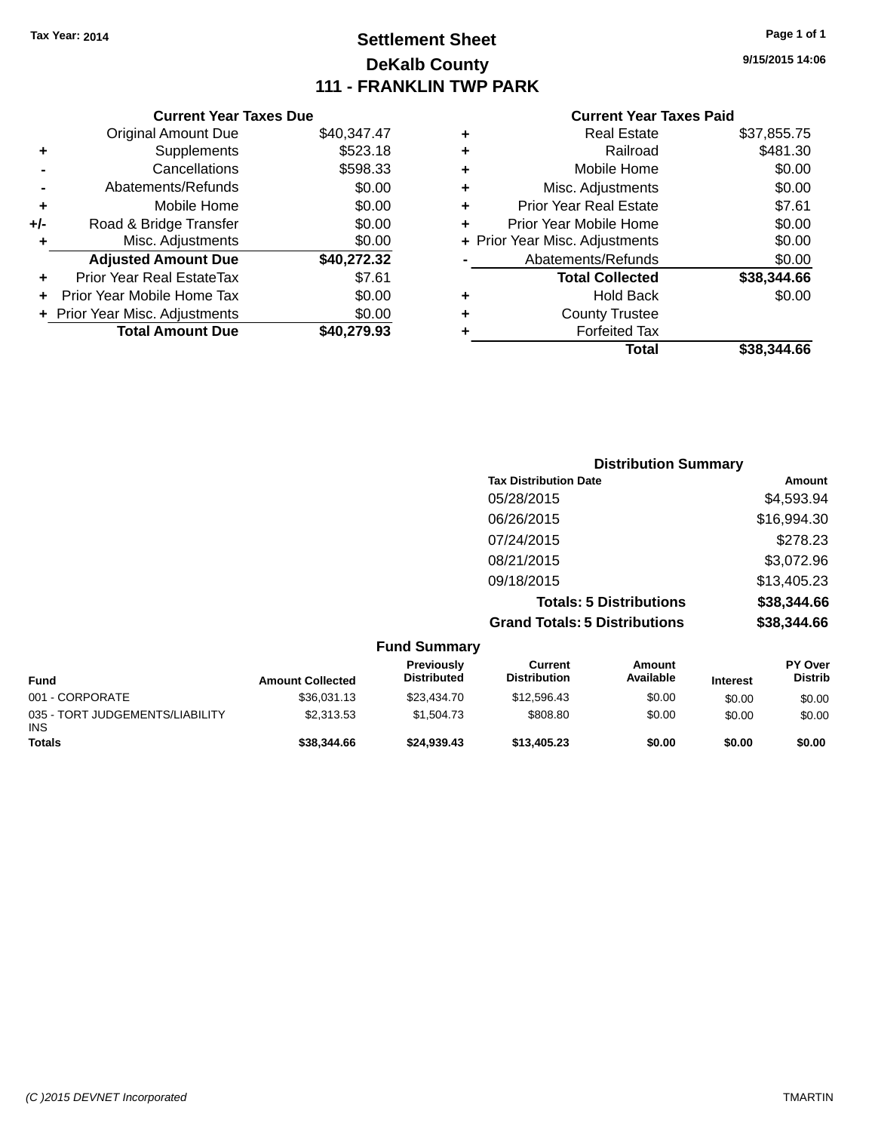# **Settlement Sheet Tax Year: 2014 Page 1 of 1 DeKalb County 111 - FRANKLIN TWP PARK**

**9/15/2015 14:06**

|     | <b>Current Year Taxes Due</b>    |             |
|-----|----------------------------------|-------------|
|     | <b>Original Amount Due</b>       | \$40,347.47 |
| ٠   | Supplements                      | \$523.18    |
|     | Cancellations                    | \$598.33    |
|     | Abatements/Refunds               | \$0.00      |
| ÷   | Mobile Home                      | \$0.00      |
| +/- | Road & Bridge Transfer           | \$0.00      |
|     | Misc. Adjustments                | \$0.00      |
|     | <b>Adjusted Amount Due</b>       | \$40,272.32 |
| ٠   | <b>Prior Year Real EstateTax</b> | \$7.61      |
|     | Prior Year Mobile Home Tax       | \$0.00      |
|     | + Prior Year Misc. Adjustments   | \$0.00      |
|     | <b>Total Amount Due</b>          | \$40,279,93 |
|     |                                  |             |

|   | <b>Real Estate</b>             | \$37,855.75 |
|---|--------------------------------|-------------|
| ٠ | Railroad                       | \$481.30    |
| ٠ | Mobile Home                    | \$0.00      |
| ٠ | Misc. Adjustments              | \$0.00      |
| ٠ | Prior Year Real Estate         | \$7.61      |
| ÷ | Prior Year Mobile Home         | \$0.00      |
|   | + Prior Year Misc. Adjustments | \$0.00      |
|   | Abatements/Refunds             | \$0.00      |
|   | <b>Total Collected</b>         | \$38,344.66 |
| ٠ | <b>Hold Back</b>               | \$0.00      |
| ٠ | <b>County Trustee</b>          |             |
| ٠ | <b>Forfeited Tax</b>           |             |
|   | Total                          | \$38,344.66 |
|   |                                |             |

| <b>Distribution Summary</b>          |             |
|--------------------------------------|-------------|
| <b>Tax Distribution Date</b>         | Amount      |
| 05/28/2015                           | \$4,593.94  |
| 06/26/2015                           | \$16,994.30 |
| 07/24/2015                           | \$278.23    |
| 08/21/2015                           | \$3,072.96  |
| 09/18/2015                           | \$13,405.23 |
| <b>Totals: 5 Distributions</b>       | \$38,344.66 |
| <b>Grand Totals: 5 Distributions</b> | \$38,344.66 |

|                                               |                         | <b>Fund Summary</b>              |                                |                     |                 |                                  |
|-----------------------------------------------|-------------------------|----------------------------------|--------------------------------|---------------------|-----------------|----------------------------------|
| <b>Fund</b>                                   | <b>Amount Collected</b> | Previously<br><b>Distributed</b> | Current<br><b>Distribution</b> | Amount<br>Available | <b>Interest</b> | <b>PY Over</b><br><b>Distrib</b> |
| 001 - CORPORATE                               | \$36,031.13             | \$23,434.70                      | \$12,596.43                    | \$0.00              | \$0.00          | \$0.00                           |
| 035 - TORT JUDGEMENTS/LIABILITY<br><b>INS</b> | \$2,313.53              | \$1.504.73                       | \$808.80                       | \$0.00              | \$0.00          | \$0.00                           |
| <b>Totals</b>                                 | \$38,344.66             | \$24,939,43                      | \$13,405.23                    | \$0.00              | \$0.00          | \$0.00                           |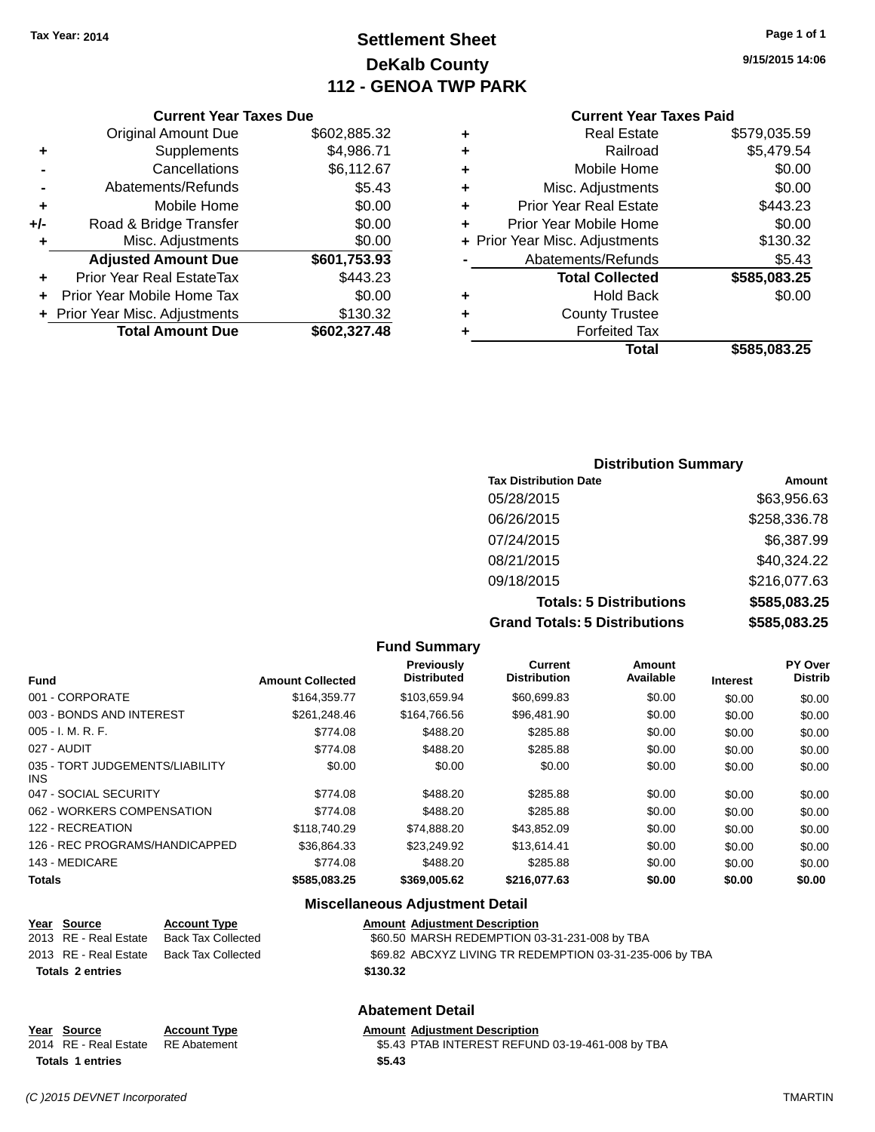# **Settlement Sheet Tax Year: 2014 Page 1 of 1 DeKalb County 112 - GENOA TWP PARK**

**9/15/2015 14:06**

#### **Current Year Taxes Paid**

| ٠ | <b>Real Estate</b>             | \$579,035.59 |
|---|--------------------------------|--------------|
| ٠ | Railroad                       | \$5,479.54   |
| ٠ | Mobile Home                    | \$0.00       |
| ٠ | Misc. Adjustments              | \$0.00       |
| ٠ | <b>Prior Year Real Estate</b>  | \$443.23     |
| ÷ | Prior Year Mobile Home         | \$0.00       |
|   | + Prior Year Misc. Adjustments | \$130.32     |
|   | Abatements/Refunds             | \$5.43       |
|   | <b>Total Collected</b>         | \$585,083.25 |
| ٠ | <b>Hold Back</b>               | \$0.00       |
| ٠ | <b>County Trustee</b>          |              |
|   | <b>Forfeited Tax</b>           |              |
|   | Total                          | \$585.083.25 |
|   |                                |              |

|     | <b>Current Year Taxes Due</b>    |              |
|-----|----------------------------------|--------------|
|     | <b>Original Amount Due</b>       | \$602,885.32 |
| ٠   | Supplements                      | \$4,986.71   |
|     | Cancellations                    | \$6,112.67   |
|     | Abatements/Refunds               | \$5.43       |
| ٠   | Mobile Home                      | \$0.00       |
| +/- | Road & Bridge Transfer           | \$0.00       |
| ٠   | Misc. Adjustments                | \$0.00       |
|     | <b>Adjusted Amount Due</b>       | \$601,753.93 |
|     | <b>Prior Year Real EstateTax</b> | \$443.23     |
| ٠   | Prior Year Mobile Home Tax       | \$0.00       |
|     | + Prior Year Misc. Adjustments   | \$130.32     |
|     | <b>Total Amount Due</b>          | \$602,327.48 |

| <b>Distribution Summary</b>          |              |  |  |  |
|--------------------------------------|--------------|--|--|--|
| <b>Tax Distribution Date</b>         | Amount       |  |  |  |
| 05/28/2015                           | \$63,956.63  |  |  |  |
| 06/26/2015                           | \$258,336.78 |  |  |  |
| 07/24/2015                           | \$6,387.99   |  |  |  |
| 08/21/2015                           | \$40,324.22  |  |  |  |
| 09/18/2015                           | \$216,077.63 |  |  |  |
| <b>Totals: 5 Distributions</b>       | \$585,083.25 |  |  |  |
| <b>Grand Totals: 5 Distributions</b> | \$585,083.25 |  |  |  |

|                                         |                         | <b>Fund Summary</b>                    |                                       |                     |                 |                    |
|-----------------------------------------|-------------------------|----------------------------------------|---------------------------------------|---------------------|-----------------|--------------------|
| <b>Fund</b>                             | <b>Amount Collected</b> | Previously<br><b>Distributed</b>       | <b>Current</b><br><b>Distribution</b> | Amount<br>Available | <b>Interest</b> | PY Over<br>Distrib |
| 001 - CORPORATE                         | \$164.359.77            | \$103,659.94                           | \$60,699.83                           | \$0.00              | \$0.00          | \$0.00             |
| 003 - BONDS AND INTEREST                | \$261,248.46            | \$164,766.56                           | \$96,481.90                           | \$0.00              | \$0.00          | \$0.00             |
| $005 - I. M. R. F.$                     | \$774.08                | \$488.20                               | \$285.88                              | \$0.00              | \$0.00          | \$0.00             |
| 027 - AUDIT                             | \$774.08                | \$488.20                               | \$285.88                              | \$0.00              | \$0.00          | \$0.00             |
| 035 - TORT JUDGEMENTS/LIABILITY<br>INS. | \$0.00                  | \$0.00                                 | \$0.00                                | \$0.00              | \$0.00          | \$0.00             |
| 047 - SOCIAL SECURITY                   | \$774.08                | \$488.20                               | \$285.88                              | \$0.00              | \$0.00          | \$0.00             |
| 062 - WORKERS COMPENSATION              | \$774.08                | \$488.20                               | \$285.88                              | \$0.00              | \$0.00          | \$0.00             |
| 122 - RECREATION                        | \$118,740.29            | \$74,888.20                            | \$43,852.09                           | \$0.00              | \$0.00          | \$0.00             |
| 126 - REC PROGRAMS/HANDICAPPED          | \$36.864.33             | \$23.249.92                            | \$13,614.41                           | \$0.00              | \$0.00          | \$0.00             |
| 143 - MEDICARE                          | \$774.08                | \$488.20                               | \$285.88                              | \$0.00              | \$0.00          | \$0.00             |
| Totals                                  | \$585,083.25            | \$369,005.62                           | \$216,077.63                          | \$0.00              | \$0.00          | \$0.00             |
|                                         |                         | <b>Miscellaneous Adjustment Detail</b> |                                       |                     |                 |                    |

# **Year Source Account Type Amount Adjustment Description** \$60.50 MARSH REDEMPTION 03-31-231-008 by TBA 2013 RE - Real Estate Back Tax Collected \$69.82 ABCXYZ LIVING TR REDEMPTION 03-31-235-006 by TBA **Totals \$130.32 2 entries**

#### **Abatement Detail**

**Year Source Account Type Account Type Amount Adjustment Description** 2014 RE - Real Estate RE Abatement \$5.43 PTAB INTEREST REFUND 03-19-461-008 by TBA **Totals 1 entries \$5.43**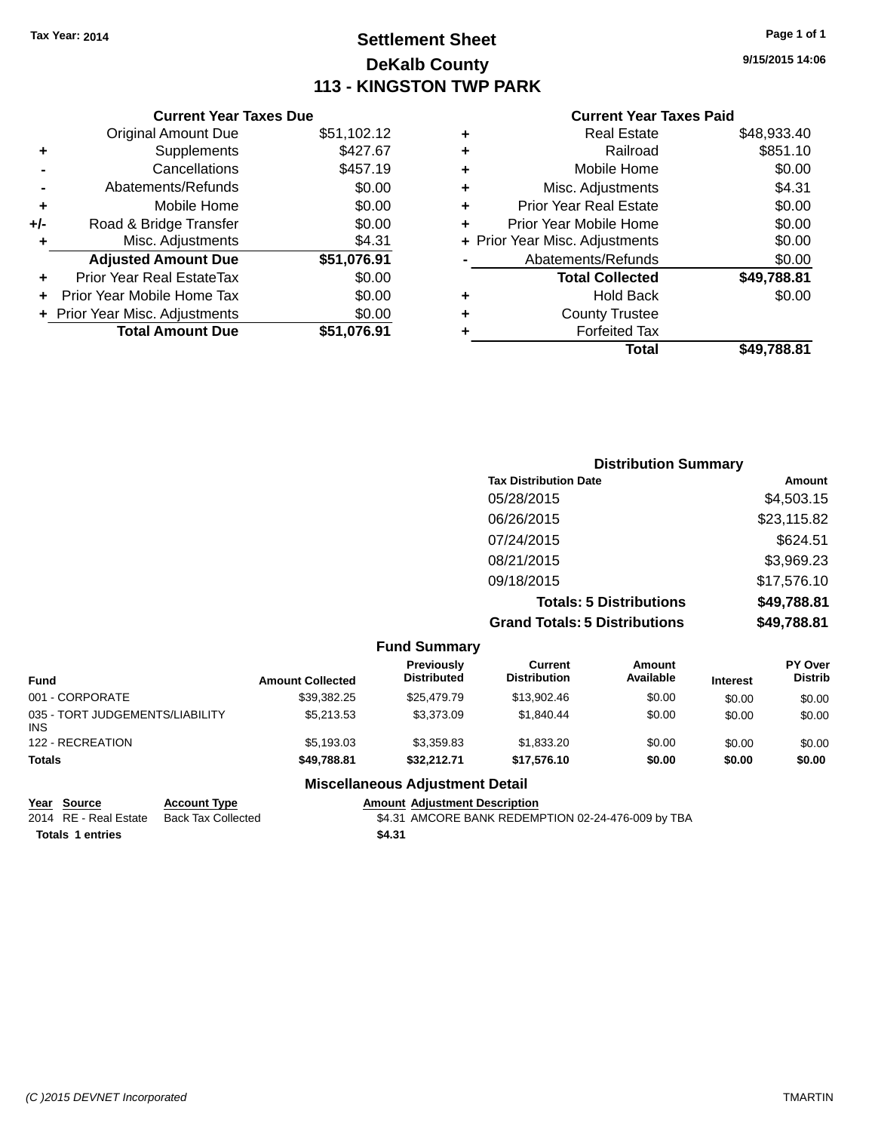# **Settlement Sheet Tax Year: 2014 Page 1 of 1 DeKalb County 113 - KINGSTON TWP PARK**

**9/15/2015 14:06**

#### **Current Year Taxes Paid**

|     | <b>Current Year Taxes Due</b>  |             |  |  |  |
|-----|--------------------------------|-------------|--|--|--|
|     | <b>Original Amount Due</b>     | \$51,102.12 |  |  |  |
| ٠   | Supplements                    | \$427.67    |  |  |  |
|     | Cancellations                  | \$457.19    |  |  |  |
|     | Abatements/Refunds             | \$0.00      |  |  |  |
| ٠   | Mobile Home                    | \$0.00      |  |  |  |
| +/- | Road & Bridge Transfer         | \$0.00      |  |  |  |
| ٠   | Misc. Adjustments              | \$4.31      |  |  |  |
|     | <b>Adjusted Amount Due</b>     | \$51,076.91 |  |  |  |
| ٠   | Prior Year Real EstateTax      | \$0.00      |  |  |  |
|     | Prior Year Mobile Home Tax     | \$0.00      |  |  |  |
|     | + Prior Year Misc. Adjustments | \$0.00      |  |  |  |
|     | <b>Total Amount Due</b>        | \$51.076.91 |  |  |  |
|     |                                |             |  |  |  |

| ٠ | <b>Real Estate</b>             | \$48,933.40 |
|---|--------------------------------|-------------|
| ٠ | Railroad                       | \$851.10    |
| ٠ | Mobile Home                    | \$0.00      |
| ٠ | Misc. Adjustments              | \$4.31      |
| ٠ | <b>Prior Year Real Estate</b>  | \$0.00      |
| ÷ | Prior Year Mobile Home         | \$0.00      |
|   | + Prior Year Misc. Adjustments | \$0.00      |
|   | Abatements/Refunds             | \$0.00      |
|   | <b>Total Collected</b>         | \$49,788.81 |
| ÷ | <b>Hold Back</b>               | \$0.00      |
|   | <b>County Trustee</b>          |             |
| ٠ | <b>Forfeited Tax</b>           |             |
|   | Total                          | \$49.788.81 |
|   |                                |             |

| <b>Distribution Summary</b>          |             |
|--------------------------------------|-------------|
| <b>Tax Distribution Date</b>         | Amount      |
| 05/28/2015                           | \$4,503.15  |
| 06/26/2015                           | \$23,115.82 |
| 07/24/2015                           | \$624.51    |
| 08/21/2015                           | \$3,969.23  |
| 09/18/2015                           | \$17,576.10 |
| <b>Totals: 5 Distributions</b>       | \$49,788.81 |
| <b>Grand Totals: 5 Distributions</b> | \$49,788.81 |

|                                               |                         | <b>Fund Summary</b>              |                                |                            |                 |                                  |
|-----------------------------------------------|-------------------------|----------------------------------|--------------------------------|----------------------------|-----------------|----------------------------------|
| <b>Fund</b>                                   | <b>Amount Collected</b> | Previously<br><b>Distributed</b> | Current<br><b>Distribution</b> | <b>Amount</b><br>Available | <b>Interest</b> | <b>PY Over</b><br><b>Distrib</b> |
| 001 - CORPORATE                               | \$39.382.25             | \$25,479.79                      | \$13,902.46                    | \$0.00                     | \$0.00          | \$0.00                           |
| 035 - TORT JUDGEMENTS/LIABILITY<br><b>INS</b> | \$5,213.53              | \$3,373.09                       | \$1.840.44                     | \$0.00                     | \$0.00          | \$0.00                           |
| 122 - RECREATION                              | \$5,193.03              | \$3,359.83                       | \$1,833.20                     | \$0.00                     | \$0.00          | \$0.00                           |
| <b>Totals</b>                                 | \$49,788.81             | \$32.212.71                      | \$17.576.10                    | \$0.00                     | \$0.00          | \$0.00                           |
|                                               |                         | Missellanesses Adjustment Detail |                                |                            |                 |                                  |

#### **Miscellaneous Adjustment Detail**

**Year Source Account Type Amount Adjustment Description**<br>2014 RE - Real Estate Back Tax Collected \$4.31 AMCORE BANK REDEMI

**Totals \$4.31 1 entries**

\$4.31 AMCORE BANK REDEMPTION 02-24-476-009 by TBA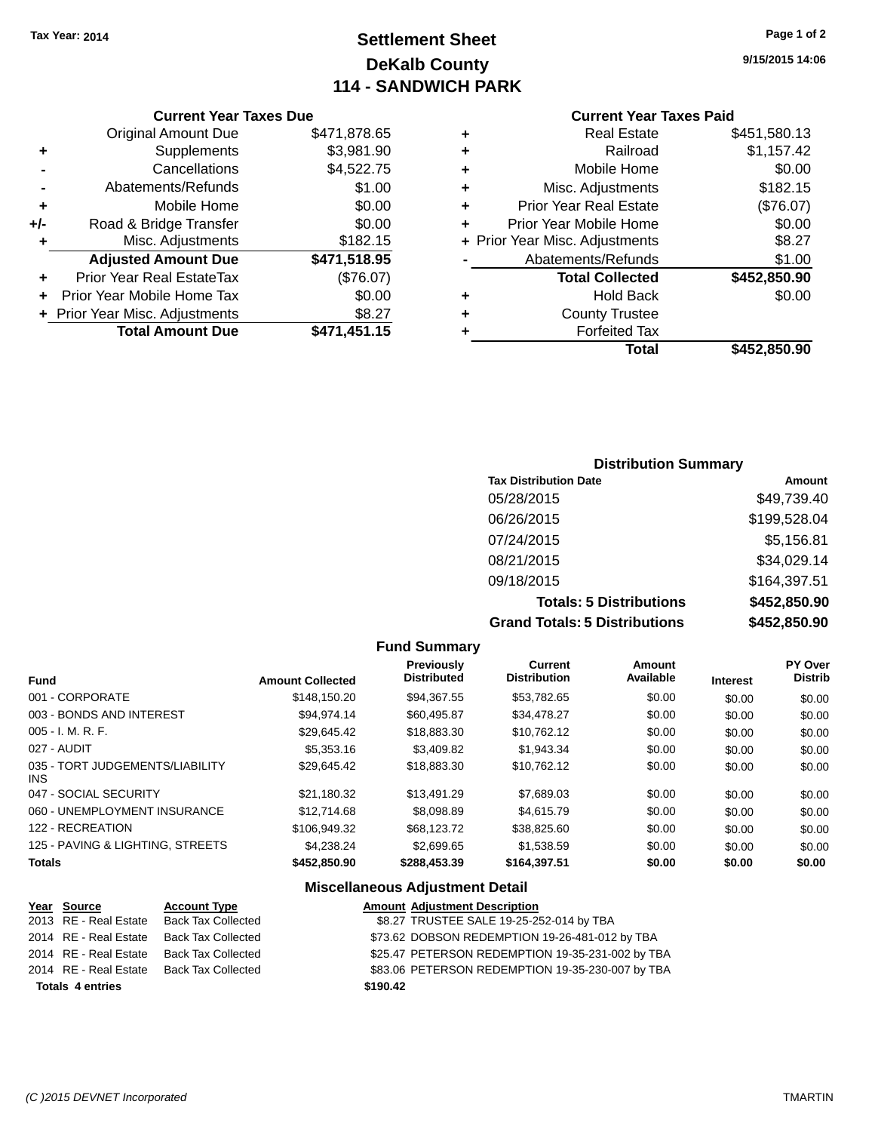# **Settlement Sheet Tax Year: 2014 Page 1 of 2 DeKalb County 114 - SANDWICH PARK**

**9/15/2015 14:06**

#### **Current Year Taxes Paid**

|     | <b>Current Year Taxes Due</b>  |              |  |  |  |
|-----|--------------------------------|--------------|--|--|--|
|     | <b>Original Amount Due</b>     | \$471,878.65 |  |  |  |
| ٠   | Supplements                    | \$3,981.90   |  |  |  |
|     | Cancellations                  | \$4,522.75   |  |  |  |
|     | Abatements/Refunds             | \$1.00       |  |  |  |
| ٠   | Mobile Home                    | \$0.00       |  |  |  |
| +/- | Road & Bridge Transfer         | \$0.00       |  |  |  |
| ٠   | Misc. Adjustments              | \$182.15     |  |  |  |
|     | <b>Adjusted Amount Due</b>     | \$471,518.95 |  |  |  |
| ÷   | Prior Year Real EstateTax      | (\$76.07)    |  |  |  |
|     | Prior Year Mobile Home Tax     | \$0.00       |  |  |  |
|     | + Prior Year Misc. Adjustments | \$8.27       |  |  |  |
|     | <b>Total Amount Due</b>        | \$471,451.15 |  |  |  |
|     |                                |              |  |  |  |

|   | <b>Real Estate</b>             | \$451,580.13 |
|---|--------------------------------|--------------|
| ٠ | Railroad                       | \$1,157.42   |
| ٠ | Mobile Home                    | \$0.00       |
| ٠ | Misc. Adjustments              | \$182.15     |
| ٠ | <b>Prior Year Real Estate</b>  | (\$76.07)    |
| ٠ | Prior Year Mobile Home         | \$0.00       |
|   | + Prior Year Misc. Adjustments | \$8.27       |
|   | Abatements/Refunds             | \$1.00       |
|   | <b>Total Collected</b>         | \$452,850.90 |
| ٠ | <b>Hold Back</b>               | \$0.00       |
| ٠ | <b>County Trustee</b>          |              |
| ٠ | <b>Forfeited Tax</b>           |              |
|   | Total                          | \$452,850.90 |
|   |                                |              |

## **Distribution Summary Tax Distribution Date Amount** 05/28/2015 \$49,739.40 06/26/2015 \$199,528.04 07/24/2015 \$5,156.81 08/21/2015 \$34,029.14 09/18/2015 \$164,397.51 **Totals: 5 Distributions \$452,850.90 Grand Totals: 5 Distributions \$452,850.90**

|                                               |                         | <b>Fund Summary</b>                     |                                       |                     |                 |                           |
|-----------------------------------------------|-------------------------|-----------------------------------------|---------------------------------------|---------------------|-----------------|---------------------------|
| <b>Fund</b>                                   | <b>Amount Collected</b> | <b>Previously</b><br><b>Distributed</b> | <b>Current</b><br><b>Distribution</b> | Amount<br>Available | <b>Interest</b> | PY Over<br><b>Distrib</b> |
| 001 - CORPORATE                               | \$148,150.20            | \$94,367.55                             | \$53,782.65                           | \$0.00              | \$0.00          | \$0.00                    |
| 003 - BONDS AND INTEREST                      | \$94,974.14             | \$60,495.87                             | \$34,478.27                           | \$0.00              | \$0.00          | \$0.00                    |
| $005 - I. M. R. F.$                           | \$29.645.42             | \$18,883,30                             | \$10.762.12                           | \$0.00              | \$0.00          | \$0.00                    |
| 027 - AUDIT                                   | \$5,353,16              | \$3,409.82                              | \$1.943.34                            | \$0.00              | \$0.00          | \$0.00                    |
| 035 - TORT JUDGEMENTS/LIABILITY<br><b>INS</b> | \$29.645.42             | \$18,883.30                             | \$10.762.12                           | \$0.00              | \$0.00          | \$0.00                    |
| 047 - SOCIAL SECURITY                         | \$21.180.32             | \$13.491.29                             | \$7,689.03                            | \$0.00              | \$0.00          | \$0.00                    |
| 060 - UNEMPLOYMENT INSURANCE                  | \$12,714.68             | \$8,098.89                              | \$4.615.79                            | \$0.00              | \$0.00          | \$0.00                    |
| 122 - RECREATION                              | \$106,949.32            | \$68.123.72                             | \$38.825.60                           | \$0.00              | \$0.00          | \$0.00                    |
| 125 - PAVING & LIGHTING, STREETS              | \$4.238.24              | \$2,699.65                              | \$1,538.59                            | \$0.00              | \$0.00          | \$0.00                    |
| <b>Totals</b>                                 | \$452,850.90            | \$288,453.39                            | \$164,397.51                          | \$0.00              | \$0.00          | \$0.00                    |

#### **Miscellaneous Adjustment Detail**

| Year Source             | <b>Account Type</b>       | <b>Amount Adjustment Description</b>             |
|-------------------------|---------------------------|--------------------------------------------------|
| 2013 RE - Real Estate   | Back Tax Collected        | \$8.27 TRUSTEE SALE 19-25-252-014 by TBA         |
| 2014 RE - Real Estate   | <b>Back Tax Collected</b> | \$73.62 DOBSON REDEMPTION 19-26-481-012 by TBA   |
| 2014 RE - Real Estate   | <b>Back Tax Collected</b> | \$25.47 PETERSON REDEMPTION 19-35-231-002 by TBA |
| 2014 RE - Real Estate   | <b>Back Tax Collected</b> | \$83.06 PETERSON REDEMPTION 19-35-230-007 by TBA |
| <b>Totals 4 entries</b> |                           | \$190.42                                         |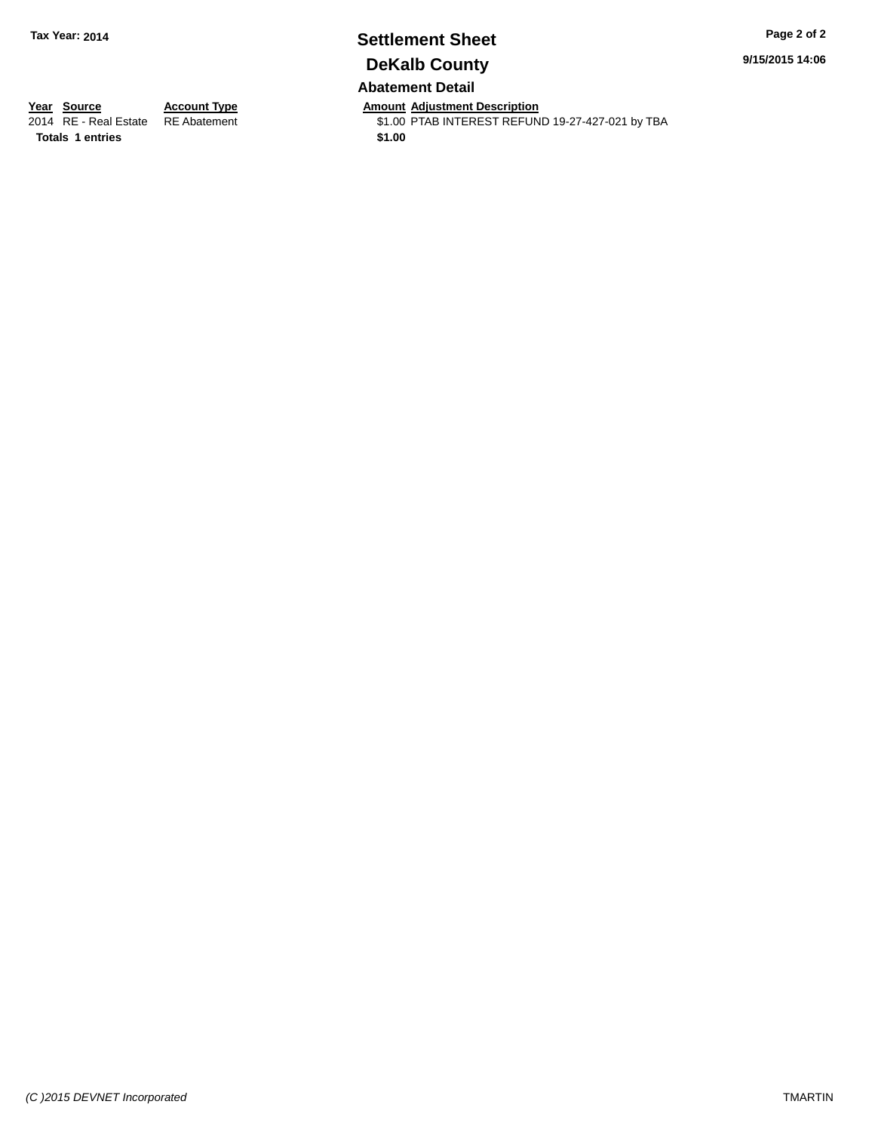# **Settlement Sheet Tax Year: 2014 Page 2 of 2 DeKalb County**

**9/15/2015 14:06**

# **Abatement Detail**

**Totals 1 entries \$1.00**

**Year Source Account Type Anneunt Adjustment Description**<br>2014 RE - Real Estate RE Abatement **Amount Adjustment CEL** \$1.00 PTAB INTEREST REFUND 19-27-427-021 by TBA

*(C )2015 DEVNET Incorporated* TMARTIN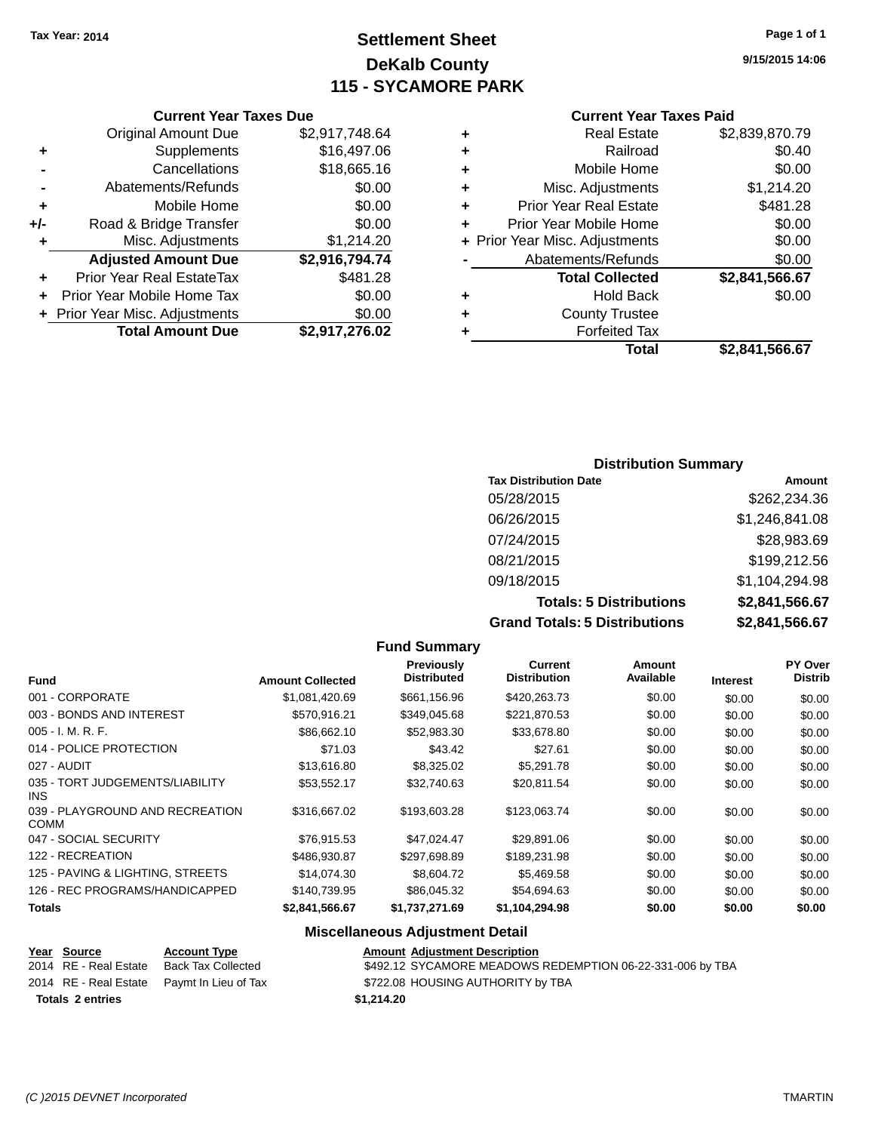# **Settlement Sheet Tax Year: 2014 Page 1 of 1 DeKalb County 115 - SYCAMORE PARK**

**9/15/2015 14:06**

#### **Current Year Taxes Paid**

| ٠ | <b>Real Estate</b>             | \$2,839,870.79 |
|---|--------------------------------|----------------|
| ٠ | Railroad                       | \$0.40         |
| ٠ | Mobile Home                    | \$0.00         |
| ٠ | Misc. Adjustments              | \$1,214.20     |
| ٠ | <b>Prior Year Real Estate</b>  | \$481.28       |
| ٠ | Prior Year Mobile Home         | \$0.00         |
|   | + Prior Year Misc. Adjustments | \$0.00         |
|   | Abatements/Refunds             | \$0.00         |
|   | <b>Total Collected</b>         | \$2,841,566.67 |
| ٠ | <b>Hold Back</b>               | \$0.00         |
| ٠ | <b>County Trustee</b>          |                |
|   | <b>Forfeited Tax</b>           |                |
|   | Total                          | \$2,841,566.67 |

|     | <b>Current Year Taxes Due</b>    |                |
|-----|----------------------------------|----------------|
|     | <b>Original Amount Due</b>       | \$2,917,748.64 |
| ٠   | Supplements                      | \$16,497.06    |
|     | Cancellations                    | \$18,665.16    |
|     | Abatements/Refunds               | \$0.00         |
| ٠   | Mobile Home                      | \$0.00         |
| +/- | Road & Bridge Transfer           | \$0.00         |
| ٠   | Misc. Adjustments                | \$1,214.20     |
|     | <b>Adjusted Amount Due</b>       | \$2,916,794.74 |
|     | <b>Prior Year Real EstateTax</b> | \$481.28       |
|     | Prior Year Mobile Home Tax       | \$0.00         |
|     | + Prior Year Misc. Adjustments   | \$0.00         |
|     | <b>Total Amount Due</b>          | \$2,917,276.02 |

# **Distribution Summary Tax Distribution Date Amount**

| <b>Grand Totals: 5 Distributions</b> | \$2,841,566.67 |
|--------------------------------------|----------------|
| <b>Totals: 5 Distributions</b>       | \$2,841,566.67 |
| 09/18/2015                           | \$1,104,294.98 |
| 08/21/2015                           | \$199,212.56   |
| 07/24/2015                           | \$28,983.69    |
| 06/26/2015                           | \$1,246,841.08 |
| 05/28/2015                           | \$262,234.36   |

| <b>Fund Summary</b>                            |                         |                                  |                                |                            |                 |                                  |
|------------------------------------------------|-------------------------|----------------------------------|--------------------------------|----------------------------|-----------------|----------------------------------|
| <b>Fund</b>                                    | <b>Amount Collected</b> | Previously<br><b>Distributed</b> | Current<br><b>Distribution</b> | <b>Amount</b><br>Available | <b>Interest</b> | <b>PY Over</b><br><b>Distrib</b> |
| 001 - CORPORATE                                | \$1,081,420.69          | \$661,156.96                     | \$420,263.73                   | \$0.00                     | \$0.00          | \$0.00                           |
| 003 - BONDS AND INTEREST                       | \$570,916.21            | \$349,045.68                     | \$221,870.53                   | \$0.00                     | \$0.00          | \$0.00                           |
| $005 - I. M. R. F.$                            | \$86,662.10             | \$52,983,30                      | \$33,678.80                    | \$0.00                     | \$0.00          | \$0.00                           |
| 014 - POLICE PROTECTION                        | \$71.03                 | \$43.42                          | \$27.61                        | \$0.00                     | \$0.00          | \$0.00                           |
| 027 - AUDIT                                    | \$13,616.80             | \$8,325.02                       | \$5,291.78                     | \$0.00                     | \$0.00          | \$0.00                           |
| 035 - TORT JUDGEMENTS/LIABILITY<br><b>INS</b>  | \$53,552.17             | \$32,740.63                      | \$20,811.54                    | \$0.00                     | \$0.00          | \$0.00                           |
| 039 - PLAYGROUND AND RECREATION<br><b>COMM</b> | \$316,667.02            | \$193,603.28                     | \$123,063.74                   | \$0.00                     | \$0.00          | \$0.00                           |
| 047 - SOCIAL SECURITY                          | \$76,915.53             | \$47,024.47                      | \$29,891.06                    | \$0.00                     | \$0.00          | \$0.00                           |
| 122 - RECREATION                               | \$486,930.87            | \$297,698.89                     | \$189,231.98                   | \$0.00                     | \$0.00          | \$0.00                           |
| 125 - PAVING & LIGHTING, STREETS               | \$14.074.30             | \$8,604.72                       | \$5,469.58                     | \$0.00                     | \$0.00          | \$0.00                           |
| 126 - REC PROGRAMS/HANDICAPPED                 | \$140,739.95            | \$86,045.32                      | \$54,694.63                    | \$0.00                     | \$0.00          | \$0.00                           |
| <b>Totals</b>                                  | \$2,841,566.67          | \$1,737,271.69                   | \$1,104,294.98                 | \$0.00                     | \$0.00          | \$0.00                           |

#### **Miscellaneous Adjustment Detail**

#### **Year Source Account Type Amount Adjustment Description** \$492.12 SYCAMORE MEADOWS REDEMPTION 06-22-331-006 by TBA 2014 RE - Real Estate Paymt In Lieu of Tax \$722.08 HOUSING AUTHORITY by TBA **Totals 2 entries \$1,214.20**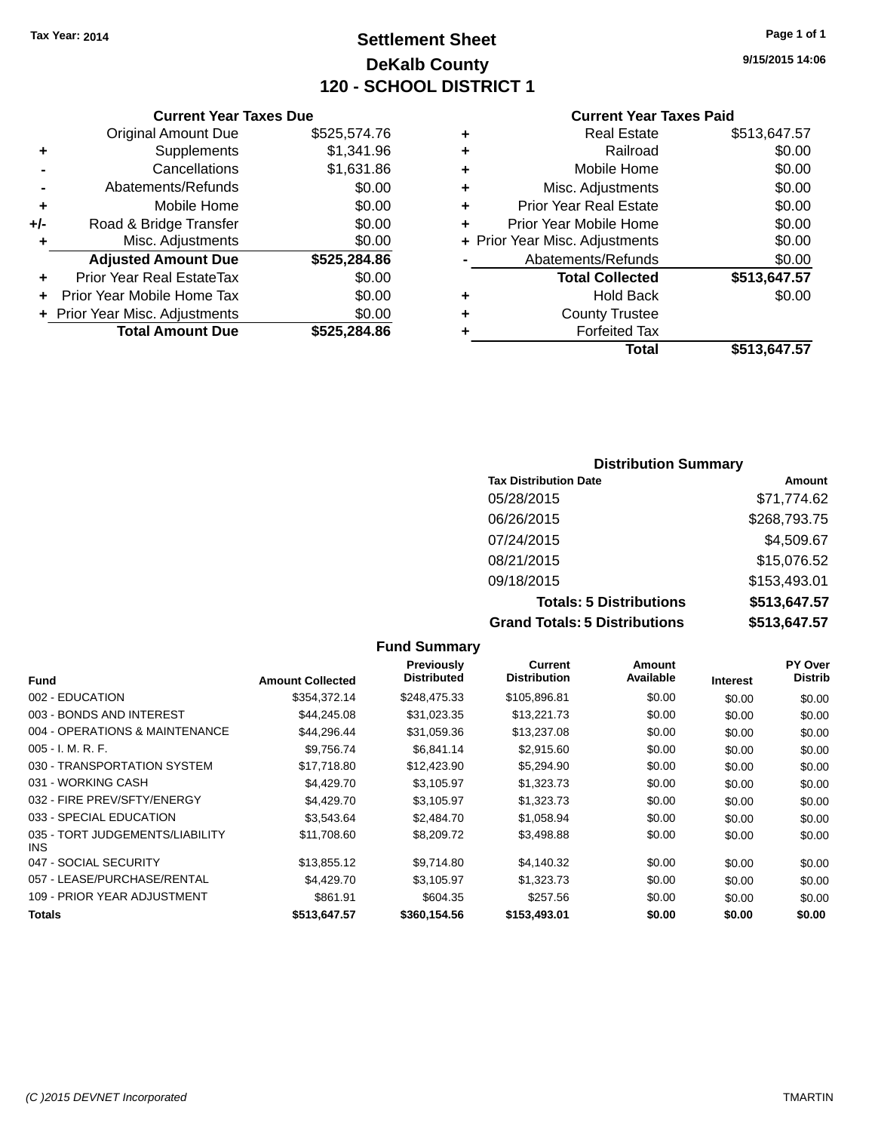### **Settlement Sheet Tax Year: 2014 Page 1 of 1 DeKalb County 120 - SCHOOL DISTRICT 1**

**9/15/2015 14:06**

#### **Current Year Taxes Paid**

|     | <b>Current Year Taxes Due</b>  |              |
|-----|--------------------------------|--------------|
|     | <b>Original Amount Due</b>     | \$525,574.76 |
| ٠   | Supplements                    | \$1,341.96   |
|     | Cancellations                  | \$1,631.86   |
|     | Abatements/Refunds             | \$0.00       |
| ٠   | Mobile Home                    | \$0.00       |
| +/- | Road & Bridge Transfer         | \$0.00       |
| ٠   | Misc. Adjustments              | \$0.00       |
|     | <b>Adjusted Amount Due</b>     | \$525,284.86 |
| ÷   | Prior Year Real EstateTax      | \$0.00       |
|     | Prior Year Mobile Home Tax     | \$0.00       |
|     | + Prior Year Misc. Adjustments | \$0.00       |
|     | <b>Total Amount Due</b>        | \$525.284.86 |
|     |                                |              |

|   | <b>Real Estate</b>             | \$513,647.57 |
|---|--------------------------------|--------------|
| ٠ | Railroad                       | \$0.00       |
| ٠ | Mobile Home                    | \$0.00       |
| ٠ | Misc. Adjustments              | \$0.00       |
| ٠ | <b>Prior Year Real Estate</b>  | \$0.00       |
| ٠ | Prior Year Mobile Home         | \$0.00       |
|   | + Prior Year Misc. Adjustments | \$0.00       |
|   | Abatements/Refunds             | \$0.00       |
|   | <b>Total Collected</b>         | \$513,647.57 |
| ٠ | Hold Back                      | \$0.00       |
| ٠ | <b>County Trustee</b>          |              |
| ٠ | <b>Forfeited Tax</b>           |              |
|   | Total                          | \$513,647.57 |
|   |                                |              |

### **Distribution Summary Tax Distribution Date Amount** 05/28/2015 \$71,774.62 06/26/2015 \$268,793.75 07/24/2015 \$4,509.67 08/21/2015 \$15,076.52 09/18/2015 \$153,493.01 **Totals: 5 Distributions \$513,647.57 Grand Totals: 5 Distributions \$513,647.57**

|                                         |                         | <b>Fund Summary</b>              |                                |                     |                 |                           |
|-----------------------------------------|-------------------------|----------------------------------|--------------------------------|---------------------|-----------------|---------------------------|
| <b>Fund</b>                             | <b>Amount Collected</b> | Previously<br><b>Distributed</b> | Current<br><b>Distribution</b> | Amount<br>Available | <b>Interest</b> | PY Over<br><b>Distrib</b> |
| 002 - EDUCATION                         | \$354,372.14            | \$248,475.33                     | \$105,896.81                   | \$0.00              | \$0.00          | \$0.00                    |
| 003 - BONDS AND INTEREST                | \$44,245.08             | \$31,023.35                      | \$13,221.73                    | \$0.00              | \$0.00          | \$0.00                    |
| 004 - OPERATIONS & MAINTENANCE          | \$44,296.44             | \$31,059.36                      | \$13,237.08                    | \$0.00              | \$0.00          | \$0.00                    |
| $005 - I. M. R. F.$                     | \$9,756.74              | \$6,841.14                       | \$2,915.60                     | \$0.00              | \$0.00          | \$0.00                    |
| 030 - TRANSPORTATION SYSTEM             | \$17,718.80             | \$12,423.90                      | \$5,294.90                     | \$0.00              | \$0.00          | \$0.00                    |
| 031 - WORKING CASH                      | \$4,429.70              | \$3,105.97                       | \$1,323.73                     | \$0.00              | \$0.00          | \$0.00                    |
| 032 - FIRE PREV/SFTY/ENERGY             | \$4,429.70              | \$3,105.97                       | \$1,323.73                     | \$0.00              | \$0.00          | \$0.00                    |
| 033 - SPECIAL EDUCATION                 | \$3,543.64              | \$2,484.70                       | \$1,058.94                     | \$0.00              | \$0.00          | \$0.00                    |
| 035 - TORT JUDGEMENTS/LIABILITY<br>INS. | \$11,708.60             | \$8,209.72                       | \$3,498.88                     | \$0.00              | \$0.00          | \$0.00                    |
| 047 - SOCIAL SECURITY                   | \$13,855.12             | \$9,714.80                       | \$4,140.32                     | \$0.00              | \$0.00          | \$0.00                    |
| 057 - LEASE/PURCHASE/RENTAL             | \$4,429.70              | \$3,105.97                       | \$1,323.73                     | \$0.00              | \$0.00          | \$0.00                    |
| 109 - PRIOR YEAR ADJUSTMENT             | \$861.91                | \$604.35                         | \$257.56                       | \$0.00              | \$0.00          | \$0.00                    |
| Totals                                  | \$513,647.57            | \$360,154.56                     | \$153,493.01                   | \$0.00              | \$0.00          | \$0.00                    |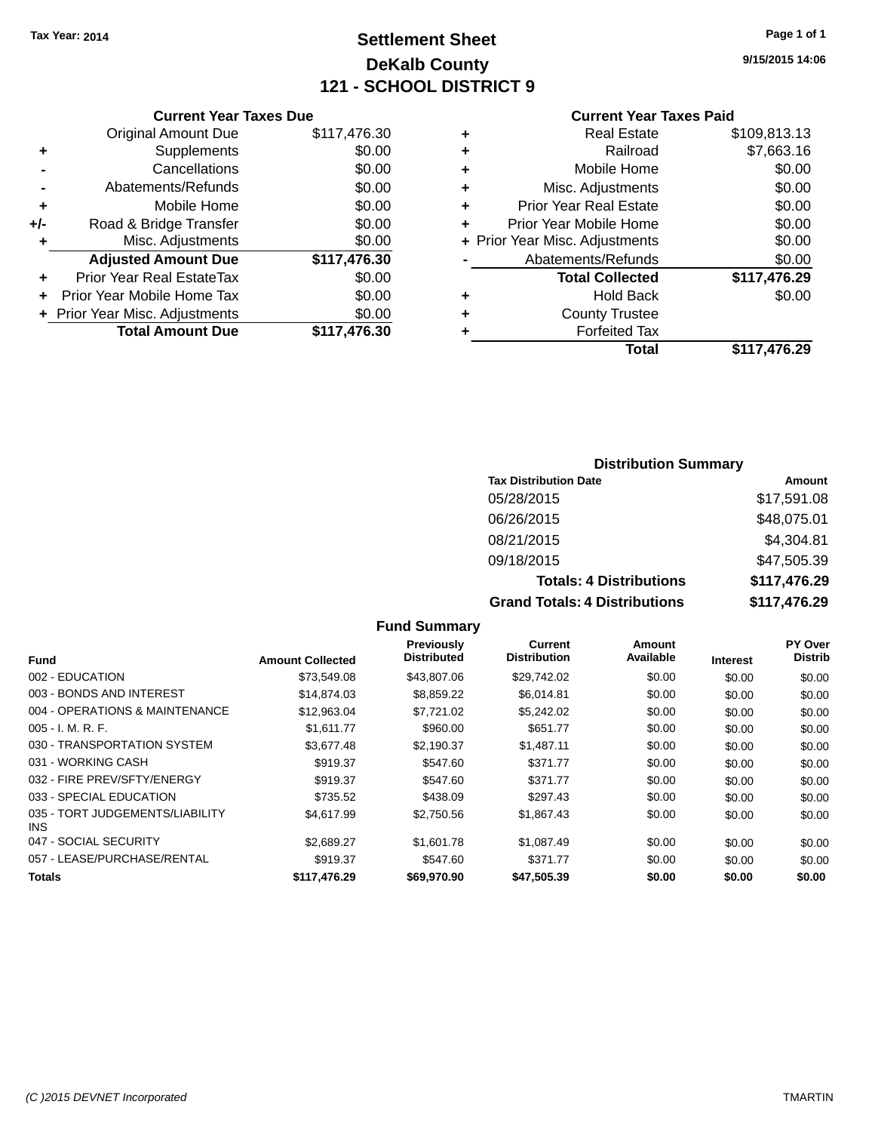### **Settlement Sheet Tax Year: 2014 Page 1 of 1 DeKalb County 121 - SCHOOL DISTRICT 9**

**9/15/2015 14:06**

#### **Current Year Taxes Paid**

|       | <b>Original Amount Due</b>     | \$117,476.30 |
|-------|--------------------------------|--------------|
| ٠     | Supplements                    | \$0.00       |
|       | Cancellations                  | \$0.00       |
|       | Abatements/Refunds             | \$0.00       |
| ٠     | Mobile Home                    | \$0.00       |
| $+/-$ | Road & Bridge Transfer         | \$0.00       |
| ٠     | Misc. Adjustments              | \$0.00       |
|       | <b>Adjusted Amount Due</b>     | \$117,476.30 |
| ٠     | Prior Year Real EstateTax      | \$0.00       |
|       | Prior Year Mobile Home Tax     | \$0.00       |
|       | + Prior Year Misc. Adjustments | \$0.00       |
|       | <b>Total Amount Due</b>        | \$117,476.30 |
|       |                                |              |

**Current Year Taxes Due**

|   | <b>Real Estate</b>             | \$109,813.13 |
|---|--------------------------------|--------------|
| ٠ | Railroad                       | \$7,663.16   |
| ٠ | Mobile Home                    | \$0.00       |
| ٠ | Misc. Adjustments              | \$0.00       |
| ٠ | <b>Prior Year Real Estate</b>  | \$0.00       |
|   | Prior Year Mobile Home         | \$0.00       |
|   | + Prior Year Misc. Adjustments | \$0.00       |
|   | Abatements/Refunds             | \$0.00       |
|   | <b>Total Collected</b>         | \$117,476.29 |
| ٠ | <b>Hold Back</b>               | \$0.00       |
|   | <b>County Trustee</b>          |              |
| ٠ | <b>Forfeited Tax</b>           |              |
|   | Total                          | \$117.476.29 |
|   |                                |              |

### **Distribution Summary**

| <b>Tax Distribution Date</b>         | Amount       |
|--------------------------------------|--------------|
| 05/28/2015                           | \$17,591.08  |
| 06/26/2015                           | \$48,075.01  |
| 08/21/2015                           | \$4,304.81   |
| 09/18/2015                           | \$47,505.39  |
| <b>Totals: 4 Distributions</b>       | \$117,476.29 |
| <b>Grand Totals: 4 Distributions</b> | \$117,476.29 |

#### **Fund Summary Fund Interest Amount Collected Distributed PY Over Distrib Amount Available Current Distribution Previously** 002 - EDUCATION \$73,549.08 \$43,807.06 \$29,742.02 \$0.00 \$0.00 \$0.00 003 - BONDS AND INTEREST 60.00 \$14,874.03 \$8,859.22 \$6,014.81 \$0.00 \$0.00 \$0.00 \$0.00 004 - OPERATIONS & MAINTENANCE \$12,963.04 \$7,721.02 \$5,242.02 \$0.00 \$0.00 \$0.00 005 - I. M. R. F. \$1,611.77 \$960.00 \$651.77 \$0.00 \$0.00 \$0.00 030 - TRANSPORTATION SYSTEM \$3,677.48 \$2,190.37 \$1,487.11 \$0.00 \$0.00 \$0.00 \$0.00 031 - WORKING CASH \$919.37 \$547.60 \$371.77 \$0.00 \$0.00 \$0.00 032 - FIRE PREV/SFTY/ENERGY **\$919.37** \$547.60 \$371.77 \$0.00 \$0.00 \$0.00 \$0.00 033 - SPECIAL EDUCATION **\$235.52** \$438.09 \$297.43 \$0.00 \$0.00 \$0.00 \$0.00 035 - TORT JUDGEMENTS/LIABILITY INS \$4,617.99 \$2,750.56 \$1,867.43 \$0.00 \$0.00 \$0.00 047 - SOCIAL SECURITY \$2,689.27 \$1,601.78 \$1,087.49 \$0.00 \$0.00 \$0.00 057 - LEASE/PURCHASE/RENTAL \$919.37 \$547.60 \$371.77 \$0.00 \$0.00 \$0.00 \$0.00 **Totals \$117,476.29 \$69,970.90 \$47,505.39 \$0.00 \$0.00 \$0.00**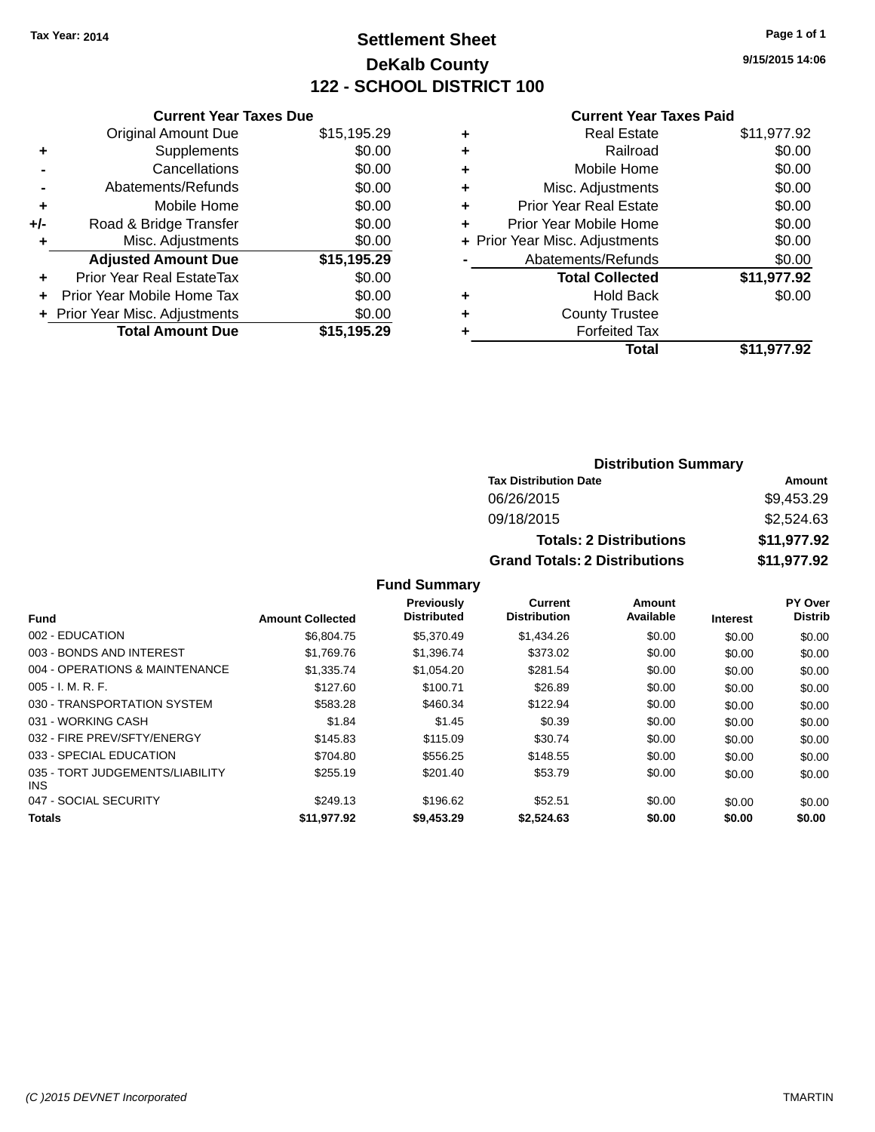### **Settlement Sheet Tax Year: 2014 Page 1 of 1 DeKalb County 122 - SCHOOL DISTRICT 100**

**9/15/2015 14:06**

|  | <b>Current Year Taxes Paid</b> |  |  |  |
|--|--------------------------------|--|--|--|
|--|--------------------------------|--|--|--|

|       | <b>Current Year Taxes Due</b>  |             |
|-------|--------------------------------|-------------|
|       | <b>Original Amount Due</b>     | \$15,195.29 |
| ٠     | Supplements                    | \$0.00      |
|       | Cancellations                  | \$0.00      |
|       | Abatements/Refunds             | \$0.00      |
| ٠     | Mobile Home                    | \$0.00      |
| $+/-$ | Road & Bridge Transfer         | \$0.00      |
|       | Misc. Adjustments              | \$0.00      |
|       | <b>Adjusted Amount Due</b>     | \$15,195.29 |
| ÷     | Prior Year Real EstateTax      | \$0.00      |
| ÷     | Prior Year Mobile Home Tax     | \$0.00      |
|       | + Prior Year Misc. Adjustments | \$0.00      |
|       | <b>Total Amount Due</b>        | \$15.195.29 |
|       |                                |             |

| ٠ | <b>Real Estate</b>             | \$11,977.92 |
|---|--------------------------------|-------------|
| ٠ | Railroad                       | \$0.00      |
| ٠ | Mobile Home                    | \$0.00      |
| ٠ | Misc. Adjustments              | \$0.00      |
| ٠ | <b>Prior Year Real Estate</b>  | \$0.00      |
| ٠ | Prior Year Mobile Home         | \$0.00      |
|   | + Prior Year Misc. Adjustments | \$0.00      |
|   | Abatements/Refunds             | \$0.00      |
|   | <b>Total Collected</b>         | \$11,977.92 |
| ٠ | <b>Hold Back</b>               | \$0.00      |
| ٠ | <b>County Trustee</b>          |             |
|   | <b>Forfeited Tax</b>           |             |
|   | Total                          | \$11,977.92 |
|   |                                |             |

| <b>Distribution Summary</b>          |             |  |  |  |
|--------------------------------------|-------------|--|--|--|
| <b>Tax Distribution Date</b>         | Amount      |  |  |  |
| 06/26/2015                           | \$9,453.29  |  |  |  |
| 09/18/2015                           | \$2,524.63  |  |  |  |
| <b>Totals: 2 Distributions</b>       | \$11,977.92 |  |  |  |
| <b>Grand Totals: 2 Distributions</b> | \$11,977.92 |  |  |  |

### **Fund Summary**

|                                               |                         | <b>Previously</b>  | Current             | Amount    |                 | PY Over        |
|-----------------------------------------------|-------------------------|--------------------|---------------------|-----------|-----------------|----------------|
| <b>Fund</b>                                   | <b>Amount Collected</b> | <b>Distributed</b> | <b>Distribution</b> | Available | <b>Interest</b> | <b>Distrib</b> |
| 002 - EDUCATION                               | \$6,804.75              | \$5,370.49         | \$1,434.26          | \$0.00    | \$0.00          | \$0.00         |
| 003 - BONDS AND INTEREST                      | \$1.769.76              | \$1.396.74         | \$373.02            | \$0.00    | \$0.00          | \$0.00         |
| 004 - OPERATIONS & MAINTENANCE                | \$1.335.74              | \$1.054.20         | \$281.54            | \$0.00    | \$0.00          | \$0.00         |
| $005 - I. M. R. F.$                           | \$127.60                | \$100.71           | \$26.89             | \$0.00    | \$0.00          | \$0.00         |
| 030 - TRANSPORTATION SYSTEM                   | \$583.28                | \$460.34           | \$122.94            | \$0.00    | \$0.00          | \$0.00         |
| 031 - WORKING CASH                            | \$1.84                  | \$1.45             | \$0.39              | \$0.00    | \$0.00          | \$0.00         |
| 032 - FIRE PREV/SFTY/ENERGY                   | \$145.83                | \$115.09           | \$30.74             | \$0.00    | \$0.00          | \$0.00         |
| 033 - SPECIAL EDUCATION                       | \$704.80                | \$556.25           | \$148.55            | \$0.00    | \$0.00          | \$0.00         |
| 035 - TORT JUDGEMENTS/LIABILITY<br><b>INS</b> | \$255.19                | \$201.40           | \$53.79             | \$0.00    | \$0.00          | \$0.00         |
| 047 - SOCIAL SECURITY                         | \$249.13                | \$196.62           | \$52.51             | \$0.00    | \$0.00          | \$0.00         |
| <b>Totals</b>                                 | \$11.977.92             | \$9,453.29         | \$2.524.63          | \$0.00    | \$0.00          | \$0.00         |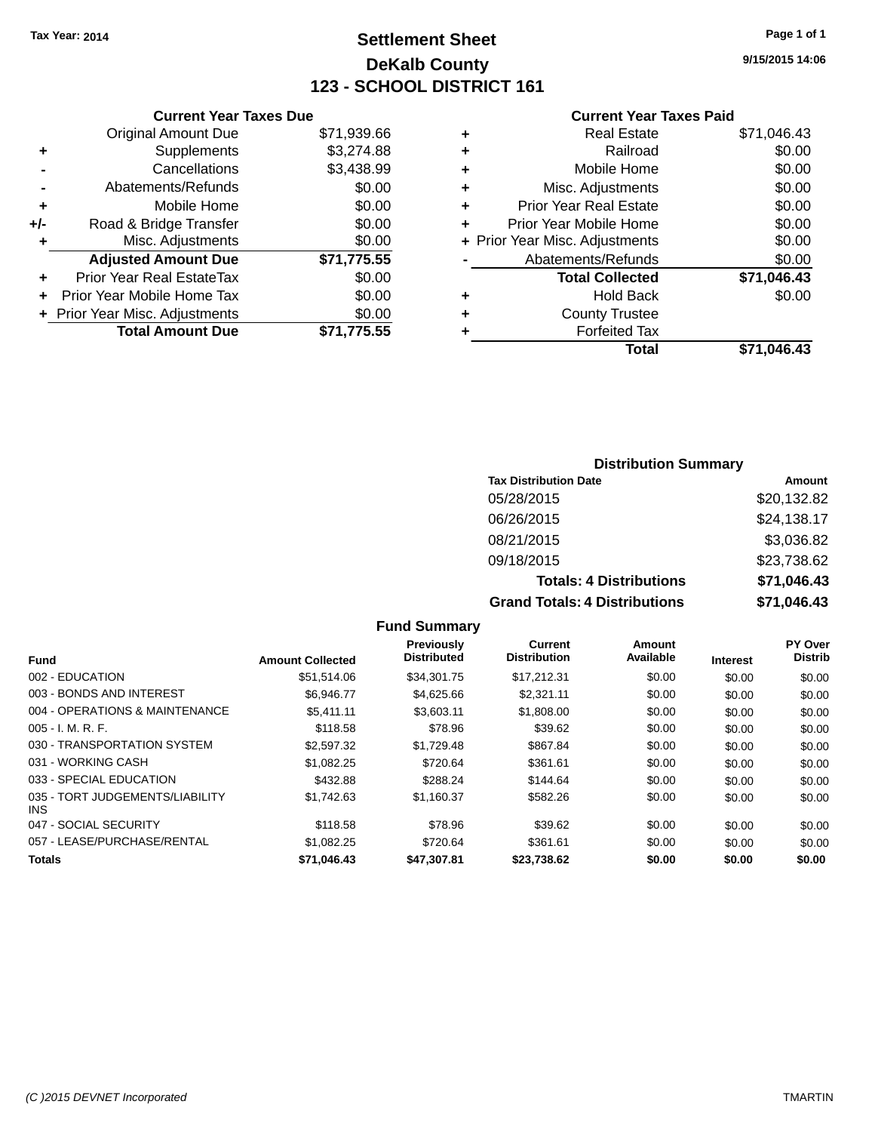### **Settlement Sheet Tax Year: 2014 Page 1 of 1 DeKalb County 123 - SCHOOL DISTRICT 161**

**9/15/2015 14:06**

#### **Current Year Taxes Paid**

|       | <b>Current Year Taxes Due</b>  |             |
|-------|--------------------------------|-------------|
|       | <b>Original Amount Due</b>     | \$71,939.66 |
| ÷     | Supplements                    | \$3,274.88  |
|       | Cancellations                  | \$3,438.99  |
|       | Abatements/Refunds             | \$0.00      |
| ٠     | Mobile Home                    | \$0.00      |
| $+/-$ | Road & Bridge Transfer         | \$0.00      |
| ٠     | Misc. Adjustments              | \$0.00      |
|       | <b>Adjusted Amount Due</b>     | \$71,775.55 |
| ÷     | Prior Year Real EstateTax      | \$0.00      |
|       | Prior Year Mobile Home Tax     | \$0.00      |
|       | + Prior Year Misc. Adjustments | \$0.00      |
|       | <b>Total Amount Due</b>        | \$71,775.55 |
|       |                                |             |

| ٠ | <b>Real Estate</b>             | \$71,046.43 |
|---|--------------------------------|-------------|
| ٠ | Railroad                       | \$0.00      |
| ٠ | Mobile Home                    | \$0.00      |
| ٠ | Misc. Adjustments              | \$0.00      |
| ٠ | <b>Prior Year Real Estate</b>  | \$0.00      |
| ٠ | Prior Year Mobile Home         | \$0.00      |
|   | + Prior Year Misc. Adjustments | \$0.00      |
|   | Abatements/Refunds             | \$0.00      |
|   | <b>Total Collected</b>         | \$71,046.43 |
| ٠ | Hold Back                      | \$0.00      |
| ٠ | <b>County Trustee</b>          |             |
| ٠ | <b>Forfeited Tax</b>           |             |
|   | Total                          | \$71,046.43 |
|   |                                |             |

### **Distribution Summary**

| <b>Tax Distribution Date</b>         | Amount      |
|--------------------------------------|-------------|
| 05/28/2015                           | \$20,132.82 |
| 06/26/2015                           | \$24,138.17 |
| 08/21/2015                           | \$3,036.82  |
| 09/18/2015                           | \$23,738.62 |
| <b>Totals: 4 Distributions</b>       | \$71,046.43 |
| <b>Grand Totals: 4 Distributions</b> | \$71,046.43 |

#### **Fund Summary Fund Interest Amount Collected Distributed PY Over Distrib Amount Available Current Distribution Previously** 002 - EDUCATION \$51,514.06 \$34,301.75 \$17,212.31 \$0.00 \$0.00 \$0.00 003 - BONDS AND INTEREST 66,946.77 \$4,625.66 \$2,321.11 \$0.00 \$0.00 \$0.00 \$0.00 004 - OPERATIONS & MAINTENANCE \$5,411.11 \$3,603.11 \$1,808.00 \$0.00 \$0.00 \$0.00 005 - I. M. R. F. \$118.58 \$78.96 \$39.62 \$0.00 \$0.00 \$0.00 030 - TRANSPORTATION SYSTEM  $$2,597.32$   $$1,729.48$   $$867.84$  \$0.00 \$0.00 \$0.00 \$0.00 031 - WORKING CASH \$1,082.25 \$720.64 \$361.61 \$0.00 \$0.00 \$0.00 \$0.00 \$0.00 \$0.00 \$0.00 \$0.00 \$0.00 \$0.00 033 - SPECIAL EDUCATION 6432.88 \$288.24 \$144.64 \$0.00 \$0.00 \$0.00 \$0.00 035 - TORT JUDGEMENTS/LIABILITY INS \$1,742.63 \$1,160.37 \$582.26 \$0.00 \$0.00 \$0.00 047 - SOCIAL SECURITY \$118.58 \$78.96 \$39.62 \$0.00 \$0.00 \$0.00 \$0.00 057 - LEASE/PURCHASE/RENTAL \$1,082.25 \$720.64 \$361.61 \$0.00 \$0.00 \$0.00 \$0.00 **Totals \$71,046.43 \$47,307.81 \$23,738.62 \$0.00 \$0.00 \$0.00**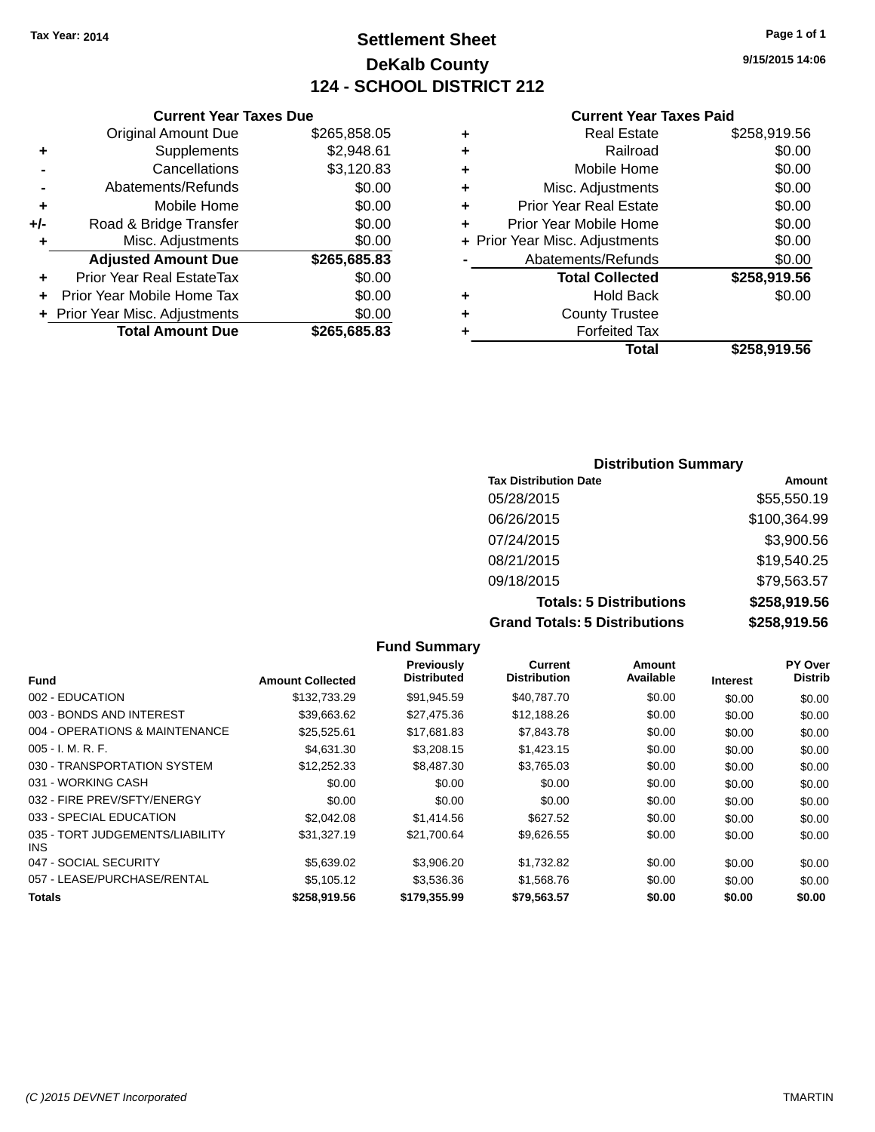### **Settlement Sheet Tax Year: 2014 Page 1 of 1 DeKalb County 124 - SCHOOL DISTRICT 212**

**9/15/2015 14:06**

| <b>Current Year Taxes Due</b> |              |  |
|-------------------------------|--------------|--|
| il Amount Due.                | \$265 858 05 |  |

|     | <b>Total Amount Due</b>          | \$265,685.83 |
|-----|----------------------------------|--------------|
|     | + Prior Year Misc. Adjustments   | \$0.00       |
|     | Prior Year Mobile Home Tax       | \$0.00       |
| ÷   | <b>Prior Year Real EstateTax</b> | \$0.00       |
|     | <b>Adjusted Amount Due</b>       | \$265,685.83 |
| ÷   | Misc. Adjustments                | \$0.00       |
| +/- | Road & Bridge Transfer           | \$0.00       |
| ٠   | Mobile Home                      | \$0.00       |
|     | Abatements/Refunds               | \$0.00       |
|     | Cancellations                    | \$3,120.83   |
| ٠   | Supplements                      | \$2,948.61   |
|     | <b>Original Amount Due</b>       | \$265,858.05 |

#### **Current Year Taxes Paid**

|   | <b>Real Estate</b>             | \$258,919.56 |
|---|--------------------------------|--------------|
| ٠ | Railroad                       | \$0.00       |
| ٠ | Mobile Home                    | \$0.00       |
| ٠ | Misc. Adjustments              | \$0.00       |
| ٠ | <b>Prior Year Real Estate</b>  | \$0.00       |
| ٠ | Prior Year Mobile Home         | \$0.00       |
|   | + Prior Year Misc. Adjustments | \$0.00       |
|   | Abatements/Refunds             | \$0.00       |
|   | <b>Total Collected</b>         | \$258,919.56 |
| ٠ | Hold Back                      | \$0.00       |
| ٠ | <b>County Trustee</b>          |              |
| ٠ | <b>Forfeited Tax</b>           |              |
|   | Total                          | \$258,919.56 |
|   |                                |              |

### **Distribution Summary Tax Distribution Date Amount** 05/28/2015 \$55,550.19 06/26/2015 \$100,364.99 07/24/2015 \$3,900.56 08/21/2015 \$19,540.25 09/18/2015 \$79,563.57 **Totals: 5 Distributions \$258,919.56 Grand Totals: 5 Distributions \$258,919.56**

**Fund Summary Fund Interest Amount Collected Distributed PY Over Distrib Amount Available Current Distribution Previously** 002 - EDUCATION \$132,733.29 \$91,945.59 \$40,787.70 \$0.00 \$0.00 \$0.00 003 - BONDS AND INTEREST  $$39,663.62$   $$27,475.36$   $$12,188.26$   $$0.00$   $$0.00$   $$0.00$ 004 - OPERATIONS & MAINTENANCE  $$25,525.61$   $$17,681.83$   $$7,843.78$   $$0.00$   $$0.00$   $$0.00$ 005 - I. M. R. F. \$4,631.30 \$3,208.15 \$1,423.15 \$0.00 \$0.00 \$0.00 030 - TRANSPORTATION SYSTEM \$12,252.33 \$8,487.30 \$3,765.03 \$0.00 \$0.00 \$0.00 \$0.00 031 - WORKING CASH \$0.00 \$0.00 \$0.00 \$0.00 \$0.00 \$0.00 032 - FIRE PREV/SFTY/ENERGY \$0.00 \$0.00 \$0.00 \$0.00 \$0.00 \$0.00 033 - SPECIAL EDUCATION \$2,042.08 \$1,414.56 \$627.52 \$0.00 \$0.00 \$0.00 \$0.00 035 - TORT JUDGEMENTS/LIABILITY INS \$31,327.19 \$21,700.64 \$9,626.55 \$0.00 \$0.00 \$0.00 047 - SOCIAL SECURITY \$5,639.02 \$3,906.20 \$1,732.82 \$0.00 \$0.00 \$0.00 057 - LEASE/PURCHASE/RENTAL  $$5,105.12$   $$3,536.36$   $$1,568.76$   $$0.00$   $$0.00$   $$0.00$ **Totals \$258,919.56 \$179,355.99 \$79,563.57 \$0.00 \$0.00 \$0.00**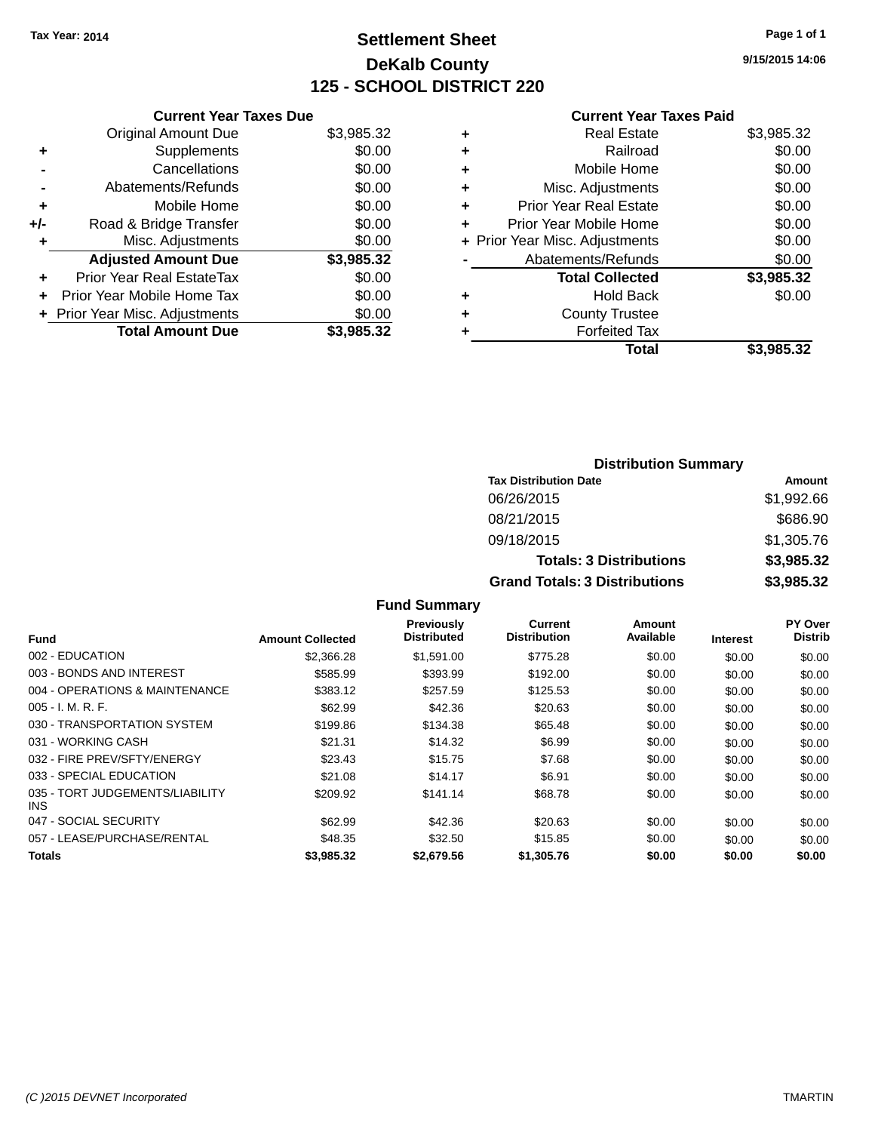### **Settlement Sheet Tax Year: 2014 Page 1 of 1 DeKalb County 125 - SCHOOL DISTRICT 220**

**9/15/2015 14:06**

#### **Current Year Taxes Paid**

|     | <b>Current Year Taxes Due</b>  |            |
|-----|--------------------------------|------------|
|     | <b>Original Amount Due</b>     | \$3,985.32 |
| ÷   | Supplements                    | \$0.00     |
|     | Cancellations                  | \$0.00     |
|     | Abatements/Refunds             | \$0.00     |
| ٠   | Mobile Home                    | \$0.00     |
| +/- | Road & Bridge Transfer         | \$0.00     |
| ٠   | Misc. Adjustments              | \$0.00     |
|     | <b>Adjusted Amount Due</b>     | \$3,985.32 |
| ÷   | Prior Year Real EstateTax      | \$0.00     |
|     | Prior Year Mobile Home Tax     | \$0.00     |
|     | + Prior Year Misc. Adjustments | \$0.00     |
|     | <b>Total Amount Due</b>        | \$3,985.32 |
|     |                                |            |

|   | <b>Real Estate</b>             | \$3,985.32 |
|---|--------------------------------|------------|
| ٠ | Railroad                       | \$0.00     |
| ٠ | Mobile Home                    | \$0.00     |
| ٠ | Misc. Adjustments              | \$0.00     |
| ٠ | <b>Prior Year Real Estate</b>  | \$0.00     |
|   | Prior Year Mobile Home         | \$0.00     |
|   | + Prior Year Misc. Adjustments | \$0.00     |
|   | Abatements/Refunds             | \$0.00     |
|   | <b>Total Collected</b>         | \$3,985.32 |
| ٠ | Hold Back                      | \$0.00     |
|   | <b>County Trustee</b>          |            |
| ٠ | <b>Forfeited Tax</b>           |            |
|   | Total                          | \$3,985.32 |
|   |                                |            |

| <b>Distribution Summary</b>          |            |  |  |
|--------------------------------------|------------|--|--|
| <b>Tax Distribution Date</b>         | Amount     |  |  |
| 06/26/2015                           | \$1,992.66 |  |  |
| 08/21/2015                           | \$686.90   |  |  |
| 09/18/2015                           | \$1,305.76 |  |  |
| <b>Totals: 3 Distributions</b>       | \$3,985.32 |  |  |
| <b>Grand Totals: 3 Distributions</b> | \$3,985.32 |  |  |

**Fund Summary**

| Fund                                    | <b>Amount Collected</b> | Previously<br><b>Distributed</b> | <b>Current</b><br><b>Distribution</b> | Amount<br>Available | <b>Interest</b> | PY Over<br><b>Distrib</b> |
|-----------------------------------------|-------------------------|----------------------------------|---------------------------------------|---------------------|-----------------|---------------------------|
| 002 - EDUCATION                         | \$2,366,28              | \$1.591.00                       | \$775.28                              | \$0.00              | \$0.00          | \$0.00                    |
| 003 - BONDS AND INTEREST                | \$585.99                | \$393.99                         | \$192.00                              | \$0.00              | \$0.00          | \$0.00                    |
| 004 - OPERATIONS & MAINTENANCE          | \$383.12                | \$257.59                         | \$125.53                              | \$0.00              | \$0.00          | \$0.00                    |
| $005 - I. M. R. F.$                     | \$62.99                 | \$42.36                          | \$20.63                               | \$0.00              | \$0.00          | \$0.00                    |
| 030 - TRANSPORTATION SYSTEM             | \$199.86                | \$134.38                         | \$65.48                               | \$0.00              | \$0.00          | \$0.00                    |
| 031 - WORKING CASH                      | \$21.31                 | \$14.32                          | \$6.99                                | \$0.00              | \$0.00          | \$0.00                    |
| 032 - FIRE PREV/SFTY/ENERGY             | \$23.43                 | \$15.75                          | \$7.68                                | \$0.00              | \$0.00          | \$0.00                    |
| 033 - SPECIAL EDUCATION                 | \$21.08                 | \$14.17                          | \$6.91                                | \$0.00              | \$0.00          | \$0.00                    |
| 035 - TORT JUDGEMENTS/LIABILITY<br>INS. | \$209.92                | \$141.14                         | \$68.78                               | \$0.00              | \$0.00          | \$0.00                    |
| 047 - SOCIAL SECURITY                   | \$62.99                 | \$42.36                          | \$20.63                               | \$0.00              | \$0.00          | \$0.00                    |
| 057 - LEASE/PURCHASE/RENTAL             | \$48.35                 | \$32.50                          | \$15.85                               | \$0.00              | \$0.00          | \$0.00                    |
| Totals                                  | \$3.985.32              | \$2,679.56                       | \$1,305.76                            | \$0.00              | \$0.00          | \$0.00                    |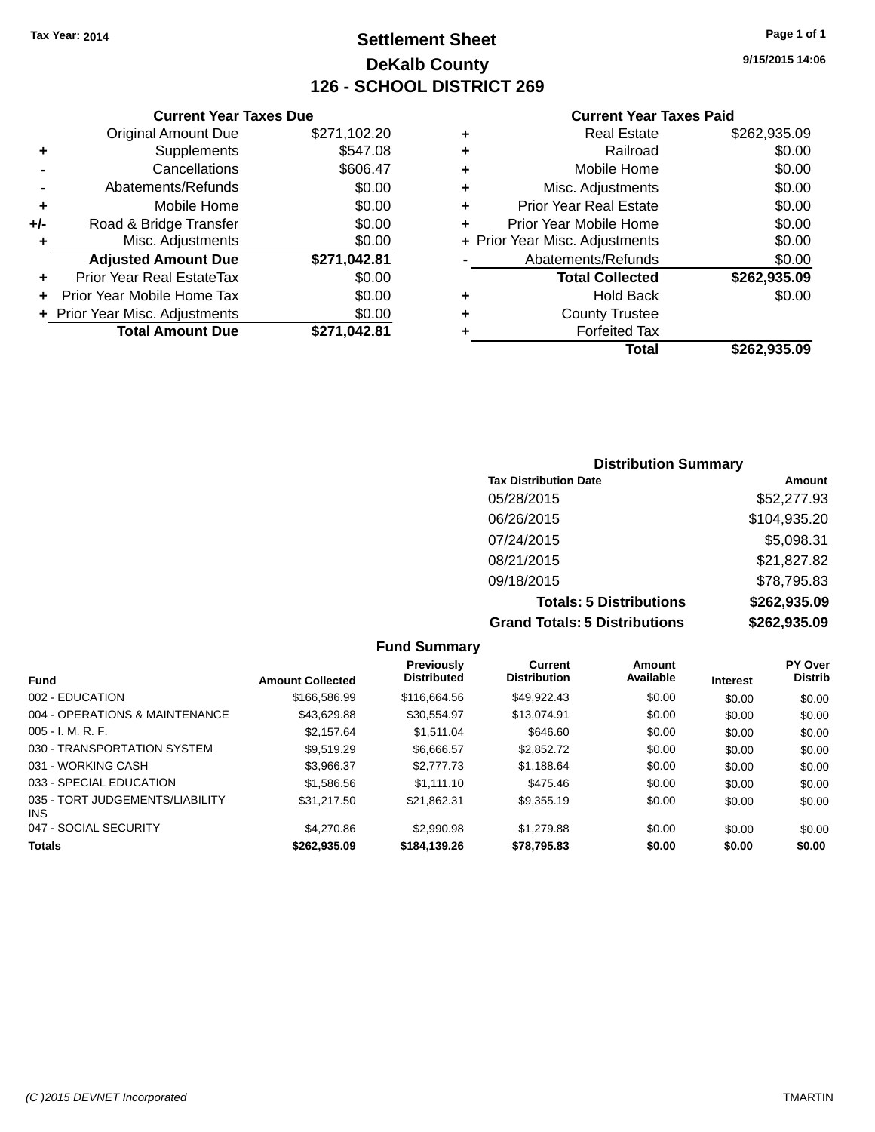### **Settlement Sheet Tax Year: 2014 Page 1 of 1 DeKalb County 126 - SCHOOL DISTRICT 269**

**9/15/2015 14:06**

#### **Current Year Taxes Paid**

|     | <b>Original Amount Due</b>       | \$271,102.20 |
|-----|----------------------------------|--------------|
| ٠   | Supplements                      | \$547.08     |
|     | Cancellations                    | \$606.47     |
| -   | Abatements/Refunds               | \$0.00       |
| ÷   | Mobile Home                      | \$0.00       |
| +/- | Road & Bridge Transfer           | \$0.00       |
| ٠   | Misc. Adjustments                | \$0.00       |
|     | <b>Adjusted Amount Due</b>       | \$271,042.81 |
| ٠   | <b>Prior Year Real EstateTax</b> | \$0.00       |
| ٠   | Prior Year Mobile Home Tax       | \$0.00       |
|     | + Prior Year Misc. Adjustments   | \$0.00       |
|     | <b>Total Amount Due</b>          | \$271,042.81 |
|     |                                  |              |

**Current Year Taxes Due**

| ٠ | <b>Real Estate</b>             | \$262,935.09 |
|---|--------------------------------|--------------|
| ٠ | Railroad                       | \$0.00       |
| ٠ | Mobile Home                    | \$0.00       |
| ٠ | Misc. Adjustments              | \$0.00       |
| ٠ | <b>Prior Year Real Estate</b>  | \$0.00       |
| ٠ | Prior Year Mobile Home         | \$0.00       |
|   | + Prior Year Misc. Adjustments | \$0.00       |
|   | Abatements/Refunds             | \$0.00       |
|   | <b>Total Collected</b>         | \$262,935.09 |
| ٠ | <b>Hold Back</b>               | \$0.00       |
| ٠ | <b>County Trustee</b>          |              |
| ٠ | <b>Forfeited Tax</b>           |              |
|   | Total                          | \$262,935.09 |
|   |                                |              |

### **Distribution Summary Tax Distribution Date Amount** 05/28/2015 \$52,277.93 06/26/2015 \$104,935.20 07/24/2015 \$5,098.31 08/21/2015 \$21,827.82 09/18/2015 \$78,795.83 **Totals: 5 Distributions \$262,935.09 Grand Totals: 5 Distributions \$262,935.09**

**Fund Summary Fund Interest Amount Collected Distributed PY Over Distrib Amount Available Current Distribution Previously** 002 - EDUCATION \$166,586.99 \$116,664.56 \$49,922.43 \$0.00 \$0.00 \$0.00 004 - OPERATIONS & MAINTENANCE  $$43,629.88$   $$30,554.97$   $$13,074.91$   $$0.00$   $$0.00$   $$0.00$ 005 - I. M. R. F. \$2,157.64 \$1,511.04 \$646.60 \$0.00 \$0.00 \$0.00 030 - TRANSPORTATION SYSTEM  $$9,519.29$   $$6,666.57$   $$2,852.72$   $$0.00$   $$0.00$   $$0.00$ 031 - WORKING CASH \$3,966.37 \$2,777.73 \$1,188.64 \$0.00 \$0.00 \$0.00 033 - SPECIAL EDUCATION \$1,586.56 \$1,111.10 \$475.46 \$0.00 \$0.00 \$0.00 \$0.00 035 - TORT JUDGEMENTS/LIABILITY INS \$31,217.50 \$21,862.31 \$9,355.19 \$0.00 \$0.00 \$0.00 047 - SOCIAL SECURITY \$4,270.86 \$2,990.98 \$1,279.88 \$0.00 \$0.00 \$0.00 **Totals \$262,935.09 \$184,139.26 \$78,795.83 \$0.00 \$0.00 \$0.00**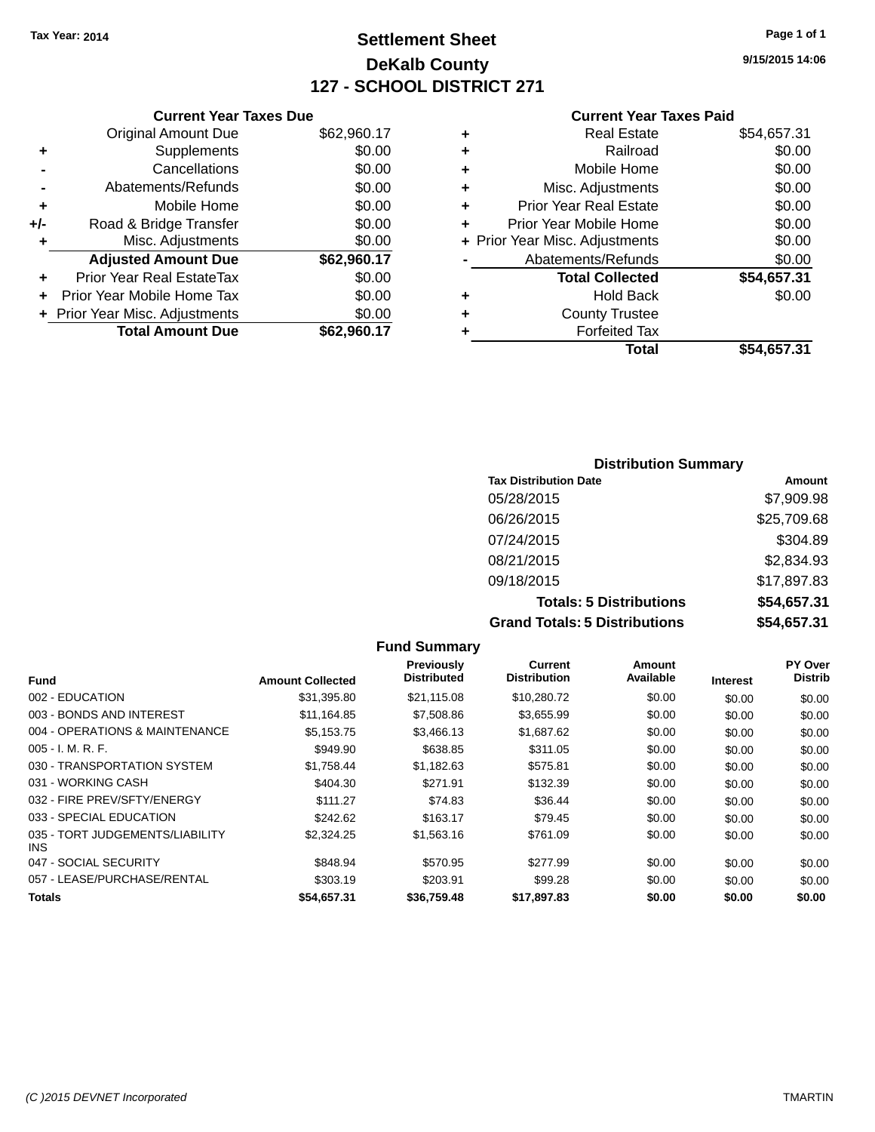### **Settlement Sheet Tax Year: 2014 Page 1 of 1 DeKalb County 127 - SCHOOL DISTRICT 271**

**9/15/2015 14:06**

#### **Current Year Taxes Paid**

|     | <b>Current Year Taxes Due</b>  |             |
|-----|--------------------------------|-------------|
|     | <b>Original Amount Due</b>     | \$62,960.17 |
| ٠   | Supplements                    | \$0.00      |
|     | Cancellations                  | \$0.00      |
|     | Abatements/Refunds             | \$0.00      |
| ٠   | Mobile Home                    | \$0.00      |
| +/- | Road & Bridge Transfer         | \$0.00      |
|     | Misc. Adjustments              | \$0.00      |
|     | <b>Adjusted Amount Due</b>     | \$62,960.17 |
| ÷   | Prior Year Real EstateTax      | \$0.00      |
|     | Prior Year Mobile Home Tax     | \$0.00      |
|     | + Prior Year Misc. Adjustments | \$0.00      |
|     | <b>Total Amount Due</b>        | \$62.960.17 |
|     |                                |             |

| ٠ | <b>Real Estate</b>             | \$54,657.31 |
|---|--------------------------------|-------------|
| ٠ | Railroad                       | \$0.00      |
| ٠ | Mobile Home                    | \$0.00      |
| ٠ | Misc. Adjustments              | \$0.00      |
| ÷ | <b>Prior Year Real Estate</b>  | \$0.00      |
| ٠ | Prior Year Mobile Home         | \$0.00      |
|   | + Prior Year Misc. Adjustments | \$0.00      |
|   | Abatements/Refunds             | \$0.00      |
|   | <b>Total Collected</b>         | \$54,657.31 |
| ٠ | Hold Back                      | \$0.00      |
| ٠ | <b>County Trustee</b>          |             |
| ٠ | <b>Forfeited Tax</b>           |             |
|   | Total                          | \$54,657.31 |
|   |                                |             |

| <b>Distribution Summary</b>          |             |  |  |  |
|--------------------------------------|-------------|--|--|--|
| <b>Tax Distribution Date</b>         | Amount      |  |  |  |
| 05/28/2015                           | \$7,909.98  |  |  |  |
| 06/26/2015                           | \$25,709.68 |  |  |  |
| 07/24/2015                           | \$304.89    |  |  |  |
| 08/21/2015                           | \$2,834.93  |  |  |  |
| 09/18/2015                           | \$17,897.83 |  |  |  |
| <b>Totals: 5 Distributions</b>       | \$54,657.31 |  |  |  |
| <b>Grand Totals: 5 Distributions</b> | \$54,657.31 |  |  |  |

**Fund Summary Fund Interest Amount Collected Distributed PY Over Distrib Amount Available Current Distribution Previously** 002 - EDUCATION \$31,395.80 \$21,115.08 \$10,280.72 \$0.00 \$0.00 \$0.00 003 - BONDS AND INTEREST \$11,164.85 \$7,508.86 \$3,655.99 \$0.00 \$0.00 \$0.00 \$0.00 004 - OPERATIONS & MAINTENANCE \$5,153.75 \$3,466.13 \$1,687.62 \$0.00 \$0.00 \$0.00 005 - I. M. R. F. \$949.90 \$638.85 \$311.05 \$0.00 \$0.00 \$0.00 030 - TRANSPORTATION SYSTEM  $$1,758.44$   $$1,182.63$   $$575.81$   $$0.00$   $$0.00$   $$0.00$ 031 - WORKING CASH \$404.30 \$271.91 \$132.39 \$0.00 \$0.00 \$0.00 032 - FIRE PREV/SFTY/ENERGY \$111.27 \$111.27 \$26.44 \$36.44 \$0.00 \$0.00 \$0.00 \$0.00 033 - SPECIAL EDUCATION \$2000 \$242.62 \$163.17 \$79.45 \$0.00 \$0.00 \$0.00 \$0.00 035 - TORT JUDGEMENTS/LIABILITY INS \$2,324.25 \$1,563.16 \$761.09 \$0.00 \$0.00 \$0.00 047 - SOCIAL SECURITY \$848.94 \$570.95 \$277.99 \$0.00 \$0.00 \$0.00 057 - LEASE/PURCHASE/RENTAL \$303.19 \$203.91 \$99.28 \$0.00 \$0.00 \$0.00 **Totals \$54,657.31 \$36,759.48 \$17,897.83 \$0.00 \$0.00 \$0.00**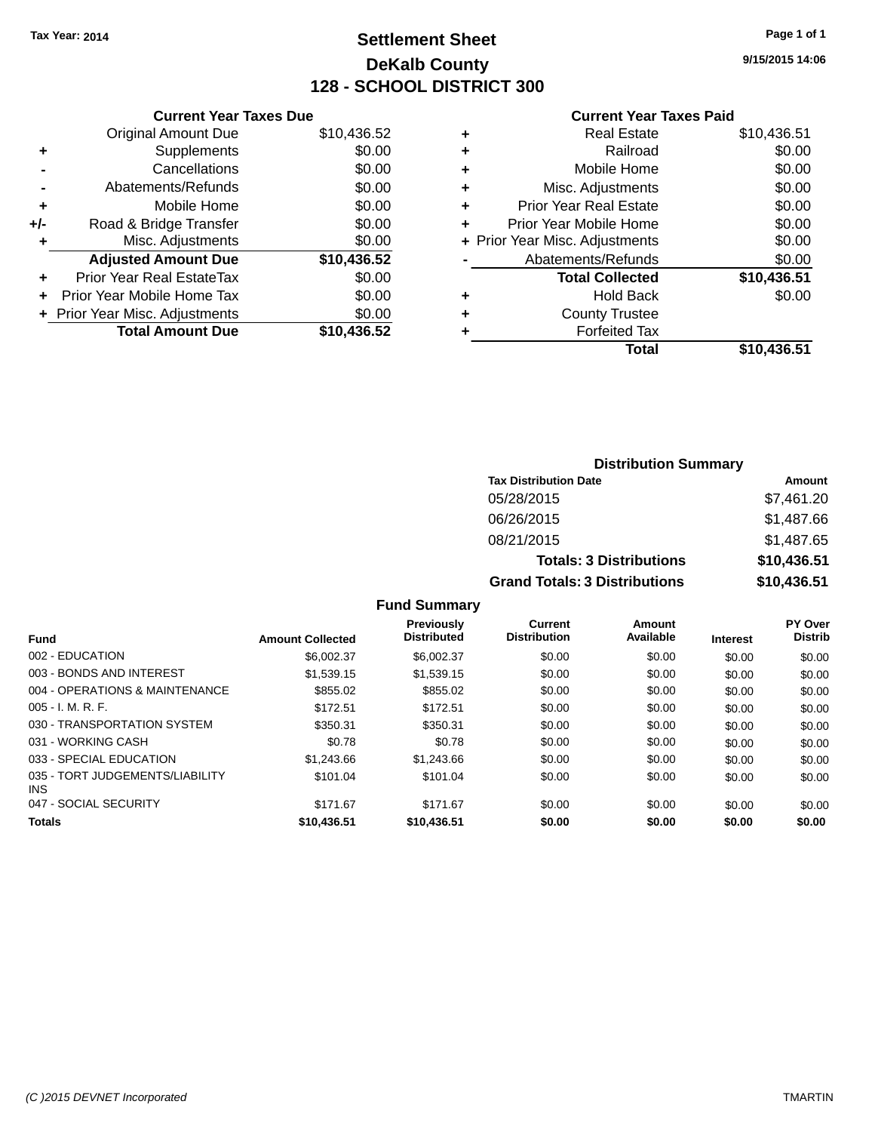### **Settlement Sheet Tax Year: 2014 Page 1 of 1 DeKalb County 128 - SCHOOL DISTRICT 300**

**9/15/2015 14:06**

#### **Current Year Taxes Paid**

|     | <b>Current Year Taxes Due</b>  |             |
|-----|--------------------------------|-------------|
|     | <b>Original Amount Due</b>     | \$10,436.52 |
| ٠   | Supplements                    | \$0.00      |
|     | Cancellations                  | \$0.00      |
|     | Abatements/Refunds             | \$0.00      |
| ٠   | Mobile Home                    | \$0.00      |
| +/- | Road & Bridge Transfer         | \$0.00      |
| ٠   | Misc. Adjustments              | \$0.00      |
|     | <b>Adjusted Amount Due</b>     | \$10,436.52 |
| ٠   | Prior Year Real EstateTax      | \$0.00      |
|     | Prior Year Mobile Home Tax     | \$0.00      |
|     | + Prior Year Misc. Adjustments | \$0.00      |
|     | <b>Total Amount Due</b>        | \$10,436.52 |
|     |                                |             |

| ٠ | <b>Real Estate</b>             | \$10,436.51 |
|---|--------------------------------|-------------|
| ٠ | Railroad                       | \$0.00      |
| ٠ | Mobile Home                    | \$0.00      |
| ٠ | Misc. Adjustments              | \$0.00      |
| ٠ | <b>Prior Year Real Estate</b>  | \$0.00      |
| ٠ | Prior Year Mobile Home         | \$0.00      |
|   | + Prior Year Misc. Adjustments | \$0.00      |
|   | Abatements/Refunds             | \$0.00      |
|   | <b>Total Collected</b>         | \$10,436.51 |
| ٠ | Hold Back                      | \$0.00      |
| ٠ | <b>County Trustee</b>          |             |
| ٠ | <b>Forfeited Tax</b>           |             |
|   | Total                          | \$10,436.51 |
|   |                                |             |

| <b>Distribution Summary</b>          |             |  |  |  |
|--------------------------------------|-------------|--|--|--|
| <b>Tax Distribution Date</b>         | Amount      |  |  |  |
| 05/28/2015                           | \$7,461.20  |  |  |  |
| 06/26/2015                           | \$1,487.66  |  |  |  |
| 08/21/2015                           | \$1,487.65  |  |  |  |
| <b>Totals: 3 Distributions</b>       | \$10,436.51 |  |  |  |
| <b>Grand Totals: 3 Distributions</b> | \$10,436.51 |  |  |  |

### **Fund Summary**

| <b>Amount Collected</b> | Previously<br><b>Distributed</b> | Current<br><b>Distribution</b> | Amount<br>Available | <b>Interest</b> | PY Over<br><b>Distrib</b> |
|-------------------------|----------------------------------|--------------------------------|---------------------|-----------------|---------------------------|
| \$6,002.37              | \$6,002.37                       | \$0.00                         | \$0.00              | \$0.00          | \$0.00                    |
| \$1,539.15              | \$1,539.15                       | \$0.00                         | \$0.00              | \$0.00          | \$0.00                    |
| \$855.02                | \$855.02                         | \$0.00                         | \$0.00              | \$0.00          | \$0.00                    |
| \$172.51                | \$172.51                         | \$0.00                         | \$0.00              | \$0.00          | \$0.00                    |
| \$350.31                | \$350.31                         | \$0.00                         | \$0.00              | \$0.00          | \$0.00                    |
| \$0.78                  | \$0.78                           | \$0.00                         | \$0.00              | \$0.00          | \$0.00                    |
| \$1,243.66              | \$1,243.66                       | \$0.00                         | \$0.00              | \$0.00          | \$0.00                    |
| \$101.04                | \$101.04                         | \$0.00                         | \$0.00              | \$0.00          | \$0.00                    |
| \$171.67                | \$171.67                         | \$0.00                         | \$0.00              | \$0.00          | \$0.00                    |
| \$10,436.51             | \$10,436.51                      | \$0.00                         | \$0.00              | \$0.00          | \$0.00                    |
|                         |                                  |                                |                     |                 |                           |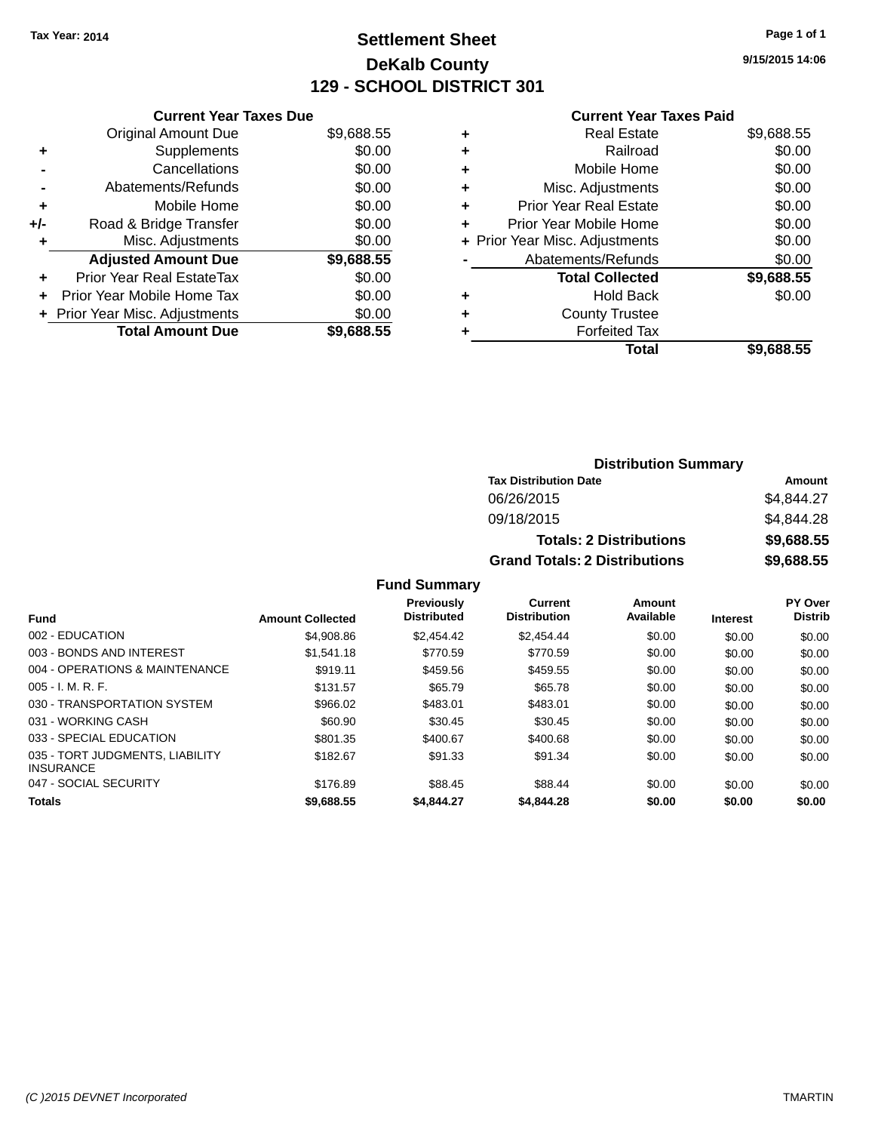### **Settlement Sheet Tax Year: 2014 Page 1 of 1 DeKalb County 129 - SCHOOL DISTRICT 301**

**9/15/2015 14:06**

#### **Current Year Taxes Paid**

| <b>Original Amount Due</b> | \$9,688.55                                                      |
|----------------------------|-----------------------------------------------------------------|
| Supplements                | \$0.00                                                          |
| Cancellations              | \$0.00                                                          |
| Abatements/Refunds         | \$0.00                                                          |
| Mobile Home                | \$0.00                                                          |
| Road & Bridge Transfer     | \$0.00                                                          |
| Misc. Adjustments          | \$0.00                                                          |
| <b>Adjusted Amount Due</b> | \$9,688.55                                                      |
| Prior Year Real EstateTax  | \$0.00                                                          |
| Prior Year Mobile Home Tax | \$0.00                                                          |
|                            | \$0.00                                                          |
|                            |                                                                 |
|                            | <b>Current Year Taxes Due</b><br>+ Prior Year Misc. Adjustments |

|   | <b>Real Estate</b>             | \$9,688.55 |
|---|--------------------------------|------------|
| ٠ | Railroad                       | \$0.00     |
| ٠ | Mobile Home                    | \$0.00     |
| ٠ | Misc. Adjustments              | \$0.00     |
| ٠ | <b>Prior Year Real Estate</b>  | \$0.00     |
| ٠ | Prior Year Mobile Home         | \$0.00     |
|   | + Prior Year Misc. Adjustments | \$0.00     |
|   | Abatements/Refunds             | \$0.00     |
|   | <b>Total Collected</b>         | \$9,688.55 |
| ٠ | Hold Back                      | \$0.00     |
| ٠ | <b>County Trustee</b>          |            |
| ٠ | <b>Forfeited Tax</b>           |            |
|   | Total                          | \$9,688.55 |
|   |                                |            |

| <b>Distribution Summary</b>          |               |  |  |  |
|--------------------------------------|---------------|--|--|--|
| <b>Tax Distribution Date</b>         | <b>Amount</b> |  |  |  |
| 06/26/2015                           | \$4,844.27    |  |  |  |
| 09/18/2015                           | \$4,844.28    |  |  |  |
| <b>Totals: 2 Distributions</b>       | \$9,688.55    |  |  |  |
| <b>Grand Totals: 2 Distributions</b> | \$9,688.55    |  |  |  |

### **Fund Summary**

| <b>Fund</b>                                         | <b>Amount Collected</b> | <b>Previously</b><br><b>Distributed</b> | Current<br><b>Distribution</b> | Amount<br>Available | Interest | PY Over<br><b>Distrib</b> |
|-----------------------------------------------------|-------------------------|-----------------------------------------|--------------------------------|---------------------|----------|---------------------------|
|                                                     |                         |                                         |                                |                     |          |                           |
| 002 - EDUCATION                                     | \$4,908.86              | \$2.454.42                              | \$2,454.44                     | \$0.00              | \$0.00   | \$0.00                    |
| 003 - BONDS AND INTEREST                            | \$1.541.18              | \$770.59                                | \$770.59                       | \$0.00              | \$0.00   | \$0.00                    |
| 004 - OPERATIONS & MAINTENANCE                      | \$919.11                | \$459.56                                | \$459.55                       | \$0.00              | \$0.00   | \$0.00                    |
| $005 - I. M. R. F.$                                 | \$131.57                | \$65.79                                 | \$65.78                        | \$0.00              | \$0.00   | \$0.00                    |
| 030 - TRANSPORTATION SYSTEM                         | \$966.02                | \$483.01                                | \$483.01                       | \$0.00              | \$0.00   | \$0.00                    |
| 031 - WORKING CASH                                  | \$60.90                 | \$30.45                                 | \$30.45                        | \$0.00              | \$0.00   | \$0.00                    |
| 033 - SPECIAL EDUCATION                             | \$801.35                | \$400.67                                | \$400.68                       | \$0.00              | \$0.00   | \$0.00                    |
| 035 - TORT JUDGMENTS, LIABILITY<br><b>INSURANCE</b> | \$182.67                | \$91.33                                 | \$91.34                        | \$0.00              | \$0.00   | \$0.00                    |
| 047 - SOCIAL SECURITY                               | \$176.89                | \$88.45                                 | \$88.44                        | \$0.00              | \$0.00   | \$0.00                    |
| <b>Totals</b>                                       | \$9,688.55              | \$4,844.27                              | \$4,844.28                     | \$0.00              | \$0.00   | \$0.00                    |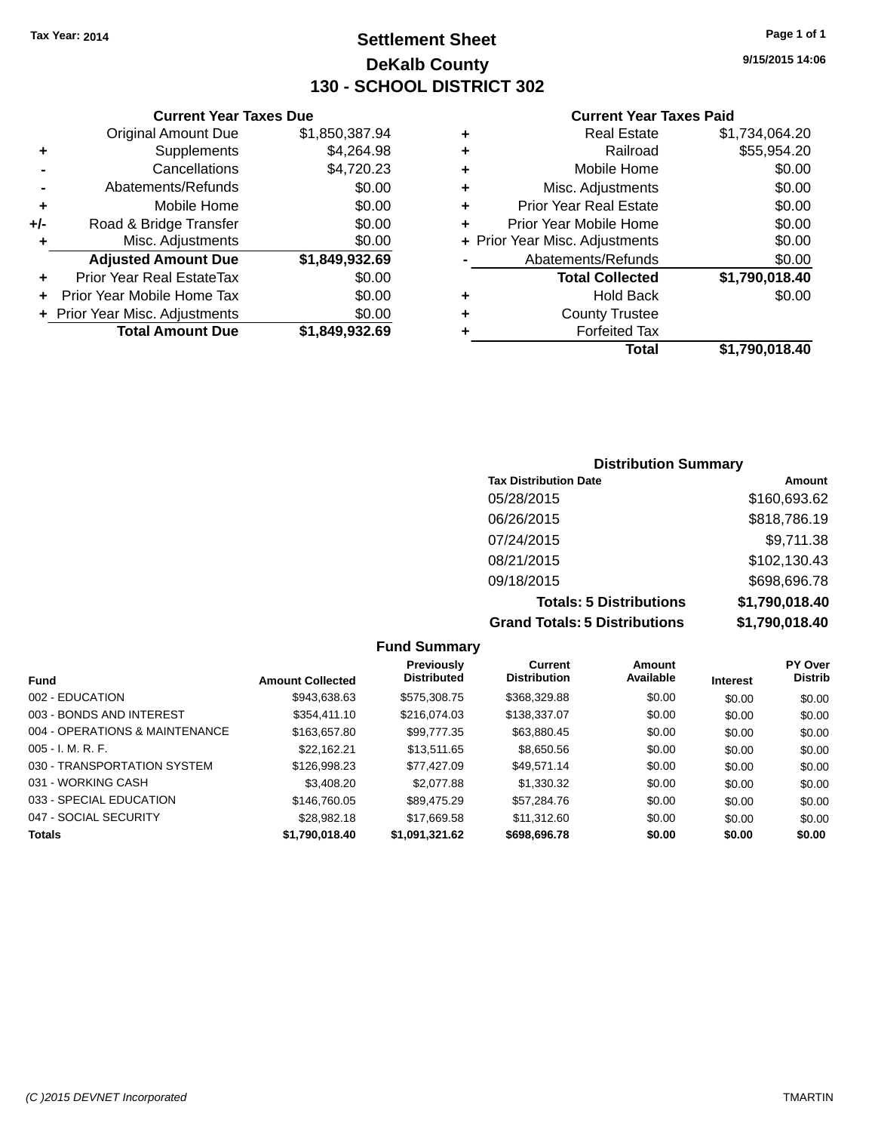### **Settlement Sheet Tax Year: 2014 Page 1 of 1 DeKalb County 130 - SCHOOL DISTRICT 302**

**Current Year Taxes Due**

| <b>Original Amount Due</b>     | \$1,850,387.94 |
|--------------------------------|----------------|
| Supplements                    | \$4,264.98     |
| Cancellations                  | \$4,720.23     |
| Abatements/Refunds             | \$0.00         |
| Mobile Home                    | \$0.00         |
| Road & Bridge Transfer         | \$0.00         |
| Misc. Adjustments              | \$0.00         |
| <b>Adjusted Amount Due</b>     | \$1,849,932.69 |
| Prior Year Real EstateTax      | \$0.00         |
| Prior Year Mobile Home Tax     | \$0.00         |
| + Prior Year Misc. Adjustments | \$0.00         |
| <b>Total Amount Due</b>        | \$1,849,932.69 |
|                                |                |

#### **Current Year Taxes Paid**

| ٠ | <b>Real Estate</b>             | \$1,734,064.20 |
|---|--------------------------------|----------------|
| ٠ | Railroad                       | \$55,954.20    |
| ٠ | Mobile Home                    | \$0.00         |
| ٠ | Misc. Adjustments              | \$0.00         |
| ٠ | <b>Prior Year Real Estate</b>  | \$0.00         |
| ٠ | Prior Year Mobile Home         | \$0.00         |
|   | + Prior Year Misc. Adjustments | \$0.00         |
|   | Abatements/Refunds             | \$0.00         |
|   | <b>Total Collected</b>         | \$1,790,018.40 |
| ٠ | Hold Back                      | \$0.00         |
| ٠ | <b>County Trustee</b>          |                |
| ٠ | <b>Forfeited Tax</b>           |                |
|   | Total                          | \$1,790,018.40 |
|   |                                |                |

### **Distribution Summary Tax Distribution Date Amount** 05/28/2015 \$160,693.62 06/26/2015 \$818,786.19 07/24/2015 \$9,711.38 08/21/2015 \$102,130.43 09/18/2015 \$698,696.78 **Totals: 5 Distributions \$1,790,018.40 Grand Totals: 5 Distributions \$1,790,018.40**

|                                |                         | <b>Fund Summary</b>              |                                       |                            |                 |                                  |
|--------------------------------|-------------------------|----------------------------------|---------------------------------------|----------------------------|-----------------|----------------------------------|
| <b>Fund</b>                    | <b>Amount Collected</b> | Previously<br><b>Distributed</b> | <b>Current</b><br><b>Distribution</b> | <b>Amount</b><br>Available | <b>Interest</b> | <b>PY Over</b><br><b>Distrib</b> |
| 002 - EDUCATION                | \$943.638.63            | \$575,308.75                     | \$368,329.88                          | \$0.00                     | \$0.00          | \$0.00                           |
| 003 - BONDS AND INTEREST       | \$354.411.10            | \$216,074,03                     | \$138,337.07                          | \$0.00                     | \$0.00          | \$0.00                           |
| 004 - OPERATIONS & MAINTENANCE | \$163,657.80            | \$99.777.35                      | \$63,880.45                           | \$0.00                     | \$0.00          | \$0.00                           |
| $005 - I. M. R. F.$            | \$22.162.21             | \$13,511.65                      | \$8,650.56                            | \$0.00                     | \$0.00          | \$0.00                           |
| 030 - TRANSPORTATION SYSTEM    | \$126,998.23            | \$77.427.09                      | \$49.571.14                           | \$0.00                     | \$0.00          | \$0.00                           |
| 031 - WORKING CASH             | \$3,408,20              | \$2,077.88                       | \$1,330,32                            | \$0.00                     | \$0.00          | \$0.00                           |
| 033 - SPECIAL EDUCATION        | \$146,760.05            | \$89,475.29                      | \$57.284.76                           | \$0.00                     | \$0.00          | \$0.00                           |
| 047 - SOCIAL SECURITY          | \$28.982.18             | \$17.669.58                      | \$11.312.60                           | \$0.00                     | \$0.00          | \$0.00                           |
| <b>Totals</b>                  | \$1.790.018.40          | \$1.091.321.62                   | \$698,696.78                          | \$0.00                     | \$0.00          | \$0.00                           |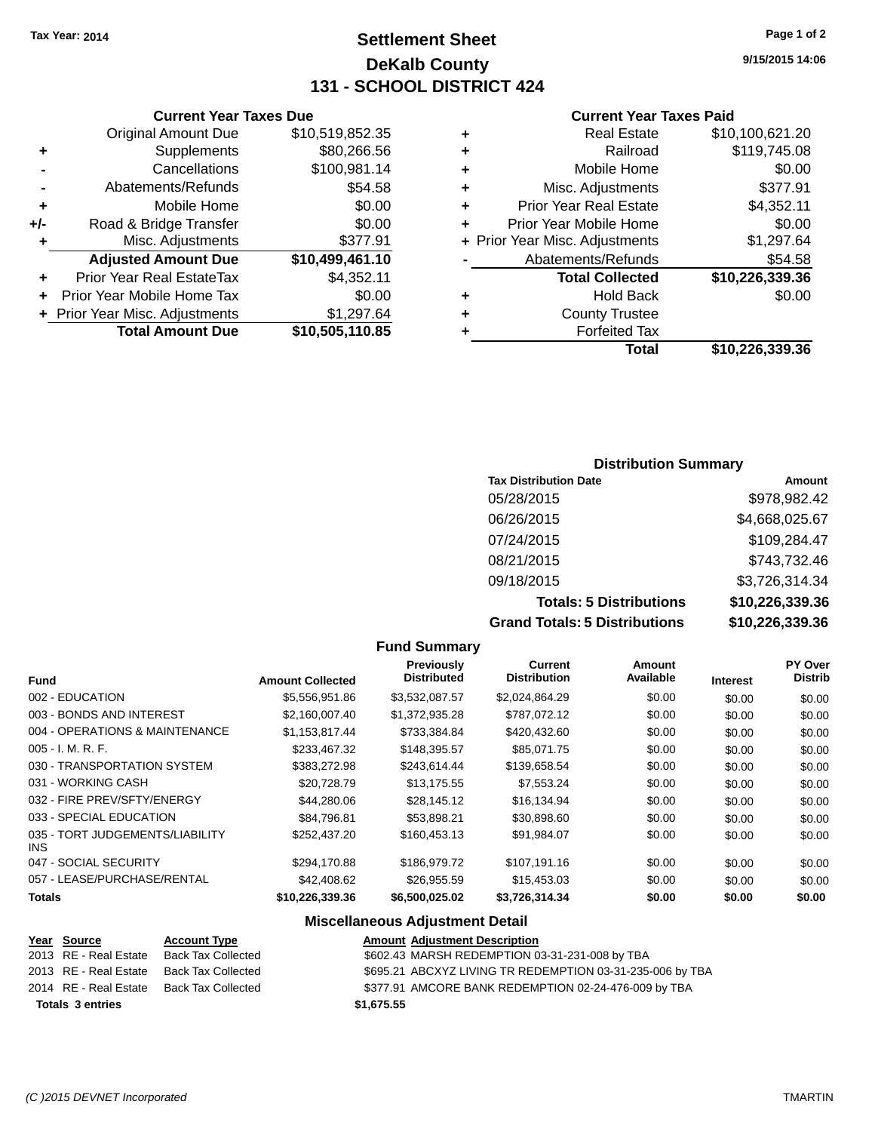### **Settlement Sheet Tax Year: 2014 Page 1 of 2 DeKalb County 131 - SCHOOL DISTRICT 424**

**9/15/2015 14:06**

#### **Current Year Taxes Paid**

| ٠ | <b>Real Estate</b>             | \$10,100,621.20 |
|---|--------------------------------|-----------------|
| ٠ | Railroad                       | \$119,745.08    |
| ٠ | Mobile Home                    | \$0.00          |
| ٠ | Misc. Adjustments              | \$377.91        |
| ٠ | <b>Prior Year Real Estate</b>  | \$4,352.11      |
| ÷ | Prior Year Mobile Home         | \$0.00          |
|   | + Prior Year Misc. Adjustments | \$1,297.64      |
|   | Abatements/Refunds             | \$54.58         |
|   | <b>Total Collected</b>         | \$10,226,339.36 |
| ٠ | <b>Hold Back</b>               | \$0.00          |
| ٠ | <b>County Trustee</b>          |                 |
|   | <b>Forfeited Tax</b>           |                 |
|   | Total                          | \$10,226,339.36 |

### **Current Year Taxes Due** Original Amount Due \$10,519,852.35 **+** Supplements \$80,266.56 **-** Cancellations \$100,981.14 **-** Abatements/Refunds \$54.58 **+** Mobile Home \$0.00 **+/-** Road & Bridge Transfer \$0.00 **+** Misc. Adjustments \$377.91 **Adjusted Amount Due \$10,499,461.10 +** Prior Year Real EstateTax \$4,352.11 **+** Prior Year Mobile Home Tax \$0.00 **+** Prior Year Misc. Adjustments \$1,297.64 **Total Amount Due \$10,505,110.85**

### **Distribution Summary**

| <b>Tax Distribution Date</b>         | Amount          |
|--------------------------------------|-----------------|
| 05/28/2015                           | \$978,982.42    |
| 06/26/2015                           | \$4,668,025.67  |
| 07/24/2015                           | \$109,284.47    |
| 08/21/2015                           | \$743,732.46    |
| 09/18/2015                           | \$3,726,314.34  |
| <b>Totals: 5 Distributions</b>       | \$10,226,339.36 |
| <b>Grand Totals: 5 Distributions</b> | \$10,226,339.36 |

|                                         |                         | <b>Fund Summary</b>              |                                |                     |                 |                                  |
|-----------------------------------------|-------------------------|----------------------------------|--------------------------------|---------------------|-----------------|----------------------------------|
| <b>Fund</b>                             | <b>Amount Collected</b> | Previously<br><b>Distributed</b> | Current<br><b>Distribution</b> | Amount<br>Available | <b>Interest</b> | <b>PY Over</b><br><b>Distrib</b> |
| 002 - EDUCATION                         | \$5,556,951.86          | \$3,532,087.57                   | \$2,024,864.29                 | \$0.00              | \$0.00          | \$0.00                           |
| 003 - BONDS AND INTEREST                | \$2,160,007.40          | \$1,372,935.28                   | \$787,072.12                   | \$0.00              | \$0.00          | \$0.00                           |
| 004 - OPERATIONS & MAINTENANCE          | \$1,153,817.44          | \$733,384.84                     | \$420,432.60                   | \$0.00              | \$0.00          | \$0.00                           |
| $005 - I. M. R. F.$                     | \$233,467.32            | \$148,395.57                     | \$85,071.75                    | \$0.00              | \$0.00          | \$0.00                           |
| 030 - TRANSPORTATION SYSTEM             | \$383,272.98            | \$243,614.44                     | \$139,658.54                   | \$0.00              | \$0.00          | \$0.00                           |
| 031 - WORKING CASH                      | \$20,728.79             | \$13,175.55                      | \$7,553.24                     | \$0.00              | \$0.00          | \$0.00                           |
| 032 - FIRE PREV/SFTY/ENERGY             | \$44,280.06             | \$28,145.12                      | \$16,134.94                    | \$0.00              | \$0.00          | \$0.00                           |
| 033 - SPECIAL EDUCATION                 | \$84,796.81             | \$53,898.21                      | \$30,898.60                    | \$0.00              | \$0.00          | \$0.00                           |
| 035 - TORT JUDGEMENTS/LIABILITY<br>INS. | \$252,437.20            | \$160,453.13                     | \$91,984.07                    | \$0.00              | \$0.00          | \$0.00                           |
| 047 - SOCIAL SECURITY                   | \$294,170.88            | \$186,979.72                     | \$107,191.16                   | \$0.00              | \$0.00          | \$0.00                           |
| 057 - LEASE/PURCHASE/RENTAL             | \$42,408.62             | \$26,955.59                      | \$15,453.03                    | \$0.00              | \$0.00          | \$0.00                           |
| <b>Totals</b>                           | \$10,226,339.36         | \$6,500,025.02                   | \$3,726,314.34                 | \$0.00              | \$0.00          | \$0.00                           |
|                                         |                         | Miccollangeus Adjustment Detail  |                                |                     |                 |                                  |

#### **Miscellaneous Adjustment Detail**

| Year Source             | <b>Account Type</b> | <b>Amount Adjustment Description</b>                      |
|-------------------------|---------------------|-----------------------------------------------------------|
| 2013 RE - Real Estate   | Back Tax Collected  | \$602.43 MARSH REDEMPTION 03-31-231-008 by TBA            |
| 2013 RE - Real Estate   | Back Tax Collected  | \$695.21 ABCXYZ LIVING TR REDEMPTION 03-31-235-006 by TBA |
| 2014 RE - Real Estate   | Back Tax Collected  | \$377.91 AMCORE BANK REDEMPTION 02-24-476-009 by TBA      |
| <b>Totals 3 entries</b> |                     | \$1.675.55                                                |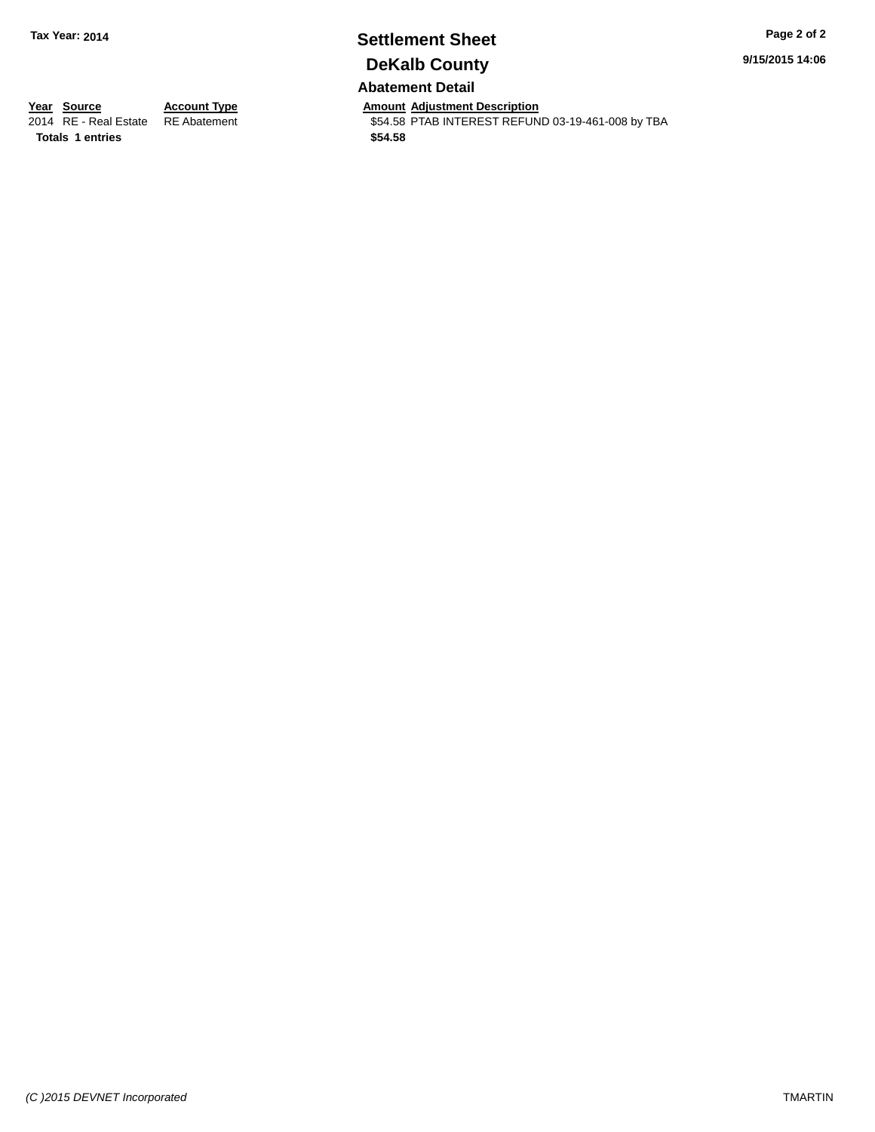# **Settlement Sheet Tax Year: 2014 Page 2 of 2 DeKalb County**

**9/15/2015 14:06**

### **Abatement Detail**

**Totals 1 entries \$54.58**

**Year Source Account Type And Amount Adjustment Description**<br>2014 RE - Real Estate RE Abatement **Adjustment** \$54.58 PTAB INTEREST REFUN \$54.58 PTAB INTEREST REFUND 03-19-461-008 by TBA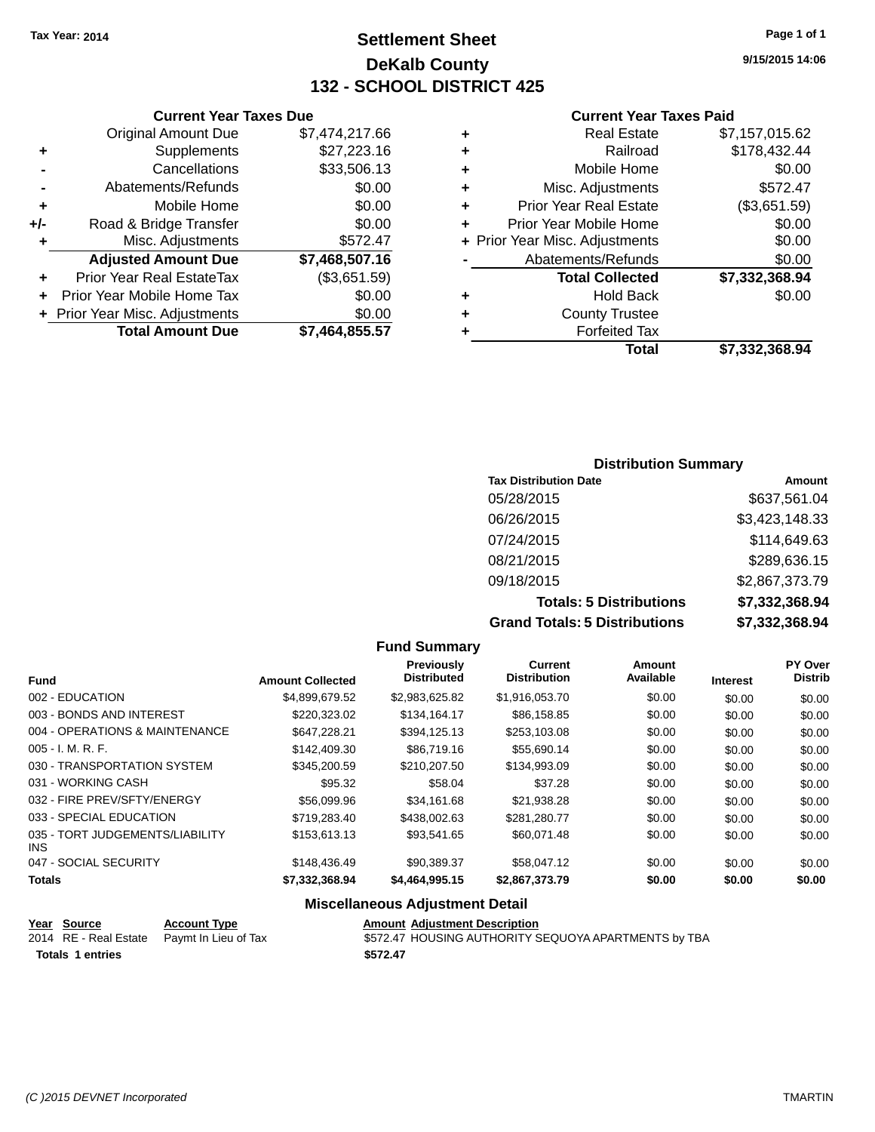### **Settlement Sheet Tax Year: 2014 Page 1 of 1 DeKalb County 132 - SCHOOL DISTRICT 425**

**9/15/2015 14:06**

#### **Current Year Taxes Paid**

|   | Total                          | \$7.332.368.94 |
|---|--------------------------------|----------------|
| ٠ | <b>Forfeited Tax</b>           |                |
| ٠ | <b>County Trustee</b>          |                |
| ٠ | <b>Hold Back</b>               | \$0.00         |
|   | <b>Total Collected</b>         | \$7,332,368.94 |
|   | Abatements/Refunds             | \$0.00         |
|   | + Prior Year Misc. Adjustments | \$0.00         |
| ÷ | Prior Year Mobile Home         | \$0.00         |
| ÷ | <b>Prior Year Real Estate</b>  | (\$3,651.59)   |
| ٠ | Misc. Adjustments              | \$572.47       |
| ٠ | Mobile Home                    | \$0.00         |
| ٠ | Railroad                       | \$178,432.44   |
| ٠ | <b>Real Estate</b>             | \$7,157,015.62 |
|   |                                |                |

|     | <b>Current Year Taxes Due</b>    |                |
|-----|----------------------------------|----------------|
|     | <b>Original Amount Due</b>       | \$7,474,217.66 |
| ٠   | Supplements                      | \$27,223.16    |
|     | Cancellations                    | \$33,506.13    |
|     | Abatements/Refunds               | \$0.00         |
| ٠   | Mobile Home                      | \$0.00         |
| +/- | Road & Bridge Transfer           | \$0.00         |
| ٠   | Misc. Adjustments                | \$572.47       |
|     | <b>Adjusted Amount Due</b>       | \$7,468,507.16 |
|     | <b>Prior Year Real EstateTax</b> | (\$3,651.59)   |
|     | Prior Year Mobile Home Tax       | \$0.00         |
|     | + Prior Year Misc. Adjustments   | \$0.00         |
|     | <b>Total Amount Due</b>          | \$7,464,855.57 |

| <b>Distribution Summary</b>          |                |  |  |  |  |
|--------------------------------------|----------------|--|--|--|--|
| <b>Tax Distribution Date</b>         | Amount         |  |  |  |  |
| 05/28/2015                           | \$637,561.04   |  |  |  |  |
| 06/26/2015                           | \$3,423,148.33 |  |  |  |  |
| 07/24/2015                           | \$114,649.63   |  |  |  |  |
| 08/21/2015                           | \$289,636.15   |  |  |  |  |
| 09/18/2015                           | \$2,867,373.79 |  |  |  |  |
| <b>Totals: 5 Distributions</b>       | \$7,332,368.94 |  |  |  |  |
| <b>Grand Totals: 5 Distributions</b> | \$7,332,368.94 |  |  |  |  |

|                                         |                         | <b>Fund Summary</b>                     |                                       |                     |                 |                           |
|-----------------------------------------|-------------------------|-----------------------------------------|---------------------------------------|---------------------|-----------------|---------------------------|
| <b>Fund</b>                             | <b>Amount Collected</b> | <b>Previously</b><br><b>Distributed</b> | <b>Current</b><br><b>Distribution</b> | Amount<br>Available | <b>Interest</b> | PY Over<br><b>Distrib</b> |
| 002 - EDUCATION                         | \$4,899,679.52          | \$2,983,625.82                          | \$1,916,053.70                        | \$0.00              | \$0.00          | \$0.00                    |
| 003 - BONDS AND INTEREST                | \$220,323.02            | \$134,164.17                            | \$86,158.85                           | \$0.00              | \$0.00          | \$0.00                    |
| 004 - OPERATIONS & MAINTENANCE          | \$647,228.21            | \$394,125.13                            | \$253,103.08                          | \$0.00              | \$0.00          | \$0.00                    |
| $005 - I. M. R. F.$                     | \$142,409.30            | \$86,719.16                             | \$55.690.14                           | \$0.00              | \$0.00          | \$0.00                    |
| 030 - TRANSPORTATION SYSTEM             | \$345,200.59            | \$210,207.50                            | \$134,993.09                          | \$0.00              | \$0.00          | \$0.00                    |
| 031 - WORKING CASH                      | \$95.32                 | \$58.04                                 | \$37.28                               | \$0.00              | \$0.00          | \$0.00                    |
| 032 - FIRE PREV/SFTY/ENERGY             | \$56,099.96             | \$34,161.68                             | \$21,938.28                           | \$0.00              | \$0.00          | \$0.00                    |
| 033 - SPECIAL EDUCATION                 | \$719,283.40            | \$438,002.63                            | \$281,280.77                          | \$0.00              | \$0.00          | \$0.00                    |
| 035 - TORT JUDGEMENTS/LIABILITY<br>INS. | \$153,613.13            | \$93,541.65                             | \$60,071.48                           | \$0.00              | \$0.00          | \$0.00                    |
| 047 - SOCIAL SECURITY                   | \$148,436.49            | \$90,389.37                             | \$58,047.12                           | \$0.00              | \$0.00          | \$0.00                    |
| <b>Totals</b>                           | \$7,332,368.94          | \$4,464,995.15                          | \$2,867,373.79                        | \$0.00              | \$0.00          | \$0.00                    |

### **Miscellaneous Adjustment Detail**

| Year Source             | <b>Account Type</b>                        | <b>Amount Adjustment Description</b>                 |  |
|-------------------------|--------------------------------------------|------------------------------------------------------|--|
|                         | 2014 RE - Real Estate Paymt In Lieu of Tax | \$572.47 HOUSING AUTHORITY SEQUOYA APARTMENTS by TBA |  |
| <b>Totals 1 entries</b> |                                            | \$572.47                                             |  |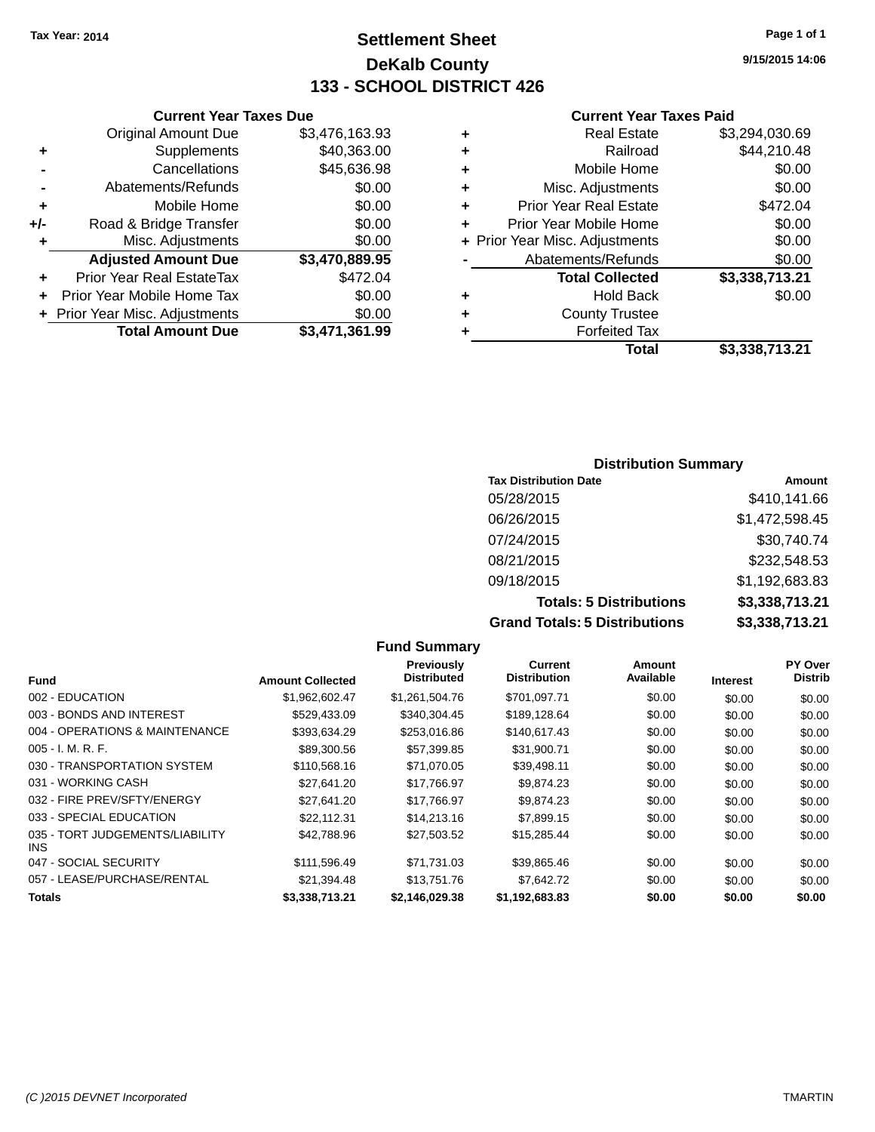**Original Amount Due** 

**Adjusted Amount Due** 

**Total Amount Due** 

**+** Supplements **-** Cancellations **-** Abatements/Refunds **+** Mobile Home **+/-** Road & Bridge Transfer **+** Misc. Adjustments

**+** Prior Year Real EstateTax **+** Prior Year Mobile Home Tax **+** Prior Year Misc. Adjustments

### **Settlement Sheet Tax Year: 2014 Page 1 of 1 DeKalb County 133 - SCHOOL DISTRICT 426**

**9/15/2015 14:06**

### **Current Year Taxes Paid**

| <b>Current Year Taxes Due</b> |                |   | <b>Current Year Taxes Paid</b> |                |  |
|-------------------------------|----------------|---|--------------------------------|----------------|--|
| ıl Amount Due                 | \$3,476,163.93 | ٠ | <b>Real Estate</b>             | \$3,294,030.69 |  |
| Supplements                   | \$40,363.00    | ٠ | Railroad                       | \$44,210.48    |  |
| Cancellations                 | \$45,636.98    | ٠ | Mobile Home                    | \$0.00         |  |
| ents/Refunds                  | \$0.00         | ÷ | Misc. Adjustments              | \$0.00         |  |
| Mobile Home                   | \$0.00         | ÷ | <b>Prior Year Real Estate</b>  | \$472.04       |  |
| ridge Transfer                | \$0.00         | ÷ | Prior Year Mobile Home         | \$0.00         |  |
| . Adjustments                 | \$0.00         |   | + Prior Year Misc. Adjustments | \$0.00         |  |
| <b>Amount Due</b>             | \$3,470,889.95 |   | Abatements/Refunds             | \$0.00         |  |
| eal EstateTax:                | \$472.04       |   | <b>Total Collected</b>         | \$3,338,713.21 |  |
| pile Home Tax                 | \$0.00         | ÷ | <b>Hold Back</b>               | \$0.00         |  |
| . Adjustments                 | \$0.00         | ÷ | <b>County Trustee</b>          |                |  |
| <b>Amount Due</b>             | \$3,471,361.99 |   | <b>Forfeited Tax</b>           |                |  |
|                               |                |   | Total                          | \$3,338,713,21 |  |

| ٠. | <b>Real Estate</b>            | \$3,294,030.69 |
|----|-------------------------------|----------------|
| ÷  | Railroad                      | \$44,210.48    |
| ٠  | Mobile Home                   | \$0.00         |
| ٠  | Misc. Adjustments             | \$0.00         |
| ٠  | <b>Prior Year Real Estate</b> | \$472.04       |
|    |                               |                |

|    | Total                          | \$3,338,713.21 |
|----|--------------------------------|----------------|
| ÷  | <b>Forfeited Tax</b>           |                |
| ÷  | <b>County Trustee</b>          |                |
| ٠  | <b>Hold Back</b>               | \$0.00         |
|    | <b>Total Collected</b>         | \$3,338,713.21 |
|    | Abatements/Refunds             | \$0.00         |
|    | + Prior Year Misc. Adjustments | \$0.00         |
| ÷. | Prior rear Mobile Home         | <b>JU.UU</b>   |

### **Distribution Summary Tax Distribution Date Amount** 05/28/2015 \$410,141.66 06/26/2015 \$1,472,598.45 07/24/2015 \$30,740.74 08/21/2015 \$232,548.53 09/18/2015 \$1,192,683.83 **Totals: 5 Distributions \$3,338,713.21**

**Grand Totals: 5 Distributions \$3,338,713.21**

|                                         |                         | <b>Fund Summary</b>                     |                                |                     |                 |                           |
|-----------------------------------------|-------------------------|-----------------------------------------|--------------------------------|---------------------|-----------------|---------------------------|
| Fund                                    | <b>Amount Collected</b> | <b>Previously</b><br><b>Distributed</b> | Current<br><b>Distribution</b> | Amount<br>Available | <b>Interest</b> | PY Over<br><b>Distrib</b> |
| 002 - EDUCATION                         | \$1,962,602.47          | \$1,261,504.76                          | \$701,097.71                   | \$0.00              | \$0.00          | \$0.00                    |
| 003 - BONDS AND INTEREST                | \$529,433.09            | \$340,304.45                            | \$189,128.64                   | \$0.00              | \$0.00          | \$0.00                    |
| 004 - OPERATIONS & MAINTENANCE          | \$393,634.29            | \$253,016.86                            | \$140,617.43                   | \$0.00              | \$0.00          | \$0.00                    |
| $005 - I. M. R. F.$                     | \$89,300.56             | \$57,399.85                             | \$31,900.71                    | \$0.00              | \$0.00          | \$0.00                    |
| 030 - TRANSPORTATION SYSTEM             | \$110,568.16            | \$71,070.05                             | \$39,498.11                    | \$0.00              | \$0.00          | \$0.00                    |
| 031 - WORKING CASH                      | \$27,641.20             | \$17,766.97                             | \$9,874.23                     | \$0.00              | \$0.00          | \$0.00                    |
| 032 - FIRE PREV/SFTY/ENERGY             | \$27.641.20             | \$17,766.97                             | \$9,874.23                     | \$0.00              | \$0.00          | \$0.00                    |
| 033 - SPECIAL EDUCATION                 | \$22,112.31             | \$14,213.16                             | \$7,899.15                     | \$0.00              | \$0.00          | \$0.00                    |
| 035 - TORT JUDGEMENTS/LIABILITY<br>INS. | \$42,788.96             | \$27,503.52                             | \$15,285.44                    | \$0.00              | \$0.00          | \$0.00                    |
| 047 - SOCIAL SECURITY                   | \$111,596.49            | \$71,731.03                             | \$39,865.46                    | \$0.00              | \$0.00          | \$0.00                    |
| 057 - LEASE/PURCHASE/RENTAL             | \$21,394.48             | \$13,751.76                             | \$7.642.72                     | \$0.00              | \$0.00          | \$0.00                    |
| <b>Totals</b>                           | \$3,338,713.21          | \$2,146,029.38                          | \$1,192,683.83                 | \$0.00              | \$0.00          | \$0.00                    |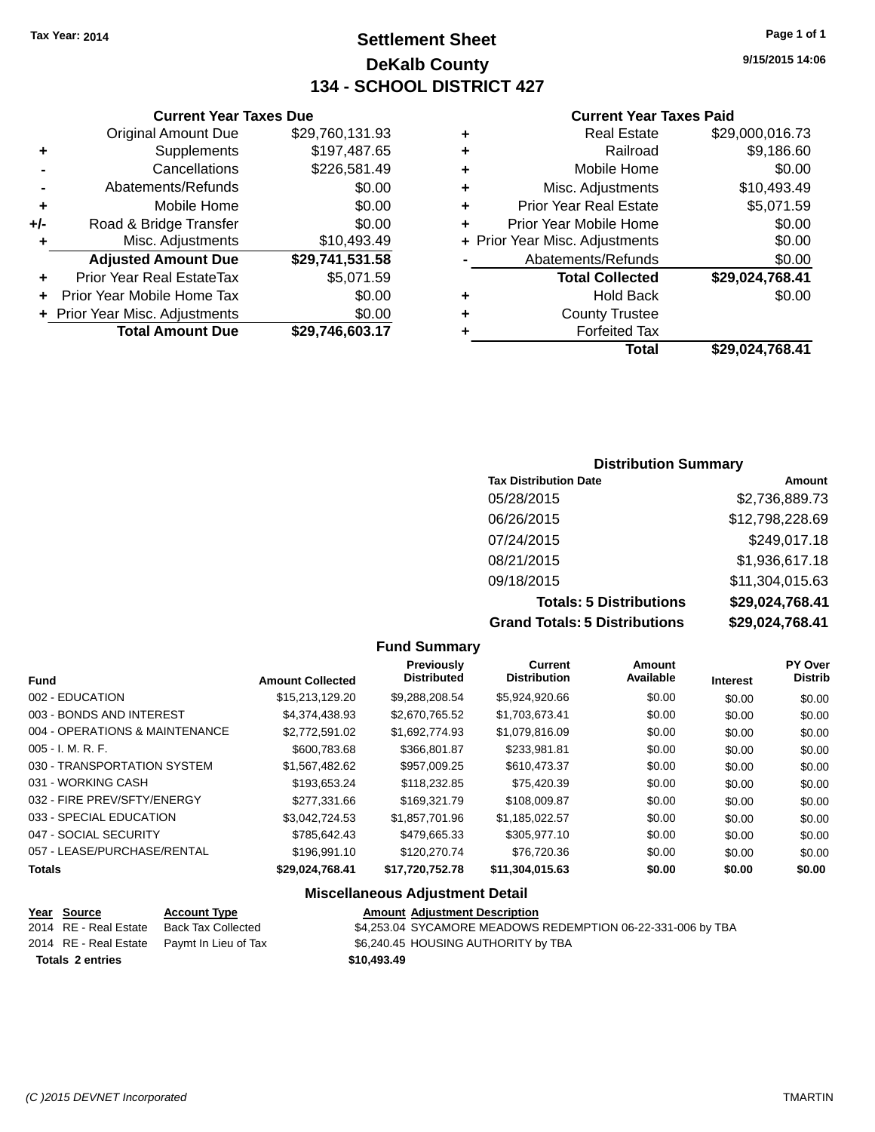### **Settlement Sheet Tax Year: 2014 Page 1 of 1 DeKalb County 134 - SCHOOL DISTRICT 427**

**9/15/2015 14:06**

#### **Current Year Taxes Paid**

| 1.93 | ÷ | <b>Real Estate</b>             | \$29,000,016.73 |
|------|---|--------------------------------|-----------------|
| 7.65 | ÷ | Railroad                       | \$9,186.60      |
| 1.49 | ÷ | Mobile Home                    | \$0.00          |
| 0.00 | ٠ | Misc. Adjustments              | \$10,493.49     |
| 0.00 | ÷ | <b>Prior Year Real Estate</b>  | \$5,071.59      |
| 0.00 | ÷ | Prior Year Mobile Home         | \$0.00          |
| 3.49 |   | + Prior Year Misc. Adjustments | \$0.00          |
| 1.58 |   | Abatements/Refunds             | \$0.00          |
| 1.59 |   | <b>Total Collected</b>         | \$29,024,768.41 |
| 0.00 | ٠ | <b>Hold Back</b>               | \$0.00          |
| 0.00 | ٠ | <b>County Trustee</b>          |                 |
| 3.17 | ٠ | <b>Forfeited Tax</b>           |                 |
|      |   | Total                          | \$29,024,768.41 |

### Original Amount Due \$29,760,13<br>Supplements \$197.48 **+** Supplements

|       | <b>Total Amount Due</b>        | \$29,746,603.17 |
|-------|--------------------------------|-----------------|
|       | + Prior Year Misc. Adjustments | \$0.00          |
|       | Prior Year Mobile Home Tax     | \$0.00          |
|       | Prior Year Real EstateTax      | \$5,071.59      |
|       | <b>Adjusted Amount Due</b>     | \$29,741,531.58 |
| ٠     | Misc. Adjustments              | \$10,493.49     |
| $+/-$ | Road & Bridge Transfer         | \$0.00          |
| ٠     | Mobile Home                    | \$0.00          |
|       | Abatements/Refunds             | \$0.00          |
|       | Cancellations                  | \$226,581.49    |
|       | $v_{\rm F}$                    | <b></b>         |

**Current Year Taxes Due**

### **Distribution Summary**

| <b>Tax Distribution Date</b>         | Amount          |
|--------------------------------------|-----------------|
| 05/28/2015                           | \$2,736,889.73  |
| 06/26/2015                           | \$12,798,228.69 |
| 07/24/2015                           | \$249,017.18    |
| 08/21/2015                           | \$1,936,617.18  |
| 09/18/2015                           | \$11,304,015.63 |
| <b>Totals: 5 Distributions</b>       | \$29,024,768.41 |
| <b>Grand Totals: 5 Distributions</b> | \$29,024,768.41 |

#### **Fund Summary Fund Interest Amount Collected Distributed PY Over Distrib Amount Available Current Distribution Previously** 002 - EDUCATION \$15,213,129.20 \$9,288,208.54 \$5,924,920.66 \$0.00 \$0.00 \$0.00 003 - BONDS AND INTEREST  $$4,374,438.93$   $$2,670,765.52$   $$1,703,673.41$   $$0.00$   $$0.00$   $$0.00$ 004 - OPERATIONS & MAINTENANCE  $$2,772,591.02$  \$1,692,774.93 \$1,079,816.09 \$0.00 \$0.00 \$0.00 \$0.00 005 - I. M. R. F. \$600,783.68 \$366,801.87 \$233,981.81 \$0.00 \$0.00 \$0.00 030 - TRANSPORTATION SYSTEM  $$1,567,482.62$   $$957,009.25$   $$610,473.37$   $$0.00$   $$0.00$   $$0.00$ 031 - WORKING CASH \$193,653.24 \$118,232.85 \$75,420.39 \$0.00 \$0.00 \$0.00 \$0.00 032 - FIRE PREV/SFTY/ENERGY \$277,331.66 \$169,321.79 \$108,009.87 \$0.00 \$0.00 \$0.00 033 - SPECIAL EDUCATION \$3,042,724.53 \$1,857,701.96 \$1,185,022.57 \$0.00 \$0.00 \$0.00 047 - SOCIAL SECURITY 6000 \$785,642.43 \$479,665.33 \$305,977.10 \$0.00 \$0.00 \$0.00 \$0.00 057 - LEASE/PURCHASE/RENTAL \$196,991.10 \$120,270.74 \$76,720.36 \$0.00 \$0.00 \$0.00 **Totals \$29,024,768.41 \$17,720,752.78 \$11,304,015.63 \$0.00 \$0.00 \$0.00 Miscellaneous Adjustment Detail**

| Year Source             | <b>Account Type</b>                        | <b>Amount Adjustment Description</b>                        |  |
|-------------------------|--------------------------------------------|-------------------------------------------------------------|--|
| 2014 RE - Real Estate   | Back Tax Collected                         | \$4,253.04 SYCAMORE MEADOWS REDEMPTION 06-22-331-006 by TBA |  |
|                         | 2014 RE - Real Estate Paymt In Lieu of Tax | \$6,240.45 HOUSING AUTHORITY by TBA                         |  |
| <b>Totals 2 entries</b> |                                            | \$10,493,49                                                 |  |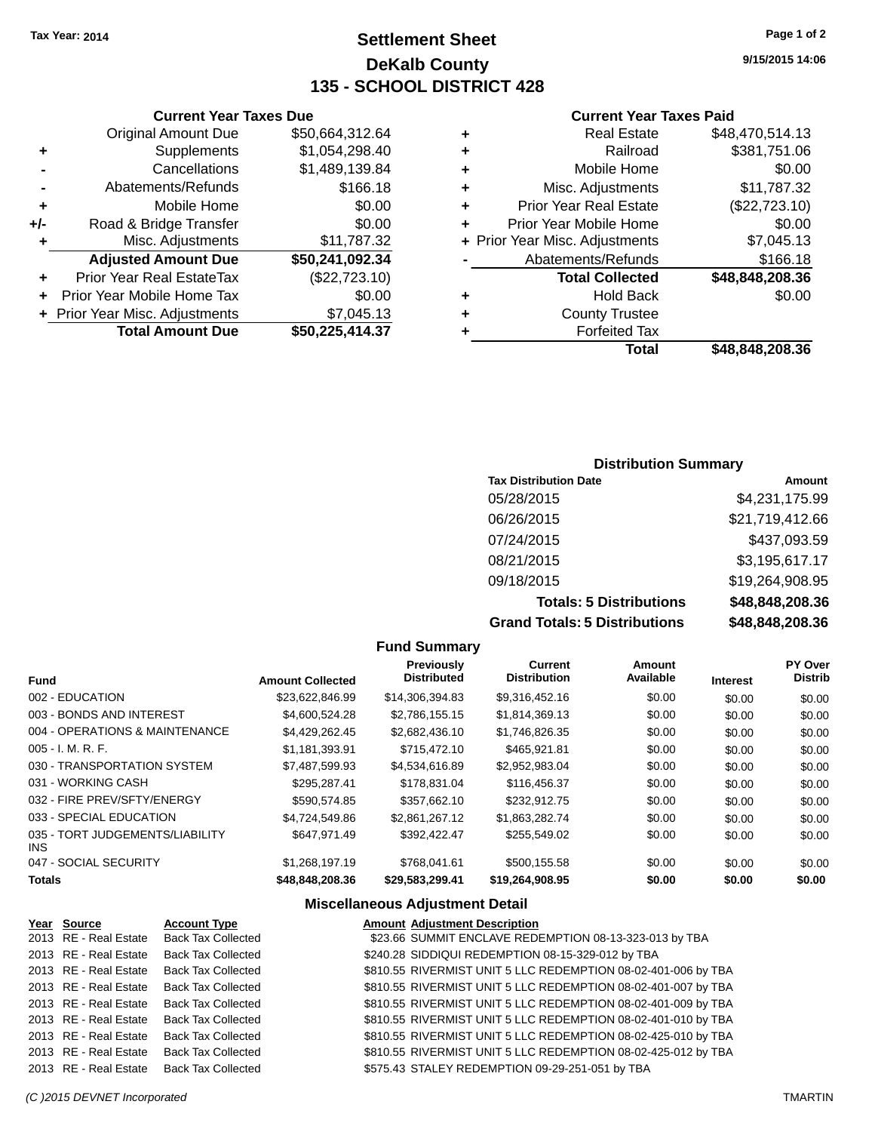### **Settlement Sheet Tax Year: 2014 Page 1 of 2 DeKalb County 135 - SCHOOL DISTRICT 428**

**9/15/2015 14:06**

### **Current Year Taxes Paid**

| ٠                              | <b>Real Estate</b>            | \$48,470,514.13 |
|--------------------------------|-------------------------------|-----------------|
| ٠                              | Railroad                      | \$381,751.06    |
| ٠                              | Mobile Home                   | \$0.00          |
| ٠                              | Misc. Adjustments             | \$11,787.32     |
| ٠                              | <b>Prior Year Real Estate</b> | (\$22,723.10)   |
| ٠                              | Prior Year Mobile Home        | \$0.00          |
| + Prior Year Misc. Adjustments |                               | \$7,045.13      |
|                                | Abatements/Refunds            | \$166.18        |
|                                | <b>Total Collected</b>        | \$48,848,208.36 |
| ٠                              | <b>Hold Back</b>              | \$0.00          |
| ٠                              | <b>County Trustee</b>         |                 |
|                                | <b>Forfeited Tax</b>          |                 |
|                                | Total                         | \$48,848,208.36 |

|     | <b>Current Year Taxes Due</b>    |                 |
|-----|----------------------------------|-----------------|
|     | <b>Original Amount Due</b>       | \$50,664,312.64 |
| ٠   | Supplements                      | \$1,054,298.40  |
|     | Cancellations                    | \$1,489,139.84  |
|     | Abatements/Refunds               | \$166.18        |
| ٠   | Mobile Home                      | \$0.00          |
| +/- | Road & Bridge Transfer           | \$0.00          |
| ٠   | Misc. Adjustments                | \$11,787.32     |
|     | <b>Adjusted Amount Due</b>       | \$50,241,092.34 |
|     | <b>Prior Year Real EstateTax</b> | (\$22,723.10)   |
|     | Prior Year Mobile Home Tax       | \$0.00          |
|     | + Prior Year Misc. Adjustments   | \$7,045.13      |
|     | <b>Total Amount Due</b>          | \$50,225,414.37 |

### **Distribution Summary**

| <b>Tax Distribution Date</b>         | Amount          |
|--------------------------------------|-----------------|
| 05/28/2015                           | \$4,231,175.99  |
| 06/26/2015                           | \$21,719,412.66 |
| 07/24/2015                           | \$437,093.59    |
| 08/21/2015                           | \$3,195,617.17  |
| 09/18/2015                           | \$19,264,908.95 |
| <b>Totals: 5 Distributions</b>       | \$48,848,208.36 |
| <b>Grand Totals: 5 Distributions</b> | \$48,848,208.36 |

|                                         |                         | <b>Fund Summary</b>                     |                                |                     |                 |                           |
|-----------------------------------------|-------------------------|-----------------------------------------|--------------------------------|---------------------|-----------------|---------------------------|
| <b>Fund</b>                             | <b>Amount Collected</b> | <b>Previously</b><br><b>Distributed</b> | Current<br><b>Distribution</b> | Amount<br>Available | <b>Interest</b> | PY Over<br><b>Distrib</b> |
| 002 - EDUCATION                         | \$23,622,846.99         | \$14,306,394.83                         | \$9,316,452.16                 | \$0.00              | \$0.00          | \$0.00                    |
| 003 - BONDS AND INTEREST                | \$4,600,524.28          | \$2,786,155.15                          | \$1,814,369.13                 | \$0.00              | \$0.00          | \$0.00                    |
| 004 - OPERATIONS & MAINTENANCE          | \$4.429.262.45          | \$2,682,436.10                          | \$1,746,826.35                 | \$0.00              | \$0.00          | \$0.00                    |
| $005 - I. M. R. F.$                     | \$1,181,393.91          | \$715,472.10                            | \$465,921.81                   | \$0.00              | \$0.00          | \$0.00                    |
| 030 - TRANSPORTATION SYSTEM             | \$7,487,599.93          | \$4,534,616.89                          | \$2,952,983.04                 | \$0.00              | \$0.00          | \$0.00                    |
| 031 - WORKING CASH                      | \$295.287.41            | \$178.831.04                            | \$116,456.37                   | \$0.00              | \$0.00          | \$0.00                    |
| 032 - FIRE PREV/SFTY/ENERGY             | \$590,574.85            | \$357,662.10                            | \$232,912.75                   | \$0.00              | \$0.00          | \$0.00                    |
| 033 - SPECIAL EDUCATION                 | \$4,724,549.86          | \$2.861.267.12                          | \$1,863,282.74                 | \$0.00              | \$0.00          | \$0.00                    |
| 035 - TORT JUDGEMENTS/LIABILITY<br>INS. | \$647,971.49            | \$392,422.47                            | \$255,549.02                   | \$0.00              | \$0.00          | \$0.00                    |
| 047 - SOCIAL SECURITY                   | \$1,268,197.19          | \$768.041.61                            | \$500,155.58                   | \$0.00              | \$0.00          | \$0.00                    |
| <b>Totals</b>                           | \$48,848,208.36         | \$29,583,299.41                         | \$19,264,908.95                | \$0.00              | \$0.00          | \$0.00                    |

### **Miscellaneous Adjustment Detail**

| Year Source           | <b>Account Type</b>       | <b>Amount Adjustment Description</b>                          |
|-----------------------|---------------------------|---------------------------------------------------------------|
| 2013 RE - Real Estate | <b>Back Tax Collected</b> | \$23.66 SUMMIT ENCLAVE REDEMPTION 08-13-323-013 by TBA        |
| 2013 RE - Real Estate | <b>Back Tax Collected</b> | \$240.28 SIDDIQUI REDEMPTION 08-15-329-012 by TBA             |
| 2013 RE - Real Estate | <b>Back Tax Collected</b> | \$810.55 RIVERMIST UNIT 5 LLC REDEMPTION 08-02-401-006 by TBA |
| 2013 RE - Real Estate | <b>Back Tax Collected</b> | \$810.55 RIVERMIST UNIT 5 LLC REDEMPTION 08-02-401-007 by TBA |
| 2013 RE - Real Estate | <b>Back Tax Collected</b> | \$810.55 RIVERMIST UNIT 5 LLC REDEMPTION 08-02-401-009 by TBA |
| 2013 RE - Real Estate | <b>Back Tax Collected</b> | \$810.55 RIVERMIST UNIT 5 LLC REDEMPTION 08-02-401-010 by TBA |
| 2013 RE - Real Estate | <b>Back Tax Collected</b> | \$810.55 RIVERMIST UNIT 5 LLC REDEMPTION 08-02-425-010 by TBA |
| 2013 RE - Real Estate | <b>Back Tax Collected</b> | \$810.55 RIVERMIST UNIT 5 LLC REDEMPTION 08-02-425-012 by TBA |
| 2013 RE - Real Estate | <b>Back Tax Collected</b> | \$575.43 STALEY REDEMPTION 09-29-251-051 by TBA               |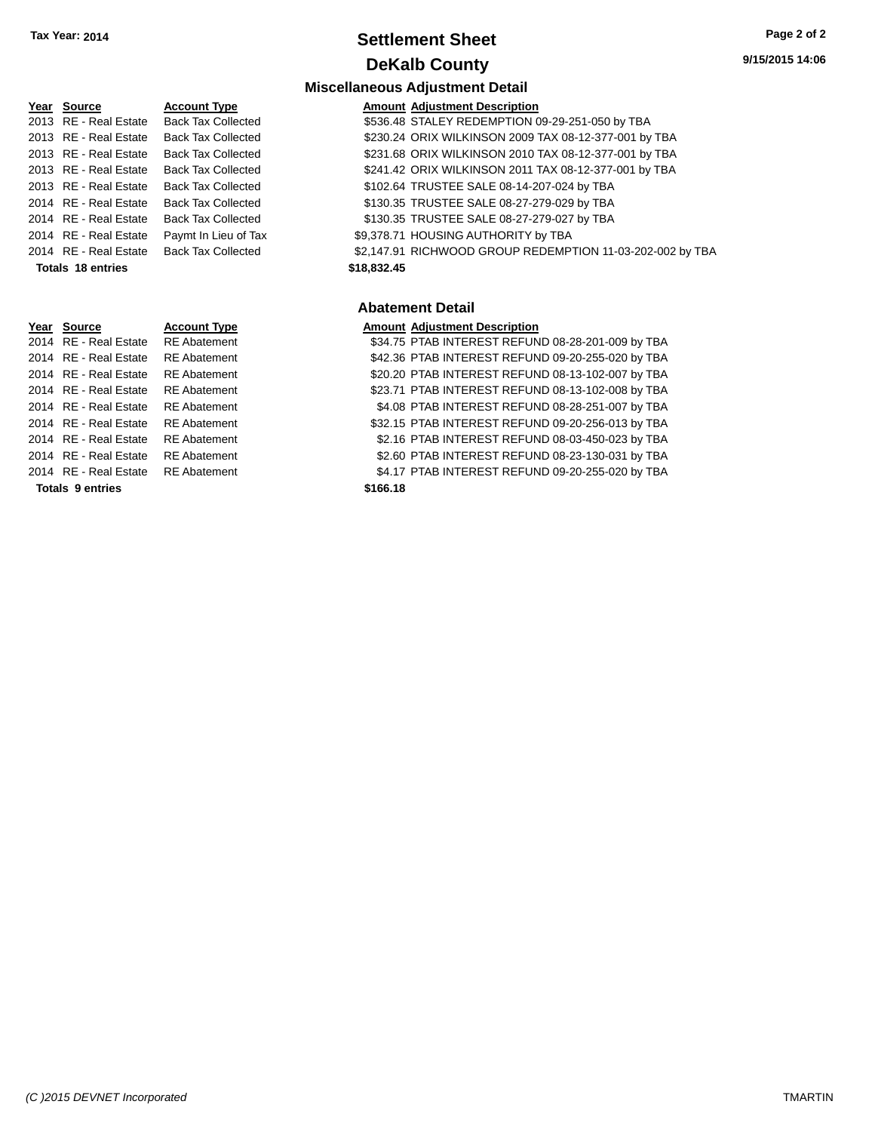### **Settlement Sheet Tax Year: 2014 Page 2 of 2 DeKalb County**

**Miscellaneous Adjustment Detail**

| Year Source           | <b>Account Type</b>       | Amount      |
|-----------------------|---------------------------|-------------|
| 2013 RE - Real Estate | <b>Back Tax Collected</b> | \$536.48    |
| 2013 RE - Real Estate | <b>Back Tax Collected</b> | \$230.24    |
| 2013 RE - Real Estate | <b>Back Tax Collected</b> | \$231.68    |
| 2013 RE - Real Estate | <b>Back Tax Collected</b> | \$241.42    |
| 2013 RE - Real Estate | <b>Back Tax Collected</b> | \$102.64    |
| 2014 RE - Real Estate | <b>Back Tax Collected</b> | \$130.35    |
| 2014 RE - Real Estate | <b>Back Tax Collected</b> | \$130.35    |
| 2014 RE - Real Estate | Paymt In Lieu of Tax      | \$9,378.71  |
| 2014 RE - Real Estate | <b>Back Tax Collected</b> | \$2,147.91  |
| Totals 18 entries     |                           | \$18,832.45 |
|                       |                           |             |

# **Year Source Account Type Amount Adjustment Description**<br>2014 RE - Real Estate RE Abatement **Amount S34.75 PTAB INTEREST REFUN Totals 9 entries \$166.18**

| Year Source              | <b>Account Type</b>                      | <b>Amount Adjustment Description</b>                      |
|--------------------------|------------------------------------------|-----------------------------------------------------------|
| 2013 RE - Real Estate    | Back Tax Collected                       | \$536.48 STALEY REDEMPTION 09-29-251-050 by TBA           |
| 2013 RE - Real Estate    | <b>Back Tax Collected</b>                | \$230.24 ORIX WILKINSON 2009 TAX 08-12-377-001 by TBA     |
| 2013 RE - Real Estate    | <b>Back Tax Collected</b>                | \$231.68 ORIX WILKINSON 2010 TAX 08-12-377-001 by TBA     |
|                          | 2013 RE - Real Estate Back Tax Collected | \$241.42 ORIX WILKINSON 2011 TAX 08-12-377-001 by TBA     |
| 2013 RE - Real Estate    | <b>Back Tax Collected</b>                | \$102.64 TRUSTEE SALE 08-14-207-024 by TBA                |
| 2014 RE - Real Estate    | <b>Back Tax Collected</b>                | \$130.35 TRUSTEE SALE 08-27-279-029 by TBA                |
| 2014 RE - Real Estate    | <b>Back Tax Collected</b>                | \$130.35 TRUSTEE SALE 08-27-279-027 by TBA                |
| 2014 RE - Real Estate    | Paymt In Lieu of Tax                     | \$9,378.71 HOUSING AUTHORITY by TBA                       |
| 2014 RE - Real Estate    | <b>Back Tax Collected</b>                | \$2,147.91 RICHWOOD GROUP REDEMPTION 11-03-202-002 by TBA |
| <b>Totals 18 entries</b> |                                          | \$18,832.45                                               |
|                          |                                          |                                                           |

#### **Abatement Detail**

RE Abatement **2014 CHE REAL ESTATE REFUND 08-28-201-009 by TBA** 2014 RE - Real Estate RE Abatement \$42.36 PTAB INTEREST REFUND 09-20-255-020 by TBA 2014 RE - Real Estate RE Abatement \$20.20 PTAB INTEREST REFUND 08-13-102-007 by TBA 2014 RE - Real Estate RE Abatement \$23.71 PTAB INTEREST REFUND 08-13-102-008 by TBA 2014 RE - Real Estate RE Abatement \$4.08 PTAB INTEREST REFUND 08-28-251-007 by TBA 2014 RE - Real Estate RE Abatement \$32.15 PTAB INTEREST REFUND 09-20-256-013 by TBA 2014 RE - Real Estate RE Abatement \$2.16 PTAB INTEREST REFUND 08-03-450-023 by TBA 2014 RE - Real Estate RE Abatement \$2.60 PTAB INTEREST REFUND 08-23-130-031 by TBA 2014 RE - Real Estate RE Abatement \$4.17 PTAB INTEREST REFUND 09-20-255-020 by TBA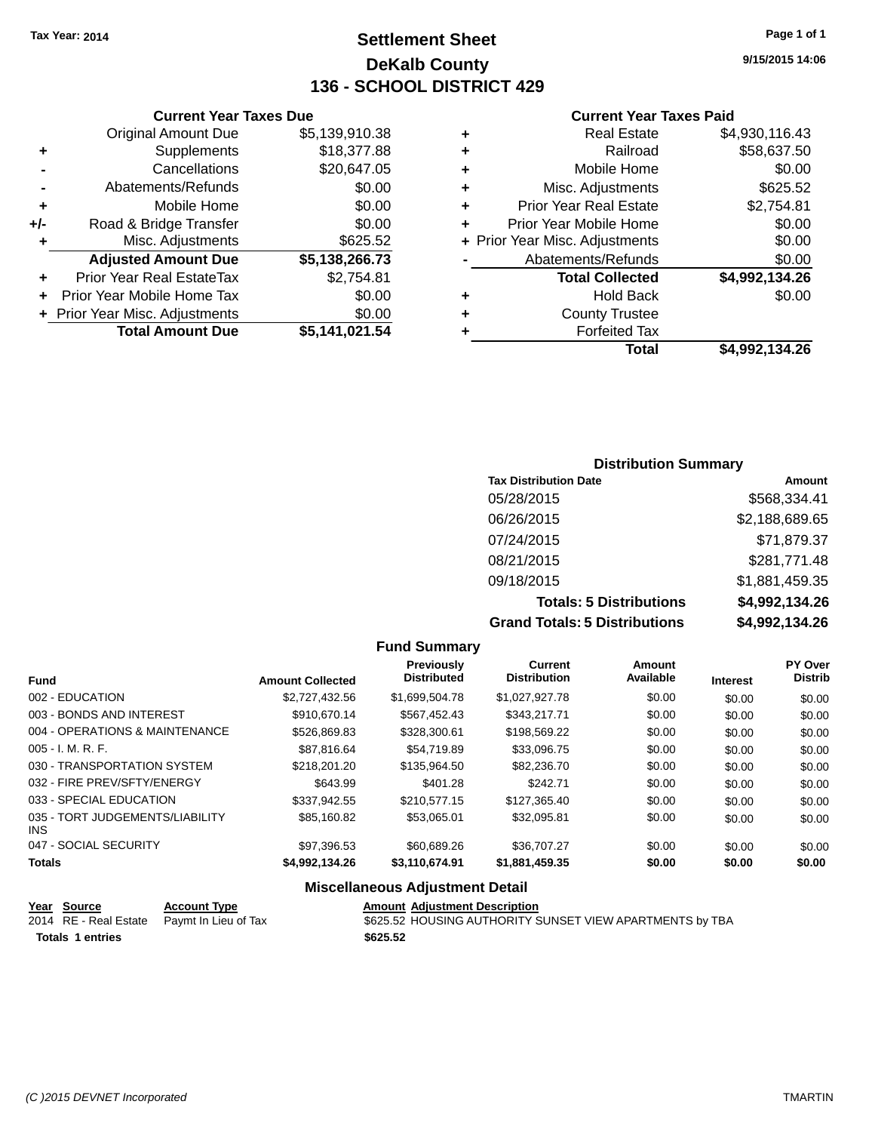**Current Year Taxes Due** Original Amount Due \$5,139,910.38

**Adjusted Amount Due \$5,138,266.73**

**Total Amount Due \$5,141,021.54**

**+** Supplements \$18,377.88 **-** Cancellations \$20,647.05 **-** Abatements/Refunds \$0.00 **+** Mobile Home \$0.00 **+/-** Road & Bridge Transfer \$0.00 **+** Misc. Adjustments \$625.52

**+** Prior Year Real EstateTax \$2,754.81 **+** Prior Year Mobile Home Tax \$0.00 **+** Prior Year Misc. Adjustments  $$0.00$ 

### **Settlement Sheet Tax Year: 2014 Page 1 of 1 DeKalb County 136 - SCHOOL DISTRICT 429**

**9/15/2015 14:06**

#### **Current Year Taxes Paid**

### **Distribution Summary Tax Distribution Date Amount** 05/28/2015 \$568,334.41 06/26/2015 \$2,188,689.65 07/24/2015 \$71,879.37 08/21/2015 \$281,771.48 09/18/2015 \$1,881,459.35 **Totals: 5 Distributions \$4,992,134.26**

**Grand Totals: 5 Distributions \$4,992,134.26**

|                                         | <b>Fund Summary</b>     |                                  | Grand Totals: 5 Distributions  |                     | \$4,992,134.26  |                           |
|-----------------------------------------|-------------------------|----------------------------------|--------------------------------|---------------------|-----------------|---------------------------|
|                                         |                         |                                  |                                |                     |                 |                           |
| <b>Fund</b>                             | <b>Amount Collected</b> | Previously<br><b>Distributed</b> | Current<br><b>Distribution</b> | Amount<br>Available | <b>Interest</b> | PY Over<br><b>Distrib</b> |
| 002 - EDUCATION                         | \$2,727,432.56          | \$1,699,504.78                   | \$1,027,927.78                 | \$0.00              | \$0.00          | \$0.00                    |
| 003 - BONDS AND INTEREST                | \$910,670.14            | \$567,452.43                     | \$343,217.71                   | \$0.00              | \$0.00          | \$0.00                    |
| 004 - OPERATIONS & MAINTENANCE          | \$526,869.83            | \$328,300.61                     | \$198,569.22                   | \$0.00              | \$0.00          | \$0.00                    |
| $005 - I. M. R. F.$                     | \$87,816.64             | \$54.719.89                      | \$33,096.75                    | \$0.00              | \$0.00          | \$0.00                    |
| 030 - TRANSPORTATION SYSTEM             | \$218,201.20            | \$135,964.50                     | \$82,236.70                    | \$0.00              | \$0.00          | \$0.00                    |
| 032 - FIRE PREV/SFTY/ENERGY             | \$643.99                | \$401.28                         | \$242.71                       | \$0.00              | \$0.00          | \$0.00                    |
| 033 - SPECIAL EDUCATION                 | \$337.942.55            | \$210,577.15                     | \$127,365.40                   | \$0.00              | \$0.00          | \$0.00                    |
| 035 - TORT JUDGEMENTS/LIABILITY<br>INS. | \$85,160.82             | \$53,065.01                      | \$32,095.81                    | \$0.00              | \$0.00          | \$0.00                    |
| 047 - SOCIAL SECURITY                   | \$97.396.53             | \$60,689.26                      | \$36,707.27                    | \$0.00              | \$0.00          | \$0.00                    |

#### **Totals \$4,992,134.26 \$3,110,674.91 \$1,881,459.35 \$0.00 \$0.00 \$0.00**

### **Miscellaneous Adjustment Detail**

| <u>Year Source</u>      | <b>Account Type</b>                        | <b>Amount Adiustment Description</b>                     |
|-------------------------|--------------------------------------------|----------------------------------------------------------|
|                         | 2014 RE - Real Estate Paymt In Lieu of Tax | \$625.52 HOUSING AUTHORITY SUNSET VIEW APARTMENTS by TBA |
| <b>Totals 1 entries</b> |                                            | \$625.52                                                 |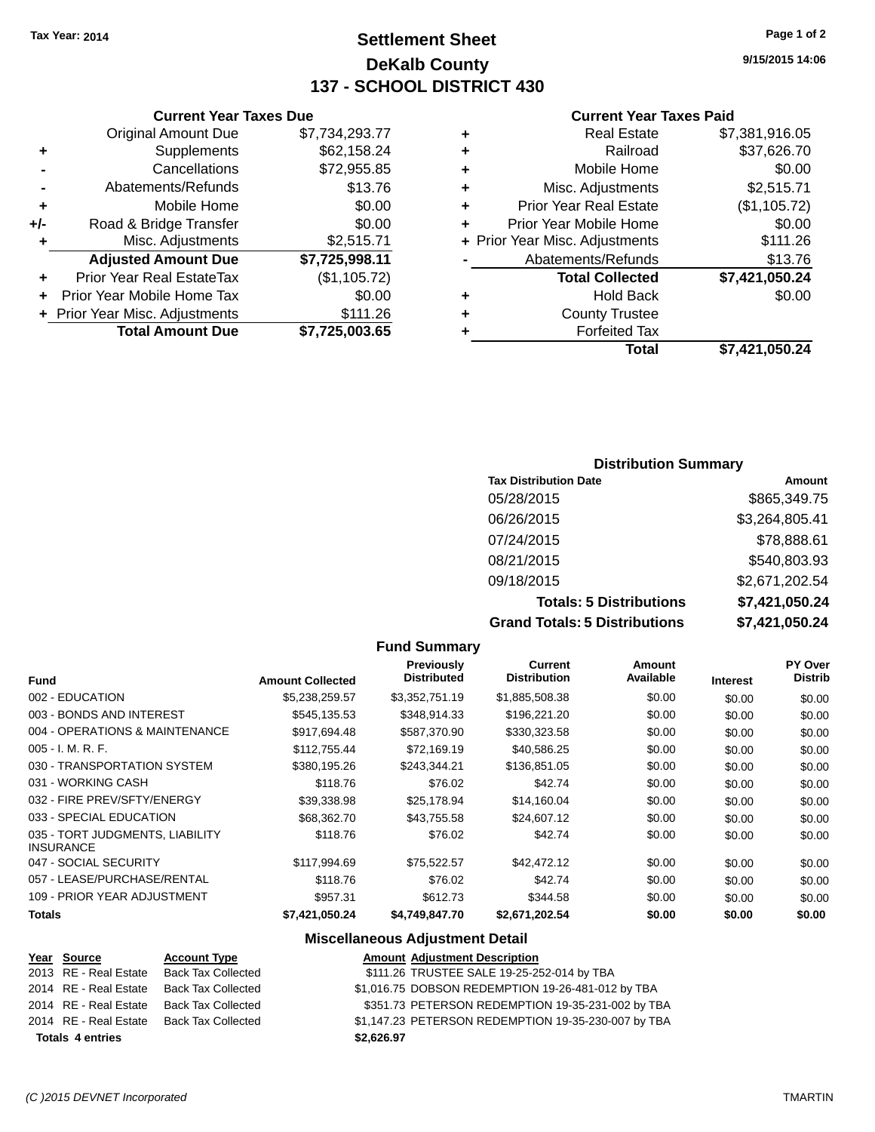### **Settlement Sheet Tax Year: 2014 Page 1 of 2 DeKalb County 137 - SCHOOL DISTRICT 430**

**9/15/2015 14:06**

#### **Current Year Taxes Paid**

| ٠ | <b>Real Estate</b>             | \$7,381,916.05 |
|---|--------------------------------|----------------|
| ٠ | Railroad                       | \$37,626.70    |
| ÷ | Mobile Home                    | \$0.00         |
| ٠ | Misc. Adjustments              | \$2,515.71     |
| ٠ | <b>Prior Year Real Estate</b>  | (\$1,105.72)   |
| ٠ | Prior Year Mobile Home         | \$0.00         |
|   | + Prior Year Misc. Adjustments | \$111.26       |
|   | Abatements/Refunds             | \$13.76        |
|   | <b>Total Collected</b>         | \$7,421,050.24 |
| ٠ | <b>Hold Back</b>               | \$0.00         |
| ٠ | <b>County Trustee</b>          |                |
|   | <b>Forfeited Tax</b>           |                |
|   | Total                          | \$7,421,050.24 |
|   |                                |                |

### Original Amount Due \$7,734,293.77 **+** Supplements \$62,158.24 **-** Cancellations \$72,955.85 **-** Abatements/Refunds \$13.76 **+** Mobile Home \$0.00

**Current Year Taxes Due**

| +/- | Road & Bridge Transfer         | \$0.00         |
|-----|--------------------------------|----------------|
| ÷   | Misc. Adjustments              | \$2,515.71     |
|     | <b>Adjusted Amount Due</b>     | \$7,725,998.11 |
| ٠   | Prior Year Real EstateTax      | (\$1,105.72)   |
|     | + Prior Year Mobile Home Tax   | \$0.00         |
|     | + Prior Year Misc. Adjustments | \$111.26       |
|     | <b>Total Amount Due</b>        | \$7,725,003.65 |

### **Distribution Summary**

| <b>Tax Distribution Date</b>         | Amount         |
|--------------------------------------|----------------|
| 05/28/2015                           | \$865,349.75   |
| 06/26/2015                           | \$3,264,805.41 |
| 07/24/2015                           | \$78,888.61    |
| 08/21/2015                           | \$540,803.93   |
| 09/18/2015                           | \$2,671,202.54 |
| <b>Totals: 5 Distributions</b>       | \$7,421,050.24 |
| <b>Grand Totals: 5 Distributions</b> | \$7,421,050.24 |

#### **Fund Summary Fund Interest Amount Collected Distributed PY Over Distrib Amount Available Current Distribution Previously** 002 - EDUCATION \$5,238,259.57 \$3,352,751.19 \$1,885,508.38 \$0.00 \$0.00 \$0.00 003 - BONDS AND INTEREST 66.00 \$545,135.53 \$348,914.33 \$196,221.20 \$0.00 \$0.00 \$0.00 \$0.00 004 - OPERATIONS & MAINTENANCE \$917,694.48 \$587,370.90 \$330,323.58 \$0.00 \$0.00 \$0.00 005 - I. M. R. F. \$112,755.44 \$72,169.19 \$40,586.25 \$0.00 \$0.00 \$0.00 030 - TRANSPORTATION SYSTEM \$380,195.26 \$243,344.21 \$136,851.05 \$0.00 \$0.00 \$0.00 \$0.00 031 - WORKING CASH \$118.76 \$76.02 \$42.74 \$0.00 \$0.00 \$0.00 032 - FIRE PREV/SFTY/ENERGY \$39,338.98 \$25,178.94 \$14,160.04 \$0.00 \$0.00 \$0.00 \$0.00 033 - SPECIAL EDUCATION 668,362.70 \$43,755.58 \$24,607.12 \$0.00 \$0.00 \$0.00 \$0.00 035 - TORT JUDGMENTS, LIABILITY INSURANCE \$118.76 \$76.02 \$42.74 \$0.00 \$0.00 \$0.00 047 - SOCIAL SECURITY 6117,994.69 \$117,994.69 \$75,522.57 \$42,472.12 \$0.00 \$0.00 \$0.00 \$0.00 057 - LEASE/PURCHASE/RENTAL \$118.76 \$76.02 \$9.74 \$0.00 \$0.00 \$0.00 109 - PRIOR YEAR ADJUSTMENT **\$957.31** \$612.73 \$344.58 \$0.00 \$0.00 \$0.00 \$0.00 **Totals \$7,421,050.24 \$4,749,847.70 \$2,671,202.54 \$0.00 \$0.00 \$0.00**

### **Miscellaneous Adjustment Detail**

#### **Year Source Account Type Amount Adjustment Description** 2013 RE - Real Estate Back Tax Collected \$111.26 TRUSTEE SALE 19-25-252-014 by TBA 2014 RE - Real Estate Back Tax Collected \$1,016.75 DOBSON REDEMPTION 19-26-481-012 by TBA 2014 RE - Real Estate Back Tax Collected \$351.73 PETERSON REDEMPTION 19-35-231-002 by TBA 2014 RE - Real Estate Back Tax Collected \$1,147.23 PETERSON REDEMPTION 19-35-230-007 by TBA **Totals 4 entries \$2,626.97**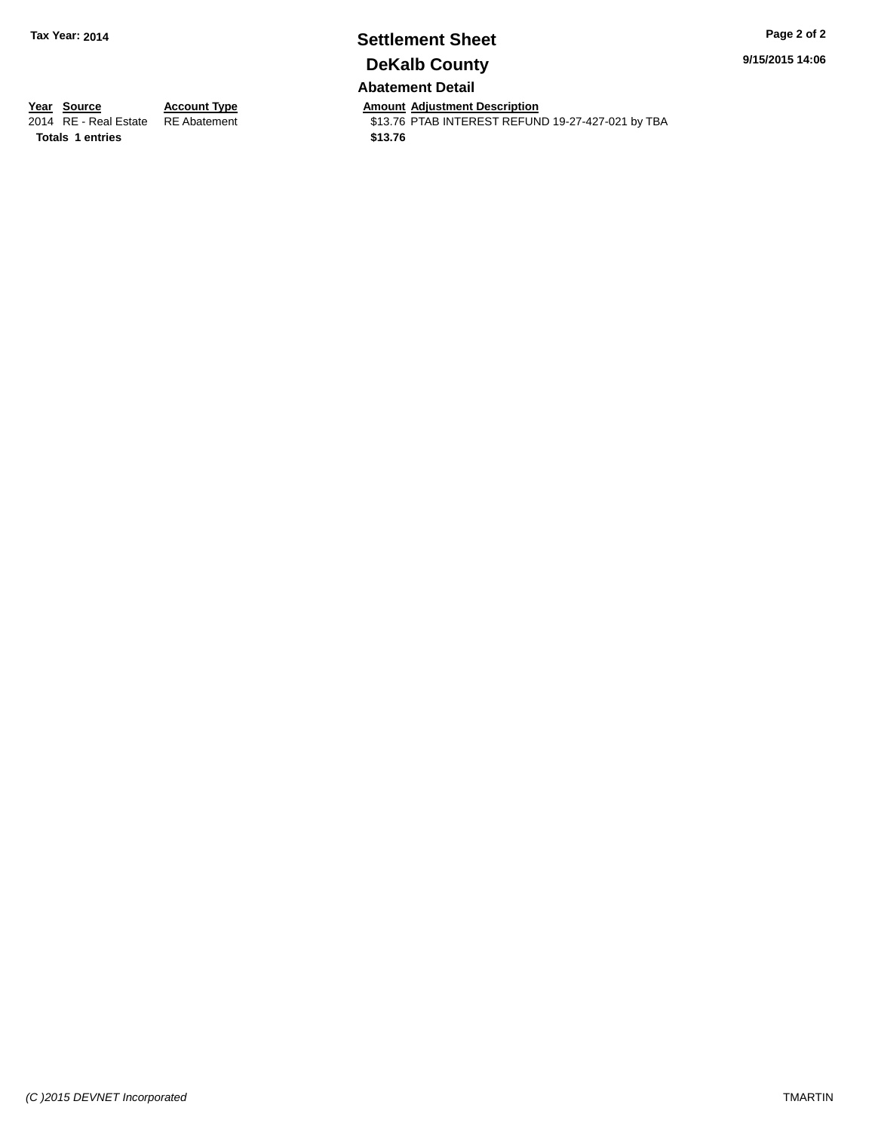# **Settlement Sheet Tax Year: 2014 Page 2 of 2 DeKalb County**

**9/15/2015 14:06**

### **Abatement Detail**

**Totals 1 entries \$13.76**

**Year Source Account Type And Amount Adjustment Description**<br>2014 RE - Real Estate RE Abatement **Account 1991** 13.76 PTAB INTEREST REFUN \$13.76 PTAB INTEREST REFUND 19-27-427-021 by TBA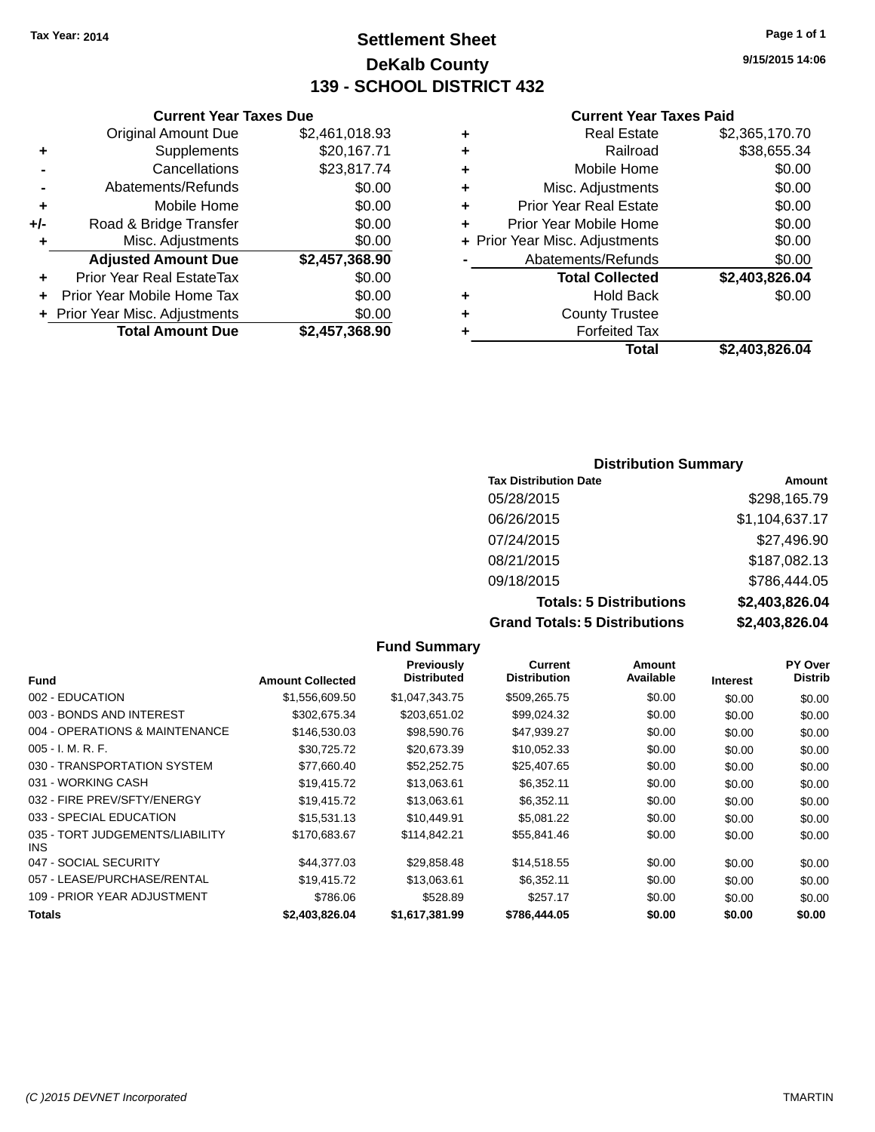### **Settlement Sheet Tax Year: 2014 Page 1 of 1 DeKalb County 139 - SCHOOL DISTRICT 432**

**9/15/2015 14:06**

#### **Current Year Taxes Paid**

|     | <b>Total Amount Due</b>        | \$2,457,368.90 |
|-----|--------------------------------|----------------|
|     | + Prior Year Misc. Adjustments | \$0.00         |
| ٠   | Prior Year Mobile Home Tax     | \$0.00         |
| ٠   | Prior Year Real EstateTax      | \$0.00         |
|     | <b>Adjusted Amount Due</b>     | \$2,457,368.90 |
| ٠   | Misc. Adjustments              | \$0.00         |
| +/- | Road & Bridge Transfer         | \$0.00         |
| ٠   | Mobile Home                    | \$0.00         |
|     | Abatements/Refunds             | \$0.00         |
|     | Cancellations                  | \$23,817.74    |
| ٠   | Supplements                    | \$20,167.71    |
|     | <b>Original Amount Due</b>     | \$2,461,018.93 |
|     |                                |                |

**Current Year Taxes Due**

|   | <b>Real Estate</b>             | \$2,365,170.70 |
|---|--------------------------------|----------------|
| ÷ | Railroad                       | \$38,655.34    |
| ٠ | Mobile Home                    | \$0.00         |
| ٠ | Misc. Adjustments              | \$0.00         |
| ٠ | <b>Prior Year Real Estate</b>  | \$0.00         |
| ÷ | Prior Year Mobile Home         | \$0.00         |
|   | + Prior Year Misc. Adjustments | \$0.00         |
|   | Abatements/Refunds             | \$0.00         |
|   | <b>Total Collected</b>         | \$2,403,826.04 |
| ٠ | Hold Back                      | \$0.00         |
| ٠ | <b>County Trustee</b>          |                |
| ٠ | <b>Forfeited Tax</b>           |                |
|   | Total                          | \$2,403,826.04 |

### **Distribution Summary Tax Distribution Date Amount** 05/28/2015 \$298,165.79 06/26/2015 \$1,104,637.17 07/24/2015 \$27,496.90 08/21/2015 \$187,082.13 09/18/2015 \$786,444.05 **Totals: 5 Distributions \$2,403,826.04 Grand Totals: 5 Distributions \$2,403,826.04**

|                                         |                         | <b>Fund Summary</b>                     |                                       |                     |                 |                           |
|-----------------------------------------|-------------------------|-----------------------------------------|---------------------------------------|---------------------|-----------------|---------------------------|
| <b>Fund</b>                             | <b>Amount Collected</b> | <b>Previously</b><br><b>Distributed</b> | <b>Current</b><br><b>Distribution</b> | Amount<br>Available | <b>Interest</b> | PY Over<br><b>Distrib</b> |
| 002 - EDUCATION                         | \$1,556,609.50          | \$1,047,343.75                          | \$509,265.75                          | \$0.00              | \$0.00          | \$0.00                    |
| 003 - BONDS AND INTEREST                | \$302,675.34            | \$203,651.02                            | \$99,024.32                           | \$0.00              | \$0.00          | \$0.00                    |
| 004 - OPERATIONS & MAINTENANCE          | \$146,530.03            | \$98,590.76                             | \$47,939.27                           | \$0.00              | \$0.00          | \$0.00                    |
| $005 - I. M. R. F.$                     | \$30,725.72             | \$20,673.39                             | \$10,052.33                           | \$0.00              | \$0.00          | \$0.00                    |
| 030 - TRANSPORTATION SYSTEM             | \$77,660.40             | \$52,252.75                             | \$25,407.65                           | \$0.00              | \$0.00          | \$0.00                    |
| 031 - WORKING CASH                      | \$19,415.72             | \$13,063.61                             | \$6,352.11                            | \$0.00              | \$0.00          | \$0.00                    |
| 032 - FIRE PREV/SFTY/ENERGY             | \$19,415.72             | \$13,063.61                             | \$6,352.11                            | \$0.00              | \$0.00          | \$0.00                    |
| 033 - SPECIAL EDUCATION                 | \$15,531.13             | \$10,449.91                             | \$5,081.22                            | \$0.00              | \$0.00          | \$0.00                    |
| 035 - TORT JUDGEMENTS/LIABILITY<br>INS. | \$170,683.67            | \$114,842.21                            | \$55,841.46                           | \$0.00              | \$0.00          | \$0.00                    |
| 047 - SOCIAL SECURITY                   | \$44,377.03             | \$29,858.48                             | \$14,518.55                           | \$0.00              | \$0.00          | \$0.00                    |
| 057 - LEASE/PURCHASE/RENTAL             | \$19,415.72             | \$13,063.61                             | \$6,352.11                            | \$0.00              | \$0.00          | \$0.00                    |
| 109 - PRIOR YEAR ADJUSTMENT             | \$786.06                | \$528.89                                | \$257.17                              | \$0.00              | \$0.00          | \$0.00                    |
| Totals                                  | \$2,403,826.04          | \$1,617,381.99                          | \$786,444.05                          | \$0.00              | \$0.00          | \$0.00                    |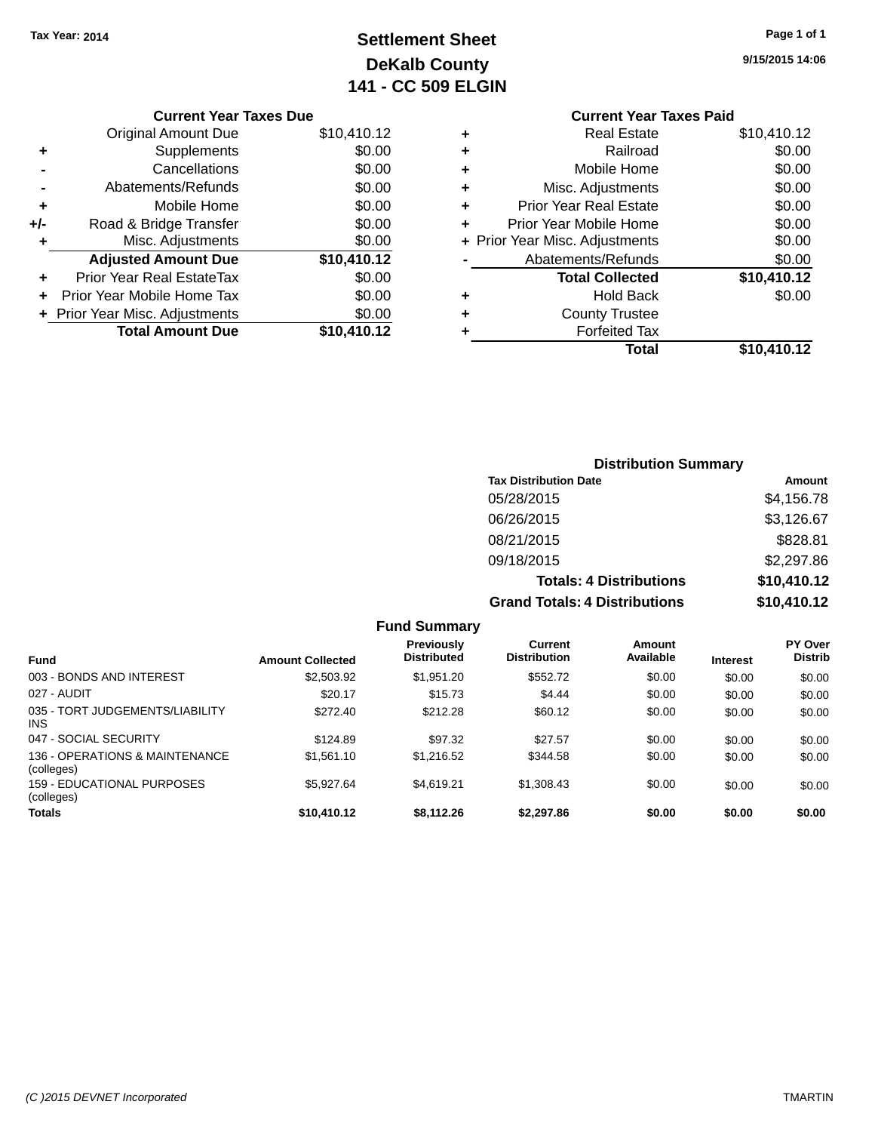## **Settlement Sheet Tax Year: 2014 Page 1 of 1 DeKalb County 141 - CC 509 ELGIN**

|     | <b>Current Year Taxes Due</b>    |             |
|-----|----------------------------------|-------------|
|     | <b>Original Amount Due</b>       | \$10,410.12 |
| ٠   | Supplements                      | \$0.00      |
|     | Cancellations                    | \$0.00      |
|     | Abatements/Refunds               | \$0.00      |
| ٠   | Mobile Home                      | \$0.00      |
| +/- | Road & Bridge Transfer           | \$0.00      |
| ٠   | Misc. Adjustments                | \$0.00      |
|     | <b>Adjusted Amount Due</b>       | \$10,410.12 |
| ٠   | <b>Prior Year Real EstateTax</b> | \$0.00      |
|     | Prior Year Mobile Home Tax       | \$0.00      |
|     | + Prior Year Misc. Adjustments   | \$0.00      |
|     | <b>Total Amount Due</b>          | \$10,410.12 |

### **9/15/2015 14:06**

|   | <b>Current Year Taxes Paid</b> |             |
|---|--------------------------------|-------------|
| ٠ | <b>Real Estate</b>             | \$10,410.12 |
| ٠ | Railroad                       | \$0.00      |
| ٠ | Mobile Home                    | \$0.00      |
| ٠ | Misc. Adjustments              | \$0.00      |
| ٠ | <b>Prior Year Real Estate</b>  | \$0.00      |
| ٠ | Prior Year Mobile Home         | \$0.00      |
|   | + Prior Year Misc. Adjustments | \$0.00      |
|   | Abatements/Refunds             | \$0.00      |
|   | <b>Total Collected</b>         | \$10,410.12 |
| ٠ | <b>Hold Back</b>               | \$0.00      |
| ٠ | <b>County Trustee</b>          |             |
|   | <b>Forfeited Tax</b>           |             |
|   | Total                          | \$10,410.12 |
|   |                                |             |

| <b>Distribution Summary</b>          |             |
|--------------------------------------|-------------|
| <b>Tax Distribution Date</b>         | Amount      |
| 05/28/2015                           | \$4,156.78  |
| 06/26/2015                           | \$3,126.67  |
| 08/21/2015                           | \$828.81    |
| 09/18/2015                           | \$2,297.86  |
| <b>Totals: 4 Distributions</b>       | \$10,410.12 |
| <b>Grand Totals: 4 Distributions</b> | \$10,410.12 |

|                                              |                         | <b>Fund Summary</b>                     |                                       |                     |                 |                           |
|----------------------------------------------|-------------------------|-----------------------------------------|---------------------------------------|---------------------|-----------------|---------------------------|
| <b>Fund</b>                                  | <b>Amount Collected</b> | <b>Previously</b><br><b>Distributed</b> | <b>Current</b><br><b>Distribution</b> | Amount<br>Available | <b>Interest</b> | PY Over<br><b>Distrib</b> |
| 003 - BONDS AND INTEREST                     | \$2,503.92              | \$1.951.20                              | \$552.72                              | \$0.00              | \$0.00          | \$0.00                    |
| 027 - AUDIT                                  | \$20.17                 | \$15.73                                 | \$4.44                                | \$0.00              | \$0.00          | \$0.00                    |
| 035 - TORT JUDGEMENTS/LIABILITY<br>INS.      | \$272.40                | \$212.28                                | \$60.12                               | \$0.00              | \$0.00          | \$0.00                    |
| 047 - SOCIAL SECURITY                        | \$124.89                | \$97.32                                 | \$27.57                               | \$0.00              | \$0.00          | \$0.00                    |
| 136 - OPERATIONS & MAINTENANCE<br>(colleges) | \$1,561.10              | \$1,216.52                              | \$344.58                              | \$0.00              | \$0.00          | \$0.00                    |
| 159 - EDUCATIONAL PURPOSES<br>(colleges)     | \$5.927.64              | \$4.619.21                              | \$1.308.43                            | \$0.00              | \$0.00          | \$0.00                    |
| <b>Totals</b>                                | \$10,410.12             | \$8.112.26                              | \$2,297.86                            | \$0.00              | \$0.00          | \$0.00                    |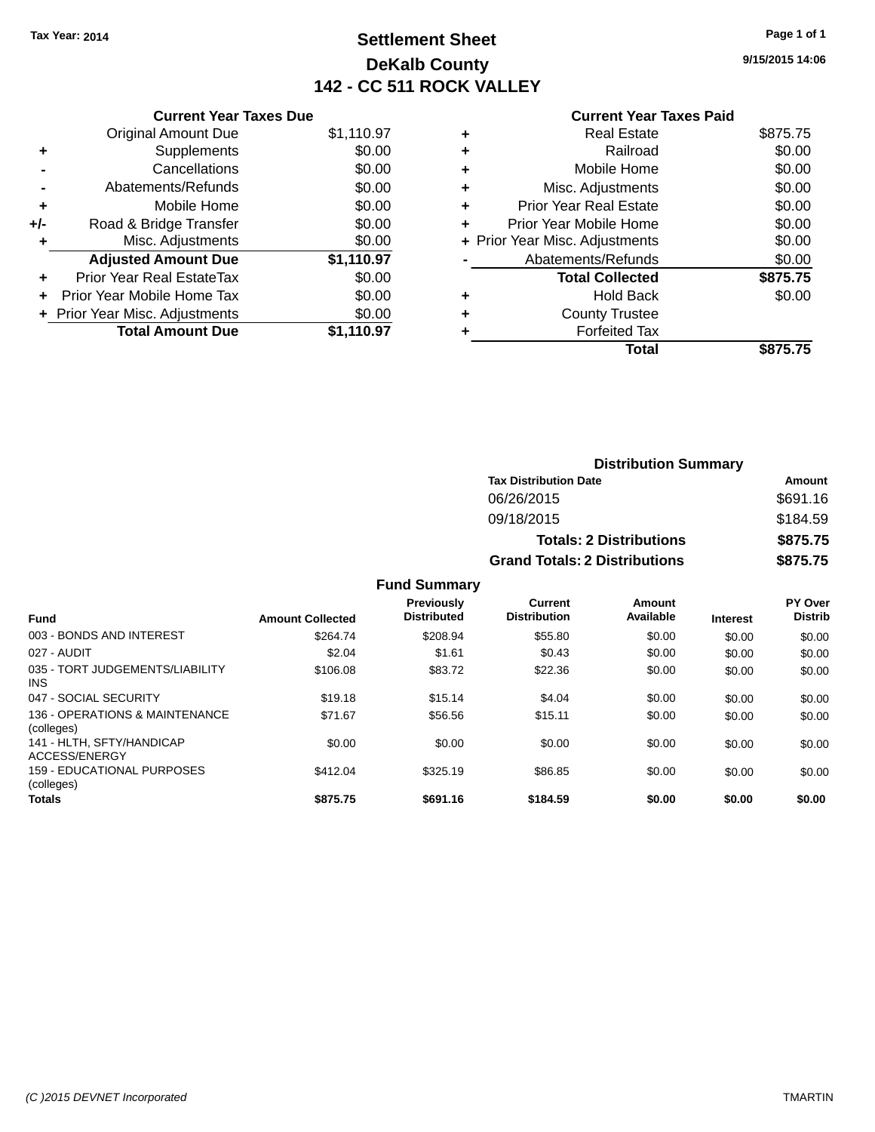### **Settlement Sheet Tax Year: 2014 Page 1 of 1 DeKalb County 142 - CC 511 ROCK VALLEY**

**9/15/2015 14:06**

#### **Current Year Taxes Paid**

| <b>Current Year Taxes Due</b>  |            |
|--------------------------------|------------|
| <b>Original Amount Due</b>     | \$1,110.97 |
| Supplements                    | \$0.00     |
| Cancellations                  | \$0.00     |
| Abatements/Refunds             | \$0.00     |
| Mobile Home                    | \$0.00     |
| Road & Bridge Transfer         | \$0.00     |
| Misc. Adjustments              | \$0.00     |
| <b>Adjusted Amount Due</b>     | \$1,110.97 |
| Prior Year Real EstateTax      | \$0.00     |
| Prior Year Mobile Home Tax     | \$0.00     |
| + Prior Year Misc. Adjustments | \$0.00     |
| <b>Total Amount Due</b>        | \$1.110.97 |
|                                |            |

| ٠ | Real Estate                    | \$875.75 |
|---|--------------------------------|----------|
| ٠ | Railroad                       | \$0.00   |
| ٠ | Mobile Home                    | \$0.00   |
| ٠ | Misc. Adjustments              | \$0.00   |
| ٠ | <b>Prior Year Real Estate</b>  | \$0.00   |
|   | Prior Year Mobile Home         | \$0.00   |
|   | + Prior Year Misc. Adjustments | \$0.00   |
|   | Abatements/Refunds             | \$0.00   |
|   | <b>Total Collected</b>         | \$875.75 |
| ٠ | Hold Back                      | \$0.00   |
| ٠ | <b>County Trustee</b>          |          |
|   | <b>Forfeited Tax</b>           |          |
|   | Total                          | \$875.75 |
|   |                                |          |

| <b>Distribution Summary</b>          |          |  |  |
|--------------------------------------|----------|--|--|
| <b>Tax Distribution Date</b>         | Amount   |  |  |
| 06/26/2015                           | \$691.16 |  |  |
| 09/18/2015                           | \$184.59 |  |  |
| <b>Totals: 2 Distributions</b>       | \$875.75 |  |  |
| <b>Grand Totals: 2 Distributions</b> | \$875.75 |  |  |

### **Fund Summary**

| <b>Fund</b>                                   | <b>Amount Collected</b> | Previously<br><b>Distributed</b> | Current<br><b>Distribution</b> | Amount<br>Available | <b>Interest</b> | PY Over<br><b>Distrib</b> |
|-----------------------------------------------|-------------------------|----------------------------------|--------------------------------|---------------------|-----------------|---------------------------|
| 003 - BONDS AND INTEREST                      | \$264.74                | \$208.94                         | \$55.80                        | \$0.00              | \$0.00          | \$0.00                    |
| 027 - AUDIT                                   | \$2.04                  | \$1.61                           | \$0.43                         | \$0.00              | \$0.00          | \$0.00                    |
| 035 - TORT JUDGEMENTS/LIABILITY<br><b>INS</b> | \$106.08                | \$83.72                          | \$22.36                        | \$0.00              | \$0.00          | \$0.00                    |
| 047 - SOCIAL SECURITY                         | \$19.18                 | \$15.14                          | \$4.04                         | \$0.00              | \$0.00          | \$0.00                    |
| 136 - OPERATIONS & MAINTENANCE<br>(colleges)  | \$71.67                 | \$56.56                          | \$15.11                        | \$0.00              | \$0.00          | \$0.00                    |
| 141 - HLTH, SFTY/HANDICAP<br>ACCESS/ENERGY    | \$0.00                  | \$0.00                           | \$0.00                         | \$0.00              | \$0.00          | \$0.00                    |
| 159 - EDUCATIONAL PURPOSES<br>(colleges)      | \$412.04                | \$325.19                         | \$86.85                        | \$0.00              | \$0.00          | \$0.00                    |
| <b>Totals</b>                                 | \$875.75                | \$691.16                         | \$184.59                       | \$0.00              | \$0.00          | \$0.00                    |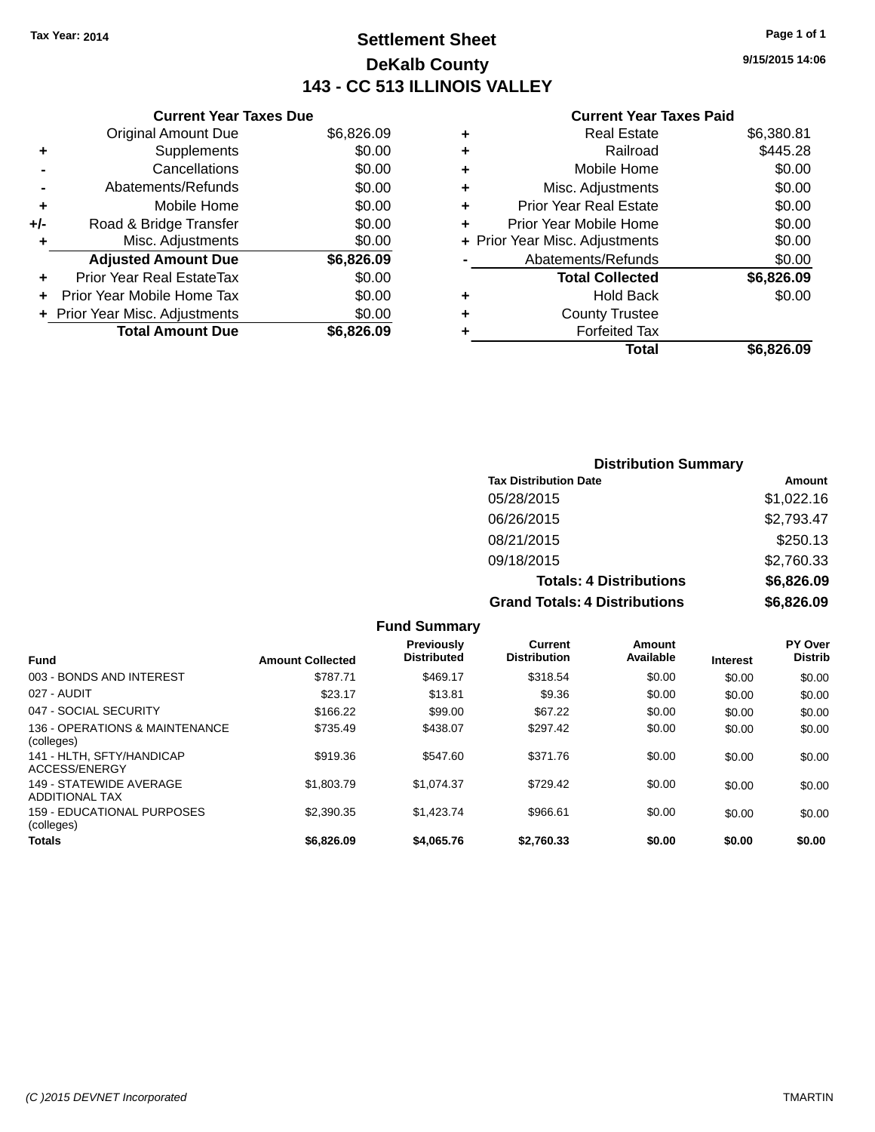### **Settlement Sheet Tax Year: 2014 Page 1 of 1 DeKalb County 143 - CC 513 ILLINOIS VALLEY**

**9/15/2015 14:06**

#### **Current Year Taxes Paid**

|     | <b>Current Year Taxes Due</b>  |            |
|-----|--------------------------------|------------|
|     | <b>Original Amount Due</b>     | \$6,826.09 |
| ٠   | Supplements                    | \$0.00     |
|     | Cancellations                  | \$0.00     |
|     | Abatements/Refunds             | \$0.00     |
| ٠   | Mobile Home                    | \$0.00     |
| +/- | Road & Bridge Transfer         | \$0.00     |
| ٠   | Misc. Adjustments              | \$0.00     |
|     | <b>Adjusted Amount Due</b>     | \$6,826.09 |
| ٠   | Prior Year Real EstateTax      | \$0.00     |
|     | Prior Year Mobile Home Tax     | \$0.00     |
|     | + Prior Year Misc. Adjustments | \$0.00     |
|     | <b>Total Amount Due</b>        | \$6.826.09 |
|     |                                |            |

| ٠ | <b>Real Estate</b>             | \$6,380.81 |
|---|--------------------------------|------------|
| ٠ | Railroad                       | \$445.28   |
| ٠ | Mobile Home                    | \$0.00     |
| ٠ | Misc. Adjustments              | \$0.00     |
| ٠ | <b>Prior Year Real Estate</b>  | \$0.00     |
| ٠ | Prior Year Mobile Home         | \$0.00     |
|   | + Prior Year Misc. Adjustments | \$0.00     |
|   | Abatements/Refunds             | \$0.00     |
|   | <b>Total Collected</b>         | \$6,826.09 |
| ٠ | Hold Back                      | \$0.00     |
| ٠ | <b>County Trustee</b>          |            |
| ٠ | <b>Forfeited Tax</b>           |            |
|   | Total                          | \$6,826.09 |
|   |                                |            |

### **Distribution Summary Tax Distribution Date Amount** 05/28/2015 \$1,022.16 06/26/2015 \$2,793.47 08/21/2015 \$250.13 09/18/2015 \$2,760.33 **Totals: 4 Distributions \$6,826.09 Grand Totals: 4 Distributions \$6,826.09**

|                                                  |                         | <b>Fund Summary</b>                     |                                |                     |                 |                           |
|--------------------------------------------------|-------------------------|-----------------------------------------|--------------------------------|---------------------|-----------------|---------------------------|
| <b>Fund</b>                                      | <b>Amount Collected</b> | <b>Previously</b><br><b>Distributed</b> | Current<br><b>Distribution</b> | Amount<br>Available | <b>Interest</b> | PY Over<br><b>Distrib</b> |
| 003 - BONDS AND INTEREST                         | \$787.71                | \$469.17                                | \$318.54                       | \$0.00              | \$0.00          | \$0.00                    |
| 027 - AUDIT                                      | \$23.17                 | \$13.81                                 | \$9.36                         | \$0.00              | \$0.00          | \$0.00                    |
| 047 - SOCIAL SECURITY                            | \$166.22                | \$99.00                                 | \$67.22                        | \$0.00              | \$0.00          | \$0.00                    |
| 136 - OPERATIONS & MAINTENANCE<br>(colleges)     | \$735.49                | \$438.07                                | \$297.42                       | \$0.00              | \$0.00          | \$0.00                    |
| 141 - HLTH, SFTY/HANDICAP<br>ACCESS/ENERGY       | \$919.36                | \$547.60                                | \$371.76                       | \$0.00              | \$0.00          | \$0.00                    |
| 149 - STATEWIDE AVERAGE<br><b>ADDITIONAL TAX</b> | \$1,803.79              | \$1.074.37                              | \$729.42                       | \$0.00              | \$0.00          | \$0.00                    |
| 159 - EDUCATIONAL PURPOSES<br>(colleges)         | \$2,390.35              | \$1,423.74                              | \$966.61                       | \$0.00              | \$0.00          | \$0.00                    |
| <b>Totals</b>                                    | \$6,826.09              | \$4,065.76                              | \$2.760.33                     | \$0.00              | \$0.00          | \$0.00                    |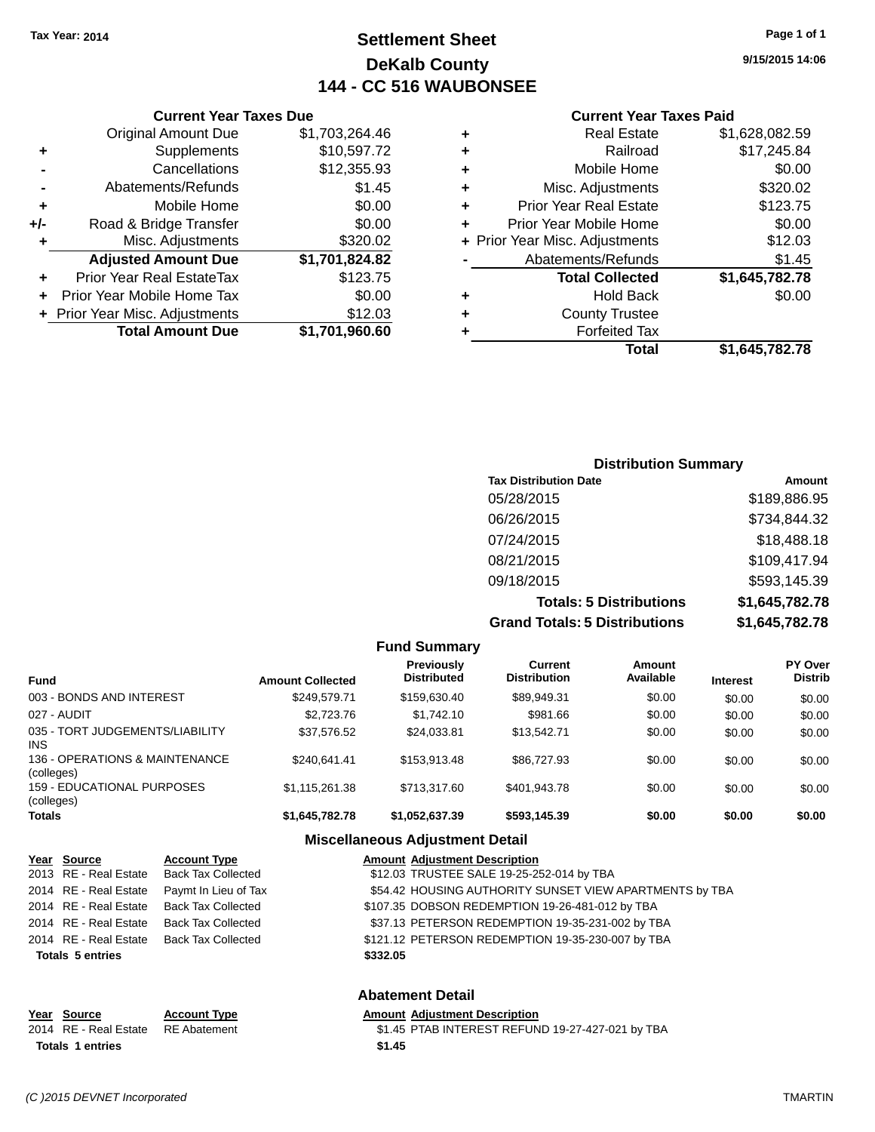### **Settlement Sheet Tax Year: 2014 Page 1 of 1 DeKalb County 144 - CC 516 WAUBONSEE**

### **9/15/2015 14:06**

| <b>Current Year Taxes Paid</b> |  |  |  |
|--------------------------------|--|--|--|
|--------------------------------|--|--|--|

|     | <b>Current Year Taxes Due</b>  |                |  |  |  |
|-----|--------------------------------|----------------|--|--|--|
|     | <b>Original Amount Due</b>     | \$1,703,264.46 |  |  |  |
| ٠   | Supplements                    | \$10,597.72    |  |  |  |
|     | Cancellations                  | \$12,355.93    |  |  |  |
|     | Abatements/Refunds             | \$1.45         |  |  |  |
| ٠   | Mobile Home                    | \$0.00         |  |  |  |
| +/- | Road & Bridge Transfer         | \$0.00         |  |  |  |
| ٠   | Misc. Adjustments              | \$320.02       |  |  |  |
|     | <b>Adjusted Amount Due</b>     | \$1,701,824.82 |  |  |  |
| ٠   | Prior Year Real EstateTax      | \$123.75       |  |  |  |
| ÷   | Prior Year Mobile Home Tax     | \$0.00         |  |  |  |
|     | + Prior Year Misc. Adjustments | \$12.03        |  |  |  |
|     | <b>Total Amount Due</b>        | \$1,701,960.60 |  |  |  |

| ٠ | <b>Real Estate</b>             | \$1,628,082.59 |
|---|--------------------------------|----------------|
| ٠ | Railroad                       | \$17,245.84    |
| ٠ | Mobile Home                    | \$0.00         |
| ٠ | Misc. Adjustments              | \$320.02       |
| ٠ | <b>Prior Year Real Estate</b>  | \$123.75       |
| ÷ | Prior Year Mobile Home         | \$0.00         |
|   | + Prior Year Misc. Adjustments | \$12.03        |
|   | Abatements/Refunds             | \$1.45         |
|   | <b>Total Collected</b>         | \$1,645,782.78 |
| ٠ | <b>Hold Back</b>               | \$0.00         |
| ٠ | <b>County Trustee</b>          |                |
| ٠ | <b>Forfeited Tax</b>           |                |
|   | Total                          | \$1,645,782.78 |
|   |                                |                |

| <b>Distribution Summary</b>          |                |  |  |  |
|--------------------------------------|----------------|--|--|--|
| <b>Tax Distribution Date</b>         | Amount         |  |  |  |
| 05/28/2015                           | \$189,886.95   |  |  |  |
| 06/26/2015                           | \$734,844.32   |  |  |  |
| 07/24/2015                           | \$18,488.18    |  |  |  |
| 08/21/2015                           | \$109,417.94   |  |  |  |
| 09/18/2015                           | \$593,145.39   |  |  |  |
| <b>Totals: 5 Distributions</b>       | \$1,645,782.78 |  |  |  |
| <b>Grand Totals: 5 Distributions</b> | \$1,645,782.78 |  |  |  |

| <b>Fund Summary</b>                          |                         |                                         |                                |                     |                 |                                  |
|----------------------------------------------|-------------------------|-----------------------------------------|--------------------------------|---------------------|-----------------|----------------------------------|
| <b>Fund</b>                                  | <b>Amount Collected</b> | <b>Previously</b><br><b>Distributed</b> | Current<br><b>Distribution</b> | Amount<br>Available | <b>Interest</b> | <b>PY Over</b><br><b>Distrib</b> |
| 003 - BONDS AND INTEREST                     | \$249.579.71            | \$159,630.40                            | \$89,949.31                    | \$0.00              | \$0.00          | \$0.00                           |
| 027 - AUDIT                                  | \$2,723,76              | \$1,742.10                              | \$981.66                       | \$0.00              | \$0.00          | \$0.00                           |
| 035 - TORT JUDGEMENTS/LIABILITY<br>INS.      | \$37,576.52             | \$24,033.81                             | \$13.542.71                    | \$0.00              | \$0.00          | \$0.00                           |
| 136 - OPERATIONS & MAINTENANCE<br>(colleges) | \$240.641.41            | \$153,913.48                            | \$86,727,93                    | \$0.00              | \$0.00          | \$0.00                           |
| 159 - EDUCATIONAL PURPOSES<br>(colleges)     | \$1,115,261.38          | \$713.317.60                            | \$401.943.78                   | \$0.00              | \$0.00          | \$0.00                           |
| Totals                                       | \$1,645,782.78          | \$1,052,637.39                          | \$593,145.39                   | \$0.00              | \$0.00          | \$0.00                           |

### **Miscellaneous Adjustment Detail**

| Year Source             | <b>Account Type</b>       | <b>Amount Adjustment Description</b>                    |
|-------------------------|---------------------------|---------------------------------------------------------|
| 2013 RE - Real Estate   | Back Tax Collected        | \$12.03 TRUSTEE SALE 19-25-252-014 by TBA               |
| 2014 RE - Real Estate   | Paymt In Lieu of Tax      | \$54.42 HOUSING AUTHORITY SUNSET VIEW APARTMENTS by TBA |
| 2014 RE - Real Estate   | <b>Back Tax Collected</b> | \$107.35 DOBSON REDEMPTION 19-26-481-012 by TBA         |
| 2014 RE - Real Estate   | <b>Back Tax Collected</b> | \$37.13 PETERSON REDEMPTION 19-35-231-002 by TBA        |
| 2014 RE - Real Estate   | <b>Back Tax Collected</b> | \$121.12 PETERSON REDEMPTION 19-35-230-007 by TBA       |
| <b>Totals 5 entries</b> |                           | \$332.05                                                |
|                         |                           | <b>Abatement Detail</b>                                 |
| Year Source             | <b>Account Type</b>       | <b>Amount Adjustment Description</b>                    |
| 2014 RE - Real Estate   | <b>RE</b> Abatement       | \$1.45 PTAB INTEREST REFUND 19-27-427-021 by TBA        |

**Totals 1 entries \$1.45**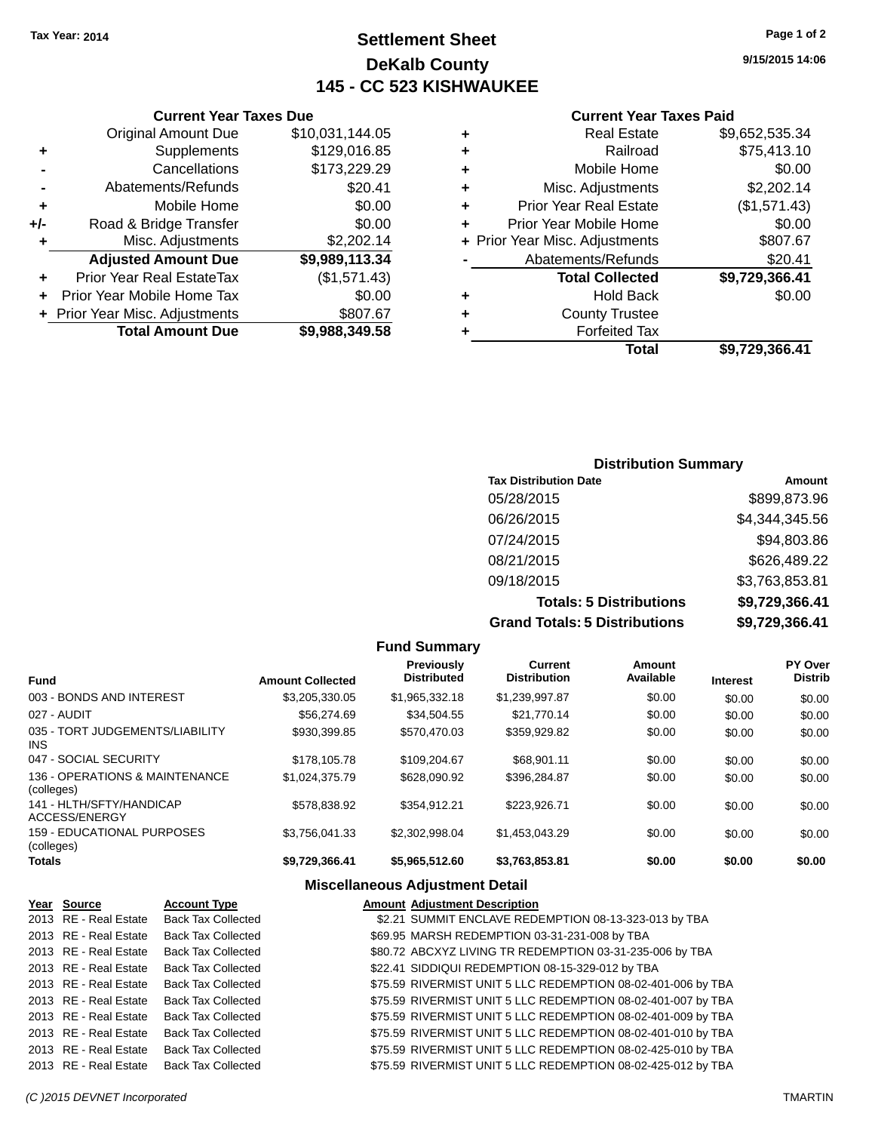### **Settlement Sheet Tax Year: 2014 Page 1 of 2 DeKalb County 145 - CC 523 KISHWAUKEE**

**9/15/2015 14:06**

### **Current Year Taxes Paid**

|          |   | Total                          | \$9,729,366.41 |
|----------|---|--------------------------------|----------------|
| ,349.58  |   | <b>Forfeited Tax</b>           |                |
| \$807.67 | ٠ | <b>County Trustee</b>          |                |
| \$0.00   | ٠ | <b>Hold Back</b>               | \$0.00         |
| 571.43)  |   | <b>Total Collected</b>         | \$9,729,366.41 |
| ,113.34  |   | Abatements/Refunds             | \$20.41        |
| ,202.14  |   | + Prior Year Misc. Adjustments | \$807.67       |
| \$0.00   | ٠ | Prior Year Mobile Home         | \$0.00         |
| \$0.00   | ٠ | <b>Prior Year Real Estate</b>  | (\$1,571.43)   |
| \$20.41  | ٠ | Misc. Adjustments              | \$2,202.14     |
| ,229.29  | ٠ | Mobile Home                    | \$0.00         |
| ,016.85  | ٠ | Railroad                       | \$75,413.10    |
| ,144.05  | ٠ | <b>Real Estate</b>             | \$9,652,535.34 |
|          |   |                                |                |

### Original Amount Due \$10,031 **+** Supplements \$129 **-** Cancellations \$173, **-** Abatements/Refunds **+** Mobile Home **+/-** Road & Bridge Transfer<br> **+** Misc. Adjustments \$2. **+** Misc. Adjustments **Adjusted Amount Due \$9,989 +** Prior Year Real EstateTax (\$1,571.43) **+** Prior Year Mobile Home Tax **+** Prior Year Misc. Adjustments \$89,988. **Total Amount Due**

**Current Year Taxes Due**

| <b>Distribution Summary</b>    |                |  |  |  |
|--------------------------------|----------------|--|--|--|
| <b>Tax Distribution Date</b>   | Amount         |  |  |  |
| 05/28/2015                     | \$899,873.96   |  |  |  |
| 06/26/2015                     | \$4,344,345.56 |  |  |  |
| 07/24/2015                     | \$94,803.86    |  |  |  |
| 08/21/2015                     | \$626,489.22   |  |  |  |
| 09/18/2015                     | \$3,763,853.81 |  |  |  |
| <b>Totals: 5 Distributions</b> | \$9,729,366.41 |  |  |  |
|                                |                |  |  |  |

**Grand Totals: 5 Distributions \$9,729,366.41**

| .       | <b></b> |
|---------|---------|
| butions | \$9,72  |
|         |         |

| <b>Amount Collected</b> | <b>Previously</b><br><b>Distributed</b> | Current<br><b>Distribution</b> | Amount<br>Available | <b>Interest</b> | <b>PY Over</b><br><b>Distrib</b> |
|-------------------------|-----------------------------------------|--------------------------------|---------------------|-----------------|----------------------------------|
| \$3,205,330,05          | \$1,965,332.18                          | \$1,239,997.87                 | \$0.00              | \$0.00          | \$0.00                           |
| \$56,274.69             | \$34.504.55                             | \$21,770.14                    | \$0.00              | \$0.00          | \$0.00                           |
| \$930.399.85            | \$570,470.03                            | \$359,929.82                   | \$0.00              | \$0.00          | \$0.00                           |
| \$178,105.78            | \$109,204.67                            | \$68.901.11                    | \$0.00              | \$0.00          | \$0.00                           |
| \$1.024.375.79          | \$628,090.92                            | \$396.284.87                   | \$0.00              | \$0.00          | \$0.00                           |
| \$578,838.92            | \$354.912.21                            | \$223.926.71                   | \$0.00              | \$0.00          | \$0.00                           |
| \$3,756,041.33          | \$2,302,998.04                          | \$1,453,043.29                 | \$0.00              | \$0.00          | \$0.00                           |
| \$9,729,366.41          | \$5,965,512.60                          | \$3,763,853.81                 | \$0.00              | \$0.00          | \$0.00                           |
|                         |                                         |                                | Funu Summary        |                 |                                  |

**Fund Summary**

#### **Miscellaneous Adjustment Detail**

| Year Source           | <b>Account Type</b>       | <b>Amount Adjustment Description</b>                         |
|-----------------------|---------------------------|--------------------------------------------------------------|
| 2013 RE - Real Estate | <b>Back Tax Collected</b> | \$2.21 SUMMIT ENCLAVE REDEMPTION 08-13-323-013 by TBA        |
| 2013 RE - Real Estate | <b>Back Tax Collected</b> | \$69.95 MARSH REDEMPTION 03-31-231-008 by TBA                |
| 2013 RE - Real Estate | <b>Back Tax Collected</b> | \$80.72 ABCXYZ LIVING TR REDEMPTION 03-31-235-006 by TBA     |
| 2013 RE - Real Estate | <b>Back Tax Collected</b> | \$22.41 SIDDIQUI REDEMPTION 08-15-329-012 by TBA             |
| 2013 RE - Real Estate | <b>Back Tax Collected</b> | \$75.59 RIVERMIST UNIT 5 LLC REDEMPTION 08-02-401-006 by TBA |
| 2013 RE - Real Estate | <b>Back Tax Collected</b> | \$75.59 RIVERMIST UNIT 5 LLC REDEMPTION 08-02-401-007 by TBA |
| 2013 RE - Real Estate | <b>Back Tax Collected</b> | \$75.59 RIVERMIST UNIT 5 LLC REDEMPTION 08-02-401-009 by TBA |
| 2013 RE - Real Estate | <b>Back Tax Collected</b> | \$75.59 RIVERMIST UNIT 5 LLC REDEMPTION 08-02-401-010 by TBA |
| 2013 RE - Real Estate | <b>Back Tax Collected</b> | \$75.59 RIVERMIST UNIT 5 LLC REDEMPTION 08-02-425-010 by TBA |
| 2013 RE - Real Estate | <b>Back Tax Collected</b> | \$75.59 RIVERMIST UNIT 5 LLC REDEMPTION 08-02-425-012 by TBA |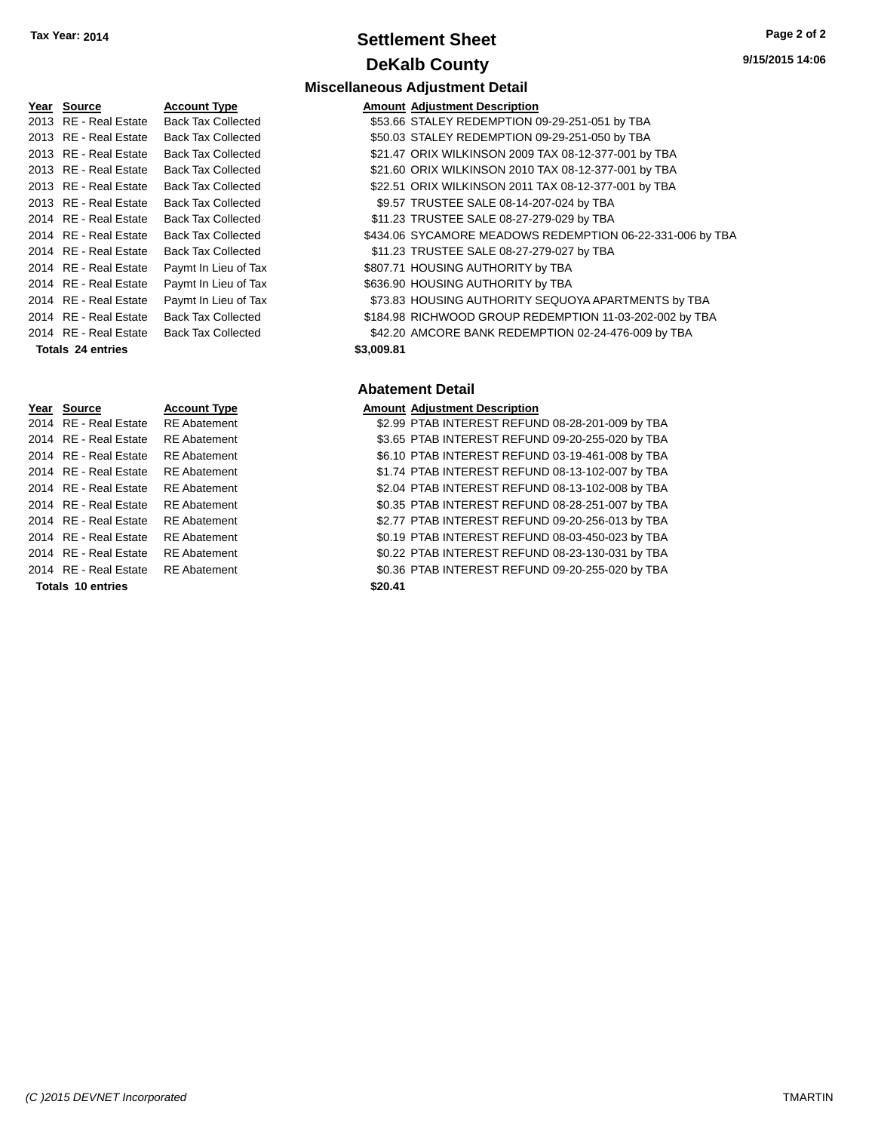### **Settlement Sheet Tax Year: 2014 Page 2 of 2 DeKalb County**

**Miscellaneous Adjustment Detail**

**Year Source <b>Account Type** 2013 RE - Real Estate Back Tax Collected 2013 RE - Real Estate Back Tax Collected 2013 RE - Real Estate Back Tax Collected 2013 RE - Real Estate Back Tax Collected 2013 RE - Real Estate Back Tax Collected 2013 RE - Real Estate Back Tax Collected 2014 RE - Real Estate Back Tax Collected 2014 RE - Real Estate Back Tax Collected 2014 RE - Real Estate Paymt In Lieu of Tax 2014 RE - Real Estate Paymt In Lieu of Tax 2014 RE - Real Estate Paymt In Lieu of Tax 2014 RE - Real Estate Back Tax Collected 2014 RE - Real Estate Back Tax Collected **Totals \$3,009.81 24 entries**

| \$434.06 SYCAMORE MEADOWS REDEMPTION 06-22-331-006 by TBA |
|-----------------------------------------------------------|
|                                                           |
|                                                           |
|                                                           |
| \$73.83 HOUSING AUTHORITY SEQUOYA APARTMENTS by TBA       |
| \$184.98 RICHWOOD GROUP REDEMPTION 11-03-202-002 by TBA   |
|                                                           |
|                                                           |

### **Abatement Detail**

|         | <b>Amount Adjustment Description</b>             |
|---------|--------------------------------------------------|
|         | \$2.99 PTAB INTEREST REFUND 08-28-201-009 by TBA |
|         | \$3.65 PTAB INTEREST REFUND 09-20-255-020 by TBA |
|         | \$6.10 PTAB INTEREST REFUND 03-19-461-008 by TBA |
|         | \$1.74 PTAB INTEREST REFUND 08-13-102-007 by TBA |
|         | \$2.04 PTAB INTEREST REFUND 08-13-102-008 by TBA |
|         | \$0.35 PTAB INTEREST REFUND 08-28-251-007 by TBA |
|         | \$2.77 PTAB INTEREST REFUND 09-20-256-013 by TBA |
|         | \$0.19 PTAB INTEREST REFUND 08-03-450-023 by TBA |
|         | \$0.22 PTAB INTEREST REFUND 08-23-130-031 by TBA |
|         | \$0.36 PTAB INTEREST REFUND 09-20-255-020 by TBA |
| \$20.41 |                                                  |

2014 RE - Real Estate RE Abatement 2014 RE - Real Estate RE Abatement 2014 RE - Real Estate RE Abatement 2014 RE - Real Estate RE Abatement 2014 RE - Real Estate RE Abatement 2014 RE - Real Estate RE Abatement 2014 RE - Real Estate RE Abatement 2014 RE - Real Estate RE Abatement 2014 RE - Real Estate RE Abatement

**Year Source Account Type** 2014 RE - Real Estate RE Abatement

**Totals 10 entries**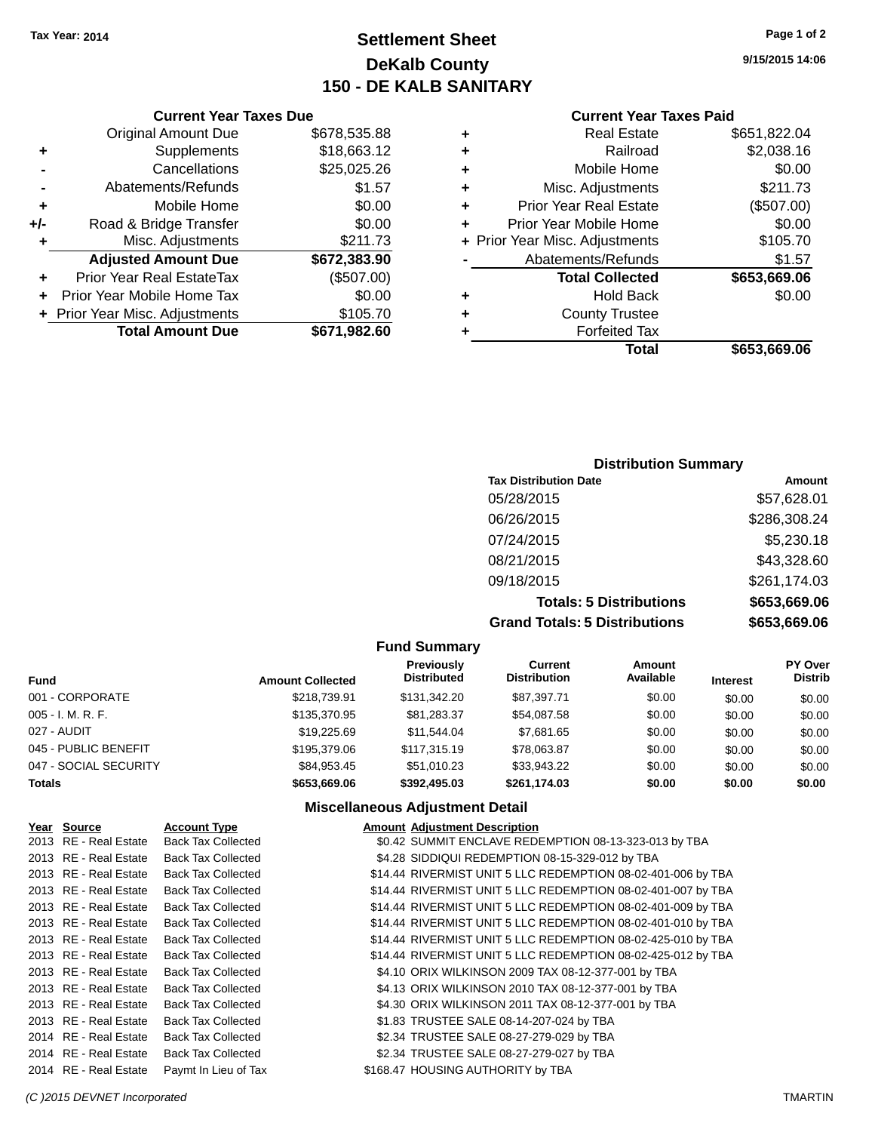### **Settlement Sheet Tax Year: 2014 Page 1 of 2 DeKalb County 150 - DE KALB SANITARY**

**9/15/2015 14:06**

#### **Current Year Taxes Paid**

|   | Total                          | \$653,669.06 |
|---|--------------------------------|--------------|
|   | <b>Forfeited Tax</b>           |              |
| ٠ | <b>County Trustee</b>          |              |
| ٠ | <b>Hold Back</b>               | \$0.00       |
|   | <b>Total Collected</b>         | \$653,669.06 |
|   | Abatements/Refunds             | \$1.57       |
|   | + Prior Year Misc. Adjustments | \$105.70     |
| ÷ | Prior Year Mobile Home         | \$0.00       |
| ٠ | <b>Prior Year Real Estate</b>  | (\$507.00)   |
| ٠ | Misc. Adjustments              | \$211.73     |
| ٠ | Mobile Home                    | \$0.00       |
| ٠ | Railroad                       | \$2,038.16   |
|   | <b>Real Estate</b>             | \$651,822.04 |

|     | <b>Current Year Taxes Due</b>    |              |
|-----|----------------------------------|--------------|
|     | <b>Original Amount Due</b>       | \$678,535.88 |
| ٠   | Supplements                      | \$18,663.12  |
|     | Cancellations                    | \$25,025.26  |
|     | Abatements/Refunds               | \$1.57       |
| ٠   | Mobile Home                      | \$0.00       |
| +/- | Road & Bridge Transfer           | \$0.00       |
| ٠   | Misc. Adjustments                | \$211.73     |
|     | <b>Adjusted Amount Due</b>       | \$672,383.90 |
|     | <b>Prior Year Real EstateTax</b> | (\$507.00)   |
|     | Prior Year Mobile Home Tax       | \$0.00       |
|     | + Prior Year Misc. Adjustments   | \$105.70     |
|     | <b>Total Amount Due</b>          | \$671,982.60 |

### **Distribution Summary Tax Distribution Date Amount** 05/28/2015 \$57,628.01 06/26/2015 \$286,308.24 07/24/2015 \$5,230.18 08/21/2015 \$43,328.60 09/18/2015 \$261,174.03 **Totals: 5 Distributions \$653,669.06**

**Grand Totals: 5 Distributions \$653,669.06**

| <b>Fund Summary</b>   |                         |                                  |                                       |                     |                 |                                  |
|-----------------------|-------------------------|----------------------------------|---------------------------------------|---------------------|-----------------|----------------------------------|
| <b>Fund</b>           | <b>Amount Collected</b> | Previously<br><b>Distributed</b> | <b>Current</b><br><b>Distribution</b> | Amount<br>Available | <b>Interest</b> | <b>PY Over</b><br><b>Distrib</b> |
| 001 - CORPORATE       | \$218,739.91            | \$131,342.20                     | \$87,397.71                           | \$0.00              | \$0.00          | \$0.00                           |
| 005 - I. M. R. F.     | \$135,370.95            | \$81,283.37                      | \$54,087.58                           | \$0.00              | \$0.00          | \$0.00                           |
| 027 - AUDIT           | \$19,225.69             | \$11.544.04                      | \$7,681.65                            | \$0.00              | \$0.00          | \$0.00                           |
| 045 - PUBLIC BENEFIT  | \$195,379.06            | \$117,315,19                     | \$78,063.87                           | \$0.00              | \$0.00          | \$0.00                           |
| 047 - SOCIAL SECURITY | \$84.953.45             | \$51,010.23                      | \$33,943.22                           | \$0.00              | \$0.00          | \$0.00                           |
| Totals                | \$653,669.06            | \$392,495.03                     | \$261,174.03                          | \$0.00              | \$0.00          | \$0.00                           |

### **Miscellaneous Adjustment Detail**

| Year Source           | <b>Account Type</b>       | <b>Amount Adjustment Description</b>                         |
|-----------------------|---------------------------|--------------------------------------------------------------|
| 2013 RE - Real Estate | <b>Back Tax Collected</b> | \$0.42 SUMMIT ENCLAVE REDEMPTION 08-13-323-013 by TBA        |
| 2013 RE - Real Estate | <b>Back Tax Collected</b> | \$4.28 SIDDIQUI REDEMPTION 08-15-329-012 by TBA              |
| 2013 RE - Real Estate | <b>Back Tax Collected</b> | \$14.44 RIVERMIST UNIT 5 LLC REDEMPTION 08-02-401-006 by TBA |
| 2013 RE - Real Estate | <b>Back Tax Collected</b> | \$14.44 RIVERMIST UNIT 5 LLC REDEMPTION 08-02-401-007 by TBA |
| 2013 RE - Real Estate | <b>Back Tax Collected</b> | \$14.44 RIVERMIST UNIT 5 LLC REDEMPTION 08-02-401-009 by TBA |
| 2013 RE - Real Estate | <b>Back Tax Collected</b> | \$14.44 RIVERMIST UNIT 5 LLC REDEMPTION 08-02-401-010 by TBA |
| 2013 RE - Real Estate | <b>Back Tax Collected</b> | \$14.44 RIVERMIST UNIT 5 LLC REDEMPTION 08-02-425-010 by TBA |
| 2013 RE - Real Estate | <b>Back Tax Collected</b> | \$14.44 RIVERMIST UNIT 5 LLC REDEMPTION 08-02-425-012 by TBA |
| 2013 RE - Real Estate | <b>Back Tax Collected</b> | \$4.10 ORIX WILKINSON 2009 TAX 08-12-377-001 by TBA          |
| 2013 RE - Real Estate | <b>Back Tax Collected</b> | \$4.13 ORIX WILKINSON 2010 TAX 08-12-377-001 by TBA          |
| 2013 RE - Real Estate | <b>Back Tax Collected</b> | \$4.30 ORIX WILKINSON 2011 TAX 08-12-377-001 by TBA          |
| 2013 RE - Real Estate | <b>Back Tax Collected</b> | \$1.83 TRUSTEE SALE 08-14-207-024 by TBA                     |
| 2014 RE - Real Estate | <b>Back Tax Collected</b> | \$2.34 TRUSTEE SALE 08-27-279-029 by TBA                     |
| 2014 RE - Real Estate | <b>Back Tax Collected</b> | \$2.34 TRUSTEE SALE 08-27-279-027 by TBA                     |
| 2014 RE - Real Estate | Paymt In Lieu of Tax      | \$168.47 HOUSING AUTHORITY by TBA                            |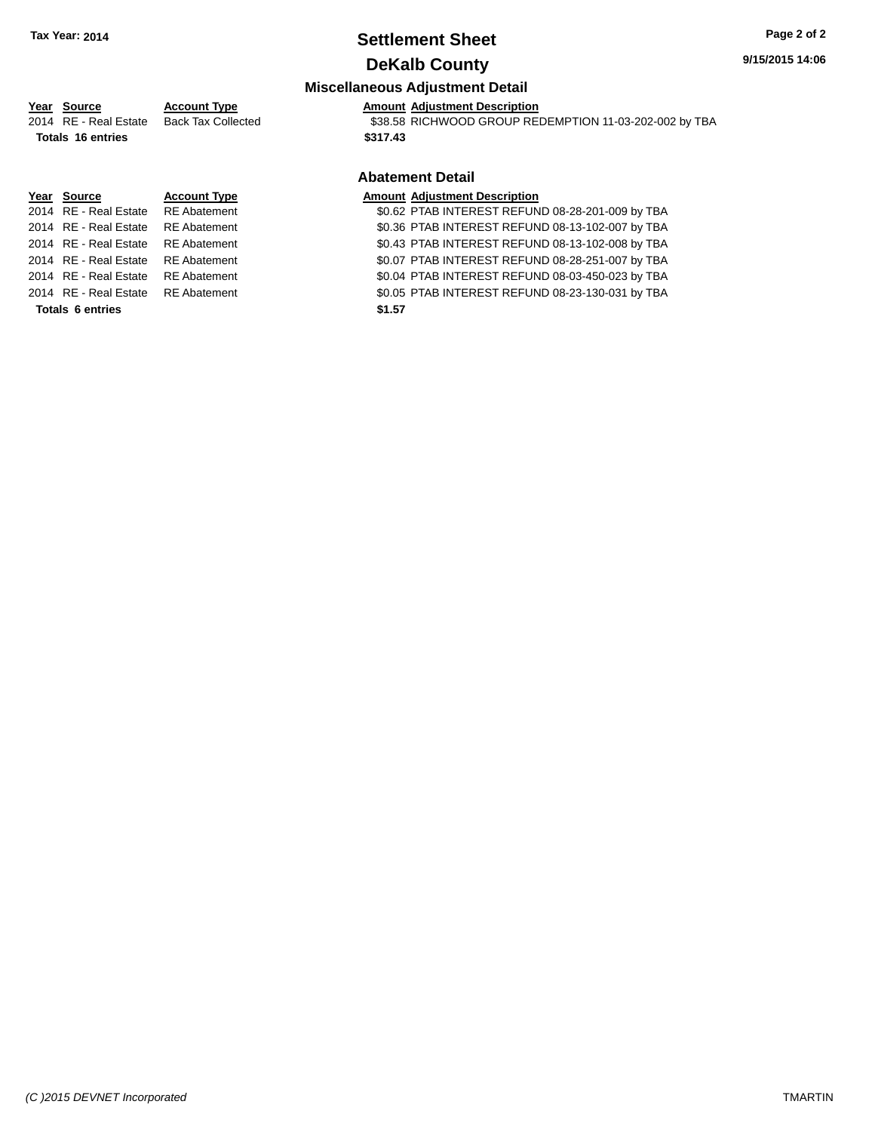# **Settlement Sheet Tax Year: 2014 Page 2 of 2**

**9/15/2015 14:06**

### **DeKalb County**

#### **Miscellaneous Adjustment Detail**

### **Year** Source **Account Type A** Account Adjustment Description

2014 RE - Real Estate Back Tax Collected \$38.58 RICHWOOD GROUP REDEMPTION 11-03-202-002 by TBA **Totals 16 entries \$317.43**

#### **Abatement Detail**

**Year Source Account Type Amount Adjustment Description**<br>2014 RE - Real Estate RE Abatement \$0.62 PTAB INTEREST REFUN \$0.62 PTAB INTEREST REFUND 08-28-201-009 by TBA 2014 RE - Real Estate RE Abatement \$0.36 PTAB INTEREST REFUND 08-13-102-007 by TBA 2014 RE - Real Estate RE Abatement \$0.43 PTAB INTEREST REFUND 08-13-102-008 by TBA 2014 RE - Real Estate RE Abatement \$0.07 PTAB INTEREST REFUND 08-28-251-007 by TBA 2014 RE - Real Estate RE Abatement \$0.04 PTAB INTEREST REFUND 08-03-450-023 by TBA 2014 RE - Real Estate RE Abatement \$0.05 PTAB INTEREST REFUND 08-23-130-031 by TBA **Totals 6 entries \$1.57**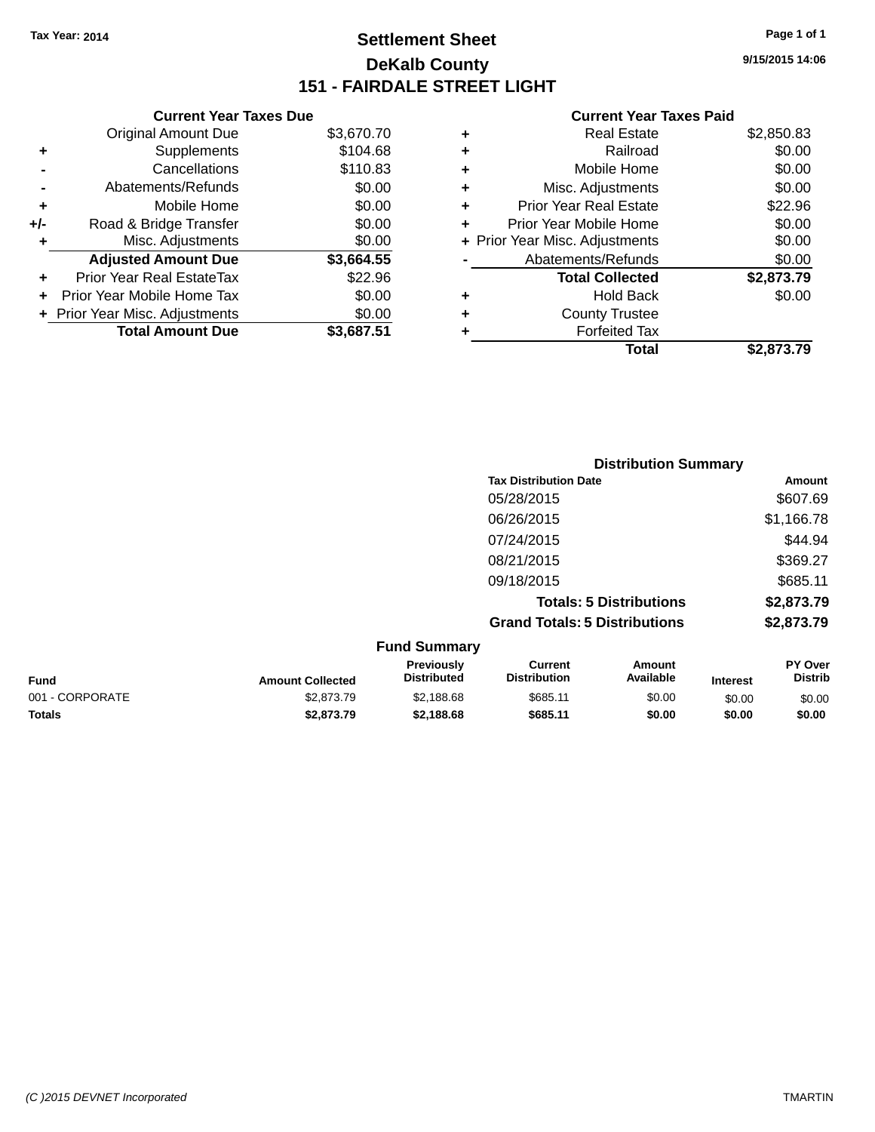### **Settlement Sheet Tax Year: 2014 Page 1 of 1 DeKalb County 151 - FAIRDALE STREET LIGHT**

**9/15/2015 14:06**

### **Current Year Taxes Paid**

| <b>Current Year Taxes Due</b>            |            |  |  |  |
|------------------------------------------|------------|--|--|--|
| <b>Original Amount Due</b>               | \$3,670.70 |  |  |  |
| Supplements                              | \$104.68   |  |  |  |
| Cancellations                            | \$110.83   |  |  |  |
| Abatements/Refunds                       | \$0.00     |  |  |  |
| Mobile Home                              | \$0.00     |  |  |  |
| Road & Bridge Transfer                   | \$0.00     |  |  |  |
| \$0.00<br>Misc. Adjustments<br>٠         |            |  |  |  |
| <b>Adjusted Amount Due</b>               | \$3,664.55 |  |  |  |
| Prior Year Real EstateTax                | \$22.96    |  |  |  |
| Prior Year Mobile Home Tax               | \$0.00     |  |  |  |
| \$0.00<br>+ Prior Year Misc. Adjustments |            |  |  |  |
| <b>Total Amount Due</b>                  | \$3,687.51 |  |  |  |
|                                          |            |  |  |  |

|   | <b>Real Estate</b>             | \$2,850.83 |
|---|--------------------------------|------------|
| ٠ | Railroad                       | \$0.00     |
| ٠ | Mobile Home                    | \$0.00     |
| ٠ | Misc. Adjustments              | \$0.00     |
| ٠ | <b>Prior Year Real Estate</b>  | \$22.96    |
| ٠ | Prior Year Mobile Home         | \$0.00     |
|   | + Prior Year Misc. Adjustments | \$0.00     |
|   | Abatements/Refunds             | \$0.00     |
|   | <b>Total Collected</b>         | \$2,873.79 |
| ٠ | Hold Back                      | \$0.00     |
| ٠ | <b>County Trustee</b>          |            |
| ٠ | <b>Forfeited Tax</b>           |            |
|   | Total                          | \$2,873.79 |
|   |                                |            |

|                     | <b>Distribution Summary</b>          |            |  |
|---------------------|--------------------------------------|------------|--|
|                     | <b>Tax Distribution Date</b>         | Amount     |  |
|                     | 05/28/2015                           | \$607.69   |  |
|                     | 06/26/2015                           | \$1,166.78 |  |
|                     | 07/24/2015                           | \$44.94    |  |
|                     | 08/21/2015                           | \$369.27   |  |
|                     | 09/18/2015                           | \$685.11   |  |
|                     | <b>Totals: 5 Distributions</b>       | \$2,873.79 |  |
|                     | <b>Grand Totals: 5 Distributions</b> | \$2,873.79 |  |
| <b>Fund Summary</b> |                                      |            |  |

| <b>Fund</b>     | <b>Amount Collected</b> | <b>Previously</b><br><b>Distributed</b> | Current<br><b>Distribution</b> | Amount<br>Available | <b>Interest</b> | <b>PY Over</b><br><b>Distrib</b> |
|-----------------|-------------------------|-----------------------------------------|--------------------------------|---------------------|-----------------|----------------------------------|
| 001 - CORPORATE | \$2,873.79              | \$2,188.68                              | \$685.11                       | \$0.00              | \$0.00          | \$0.00                           |
| <b>Totals</b>   | \$2,873.79              | \$2,188.68                              | \$685.11                       | \$0.00              | \$0.00          | \$0.00                           |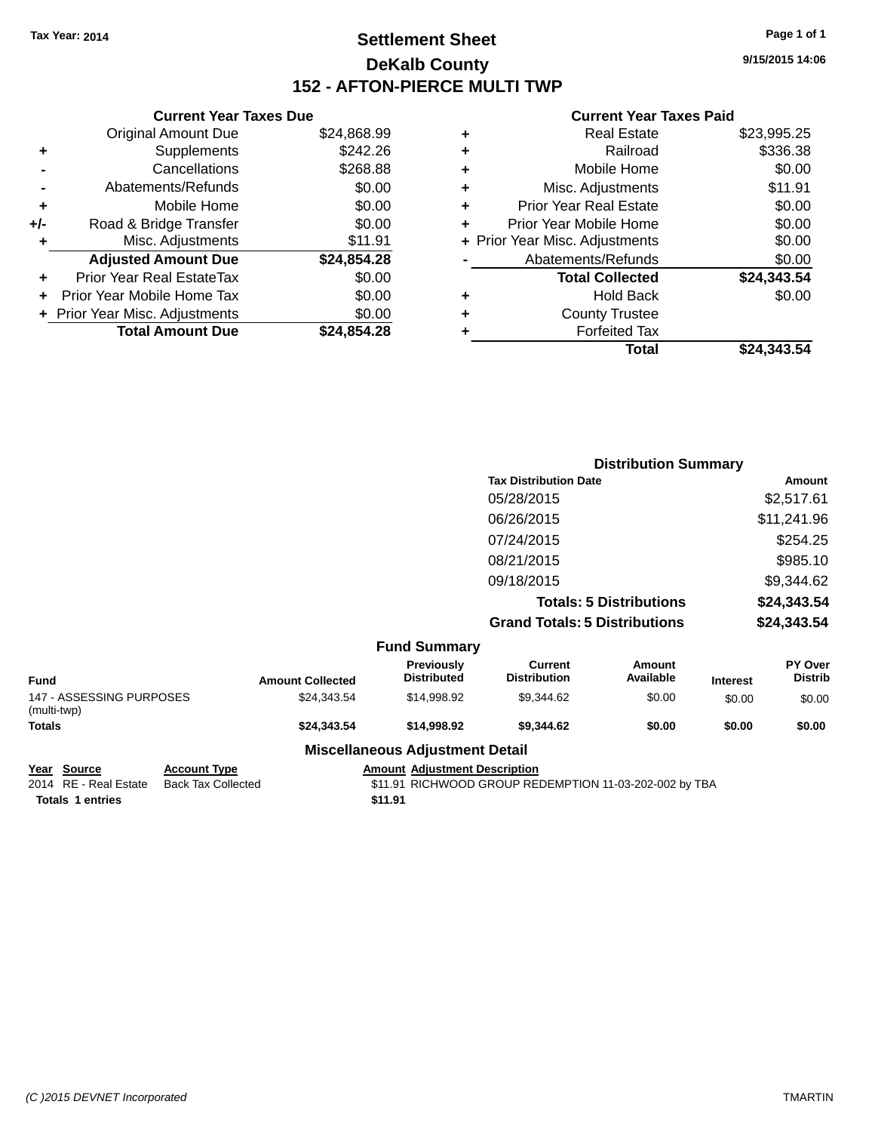### **Settlement Sheet Tax Year: 2014 Page 1 of 1 DeKalb County 152 - AFTON-PIERCE MULTI TWP**

**9/15/2015 14:06**

#### **Current Year Taxes Paid**

|     | <b>Current Year Taxes Due</b>  |             |  |  |  |
|-----|--------------------------------|-------------|--|--|--|
|     | <b>Original Amount Due</b>     | \$24,868.99 |  |  |  |
| ٠   | Supplements                    | \$242.26    |  |  |  |
|     | Cancellations                  | \$268.88    |  |  |  |
|     | Abatements/Refunds             | \$0.00      |  |  |  |
| ٠   | Mobile Home                    | \$0.00      |  |  |  |
| +/- | Road & Bridge Transfer         | \$0.00      |  |  |  |
| ٠   | Misc. Adjustments              | \$11.91     |  |  |  |
|     | <b>Adjusted Amount Due</b>     | \$24,854.28 |  |  |  |
| ٠   | Prior Year Real EstateTax      | \$0.00      |  |  |  |
|     | Prior Year Mobile Home Tax     | \$0.00      |  |  |  |
|     | + Prior Year Misc. Adjustments | \$0.00      |  |  |  |
|     | <b>Total Amount Due</b>        | \$24.854.28 |  |  |  |
|     |                                |             |  |  |  |

| ٠ | <b>Real Estate</b>             | \$23,995.25 |
|---|--------------------------------|-------------|
| ٠ | Railroad                       | \$336.38    |
| ٠ | Mobile Home                    | \$0.00      |
| ٠ | Misc. Adjustments              | \$11.91     |
| ٠ | <b>Prior Year Real Estate</b>  | \$0.00      |
|   | Prior Year Mobile Home         | \$0.00      |
|   | + Prior Year Misc. Adjustments | \$0.00      |
|   | Abatements/Refunds             | \$0.00      |
|   | <b>Total Collected</b>         | \$24,343.54 |
| ٠ | Hold Back                      | \$0.00      |
|   | <b>County Trustee</b>          |             |
| ٠ | <b>Forfeited Tax</b>           |             |
|   | Total                          | \$24,343.54 |
|   |                                |             |

|                                               | <b>Distribution Summary</b>                       |                                |                |
|-----------------------------------------------|---------------------------------------------------|--------------------------------|----------------|
|                                               | <b>Tax Distribution Date</b>                      |                                | Amount         |
|                                               | 05/28/2015                                        |                                | \$2,517.61     |
|                                               | 06/26/2015                                        |                                | \$11,241.96    |
|                                               | 07/24/2015                                        |                                | \$254.25       |
|                                               | 08/21/2015                                        |                                | \$985.10       |
|                                               | 09/18/2015                                        |                                | \$9,344.62     |
|                                               |                                                   | <b>Totals: 5 Distributions</b> | \$24,343.54    |
|                                               | <b>Grand Totals: 5 Distributions</b>              |                                | \$24,343.54    |
| <b>Fund Summary</b>                           |                                                   |                                |                |
| Previously<br>For a series of a series of the | <b>Current</b><br><b>Patricia Marchael Street</b> | Amount<br>$A - -11 - 1 - 1 -$  | <b>PY Over</b> |

| Fund                                    | <b>Amount Collected</b> | <b>Previously</b><br><b>Distributed</b> | Current<br><b>Distribution</b> | Amount<br>Available | <b>Interest</b> | <b>PY Over</b><br><b>Distrib</b> |
|-----------------------------------------|-------------------------|-----------------------------------------|--------------------------------|---------------------|-----------------|----------------------------------|
| 147 - ASSESSING PURPOSES<br>(multi-twp) | \$24.343.54             | \$14.998.92                             | \$9.344.62                     | \$0.00              | \$0.00          | \$0.00                           |
| Totals                                  | \$24.343.54             | \$14,998.92                             | \$9.344.62                     | \$0.00              | \$0.00          | \$0.00                           |
|                                         | ---                     |                                         |                                |                     |                 |                                  |

# **Miscellaneous Adjustment Detail**

**Year Source Account Type Amount Adjustment Description**<br>2014 RE - Real Estate Back Tax Collected \$11.91 RICHWOOD GROUP RE

**Totals 1 entries \$11.91**

\$11.91 RICHWOOD GROUP REDEMPTION 11-03-202-002 by TBA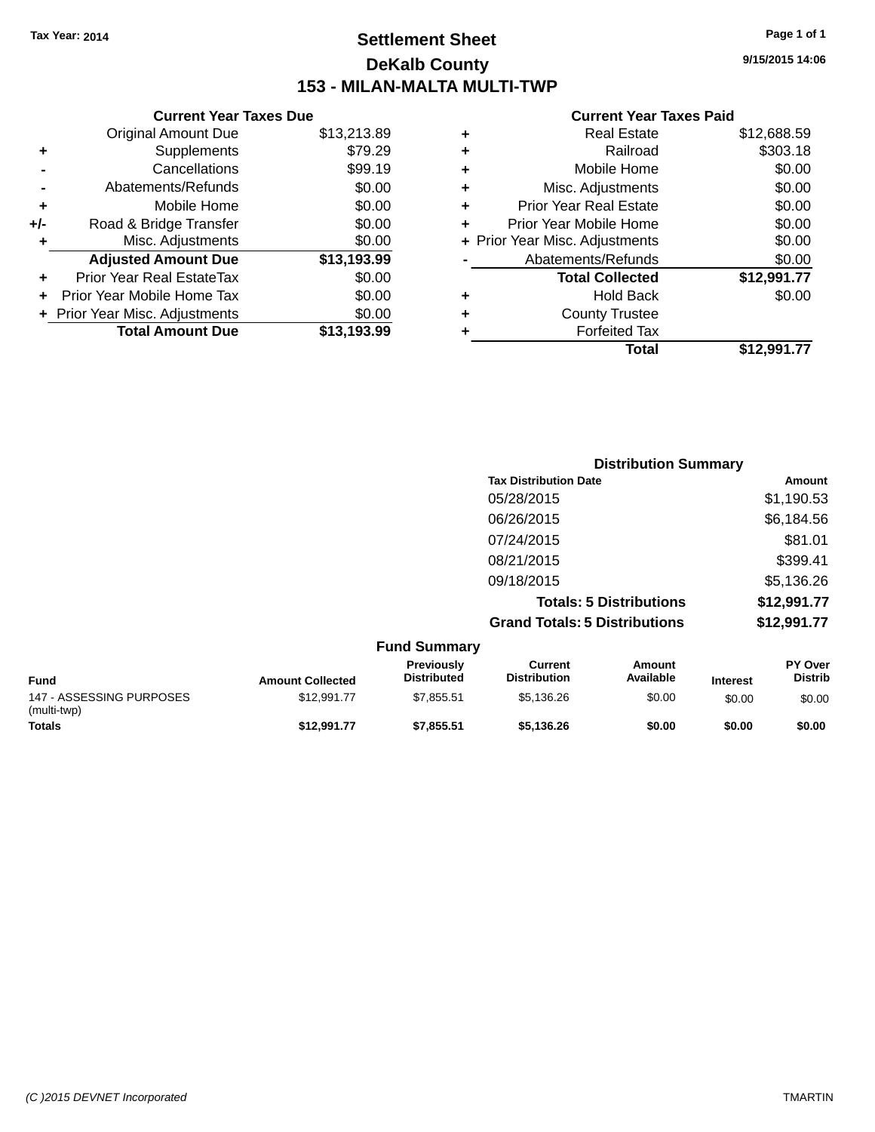### **Settlement Sheet Tax Year: 2014 Page 1 of 1 DeKalb County 153 - MILAN-MALTA MULTI-TWP**

**9/15/2015 14:06**

#### **Current Year Taxes Paid**

|     | <b>Current Year Taxes Due</b>  |             |
|-----|--------------------------------|-------------|
|     | <b>Original Amount Due</b>     | \$13,213.89 |
| ٠   | Supplements                    | \$79.29     |
|     | Cancellations                  | \$99.19     |
|     | Abatements/Refunds             | \$0.00      |
| ٠   | Mobile Home                    | \$0.00      |
| +/- | Road & Bridge Transfer         | \$0.00      |
|     | Misc. Adjustments              | \$0.00      |
|     | <b>Adjusted Amount Due</b>     | \$13,193.99 |
| ÷   | Prior Year Real EstateTax      | \$0.00      |
|     | Prior Year Mobile Home Tax     | \$0.00      |
|     | + Prior Year Misc. Adjustments | \$0.00      |
|     | <b>Total Amount Due</b>        | \$13,193.99 |
|     |                                |             |

| ٠ | <b>Real Estate</b>             | \$12,688.59 |
|---|--------------------------------|-------------|
| ٠ | Railroad                       | \$303.18    |
| ٠ | Mobile Home                    | \$0.00      |
| ٠ | Misc. Adjustments              | \$0.00      |
| ٠ | <b>Prior Year Real Estate</b>  | \$0.00      |
| ÷ | Prior Year Mobile Home         | \$0.00      |
|   | + Prior Year Misc. Adjustments | \$0.00      |
|   | Abatements/Refunds             | \$0.00      |
|   | <b>Total Collected</b>         | \$12,991.77 |
| ٠ | Hold Back                      | \$0.00      |
| ÷ | <b>County Trustee</b>          |             |
| ٠ | <b>Forfeited Tax</b>           |             |
|   | Total                          | \$12.991.77 |
|   |                                |             |

| <b>Distribution Summary</b>          |             |
|--------------------------------------|-------------|
| <b>Tax Distribution Date</b>         | Amount      |
| 05/28/2015                           | \$1,190.53  |
| 06/26/2015                           | \$6,184.56  |
| 07/24/2015                           | \$81.01     |
| 08/21/2015                           | \$399.41    |
| 09/18/2015                           | \$5,136.26  |
| <b>Totals: 5 Distributions</b>       | \$12,991.77 |
| <b>Grand Totals: 5 Distributions</b> | \$12,991.77 |

| <b>Fund Summary</b>                     |                         |                                         |                                |                     |                 |                                  |
|-----------------------------------------|-------------------------|-----------------------------------------|--------------------------------|---------------------|-----------------|----------------------------------|
| <b>Fund</b>                             | <b>Amount Collected</b> | <b>Previously</b><br><b>Distributed</b> | Current<br><b>Distribution</b> | Amount<br>Available | <b>Interest</b> | <b>PY Over</b><br><b>Distrib</b> |
| 147 - ASSESSING PURPOSES<br>(multi-twp) | \$12,991.77             | \$7.855.51                              | \$5.136.26                     | \$0.00              | \$0.00          | \$0.00                           |
| <b>Totals</b>                           | \$12,991.77             | \$7,855.51                              | \$5.136.26                     | \$0.00              | \$0.00          | \$0.00                           |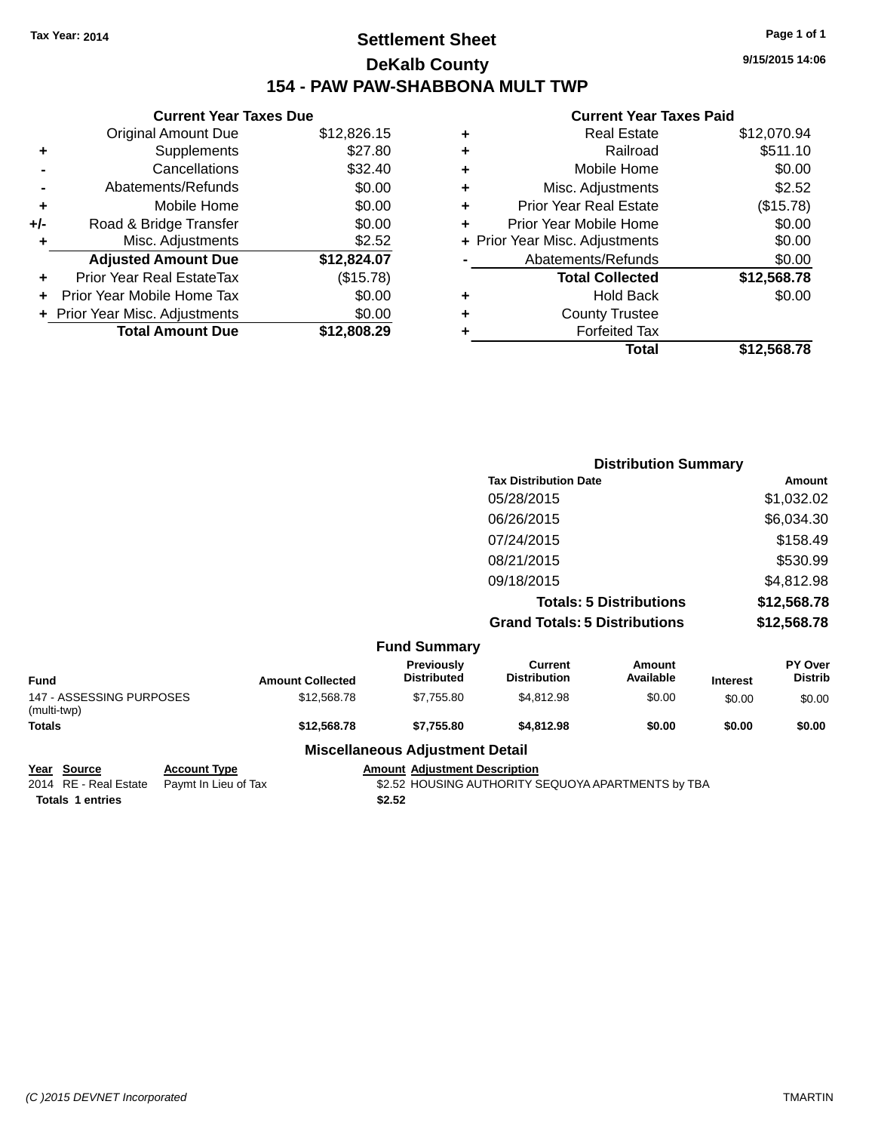### **Settlement Sheet Tax Year: 2014 Page 1 of 1 DeKalb County 154 - PAW PAW-SHABBONA MULT TWP**

|     | <b>Current Year Taxes Due</b>  |             |
|-----|--------------------------------|-------------|
|     | <b>Original Amount Due</b>     | \$12,826.15 |
| ٠   | Supplements                    | \$27.80     |
|     | Cancellations                  | \$32.40     |
|     | Abatements/Refunds             | \$0.00      |
| ٠   | Mobile Home                    | \$0.00      |
| +/- | Road & Bridge Transfer         | \$0.00      |
| ۰   | Misc. Adjustments              | \$2.52      |
|     | <b>Adjusted Amount Due</b>     | \$12,824.07 |
| ÷   | Prior Year Real EstateTax      | (\$15.78)   |
|     | Prior Year Mobile Home Tax     | \$0.00      |
|     | + Prior Year Misc. Adjustments | \$0.00      |
|     | <b>Total Amount Due</b>        | \$12.808.29 |
|     |                                |             |

### **Current Year Taxes Paid**

|   | <b>Real Estate</b>             | \$12,070.94 |
|---|--------------------------------|-------------|
| ٠ | Railroad                       | \$511.10    |
| ٠ | Mobile Home                    | \$0.00      |
| ٠ | Misc. Adjustments              | \$2.52      |
| ٠ | <b>Prior Year Real Estate</b>  | (\$15.78)   |
| ٠ | Prior Year Mobile Home         | \$0.00      |
|   | + Prior Year Misc. Adjustments | \$0.00      |
|   | Abatements/Refunds             | \$0.00      |
|   | <b>Total Collected</b>         | \$12,568.78 |
| ٠ | <b>Hold Back</b>               | \$0.00      |
| ٠ | <b>County Trustee</b>          |             |
| ٠ | <b>Forfeited Tax</b>           |             |
|   | Total                          | \$12,568.78 |
|   |                                |             |

|                  |                                  | <b>Distribution Summary</b>           |                                |         |                           |
|------------------|----------------------------------|---------------------------------------|--------------------------------|---------|---------------------------|
|                  |                                  | <b>Tax Distribution Date</b>          |                                |         | Amount                    |
|                  |                                  | 05/28/2015                            |                                |         | \$1,032.02                |
|                  |                                  | 06/26/2015                            |                                |         | \$6,034.30                |
|                  |                                  | 07/24/2015                            |                                |         | \$158.49                  |
|                  |                                  | 08/21/2015                            |                                |         | \$530.99                  |
|                  |                                  | 09/18/2015                            |                                |         | \$4,812.98                |
|                  |                                  |                                       | <b>Totals: 5 Distributions</b> |         | \$12,568.78               |
|                  |                                  | <b>Grand Totals: 5 Distributions</b>  |                                |         | \$12,568.78               |
|                  | <b>Fund Summary</b>              |                                       |                                |         |                           |
| Amount Colloctod | Previously<br><b>Distributed</b> | <b>Current</b><br><b>Distribution</b> | Amount<br>Available            | Intract | PY Over<br><b>Distrib</b> |

| Fund                                    | <b>Amount Collected</b> | <b>Previously</b><br><b>Distributed</b> | Current<br><b>Distribution</b> | Amount<br>Available | <b>Interest</b> | <b>PY Over</b><br><b>Distrib</b> |
|-----------------------------------------|-------------------------|-----------------------------------------|--------------------------------|---------------------|-----------------|----------------------------------|
| 147 - ASSESSING PURPOSES<br>(multi-twp) | \$12,568,78             | \$7.755.80                              | \$4,812.98                     | \$0.00              | \$0.00          | \$0.00                           |
| Totals                                  | \$12,568.78             | \$7.755.80                              | \$4,812.98                     | \$0.00              | \$0.00          | \$0.00                           |
|                                         |                         |                                         |                                |                     |                 |                                  |

# **Miscellaneous Adjustment Detail**

**Year Source Account Type Amount Adjustment Description**<br>2014 RE - Real Estate Paymt In Lieu of Tax \$2.52 HOUSING AUTHORITY S

**Totals 1 entries \$2.52**

\$2.52 HOUSING AUTHORITY SEQUOYA APARTMENTS by TBA

**9/15/2015 14:06**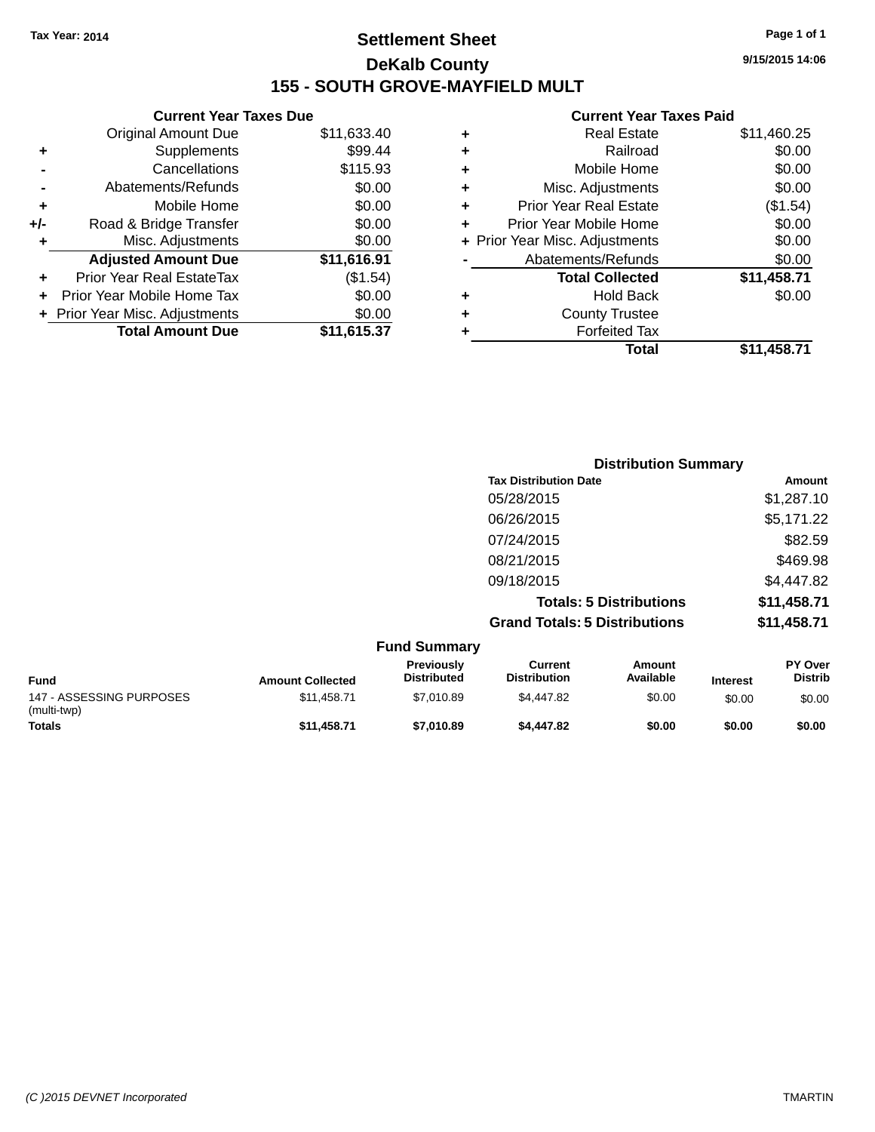### **Settlement Sheet Tax Year: 2014 Page 1 of 1 DeKalb County 155 - SOUTH GROVE-MAYFIELD MULT**

**9/15/2015 14:06**

#### **Current Year Taxes Paid**

|     | <b>Current Year Taxes Due</b>  |             |  |
|-----|--------------------------------|-------------|--|
|     | <b>Original Amount Due</b>     | \$11,633.40 |  |
| ٠   | Supplements                    | \$99.44     |  |
|     | Cancellations                  | \$115.93    |  |
|     | Abatements/Refunds             | \$0.00      |  |
| ٠   | Mobile Home                    | \$0.00      |  |
| +/- | Road & Bridge Transfer         | \$0.00      |  |
| ٠   | Misc. Adjustments              | \$0.00      |  |
|     | <b>Adjusted Amount Due</b>     | \$11,616.91 |  |
| ٠   | Prior Year Real EstateTax      | (\$1.54)    |  |
|     | Prior Year Mobile Home Tax     | \$0.00      |  |
|     | + Prior Year Misc. Adjustments | \$0.00      |  |
|     | <b>Total Amount Due</b>        | \$11,615.37 |  |
|     |                                |             |  |

| ٠ | <b>Real Estate</b>             | \$11,460.25 |
|---|--------------------------------|-------------|
| ٠ | Railroad                       | \$0.00      |
| ٠ | Mobile Home                    | \$0.00      |
| ٠ | Misc. Adjustments              | \$0.00      |
| ÷ | <b>Prior Year Real Estate</b>  | (\$1.54)    |
| ٠ | Prior Year Mobile Home         | \$0.00      |
|   | + Prior Year Misc. Adjustments | \$0.00      |
|   | Abatements/Refunds             | \$0.00      |
|   | <b>Total Collected</b>         | \$11,458.71 |
| ٠ | <b>Hold Back</b>               | \$0.00      |
| ٠ | <b>County Trustee</b>          |             |
| ٠ | <b>Forfeited Tax</b>           |             |
|   | <b>Total</b>                   | \$11,458.71 |
|   |                                |             |

| <b>Distribution Summary</b>          |             |
|--------------------------------------|-------------|
| <b>Tax Distribution Date</b>         | Amount      |
| 05/28/2015                           | \$1,287.10  |
| 06/26/2015                           | \$5,171.22  |
| 07/24/2015                           | \$82.59     |
| 08/21/2015                           | \$469.98    |
| 09/18/2015                           | \$4,447.82  |
| <b>Totals: 5 Distributions</b>       | \$11,458.71 |
| <b>Grand Totals: 5 Distributions</b> | \$11,458.71 |

| <b>Fund Summary</b>                     |                         |                                  |                                |                     |                 |                                  |
|-----------------------------------------|-------------------------|----------------------------------|--------------------------------|---------------------|-----------------|----------------------------------|
| <b>Fund</b>                             | <b>Amount Collected</b> | Previously<br><b>Distributed</b> | Current<br><b>Distribution</b> | Amount<br>Available | <b>Interest</b> | <b>PY Over</b><br><b>Distrib</b> |
| 147 - ASSESSING PURPOSES<br>(multi-twp) | \$11,458.71             | \$7.010.89                       | \$4,447.82                     | \$0.00              | \$0.00          | \$0.00                           |
| <b>Totals</b>                           | \$11,458.71             | \$7.010.89                       | \$4,447.82                     | \$0.00              | \$0.00          | \$0.00                           |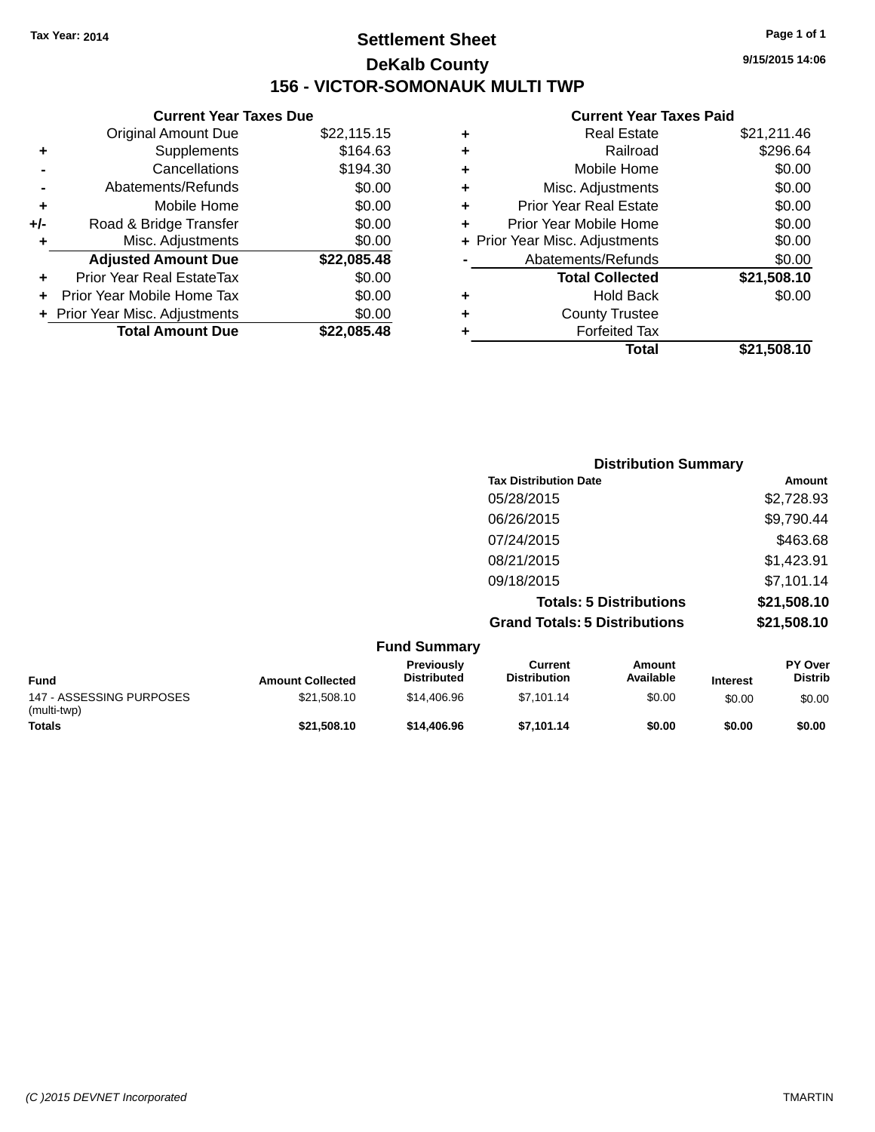### **Settlement Sheet Tax Year: 2014 Page 1 of 1 DeKalb County 156 - VICTOR-SOMONAUK MULTI TWP**

**9/15/2015 14:06**

### **Current Year Taxes Paid**

| <b>Current</b>             |   |             | <b>Current Year Taxes Due</b>    |       |
|----------------------------|---|-------------|----------------------------------|-------|
| Real E                     | ÷ | \$22,115.15 | Original Amount Due              |       |
| Ra                         | ٠ | \$164.63    | Supplements                      | ٠     |
| Mobile I                   | ٠ | \$194.30    | Cancellations                    |       |
| Misc. Adjustr              | ٠ | \$0.00      | Abatements/Refunds               |       |
| Prior Year Real E          | ÷ | \$0.00      | Mobile Home                      | ٠     |
| Prior Year Mobile I        |   | \$0.00      | Road & Bridge Transfer           | $+/-$ |
| + Prior Year Misc. Adjustr |   | \$0.00      | Misc. Adjustments                | ٠     |
| Abatements/Re              |   | \$22,085.48 | <b>Adjusted Amount Due</b>       |       |
| <b>Total Colle</b>         |   | \$0.00      | <b>Prior Year Real EstateTax</b> |       |
| Hold                       | ٠ | \$0.00      | Prior Year Mobile Home Tax       |       |
| <b>County Tr</b>           | ٠ | \$0.00      | + Prior Year Misc. Adjustments   |       |
| Forfeite                   |   | \$22,085.48 | <b>Total Amount Due</b>          |       |
|                            |   |             |                                  |       |

|   | <b>Real Estate</b>             | \$21,211.46 |
|---|--------------------------------|-------------|
| ÷ | Railroad                       | \$296.64    |
| ٠ | Mobile Home                    | \$0.00      |
| ٠ | Misc. Adjustments              | \$0.00      |
| ٠ | <b>Prior Year Real Estate</b>  | \$0.00      |
| ٠ | Prior Year Mobile Home         | \$0.00      |
|   | + Prior Year Misc. Adjustments | \$0.00      |
|   | Abatements/Refunds             | \$0.00      |
|   | <b>Total Collected</b>         | \$21,508.10 |
|   | <b>Hold Back</b>               | \$0.00      |
|   | <b>County Trustee</b>          |             |
|   | <b>Forfeited Tax</b>           |             |
|   | Total                          | \$21,508.10 |
|   |                                |             |

|             |                         |                                         | <b>Distribution Summary</b>                                            |                     |                            |                           |
|-------------|-------------------------|-----------------------------------------|------------------------------------------------------------------------|---------------------|----------------------------|---------------------------|
|             |                         |                                         | <b>Tax Distribution Date</b>                                           |                     |                            | Amount                    |
|             |                         |                                         | 05/28/2015                                                             |                     |                            | \$2,728.93                |
|             |                         |                                         | 06/26/2015                                                             |                     |                            | \$9,790.44                |
|             |                         |                                         | 07/24/2015                                                             |                     |                            | \$463.68                  |
|             |                         |                                         | 08/21/2015                                                             |                     |                            | \$1,423.91                |
|             |                         |                                         | 09/18/2015                                                             |                     |                            | \$7,101.14                |
|             |                         |                                         | <b>Totals: 5 Distributions</b><br><b>Grand Totals: 5 Distributions</b> |                     | \$21,508.10<br>\$21,508.10 |                           |
|             |                         |                                         |                                                                        |                     |                            |                           |
|             |                         | <b>Fund Summary</b>                     |                                                                        |                     |                            |                           |
| <b>Fund</b> | <b>Amount Collected</b> | <b>Previously</b><br><b>Distributed</b> | <b>Current</b><br><b>Distribution</b>                                  | Amount<br>Available | <b>Interest</b>            | PY Over<br><b>Distrib</b> |

**Totals \$21,508.10 \$14,406.96 \$7,101.14 \$0.00 \$0.00 \$0.00**

\$21,508.10 \$14,406.96 \$7,101.14 \$0.00 \$0.00 \$0.00 \$0.00

147 - ASSESSING PURPOSES

(multi-twp)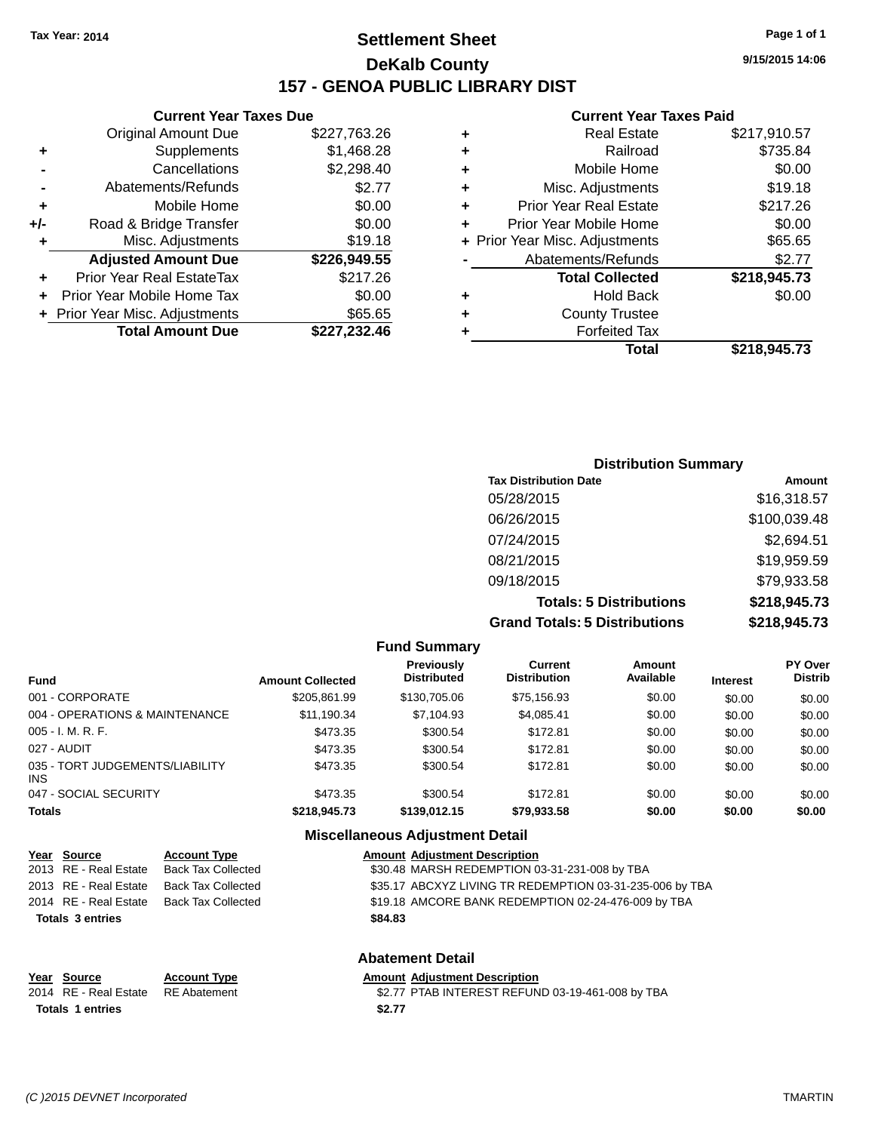### **Settlement Sheet Tax Year: 2014 Page 1 of 1 DeKalb County 157 - GENOA PUBLIC LIBRARY DIST**

**9/15/2015 14:06**

|     | <b>Current Year Taxes Due</b>  |              |  |
|-----|--------------------------------|--------------|--|
|     | <b>Original Amount Due</b>     | \$227,763.26 |  |
| ٠   | Supplements                    | \$1,468.28   |  |
|     | Cancellations                  | \$2,298.40   |  |
|     | Abatements/Refunds             | \$2.77       |  |
| ٠   | Mobile Home                    | \$0.00       |  |
| +/- | Road & Bridge Transfer         | \$0.00       |  |
| ٠   | Misc. Adjustments              | \$19.18      |  |
|     | <b>Adjusted Amount Due</b>     | \$226,949.55 |  |
| ٠   | Prior Year Real EstateTax      | \$217.26     |  |
|     | Prior Year Mobile Home Tax     | \$0.00       |  |
|     | + Prior Year Misc. Adjustments | \$65.65      |  |
|     | <b>Total Amount Due</b>        | \$227,232.46 |  |
|     |                                |              |  |

| ٠ | <b>Real Estate</b>             | \$217,910.57 |
|---|--------------------------------|--------------|
| ٠ | Railroad                       | \$735.84     |
| ٠ | Mobile Home                    | \$0.00       |
| ٠ | Misc. Adjustments              | \$19.18      |
| ٠ | <b>Prior Year Real Estate</b>  | \$217.26     |
| ٠ | Prior Year Mobile Home         | \$0.00       |
|   | + Prior Year Misc. Adjustments | \$65.65      |
|   | Abatements/Refunds             | \$2.77       |
|   | <b>Total Collected</b>         | \$218,945.73 |
| ٠ | <b>Hold Back</b>               | \$0.00       |
| ٠ | <b>County Trustee</b>          |              |
| ٠ | <b>Forfeited Tax</b>           |              |
|   | Total                          | \$218,945.73 |
|   |                                |              |

| <b>Distribution Summary</b>          |              |
|--------------------------------------|--------------|
| <b>Tax Distribution Date</b>         | Amount       |
| 05/28/2015                           | \$16,318.57  |
| 06/26/2015                           | \$100,039.48 |
| 07/24/2015                           | \$2,694.51   |
| 08/21/2015                           | \$19,959.59  |
| 09/18/2015                           | \$79,933.58  |
| <b>Totals: 5 Distributions</b>       | \$218,945.73 |
| <b>Grand Totals: 5 Distributions</b> | \$218,945.73 |

|                                         |                         | <b>Fund Summary</b>                     |                                       |                     |                 |                                  |
|-----------------------------------------|-------------------------|-----------------------------------------|---------------------------------------|---------------------|-----------------|----------------------------------|
| Fund                                    | <b>Amount Collected</b> | <b>Previously</b><br><b>Distributed</b> | <b>Current</b><br><b>Distribution</b> | Amount<br>Available | <b>Interest</b> | <b>PY Over</b><br><b>Distrib</b> |
| 001 - CORPORATE                         | \$205.861.99            | \$130,705.06                            | \$75,156.93                           | \$0.00              | \$0.00          | \$0.00                           |
| 004 - OPERATIONS & MAINTENANCE          | \$11,190.34             | \$7,104.93                              | \$4,085.41                            | \$0.00              | \$0.00          | \$0.00                           |
| 005 - I. M. R. F.                       | \$473.35                | \$300.54                                | \$172.81                              | \$0.00              | \$0.00          | \$0.00                           |
| 027 - AUDIT                             | \$473.35                | \$300.54                                | \$172.81                              | \$0.00              | \$0.00          | \$0.00                           |
| 035 - TORT JUDGEMENTS/LIABILITY<br>INS. | \$473.35                | \$300.54                                | \$172.81                              | \$0.00              | \$0.00          | \$0.00                           |
| 047 - SOCIAL SECURITY                   | \$473.35                | \$300.54                                | \$172.81                              | \$0.00              | \$0.00          | \$0.00                           |
| <b>Totals</b>                           | \$218,945.73            | \$139,012.15                            | \$79,933.58                           | \$0.00              | \$0.00          | \$0.00                           |
|                                         |                         | Miccollangous Adjustment Detail         |                                       |                     |                 |                                  |

| <b>MISCERATEOUS AUJUSTITENT DETAIL</b> |                           |                                                          |  |  |
|----------------------------------------|---------------------------|----------------------------------------------------------|--|--|
| Year Source                            | <b>Account Type</b>       | <b>Amount Adjustment Description</b>                     |  |  |
| 2013 RE - Real Estate                  | <b>Back Tax Collected</b> | \$30.48 MARSH REDEMPTION 03-31-231-008 by TBA            |  |  |
| 2013 RE - Real Estate                  | <b>Back Tax Collected</b> | \$35.17 ABCXYZ LIVING TR REDEMPTION 03-31-235-006 by TBA |  |  |
| 2014 RE - Real Estate                  | <b>Back Tax Collected</b> | \$19.18 AMCORE BANK REDEMPTION 02-24-476-009 by TBA      |  |  |
| <b>Totals 3 entries</b>                |                           | \$84.83                                                  |  |  |
|                                        |                           | <b>Abatement Detail</b>                                  |  |  |
| Year Source                            | <b>Account Type</b>       | <b>Amount Adjustment Description</b>                     |  |  |
| 2014 RE - Real Estate                  | <b>RE</b> Abatement       | \$2.77 PTAB INTEREST REFUND 03-19-461-008 by TBA         |  |  |
| <b>Totals 1 entries</b>                |                           | \$2.77                                                   |  |  |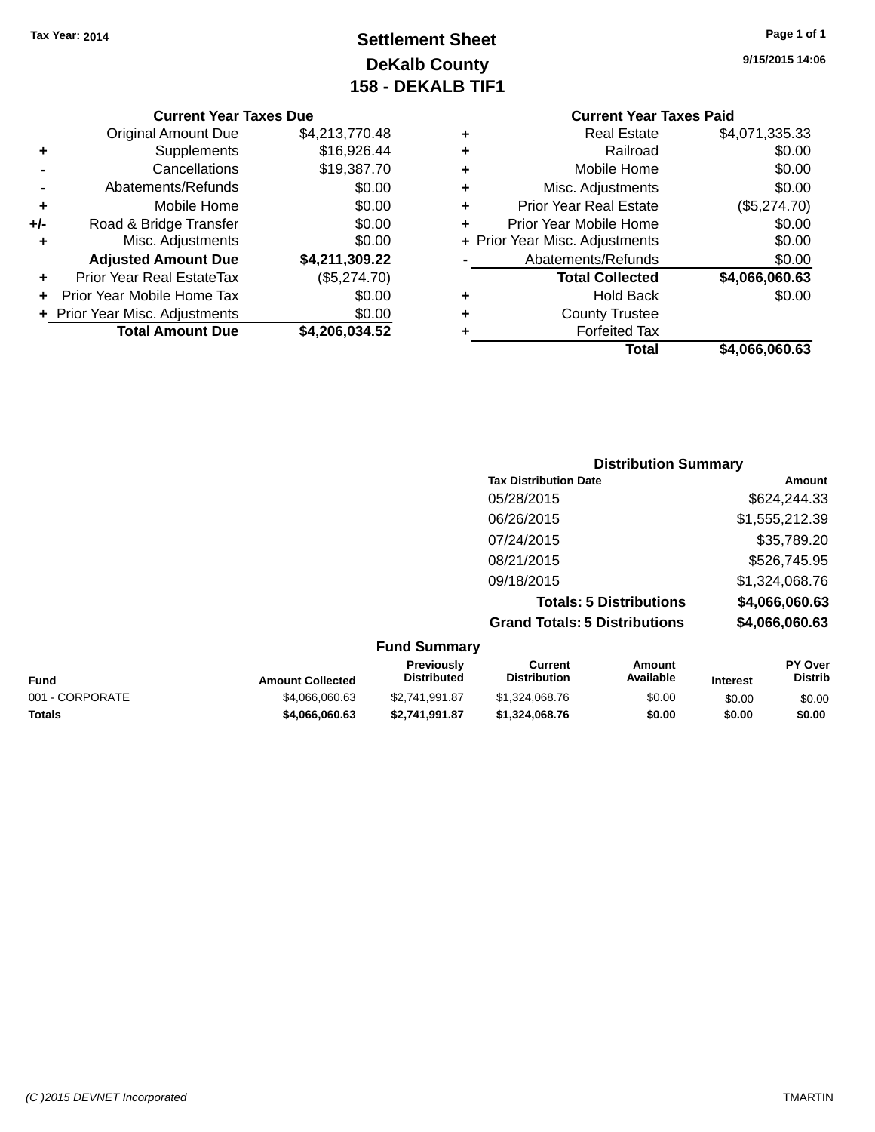### **Settlement Sheet Tax Year: 2014 Page 1 of 1 DeKalb County 158 - DEKALB TIF1**

**9/15/2015 14:06**

#### **Current Year Taxes Due**

|       | <b>Total Amount Due</b>        | \$4,206,034.52 |
|-------|--------------------------------|----------------|
|       | + Prior Year Misc. Adjustments | \$0.00         |
|       | Prior Year Mobile Home Tax     | \$0.00         |
| ÷     | Prior Year Real EstateTax      | (\$5,274.70)   |
|       | <b>Adjusted Amount Due</b>     | \$4,211,309.22 |
|       | Misc. Adjustments              | \$0.00         |
| $+/-$ | Road & Bridge Transfer         | \$0.00         |
| ٠     | Mobile Home                    | \$0.00         |
|       | Abatements/Refunds             | \$0.00         |
|       | Cancellations                  | \$19,387.70    |
| ٠     | Supplements                    | \$16,926.44    |
|       | <b>Original Amount Due</b>     | \$4,213,770.48 |
|       |                                |                |

|   | <b>Current Year Taxes Paid</b> |                |  |  |  |
|---|--------------------------------|----------------|--|--|--|
| ÷ | <b>Real Estate</b>             | \$4,071,335.33 |  |  |  |
| ٠ | Railroad                       | \$0.00         |  |  |  |
| ٠ | Mobile Home                    | \$0.00         |  |  |  |
| ٠ | Misc. Adjustments              | \$0.00         |  |  |  |
| ٠ | Prior Year Real Estate         | (\$5,274.70)   |  |  |  |
| ÷ | Prior Year Mobile Home         | \$0.00         |  |  |  |
|   | + Prior Year Misc. Adjustments | \$0.00         |  |  |  |
|   | Abatements/Refunds             | \$0.00         |  |  |  |
|   | <b>Total Collected</b>         | \$4,066,060.63 |  |  |  |
|   | Hold Back                      | \$0.00         |  |  |  |
| ÷ | <b>County Trustee</b>          |                |  |  |  |
|   | <b>Forfeited Tax</b>           |                |  |  |  |
|   | Total                          | \$4,066,060.63 |  |  |  |

|                                      | <b>Distribution Summary</b> |  |  |  |  |
|--------------------------------------|-----------------------------|--|--|--|--|
| <b>Tax Distribution Date</b>         | Amount                      |  |  |  |  |
| 05/28/2015                           | \$624,244.33                |  |  |  |  |
| 06/26/2015                           | \$1,555,212.39              |  |  |  |  |
| 07/24/2015                           | \$35,789.20                 |  |  |  |  |
| 08/21/2015                           | \$526,745.95                |  |  |  |  |
| 09/18/2015                           | \$1,324,068.76              |  |  |  |  |
| <b>Totals: 5 Distributions</b>       | \$4,066,060.63              |  |  |  |  |
| <b>Grand Totals: 5 Distributions</b> | \$4,066,060.63              |  |  |  |  |

| <b>Fund Summary</b> |
|---------------------|
|---------------------|

| <b>Fund</b>     | <b>Amount Collected</b> | <b>Previously</b><br><b>Distributed</b> | Current<br><b>Distribution</b> | Amount<br>Available | <b>Interest</b> | <b>PY Over</b><br><b>Distrib</b> |
|-----------------|-------------------------|-----------------------------------------|--------------------------------|---------------------|-----------------|----------------------------------|
| 001 - CORPORATE | \$4,066,060.63          | \$2.741.991.87                          | \$1,324,068,76                 | \$0.00              | \$0.00          | \$0.00                           |
| <b>Totals</b>   | \$4,066,060.63          | \$2.741.991.87                          | \$1.324.068.76                 | \$0.00              | \$0.00          | \$0.00                           |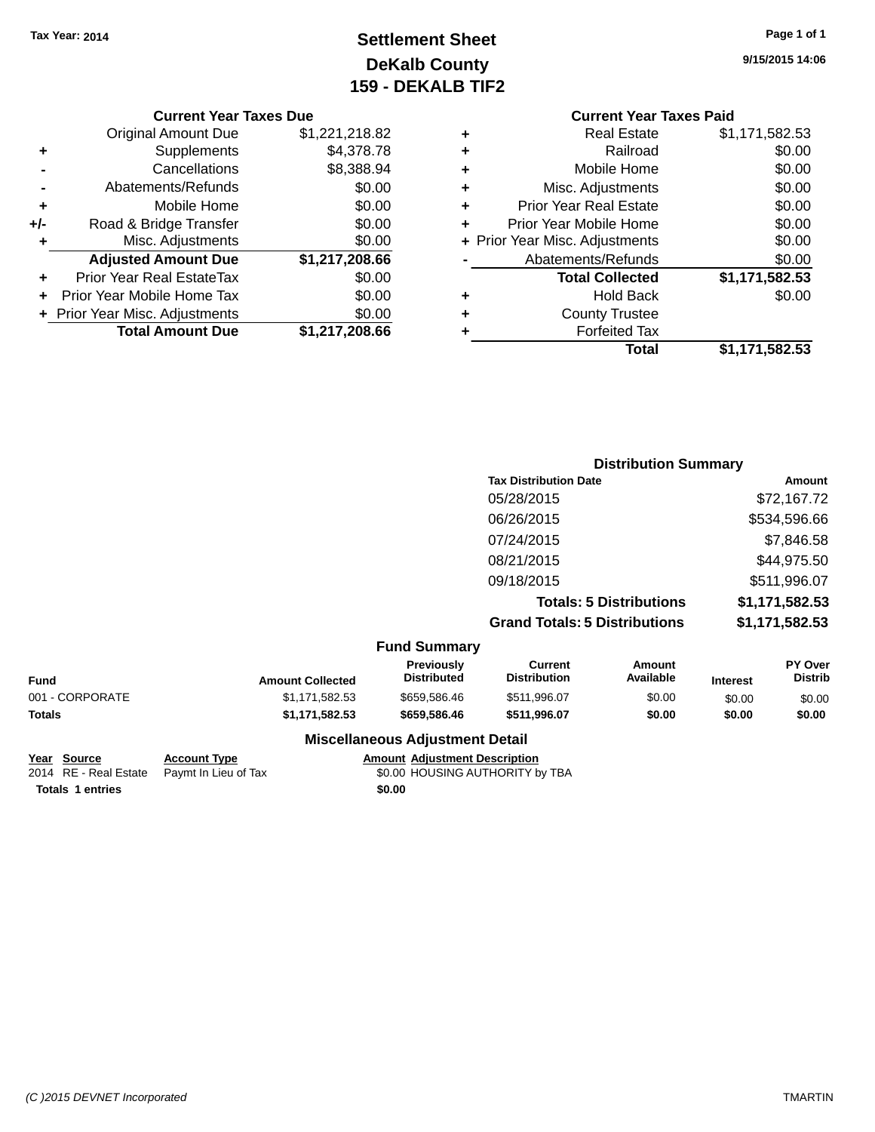## **Settlement Sheet Tax Year: 2014 Page 1 of 1 DeKalb County 159 - DEKALB TIF2**

**9/15/2015 14:06**

#### **Current Year Taxes Due**

| <b>Original Amount Due</b> | \$1,221,218.82                 |
|----------------------------|--------------------------------|
| Supplements                | \$4,378.78                     |
| Cancellations              | \$8,388.94                     |
| Abatements/Refunds         | \$0.00                         |
| Mobile Home                | \$0.00                         |
| Road & Bridge Transfer     | \$0.00                         |
| Misc. Adjustments          | \$0.00                         |
| <b>Adjusted Amount Due</b> | \$1,217,208.66                 |
| Prior Year Real EstateTax  | \$0.00                         |
| Prior Year Mobile Home Tax | \$0.00                         |
|                            | \$0.00                         |
| <b>Total Amount Due</b>    | \$1,217,208.66                 |
|                            | + Prior Year Misc. Adjustments |

#### **Current Year Taxes Paid Beal Estate #1,171,582.53**

|   | Total                          | \$1,171,582.53 |
|---|--------------------------------|----------------|
| ٠ | <b>Forfeited Tax</b>           |                |
| ÷ | <b>County Trustee</b>          |                |
| ٠ | <b>Hold Back</b>               | \$0.00         |
|   | <b>Total Collected</b>         | \$1,171,582.53 |
|   | Abatements/Refunds             | \$0.00         |
|   | + Prior Year Misc. Adjustments | \$0.00         |
| ٠ | Prior Year Mobile Home         | \$0.00         |
| ÷ | <b>Prior Year Real Estate</b>  | \$0.00         |
| ÷ | Misc. Adjustments              | \$0.00         |
| ÷ | Mobile Home                    | \$0.00         |
| ÷ | Railroad                       | \$0.00         |
| ٠ | Real Estate                    | 31,111,382.53  |

#### **Distribution Summary Tax Distribution Date Amount** 05/28/2015 \$72,167.72 06/26/2015 \$534,596.66 07/24/2015 \$7,846.58 08/21/2015 \$44,975.50 09/18/2015 \$511,996.07 **Totals: 5 Distributions \$1,171,582.53 Grand Totals: 5 Distributions \$1,171,582.53**

|  | <b>Fund Summary</b> |
|--|---------------------|
|--|---------------------|

| Fund            | <b>Amount Collected</b> | <b>Previously</b><br><b>Distributed</b> | Current<br><b>Distribution</b> | Amount<br>Available | <b>Interest</b> | <b>PY Over</b><br><b>Distrib</b> |
|-----------------|-------------------------|-----------------------------------------|--------------------------------|---------------------|-----------------|----------------------------------|
| 001 - CORPORATE | \$1.171.582.53          | \$659,586.46                            | \$511.996.07                   | \$0.00              | \$0.00          | \$0.00                           |
| Totals          | \$1.171.582.53          | \$659,586.46                            | \$511.996.07                   | \$0.00              | \$0.00          | \$0.00                           |

**Miscellaneous Adjustment Detail**

**Totals 1 entries \$0.00**

**Year Source Account Type Amount Adjustment Description** 2014 RE - Real Estate Paymt In Lieu of Tax \$0.00 HOUSING AUTHORITY by TBA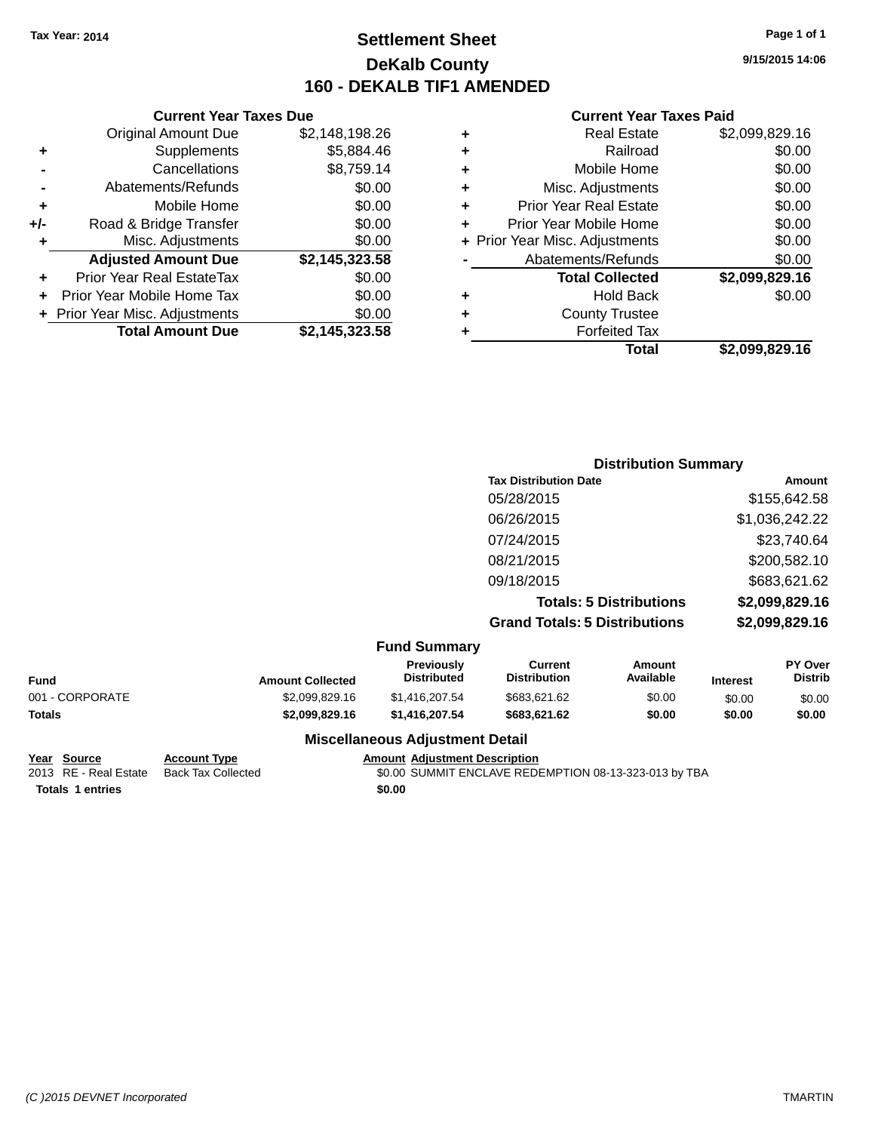### **Settlement Sheet Tax Year: 2014 Page 1 of 1 DeKalb County 160 - DEKALB TIF1 AMENDED**

**9/15/2015 14:06**

#### **Current Year Taxes Paid**

|     | <b>Current Year Taxes Due</b>  |                |
|-----|--------------------------------|----------------|
|     | <b>Original Amount Due</b>     | \$2,148,198.26 |
| ٠   | Supplements                    | \$5,884.46     |
|     | Cancellations                  | \$8,759.14     |
|     | Abatements/Refunds             | \$0.00         |
| ٠   | Mobile Home                    | \$0.00         |
| +/- | Road & Bridge Transfer         | \$0.00         |
| ٠   | Misc. Adjustments              | \$0.00         |
|     | <b>Adjusted Amount Due</b>     | \$2,145,323.58 |
| ٠   | Prior Year Real EstateTax      | \$0.00         |
|     | Prior Year Mobile Home Tax     | \$0.00         |
|     | + Prior Year Misc. Adjustments | \$0.00         |
|     | <b>Total Amount Due</b>        | \$2,145,323.58 |
|     |                                |                |

| <b>Distribution Summary</b>          |                |
|--------------------------------------|----------------|
| <b>Tax Distribution Date</b>         | Amount         |
| 05/28/2015                           | \$155,642.58   |
| 06/26/2015                           | \$1,036,242.22 |
| 07/24/2015                           | \$23,740.64    |
| 08/21/2015                           | \$200,582.10   |
| 09/18/2015                           | \$683,621.62   |
| <b>Totals: 5 Distributions</b>       | \$2,099,829.16 |
| <b>Grand Totals: 5 Distributions</b> | \$2,099,829.16 |
|                                      |                |

|                 | <b>Fund Summary</b>     |                                         |                                |                     |                 |                                  |
|-----------------|-------------------------|-----------------------------------------|--------------------------------|---------------------|-----------------|----------------------------------|
| Fund            | <b>Amount Collected</b> | <b>Previously</b><br><b>Distributed</b> | Current<br><b>Distribution</b> | Amount<br>Available | <b>Interest</b> | <b>PY Over</b><br><b>Distrib</b> |
| 001 - CORPORATE | \$2,099,829.16          | \$1.416.207.54                          | \$683.621.62                   | \$0.00              | \$0.00          | \$0.00                           |

| Totals | \$2,099,829.16 | \$1.416.207.54                         | \$683.621.62 | \$0.00 | \$0.00 | \$0.00 |
|--------|----------------|----------------------------------------|--------------|--------|--------|--------|
|        |                | <b>Miscellaneous Adjustment Detail</b> |              |        |        |        |

**Year Source Account Type Amount Adjustment Description**  $\overline{20.00}$  SUMMIT ENCLAVE REDEMPTION 08-13-323-013 by TBA

**Totals 1 entries \$0.00**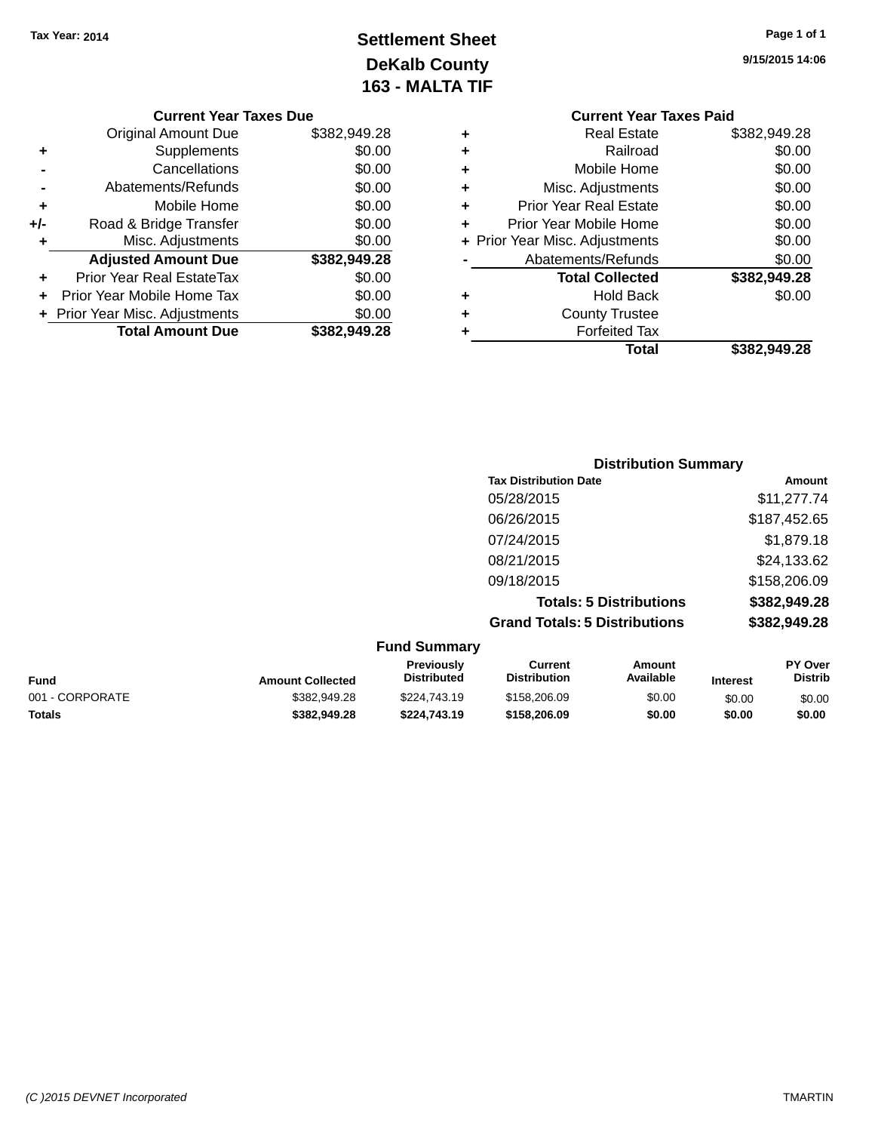## **Settlement Sheet Tax Year: 2014 Page 1 of 1 DeKalb County 163 - MALTA TIF**

|     | <b>Current Year Taxes Due</b>  |              |
|-----|--------------------------------|--------------|
|     | <b>Original Amount Due</b>     | \$382,949.28 |
| ٠   | Supplements                    | \$0.00       |
|     | Cancellations                  | \$0.00       |
|     | Abatements/Refunds             | \$0.00       |
| ٠   | Mobile Home                    | \$0.00       |
| +/- | Road & Bridge Transfer         | \$0.00       |
| ٠   | Misc. Adjustments              | \$0.00       |
|     | <b>Adjusted Amount Due</b>     | \$382,949.28 |
|     | Prior Year Real EstateTax      | \$0.00       |
|     | Prior Year Mobile Home Tax     | \$0.00       |
|     | + Prior Year Misc. Adjustments | \$0.00       |
|     | <b>Total Amount Due</b>        | \$382,949.28 |

## **9/15/2015 14:06**

|   | <b>Current Year Taxes Paid</b> |              |
|---|--------------------------------|--------------|
| ٠ | <b>Real Estate</b>             | \$382,949.28 |
| ٠ | Railroad                       | \$0.00       |
| ٠ | Mobile Home                    | \$0.00       |
| ٠ | Misc. Adjustments              | \$0.00       |
| ٠ | <b>Prior Year Real Estate</b>  | \$0.00       |
| ٠ | Prior Year Mobile Home         | \$0.00       |
|   | + Prior Year Misc. Adjustments | \$0.00       |
|   | Abatements/Refunds             | \$0.00       |
|   | <b>Total Collected</b>         | \$382,949.28 |
| ٠ | <b>Hold Back</b>               | \$0.00       |
|   | <b>County Trustee</b>          |              |
|   | <b>Forfeited Tax</b>           |              |
|   | Total                          | \$382,949.28 |
|   |                                |              |

| <b>Distribution Summary</b>          |              |
|--------------------------------------|--------------|
| <b>Tax Distribution Date</b>         | Amount       |
| 05/28/2015                           | \$11,277.74  |
| 06/26/2015                           | \$187,452.65 |
| 07/24/2015                           | \$1,879.18   |
| 08/21/2015                           | \$24,133.62  |
| 09/18/2015                           | \$158,206.09 |
| <b>Totals: 5 Distributions</b>       | \$382,949.28 |
| <b>Grand Totals: 5 Distributions</b> | \$382,949.28 |

|                 |                         | <b>Fund Summary</b>              |                                |                     |                 |                                  |
|-----------------|-------------------------|----------------------------------|--------------------------------|---------------------|-----------------|----------------------------------|
| Fund            | <b>Amount Collected</b> | Previously<br><b>Distributed</b> | Current<br><b>Distribution</b> | Amount<br>Available | <b>Interest</b> | <b>PY Over</b><br><b>Distrib</b> |
| 001 - CORPORATE | \$382,949.28            | \$224,743.19                     | \$158,206.09                   | \$0.00              | \$0.00          | \$0.00                           |
| Totals          | \$382,949.28            | \$224,743.19                     | \$158,206.09                   | \$0.00              | \$0.00          | \$0.00                           |
|                 |                         |                                  |                                |                     |                 |                                  |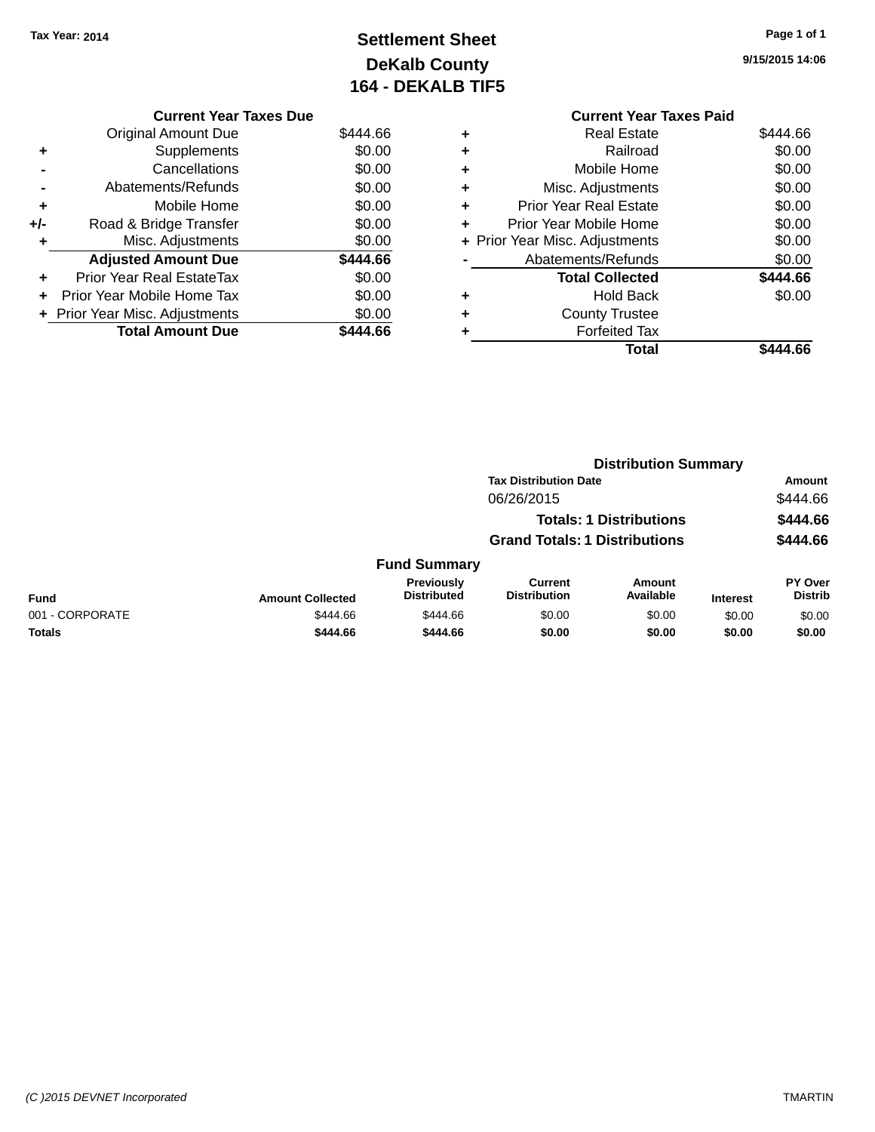## **Settlement Sheet Tax Year: 2014 Page 1 of 1 DeKalb County 164 - DEKALB TIF5**

**9/15/2015 14:06**

| <b>Current Year Taxes Due</b> |                                |
|-------------------------------|--------------------------------|
| <b>Original Amount Due</b>    | \$444.66                       |
| Supplements                   | \$0.00                         |
| Cancellations                 | \$0.00                         |
| Abatements/Refunds            | \$0.00                         |
| Mobile Home                   | \$0.00                         |
| Road & Bridge Transfer        | \$0.00                         |
| Misc. Adjustments             | \$0.00                         |
| <b>Adjusted Amount Due</b>    | \$444.66                       |
| Prior Year Real EstateTax     | \$0.00                         |
| Prior Year Mobile Home Tax    | \$0.00                         |
|                               | \$0.00                         |
| <b>Total Amount Due</b>       | \$444.66                       |
|                               | + Prior Year Misc. Adjustments |

#### **Current Year Taxes Paid +** Real Estate \$444.66 **+** Railroad \$0.00 **+** Mobile Home \$0.00 **+** Misc. Adjustments \$0.00 **+** Prior Year Real Estate \$0.00 **+** Prior Year Mobile Home \$0.00 **+ Prior Year Misc. Adjustments \$0.00 -** Abatements/Refunds \$0.00 **Total Collected \$444.66 +** Hold Back \$0.00 **+** County Trustee **+** Forfeited Tax **Total \$444.66**

|                         |                                                                        |                                       |                     |                              | Amount                           |
|-------------------------|------------------------------------------------------------------------|---------------------------------------|---------------------|------------------------------|----------------------------------|
|                         |                                                                        | 06/26/2015                            |                     |                              | \$444.66                         |
|                         | <b>Totals: 1 Distributions</b><br><b>Grand Totals: 1 Distributions</b> |                                       |                     | \$444.66                     |                                  |
|                         |                                                                        |                                       |                     | \$444.66                     |                                  |
|                         |                                                                        |                                       |                     |                              |                                  |
| <b>Amount Collected</b> | <b>Previously</b><br><b>Distributed</b>                                | <b>Current</b><br><b>Distribution</b> | Amount<br>Available | <b>Interest</b>              | <b>PY Over</b><br><b>Distrib</b> |
| \$444.66                | \$444.66                                                               | \$0.00                                | \$0.00              | \$0.00                       | \$0.00                           |
| \$444.66                | \$444.66                                                               | \$0.00                                | \$0.00              | \$0.00                       | \$0.00                           |
|                         |                                                                        | <b>Fund Summary</b>                   |                     | <b>Tax Distribution Date</b> | <b>Distribution Summary</b>      |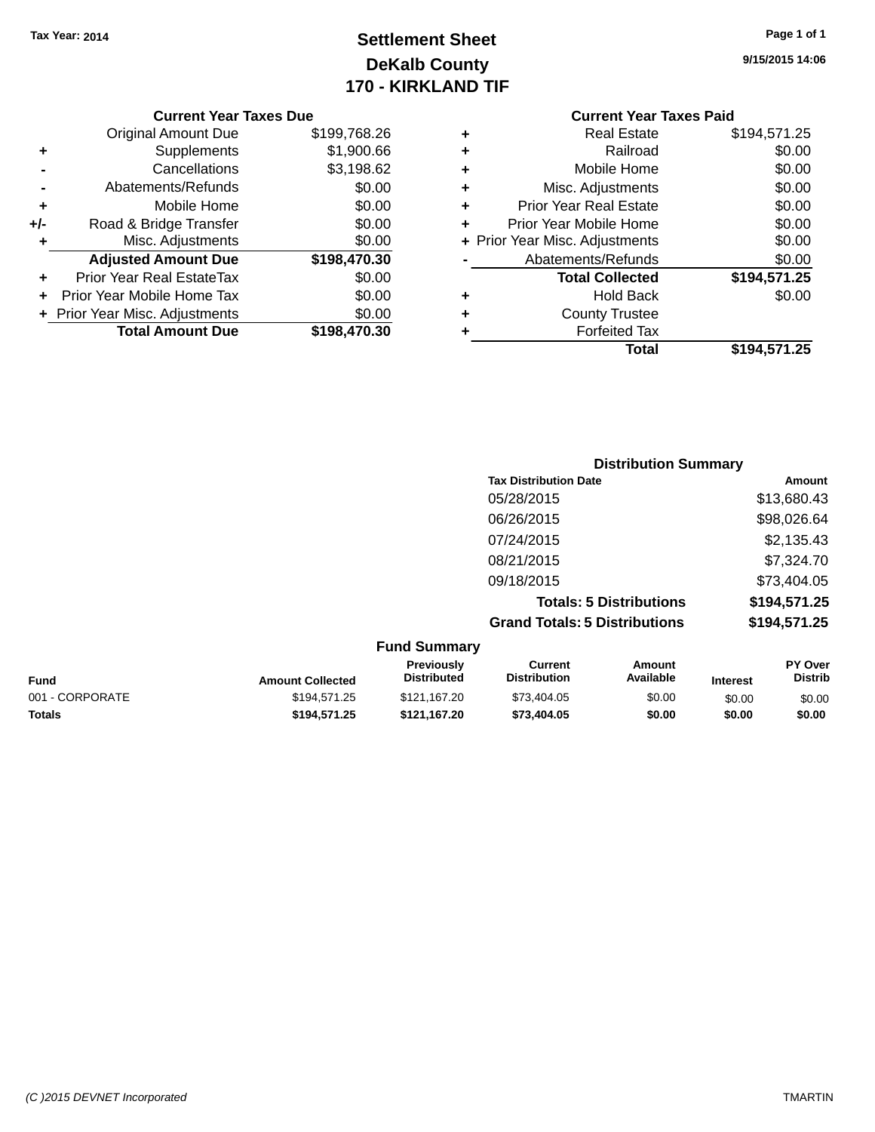## **Settlement Sheet Tax Year: 2014 Page 1 of 1 DeKalb County 170 - KIRKLAND TIF**

**9/15/2015 14:06**

#### **Current Year Taxes Due**

|       | <b>Original Amount Due</b>       | \$199,768.26 |
|-------|----------------------------------|--------------|
| ٠     | Supplements                      | \$1,900.66   |
|       | Cancellations                    | \$3,198.62   |
|       | Abatements/Refunds               | \$0.00       |
| ÷     | Mobile Home                      | \$0.00       |
| $+/-$ | Road & Bridge Transfer           | \$0.00       |
| ٠     | Misc. Adjustments                | \$0.00       |
|       | <b>Adjusted Amount Due</b>       | \$198,470.30 |
|       | <b>Prior Year Real EstateTax</b> | \$0.00       |
|       | Prior Year Mobile Home Tax       | \$0.00       |
|       | + Prior Year Misc. Adjustments   | \$0.00       |
|       | <b>Total Amount Due</b>          | \$198,470.30 |

#### **Current Year Taxes Paid**

|   | Total                          | \$194,571.25 |
|---|--------------------------------|--------------|
| ٠ | <b>Forfeited Tax</b>           |              |
| ٠ | <b>County Trustee</b>          |              |
| ٠ | <b>Hold Back</b>               | \$0.00       |
|   | <b>Total Collected</b>         | \$194,571.25 |
|   | Abatements/Refunds             | \$0.00       |
|   | + Prior Year Misc. Adjustments | \$0.00       |
| ٠ | Prior Year Mobile Home         | \$0.00       |
| ٠ | <b>Prior Year Real Estate</b>  | \$0.00       |
| ٠ | Misc. Adjustments              | \$0.00       |
| ٠ | Mobile Home                    | \$0.00       |
| ٠ | Railroad                       | \$0.00       |
|   | Real Estate                    | \$194,571.25 |

| <b>Distribution Summary</b>          |              |
|--------------------------------------|--------------|
| <b>Tax Distribution Date</b>         | Amount       |
| 05/28/2015                           | \$13,680.43  |
| 06/26/2015                           | \$98,026.64  |
| 07/24/2015                           | \$2,135.43   |
| 08/21/2015                           | \$7,324.70   |
| 09/18/2015                           | \$73,404.05  |
| <b>Totals: 5 Distributions</b>       | \$194,571.25 |
| <b>Grand Totals: 5 Distributions</b> | \$194,571.25 |

#### **Fund Summary Fund Interest Amount Collected Distributed PY Over Distrib Amount Available Current Distribution Previously** 001 - CORPORATE \$194,571.25 \$121,167.20 \$73,404.05 \$0.00 \$0.00 \$0.00 \$0.00 **Totals \$194,571.25 \$121,167.20 \$73,404.05 \$0.00 \$0.00 \$0.00**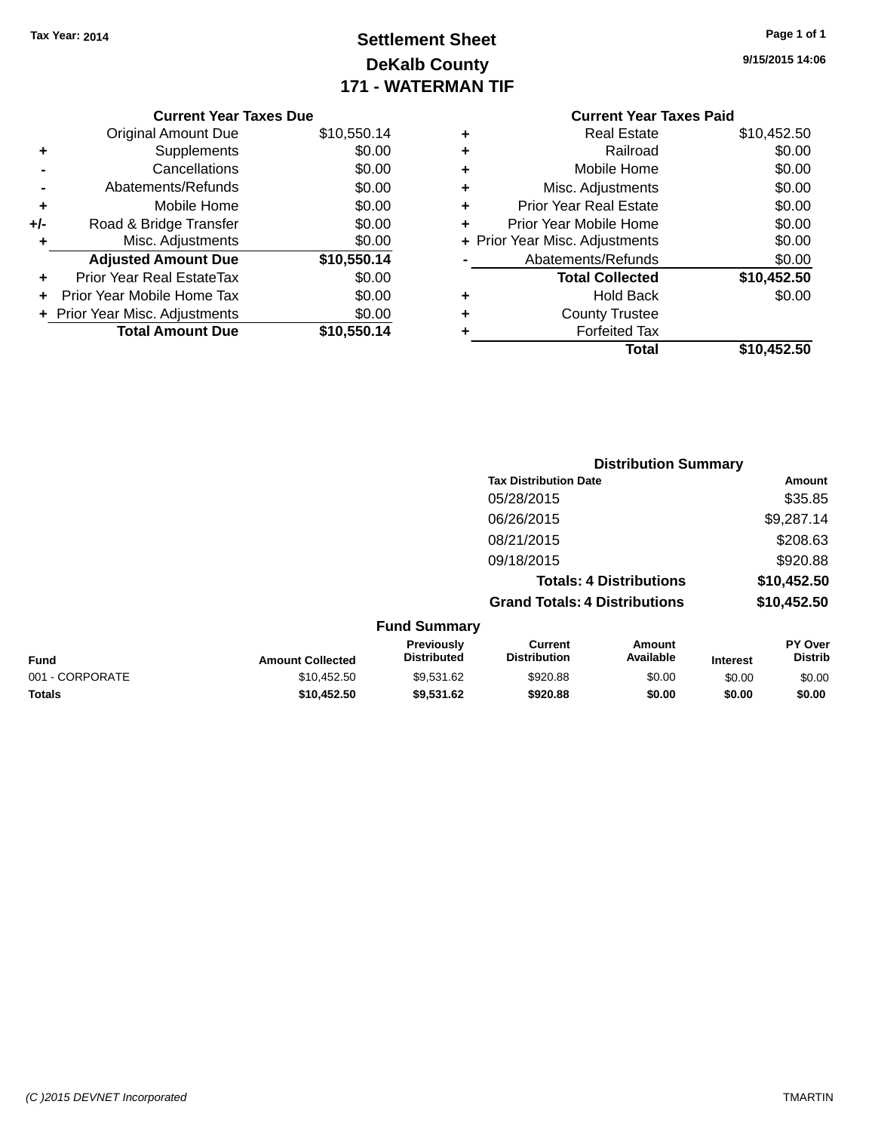### **Settlement Sheet Tax Year: 2014 Page 1 of 1 DeKalb County 171 - WATERMAN TIF**

| Page 1 of 1 |  |
|-------------|--|
|-------------|--|

**9/15/2015 14:06**

|     | <b>Current Year Taxes Due</b>  |             |
|-----|--------------------------------|-------------|
|     | <b>Original Amount Due</b>     | \$10,550.14 |
| ٠   | Supplements                    | \$0.00      |
|     | Cancellations                  | \$0.00      |
|     | Abatements/Refunds             | \$0.00      |
| ٠   | Mobile Home                    | \$0.00      |
| +/- | Road & Bridge Transfer         | \$0.00      |
| ٠   | Misc. Adjustments              | \$0.00      |
|     | <b>Adjusted Amount Due</b>     | \$10,550.14 |
| ÷   | Prior Year Real EstateTax      | \$0.00      |
|     | Prior Year Mobile Home Tax     | \$0.00      |
|     | + Prior Year Misc. Adjustments | \$0.00      |
|     | <b>Total Amount Due</b>        | \$10,550.14 |
|     |                                |             |

## **Current Year Taxes Paid +** Real Estate \$10,452.50 <sup>+</sup><br>
Railroad \$0.00<br>
+ Mobile Home \$0.00 **+** Mobile Home

|   | Total                          | \$10,452.50 |
|---|--------------------------------|-------------|
| ٠ | <b>Forfeited Tax</b>           |             |
| ÷ | <b>County Trustee</b>          |             |
| ÷ | <b>Hold Back</b>               | \$0.00      |
|   | <b>Total Collected</b>         | \$10,452.50 |
|   | Abatements/Refunds             | \$0.00      |
|   | + Prior Year Misc. Adjustments | \$0.00      |
| ÷ | Prior Year Mobile Home         | \$0.00      |
| ÷ | <b>Prior Year Real Estate</b>  | \$0.00      |
| ÷ | Misc. Adjustments              | \$0.00      |
|   |                                |             |

|                     | <b>Distribution Summary</b>          |               |
|---------------------|--------------------------------------|---------------|
|                     | <b>Tax Distribution Date</b>         | <b>Amount</b> |
|                     | 05/28/2015                           | \$35.85       |
|                     | 06/26/2015                           | \$9,287.14    |
|                     | 08/21/2015                           | \$208.63      |
|                     | 09/18/2015                           | \$920.88      |
|                     | <b>Totals: 4 Distributions</b>       | \$10,452.50   |
|                     | <b>Grand Totals: 4 Distributions</b> | \$10,452.50   |
| <b>Eund Summary</b> |                                      |               |

|                 |                         | .                                       |                                |                     |                 |                                  |
|-----------------|-------------------------|-----------------------------------------|--------------------------------|---------------------|-----------------|----------------------------------|
| Fund            | <b>Amount Collected</b> | <b>Previously</b><br><b>Distributed</b> | Current<br><b>Distribution</b> | Amount<br>Available | <b>Interest</b> | <b>PY Over</b><br><b>Distrib</b> |
| 001 - CORPORATE | \$10,452.50             | \$9.531.62                              | \$920.88                       | \$0.00              | \$0.00          | \$0.00                           |
| Totals          | \$10.452.50             | \$9.531.62                              | \$920.88                       | \$0.00              | \$0.00          | \$0.00                           |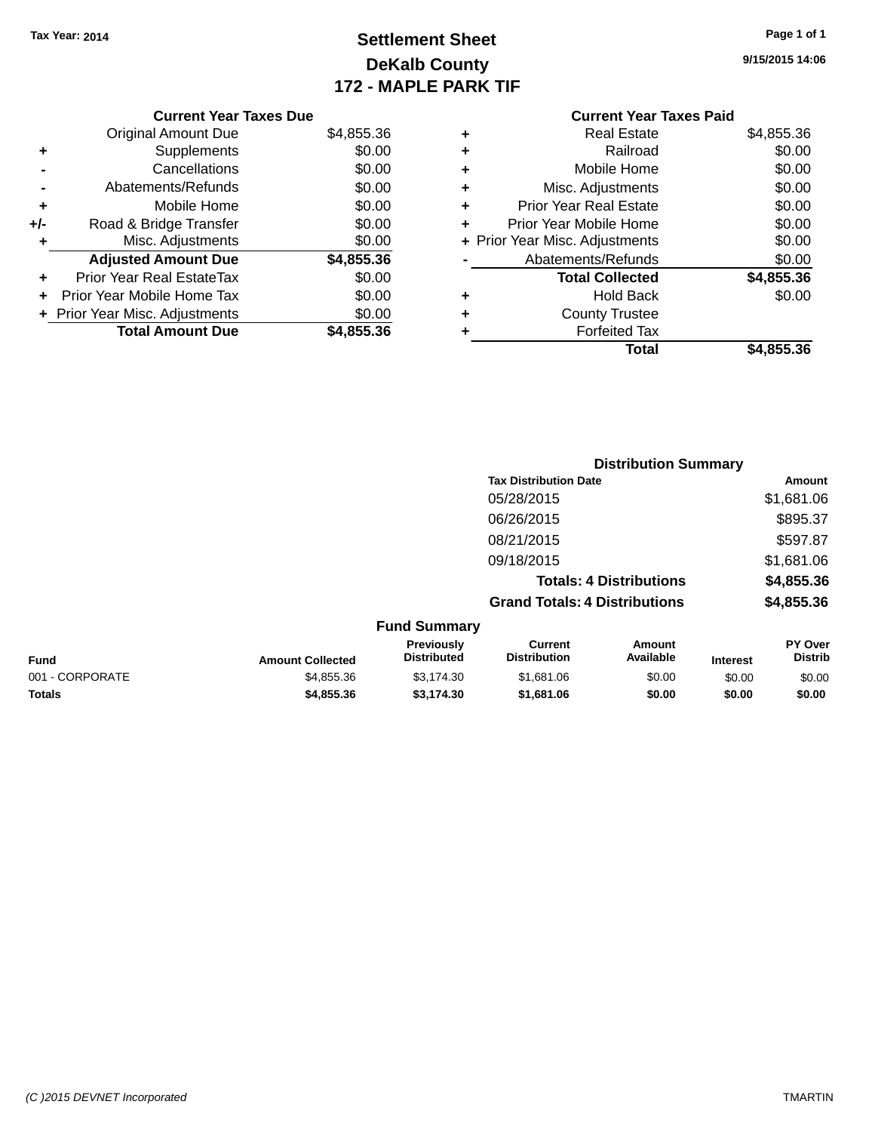### **Settlement Sheet Tax Year: 2014 Page 1 of 1 DeKalb County 172 - MAPLE PARK TIF**

**9/15/2015 14:06**

|       | <b>Current Year Taxes Due</b>  |            |  |  |  |
|-------|--------------------------------|------------|--|--|--|
|       | <b>Original Amount Due</b>     | \$4,855.36 |  |  |  |
| ٠     | Supplements                    | \$0.00     |  |  |  |
|       | Cancellations                  | \$0.00     |  |  |  |
|       | Abatements/Refunds             | \$0.00     |  |  |  |
| ٠     | Mobile Home                    | \$0.00     |  |  |  |
| $+/-$ | Road & Bridge Transfer         | \$0.00     |  |  |  |
| ٠     | Misc. Adjustments              | \$0.00     |  |  |  |
|       | <b>Adjusted Amount Due</b>     | \$4,855.36 |  |  |  |
| ٠     | Prior Year Real EstateTax      | \$0.00     |  |  |  |
|       | Prior Year Mobile Home Tax     | \$0.00     |  |  |  |
|       | + Prior Year Misc. Adjustments | \$0.00     |  |  |  |
|       | <b>Total Amount Due</b>        | \$4,855.36 |  |  |  |
|       |                                |            |  |  |  |

|   | <b>Real Estate</b>             | \$4,855.36 |
|---|--------------------------------|------------|
| ÷ | Railroad                       | \$0.00     |
| ٠ | Mobile Home                    | \$0.00     |
| ٠ | Misc. Adjustments              | \$0.00     |
| ٠ | <b>Prior Year Real Estate</b>  | \$0.00     |
| ٠ | Prior Year Mobile Home         | \$0.00     |
|   | + Prior Year Misc. Adjustments | \$0.00     |
|   | Abatements/Refunds             | \$0.00     |
|   | <b>Total Collected</b>         | \$4,855.36 |
| ٠ | <b>Hold Back</b>               | \$0.00     |
| ٠ | <b>County Trustee</b>          |            |
| ٠ | <b>Forfeited Tax</b>           |            |
|   | Total                          | \$4,855.36 |
|   |                                |            |

|                 |                         |                                  |                                       | <b>Distribution Summary</b> |                 |                                  |
|-----------------|-------------------------|----------------------------------|---------------------------------------|-----------------------------|-----------------|----------------------------------|
|                 |                         |                                  | <b>Tax Distribution Date</b>          |                             |                 | <b>Amount</b>                    |
|                 |                         |                                  | 05/28/2015                            |                             |                 | \$1,681.06                       |
|                 |                         |                                  | 06/26/2015                            |                             |                 | \$895.37                         |
|                 |                         |                                  | 08/21/2015                            |                             |                 | \$597.87                         |
|                 |                         |                                  | 09/18/2015                            |                             |                 | \$1,681.06                       |
|                 |                         |                                  | <b>Totals: 4 Distributions</b>        |                             |                 | \$4,855.36                       |
|                 |                         |                                  | <b>Grand Totals: 4 Distributions</b>  |                             |                 | \$4,855.36                       |
|                 |                         | <b>Fund Summary</b>              |                                       |                             |                 |                                  |
| <b>Fund</b>     | <b>Amount Collected</b> | Previously<br><b>Distributed</b> | <b>Current</b><br><b>Distribution</b> | Amount<br>Available         | <b>Interest</b> | <b>PY Over</b><br><b>Distrib</b> |
| 001 - CORPORATE | \$4,855.36              | \$3,174.30                       | \$1,681.06                            | \$0.00                      | \$0.00          | \$0.00                           |
| <b>Totals</b>   | \$4,855.36              | \$3,174.30                       | \$1,681.06                            | \$0.00                      | \$0.00          | \$0.00                           |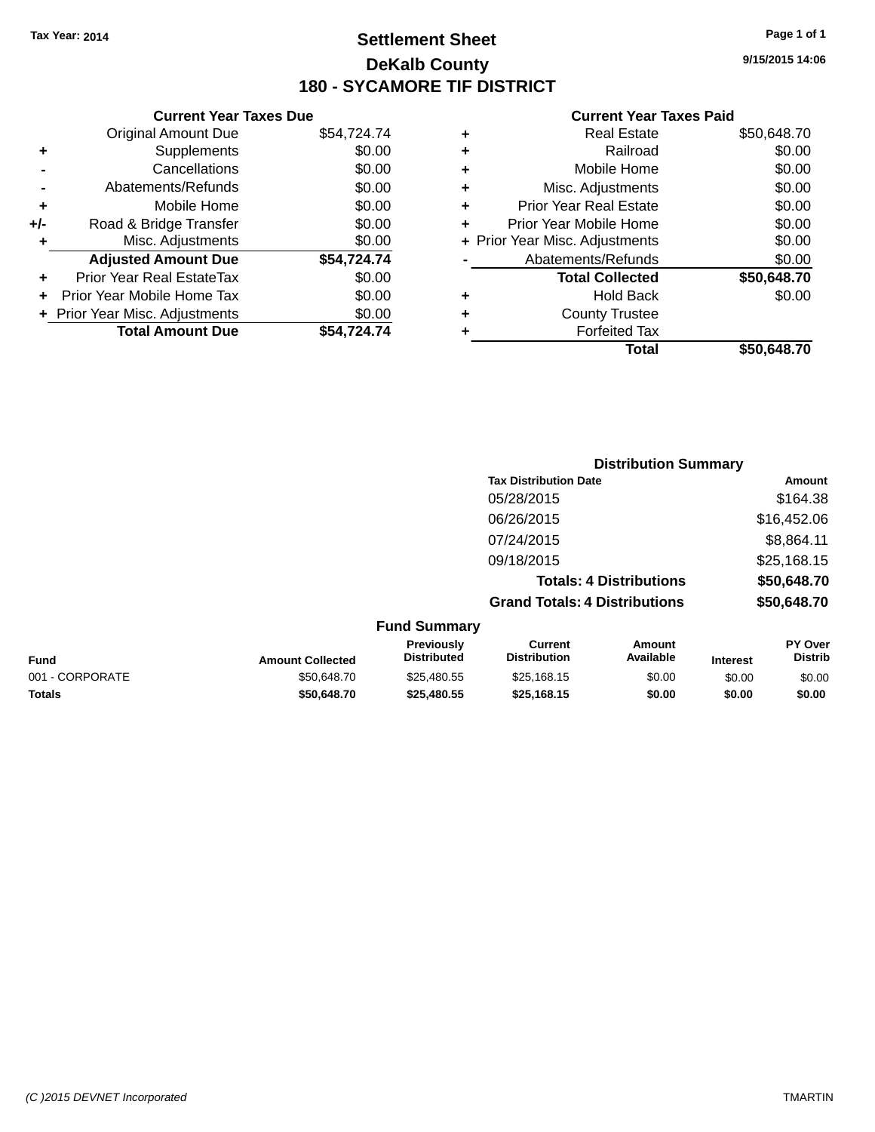### **Settlement Sheet Tax Year: 2014 Page 1 of 1 DeKalb County 180 - SYCAMORE TIF DISTRICT**

#### **Current Year Taxes Due** Original Amount Due \$54,724.74 **+** Supplements \$0.00 **-** Cancellations \$0.00 **-** Abatements/Refunds \$0.00 **+** Mobile Home \$0.00 **+/-** Road & Bridge Transfer \$0.00 **+** Misc. Adjustments \$0.00 **Adjusted Amount Due \$54,724.74 +** Prior Year Real EstateTax \$0.00 **+** Prior Year Mobile Home Tax \$0.00 **+ Prior Year Misc. Adjustments**  $$0.00$ **Total Amount Due \$54,724.74**

#### **Current Year Taxes Paid**

|   | <b>Real Estate</b>             | \$50,648.70 |
|---|--------------------------------|-------------|
| ٠ | Railroad                       | \$0.00      |
| ٠ | Mobile Home                    | \$0.00      |
| ٠ | Misc. Adjustments              | \$0.00      |
| ٠ | <b>Prior Year Real Estate</b>  | \$0.00      |
| ٠ | Prior Year Mobile Home         | \$0.00      |
|   | + Prior Year Misc. Adjustments | \$0.00      |
|   | Abatements/Refunds             | \$0.00      |
|   | <b>Total Collected</b>         | \$50,648.70 |
| ٠ | <b>Hold Back</b>               | \$0.00      |
| ٠ | <b>County Trustee</b>          |             |
| ٠ | <b>Forfeited Tax</b>           |             |
|   | Total                          | \$50.648.70 |
|   |                                |             |

|                     | <b>Distribution Summary</b>          |             |
|---------------------|--------------------------------------|-------------|
|                     | <b>Tax Distribution Date</b>         | Amount      |
|                     | 05/28/2015                           | \$164.38    |
|                     | 06/26/2015                           | \$16,452.06 |
|                     | 07/24/2015                           | \$8,864.11  |
|                     | 09/18/2015                           | \$25,168.15 |
|                     | <b>Totals: 4 Distributions</b>       | \$50,648.70 |
|                     | <b>Grand Totals: 4 Distributions</b> | \$50,648.70 |
| <b>Fund Summary</b> |                                      |             |

| <b>Fund</b>     | <b>Amount Collected</b> | Previously<br><b>Distributed</b> | Current<br><b>Distribution</b> | Amount<br>Available | Interest | <b>PY Over</b><br><b>Distrib</b> |
|-----------------|-------------------------|----------------------------------|--------------------------------|---------------------|----------|----------------------------------|
| 001 - CORPORATE | \$50,648.70             | \$25.480.55                      | \$25,168.15                    | \$0.00              | \$0.00   | \$0.00                           |
| <b>Totals</b>   | \$50.648.70             | \$25.480.55                      | \$25,168,15                    | \$0.00              | \$0.00   | \$0.00                           |

**9/15/2015 14:06**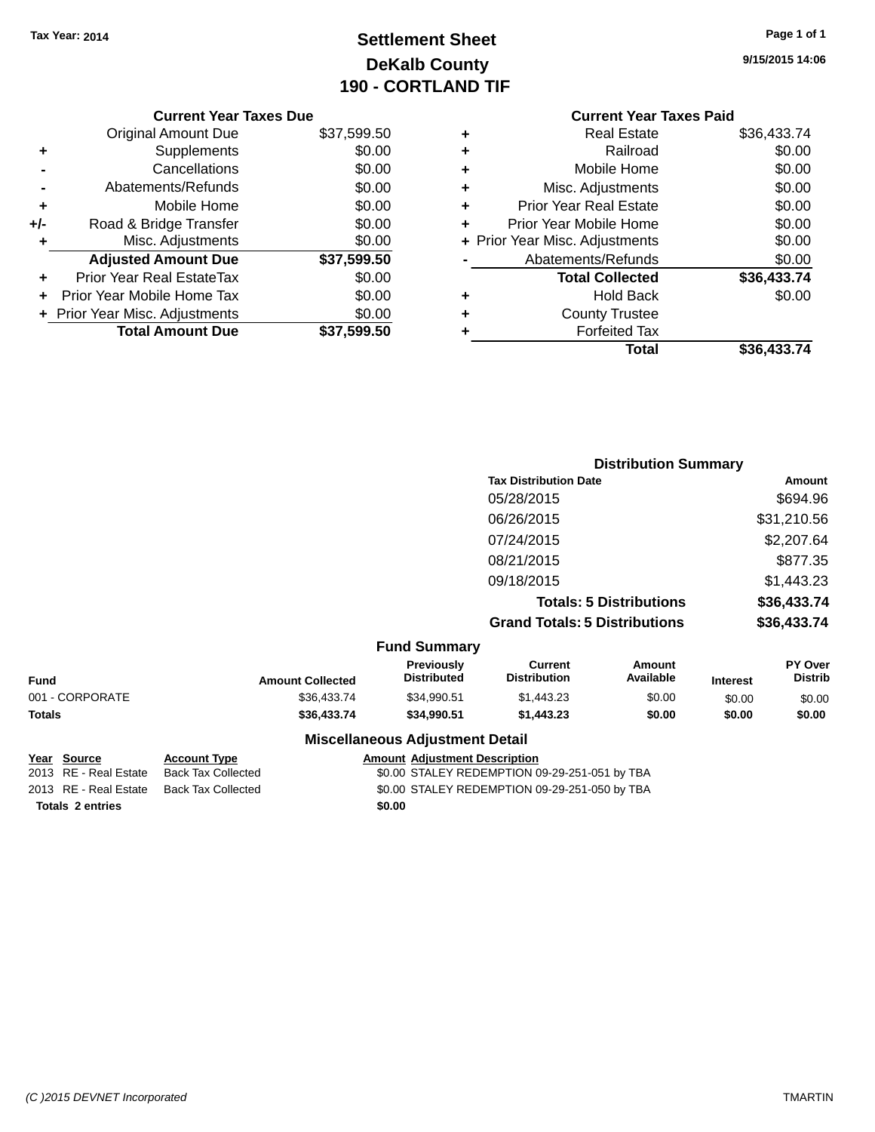### **Settlement Sheet Tax Year: 2014 Page 1 of 1 DeKalb County 190 - CORTLAND TIF**

| Page 1 of 1 |  |  |  |
|-------------|--|--|--|
|-------------|--|--|--|

**9/15/2015 14:06**

|     | <b>Current Year Taxes Due</b>    |             |   | <b>Current Year Taxes Paid</b> |                   |
|-----|----------------------------------|-------------|---|--------------------------------|-------------------|
|     | <b>Original Amount Due</b>       | \$37,599.50 |   | <b>Real Estate</b>             | \$36,433.74       |
|     | Supplements                      | \$0.00      |   | Railroad                       | \$0.00            |
|     | Cancellations                    | \$0.00      |   | Mobile Home                    | \$0.00            |
|     | Abatements/Refunds               | \$0.00      | ٠ | Misc. Adjustments              | \$0.00            |
| ٠   | Mobile Home                      | \$0.00      | ٠ | <b>Prior Year Real Estate</b>  | \$0.00            |
| +/- | Road & Bridge Transfer           | \$0.00      |   | Prior Year Mobile Home         | \$0.00            |
|     | Misc. Adjustments                | \$0.00      |   | + Prior Year Misc. Adjustments | \$0.00            |
|     | <b>Adjusted Amount Due</b>       | \$37,599.50 |   | Abatements/Refunds             | \$0.00            |
| ٠   | <b>Prior Year Real EstateTax</b> | \$0.00      |   | <b>Total Collected</b>         | \$36,433.74       |
| ÷.  | Prior Year Mobile Home Tax       | \$0.00      | ٠ | <b>Hold Back</b>               | \$0.00            |
|     | + Prior Year Misc. Adjustments   | \$0.00      | ٠ | <b>County Trustee</b>          |                   |
|     | <b>Total Amount Due</b>          | \$37,599.50 |   | <b>Forfeited Tax</b>           |                   |
|     |                                  |             |   | Total                          | <b>COG 122 71</b> |

| Total | \$36,433.74 |
|-------|-------------|
|       |             |

|                 |                         |                                  |                                       | <b>Distribution Summary</b>    |                 |                                  |
|-----------------|-------------------------|----------------------------------|---------------------------------------|--------------------------------|-----------------|----------------------------------|
|                 |                         |                                  | <b>Tax Distribution Date</b>          |                                |                 | Amount                           |
|                 |                         |                                  | 05/28/2015                            |                                |                 | \$694.96                         |
|                 |                         |                                  | 06/26/2015                            |                                |                 | \$31,210.56                      |
|                 |                         |                                  | 07/24/2015                            |                                |                 | \$2,207.64                       |
|                 |                         |                                  | 08/21/2015                            |                                |                 | \$877.35                         |
|                 |                         |                                  | 09/18/2015                            |                                |                 | \$1,443.23                       |
|                 |                         |                                  |                                       | <b>Totals: 5 Distributions</b> |                 | \$36,433.74                      |
|                 |                         |                                  | <b>Grand Totals: 5 Distributions</b>  |                                |                 | \$36,433.74                      |
|                 |                         | <b>Fund Summary</b>              |                                       |                                |                 |                                  |
| <b>Fund</b>     | <b>Amount Collected</b> | Previously<br><b>Distributed</b> | <b>Current</b><br><b>Distribution</b> | <b>Amount</b><br>Available     | <b>Interest</b> | <b>PY Over</b><br><b>Distrib</b> |
| 001 - CORPORATE | \$36,433.74             | \$34,990.51                      | \$1,443.23                            | \$0.00                         | \$0.00          | \$0.00                           |
| Totals          | \$36,433.74             | \$34,990.51                      | \$1,443.23                            | \$0.00                         | \$0.00          | \$0.00                           |

#### **Miscellaneous Adjustment Detail**

| Year Source             | <b>Account Type</b>                      |        | <b>Amount Adiustment Description</b>          |
|-------------------------|------------------------------------------|--------|-----------------------------------------------|
| 2013 RE - Real Estate   | Back Tax Collected                       |        | \$0.00 STALEY REDEMPTION 09-29-251-051 by TBA |
|                         | 2013 RE - Real Estate Back Tax Collected |        | \$0.00 STALEY REDEMPTION 09-29-251-050 by TBA |
| <b>Totals 2 entries</b> |                                          | \$0.00 |                                               |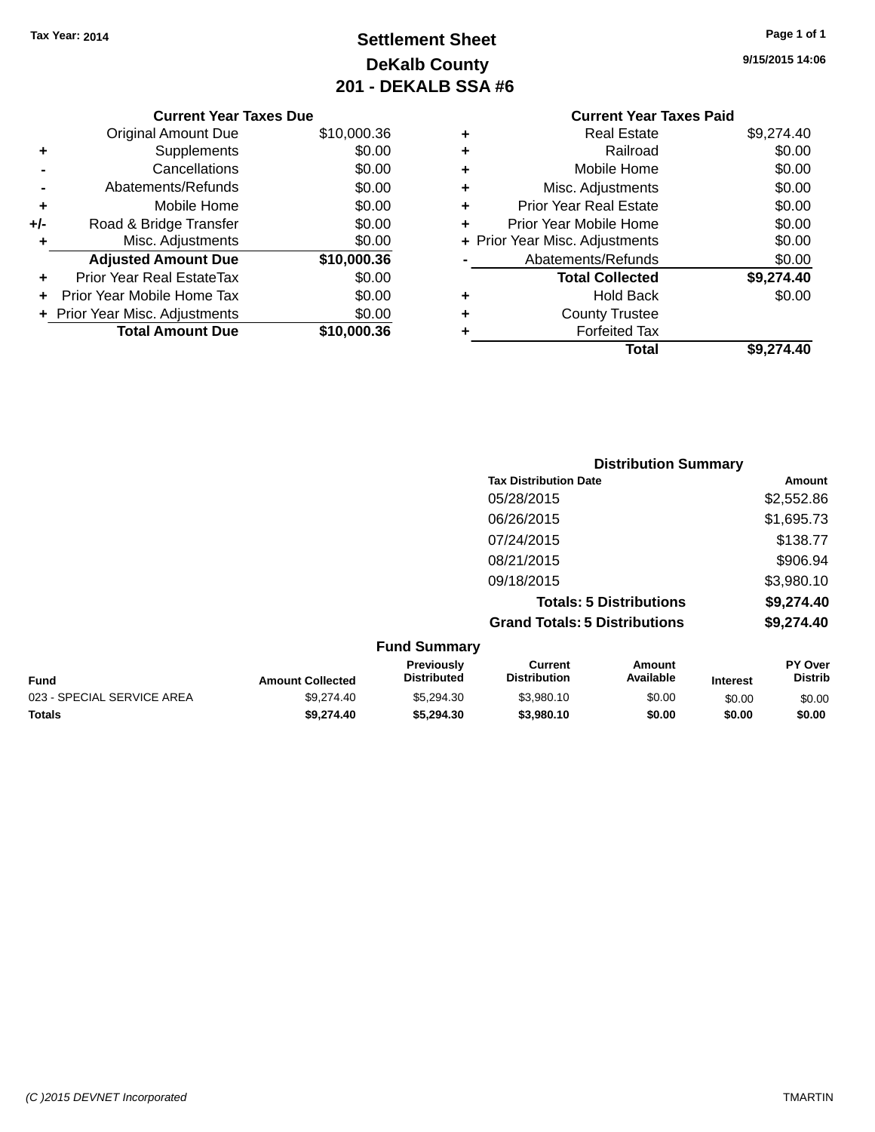### **Settlement Sheet Tax Year: 2014 Page 1 of 1 DeKalb County 201 - DEKALB SSA #6**

|     | <b>Current Year Taxes Due</b>  |             |  |  |  |
|-----|--------------------------------|-------------|--|--|--|
|     | <b>Original Amount Due</b>     | \$10,000.36 |  |  |  |
| ٠   | Supplements                    | \$0.00      |  |  |  |
|     | Cancellations                  | \$0.00      |  |  |  |
|     | Abatements/Refunds             | \$0.00      |  |  |  |
| ٠   | Mobile Home                    | \$0.00      |  |  |  |
| +/- | Road & Bridge Transfer         | \$0.00      |  |  |  |
| ٠   | Misc. Adjustments              | \$0.00      |  |  |  |
|     | <b>Adjusted Amount Due</b>     | \$10,000.36 |  |  |  |
| ٠   | Prior Year Real EstateTax      | \$0.00      |  |  |  |
|     | Prior Year Mobile Home Tax     | \$0.00      |  |  |  |
|     | + Prior Year Misc. Adjustments | \$0.00      |  |  |  |
|     | <b>Total Amount Due</b>        | \$10,000,36 |  |  |  |
|     |                                |             |  |  |  |

|   | <b>Real Estate</b>             | \$9,274.40 |
|---|--------------------------------|------------|
| ٠ | Railroad                       | \$0.00     |
| ٠ | Mobile Home                    | \$0.00     |
| ٠ | Misc. Adjustments              | \$0.00     |
| ٠ | <b>Prior Year Real Estate</b>  | \$0.00     |
| ٠ | Prior Year Mobile Home         | \$0.00     |
|   | + Prior Year Misc. Adjustments | \$0.00     |
|   | Abatements/Refunds             | \$0.00     |
|   | <b>Total Collected</b>         | \$9,274.40 |
| ٠ | <b>Hold Back</b>               | \$0.00     |
| ٠ | <b>County Trustee</b>          |            |
|   | <b>Forfeited Tax</b>           |            |
|   | Total                          | \$9,274.40 |
|   |                                |            |

|                 | <b>Distribution Summary</b>          |            |
|-----------------|--------------------------------------|------------|
|                 | <b>Tax Distribution Date</b>         | Amount     |
|                 | 05/28/2015                           | \$2,552.86 |
|                 | 06/26/2015                           | \$1,695.73 |
|                 | 07/24/2015                           | \$138.77   |
|                 | 08/21/2015                           | \$906.94   |
|                 | 09/18/2015                           | \$3,980.10 |
|                 | <b>Totals: 5 Distributions</b>       | \$9,274.40 |
|                 | <b>Grand Totals: 5 Distributions</b> | \$9,274.40 |
| $E$ und Cummoni |                                      |            |

| <b>Fund Summary</b>        |                         |                                         |                                |                     |                 |                                  |  |
|----------------------------|-------------------------|-----------------------------------------|--------------------------------|---------------------|-----------------|----------------------------------|--|
| Fund                       | <b>Amount Collected</b> | <b>Previously</b><br><b>Distributed</b> | Current<br><b>Distribution</b> | Amount<br>Available | <b>Interest</b> | <b>PY Over</b><br><b>Distrib</b> |  |
| 023 - SPECIAL SERVICE AREA | \$9,274.40              | \$5,294,30                              | \$3.980.10                     | \$0.00              | \$0.00          | \$0.00                           |  |
| <b>Totals</b>              | \$9,274,40              | \$5.294.30                              | \$3.980.10                     | \$0.00              | \$0.00          | \$0.00                           |  |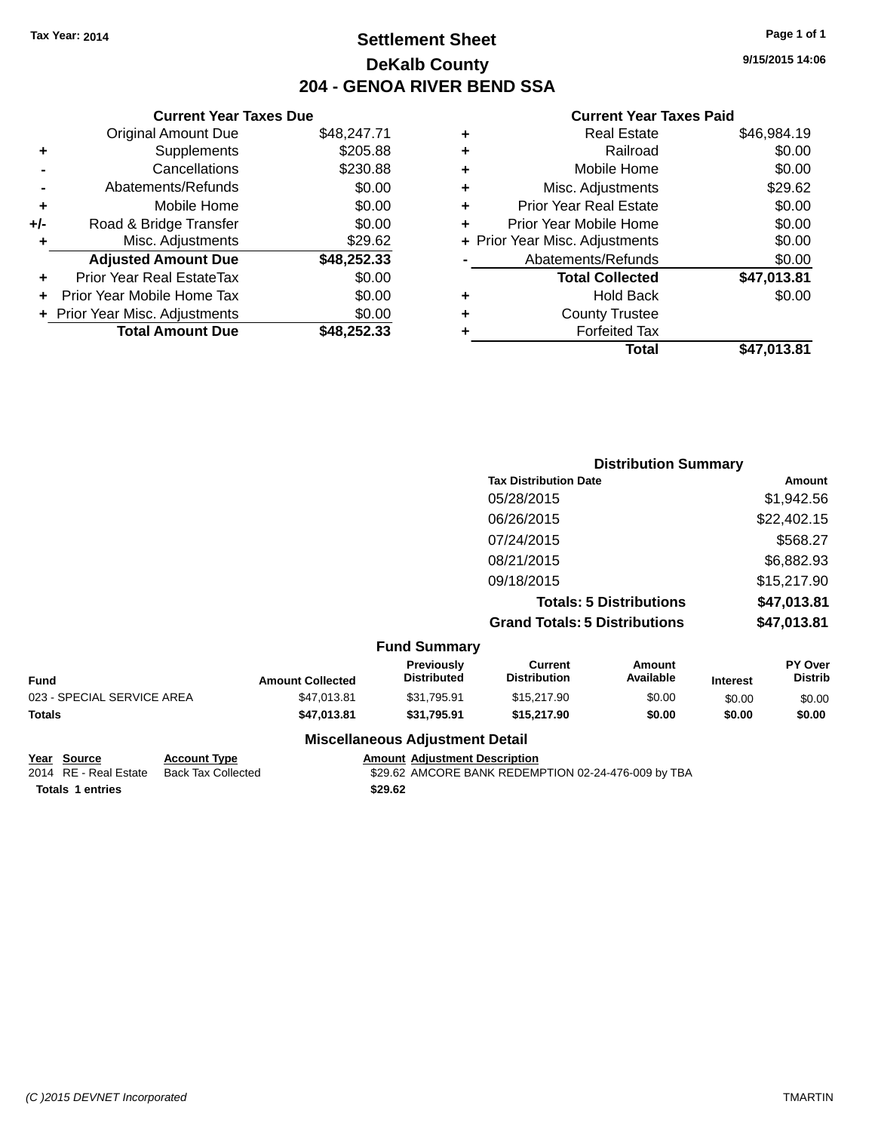### **Settlement Sheet Tax Year: 2014 Page 1 of 1 DeKalb County 204 - GENOA RIVER BEND SSA**

**9/15/2015 14:06**

#### **Current Year Taxes Paid**

| <b>Original Amount Due</b> | \$48,247.71                    |                               |
|----------------------------|--------------------------------|-------------------------------|
| Supplements                | \$205.88                       |                               |
| Cancellations              | \$230.88                       |                               |
| Abatements/Refunds         | \$0.00                         |                               |
| Mobile Home                | \$0.00                         |                               |
| Road & Bridge Transfer     | \$0.00                         |                               |
| Misc. Adjustments          | \$29.62                        |                               |
| <b>Adjusted Amount Due</b> | \$48,252.33                    |                               |
| Prior Year Real EstateTax  | \$0.00                         |                               |
| Prior Year Mobile Home Tax | \$0.00                         |                               |
|                            | \$0.00                         |                               |
| <b>Total Amount Due</b>    | \$48.252.33                    |                               |
|                            | + Prior Year Misc. Adjustments | <b>Current Year Taxes Due</b> |

|   | <b>Real Estate</b>             | \$46,984.19 |
|---|--------------------------------|-------------|
| ٠ | Railroad                       | \$0.00      |
| ٠ | Mobile Home                    | \$0.00      |
| ٠ | Misc. Adjustments              | \$29.62     |
| ٠ | Prior Year Real Estate         | \$0.00      |
| ٠ | Prior Year Mobile Home         | \$0.00      |
|   | + Prior Year Misc. Adjustments | \$0.00      |
|   | Abatements/Refunds             | \$0.00      |
|   | <b>Total Collected</b>         | \$47,013.81 |
| ٠ | <b>Hold Back</b>               | \$0.00      |
| ٠ | <b>County Trustee</b>          |             |
| ٠ | <b>Forfeited Tax</b>           |             |
|   | Total                          | \$47,013.81 |
|   |                                |             |

|                     | <b>Distribution Summary</b>          |             |
|---------------------|--------------------------------------|-------------|
|                     | <b>Tax Distribution Date</b>         | Amount      |
|                     | 05/28/2015                           | \$1,942.56  |
|                     | 06/26/2015                           | \$22,402.15 |
|                     | 07/24/2015                           | \$568.27    |
|                     | 08/21/2015                           | \$6,882.93  |
|                     | 09/18/2015                           | \$15,217.90 |
|                     | <b>Totals: 5 Distributions</b>       | \$47,013.81 |
|                     | <b>Grand Totals: 5 Distributions</b> | \$47,013.81 |
| <b>Fund Summary</b> |                                      |             |

| Fund                       | <b>Amount Collected</b> | Previously<br><b>Distributed</b>       | Current<br><b>Distribution</b> | Amount<br>Available | <b>Interest</b> | <b>PY Over</b><br><b>Distrib</b> |
|----------------------------|-------------------------|----------------------------------------|--------------------------------|---------------------|-----------------|----------------------------------|
| 023 - SPECIAL SERVICE AREA | \$47,013.81             | \$31.795.91                            | \$15,217.90                    | \$0.00              | \$0.00          | \$0.00                           |
| Totals                     | \$47,013,81             | \$31.795.91                            | \$15,217.90                    | \$0.00              | \$0.00          | \$0.00                           |
|                            |                         | <b>Miscellaneous Adjustment Detail</b> |                                |                     |                 |                                  |

**Totals \$29.62 1 entries**

**Year Source Account Type Amount Adjustment Description**<br>2014 RE - Real Estate Back Tax Collected \$29.62 AMCORE BANK REDEMI \$29.62 AMCORE BANK REDEMPTION 02-24-476-009 by TBA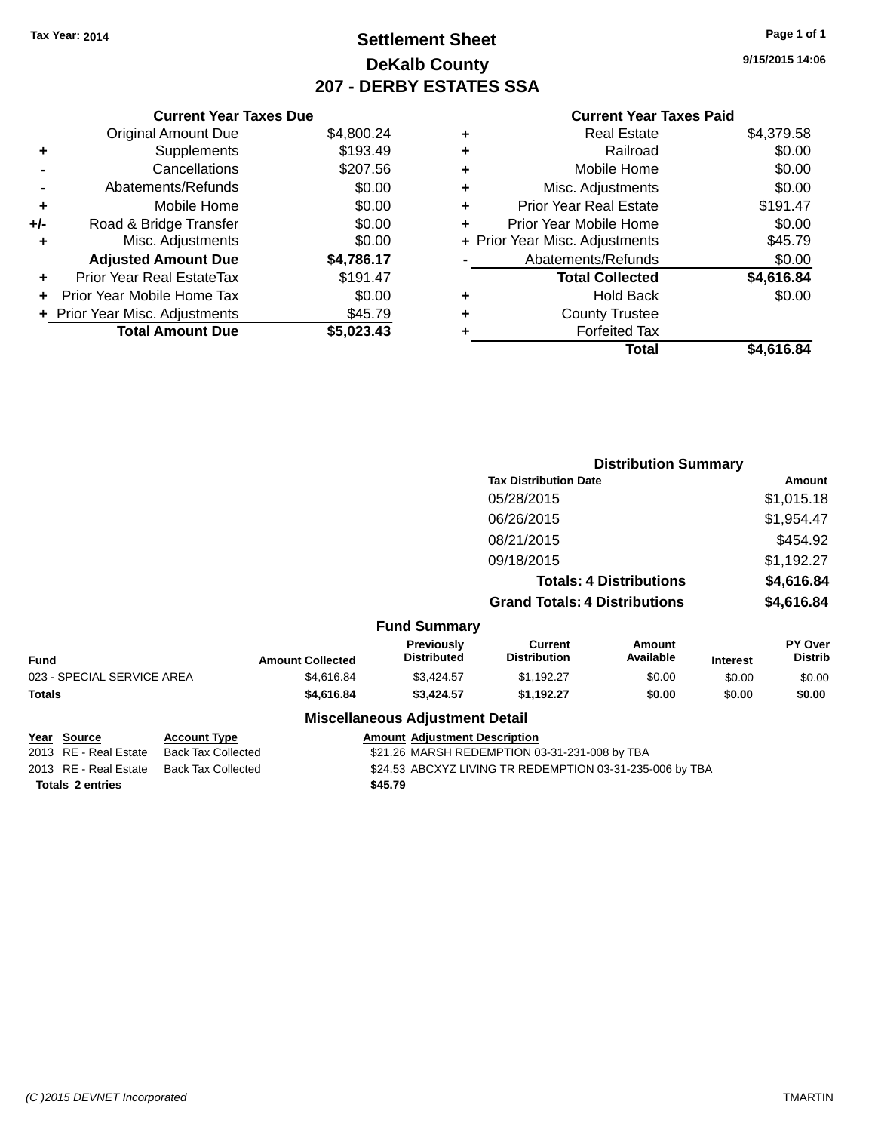### **Settlement Sheet Tax Year: 2014 Page 1 of 1 DeKalb County 207 - DERBY ESTATES SSA**

**9/15/2015 14:06**

|     | <b>Current Year Taxes Due</b>  |            |
|-----|--------------------------------|------------|
|     | <b>Original Amount Due</b>     | \$4,800.24 |
| ٠   | Supplements                    | \$193.49   |
|     | Cancellations                  | \$207.56   |
|     | Abatements/Refunds             | \$0.00     |
| ٠   | Mobile Home                    | \$0.00     |
| +/- | Road & Bridge Transfer         | \$0.00     |
| ٠   | Misc. Adjustments              | \$0.00     |
|     | <b>Adjusted Amount Due</b>     | \$4,786.17 |
| ٠   | Prior Year Real EstateTax      | \$191.47   |
| ÷   | Prior Year Mobile Home Tax     | \$0.00     |
|     | + Prior Year Misc. Adjustments | \$45.79    |
|     | <b>Total Amount Due</b>        | \$5,023.43 |

| ٠ | <b>Real Estate</b>             | \$4,379.58 |
|---|--------------------------------|------------|
| ٠ | Railroad                       | \$0.00     |
| ٠ | Mobile Home                    | \$0.00     |
| ٠ | Misc. Adjustments              | \$0.00     |
| ٠ | <b>Prior Year Real Estate</b>  | \$191.47   |
| ÷ | Prior Year Mobile Home         | \$0.00     |
|   | + Prior Year Misc. Adjustments | \$45.79    |
|   | Abatements/Refunds             | \$0.00     |
|   | <b>Total Collected</b>         | \$4,616.84 |
| ٠ | <b>Hold Back</b>               | \$0.00     |
| ٠ | <b>County Trustee</b>          |            |
| ٠ | <b>Forfeited Tax</b>           |            |
|   | Total                          | \$4,616.84 |
|   |                                |            |

|                            |                         |                                  | <b>Distribution Summary</b>           |                                |                 |                           |  |
|----------------------------|-------------------------|----------------------------------|---------------------------------------|--------------------------------|-----------------|---------------------------|--|
|                            |                         |                                  | <b>Tax Distribution Date</b>          |                                |                 | Amount                    |  |
|                            |                         |                                  | 05/28/2015                            |                                |                 | \$1,015.18                |  |
|                            |                         |                                  | 06/26/2015                            |                                |                 | \$1,954.47                |  |
|                            |                         |                                  | 08/21/2015                            |                                |                 | \$454.92                  |  |
|                            |                         |                                  | 09/18/2015                            |                                |                 | \$1,192.27                |  |
|                            |                         |                                  |                                       | <b>Totals: 4 Distributions</b> |                 | \$4,616.84                |  |
|                            |                         |                                  | <b>Grand Totals: 4 Distributions</b>  |                                |                 | \$4,616.84                |  |
|                            |                         | <b>Fund Summary</b>              |                                       |                                |                 |                           |  |
| <b>Fund</b>                | <b>Amount Collected</b> | Previously<br><b>Distributed</b> | <b>Current</b><br><b>Distribution</b> | <b>Amount</b><br>Available     | <b>Interest</b> | PY Over<br><b>Distrib</b> |  |
| 023 - SPECIAL SERVICE AREA | \$4,616.84              | \$3,424.57                       | \$1,192.27                            | \$0.00                         | \$0.00          | \$0.00                    |  |
| <b>Totals</b>              | \$4,616.84              | \$3,424.57                       | \$1,192.27                            | \$0.00                         | \$0.00          | \$0.00                    |  |
|                            |                         |                                  |                                       |                                |                 |                           |  |

| Year Source           | <b>Account Type</b>                      | <b>Amount Adjustment Description</b>                     |
|-----------------------|------------------------------------------|----------------------------------------------------------|
| 2013 RE - Real Estate | Back Tax Collected                       | \$21.26 MARSH REDEMPTION 03-31-231-008 by TBA            |
|                       | 2013 RE - Real Estate Back Tax Collected | \$24.53 ABCXYZ LIVING TR REDEMPTION 03-31-235-006 by TBA |
| Totals 2 entries      |                                          | \$45.79                                                  |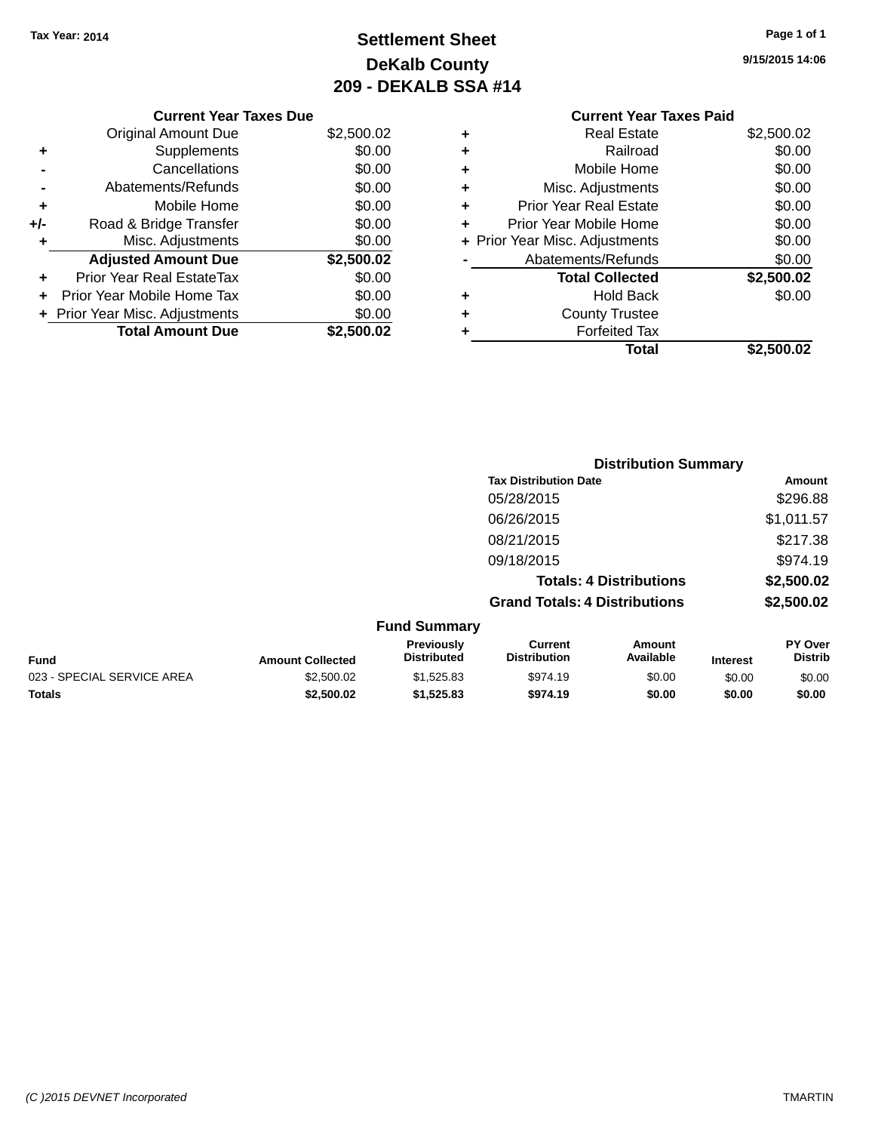### **Settlement Sheet Tax Year: 2014 Page 1 of 1 DeKalb County 209 - DEKALB SSA #14**

**9/15/2015 14:06**

#### **Current Year Taxes Paid +** Real Estate \$2,500.02 **+** Railroad \$0.00 **+** Mobile Home \$0.00 **+** Misc. Adjustments \$0.00 **+** Prior Year Real Estate \$0.00 **+** Prior Year Mobile Home \$0.00<br> **+** Prior Year Misc. Adjustments \$0.00 **+ Prior Year Misc. Adjustments -** Abatements/Refunds \$0.00 **Total Collected \$2,500.02 +** Hold Back \$0.00 **+** County Trustee **+** Forfeited Tax **Total \$2,500.02**

|     | <b>Current Year Taxes Due</b>  |            |
|-----|--------------------------------|------------|
|     | <b>Original Amount Due</b>     | \$2,500.02 |
| ٠   | Supplements                    | \$0.00     |
|     | Cancellations                  | \$0.00     |
|     | Abatements/Refunds             | \$0.00     |
| ٠   | Mobile Home                    | \$0.00     |
| +/- | Road & Bridge Transfer         | \$0.00     |
| ٠   | Misc. Adjustments              | \$0.00     |
|     | <b>Adjusted Amount Due</b>     | \$2,500.02 |
|     | Prior Year Real EstateTax      | \$0.00     |
|     | Prior Year Mobile Home Tax     | \$0.00     |
|     | + Prior Year Misc. Adjustments | \$0.00     |
|     | <b>Total Amount Due</b>        | \$2,500.02 |
|     |                                |            |

|                     |                                      | <b>Distribution Summary</b>    |                |
|---------------------|--------------------------------------|--------------------------------|----------------|
|                     | <b>Tax Distribution Date</b>         |                                | Amount         |
|                     | 05/28/2015                           |                                | \$296.88       |
|                     | 06/26/2015                           |                                | \$1,011.57     |
|                     | 08/21/2015                           |                                | \$217.38       |
|                     | 09/18/2015                           |                                | \$974.19       |
|                     |                                      | <b>Totals: 4 Distributions</b> | \$2,500.02     |
|                     | <b>Grand Totals: 4 Distributions</b> |                                | \$2,500.02     |
| <b>Fund Summary</b> |                                      |                                |                |
| <b>Previously</b>   | Current                              | Amount                         | <b>PY Over</b> |

| <b>Fund</b>                | <b>Amount Collected</b> | Previousiv<br>Distributed | Current<br><b>Distribution</b> | Amount<br>Available | Interest | <b>PY Over</b><br>Distrib |
|----------------------------|-------------------------|---------------------------|--------------------------------|---------------------|----------|---------------------------|
| 023 - SPECIAL SERVICE AREA | \$2,500.02              | \$1.525.83                | \$974.19                       | \$0.00              | \$0.00   | \$0.00                    |
| <b>Totals</b>              | \$2,500.02              | \$1.525.83                | \$974.19                       | \$0.00              | \$0.00   | \$0.00                    |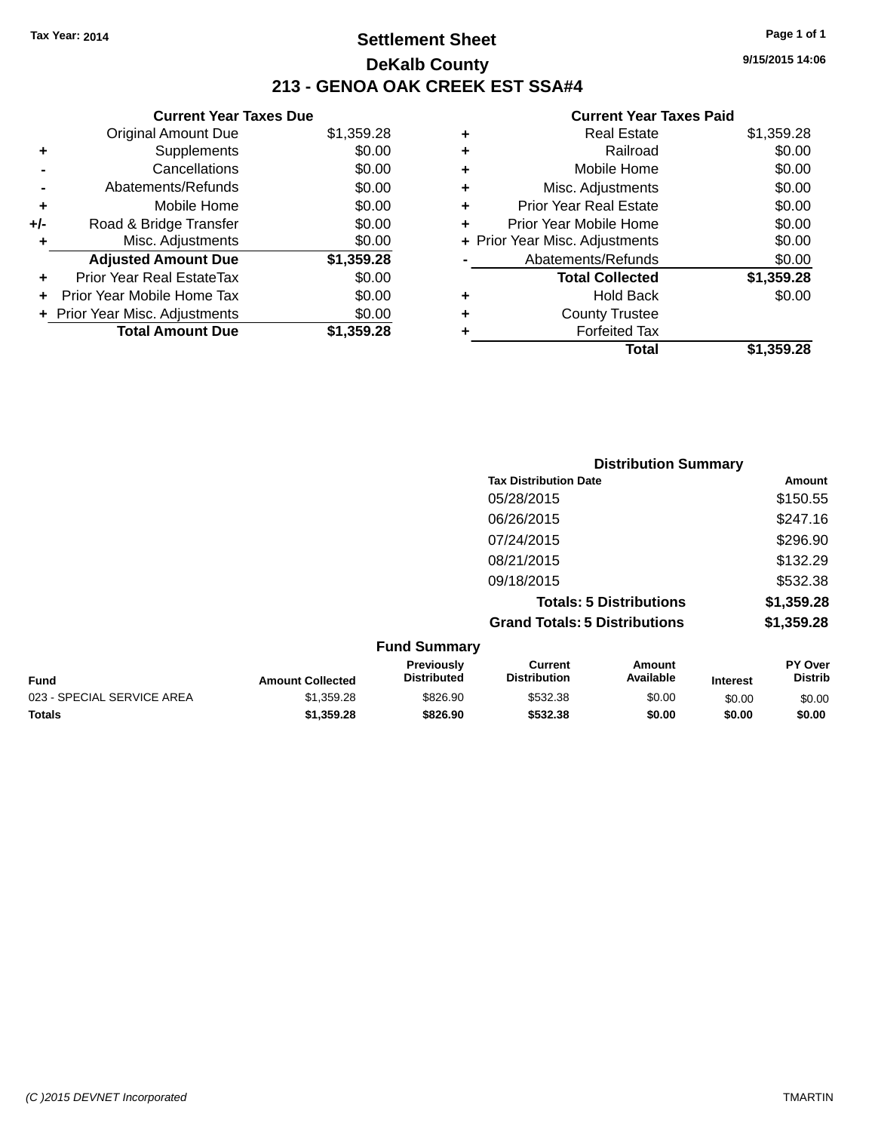### **Settlement Sheet Tax Year: 2014 Page 1 of 1 DeKalb County 213 - GENOA OAK CREEK EST SSA#4**

|       | <b>Current Year Taxes Due</b>  |            |
|-------|--------------------------------|------------|
|       | <b>Original Amount Due</b>     | \$1,359.28 |
| ٠     | Supplements                    | \$0.00     |
|       | Cancellations                  | \$0.00     |
|       | Abatements/Refunds             | \$0.00     |
| ٠     | Mobile Home                    | \$0.00     |
| $+/-$ | Road & Bridge Transfer         | \$0.00     |
| ٠     | Misc. Adjustments              | \$0.00     |
|       | <b>Adjusted Amount Due</b>     | \$1,359.28 |
| ٠     | Prior Year Real EstateTax      | \$0.00     |
|       | Prior Year Mobile Home Tax     | \$0.00     |
|       | + Prior Year Misc. Adjustments | \$0.00     |
|       | <b>Total Amount Due</b>        | \$1,359.28 |

|   | <b>Real Estate</b>             | \$1,359.28 |
|---|--------------------------------|------------|
| ٠ | Railroad                       | \$0.00     |
| ٠ | Mobile Home                    | \$0.00     |
| ٠ | Misc. Adjustments              | \$0.00     |
| ٠ | <b>Prior Year Real Estate</b>  | \$0.00     |
| ٠ | Prior Year Mobile Home         | \$0.00     |
|   | + Prior Year Misc. Adjustments | \$0.00     |
|   | Abatements/Refunds             | \$0.00     |
|   | <b>Total Collected</b>         | \$1,359.28 |
| ٠ | <b>Hold Back</b>               | \$0.00     |
| ٠ | <b>County Trustee</b>          |            |
|   | <b>Forfeited Tax</b>           |            |
|   | Total                          | \$1,359.28 |
|   |                                |            |

|                     | <b>Distribution Summary</b>          |                                |                |
|---------------------|--------------------------------------|--------------------------------|----------------|
|                     | <b>Tax Distribution Date</b>         |                                | Amount         |
|                     | 05/28/2015                           |                                | \$150.55       |
|                     | 06/26/2015                           |                                | \$247.16       |
|                     | 07/24/2015                           |                                | \$296.90       |
|                     | 08/21/2015                           |                                | \$132.29       |
|                     | 09/18/2015                           |                                | \$532.38       |
|                     |                                      | <b>Totals: 5 Distributions</b> | \$1,359.28     |
|                     | <b>Grand Totals: 5 Distributions</b> |                                | \$1,359.28     |
| <b>Fund Summary</b> |                                      |                                |                |
| Previously          | <b>Current</b>                       | Amount                         | <b>PY Over</b> |

|                            |                         | Previouslv         | Current             | Amount    |                 | PY Over        |
|----------------------------|-------------------------|--------------------|---------------------|-----------|-----------------|----------------|
| <b>Fund</b>                | <b>Amount Collected</b> | <b>Distributed</b> | <b>Distribution</b> | Available | <b>Interest</b> | <b>Distrib</b> |
| 023 - SPECIAL SERVICE AREA | \$1.359.28              | \$826.90           | \$532.38            | \$0.00    | \$0.00          | \$0.00         |
| <b>Totals</b>              | \$1,359.28              | \$826.90           | \$532.38            | \$0.00    | \$0.00          | \$0.00         |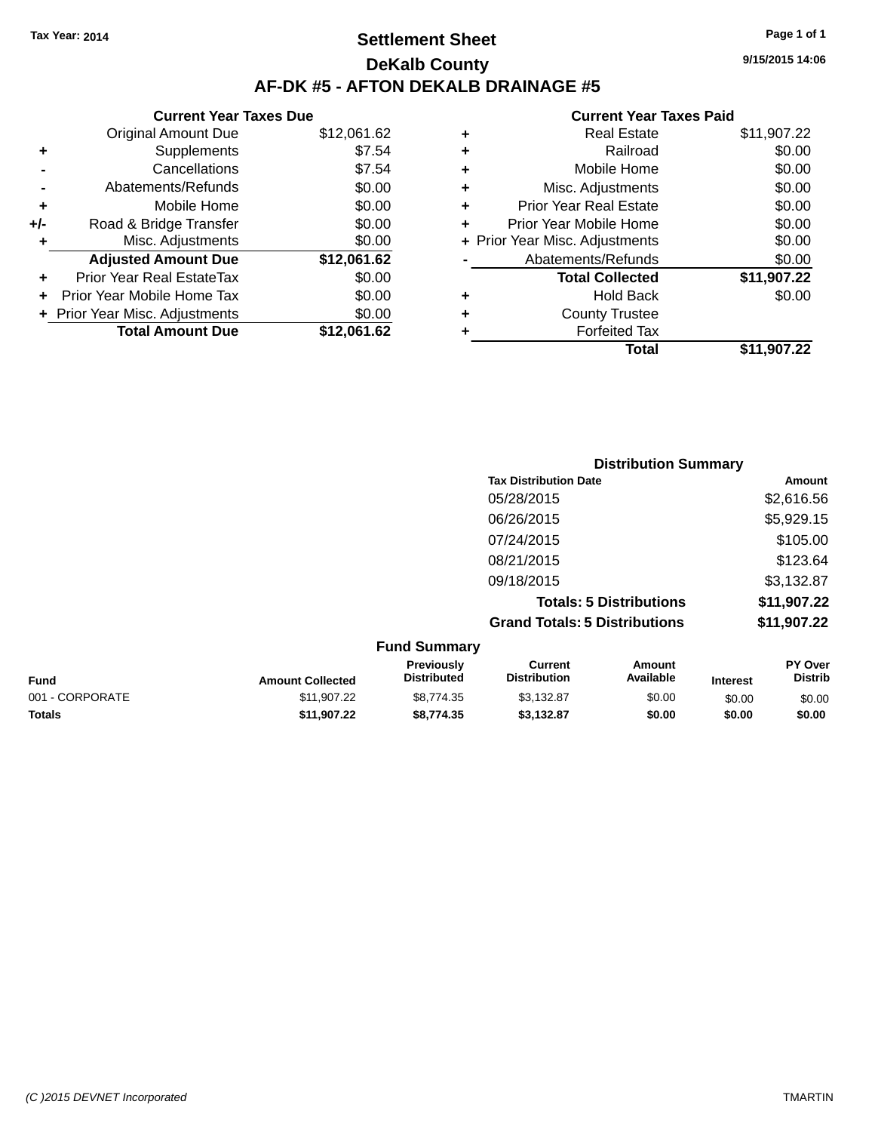### **Settlement Sheet Tax Year: 2014 Page 1 of 1 DeKalb County AF-DK #5 - AFTON DEKALB DRAINAGE #5**

|       | <b>Current Year Taxes Due</b>    |             |  |  |  |  |
|-------|----------------------------------|-------------|--|--|--|--|
|       | <b>Original Amount Due</b>       | \$12,061.62 |  |  |  |  |
| ٠     | Supplements                      | \$7.54      |  |  |  |  |
|       | Cancellations                    | \$7.54      |  |  |  |  |
|       | Abatements/Refunds               | \$0.00      |  |  |  |  |
| ٠     | Mobile Home                      | \$0.00      |  |  |  |  |
| $+/-$ | Road & Bridge Transfer           | \$0.00      |  |  |  |  |
| ٠     | Misc. Adjustments                | \$0.00      |  |  |  |  |
|       | <b>Adjusted Amount Due</b>       | \$12,061.62 |  |  |  |  |
| ÷     | <b>Prior Year Real EstateTax</b> | \$0.00      |  |  |  |  |
|       | Prior Year Mobile Home Tax       | \$0.00      |  |  |  |  |
|       | + Prior Year Misc. Adjustments   | \$0.00      |  |  |  |  |
|       | <b>Total Amount Due</b>          | \$12,061.62 |  |  |  |  |
|       |                                  |             |  |  |  |  |

|   | <b>Real Estate</b>             | \$11,907.22 |
|---|--------------------------------|-------------|
| ÷ | Railroad                       | \$0.00      |
| ٠ | Mobile Home                    | \$0.00      |
| ٠ | Misc. Adjustments              | \$0.00      |
| ٠ | <b>Prior Year Real Estate</b>  | \$0.00      |
| ٠ | Prior Year Mobile Home         | \$0.00      |
|   | + Prior Year Misc. Adjustments | \$0.00      |
|   | Abatements/Refunds             | \$0.00      |
|   | <b>Total Collected</b>         | \$11,907.22 |
| ٠ | <b>Hold Back</b>               | \$0.00      |
| ٠ | <b>County Trustee</b>          |             |
| ٠ | <b>Forfeited Tax</b>           |             |
|   | Total                          | \$11,907.22 |
|   |                                |             |

| <b>Distribution Summary</b>          |             |
|--------------------------------------|-------------|
| <b>Tax Distribution Date</b>         | Amount      |
| 05/28/2015                           | \$2,616.56  |
| 06/26/2015                           | \$5,929.15  |
| 07/24/2015                           | \$105.00    |
| 08/21/2015                           | \$123.64    |
| 09/18/2015                           | \$3,132.87  |
| <b>Totals: 5 Distributions</b>       | \$11,907.22 |
| <b>Grand Totals: 5 Distributions</b> | \$11,907.22 |

|                 |                         | <b>Fund Summary</b>                     |                                |                     |                 |                           |
|-----------------|-------------------------|-----------------------------------------|--------------------------------|---------------------|-----------------|---------------------------|
| <b>Fund</b>     | <b>Amount Collected</b> | <b>Previously</b><br><b>Distributed</b> | Current<br><b>Distribution</b> | Amount<br>Available | <b>Interest</b> | PY Over<br><b>Distrib</b> |
| 001 - CORPORATE | \$11,907.22             | \$8,774.35                              | \$3.132.87                     | \$0.00              | \$0.00          | \$0.00                    |
| <b>Totals</b>   | \$11.907.22             | \$8,774,35                              | \$3.132.87                     | \$0.00              | \$0.00          | \$0.00                    |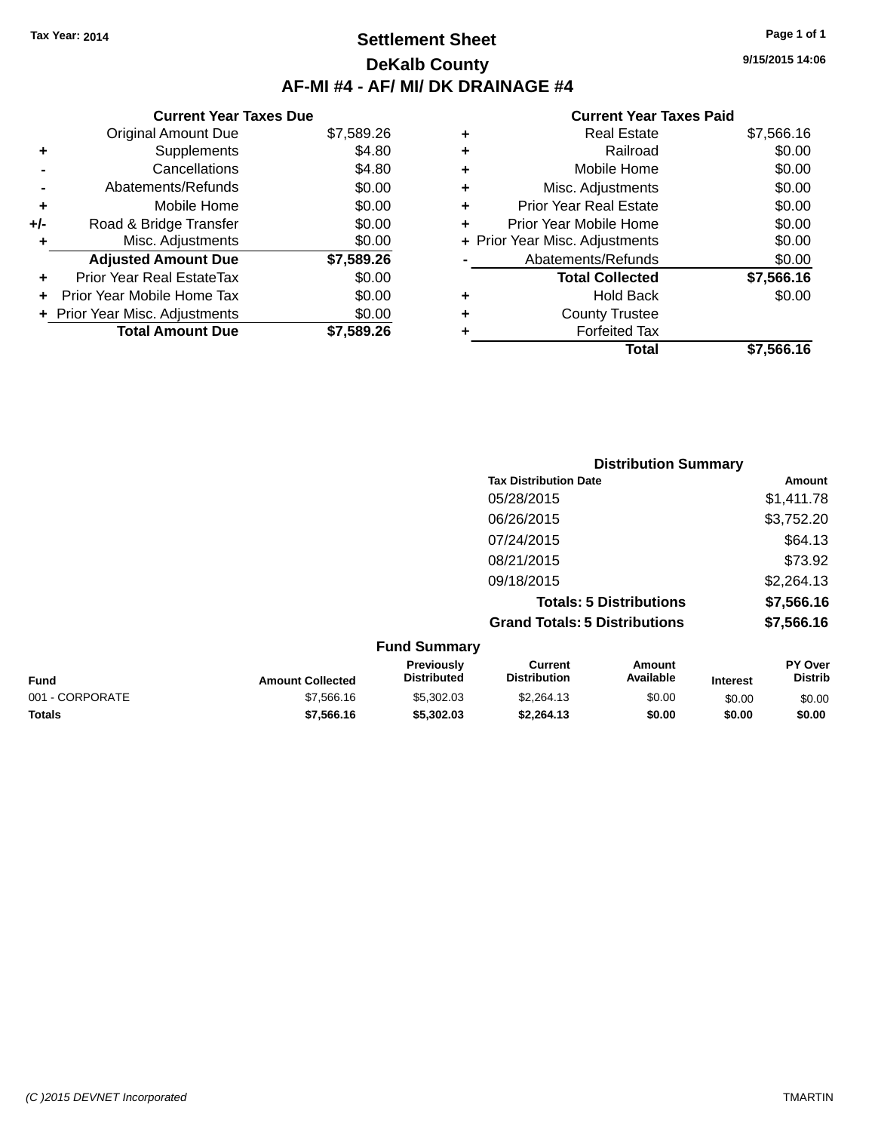### **Settlement Sheet Tax Year: 2014 Page 1 of 1 DeKalb County AF-MI #4 - AF/ MI/ DK DRAINAGE #4**

**Current Year Taxes Due** Original Amount Due \$7,589.26 **+** Supplements \$4.80 **-** Cancellations \$4.80 **-** Abatements/Refunds \$0.00 **+** Mobile Home \$0.00 **+/-** Road & Bridge Transfer \$0.00 **+** Misc. Adjustments \$0.00 **Adjusted Amount Due \$7,589.26 +** Prior Year Real EstateTax \$0.00 **+** Prior Year Mobile Home Tax \$0.00 **+ Prior Year Misc. Adjustments**  $$0.00$ 

**Total Amount Due \$7,589.26**

#### **Current Year Taxes Paid**

| ٠ | <b>Real Estate</b>             | \$7,566.16 |
|---|--------------------------------|------------|
| ÷ | Railroad                       | \$0.00     |
| ٠ | Mobile Home                    | \$0.00     |
| ÷ | Misc. Adjustments              | \$0.00     |
| ٠ | <b>Prior Year Real Estate</b>  | \$0.00     |
| ٠ | Prior Year Mobile Home         | \$0.00     |
|   | + Prior Year Misc. Adjustments | \$0.00     |
|   | Abatements/Refunds             | \$0.00     |
|   | <b>Total Collected</b>         | \$7,566.16 |
| ٠ | Hold Back                      | \$0.00     |
| ٠ | <b>County Trustee</b>          |            |
| ٠ | <b>Forfeited Tax</b>           |            |
|   | Total                          | \$7,566.16 |
|   |                                |            |

|      |                         |                                  | <b>Distribution Summary</b>           |                                |                 |                           |
|------|-------------------------|----------------------------------|---------------------------------------|--------------------------------|-----------------|---------------------------|
|      |                         |                                  | <b>Tax Distribution Date</b>          |                                |                 | Amount                    |
|      |                         |                                  | 05/28/2015                            |                                |                 | \$1,411.78                |
|      |                         |                                  | 06/26/2015                            |                                |                 | \$3,752.20                |
|      |                         |                                  | 07/24/2015                            |                                |                 | \$64.13                   |
|      |                         |                                  | 08/21/2015                            |                                |                 | \$73.92                   |
|      |                         |                                  | 09/18/2015                            |                                |                 | \$2,264.13                |
|      |                         |                                  |                                       | <b>Totals: 5 Distributions</b> |                 | \$7,566.16                |
|      |                         |                                  | <b>Grand Totals: 5 Distributions</b>  |                                |                 | \$7,566.16                |
|      |                         | <b>Fund Summary</b>              |                                       |                                |                 |                           |
| Fund | <b>Amount Collected</b> | Previously<br><b>Distributed</b> | <b>Current</b><br><b>Distribution</b> | Amount<br>Available            | <b>Interest</b> | PY Over<br><b>Distrib</b> |

|                 |                         | Previously         | Current             | Amount           |                 | <b>PY Over</b> |
|-----------------|-------------------------|--------------------|---------------------|------------------|-----------------|----------------|
| Fund            | <b>Amount Collected</b> | <b>Distributed</b> | <b>Distribution</b> | <b>Available</b> | <b>Interest</b> | Distrib        |
| 001 - CORPORATE | \$7.566.16              | \$5,302.03         | \$2,264.13          | \$0.00           | \$0.00          | \$0.00         |
| <b>Totals</b>   | \$7.566.16              | \$5,302.03         | \$2.264.13          | \$0.00           | \$0.00          | \$0.00         |

*(C )2015 DEVNET Incorporated* TMARTIN

**9/15/2015 14:06**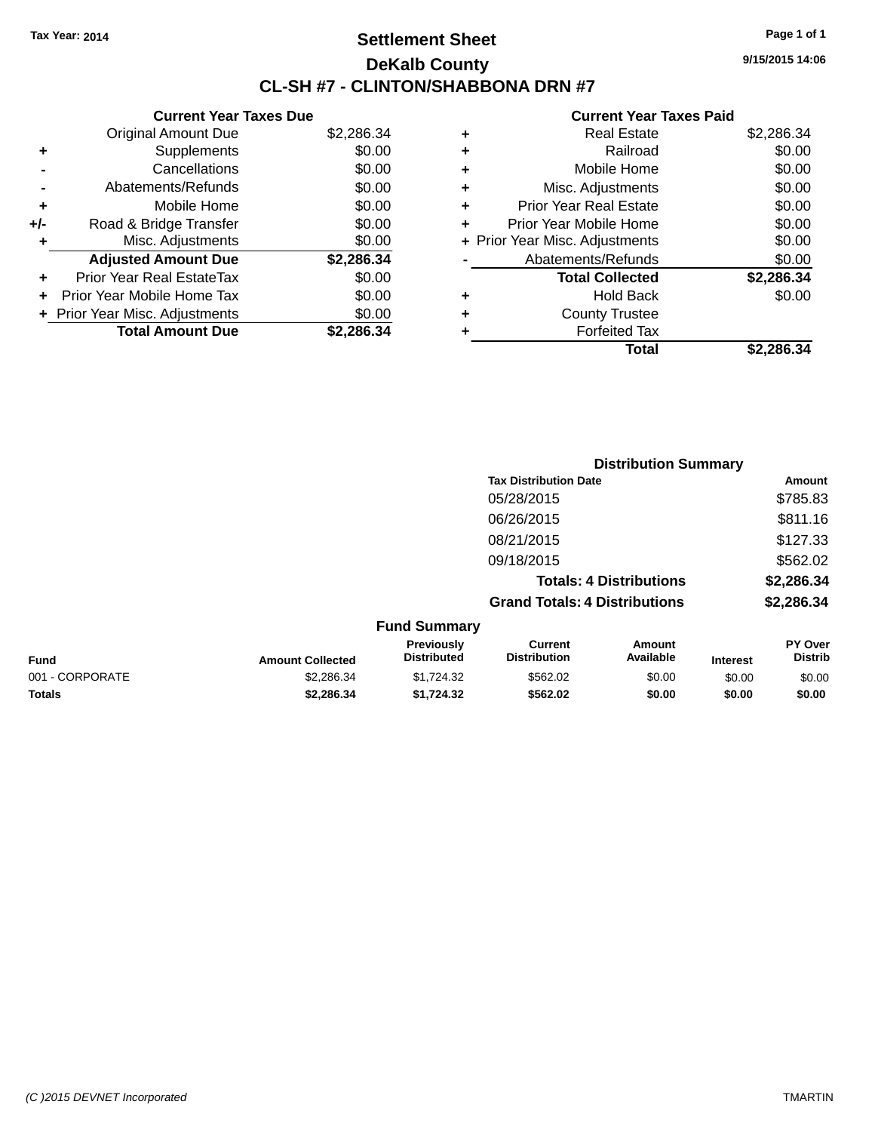### **Settlement Sheet Tax Year: 2014 Page 1 of 1 DeKalb County CL-SH #7 - CLINTON/SHABBONA DRN #7**

**Current Year Taxes Due** Original Amount Due \$2,286.34 **+** Supplements \$0.00 **-** Cancellations \$0.00 **-** Abatements/Refunds \$0.00 **+** Mobile Home \$0.00 **+/-** Road & Bridge Transfer \$0.00 **+** Misc. Adjustments \$0.00 **Adjusted Amount Due \$2,286.34 +** Prior Year Real EstateTax \$0.00 **+** Prior Year Mobile Home Tax \$0.00 **+ Prior Year Misc. Adjustments**  $$0.00$ **Total Amount Due \$2,286.34**

| ٠ | <b>Real Estate</b>             | \$2,286.34 |
|---|--------------------------------|------------|
| ٠ | Railroad                       | \$0.00     |
| ٠ | Mobile Home                    | \$0.00     |
| ٠ | Misc. Adjustments              | \$0.00     |
| ٠ | <b>Prior Year Real Estate</b>  | \$0.00     |
| ٠ | Prior Year Mobile Home         | \$0.00     |
|   | + Prior Year Misc. Adjustments | \$0.00     |
|   | Abatements/Refunds             | \$0.00     |
|   | <b>Total Collected</b>         | \$2,286.34 |
| ٠ | Hold Back                      | \$0.00     |
| ٠ | <b>County Trustee</b>          |            |
| ٠ | <b>Forfeited Tax</b>           |            |
|   | <b>Total</b>                   | \$2,286.34 |
|   |                                |            |

|                 |                         | <b>Distribution Summary</b>             |                                       |                                |                 |                                  |
|-----------------|-------------------------|-----------------------------------------|---------------------------------------|--------------------------------|-----------------|----------------------------------|
|                 |                         |                                         | <b>Tax Distribution Date</b>          |                                |                 | Amount                           |
|                 |                         |                                         | 05/28/2015                            |                                |                 | \$785.83                         |
|                 |                         |                                         | 06/26/2015                            |                                |                 | \$811.16                         |
|                 |                         |                                         | 08/21/2015                            |                                |                 | \$127.33                         |
|                 |                         |                                         | 09/18/2015                            |                                |                 | \$562.02                         |
|                 |                         |                                         |                                       | <b>Totals: 4 Distributions</b> |                 | \$2,286.34                       |
|                 |                         |                                         | <b>Grand Totals: 4 Distributions</b>  |                                |                 | \$2,286.34                       |
|                 |                         | <b>Fund Summary</b>                     |                                       |                                |                 |                                  |
| <b>Fund</b>     | <b>Amount Collected</b> | <b>Previously</b><br><b>Distributed</b> | <b>Current</b><br><b>Distribution</b> | Amount<br>Available            | <b>Interest</b> | <b>PY Over</b><br><b>Distrib</b> |
| 001 - CORPORATE | \$2,286.34              | \$1,724.32                              | \$562.02                              | \$0.00                         | \$0.00          | \$0.00                           |
| <b>Totals</b>   | \$2,286,34              | \$1,724.32                              | \$562.02                              | \$0.00                         | \$0.00          | \$0.00                           |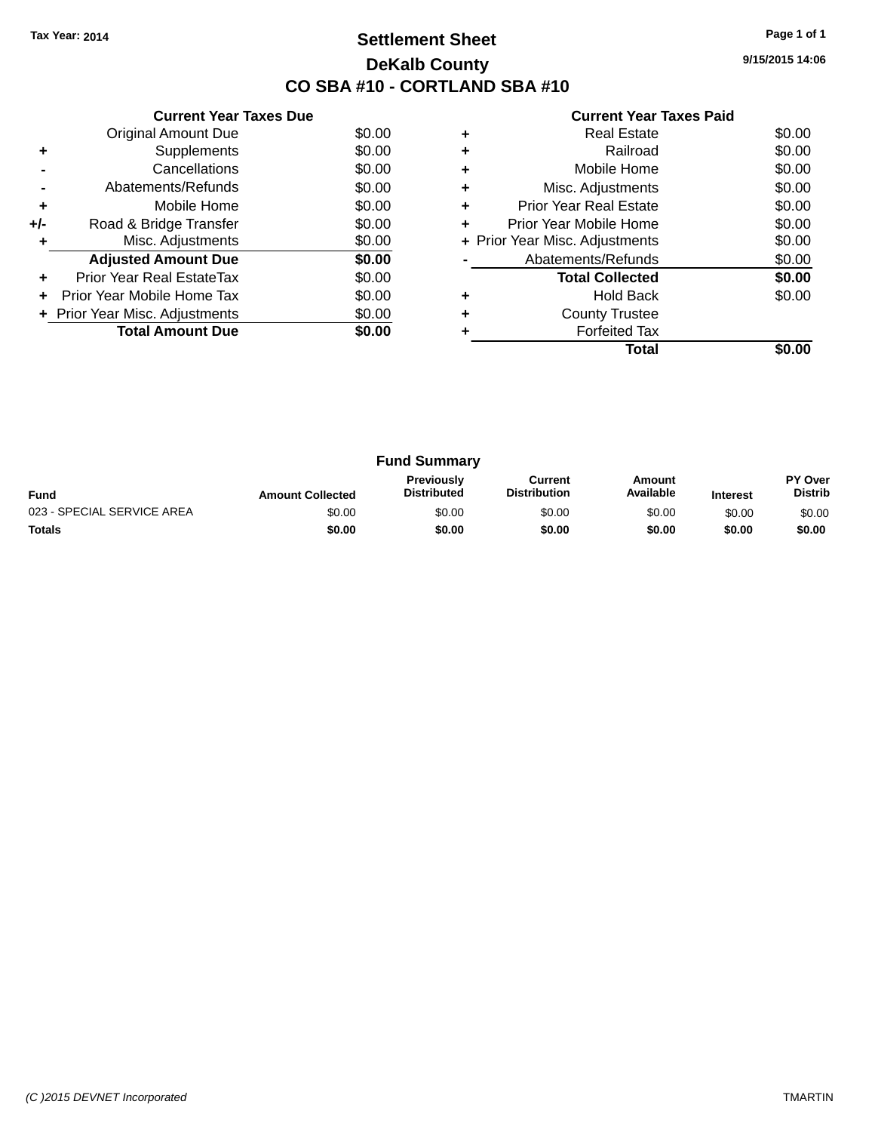### **Settlement Sheet Tax Year: 2014 Page 1 of 1 DeKalb County CO SBA #10 - CORTLAND SBA #10**

**9/15/2015 14:06**

|     | <b>Current Year Taxes Due</b>  |        |
|-----|--------------------------------|--------|
|     | <b>Original Amount Due</b>     | \$0.00 |
| ٠   | Supplements                    | \$0.00 |
|     | Cancellations                  | \$0.00 |
|     | Abatements/Refunds             | \$0.00 |
| ÷   | Mobile Home                    | \$0.00 |
| +/- | Road & Bridge Transfer         | \$0.00 |
|     | Misc. Adjustments              | \$0.00 |
|     | <b>Adjusted Amount Due</b>     | \$0.00 |
| ÷   | Prior Year Real EstateTax      | \$0.00 |
|     | Prior Year Mobile Home Tax     | \$0.00 |
|     | + Prior Year Misc. Adjustments | \$0.00 |
|     | <b>Total Amount Due</b>        | \$0.00 |
|     |                                |        |

|   | Real Estate                    | \$0.00 |
|---|--------------------------------|--------|
| ٠ | Railroad                       | \$0.00 |
|   | Mobile Home                    | \$0.00 |
| ٠ | Misc. Adjustments              | \$0.00 |
| ٠ | <b>Prior Year Real Estate</b>  | \$0.00 |
|   | Prior Year Mobile Home         | \$0.00 |
|   | + Prior Year Misc. Adjustments | \$0.00 |
|   | Abatements/Refunds             | \$0.00 |
|   | <b>Total Collected</b>         | \$0.00 |
|   | <b>Hold Back</b>               | \$0.00 |
|   | <b>County Trustee</b>          |        |
|   | <b>Forfeited Tax</b>           |        |
|   | Total                          |        |

| <b>Fund Summary</b>        |                         |                                         |                                |                     |                 |                                  |
|----------------------------|-------------------------|-----------------------------------------|--------------------------------|---------------------|-----------------|----------------------------------|
| <b>Fund</b>                | <b>Amount Collected</b> | <b>Previously</b><br><b>Distributed</b> | Current<br><b>Distribution</b> | Amount<br>Available | <b>Interest</b> | <b>PY Over</b><br><b>Distrib</b> |
| 023 - SPECIAL SERVICE AREA | \$0.00                  | \$0.00                                  | \$0.00                         | \$0.00              | \$0.00          | \$0.00                           |
| <b>Totals</b>              | \$0.00                  | \$0.00                                  | \$0.00                         | \$0.00              | \$0.00          | \$0.00                           |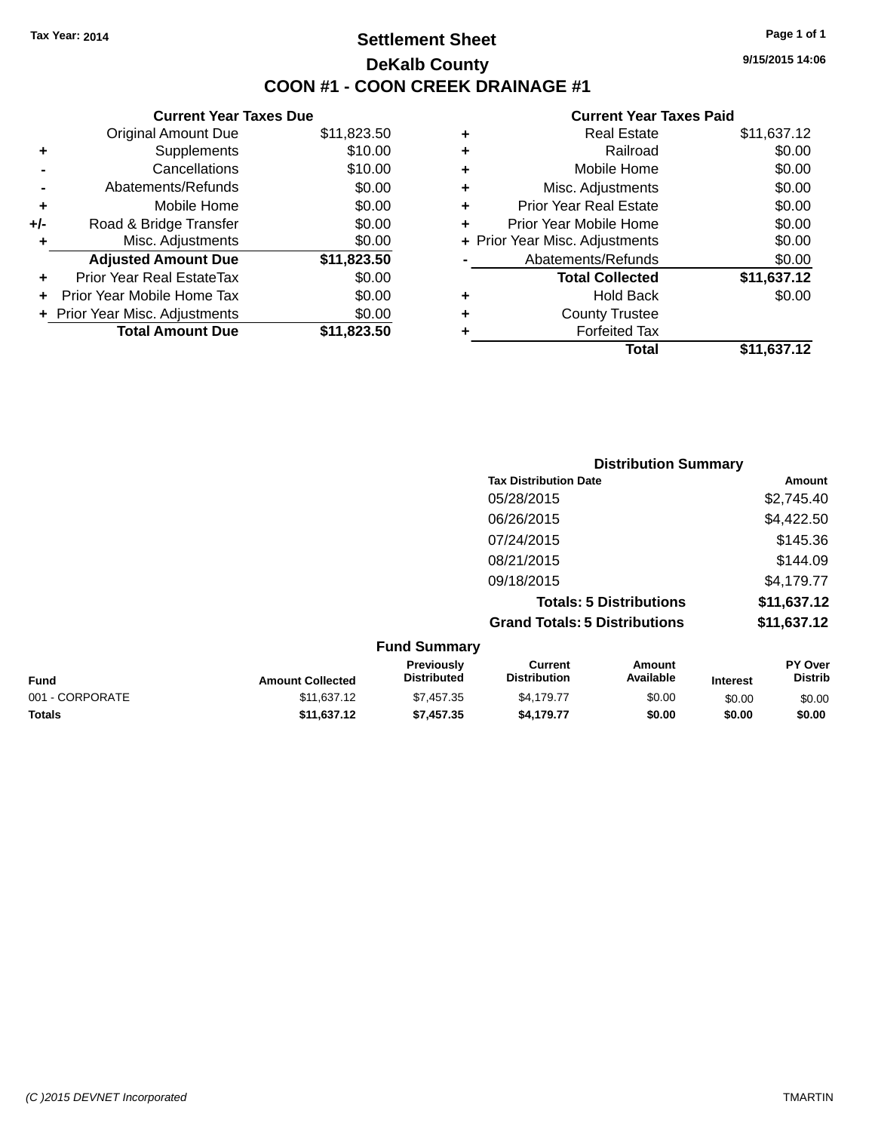### **Settlement Sheet Tax Year: 2014 Page 1 of 1 DeKalb County COON #1 - COON CREEK DRAINAGE #1**

**9/15/2015 14:06**

| <b>Current Year Taxes Due</b> |                                |
|-------------------------------|--------------------------------|
| <b>Original Amount Due</b>    | \$11,823.50                    |
| Supplements                   | \$10.00                        |
| Cancellations                 | \$10.00                        |
| Abatements/Refunds            | \$0.00                         |
| Mobile Home                   | \$0.00                         |
| Road & Bridge Transfer        | \$0.00                         |
| Misc. Adjustments             | \$0.00                         |
| <b>Adjusted Amount Due</b>    | \$11,823.50                    |
| Prior Year Real EstateTax     | \$0.00                         |
| Prior Year Mobile Home Tax    | \$0.00                         |
|                               | \$0.00                         |
| <b>Total Amount Due</b>       | \$11,823,50                    |
|                               | + Prior Year Misc. Adjustments |

| ٠ | <b>Real Estate</b>             | \$11,637.12 |
|---|--------------------------------|-------------|
| ٠ | Railroad                       | \$0.00      |
| ٠ | Mobile Home                    | \$0.00      |
| ٠ | Misc. Adjustments              | \$0.00      |
| ÷ | <b>Prior Year Real Estate</b>  | \$0.00      |
| ÷ | Prior Year Mobile Home         | \$0.00      |
|   | + Prior Year Misc. Adjustments | \$0.00      |
|   | Abatements/Refunds             | \$0.00      |
|   | <b>Total Collected</b>         | \$11,637.12 |
| ٠ | Hold Back                      | \$0.00      |
| ÷ | <b>County Trustee</b>          |             |
| ٠ | <b>Forfeited Tax</b>           |             |
|   | Total                          | \$11,637.12 |
|   |                                |             |

| <b>Distribution Summary</b>          |             |
|--------------------------------------|-------------|
| <b>Tax Distribution Date</b>         | Amount      |
| 05/28/2015                           | \$2,745.40  |
| 06/26/2015                           | \$4,422.50  |
| 07/24/2015                           | \$145.36    |
| 08/21/2015                           | \$144.09    |
| 09/18/2015                           | \$4,179.77  |
| <b>Totals: 5 Distributions</b>       | \$11,637.12 |
| <b>Grand Totals: 5 Distributions</b> | \$11,637.12 |

|                 |                         | <b>Fund Summary</b>                     |                                |                     |                 |                           |
|-----------------|-------------------------|-----------------------------------------|--------------------------------|---------------------|-----------------|---------------------------|
| <b>Fund</b>     | <b>Amount Collected</b> | <b>Previously</b><br><b>Distributed</b> | Current<br><b>Distribution</b> | Amount<br>Available | <b>Interest</b> | PY Over<br><b>Distrib</b> |
| 001 - CORPORATE | \$11,637.12             | \$7,457.35                              | \$4.179.77                     | \$0.00              | \$0.00          | \$0.00                    |
| <b>Totals</b>   | \$11.637.12             | \$7,457.35                              | \$4,179.77                     | \$0.00              | \$0.00          | \$0.00                    |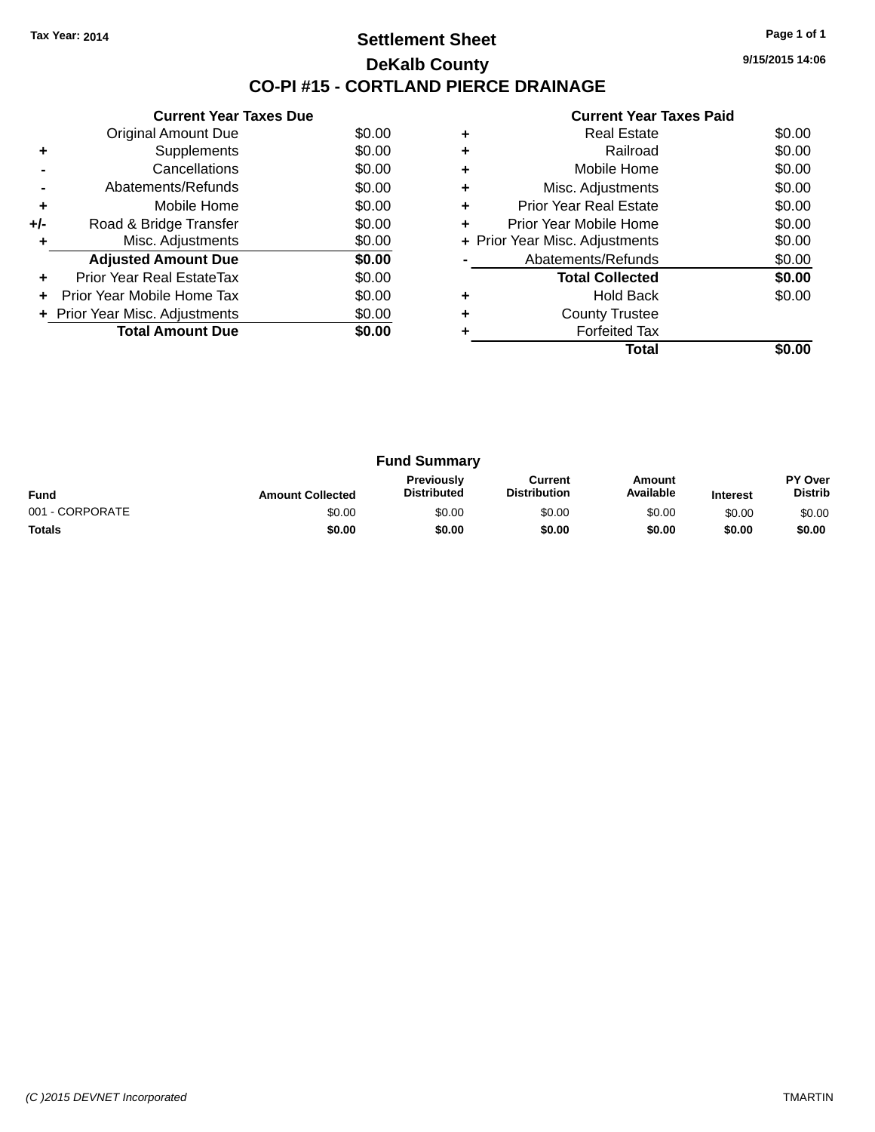### **Settlement Sheet Tax Year: 2014 Page 1 of 1 DeKalb County CO-PI #15 - CORTLAND PIERCE DRAINAGE**

**9/15/2015 14:06**

|     | <b>Current Year Taxes Due</b>  |        |
|-----|--------------------------------|--------|
|     | <b>Original Amount Due</b>     | \$0.00 |
| ٠   | Supplements                    | \$0.00 |
|     | Cancellations                  | \$0.00 |
|     | Abatements/Refunds             | \$0.00 |
| ٠   | Mobile Home                    | \$0.00 |
| +/- | Road & Bridge Transfer         | \$0.00 |
| ٠   | Misc. Adjustments              | \$0.00 |
|     | <b>Adjusted Amount Due</b>     | \$0.00 |
| ÷   | Prior Year Real EstateTax      | \$0.00 |
|     | Prior Year Mobile Home Tax     | \$0.00 |
|     | + Prior Year Misc. Adjustments | \$0.00 |
|     | <b>Total Amount Due</b>        | \$0.00 |
|     |                                |        |

|   | <b>Real Estate</b>             | \$0.00 |
|---|--------------------------------|--------|
| ٠ | Railroad                       | \$0.00 |
| ٠ | Mobile Home                    | \$0.00 |
| ٠ | Misc. Adjustments              | \$0.00 |
| ٠ | <b>Prior Year Real Estate</b>  | \$0.00 |
| ٠ | Prior Year Mobile Home         | \$0.00 |
|   | + Prior Year Misc. Adjustments | \$0.00 |
|   | Abatements/Refunds             | \$0.00 |
|   | <b>Total Collected</b>         | \$0.00 |
|   | <b>Hold Back</b>               | \$0.00 |
| ٠ | <b>County Trustee</b>          |        |
|   | <b>Forfeited Tax</b>           |        |
|   | Total                          |        |

| <b>Fund Summary</b> |                         |                                         |                                |                     |                 |                           |
|---------------------|-------------------------|-----------------------------------------|--------------------------------|---------------------|-----------------|---------------------------|
| <b>Fund</b>         | <b>Amount Collected</b> | <b>Previously</b><br><b>Distributed</b> | Current<br><b>Distribution</b> | Amount<br>Available | <b>Interest</b> | PY Over<br><b>Distrib</b> |
| 001 - CORPORATE     | \$0.00                  | \$0.00                                  | \$0.00                         | \$0.00              | \$0.00          | \$0.00                    |
| <b>Totals</b>       | \$0.00                  | \$0.00                                  | \$0.00                         | \$0.00              | \$0.00          | \$0.00                    |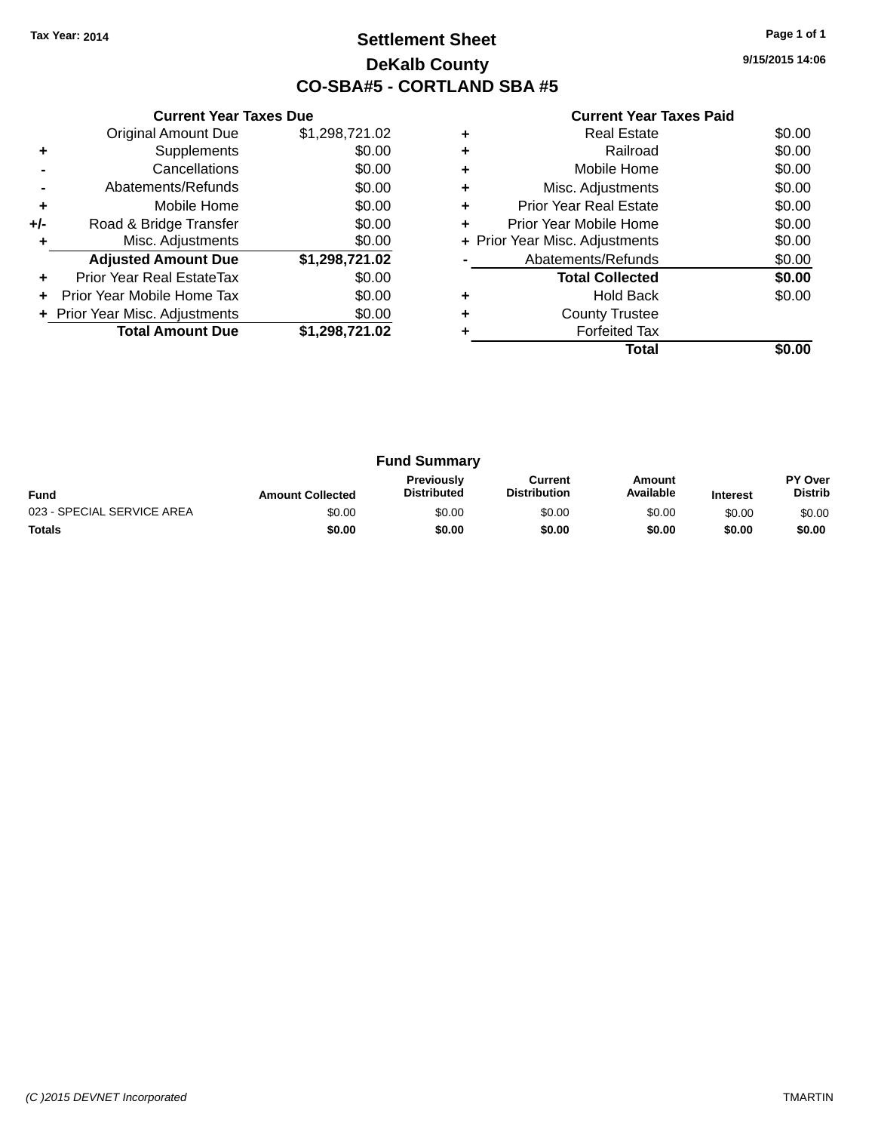### **Settlement Sheet Tax Year: 2014 Page 1 of 1 DeKalb County CO-SBA#5 - CORTLAND SBA #5**

**9/15/2015 14:06**

| <b>Current Year Taxes Paid</b> |  |  |
|--------------------------------|--|--|
|                                |  |  |

|       | <b>Current Year Taxes Due</b>  |                |
|-------|--------------------------------|----------------|
|       | <b>Original Amount Due</b>     | \$1,298,721.02 |
| ٠     | Supplements                    | \$0.00         |
|       | Cancellations                  | \$0.00         |
|       | Abatements/Refunds             | \$0.00         |
| ٠     | Mobile Home                    | \$0.00         |
| $+/-$ | Road & Bridge Transfer         | \$0.00         |
|       | Misc. Adjustments              | \$0.00         |
|       | <b>Adjusted Amount Due</b>     | \$1,298,721.02 |
|       | Prior Year Real EstateTax      | \$0.00         |
|       | Prior Year Mobile Home Tax     | \$0.00         |
|       | + Prior Year Misc. Adjustments | \$0.00         |
|       | <b>Total Amount Due</b>        | \$1,298,721.02 |
|       |                                |                |

|   | <b>Real Estate</b>             | \$0.00 |
|---|--------------------------------|--------|
|   | Railroad                       | \$0.00 |
| ٠ | Mobile Home                    | \$0.00 |
| ٠ | Misc. Adjustments              | \$0.00 |
| ٠ | <b>Prior Year Real Estate</b>  | \$0.00 |
| ٠ | Prior Year Mobile Home         | \$0.00 |
|   | + Prior Year Misc. Adjustments | \$0.00 |
|   | Abatements/Refunds             | \$0.00 |
|   | <b>Total Collected</b>         | \$0.00 |
|   | <b>Hold Back</b>               | \$0.00 |
| ٠ | <b>County Trustee</b>          |        |
|   | <b>Forfeited Tax</b>           |        |
|   | Total                          |        |

| <b>Fund Summary</b>        |                         |                                         |                                |                     |                 |                           |
|----------------------------|-------------------------|-----------------------------------------|--------------------------------|---------------------|-----------------|---------------------------|
| <b>Fund</b>                | <b>Amount Collected</b> | <b>Previously</b><br><b>Distributed</b> | Current<br><b>Distribution</b> | Amount<br>Available | <b>Interest</b> | PY Over<br><b>Distrib</b> |
| 023 - SPECIAL SERVICE AREA | \$0.00                  | \$0.00                                  | \$0.00                         | \$0.00              | \$0.00          | \$0.00                    |
| <b>Totals</b>              | \$0.00                  | \$0.00                                  | \$0.00                         | \$0.00              | \$0.00          | \$0.00                    |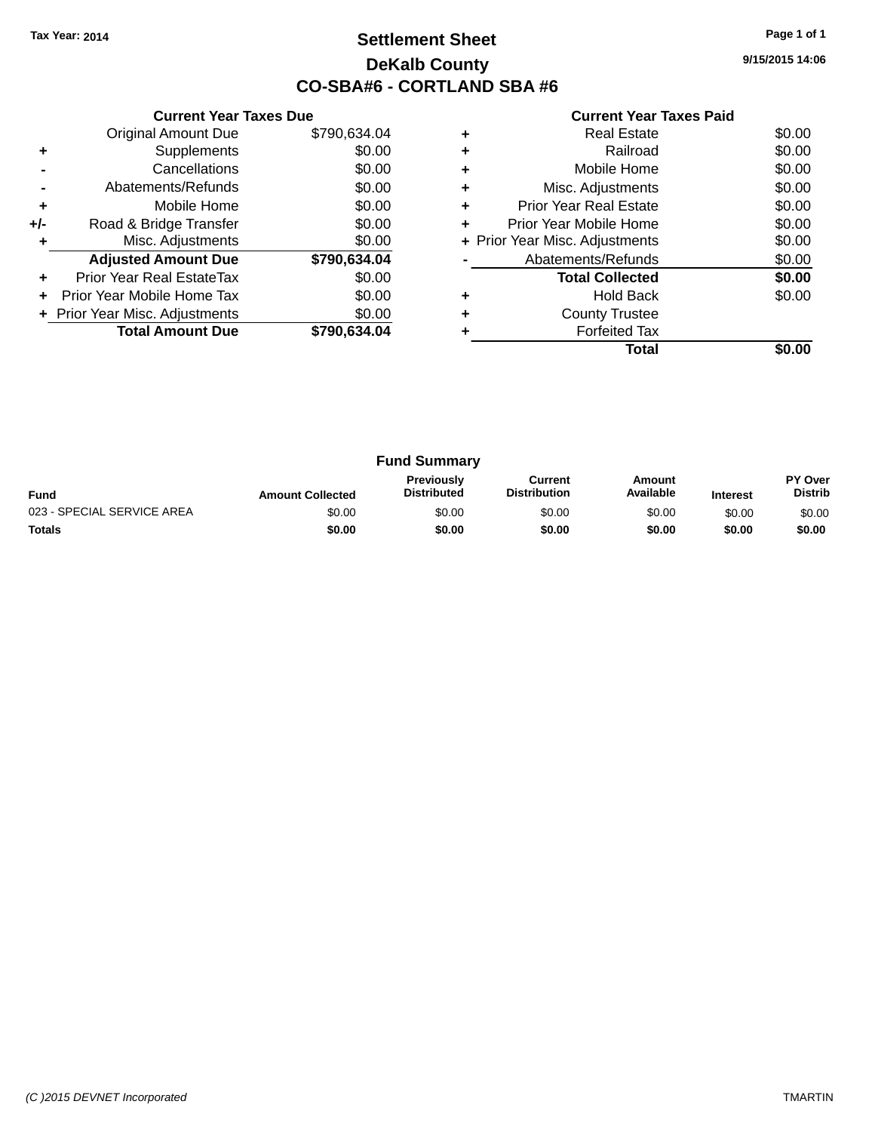### **Settlement Sheet Tax Year: 2014 Page 1 of 1 DeKalb County CO-SBA#6 - CORTLAND SBA #6**

**9/15/2015 14:06**

|     | <b>Current Year Taxes Due</b>  |              |
|-----|--------------------------------|--------------|
|     | <b>Original Amount Due</b>     | \$790,634.04 |
| ٠   | Supplements                    | \$0.00       |
|     | Cancellations                  | \$0.00       |
|     | Abatements/Refunds             | \$0.00       |
| ٠   | Mobile Home                    | \$0.00       |
| +/- | Road & Bridge Transfer         | \$0.00       |
| ٠   | Misc. Adjustments              | \$0.00       |
|     | <b>Adjusted Amount Due</b>     | \$790,634.04 |
| ÷   | Prior Year Real EstateTax      | \$0.00       |
| ÷   | Prior Year Mobile Home Tax     | \$0.00       |
|     | + Prior Year Misc. Adjustments | \$0.00       |
|     | <b>Total Amount Due</b>        | \$790.634.04 |
|     |                                |              |

|   | <b>Real Estate</b>             | \$0.00 |
|---|--------------------------------|--------|
| ٠ | Railroad                       | \$0.00 |
| ٠ | Mobile Home                    | \$0.00 |
| ٠ | Misc. Adjustments              | \$0.00 |
| ٠ | <b>Prior Year Real Estate</b>  | \$0.00 |
| ٠ | Prior Year Mobile Home         | \$0.00 |
|   | + Prior Year Misc. Adjustments | \$0.00 |
|   | Abatements/Refunds             | \$0.00 |
|   | <b>Total Collected</b>         | \$0.00 |
| ٠ | <b>Hold Back</b>               | \$0.00 |
| ٠ | <b>County Trustee</b>          |        |
|   | <b>Forfeited Tax</b>           |        |
|   | Total                          |        |

| <b>Fund Summary</b>        |                         |                                         |                                |                     |                 |                                  |
|----------------------------|-------------------------|-----------------------------------------|--------------------------------|---------------------|-----------------|----------------------------------|
| <b>Fund</b>                | <b>Amount Collected</b> | <b>Previously</b><br><b>Distributed</b> | Current<br><b>Distribution</b> | Amount<br>Available | <b>Interest</b> | <b>PY Over</b><br><b>Distrib</b> |
| 023 - SPECIAL SERVICE AREA | \$0.00                  | \$0.00                                  | \$0.00                         | \$0.00              | \$0.00          | \$0.00                           |
| <b>Totals</b>              | \$0.00                  | \$0.00                                  | \$0.00                         | \$0.00              | \$0.00          | \$0.00                           |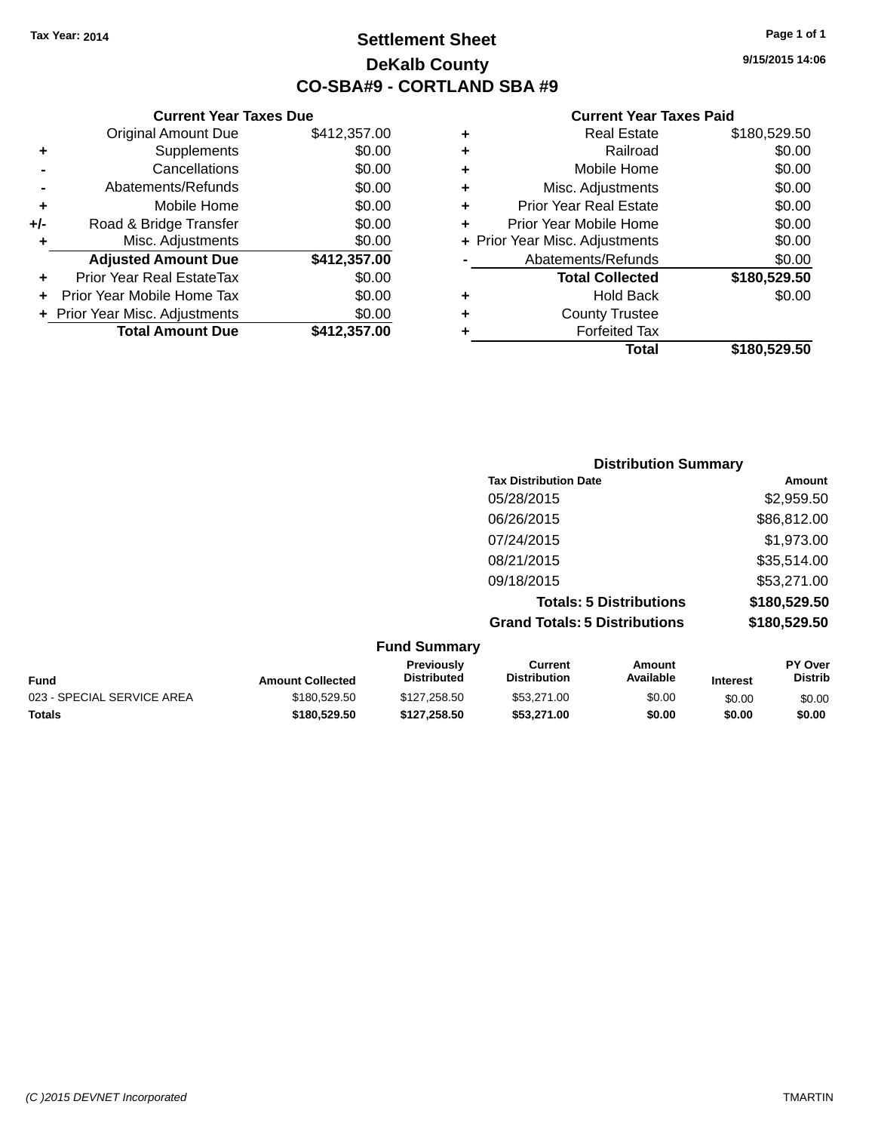**Current Year Taxes Due** Original Amount Due \$412,357.00

**Adjusted Amount Due \$412,357.00**

**Total Amount Due \$412,357.00**

**+** Supplements \$0.00 **-** Cancellations \$0.00 **-** Abatements/Refunds \$0.00 **+** Mobile Home \$0.00 **+/-** Road & Bridge Transfer \$0.00 **+** Misc. Adjustments \$0.00

**+** Prior Year Real EstateTax \$0.00 **+** Prior Year Mobile Home Tax \$0.00 **+ Prior Year Misc. Adjustments**  $$0.00$ 

### **Settlement Sheet Tax Year: 2014 Page 1 of 1 DeKalb County CO-SBA#9 - CORTLAND SBA #9**

**9/15/2015 14:06**

|   | <b>Real Estate</b>             | \$180,529.50 |
|---|--------------------------------|--------------|
| ٠ | Railroad                       | \$0.00       |
| ٠ | Mobile Home                    | \$0.00       |
| ٠ | Misc. Adjustments              | \$0.00       |
| ٠ | <b>Prior Year Real Estate</b>  | \$0.00       |
| ٠ | Prior Year Mobile Home         | \$0.00       |
|   | + Prior Year Misc. Adjustments | \$0.00       |
|   | Abatements/Refunds             | \$0.00       |
|   | <b>Total Collected</b>         | \$180,529.50 |
| ٠ | <b>Hold Back</b>               | \$0.00       |
| ٠ | <b>County Trustee</b>          |              |
| ٠ | <b>Forfeited Tax</b>           |              |
|   | Total                          | \$180,529.50 |
|   |                                |              |

|                     | <b>Distribution Summary</b>          |              |  |  |
|---------------------|--------------------------------------|--------------|--|--|
|                     | <b>Tax Distribution Date</b>         | Amount       |  |  |
|                     | 05/28/2015                           | \$2,959.50   |  |  |
|                     | 06/26/2015                           | \$86,812.00  |  |  |
|                     | 07/24/2015                           | \$1,973.00   |  |  |
|                     | 08/21/2015                           | \$35,514.00  |  |  |
|                     | 09/18/2015                           | \$53,271.00  |  |  |
|                     | <b>Totals: 5 Distributions</b>       | \$180,529.50 |  |  |
|                     | <b>Grand Totals: 5 Distributions</b> | \$180,529.50 |  |  |
| <b>Fund Summary</b> |                                      |              |  |  |

| <b>Fund</b>                | <b>Amount Collected</b> | <b>Previously</b><br><b>Distributed</b> | Current<br><b>Distribution</b> | Amount<br>Available | <b>Interest</b> | <b>PY Over</b><br><b>Distrib</b> |
|----------------------------|-------------------------|-----------------------------------------|--------------------------------|---------------------|-----------------|----------------------------------|
| 023 - SPECIAL SERVICE AREA | \$180,529.50            | \$127.258.50                            | \$53,271,00                    | \$0.00              | \$0.00          | \$0.00                           |
| <b>Totals</b>              | \$180.529.50            | \$127.258.50                            | \$53,271.00                    | \$0.00              | \$0.00          | \$0.00                           |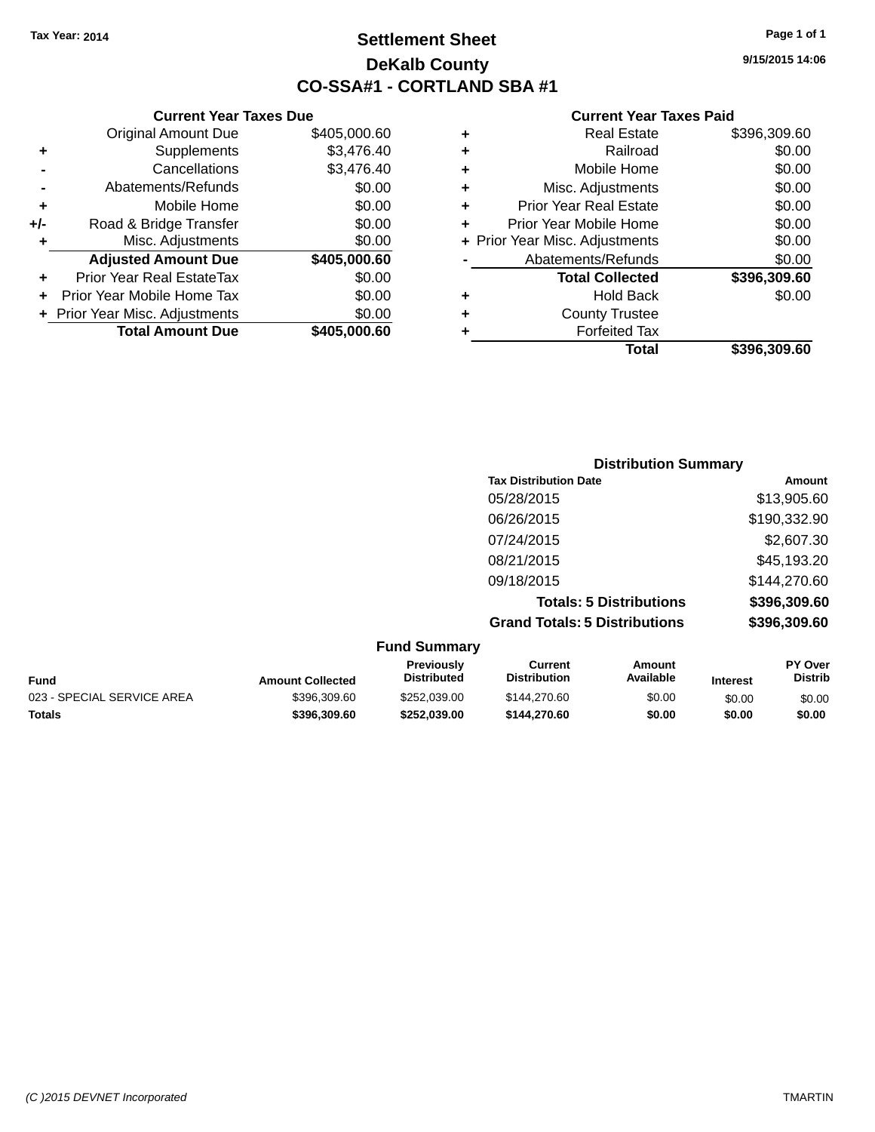### **Settlement Sheet Tax Year: 2014 Page 1 of 1 DeKalb County CO-SSA#1 - CORTLAND SBA #1**

**9/15/2015 14:06**

| Currei                   |   |              | <b>Current Year Taxes Due</b>    |       |
|--------------------------|---|--------------|----------------------------------|-------|
| Rea                      | ٠ | \$405,000.60 | Original Amount Due              |       |
| Б                        | ٠ | \$3,476.40   | Supplements                      | ٠     |
| Mobile                   | ٠ | \$3,476.40   | Cancellations                    |       |
| Misc. Adjus              | ٠ | \$0.00       | Abatements/Refunds               |       |
| Prior Year Rea           | ٠ | \$0.00       | Mobile Home                      | ٠     |
| <b>Prior Year Mobile</b> |   | \$0.00       | Road & Bridge Transfer           | $+/-$ |
| + Prior Year Misc. Adjus |   | \$0.00       | Misc. Adjustments                | ٠     |
| Abatements/F             |   | \$405,000.60 | <b>Adjusted Amount Due</b>       |       |
| <b>Total Co</b>          |   | \$0.00       | <b>Prior Year Real EstateTax</b> | ٠     |
| Ho                       | ٠ | \$0.00       | Prior Year Mobile Home Tax       |       |
| County                   | ٠ | \$0.00       | + Prior Year Misc. Adjustments   |       |
| Forfei                   |   | \$405,000.60 | <b>Total Amount Due</b>          |       |
|                          |   |              |                                  |       |

| ٠ | <b>Real Estate</b>             | \$396,309.60 |
|---|--------------------------------|--------------|
|   | Railroad                       | \$0.00       |
|   | Mobile Home                    | \$0.00       |
| ٠ | Misc. Adjustments              | \$0.00       |
| ٠ | <b>Prior Year Real Estate</b>  | \$0.00       |
| ÷ | Prior Year Mobile Home         | \$0.00       |
|   | + Prior Year Misc. Adjustments | \$0.00       |
|   | Abatements/Refunds             | \$0.00       |
|   | <b>Total Collected</b>         | \$396,309.60 |
|   | <b>Hold Back</b>               | \$0.00       |
| ٠ | <b>County Trustee</b>          |              |
|   | <b>Forfeited Tax</b>           |              |
|   | Total                          | \$396,309.60 |
|   |                                |              |

|                         |                                  | <b>Distribution Summary</b>           |                                |                 |                           |
|-------------------------|----------------------------------|---------------------------------------|--------------------------------|-----------------|---------------------------|
|                         |                                  | <b>Tax Distribution Date</b>          |                                |                 | Amount                    |
|                         |                                  | 05/28/2015                            |                                |                 | \$13,905.60               |
|                         |                                  | 06/26/2015                            |                                |                 | \$190,332.90              |
|                         |                                  | 07/24/2015                            |                                |                 | \$2,607.30                |
|                         |                                  | 08/21/2015                            |                                |                 | \$45,193.20               |
|                         |                                  | 09/18/2015                            |                                |                 | \$144,270.60              |
|                         |                                  |                                       | <b>Totals: 5 Distributions</b> |                 | \$396,309.60              |
|                         |                                  | <b>Grand Totals: 5 Distributions</b>  |                                |                 | \$396,309.60              |
|                         | <b>Fund Summary</b>              |                                       |                                |                 |                           |
| <b>Amount Collected</b> | Previously<br><b>Distributed</b> | <b>Current</b><br><b>Distribution</b> | Amount<br>Available            | <b>Interest</b> | PY Over<br><b>Distrib</b> |

| Fund                       | <b>Amount Collected</b> | <b>Previousiv</b><br><b>Distributed</b> | uurrent<br><b>Distribution</b> | Amount<br>Available | <b>Interest</b> | <b>PT OVER</b><br>Distrib |
|----------------------------|-------------------------|-----------------------------------------|--------------------------------|---------------------|-----------------|---------------------------|
| 023 - SPECIAL SERVICE AREA | \$396.309.60            | \$252.039.00                            | \$144,270.60                   | \$0.00              | \$0.00          | \$0.00                    |
| Totals                     | \$396.309.60            | \$252.039.00                            | \$144,270,60                   | \$0.00              | \$0.00          | \$0.00                    |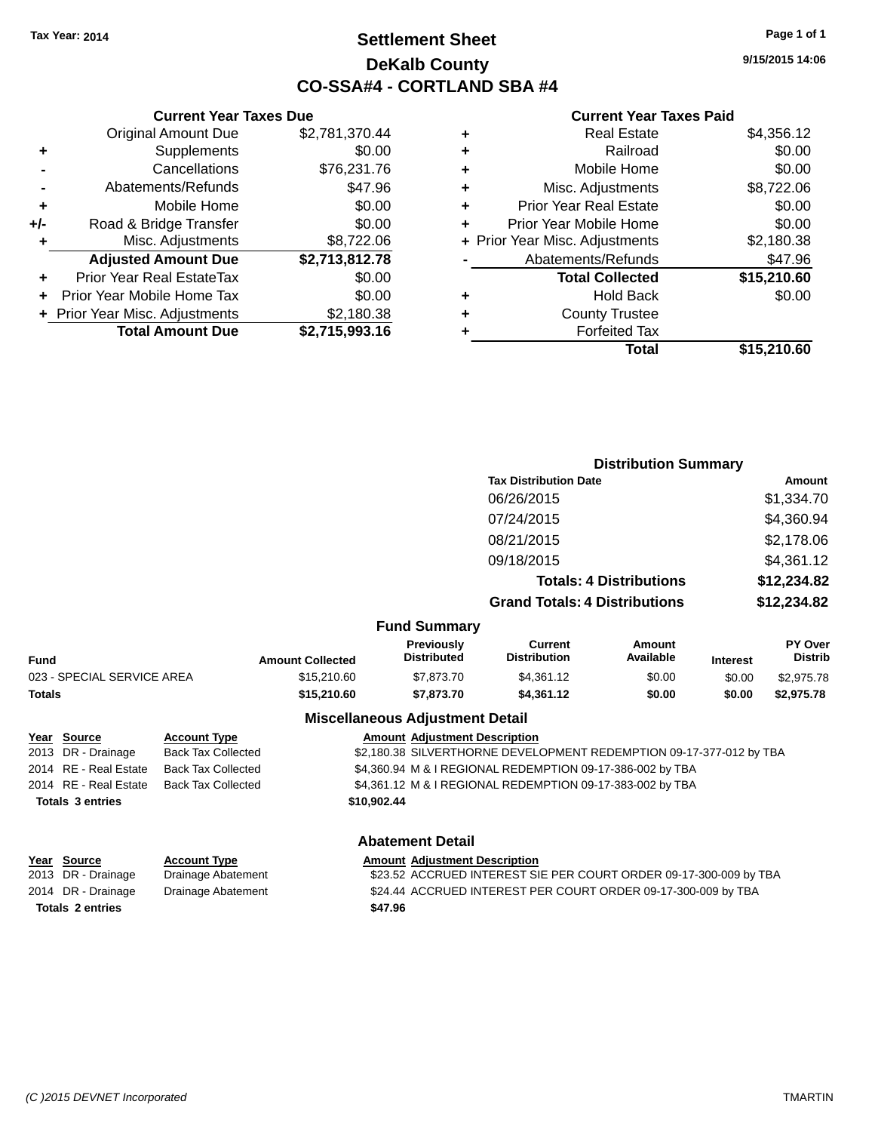### **Settlement Sheet Tax Year: 2014 Page 1 of 1 DeKalb County CO-SSA#4 - CORTLAND SBA #4**

**9/15/2015 14:06**

#### **Current Year Taxes Paid**

|       | <b>Current Year Taxes Due</b>    |                |
|-------|----------------------------------|----------------|
|       | <b>Original Amount Due</b>       | \$2,781,370.44 |
| ٠     | Supplements                      | \$0.00         |
|       | Cancellations                    | \$76,231.76    |
|       | Abatements/Refunds               | \$47.96        |
| ٠     | Mobile Home                      | \$0.00         |
| $+/-$ | Road & Bridge Transfer           | \$0.00         |
| ٠     | Misc. Adjustments                | \$8,722.06     |
|       | <b>Adjusted Amount Due</b>       | \$2,713,812.78 |
| ٠     | <b>Prior Year Real EstateTax</b> | \$0.00         |
|       | Prior Year Mobile Home Tax       | \$0.00         |
|       | + Prior Year Misc. Adjustments   | \$2,180.38     |
|       | <b>Total Amount Due</b>          | \$2,715,993.16 |
|       |                                  |                |

| ٠ | <b>Real Estate</b>             | \$4,356.12  |
|---|--------------------------------|-------------|
| ٠ | Railroad                       | \$0.00      |
| ٠ | Mobile Home                    | \$0.00      |
| ٠ | Misc. Adjustments              | \$8,722.06  |
| ٠ | <b>Prior Year Real Estate</b>  | \$0.00      |
| ٠ | Prior Year Mobile Home         | \$0.00      |
|   | + Prior Year Misc. Adjustments | \$2,180.38  |
|   | Abatements/Refunds             | \$47.96     |
|   | <b>Total Collected</b>         | \$15,210.60 |
| ٠ | <b>Hold Back</b>               | \$0.00      |
| ٠ | <b>County Trustee</b>          |             |
|   | <b>Forfeited Tax</b>           |             |
|   | Total                          | \$15,210.60 |
|   |                                |             |

|                            |                           |                         |                                         | <b>Distribution Summary</b>                                         |                                |                 |                                  |
|----------------------------|---------------------------|-------------------------|-----------------------------------------|---------------------------------------------------------------------|--------------------------------|-----------------|----------------------------------|
|                            |                           |                         |                                         | <b>Tax Distribution Date</b>                                        |                                |                 | <b>Amount</b>                    |
|                            |                           |                         |                                         | 06/26/2015                                                          |                                |                 | \$1,334.70                       |
|                            |                           |                         |                                         | 07/24/2015                                                          |                                |                 | \$4,360.94                       |
|                            |                           |                         |                                         | 08/21/2015                                                          |                                |                 | \$2,178.06                       |
|                            |                           |                         |                                         | 09/18/2015                                                          |                                |                 | \$4,361.12                       |
|                            |                           |                         |                                         |                                                                     | <b>Totals: 4 Distributions</b> |                 | \$12,234.82                      |
|                            |                           |                         |                                         | <b>Grand Totals: 4 Distributions</b>                                |                                |                 | \$12,234.82                      |
|                            |                           |                         | <b>Fund Summary</b>                     |                                                                     |                                |                 |                                  |
| <b>Fund</b>                |                           | <b>Amount Collected</b> | <b>Previously</b><br><b>Distributed</b> | <b>Current</b><br><b>Distribution</b>                               | <b>Amount</b><br>Available     | <b>Interest</b> | <b>PY Over</b><br><b>Distrib</b> |
| 023 - SPECIAL SERVICE AREA |                           | \$15,210.60             | \$7,873.70                              | \$4,361.12                                                          | \$0.00                         | \$0.00          | \$2,975.78                       |
| <b>Totals</b>              |                           | \$15,210.60             | \$7,873.70                              | \$4,361.12                                                          | \$0.00                         | \$0.00          | \$2,975.78                       |
|                            |                           |                         | <b>Miscellaneous Adjustment Detail</b>  |                                                                     |                                |                 |                                  |
| Year<br><b>Source</b>      | <b>Account Type</b>       |                         | <b>Amount Adiustment Description</b>    |                                                                     |                                |                 |                                  |
| 2013 DR - Drainage         | <b>Back Tax Collected</b> |                         |                                         | \$2,180.38 SILVERTHORNE DEVELOPMENT REDEMPTION 09-17-377-012 by TBA |                                |                 |                                  |
| 2014 RE - Real Estate      | <b>Back Tax Collected</b> |                         |                                         | \$4,360.94 M & I REGIONAL REDEMPTION 09-17-386-002 by TBA           |                                |                 |                                  |
|                            |                           |                         |                                         |                                                                     |                                |                 |                                  |

2014 RE - Real Estate Back Tax Collected \$4,361.12 M & I REGIONAL REDEMPTION 09-17-383-002 by TBA **Totals 3 entries \$10,902.44 Abatement Detail**

| Year Source             | <b>Account Type</b> | <b>Amount Adjustment Description</b>                              |
|-------------------------|---------------------|-------------------------------------------------------------------|
| 2013 DR - Drainage      | Drainage Abatement  | \$23.52 ACCRUED INTEREST SIE PER COURT ORDER 09-17-300-009 by TBA |
| 2014 DR - Drainage      | Drainage Abatement  | \$24.44 ACCRUED INTEREST PER COURT ORDER 09-17-300-009 by TBA     |
| <b>Totals 2 entries</b> |                     | \$47.96                                                           |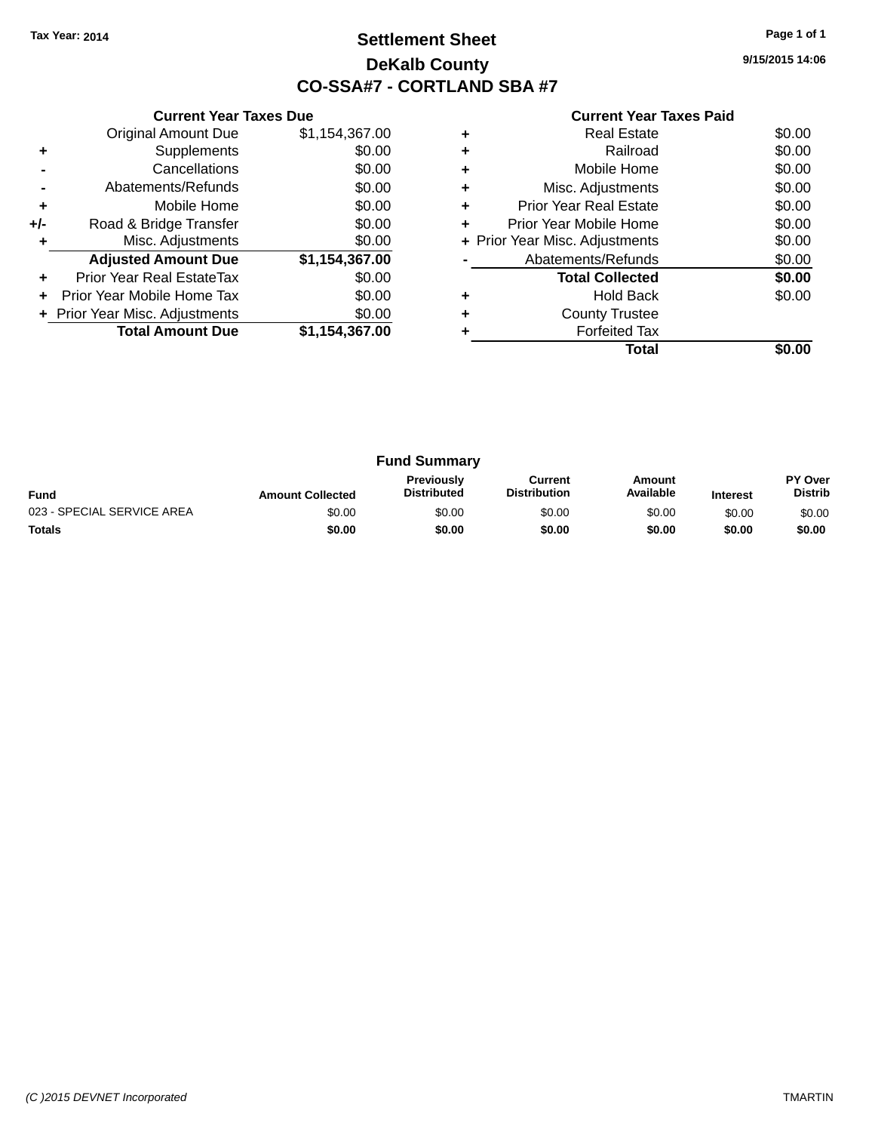### **Settlement Sheet Tax Year: 2014 Page 1 of 1 DeKalb County CO-SSA#7 - CORTLAND SBA #7**

**9/15/2015 14:06**

|       | <b>Current Year Taxes Due</b>  |                |
|-------|--------------------------------|----------------|
|       | <b>Original Amount Due</b>     | \$1,154,367.00 |
| ٠     | Supplements                    | \$0.00         |
|       | Cancellations                  | \$0.00         |
|       | Abatements/Refunds             | \$0.00         |
| ٠     | Mobile Home                    | \$0.00         |
| $+/-$ | Road & Bridge Transfer         | \$0.00         |
| ٠     | Misc. Adjustments              | \$0.00         |
|       | <b>Adjusted Amount Due</b>     | \$1,154,367.00 |
| ÷     | Prior Year Real EstateTax      | \$0.00         |
| ÷     | Prior Year Mobile Home Tax     | \$0.00         |
|       | + Prior Year Misc. Adjustments | \$0.00         |
|       | <b>Total Amount Due</b>        | \$1,154,367.00 |
|       |                                |                |

|   | Real Estate                    | \$0.00 |
|---|--------------------------------|--------|
| ٠ | Railroad                       | \$0.00 |
| ٠ | Mobile Home                    | \$0.00 |
| ٠ | Misc. Adjustments              | \$0.00 |
| ٠ | <b>Prior Year Real Estate</b>  | \$0.00 |
| ٠ | Prior Year Mobile Home         | \$0.00 |
|   | + Prior Year Misc. Adjustments | \$0.00 |
|   | Abatements/Refunds             | \$0.00 |
|   | <b>Total Collected</b>         | \$0.00 |
|   | <b>Hold Back</b>               | \$0.00 |
| ٠ | <b>County Trustee</b>          |        |
|   | <b>Forfeited Tax</b>           |        |
|   | Total                          |        |

| <b>Fund Summary</b>        |                         |                                         |                                |                     |                 |                           |
|----------------------------|-------------------------|-----------------------------------------|--------------------------------|---------------------|-----------------|---------------------------|
| <b>Fund</b>                | <b>Amount Collected</b> | <b>Previously</b><br><b>Distributed</b> | Current<br><b>Distribution</b> | Amount<br>Available | <b>Interest</b> | PY Over<br><b>Distrib</b> |
| 023 - SPECIAL SERVICE AREA | \$0.00                  | \$0.00                                  | \$0.00                         | \$0.00              | \$0.00          | \$0.00                    |
| <b>Totals</b>              | \$0.00                  | \$0.00                                  | \$0.00                         | \$0.00              | \$0.00          | \$0.00                    |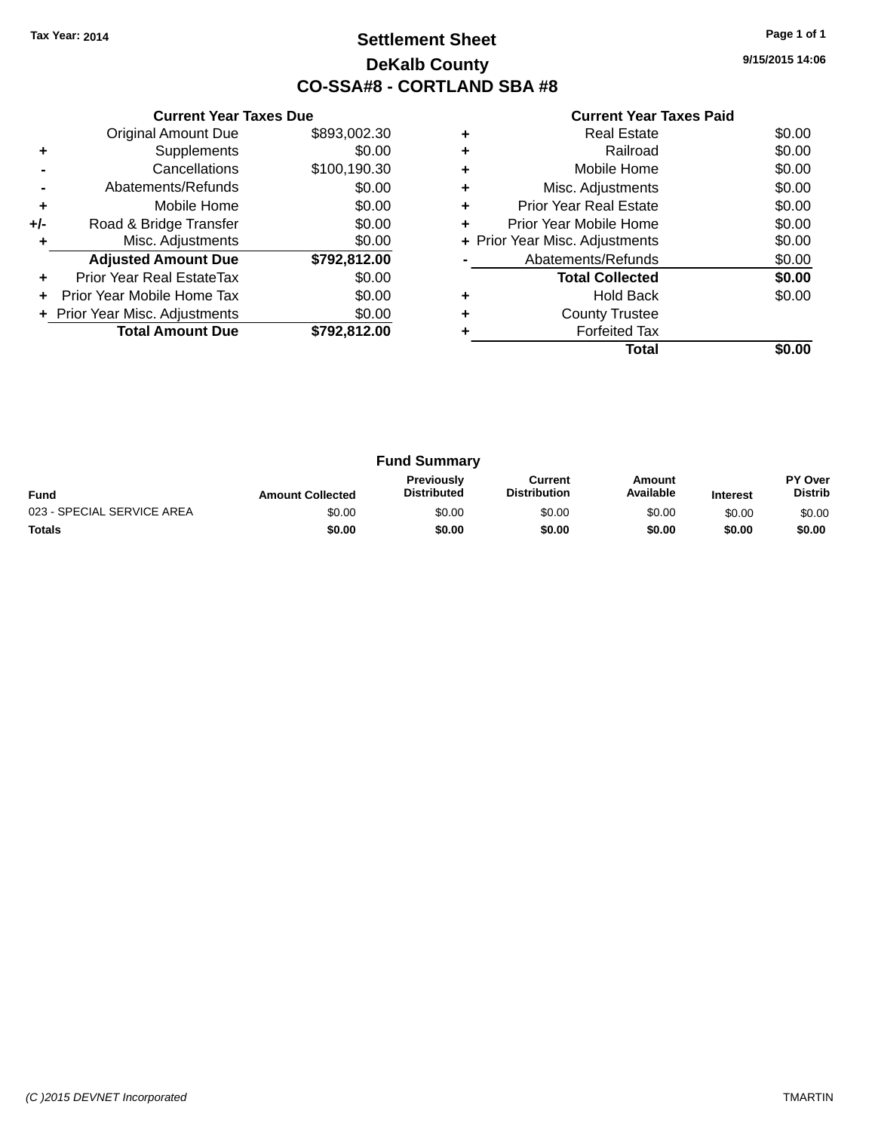### **Settlement Sheet Tax Year: 2014 Page 1 of 1 DeKalb County CO-SSA#8 - CORTLAND SBA #8**

**9/15/2015 14:06**

|       | <b>Current Year Taxes Due</b>  |              |
|-------|--------------------------------|--------------|
|       | <b>Original Amount Due</b>     | \$893,002.30 |
| ÷     | Supplements                    | \$0.00       |
|       | Cancellations                  | \$100,190.30 |
|       | Abatements/Refunds             | \$0.00       |
| ٠     | Mobile Home                    | \$0.00       |
| $+/-$ | Road & Bridge Transfer         | \$0.00       |
| ٠     | Misc. Adjustments              | \$0.00       |
|       | <b>Adjusted Amount Due</b>     | \$792,812.00 |
| ٠     | Prior Year Real EstateTax      | \$0.00       |
| ÷     | Prior Year Mobile Home Tax     | \$0.00       |
|       | + Prior Year Misc. Adjustments | \$0.00       |
|       | <b>Total Amount Due</b>        | \$792,812.00 |
|       |                                |              |

|   | <b>Real Estate</b>             | \$0.00 |
|---|--------------------------------|--------|
|   | Railroad                       | \$0.00 |
| ٠ | Mobile Home                    | \$0.00 |
|   | Misc. Adjustments              | \$0.00 |
| ٠ | <b>Prior Year Real Estate</b>  | \$0.00 |
| ÷ | Prior Year Mobile Home         | \$0.00 |
|   | + Prior Year Misc. Adjustments | \$0.00 |
|   | Abatements/Refunds             | \$0.00 |
|   | <b>Total Collected</b>         | \$0.00 |
|   | <b>Hold Back</b>               | \$0.00 |
|   | <b>County Trustee</b>          |        |
|   | <b>Forfeited Tax</b>           |        |
|   | Total                          |        |

| <b>Fund Summary</b>        |                         |                                         |                                |                     |                 |                                  |
|----------------------------|-------------------------|-----------------------------------------|--------------------------------|---------------------|-----------------|----------------------------------|
| <b>Fund</b>                | <b>Amount Collected</b> | <b>Previously</b><br><b>Distributed</b> | Current<br><b>Distribution</b> | Amount<br>Available | <b>Interest</b> | <b>PY Over</b><br><b>Distrib</b> |
| 023 - SPECIAL SERVICE AREA | \$0.00                  | \$0.00                                  | \$0.00                         | \$0.00              | \$0.00          | \$0.00                           |
| <b>Totals</b>              | \$0.00                  | \$0.00                                  | \$0.00                         | \$0.00              | \$0.00          | \$0.00                           |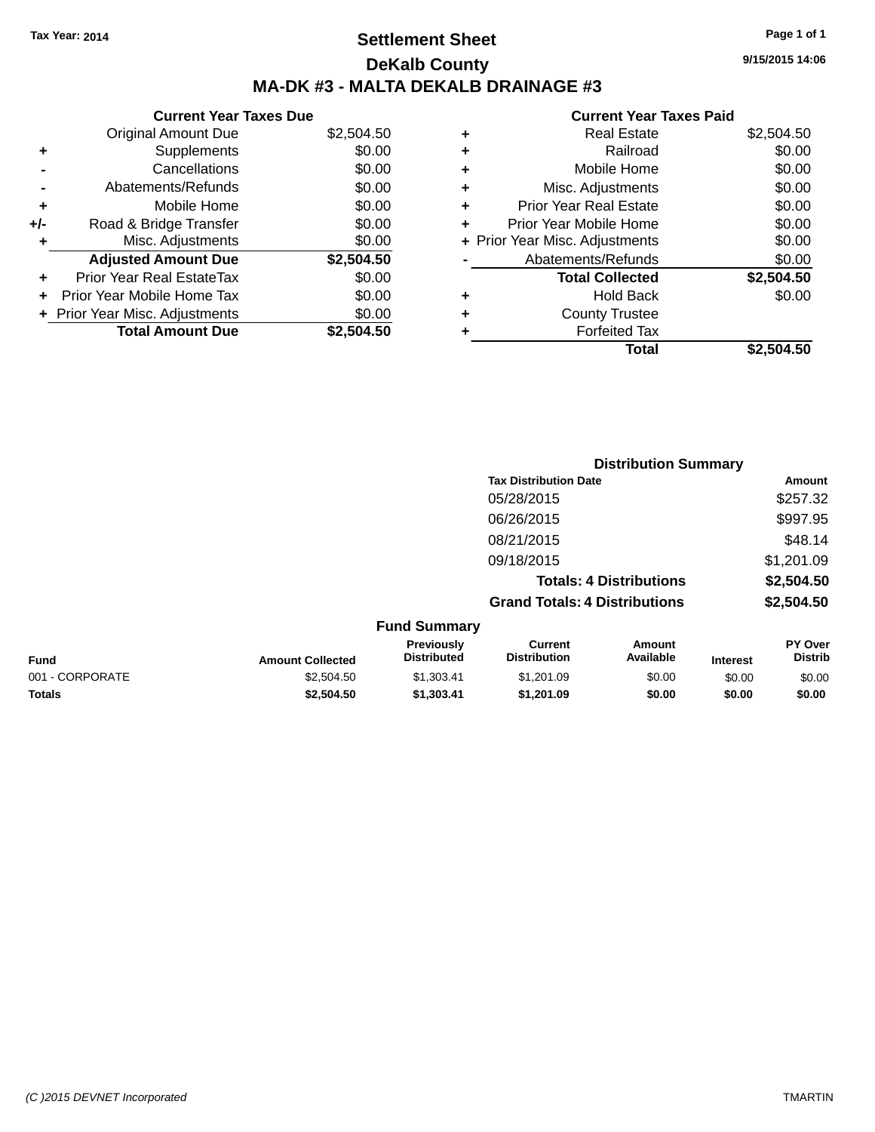### **Settlement Sheet Tax Year: 2014 Page 1 of 1 DeKalb County MA-DK #3 - MALTA DEKALB DRAINAGE #3**

#### **Current Year Taxes Due** Original Amount Due \$2,504.50 **+** Supplements \$0.00 **-** Cancellations \$0.00 **-** Abatements/Refunds \$0.00 **+** Mobile Home \$0.00<br> **+** Road & Bridge Transfer \$0.00 **+/-** Road & Bridge Transfer \$0.00

|   | Rudu & Diluye Tidlisier          | JU.UU      |
|---|----------------------------------|------------|
| ٠ | Misc. Adjustments                | \$0.00     |
|   | <b>Adjusted Amount Due</b>       | \$2,504.50 |
|   | <b>Prior Year Real EstateTax</b> | \$0.00     |
|   | + Prior Year Mobile Home Tax     | \$0.00     |
|   | + Prior Year Misc. Adjustments   | \$0.00     |
|   | <b>Total Amount Due</b>          | \$2,504.50 |
|   |                                  |            |

| ٠ | <b>Real Estate</b>             | \$2,504.50 |
|---|--------------------------------|------------|
| ٠ | Railroad                       | \$0.00     |
| ٠ | Mobile Home                    | \$0.00     |
| ٠ | Misc. Adjustments              | \$0.00     |
| ٠ | <b>Prior Year Real Estate</b>  | \$0.00     |
| ٠ | Prior Year Mobile Home         | \$0.00     |
|   | + Prior Year Misc. Adjustments | \$0.00     |
|   | Abatements/Refunds             | \$0.00     |
|   | <b>Total Collected</b>         | \$2,504.50 |
| ٠ | <b>Hold Back</b>               | \$0.00     |
| ٠ | <b>County Trustee</b>          |            |
| ٠ | <b>Forfeited Tax</b>           |            |
|   | Total                          | \$2,504.50 |
|   |                                |            |

|                            |                                      | <b>Distribution Summary</b>    |                                 |
|----------------------------|--------------------------------------|--------------------------------|---------------------------------|
|                            | <b>Tax Distribution Date</b>         |                                | Amount                          |
|                            | 05/28/2015                           |                                | \$257.32                        |
|                            | 06/26/2015                           |                                | \$997.95                        |
|                            | 08/21/2015                           |                                | \$48.14                         |
|                            | 09/18/2015                           |                                | \$1,201.09                      |
|                            |                                      | <b>Totals: 4 Distributions</b> | \$2,504.50                      |
|                            | <b>Grand Totals: 4 Distributions</b> |                                | \$2,504.50                      |
| <b>Fund Summary</b>        |                                      |                                |                                 |
| Previously<br>Diatolo de d | Current<br>Distribution              | Amount<br>$A - -11 - 1 - 1 -$  | <b>PY Over</b><br><b>DEALER</b> |

| <b>Fund</b>     | <b>Amount Collected</b> | <b>Previously</b><br><b>Distributed</b> | ∪urrent<br><b>Distribution</b> | Amount<br>Available | Interest | <b>PT OVER</b><br>Distrib |
|-----------------|-------------------------|-----------------------------------------|--------------------------------|---------------------|----------|---------------------------|
| 001 - CORPORATE | \$2,504.50              | \$1.303.41                              | \$1,201.09                     | \$0.00              | \$0.00   | \$0.00                    |
| <b>Totals</b>   | \$2,504.50              | \$1.303.41                              | \$1.201.09                     | \$0.00              | \$0.00   | \$0.00                    |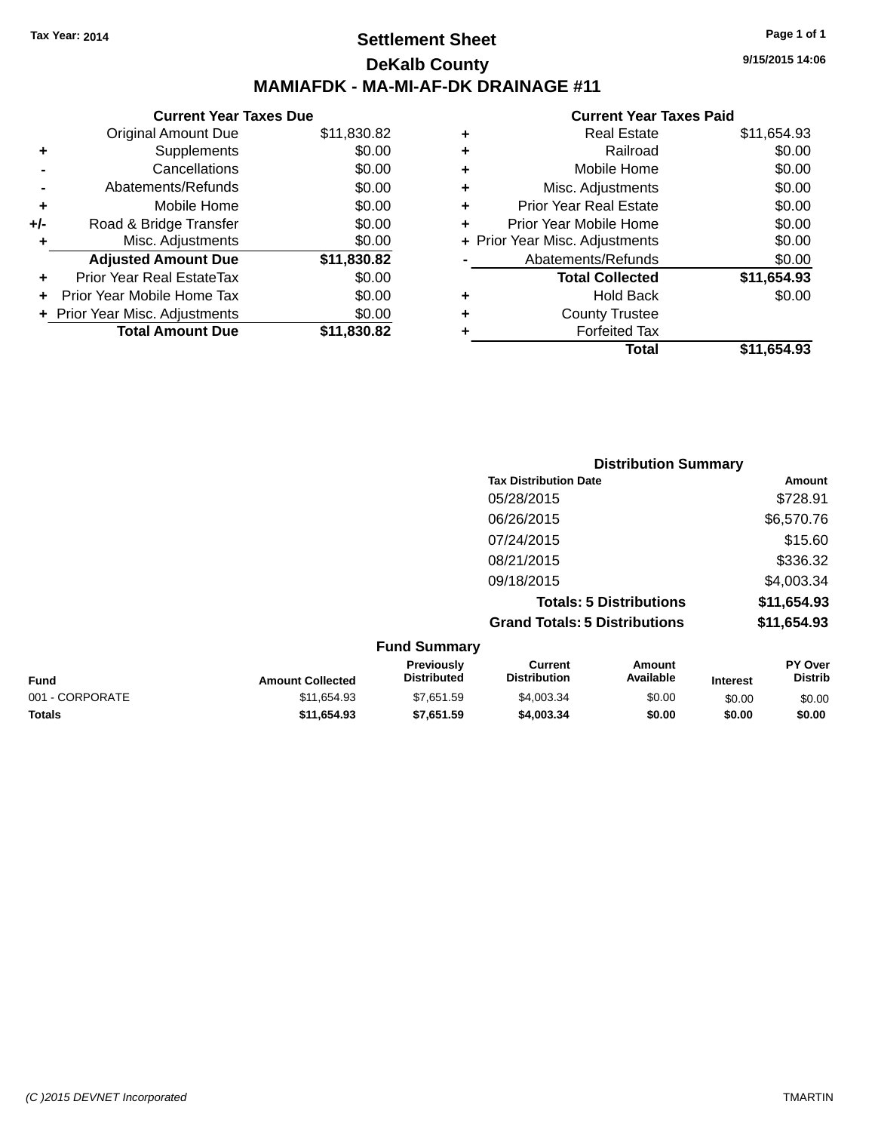### **Settlement Sheet Tax Year: 2014 Page 1 of 1 DeKalb County MAMIAFDK - MA-MI-AF-DK DRAINAGE #11**

| <b>Original Amount Due</b>     | \$11,830.82                   |
|--------------------------------|-------------------------------|
| Supplements                    | \$0.00                        |
| Cancellations                  | \$0.00                        |
| Abatements/Refunds             | \$0.00                        |
| Mobile Home                    | \$0.00                        |
| Road & Bridge Transfer         | \$0.00                        |
| Misc. Adjustments              | \$0.00                        |
| <b>Adjusted Amount Due</b>     | \$11,830.82                   |
| Prior Year Real EstateTax      | \$0.00                        |
| Prior Year Mobile Home Tax     | \$0.00                        |
| + Prior Year Misc. Adjustments | \$0.00                        |
| <b>Total Amount Due</b>        | \$11,830.82                   |
|                                | <b>Current Year Taxes Due</b> |

|   | <b>Real Estate</b>             | \$11,654.93 |
|---|--------------------------------|-------------|
| ٠ | Railroad                       | \$0.00      |
| ٠ | Mobile Home                    | \$0.00      |
| ٠ | Misc. Adjustments              | \$0.00      |
| ٠ | <b>Prior Year Real Estate</b>  | \$0.00      |
|   | Prior Year Mobile Home         | \$0.00      |
|   | + Prior Year Misc. Adjustments | \$0.00      |
|   | Abatements/Refunds             | \$0.00      |
|   | <b>Total Collected</b>         | \$11,654.93 |
| ٠ | Hold Back                      | \$0.00      |
| ٠ | <b>County Trustee</b>          |             |
| ٠ | <b>Forfeited Tax</b>           |             |
|   | Total                          | \$11,654.93 |
|   |                                |             |

|                                 | <b>Distribution Summary</b>          |             |
|---------------------------------|--------------------------------------|-------------|
|                                 | <b>Tax Distribution Date</b>         | Amount      |
|                                 | 05/28/2015                           | \$728.91    |
|                                 | 06/26/2015                           | \$6,570.76  |
|                                 | 07/24/2015                           | \$15.60     |
|                                 | 08/21/2015                           | \$336.32    |
|                                 | 09/18/2015                           | \$4,003.34  |
|                                 | <b>Totals: 5 Distributions</b>       | \$11,654.93 |
|                                 | <b>Grand Totals: 5 Distributions</b> | \$11,654.93 |
| $E_{t}$ and $E_{t}$ and $E_{t}$ |                                      |             |

|                 |                         | <b>Fund Summary</b>                     |                                |                     |                 |                                  |
|-----------------|-------------------------|-----------------------------------------|--------------------------------|---------------------|-----------------|----------------------------------|
| Fund            | <b>Amount Collected</b> | <b>Previously</b><br><b>Distributed</b> | Current<br><b>Distribution</b> | Amount<br>Available | <b>Interest</b> | <b>PY Over</b><br><b>Distrib</b> |
| 001 - CORPORATE | \$11.654.93             | \$7.651.59                              | \$4,003.34                     | \$0.00              | \$0.00          | \$0.00                           |
| <b>Totals</b>   | \$11.654.93             | \$7,651.59                              | \$4,003,34                     | \$0.00              | \$0.00          | \$0.00                           |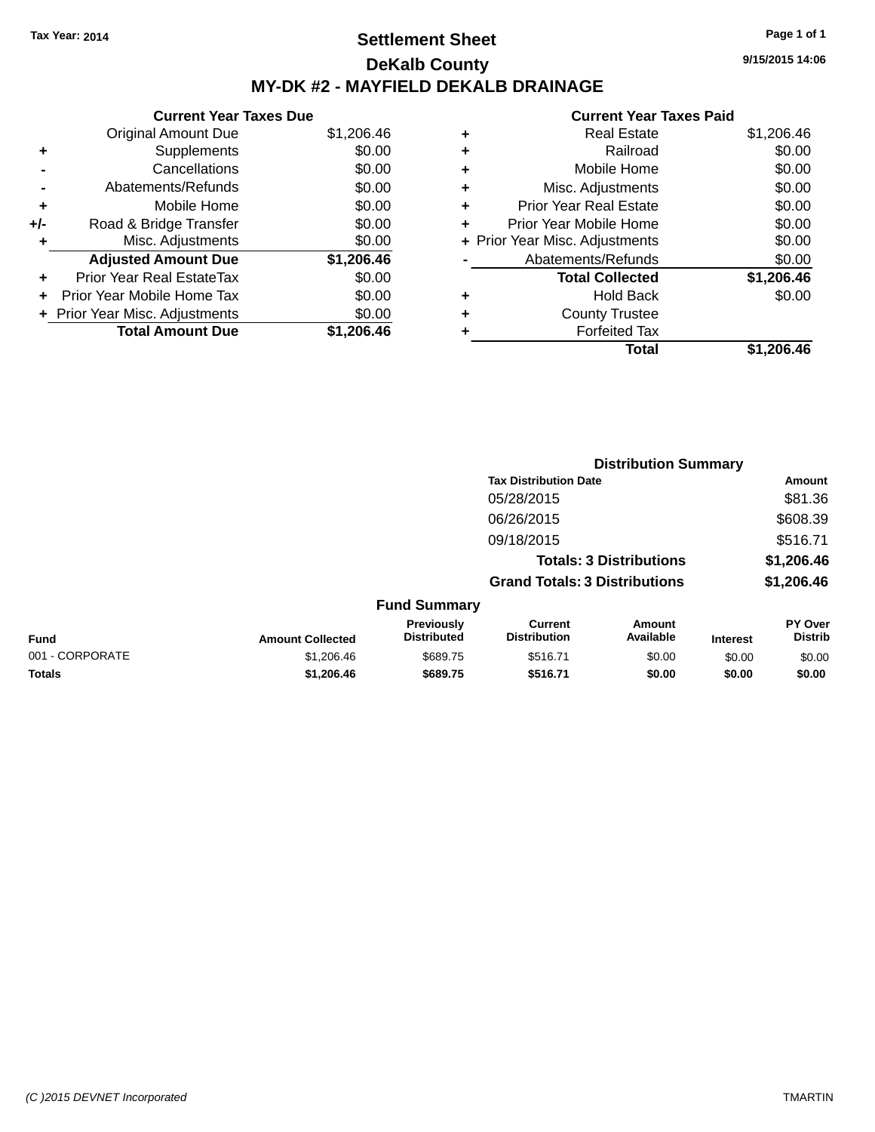### **Settlement Sheet Tax Year: 2014 Page 1 of 1 DeKalb County MY-DK #2 - MAYFIELD DEKALB DRAINAGE**

**Current Year Taxes Due** Original Amount Due \$1,206.46 **+** Supplements \$0.00 **-** Cancellations \$0.00 **-** Abatements/Refunds \$0.00 **+** Mobile Home \$0.00 **+/-** Road & Bridge Transfer \$0.00 **+** Misc. Adjustments \$0.00 **Adjusted Amount Due \$1,206.46 +** Prior Year Real EstateTax \$0.00 **+** Prior Year Mobile Home Tax \$0.00 **+ Prior Year Misc. Adjustments**  $$0.00$ **Total Amount Due \$1,206.46**

#### **Current Year Taxes Paid**

| \$0.00<br>Railroad<br>٠<br>\$0.00<br>Mobile Home<br>٠<br>\$0.00<br>Misc. Adjustments<br>٠<br>\$0.00<br><b>Prior Year Real Estate</b><br>٠<br>\$0.00<br>Prior Year Mobile Home<br>٠<br>\$0.00<br>+ Prior Year Misc. Adjustments<br>\$0.00<br>Abatements/Refunds<br>\$1,206.46<br><b>Total Collected</b><br>\$0.00<br><b>Hold Back</b><br>٠ |
|-------------------------------------------------------------------------------------------------------------------------------------------------------------------------------------------------------------------------------------------------------------------------------------------------------------------------------------------|
|                                                                                                                                                                                                                                                                                                                                           |
|                                                                                                                                                                                                                                                                                                                                           |
|                                                                                                                                                                                                                                                                                                                                           |
|                                                                                                                                                                                                                                                                                                                                           |
|                                                                                                                                                                                                                                                                                                                                           |
|                                                                                                                                                                                                                                                                                                                                           |
|                                                                                                                                                                                                                                                                                                                                           |
|                                                                                                                                                                                                                                                                                                                                           |
|                                                                                                                                                                                                                                                                                                                                           |
| <b>County Trustee</b><br>٠                                                                                                                                                                                                                                                                                                                |
| <b>Forfeited Tax</b><br>٠                                                                                                                                                                                                                                                                                                                 |
| \$1,206.46<br>Total                                                                                                                                                                                                                                                                                                                       |

**Distribution Summary**

|                 |                         |                                         |                                       | <b>PISUINGUOIL SUIIIIIGI V</b> |                 |                           |
|-----------------|-------------------------|-----------------------------------------|---------------------------------------|--------------------------------|-----------------|---------------------------|
|                 |                         |                                         | <b>Tax Distribution Date</b>          |                                |                 | <b>Amount</b>             |
|                 |                         |                                         | 05/28/2015                            |                                |                 | \$81.36                   |
|                 |                         |                                         | 06/26/2015                            |                                |                 | \$608.39                  |
|                 |                         |                                         | 09/18/2015                            |                                |                 | \$516.71                  |
|                 |                         |                                         |                                       | <b>Totals: 3 Distributions</b> |                 | \$1,206.46                |
|                 |                         |                                         | <b>Grand Totals: 3 Distributions</b>  |                                |                 | \$1,206.46                |
|                 |                         | <b>Fund Summary</b>                     |                                       |                                |                 |                           |
| <b>Fund</b>     | <b>Amount Collected</b> | <b>Previously</b><br><b>Distributed</b> | <b>Current</b><br><b>Distribution</b> | Amount<br>Available            | <b>Interest</b> | PY Over<br><b>Distrib</b> |
| 001 - CORPORATE | \$1,206.46              | \$689.75                                | \$516.71                              | \$0.00                         | \$0.00          | \$0.00                    |
| <b>Totals</b>   | \$1,206.46              | \$689.75                                | \$516.71                              | \$0.00                         | \$0.00          | \$0.00                    |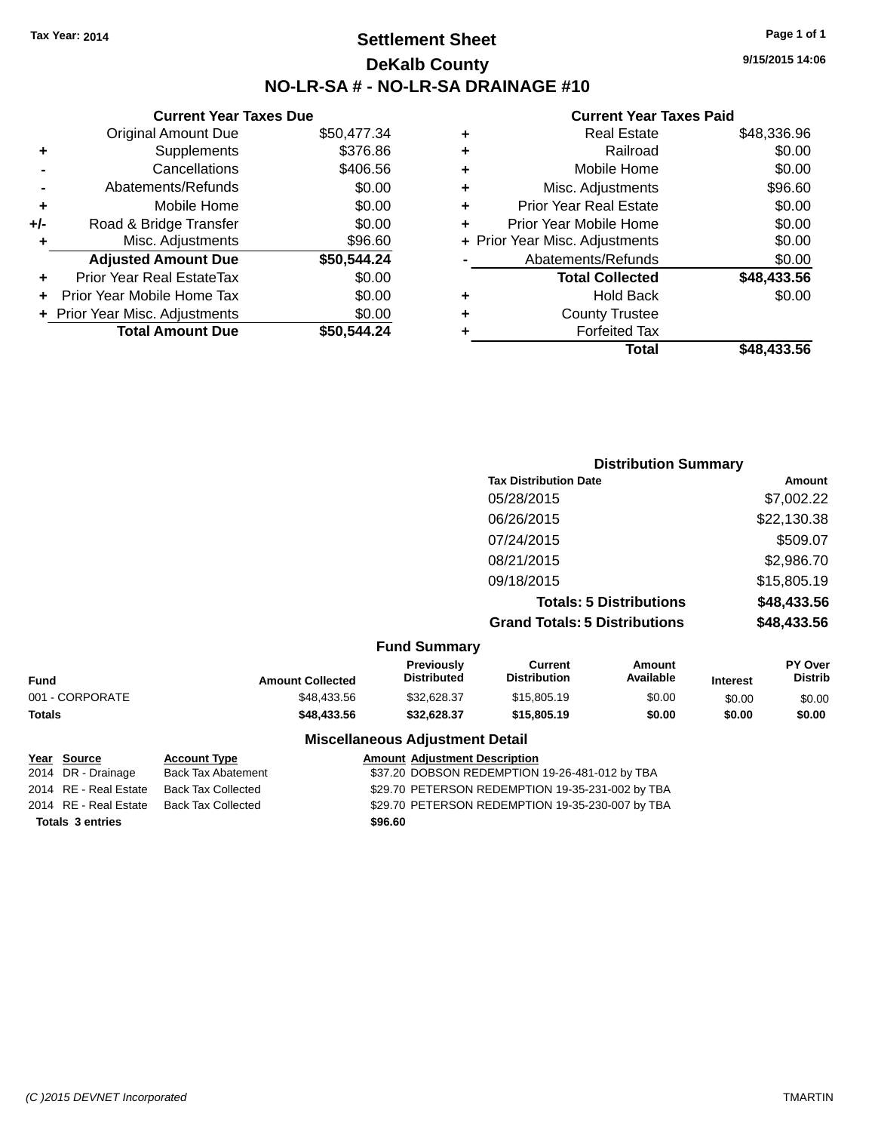### **Settlement Sheet Tax Year: 2014 Page 1 of 1 DeKalb County NO-LR-SA # - NO-LR-SA DRAINAGE #10**

**9/15/2015 14:06**

#### **Current Year Taxes Paid**

|     | <b>Current Year Taxes Due</b>  |             |            |     |
|-----|--------------------------------|-------------|------------|-----|
|     | <b>Original Amount Due</b>     | \$50,477.34 |            |     |
|     | Supplements                    | \$376.86    | ٠          |     |
|     | Cancellations                  | \$406.56    | ٠          |     |
|     | Abatements/Refunds             | \$0.00      | ٠          |     |
|     | Mobile Home                    | \$0.00      | ٠          | F   |
| +/- | Road & Bridge Transfer         | \$0.00      |            | Pri |
|     | Misc. Adjustments              | \$96.60     | + Prior Ye |     |
|     | <b>Adjusted Amount Due</b>     | \$50,544.24 |            |     |
|     | Prior Year Real EstateTax      | \$0.00      |            |     |
|     | Prior Year Mobile Home Tax     | \$0.00      | ٠          |     |
|     | + Prior Year Misc. Adjustments | \$0.00      |            |     |
|     | <b>Total Amount Due</b>        | \$50,544.24 |            |     |
|     |                                |             |            |     |

|   | <b>Real Estate</b>             | \$48,336.96 |
|---|--------------------------------|-------------|
| ٠ | Railroad                       | \$0.00      |
| ٠ | Mobile Home                    | \$0.00      |
| ٠ | Misc. Adjustments              | \$96.60     |
| ٠ | <b>Prior Year Real Estate</b>  | \$0.00      |
| ٠ | Prior Year Mobile Home         | \$0.00      |
|   | + Prior Year Misc. Adjustments | \$0.00      |
|   | Abatements/Refunds             | \$0.00      |
|   | <b>Total Collected</b>         | \$48,433.56 |
| ٠ | <b>Hold Back</b>               | \$0.00      |
|   | <b>County Trustee</b>          |             |
|   | <b>Forfeited Tax</b>           |             |
|   | Total                          | \$48.433.56 |
|   |                                |             |

| <b>Distribution Summary</b>          |             |
|--------------------------------------|-------------|
| <b>Tax Distribution Date</b>         | Amount      |
| 05/28/2015                           | \$7,002.22  |
| 06/26/2015                           | \$22,130.38 |
| 07/24/2015                           | \$509.07    |
| 08/21/2015                           | \$2,986.70  |
| 09/18/2015                           | \$15,805.19 |
| <b>Totals: 5 Distributions</b>       | \$48,433.56 |
| <b>Grand Totals: 5 Distributions</b> | \$48,433.56 |

|                 |                         | <b>Fund Summary</b>                     |                                |                     |                 |                                  |
|-----------------|-------------------------|-----------------------------------------|--------------------------------|---------------------|-----------------|----------------------------------|
| Fund            | <b>Amount Collected</b> | <b>Previously</b><br><b>Distributed</b> | Current<br><b>Distribution</b> | Amount<br>Available | <b>Interest</b> | <b>PY Over</b><br><b>Distrib</b> |
| 001 - CORPORATE | \$48.433.56             | \$32.628.37                             | \$15,805.19                    | \$0.00              | \$0.00          | \$0.00                           |
| <b>Totals</b>   | \$48,433.56             | \$32.628.37                             | \$15,805.19                    | \$0.00              | \$0.00          | \$0.00                           |

#### **Miscellaneous Adjustment Detail**

| Year Source             | <b>Account Type</b>       |         | <b>Amount Adjustment Description</b>             |
|-------------------------|---------------------------|---------|--------------------------------------------------|
| 2014 DR - Drainage      | <b>Back Tax Abatement</b> |         | \$37.20 DOBSON REDEMPTION 19-26-481-012 by TBA   |
| 2014 RE - Real Estate   | Back Tax Collected        |         | \$29.70 PETERSON REDEMPTION 19-35-231-002 by TBA |
| 2014 RE - Real Estate   | <b>Back Tax Collected</b> |         | \$29.70 PETERSON REDEMPTION 19-35-230-007 by TBA |
| <b>Totals 3 entries</b> |                           | \$96.60 |                                                  |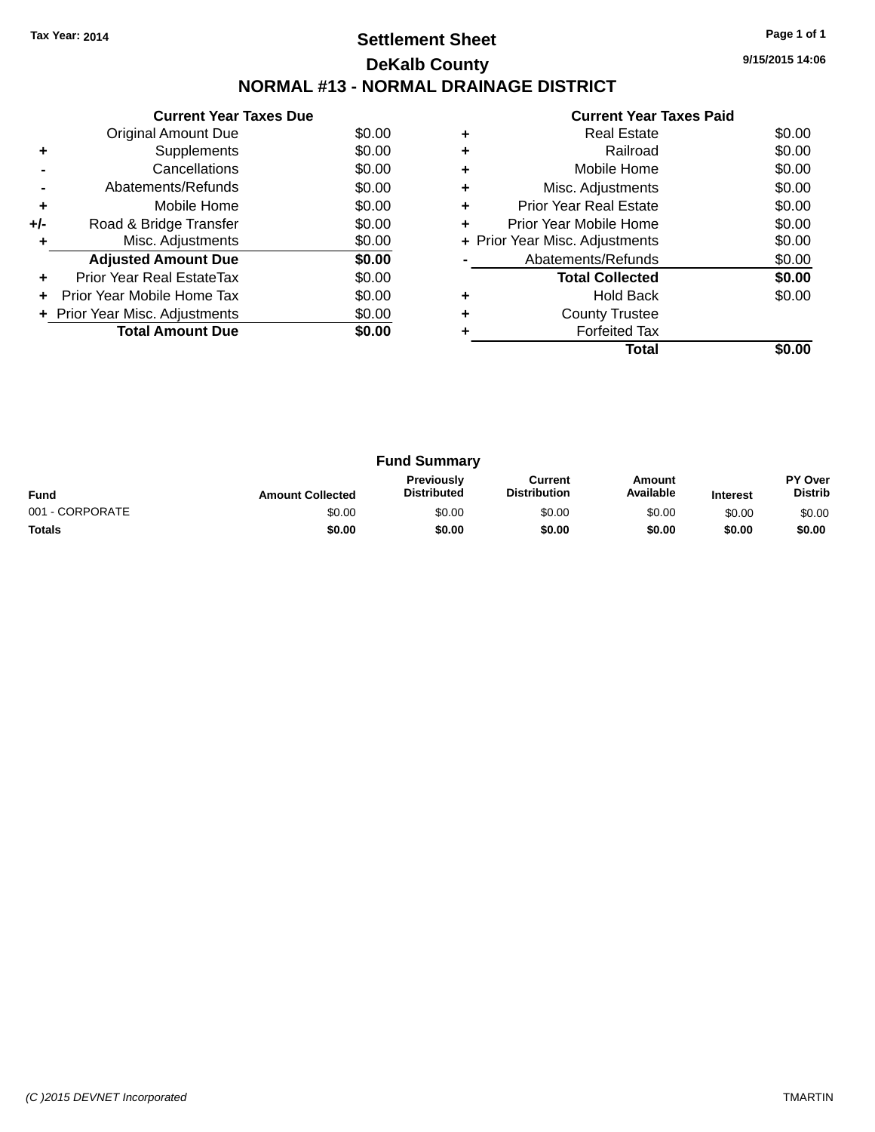### **Settlement Sheet Tax Year: 2014 Page 1 of 1 DeKalb County NORMAL #13 - NORMAL DRAINAGE DISTRICT**

**Current Year Taxes Due** Original Amount Due \$0.00 **+** Supplements \$0.00 **-** Cancellations \$0.00 **-** Abatements/Refunds \$0.00 **+** Mobile Home \$0.00 **+/-** Road & Bridge Transfer \$0.00 **+** Misc. Adjustments \$0.00 **Adjusted Amount Due \$0.00 +** Prior Year Real EstateTax \$0.00 **+** Prior Year Mobile Home Tax \$0.00 **+** Prior Year Misc. Adjustments  $$0.00$ **Total Amount Due** \$0.00

#### **Current Year Taxes Paid +** Real Estate \$0.00 **+** Railroad \$0.00 **+** Mobile Home \$0.00 **+** Misc. Adjustments \$0.00 **+** Prior Year Real Estate \$0.00 **+** Prior Year Mobile Home \$0.00 **+** Prior Year Misc. Adjustments  $$0.00$ **-** Abatements/Refunds \$0.00 **Total Collected \$0.00 +** Hold Back \$0.00 **+** County Trustee **+** Forfeited Tax **Total \$0.00**

| <b>Fund Summary</b> |                         |                                         |                                |                     |                 |                                  |  |
|---------------------|-------------------------|-----------------------------------------|--------------------------------|---------------------|-----------------|----------------------------------|--|
| <b>Fund</b>         | <b>Amount Collected</b> | <b>Previously</b><br><b>Distributed</b> | Current<br><b>Distribution</b> | Amount<br>Available | <b>Interest</b> | <b>PY Over</b><br><b>Distrib</b> |  |
| 001 - CORPORATE     | \$0.00                  | \$0.00                                  | \$0.00                         | \$0.00              | \$0.00          | \$0.00                           |  |
| <b>Totals</b>       | \$0.00                  | \$0.00                                  | \$0.00                         | \$0.00              | \$0.00          | \$0.00                           |  |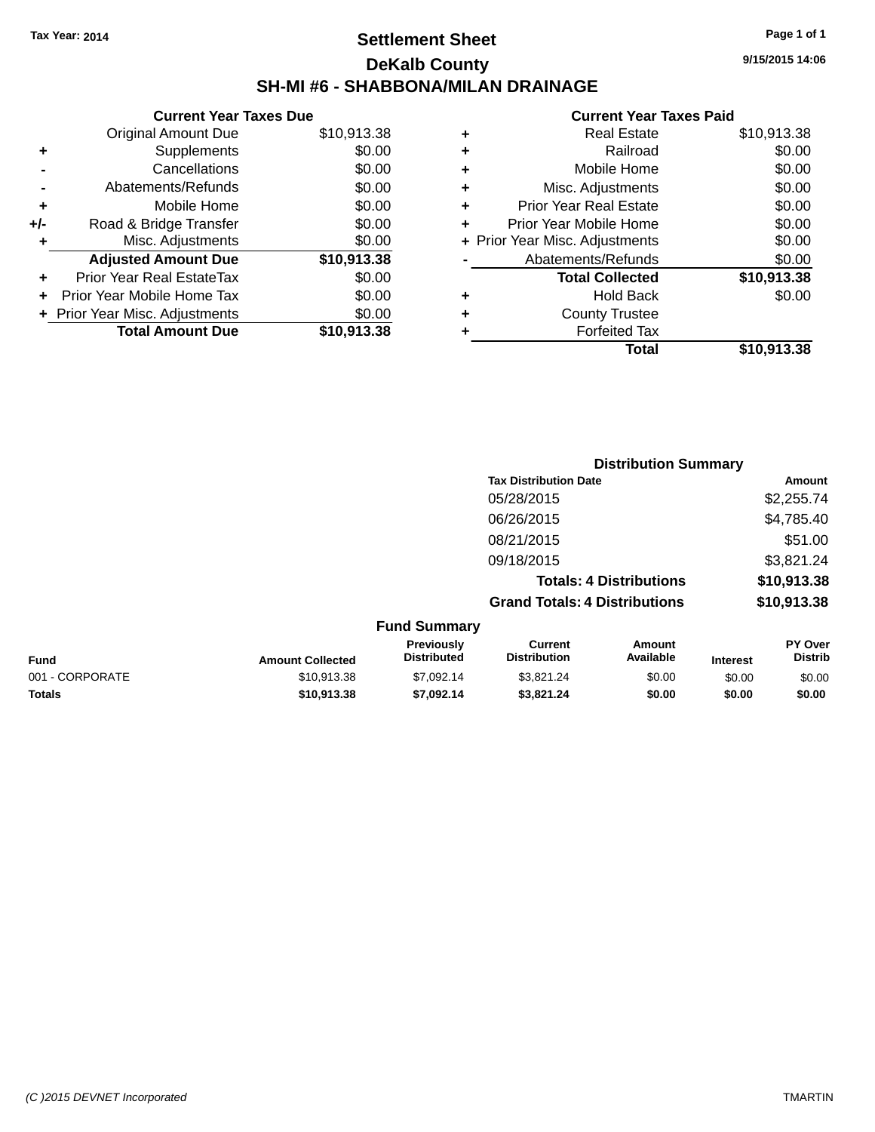### **Settlement Sheet Tax Year: 2014 Page 1 of 1 DeKalb County SH-MI #6 - SHABBONA/MILAN DRAINAGE**

| <b>Original Amount Due</b>     | \$10,913.38                   |
|--------------------------------|-------------------------------|
| Supplements                    | \$0.00                        |
| Cancellations                  | \$0.00                        |
| Abatements/Refunds             | \$0.00                        |
| Mobile Home                    | \$0.00                        |
| Road & Bridge Transfer         | \$0.00                        |
| Misc. Adjustments              | \$0.00                        |
| <b>Adjusted Amount Due</b>     | \$10,913.38                   |
| Prior Year Real EstateTax      | \$0.00                        |
| Prior Year Mobile Home Tax     | \$0.00                        |
| + Prior Year Misc. Adjustments | \$0.00                        |
| <b>Total Amount Due</b>        | \$10,913.38                   |
|                                | <b>Current Year Taxes Due</b> |

|   | <b>Real Estate</b>             | \$10,913.38 |
|---|--------------------------------|-------------|
| ٠ | Railroad                       | \$0.00      |
| ٠ | Mobile Home                    | \$0.00      |
| ٠ | Misc. Adjustments              | \$0.00      |
| ٠ | <b>Prior Year Real Estate</b>  | \$0.00      |
| ٠ | Prior Year Mobile Home         | \$0.00      |
|   | + Prior Year Misc. Adjustments | \$0.00      |
|   | Abatements/Refunds             | \$0.00      |
|   | <b>Total Collected</b>         | \$10,913.38 |
| ٠ | <b>Hold Back</b>               | \$0.00      |
| ٠ | <b>County Trustee</b>          |             |
| ٠ | <b>Forfeited Tax</b>           |             |
|   | Total                          | \$10,913.38 |
|   |                                |             |

|                  |                           | <b>Distribution Summary</b>           |                                |          |                                  |  |  |
|------------------|---------------------------|---------------------------------------|--------------------------------|----------|----------------------------------|--|--|
|                  |                           | <b>Tax Distribution Date</b>          |                                |          | Amount                           |  |  |
|                  |                           | 05/28/2015                            |                                |          | \$2,255.74                       |  |  |
|                  |                           | 06/26/2015                            |                                |          | \$4,785.40                       |  |  |
|                  |                           | 08/21/2015                            |                                |          | \$51.00                          |  |  |
|                  |                           | 09/18/2015                            |                                |          | \$3,821.24                       |  |  |
|                  |                           |                                       | <b>Totals: 4 Distributions</b> |          | \$10,913.38                      |  |  |
|                  |                           | <b>Grand Totals: 4 Distributions</b>  |                                |          | \$10,913.38                      |  |  |
|                  | <b>Fund Summary</b>       |                                       |                                |          |                                  |  |  |
| Amount Collected | Previously<br>Distributed | <b>Current</b><br><b>Distribution</b> | Amount<br>Available            | In terms | <b>PY Over</b><br><b>Distrib</b> |  |  |

| <b>Fund</b>     | <b>Amount Collected</b> | πισνιυμειν<br><b>Distributed</b> | uuru<br><b>Distribution</b> | Allivulit<br>Available | <b>Interest</b> | ו שע<br>Distrib |
|-----------------|-------------------------|----------------------------------|-----------------------------|------------------------|-----------------|-----------------|
| 001 - CORPORATE | \$10.913.38             | \$7,092.14                       | \$3.821.24                  | \$0.00                 | \$0.00          | \$0.00          |
| Totals          | \$10.913.38             | \$7.092.14                       | \$3,821,24                  | \$0.00                 | \$0.00          | \$0.00          |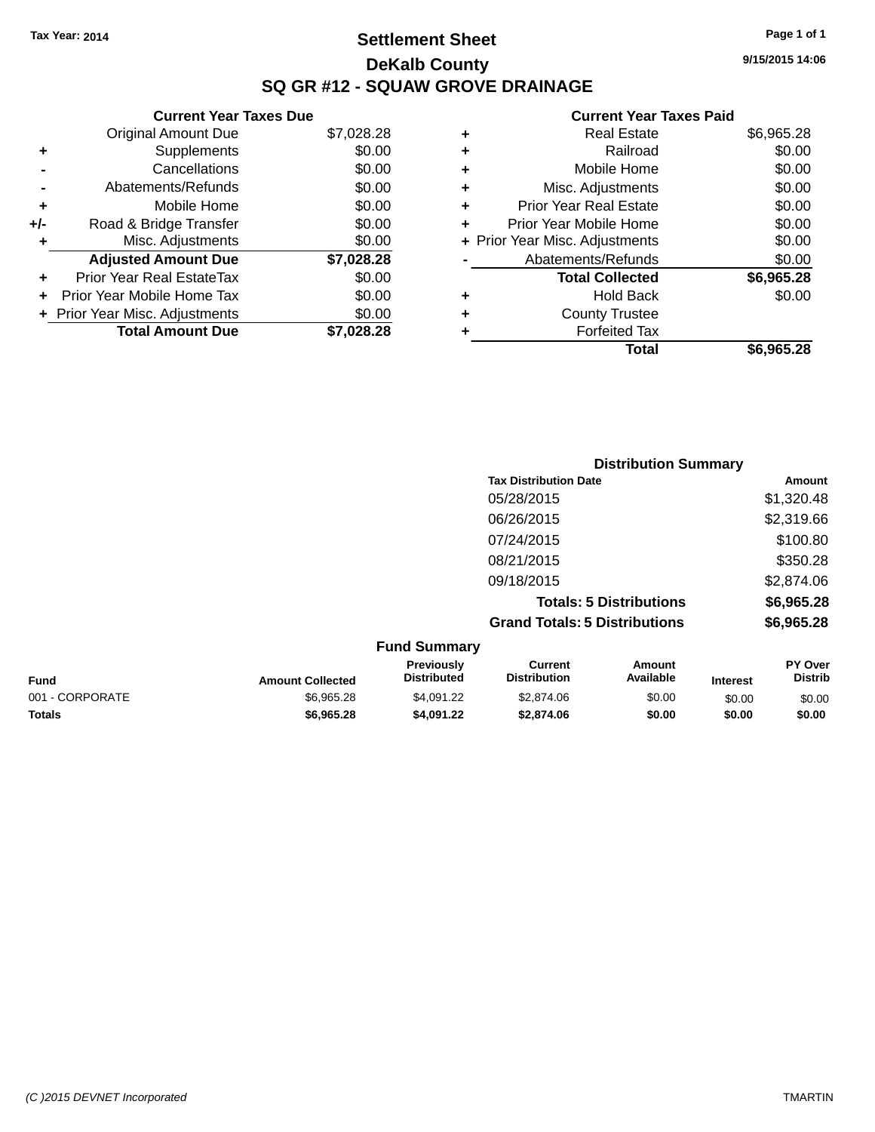### **Settlement Sheet Tax Year: 2014 Page 1 of 1 DeKalb County SQ GR #12 - SQUAW GROVE DRAINAGE**

**9/15/2015 14:06**

|     | <b>Current Year Taxes Due</b>  |            |
|-----|--------------------------------|------------|
|     | <b>Original Amount Due</b>     | \$7,028.28 |
| ٠   | Supplements                    | \$0.00     |
|     | Cancellations                  | \$0.00     |
|     | Abatements/Refunds             | \$0.00     |
| ٠   | Mobile Home                    | \$0.00     |
| +/- | Road & Bridge Transfer         | \$0.00     |
|     | Misc. Adjustments              | \$0.00     |
|     | <b>Adjusted Amount Due</b>     | \$7,028.28 |
|     | Prior Year Real EstateTax      | \$0.00     |
|     | Prior Year Mobile Home Tax     | \$0.00     |
|     | + Prior Year Misc. Adjustments | \$0.00     |
|     | <b>Total Amount Due</b>        | \$7.028.28 |

| ٠ | <b>Real Estate</b>             | \$6,965.28 |
|---|--------------------------------|------------|
| ٠ | Railroad                       | \$0.00     |
| ٠ | Mobile Home                    | \$0.00     |
| ٠ | Misc. Adjustments              | \$0.00     |
| ٠ | <b>Prior Year Real Estate</b>  | \$0.00     |
|   | Prior Year Mobile Home         | \$0.00     |
|   | + Prior Year Misc. Adjustments | \$0.00     |
|   | Abatements/Refunds             | \$0.00     |
|   | <b>Total Collected</b>         | \$6,965.28 |
| ٠ | Hold Back                      | \$0.00     |
| ٠ | <b>County Trustee</b>          |            |
| ٠ | <b>Forfeited Tax</b>           |            |
|   | Total                          | \$6,965.28 |
|   |                                |            |

|                     | <b>Distribution Summary</b>          |            |
|---------------------|--------------------------------------|------------|
|                     | <b>Tax Distribution Date</b>         | Amount     |
|                     | 05/28/2015                           | \$1,320.48 |
|                     | 06/26/2015                           | \$2,319.66 |
|                     | 07/24/2015                           | \$100.80   |
|                     | 08/21/2015                           | \$350.28   |
|                     | 09/18/2015                           | \$2,874.06 |
|                     | <b>Totals: 5 Distributions</b>       | \$6,965.28 |
|                     | <b>Grand Totals: 5 Distributions</b> | \$6,965.28 |
| <b>Fund Summarv</b> |                                      |            |

|                 |                         | י שווש טשווווועו ו                      |                                |                     |                 |                                  |
|-----------------|-------------------------|-----------------------------------------|--------------------------------|---------------------|-----------------|----------------------------------|
| <b>Fund</b>     | <b>Amount Collected</b> | <b>Previously</b><br><b>Distributed</b> | Current<br><b>Distribution</b> | Amount<br>Available | <b>Interest</b> | <b>PY Over</b><br><b>Distrib</b> |
| 001 - CORPORATE | \$6.965.28              | \$4.091.22                              | \$2,874.06                     | \$0.00              | \$0.00          | \$0.00                           |
| <b>Totals</b>   | \$6,965,28              | \$4,091.22                              | \$2,874.06                     | \$0.00              | \$0.00          | \$0.00                           |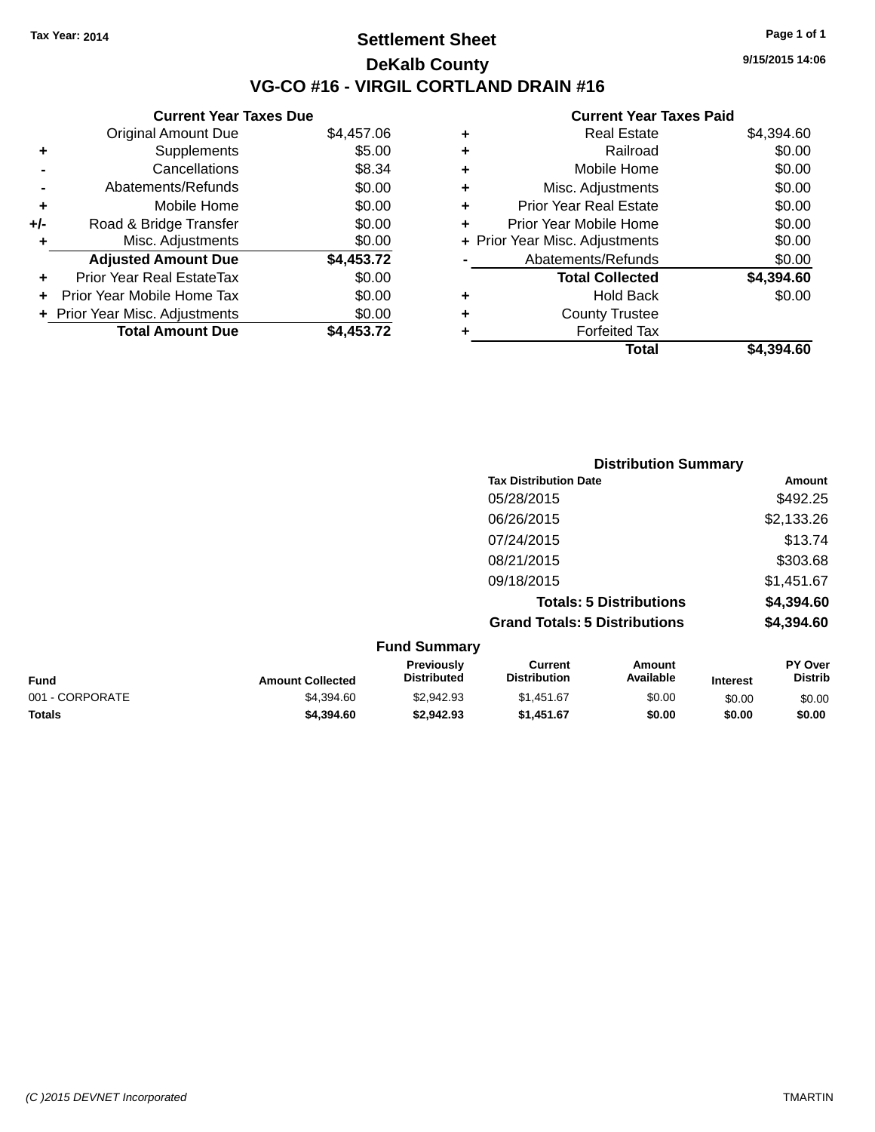### **Settlement Sheet Tax Year: 2014 Page 1 of 1 DeKalb County VG-CO #16 - VIRGIL CORTLAND DRAIN #16**

**9/15/2015 14:06**

# **Current Year Taxes Paid**

|     | <b>Current Year Taxes Due</b>  |            |  |
|-----|--------------------------------|------------|--|
|     | <b>Original Amount Due</b>     | \$4,457.06 |  |
| ÷   | Supplements                    | \$5.00     |  |
|     | Cancellations                  | \$8.34     |  |
|     | Abatements/Refunds             | \$0.00     |  |
| ٠   | Mobile Home                    | \$0.00     |  |
| +/- | Road & Bridge Transfer         | \$0.00     |  |
| ٠   | Misc. Adjustments              | \$0.00     |  |
|     | <b>Adjusted Amount Due</b>     | \$4,453.72 |  |
| ٠   | Prior Year Real EstateTax      | \$0.00     |  |
|     | Prior Year Mobile Home Tax     | \$0.00     |  |
|     | + Prior Year Misc. Adjustments | \$0.00     |  |
|     | <b>Total Amount Due</b>        | \$4.453.72 |  |
|     |                                |            |  |

| ٠ | <b>Real Estate</b>             | \$4,394.60 |
|---|--------------------------------|------------|
| ٠ | Railroad                       | \$0.00     |
| ٠ | Mobile Home                    | \$0.00     |
| ٠ | Misc. Adjustments              | \$0.00     |
| ÷ | <b>Prior Year Real Estate</b>  | \$0.00     |
| ÷ | Prior Year Mobile Home         | \$0.00     |
|   | + Prior Year Misc. Adjustments | \$0.00     |
|   | Abatements/Refunds             | \$0.00     |
|   | <b>Total Collected</b>         | \$4,394.60 |
| ٠ | <b>Hold Back</b>               | \$0.00     |
| ÷ | <b>County Trustee</b>          |            |
| ٠ | <b>Forfeited Tax</b>           |            |
|   | Total                          | \$4,394.60 |
|   |                                |            |

|                     |                                      | <b>Distribution Summary</b>    |            |
|---------------------|--------------------------------------|--------------------------------|------------|
|                     | <b>Tax Distribution Date</b>         |                                | Amount     |
|                     | 05/28/2015                           |                                | \$492.25   |
|                     | 06/26/2015                           |                                | \$2,133.26 |
|                     | 07/24/2015                           |                                | \$13.74    |
|                     | 08/21/2015                           |                                | \$303.68   |
|                     | 09/18/2015                           |                                | \$1,451.67 |
|                     |                                      | <b>Totals: 5 Distributions</b> | \$4,394.60 |
|                     | <b>Grand Totals: 5 Distributions</b> |                                | \$4,394.60 |
| <b>Fund Summary</b> |                                      |                                |            |
| Previously          | Current                              | Amount                         | PY Over    |

|                 |                         | <b>Previously</b>  | Current      | Amount    |                 | <b>PY Over</b> |
|-----------------|-------------------------|--------------------|--------------|-----------|-----------------|----------------|
| <b>Fund</b>     | <b>Amount Collected</b> | <b>Distributed</b> | Distribution | Available | <b>Interest</b> | <b>Distrib</b> |
| 001 - CORPORATE | \$4,394.60              | \$2.942.93         | \$1,451.67   | \$0.00    | \$0.00          | \$0.00         |
| <b>Totals</b>   | \$4,394,60              | \$2.942.93         | \$1,451.67   | \$0.00    | \$0.00          | \$0.00         |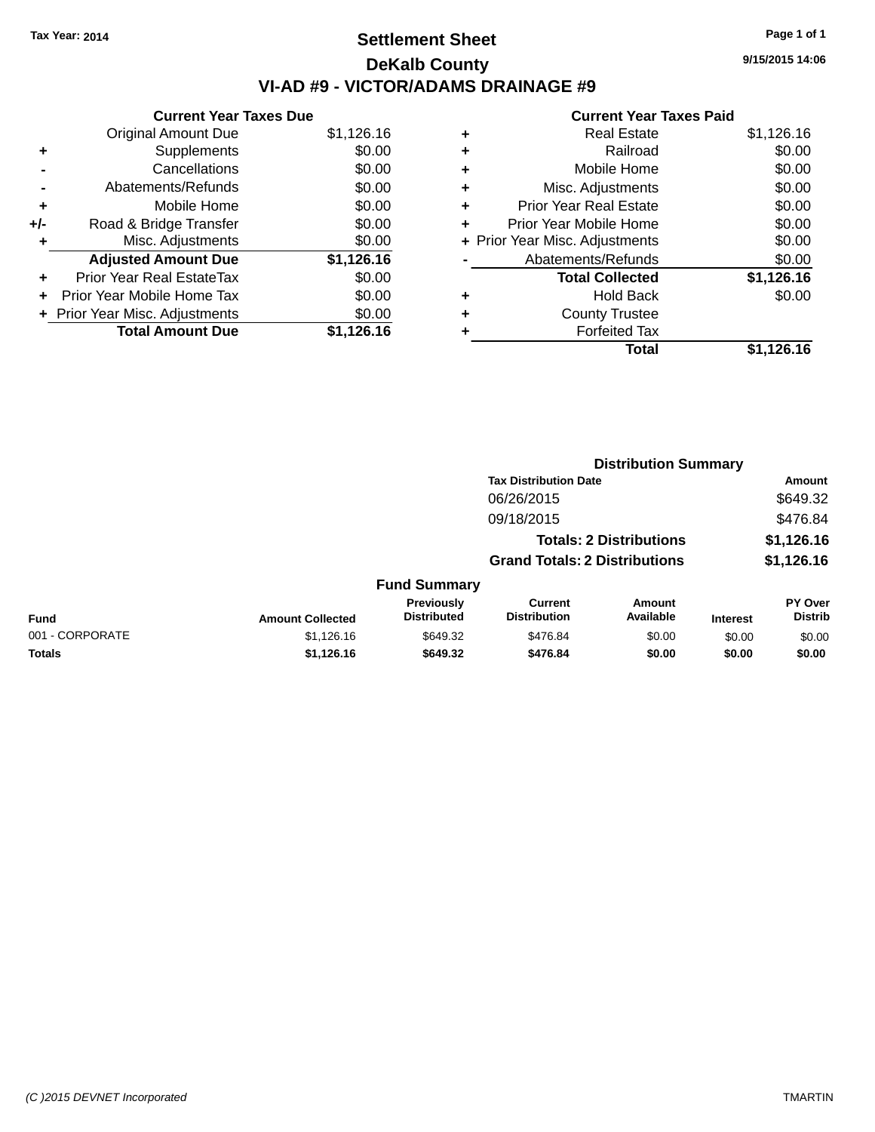# **Settlement Sheet Tax Year: 2014 Page 1 of 1 DeKalb County VI-AD #9 - VICTOR/ADAMS DRAINAGE #9**

|     | <b>Current Year Taxes Due</b>  |            |
|-----|--------------------------------|------------|
|     | <b>Original Amount Due</b>     | \$1,126.16 |
| ٠   | Supplements                    | \$0.00     |
|     | Cancellations                  | \$0.00     |
|     | Abatements/Refunds             | \$0.00     |
| ٠   | Mobile Home                    | \$0.00     |
| +/- | Road & Bridge Transfer         | \$0.00     |
| ۰   | Misc. Adjustments              | \$0.00     |
|     | <b>Adjusted Amount Due</b>     | \$1,126.16 |
| ÷   | Prior Year Real EstateTax      | \$0.00     |
|     | Prior Year Mobile Home Tax     | \$0.00     |
|     | + Prior Year Misc. Adjustments | \$0.00     |
|     | <b>Total Amount Due</b>        | \$1,126.16 |

### **Current Year Taxes Paid**

|   | <b>Real Estate</b>             | \$1,126.16 |
|---|--------------------------------|------------|
| ٠ | Railroad                       | \$0.00     |
| ٠ | Mobile Home                    | \$0.00     |
| ٠ | Misc. Adjustments              | \$0.00     |
| ٠ | <b>Prior Year Real Estate</b>  | \$0.00     |
| ٠ | Prior Year Mobile Home         | \$0.00     |
|   | + Prior Year Misc. Adjustments | \$0.00     |
|   | Abatements/Refunds             | \$0.00     |
|   | <b>Total Collected</b>         | \$1,126.16 |
| ٠ | Hold Back                      | \$0.00     |
| ٠ | <b>County Trustee</b>          |            |
| ٠ | <b>Forfeited Tax</b>           |            |
|   | Total                          | \$1,126.16 |
|   |                                |            |

| <b>Distribution Summary</b>  |        |
|------------------------------|--------|
| <b>Tax Distribution Date</b> | Amount |

|                 |                         |                                  | <b>Tax Distribution Date</b>         |                                |                 | Amount                    |
|-----------------|-------------------------|----------------------------------|--------------------------------------|--------------------------------|-----------------|---------------------------|
|                 |                         |                                  | 06/26/2015                           |                                |                 | \$649.32                  |
|                 |                         |                                  | 09/18/2015                           |                                |                 | \$476.84                  |
|                 |                         |                                  |                                      | <b>Totals: 2 Distributions</b> |                 | \$1,126.16                |
|                 |                         |                                  | <b>Grand Totals: 2 Distributions</b> |                                |                 | \$1,126.16                |
|                 |                         | <b>Fund Summary</b>              |                                      |                                |                 |                           |
| <b>Fund</b>     | <b>Amount Collected</b> | Previously<br><b>Distributed</b> | Current<br><b>Distribution</b>       | Amount<br>Available            | <b>Interest</b> | PY Over<br><b>Distrib</b> |
| 001 - CORPORATE | \$1,126.16              | \$649.32                         | \$476.84                             | \$0.00                         | \$0.00          | \$0.00                    |
| <b>Totals</b>   | \$1.126.16              | \$649.32                         | \$476.84                             | \$0.00                         | \$0.00          | \$0.00                    |

**9/15/2015 14:06**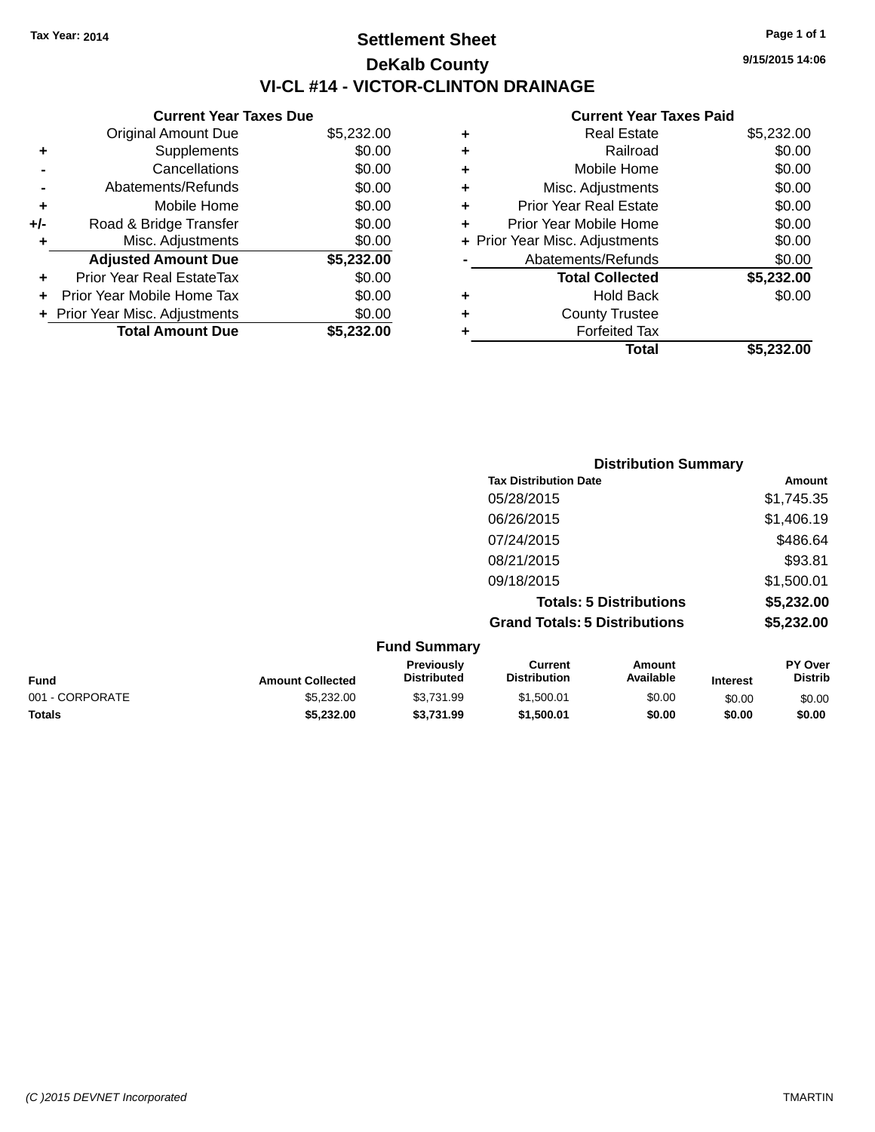# **Settlement Sheet Tax Year: 2014 Page 1 of 1 DeKalb County VI-CL #14 - VICTOR-CLINTON DRAINAGE**

**Current Year Taxes Due** Original Amount Due \$5,232.00 **+** Supplements \$0.00 **-** Cancellations \$0.00 **-** Abatements/Refunds \$0.00 **+** Mobile Home \$0.00 **+/-** Road & Bridge Transfer \$0.00<br> **+** Misc. Adjustments \$0.00 **+** Misc. Adjustments **Adjusted Amount Due \$5,232.00 +** Prior Year Real EstateTax \$0.00 **+** Prior Year Mobile Home Tax \$0.00 **+ Prior Year Misc. Adjustments**  $$0.00$ **Total Amount Due \$5,232.00**

#### **Current Year Taxes Paid**

|   | <b>Real Estate</b>             | \$5,232.00 |
|---|--------------------------------|------------|
| ÷ | Railroad                       | \$0.00     |
| ٠ | Mobile Home                    | \$0.00     |
| ٠ | Misc. Adjustments              | \$0.00     |
| ٠ | <b>Prior Year Real Estate</b>  | \$0.00     |
| ٠ | Prior Year Mobile Home         | \$0.00     |
|   | + Prior Year Misc. Adjustments | \$0.00     |
|   | Abatements/Refunds             | \$0.00     |
|   | <b>Total Collected</b>         | \$5,232.00 |
| ٠ | <b>Hold Back</b>               | \$0.00     |
| ٠ | <b>County Trustee</b>          |            |
| ٠ | <b>Forfeited Tax</b>           |            |
|   | Total                          | \$5,232.00 |
|   |                                |            |

|                     | <b>Distribution Summary</b>          |                                |                |
|---------------------|--------------------------------------|--------------------------------|----------------|
|                     | <b>Tax Distribution Date</b>         |                                | Amount         |
|                     | 05/28/2015                           |                                | \$1,745.35     |
|                     | 06/26/2015                           |                                | \$1,406.19     |
|                     | 07/24/2015                           |                                | \$486.64       |
|                     | 08/21/2015                           |                                | \$93.81        |
|                     | 09/18/2015                           |                                | \$1,500.01     |
|                     |                                      | <b>Totals: 5 Distributions</b> | \$5,232.00     |
|                     | <b>Grand Totals: 5 Distributions</b> |                                | \$5,232.00     |
| <b>Fund Summary</b> |                                      |                                |                |
| <b>Previously</b>   | <b>Current</b>                       | Amount                         | <b>PY Over</b> |

| <b>Fund</b>     | <b>Amount Collected</b> | Previouslv<br><b>Distributed</b> | Current<br><b>Distribution</b> | Amount<br>Available | <b>Interest</b> | PY Over<br>Distrib |
|-----------------|-------------------------|----------------------------------|--------------------------------|---------------------|-----------------|--------------------|
| 001 - CORPORATE | \$5.232.00              | \$3.731.99                       | \$1.500.01                     | \$0.00              | \$0.00          | \$0.00             |
| <b>Totals</b>   | \$5,232.00              | \$3.731.99                       | \$1.500.01                     | \$0.00              | \$0.00          | \$0.00             |